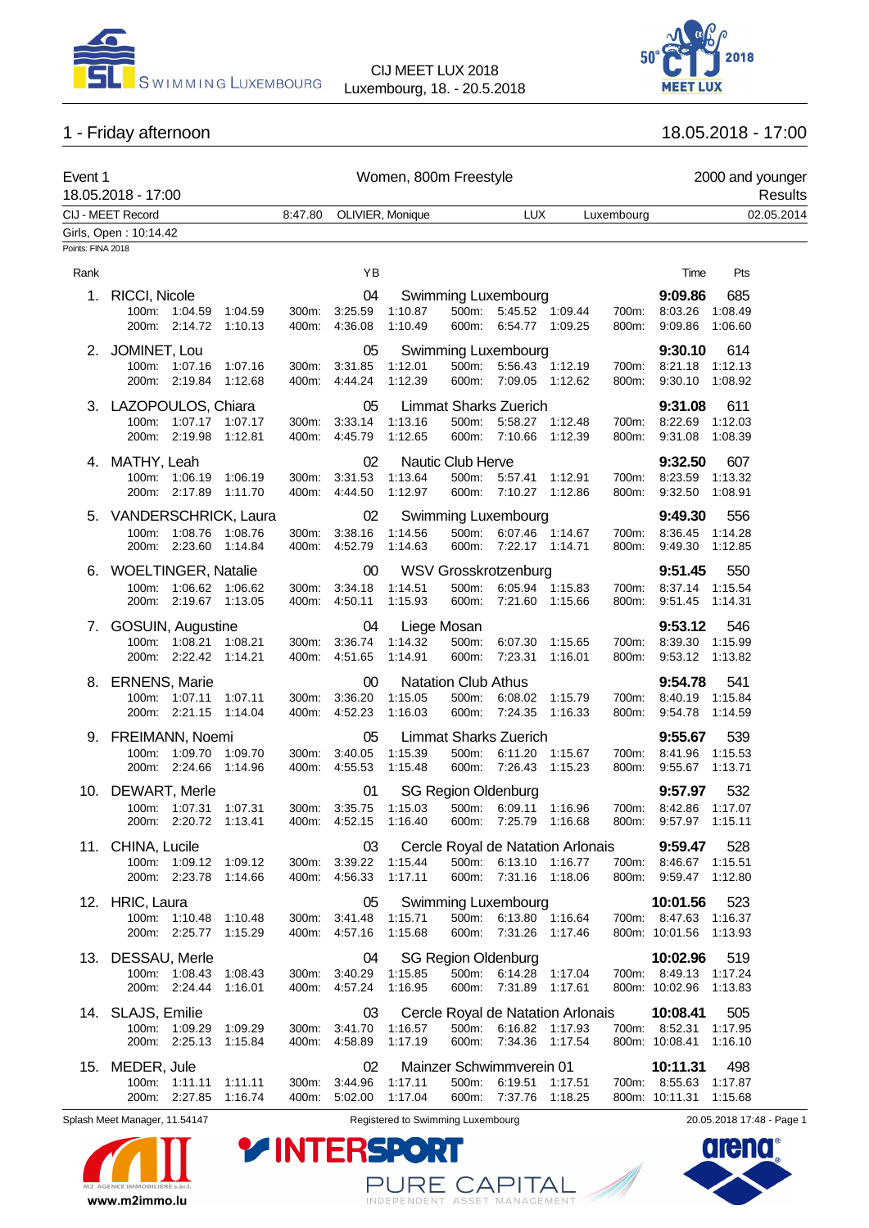



# 1 - Friday afternoon 18.05.2018 - 17:00

| Event 1           | 18.05.2018 - 17:00                                                           |                |                                        | Women, 800m Freestyle                                  |                                              |                                                                              |                                   |                |                                                           | 2000 and younger<br>Results |  |
|-------------------|------------------------------------------------------------------------------|----------------|----------------------------------------|--------------------------------------------------------|----------------------------------------------|------------------------------------------------------------------------------|-----------------------------------|----------------|-----------------------------------------------------------|-----------------------------|--|
|                   | CIJ - MEET Record                                                            | 8:47.80        | OLIVIER, Monique                       |                                                        |                                              | <b>LUX</b>                                                                   |                                   | Luxembourg     |                                                           | 02.05.2014                  |  |
| Points: FINA 2018 | Girls, Open: 10:14.42                                                        |                |                                        |                                                        |                                              |                                                                              |                                   |                |                                                           |                             |  |
| Rank              |                                                                              |                | YB                                     |                                                        |                                              |                                                                              |                                   |                | Time                                                      | Pts                         |  |
| 1.                | RICCI, Nicole<br>100m: 1:04.59<br>1:04.59<br>200m: 2:14.72<br>1:10.13        | 300m:<br>400m: | 04<br>3:25.59<br>4:36.08               | 1:10.87<br>1:10.49                                     |                                              | <b>Swimming Luxembourg</b><br>500m: 5:45.52 1:09.44<br>600m: 6:54.77 1:09.25 |                                   | 700m:<br>800m: | 9:09.86<br>8:03.26 1:08.49<br>9:09.86                     | 685<br>1:06.60              |  |
|                   | 2. JOMINET, Lou<br>100m: 1:07.16<br>1:07.16<br>200m: 2:19.84<br>1:12.68      | 300m:<br>400m: | 05<br>3:31.85<br>4:44.24               | 1:12.01<br>1:12.39                                     | 500m:<br>600m:                               | Swimming Luxembourg<br>5:56.43 1:12.19<br>7:09.05 1:12.62                    |                                   | 700m:<br>800m: | 9:30.10<br>8:21.18<br>9:30.10                             | 614<br>1:12.13<br>1:08.92   |  |
|                   | 3. LAZOPOULOS, Chiara<br>100m: 1:07.17 1:07.17<br>200m: 2:19.98<br>1:12.81   | 300m:<br>400m: | 05<br>3:33.14<br>4:45.79               | 1:13.16<br>1:12.65                                     | 500m:<br>600m:                               | <b>Limmat Sharks Zuerich</b><br>5:58.27 1:12.48<br>7:10.66                   | 1:12.39                           | 700m:<br>800m: | 9:31.08<br>8:22.69<br>9:31.08                             | 611<br>1:12.03<br>1:08.39   |  |
|                   | 4. MATHY, Leah<br>100m: 1:06.19 1:06.19<br>200m: 2:17.89<br>1:11.70          | 300m:<br>400m: | 02<br>3:31.53<br>4:44.50               | 1:13.64<br>1:12.97                                     | Nautic Club Herve<br>600m:                   | 500m: 5:57.41 1:12.91<br>7:10.27 1:12.86                                     |                                   | 700m:<br>800m: | 9:32.50<br>8:23.59 1:13.32<br>9:32.50                     | 607<br>1:08.91              |  |
|                   | 5. VANDERSCHRICK, Laura<br>100m: 1:08.76<br>1:08.76<br>200m: 2:23.60 1:14.84 | 300m:          | 02<br>3:38.16<br>400m: 4:52.79         | 1:14.56<br>1:14.63                                     | 500m:                                        | <b>Swimming Luxembourg</b><br>6:07.46 1:14.67<br>600m: 7:22.17 1:14.71       |                                   | 700m:<br>800m: | 9:49.30<br>8:36.45<br>9:49.30 1:12.85                     | 556<br>1:14.28              |  |
|                   | 6. WOELTINGER, Natalie<br>100m: 1:06.62 1:06.62<br>200m: 2:19.67 1:13.05     | 300m:<br>400m: | $00\,$<br>3:34.18<br>4:50.11           | 1:14.51<br>1:15.93                                     | 500m:<br>600m:                               | <b>WSV Grosskrotzenburg</b><br>6:05.94 1:15.83<br>7:21.60 1:15.66            |                                   | 700m:<br>800m: | 9:51.45<br>8:37.14 1:15.54<br>9:51.45 1:14.31             | 550                         |  |
|                   | 7. GOSUIN, Augustine<br>100m: 1:08.21<br>1:08.21<br>200m: 2.22.42 1:14.21    | 300m:<br>400m: | 04<br>3:36.74<br>4:51.65               | Liege Mosan<br>1:14.32<br>1:14.91                      | 500m:<br>600m:                               | 6:07.30<br>7.23.31                                                           | 1:15.65<br>1:16.01                | 700m:<br>800m: | 9:53.12<br>8:39.30<br>9:53.12 1:13.82                     | 546<br>1:15.99              |  |
|                   | 8. ERNENS, Marie<br>100m: 1:07.11<br>1:07.11<br>200m: 2:21.15<br>1:14.04     | 300m:          | $00\,$<br>3:36.20<br>400m: 4:52.23     | 1:15.05<br>1:16.03                                     | <b>Natation Club Athus</b><br>500m:<br>600m: | 6:08.02<br>7:24.35                                                           | 1:15.79<br>1:16.33                | 700m:<br>800m: | 9:54.78<br>8:40.19<br>9:54.78                             | 541<br>1:15.84<br>1:14.59   |  |
|                   | 9. FREIMANN, Noemi<br>100m: 1:09.70<br>1:09.70<br>200m: 2:24.66<br>1:14.96   | 300m:<br>400m: | 05<br>3:40.05<br>4:55.53               | 1:15.39<br>1:15.48                                     | 500m:<br>600m:                               | <b>Limmat Sharks Zuerich</b><br>6:11.20<br>7:26.43                           | 1:15.67<br>1:15.23                | 700m:<br>800m: | 9:55.67<br>8:41.96<br>9:55.67                             | 539<br>1:15.53<br>1:13.71   |  |
|                   | 10. DEWART, Merle<br>100m: 1:07.31<br>1:07.31<br>200m: 2:20.72 1:13.41       |                | 01<br>300m: 3:35.75                    | 1:15.03<br>400m: 4:52.15 1:16.40 600m: 7:25.79 1:16.68 | <b>SG Region Oldenburg</b>                   | 500m: 6:09.11 1:16.96                                                        |                                   |                | 9:57.97<br>700m: 8:42.86 1:17.07<br>800m: 9:57.97 1:15.11 | 532                         |  |
|                   | 11. CHINA, Lucile<br>100m: 1:09.12 1:09.12<br>200m: 2:23.78<br>1:14.66       | 300m:          | 03<br>3:39.22 1:15.44<br>400m: 4:56.33 | 1:17.11                                                |                                              | 500m: 6:13.10 1:16.77<br>600m: 7:31.16 1:18.06                               | Cercle Royal de Natation Arlonais | 800m:          | 9:59.47<br>700m: 8:46.67 1:15.51<br>9:59.47 1:12.80       | 528                         |  |
|                   | 12. HRIC, Laura<br>100m: 1:10.48<br>1:10.48<br>200m: 2:25.77<br>1:15.29      | 300m.          | 05<br>3:41.48<br>400m: 4:57.16         | 1:15.71<br>1:15.68                                     | 600m:                                        | Swimming Luxembourg<br>500m: 6:13.80 1:16.64<br>7:31.26                      | 1:17.46                           |                | 10:01.56<br>700m: 8:47.63 1:16.37<br>800m: 10:01.56       | 523<br>1:13.93              |  |
|                   | 13. DESSAU, Merle<br>100m: 1:08.43<br>1:08.43<br>200m: 2:24.44<br>1:16.01    | 300m:<br>400m: | 04<br>3:40.29<br>4:57.24               | 1:15.85<br>1:16.95                                     | <b>SG Region Oldenburg</b><br>600m:          | 500m: 6:14.28 1:17.04<br>7:31.89                                             | 1:17.61                           |                | 10:02.96<br>700m: 8:49.13 1:17.24<br>800m: 10:02.96       | 519<br>1:13.83              |  |
|                   | 14. SLAJS, Emilie<br>100m: 1:09.29<br>1:09.29<br>200m: 2:25.13<br>1:15.84    | 300m:<br>400m: | 03<br>3:41.70<br>4:58.89               | 1:16.57<br>1:17.19                                     | 500m:<br>600m:                               | 6:16.82 1:17.93<br>7:34.36 1:17.54                                           | Cercle Royal de Natation Arlonais |                | 10:08.41<br>700m: 8:52.31<br>800m: 10:08.41               | 505<br>1:17.95<br>1:16.10   |  |
|                   | 15. MEDER, Jule<br>100m: 1:11.11 1:11.11<br>200m: 2:27.85 1:16.74            |                | 02<br>300m: 3:44.96<br>400m: 5:02.00   | 1:17.11<br>1:17.04                                     | 500m:<br>600m:                               | Mainzer Schwimmverein 01<br>6:19.51<br>7:37.76 1:18.25                       | 1:17.51                           |                | 10:11.31<br>700m: 8:55.63<br>800m: 10:11.31               | 498<br>1:17.87<br>1:15.68   |  |



Splash Meet Manager, 11.54147 **Registered to Swimming Luxembourg** 20.05.2018 17:48 - Page 1

PURE CAPITAL

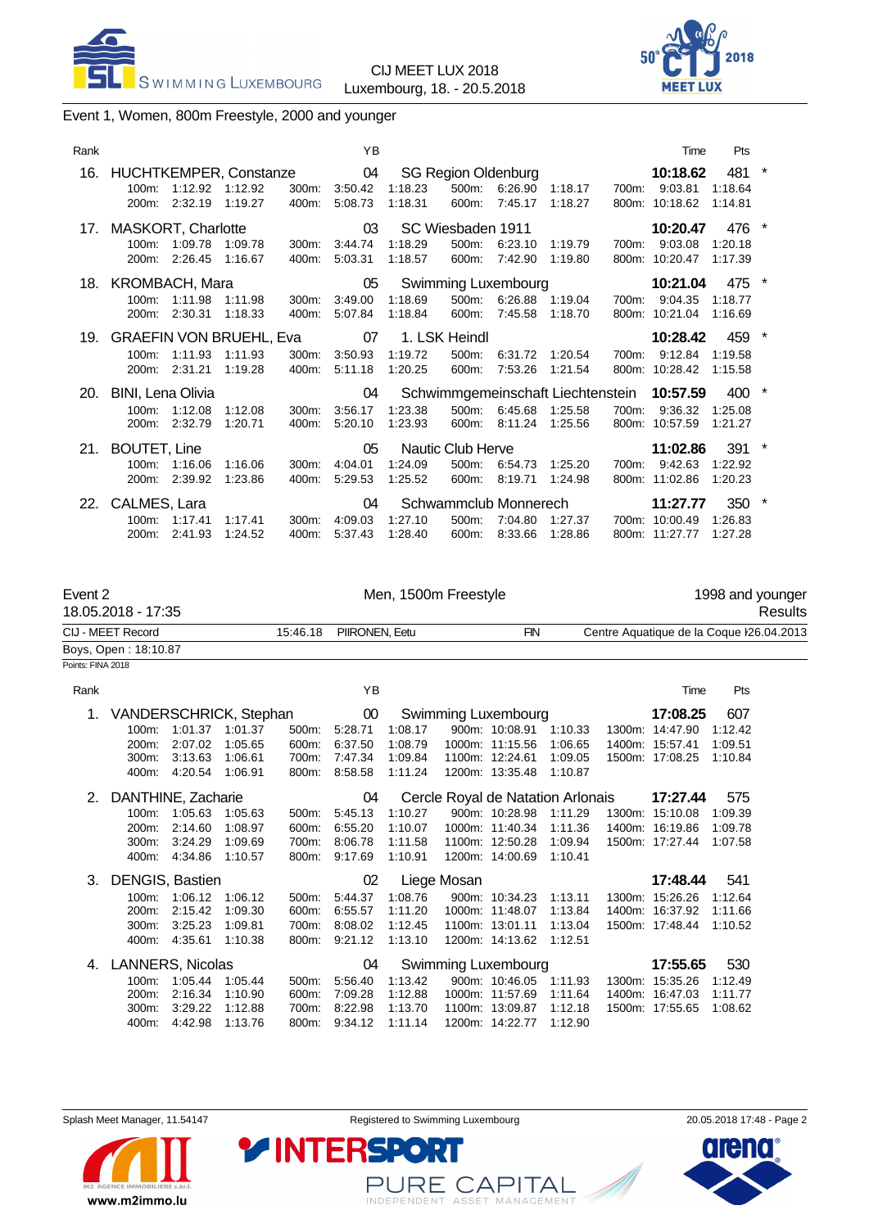



# Event 1, Women, 800m Freestyle, 2000 and younger

| Rank |                                            |                          |                                                      |                | YB                       |                    |                                        |                                                  |                                                                  |       | Time                                         | Pts                           |  |
|------|--------------------------------------------|--------------------------|------------------------------------------------------|----------------|--------------------------|--------------------|----------------------------------------|--------------------------------------------------|------------------------------------------------------------------|-------|----------------------------------------------|-------------------------------|--|
| 16.  | $100m$ :<br>200m:                          | 1:12.92<br>2:32.19       | HUCHTKEMPER, Constanze 04<br>1:12.92<br>1:19.27      | 300m:<br>400m: | 3:50.42<br>5:08.73       | 1:18.23<br>1:18.31 | $500m$ :<br>600m:                      | <b>SG Region Oldenburg</b><br>6:26.90<br>7:45.17 | 1:18.17<br>1:18.27                                               | 700m: | 10:18.62<br>9:03.81<br>800m: 10:18.62        | 481<br>1:18.64<br>1:14.81     |  |
|      | 200m:                                      | 100m: 1:09.78<br>2:26.45 | 17. MASKORT, Charlotte<br>1:09.78<br>1:16.67         | 300m.<br>400m: | 03<br>3:44.74<br>5:03.31 | 1:18.29<br>1:18.57 | SC Wiesbaden 1911<br>$500m$ :<br>600m: | 6:23.10<br>7:42.90                               | 1:19.79<br>1:19.80                                               | 700m: | 10:20.47<br>9:03.08<br>800m: 10:20.47        | 476<br>1:20.18<br>1:17.39     |  |
| 18.  | KROMBACH, Mara<br>200m:                    | 100m: 1:11.98<br>2:30.31 | 1:11.98<br>1:18.33                                   | 300m:<br>400m: | 05<br>3:49.00<br>5:07.84 | 1:18.69<br>1:18.84 | 500m:<br>600m:                         | 6:26.88<br>7:45.58                               | Swimming Luxembourg<br>1:19.04<br>1:18.70                        | 700m: | 10:21.04<br>9:04.35<br>800m: 10:21.04        | 475<br>1:18.77<br>1:16.69     |  |
| 19.  | $100m$ :<br>200m:                          | 1:11.93<br>2:31.21       | <b>GRAEFIN VON BRUEHL, Eva</b><br>1:11.93<br>1:19.28 | 300m:<br>400m: | 07<br>3:50.93<br>5:11.18 | 1:19.72<br>1:20.25 | 1. LSK Heindl<br>500m:<br>600m:        | 6:31.72<br>7:53.26                               | 1:20.54<br>1:21.54                                               | 700m: | 10:28.42<br>9:12.84<br>800m: 10:28.42        | 459<br>1:19.58<br>1:15.58     |  |
| 20.  | <b>BINI, Lena Olivia</b><br>100m:<br>200m: | 1:12.08<br>2:32.79       | 1:12.08<br>1:20.71                                   | 300m:<br>400m: | 04<br>3:56.17<br>5:20.10 | 1:23.38<br>1:23.93 | 500m:<br>600m:                         | 6:45.68<br>8:11.24                               | Schwimmgemeinschaft Liechtenstein 10:57.59<br>1:25.58<br>1:25.56 | 700m: | 9:36.32<br>800m: 10:57.59                    | 400<br>1:25.08<br>1:21.27     |  |
|      | 21. BOUTET, Line<br>$100m$ :<br>200m:      | 1:16.06<br>2:39.92       | 1:16.06<br>1:23.86                                   | 300m.<br>400m: | 05<br>4:04.01<br>5.29.53 | 1:24.09<br>1:25.52 | Nautic Club Herve<br>500m:<br>600m:    | 6:54.73<br>8:19.71                               | 1:25.20<br>1:24.98                                               | 700m: | 11:02.86<br>9:42.63<br>800m: 11:02.86        | $391$ *<br>1:22.92<br>1:20.23 |  |
|      | 22. CALMES, Lara<br>$100m$ :<br>$200m$ :   | 1:17.41<br>2:41.93       | 1:17.41<br>1:24.52                                   | 300m:<br>400m: | 04<br>4:09.03<br>5:37.43 | 1:27.10<br>1:28.40 | 500m:<br>600m:                         | Schwammclub Monnerech<br>7:04.80<br>8:33.66      | 1:27.37<br>1:28.86                                               |       | 11:27.77<br>700m: 10:00.49<br>800m: 11:27.77 | 350 *<br>1:26.83<br>1:27.28   |  |

| Event 2<br>18.05.2018 - 17:35 | Men, 1500m Freestyle    |     | 1998 and younger<br>Results              |
|-------------------------------|-------------------------|-----|------------------------------------------|
| CIJ - MEET Record             | 15:46.18 PIIRONEN, Eetu | FIN | Centre Aquatique de la Coque l26.04.2013 |
| Boys, Open : 18:10.87         |                         |     |                                          |
| Points: FINA 2018             |                         |     |                                          |

| Rank |                         |         |                        |          | YB      |         |             |                                   |         |        | Time            | Pts     |
|------|-------------------------|---------|------------------------|----------|---------|---------|-------------|-----------------------------------|---------|--------|-----------------|---------|
| 1.   |                         |         | VANDERSCHRICK, Stephan |          | $00\,$  |         |             | Swimming Luxembourg               |         |        | 17:08.25        | 607     |
|      | 100m:                   | 1:01.37 | 1:01.37                | 500m:    | 5:28.71 | 1:08.17 |             | 900m: 10:08.91                    | 1:10.33 | 1300m: | 14:47.90        | 1:12.42 |
|      | 200m:                   | 2:07.02 | 1:05.65                | 600m:    | 6:37.50 | 1:08.79 |             | 1000m: 11:15.56                   | 1:06.65 |        | 1400m: 15:57.41 | 1:09.51 |
|      | 300m:                   | 3:13.63 | 1:06.61                | 700m:    | 7:47.34 | 1:09.84 |             | 1100m: 12:24.61                   | 1:09.05 |        | 1500m: 17:08.25 | 1:10.84 |
|      | 400m:                   | 4:20.54 | 1:06.91                | 800m:    | 8:58.58 | 1:11.24 |             | 1200m: 13:35.48                   | 1:10.87 |        |                 |         |
| 2.   | DANTHINE, Zacharie      |         |                        |          | 04      |         |             | Cercle Royal de Natation Arlonais |         |        | 17:27.44        | 575     |
|      | 100m:                   | 1:05.63 | 1:05.63                | 500m:    | 5:45.13 | 1:10.27 |             | 900m: 10:28.98                    | 1:11.29 | 1300m: | 15:10.08        | 1:09.39 |
|      | 200m:                   | 2:14.60 | 1:08.97                | 600m:    | 6:55.20 | 1:10.07 |             | 1000m: 11:40.34                   | 1:11.36 |        | 1400m: 16:19.86 | 1:09.78 |
|      | 300m:                   | 3:24.29 | 1:09.69                | 700m:    | 8:06.78 | 1:11.58 |             | 1100m: 12:50.28                   | 1:09.94 |        | 1500m: 17:27.44 | 1:07.58 |
|      | 400m:                   | 4:34.86 | 1:10.57                | 800m:    | 9:17.69 | 1:10.91 |             | 1200m: 14:00.69                   | 1:10.41 |        |                 |         |
| 3.   | DENGIS, Bastien         |         |                        |          | 02      |         | Liege Mosan |                                   |         |        | 17:48.44        | 541     |
|      | 100m:                   | 1:06.12 | 1:06.12                | $500m$ : | 5:44.37 | 1:08.76 |             | 900m: 10:34.23                    | 1:13.11 |        | 1300m: 15:26.26 | 1:12.64 |
|      | 200m:                   | 2:15.42 | 1:09.30                | 600m:    | 6:55.57 | 1:11.20 |             | 1000m: 11:48.07                   | 1:13.84 |        | 1400m: 16:37.92 | 1:11.66 |
|      | 300m:                   | 3:25.23 | 1:09.81                | 700m:    | 8:08.02 | 1:12.45 |             | 1100m: 13:01.11                   | 1:13.04 |        | 1500m: 17:48.44 | 1:10.52 |
|      | 400m:                   | 4:35.61 | 1:10.38                | 800m:    | 9:21.12 | 1:13.10 |             | 1200m: 14:13.62                   | 1:12.51 |        |                 |         |
| 4.   | <b>LANNERS, Nicolas</b> |         |                        |          | 04      |         |             | Swimming Luxembourg               |         |        | 17:55.65        | 530     |
|      | $100m$ :                | 1:05.44 | 1:05.44                | $500m$ : | 5:56.40 | 1:13.42 |             | 900m: 10:46.05                    | 1:11.93 |        | 1300m: 15:35.26 | 1:12.49 |
|      | 200m:                   | 2:16.34 | 1:10.90                | 600m:    | 7:09.28 | 1:12.88 |             | 1000m: 11:57.69                   | 1:11.64 |        | 1400m: 16:47.03 | 1:11.77 |
|      | 300m:                   | 3:29.22 | 1:12.88                | 700m:    | 8:22.98 | 1:13.70 |             | 1100m: 13:09.87                   | 1:12.18 |        | 1500m: 17:55.65 | 1:08.62 |
|      | 400m:                   | 4:42.98 | 1:13.76                | 800m:    | 9:34.12 | 1:11.14 |             | 1200m: 14:22.77                   | 1:12.90 |        |                 |         |



PURE CAPITAL

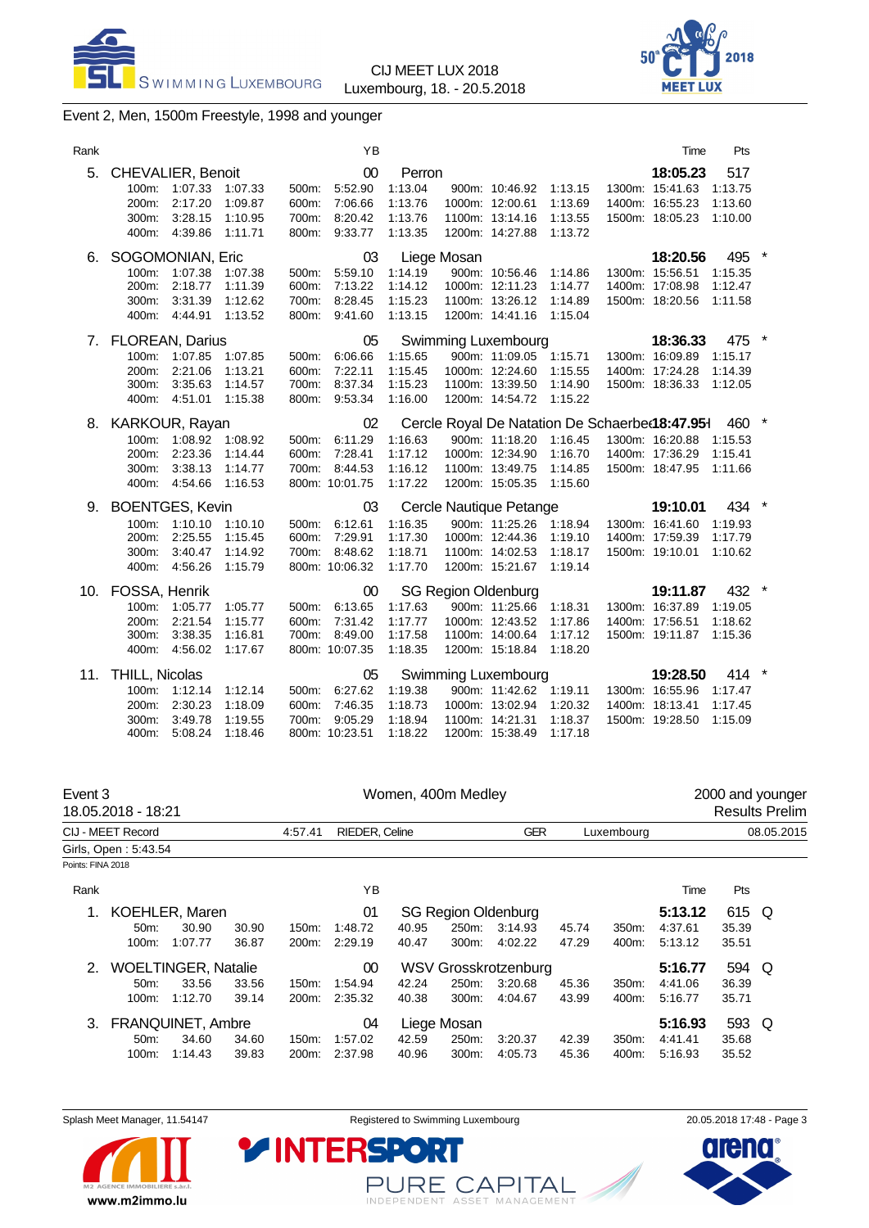SWIMMING LUXEMBOURG

CIJ MEET LUX 2018 Luxembourg, 18. - 20.5.2018



# Event 2, Men, 1500m Freestyle, 1998 and younger

| Rank |                                                                                                                                                    | YB                                                                                 |                                                                        |                                                                                                                                                                       | Time                                                              | Pts                                  |  |
|------|----------------------------------------------------------------------------------------------------------------------------------------------------|------------------------------------------------------------------------------------|------------------------------------------------------------------------|-----------------------------------------------------------------------------------------------------------------------------------------------------------------------|-------------------------------------------------------------------|--------------------------------------|--|
| 5.   | <b>CHEVALIER, Benoit</b><br>100m: 1:07.33<br>1:07.33<br>2:17.20<br>200m:<br>1:09.87<br>300m:<br>3:28.15<br>1:10.95<br>400m: 4:39.86<br>1:11.71     | 00<br>5:52.90<br>500m:<br>7:06.66<br>600m:<br>700m:<br>8:20.42<br>9:33.77<br>800m: | Perron<br>1:13.04<br>1:13.76<br>1:13.76<br>1:13.35                     | 900m: 10:46.92 1:13.15<br>1000m: 12:00.61<br>1:13.69<br>1100m: 13:14.16<br>1:13.55<br>1200m: 14:27.88<br>1:13.72                                                      | 18:05.23<br>1300m: 15:41.63<br>1400m: 16:55.23<br>1500m: 18:05.23 | 517<br>1:13.75<br>1:13.60<br>1:10.00 |  |
| 6.   | SOGOMONIAN, Eric<br>1:07.38<br>100m:<br>1:07.38<br>200m:<br>2:18.77<br>1:11.39<br>3:31.39<br>300m:<br>1:12.62<br>400m: 4:44.91<br>1:13.52          | 03<br>5:59.10<br>500m:<br>600m:<br>7:13.22<br>8:28.45<br>700m:<br>800m:<br>9:41.60 | Liege Mosan<br>1:14.19<br>1:14.12<br>1:15.23<br>1:13.15                | 900m: 10:56.46<br>1:14.86<br>1000m: 12:11.23<br>1:14.77<br>1100m: 13:26.12<br>1:14.89<br>1200m: 14:41.16<br>1:15.04                                                   | 18:20.56<br>1300m: 15:56.51<br>1400m: 17:08.98<br>1500m: 18:20.56 | 495<br>1:15.35<br>1:12.47<br>1:11.58 |  |
| 7.   | <b>FLOREAN, Darius</b><br>100m: 1:07.85<br>1:07.85<br>2:21.06<br>1:13.21<br>200m:<br>3:35.63<br>1:14.57<br>300m:<br>400m: 4:51.01<br>1:15.38       | 05<br>6:06.66<br>500m:<br>7:22.11<br>600m:<br>8:37.34<br>700m:<br>800m:<br>9:53.34 | Swimming Luxembourg<br>1:15.65<br>1:15.45<br>1:15.23<br>1:16.00        | 900m: 11:09.05 1:15.71<br>1000m: 12:24.60<br>1:15.55<br>1100m: 13:39.50<br>1:14.90<br>1200m: 14:54.72<br>1:15.22                                                      | 18:36.33<br>1300m: 16:09.89<br>1400m: 17:24.28<br>1500m: 18:36.33 | 475<br>1:15.17<br>1:14.39<br>1:12.05 |  |
|      | 8. KARKOUR, Rayan<br>1:08.92<br>1:08.92<br>100m:<br>2:23.36<br>200m:<br>1:14.44<br>3:38.13<br>1:14.77<br>300m.<br>400m: 4:54.66<br>1:16.53         | 02<br>6:11.29<br>500m:<br>7:28.41<br>600m:<br>700m:<br>8:44.53<br>800m: 10:01.75   | 1:16.63<br>1:17.12<br>1:16.12<br>1:17.22                               | Cercle Royal De Natation De Schaerbe(18:47.951<br>900m: 11:18.20<br>1:16.45<br>1000m: 12:34.90<br>1:16.70<br>1100m: 13:49.75<br>1:14.85<br>1200m: 15:05.35<br>1:15.60 | 1300m: 16:20.88<br>1400m: 17:36.29<br>1500m: 18:47.95             | 460<br>1:15.53<br>1:15.41<br>1:11.66 |  |
| 9.   | <b>BOENTGES, Kevin</b><br>100m:<br>1:10.10<br>1:10.10<br>2:25.55<br>200m:<br>1:15.45<br>300m:<br>3:40.47<br>1:14.92<br>4:56.26<br>400m:<br>1:15.79 | 03<br>6:12.61<br>500m:<br>600m:<br>7:29.91<br>700m:<br>8:48.62<br>800m: 10:06.32   | Cercle Nautique Petange<br>1:16.35<br>1:17.30<br>1:18.71<br>1:17.70    | 900m: 11:25.26 1:18.94<br>1000m: 12:44.36<br>1:19.10<br>1100m: 14:02.53<br>1:18.17<br>1200m: 15:21.67<br>1:19.14                                                      | 19:10.01<br>1300m: 16:41.60<br>1400m: 17:59.39<br>1500m: 19:10.01 | 434<br>1:19.93<br>1:17.79<br>1:10.62 |  |
| 10.  | FOSSA, Henrik<br>100m:<br>1:05.77<br>1:05.77<br>200m:<br>2:21.54<br>1:15.77<br>3:38.35<br>300m:<br>1:16.81<br>400m: 4:56.02<br>1:17.67             | 00<br>6:13.65<br>500m:<br>7:31.42<br>600m:<br>700m:<br>8:49.00<br>800m: 10:07.35   | <b>SG Region Oldenburg</b><br>1:17.63<br>1:17.77<br>1:17.58<br>1:18.35 | 900m: 11:25.66<br>1:18.31<br>1000m: 12:43.52<br>1:17.86<br>1:17.12<br>1100m: 14:00.64<br>1200m: 15:18.84<br>1:18.20                                                   | 19:11.87<br>1300m: 16:37.89<br>1400m: 17:56.51<br>1500m: 19:11.87 | 432<br>1:19.05<br>1:18.62<br>1:15.36 |  |
|      | 11. THILL, Nicolas<br>100m: 1:12.14<br>1:12.14<br>2:30.23<br>1:18.09<br>200m:<br>300m:<br>3:49.78<br>1:19.55<br>400m:<br>1:18.46<br>5:08.24        | 05<br>6:27.62<br>500m:<br>7:46.35<br>600m:<br>9:05.29<br>700m:<br>800m: 10:23.51   | Swimming Luxembourg<br>1:19.38<br>1:18.73<br>1:18.94<br>1:18.22        | 900m: 11:42.62 1:19.11<br>1000m: 13:02.94<br>1:20.32<br>1100m: 14:21.31<br>1:18.37<br>1200m: 15:38.49<br>1:17.18                                                      | 19:28.50<br>1300m: 16:55.96<br>1400m: 18:13.41<br>1500m: 19:28.50 | 414<br>1:17.47<br>1:17.45<br>1.15.09 |  |

| Event 3           | 18.05.2018 - 18:21         |         |       |         |                |       | Women, 400m Medley |                            |       |                  |         |            | 2000 and younger<br><b>Results Prelim</b> |
|-------------------|----------------------------|---------|-------|---------|----------------|-------|--------------------|----------------------------|-------|------------------|---------|------------|-------------------------------------------|
|                   | CIJ - MEET Record          |         |       | 4:57.41 | RIEDER, Celine |       |                    | <b>GER</b>                 |       | Luxembourg       |         |            | 08.05.2015                                |
|                   | Girls, Open: 5:43.54       |         |       |         |                |       |                    |                            |       |                  |         |            |                                           |
| Points: FINA 2018 |                            |         |       |         |                |       |                    |                            |       |                  |         |            |                                           |
| Rank              |                            |         |       |         | ΥB             |       |                    |                            |       |                  | Time    | <b>Pts</b> |                                           |
| 1.                | <b>KOEHLER, Maren</b>      |         |       |         | 01             |       |                    | <b>SG Region Oldenburg</b> |       |                  | 5:13.12 | 615 Q      |                                           |
|                   | 50 <sub>m</sub>            | 30.90   | 30.90 | 150m:   | 1:48.72        | 40.95 | 250m:              | 3:14.93                    | 45.74 | 350 <sub>m</sub> | 4:37.61 | 35.39      |                                           |
|                   | 100m:                      | 1:07.77 | 36.87 | 200m:   | 2:29.19        | 40.47 | 300m:              | 4:02.22                    | 47.29 | 400m:            | 5:13.12 | 35.51      |                                           |
| 2.                | <b>WOELTINGER, Natalie</b> |         |       |         | 00             |       |                    | WSV Grosskrotzenburg       |       |                  | 5:16.77 | 594 Q      |                                           |
|                   | 50 <sub>m</sub> :          | 33.56   | 33.56 | 150m:   | 1:54.94        | 42.24 | 250m:              | 3:20.68                    | 45.36 | 350m:            | 4:41.06 | 36.39      |                                           |
|                   | 100m:                      | 1:12.70 | 39.14 | 200m:   | 2:35.32        | 40.38 | 300m:              | 4:04.67                    | 43.99 | 400m:            | 5:16.77 | 35.71      |                                           |
| 3.                | <b>FRANQUINET, Ambre</b>   |         |       |         | 04             |       | Liege Mosan        |                            |       |                  | 5:16.93 | 593 Q      |                                           |
|                   | 50 <sub>m</sub>            | 34.60   | 34.60 | 150m:   | 1:57.02        | 42.59 | 250m:              | 3.20.37                    | 42.39 | 350m:            | 4:41.41 | 35.68      |                                           |
|                   | 100m:                      | 1:14.43 | 39.83 | 200m:   | 2:37.98        | 40.96 | 300m:              | 4:05.73                    | 45.36 | 400m:            | 5.16.93 | 35.52      |                                           |

Splash Meet Manager, 11.54147 **Registered to Swimming Luxembourg** 20.05.2018 17:48 - Page 3



PURE CAPITAL

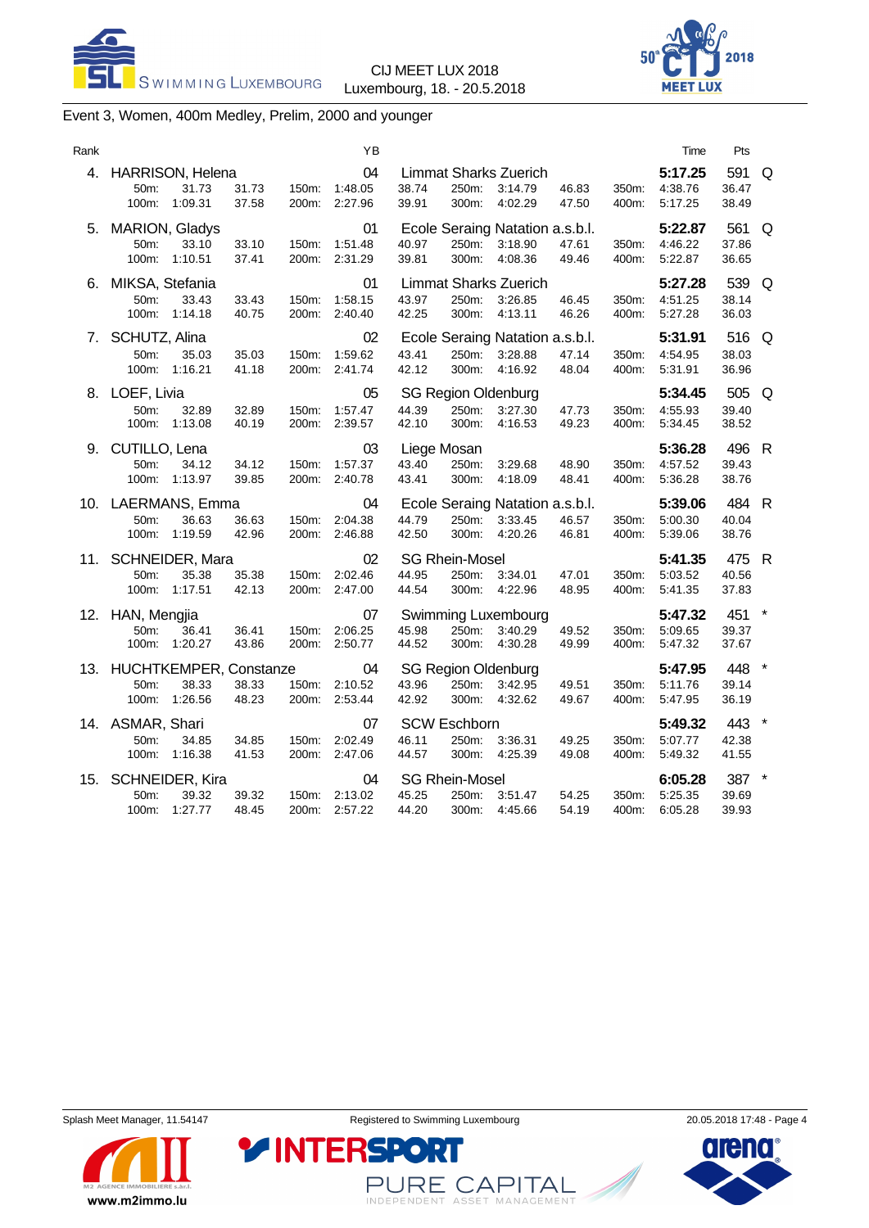SWIMMING LUXEMBOURG

CIJ MEET LUX 2018 Luxembourg, 18. - 20.5.2018



# Event 3, Women, 400m Medley, Prelim, 2000 and younger

| Rank |                                                             |                |                | ΥB                       |                               |                                         |                                                       |                |                | Time                          | Pts                     |         |
|------|-------------------------------------------------------------|----------------|----------------|--------------------------|-------------------------------|-----------------------------------------|-------------------------------------------------------|----------------|----------------|-------------------------------|-------------------------|---------|
| 4.   | HARRISON, Helena<br>31.73<br>50m:<br>1:09.31<br>100m:       | 31.73<br>37.58 | 150m:<br>200m: | 04<br>1:48.05<br>2:27.96 | 38.74<br>39.91                | 250m:<br>300m:                          | <b>Limmat Sharks Zuerich</b><br>3:14.79<br>4:02.29    | 46.83<br>47.50 | 350m:<br>400m: | 5:17.25<br>4:38.76<br>5:17.25 | 591<br>36.47<br>38.49   | Q       |
| 5.   | <b>MARION, Gladys</b><br>50m:<br>33.10<br>100m:<br>1:10.51  | 33.10<br>37.41 | 150m:<br>200m: | 01<br>1:51.48<br>2:31.29 | 40.97<br>39.81                | 250m:<br>300m:                          | Ecole Seraing Natation a.s.b.l.<br>3:18.90<br>4:08.36 | 47.61<br>49.46 | 350m:<br>400m: | 5:22.87<br>4:46.22<br>5:22.87 | 561<br>37.86<br>36.65   | Q       |
| 6.   | MIKSA, Stefania<br>50m:<br>33.43<br>1:14.18<br>100m:        | 33.43<br>40.75 | 150m:<br>200m: | 01<br>1:58.15<br>2.40.40 | 43.97<br>42.25                | 250m:<br>300m:                          | <b>Limmat Sharks Zuerich</b><br>3:26.85<br>4:13.11    | 46.45<br>46.26 | 350m:<br>400m: | 5:27.28<br>4:51.25<br>5:27.28 | 539<br>38.14<br>36.03   | Q       |
| 7.   | SCHUTZ, Alina<br>50m:<br>35.03<br>100m:<br>1:16.21          | 35.03<br>41.18 | 150m:<br>200m: | 02<br>1:59.62<br>2:41.74 | 43.41<br>42.12                | 250m:<br>300m:                          | Ecole Seraing Natation a.s.b.l.<br>3:28.88<br>4:16.92 | 47.14<br>48.04 | 350m:<br>400m: | 5:31.91<br>4:54.95<br>5:31.91 | 516 Q<br>38.03<br>36.96 |         |
| 8.   | LOEF, Livia<br>50m:<br>32.89<br>100m:<br>1:13.08            | 32.89<br>40.19 | 150m:<br>200m: | 05<br>1:57.47<br>2:39.57 | 44.39<br>42.10                | 250m:<br>300m:                          | <b>SG Region Oldenburg</b><br>3:27.30<br>4:16.53      | 47.73<br>49.23 | 350m:<br>400m: | 5:34.45<br>4:55.93<br>5:34.45 | 505<br>39.40<br>38.52   | Q       |
| 9.   | CUTILLO, Lena<br>50m:<br>34.12<br>100m:<br>1:13.97          | 34.12<br>39.85 | 150m:<br>200m: | 03<br>1:57.37<br>2:40.78 | Liege Mosan<br>43.40<br>43.41 | 250m:<br>300m:                          | 3:29.68<br>4:18.09                                    | 48.90<br>48.41 | 350m:<br>400m: | 5:36.28<br>4:57.52<br>5:36.28 | 496 R<br>39.43<br>38.76 |         |
| 10.  | LAERMANS, Emma<br>50m:<br>36.63<br>100m:<br>1:19.59         | 36.63<br>42.96 | 150m:<br>200m: | 04<br>2:04.38<br>2:46.88 | 44.79<br>42.50                | 250m:<br>300m:                          | Ecole Seraing Natation a.s.b.l.<br>3:33.45<br>4:20.26 | 46.57<br>46.81 | 350m:<br>400m: | 5:39.06<br>5:00.30<br>5:39.06 | 484 R<br>40.04<br>38.76 |         |
|      | 11. SCHNEIDER, Mara<br>50m:<br>35.38<br>100m:<br>1:17.51    | 35.38<br>42.13 | 150m:<br>200m: | 02<br>2:02.46<br>2:47.00 | 44.95<br>44.54                | <b>SG Rhein-Mosel</b><br>250m:<br>300m: | 3:34.01<br>4:22.96                                    | 47.01<br>48.95 | 350m:<br>400m: | 5:41.35<br>5:03.52<br>5:41.35 | 475 R<br>40.56<br>37.83 |         |
| 12.  | HAN, Mengjia<br>50m:<br>36.41<br>100m:<br>1:20.27           | 36.41<br>43.86 | 150m:<br>200m: | 07<br>2:06.25<br>2:50.77 | 45.98<br>44.52                | 250m:<br>300m:                          | Swimming Luxembourg<br>3:40.29<br>4:30.28             | 49.52<br>49.99 | 350m:<br>400m: | 5:47.32<br>5:09.65<br>5:47.32 | 451<br>39.37<br>37.67   |         |
| 13.  | HUCHTKEMPER, Constanze<br>38.33<br>50m:<br>1:26.56<br>100m: | 38.33<br>48.23 | 150m:<br>200m: | 04<br>2:10.52<br>2.53.44 | 43.96<br>42.92                | 250m:<br>300m:                          | <b>SG Region Oldenburg</b><br>3:42.95<br>4:32.62      | 49.51<br>49.67 | 350m:<br>400m: | 5:47.95<br>5:11.76<br>5:47.95 | 448<br>39.14<br>36.19   | $\star$ |
|      | 14. ASMAR, Shari<br>50m:<br>34.85<br>100m:<br>1:16.38       | 34.85<br>41.53 | 150m:<br>200m: | 07<br>2:02.49<br>2:47.06 | 46.11<br>44.57                | <b>SCW Eschborn</b><br>250m:<br>300m:   | 3:36.31<br>4:25.39                                    | 49.25<br>49.08 | 350m:<br>400m: | 5:49.32<br>5:07.77<br>5:49.32 | 443<br>42.38<br>41.55   |         |
| 15.  | SCHNEIDER, Kira<br>39.32<br>50m:<br>1:27.77<br>100m:        | 39.32<br>48.45 | 150m:<br>200m: | 04<br>2:13.02<br>2:57.22 | 45.25<br>44.20                | <b>SG Rhein-Mosel</b><br>250m:<br>300m: | 3:51.47<br>4:45.66                                    | 54.25<br>54.19 | 350m:<br>400m: | 6:05.28<br>5:25.35<br>6:05.28 | 387 *<br>39.69<br>39.93 |         |
|      |                                                             |                |                |                          |                               |                                         |                                                       |                |                |                               |                         |         |



PURE CAPITAL

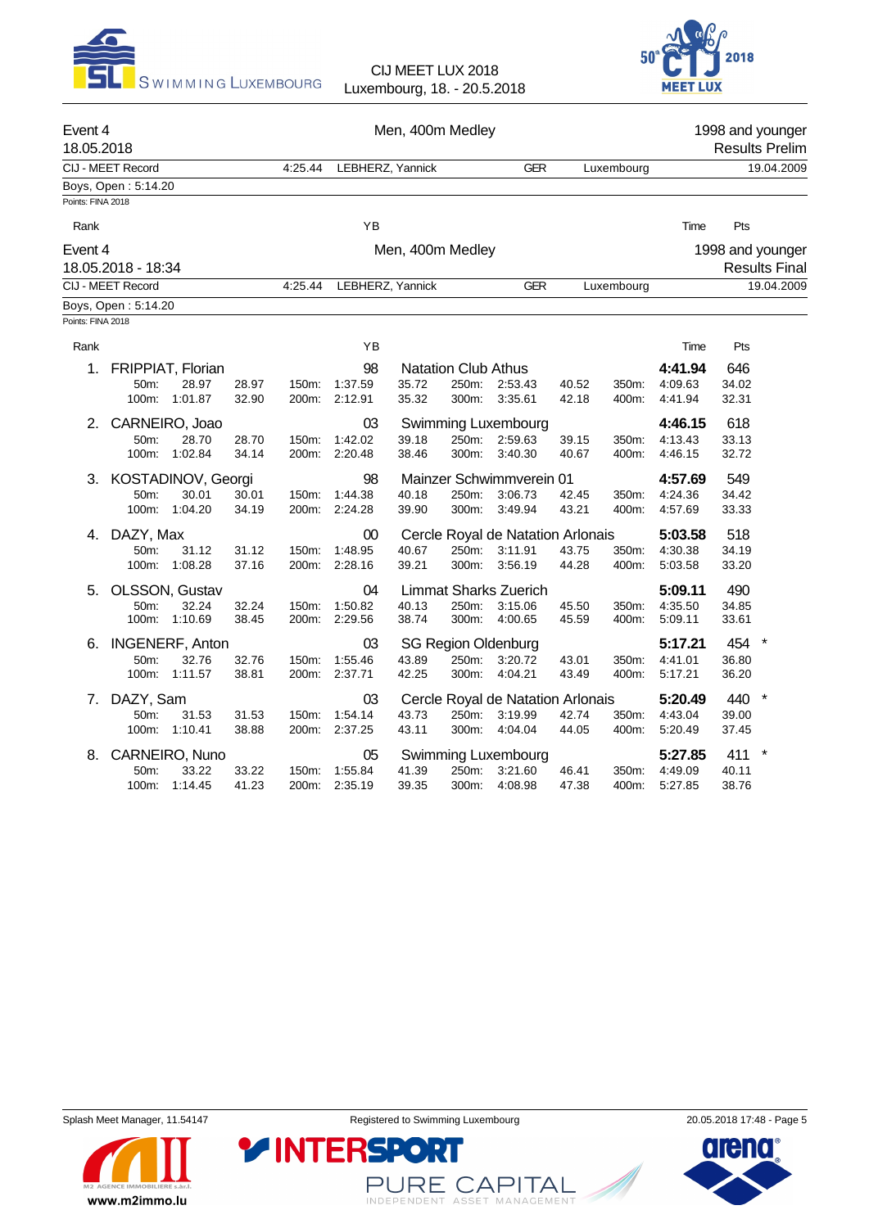



| Event 4<br>18.05.2018 |                     |                        |       |         |                  | Men, 400m Medley |                            |                                   |       |            |         |       | 1998 and younger<br><b>Results Prelim</b> |
|-----------------------|---------------------|------------------------|-------|---------|------------------|------------------|----------------------------|-----------------------------------|-------|------------|---------|-------|-------------------------------------------|
|                       | CIJ - MEET Record   |                        |       | 4:25.44 | LEBHERZ, Yannick |                  |                            | <b>GER</b>                        |       | Luxembourg |         |       | 19.04.2009                                |
|                       | Boys, Open: 5:14.20 |                        |       |         |                  |                  |                            |                                   |       |            |         |       |                                           |
| Points: FINA 2018     |                     |                        |       |         |                  |                  |                            |                                   |       |            |         |       |                                           |
| Rank                  |                     |                        |       |         | YB               |                  |                            |                                   |       |            | Time    | Pts   |                                           |
| Event 4               |                     |                        |       |         |                  | Men, 400m Medley |                            |                                   |       |            |         |       | 1998 and younger                          |
|                       | 18.05.2018 - 18:34  |                        |       |         |                  |                  |                            |                                   |       |            |         |       | <b>Results Final</b>                      |
|                       | CIJ - MEET Record   |                        |       | 4:25.44 | LEBHERZ, Yannick |                  |                            | <b>GER</b>                        |       | Luxembourg |         |       | 19.04.2009                                |
|                       | Boys, Open: 5:14.20 |                        |       |         |                  |                  |                            |                                   |       |            |         |       |                                           |
| Points: FINA 2018     |                     |                        |       |         |                  |                  |                            |                                   |       |            |         |       |                                           |
| Rank                  |                     |                        |       |         | YB               |                  |                            |                                   |       |            | Time    | Pts   |                                           |
| 1.                    |                     | FRIPPIAT, Florian      |       |         | 98               |                  | <b>Natation Club Athus</b> |                                   |       |            | 4:41.94 | 646   |                                           |
|                       | 50m:                | 28.97                  | 28.97 | 150m:   | 1:37.59          | 35.72            | 250m:                      | 2:53.43                           | 40.52 | 350m:      | 4:09.63 | 34.02 |                                           |
|                       |                     | 100m: 1:01.87          | 32.90 |         | 200m: 2:12.91    | 35.32            | 300m:                      | 3:35.61                           | 42.18 | 400m:      | 4:41.94 | 32.31 |                                           |
| 2.                    |                     | CARNEIRO, Joao         |       |         | 03               |                  |                            | Swimming Luxembourg               |       |            | 4:46.15 | 618   |                                           |
|                       | 50m:                | 28.70                  | 28.70 | 150m:   | 1:42.02          | 39.18            | 250m:                      | 2:59.63                           | 39.15 | 350m:      | 4:13.43 | 33.13 |                                           |
|                       | 100m:               | 1:02.84                | 34.14 |         | 200m: 2:20.48    | 38.46            | 300m:                      | 3:40.30                           | 40.67 | 400m:      | 4:46.15 | 32.72 |                                           |
| 3.                    |                     | KOSTADINOV, Georgi     |       |         | 98               |                  |                            | Mainzer Schwimmverein 01          |       |            | 4:57.69 | 549   |                                           |
|                       | 50m:                | 30.01                  | 30.01 | 150m:   | 1:44.38          | 40.18            | 250m:                      | 3:06.73                           | 42.45 | 350m:      | 4:24.36 | 34.42 |                                           |
|                       | 100m:               | 1:04.20                | 34.19 |         | 200m: 2:24.28    | 39.90            | 300m:                      | 3:49.94                           | 43.21 | 400m:      | 4:57.69 | 33.33 |                                           |
| 4.                    | DAZY, Max           |                        |       |         | 00               |                  |                            | Cercle Royal de Natation Arlonais |       |            | 5:03.58 | 518   |                                           |
|                       | 50m:                | 31.12                  | 31.12 | 150m:   | 1:48.95          | 40.67            | 250m:                      | 3:11.91                           | 43.75 | 350m:      | 4:30.38 | 34.19 |                                           |
|                       | 100m:               | 1:08.28                | 37.16 |         | 200m: 2:28.16    | 39.21            | 300m:                      | 3:56.19                           | 44.28 | 400m:      | 5:03.58 | 33.20 |                                           |
| 5.                    |                     | OLSSON, Gustav         |       |         | 04               |                  |                            | <b>Limmat Sharks Zuerich</b>      |       |            | 5:09.11 | 490   |                                           |
|                       | 50m:                | 32.24                  | 32.24 | 150m:   | 1:50.82          | 40.13            | 250m:                      | 3:15.06                           | 45.50 | 350m:      | 4:35.50 | 34.85 |                                           |
|                       | 100m:               | 1:10.69                | 38.45 |         | 200m: 2:29.56    | 38.74            | 300m:                      | 4:00.65                           | 45.59 | 400m:      | 5:09.11 | 33.61 |                                           |
| 6.                    |                     | <b>INGENERF, Anton</b> |       |         | 03               |                  |                            | <b>SG Region Oldenburg</b>        |       |            | 5:17.21 | 454   | $\star$                                   |
|                       | 50m:                | 32.76                  | 32.76 | 150m:   | 1:55.46          | 43.89            | 250m:                      | 3:20.72                           | 43.01 | 350m:      | 4:41.01 | 36.80 |                                           |
|                       | 100m:               | 1:11.57                | 38.81 |         | 200m: 2:37.71    | 42.25            | 300m:                      | 4:04.21                           | 43.49 | 400m:      | 5:17.21 | 36.20 |                                           |
| 7.                    | DAZY, Sam           |                        |       |         | 03               |                  |                            | Cercle Royal de Natation Arlonais |       |            | 5:20.49 | 440   | $\ast$                                    |
|                       | 50m:                | 31.53                  | 31.53 | 150m:   | 1:54.14          | 43.73            | 250m:                      | 3:19.99                           | 42.74 | 350m:      | 4:43.04 | 39.00 |                                           |
|                       | 100m:               | 1:10.41                | 38.88 |         | 200m: 2:37.25    | 43.11            | 300m:                      | 4:04.04                           | 44.05 | 400m:      | 5:20.49 | 37.45 |                                           |
| 8.                    |                     | CARNEIRO, Nuno         |       |         | 05               |                  |                            | Swimming Luxembourg               |       |            | 5:27.85 | 411   | $\ast$                                    |
|                       | 50m:                | 33.22                  | 33.22 | 150m:   | 1.55.84          | 41.39            | 250m:                      | 3:21.60                           | 46.41 | 350m:      | 4:49.09 | 40.11 |                                           |
|                       | 100m:               | 1:14.45                | 41.23 | 200m:   | 2:35.19          | 39.35            | 300m:                      | 4:08.98                           | 47.38 | 400m:      | 5:27.85 | 38.76 |                                           |



PURE CAPITAL

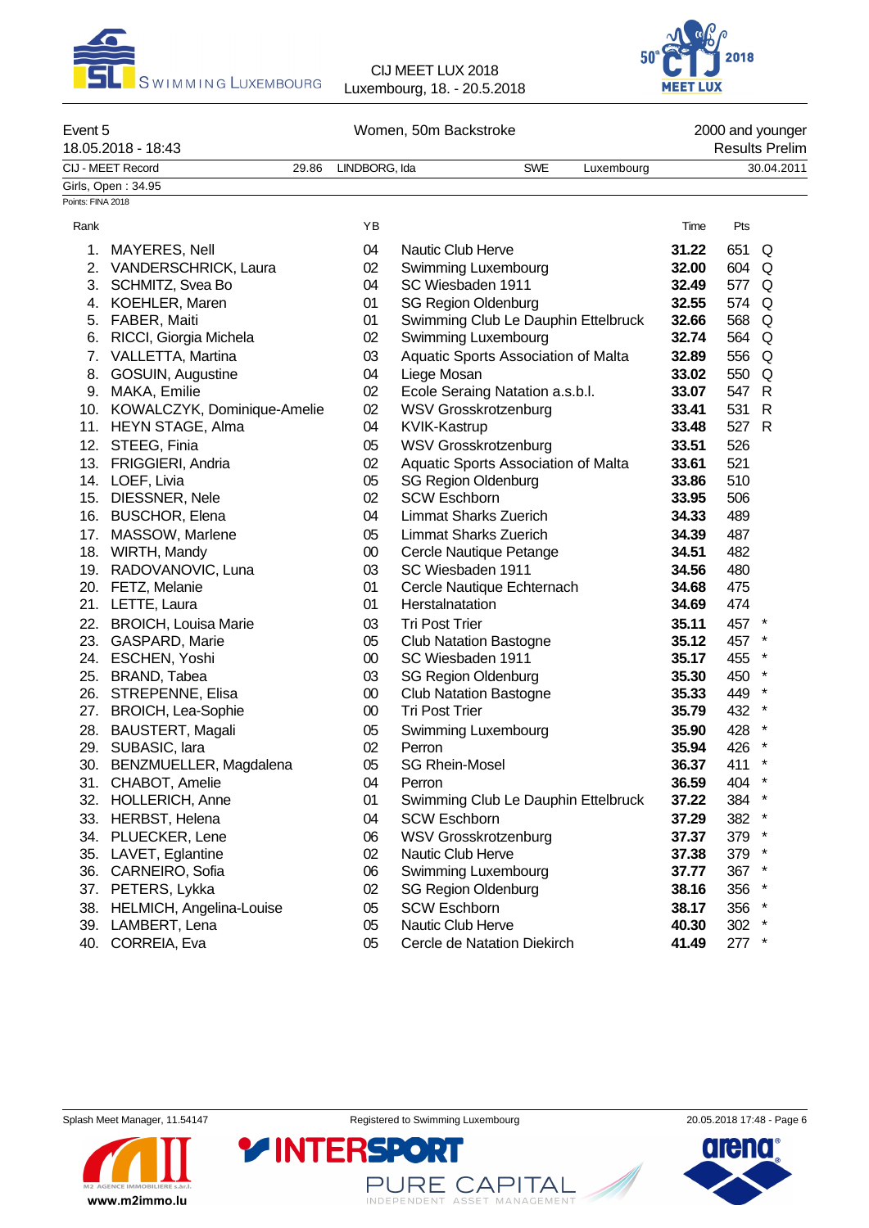



| Event 5           | 18.05.2018 - 18:43              |               | Women, 50m Backstroke               |       |       | 2000 and younger<br><b>Results Prelim</b> |
|-------------------|---------------------------------|---------------|-------------------------------------|-------|-------|-------------------------------------------|
|                   | CIJ - MEET Record<br>29.86      | LINDBORG, Ida | <b>SWE</b><br>Luxembourg            |       |       | 30.04.2011                                |
|                   | Girls, Open: 34.95              |               |                                     |       |       |                                           |
| Points: FINA 2018 |                                 |               |                                     |       |       |                                           |
| Rank              |                                 | ΥB            |                                     | Time  | Pts   |                                           |
| 1.                | <b>MAYERES, Nell</b>            | 04            | <b>Nautic Club Herve</b>            | 31.22 | 651 Q |                                           |
|                   | 2. VANDERSCHRICK, Laura         | 02            | Swimming Luxembourg                 | 32.00 | 604 Q |                                           |
|                   | 3. SCHMITZ, Svea Bo             | 04            | SC Wiesbaden 1911                   | 32.49 | 577 Q |                                           |
|                   | 4. KOEHLER, Maren               | 01            | <b>SG Region Oldenburg</b>          | 32.55 | 574   | Q                                         |
| 5.                | FABER, Maiti                    | 01            | Swimming Club Le Dauphin Ettelbruck | 32.66 | 568   | Q                                         |
| 6.                | RICCI, Giorgia Michela          | 02            | Swimming Luxembourg                 | 32.74 | 564   | Q                                         |
| 7.                | VALLETTA, Martina               | 03            | Aquatic Sports Association of Malta | 32.89 | 556   | Q                                         |
| 8.                | GOSUIN, Augustine               | 04            | Liege Mosan                         | 33.02 | 550 Q |                                           |
|                   | 9. MAKA, Emilie                 | 02            | Ecole Seraing Natation a.s.b.l.     | 33.07 | 547 R |                                           |
|                   | 10. KOWALCZYK, Dominique-Amelie | 02            | <b>WSV Grosskrotzenburg</b>         | 33.41 | 531 R |                                           |
|                   | 11. HEYN STAGE, Alma            | 04            | KVIK-Kastrup                        | 33.48 | 527 R |                                           |
|                   | 12. STEEG, Finia                | 05            | WSV Grosskrotzenburg                | 33.51 | 526   |                                           |
|                   | 13. FRIGGIERI, Andria           | 02            | Aquatic Sports Association of Malta | 33.61 | 521   |                                           |
|                   | 14. LOEF, Livia                 | 05            | <b>SG Region Oldenburg</b>          | 33.86 | 510   |                                           |
|                   | 15. DIESSNER, Nele              | 02            | <b>SCW Eschborn</b>                 | 33.95 | 506   |                                           |
|                   | 16. BUSCHOR, Elena              | 04            | <b>Limmat Sharks Zuerich</b>        | 34.33 | 489   |                                           |
|                   | 17. MASSOW, Marlene             | 05            | <b>Limmat Sharks Zuerich</b>        | 34.39 | 487   |                                           |
|                   | 18. WIRTH, Mandy                | $00\,$        | Cercle Nautique Petange             | 34.51 | 482   |                                           |
|                   | 19. RADOVANOVIC, Luna           | 03            | SC Wiesbaden 1911                   | 34.56 | 480   |                                           |
|                   | 20. FETZ, Melanie               | 01            | Cercle Nautique Echternach          | 34.68 | 475   |                                           |
|                   | 21. LETTE, Laura                | 01            | Herstalnatation                     | 34.69 | 474   |                                           |
|                   | 22. BROICH, Louisa Marie        | 03            | <b>Tri Post Trier</b>               | 35.11 | 457 * |                                           |
|                   | 23. GASPARD, Marie              | 05            | <b>Club Natation Bastogne</b>       | 35.12 | 457   | $\star$                                   |
|                   | 24. ESCHEN, Yoshi               | $00\,$        | SC Wiesbaden 1911                   | 35.17 | 455   | $\ast$                                    |
|                   | 25. BRAND, Tabea                | 03            | <b>SG Region Oldenburg</b>          | 35.30 | 450   | $\ast$                                    |
|                   | 26. STREPENNE, Elisa            | $00\,$        | <b>Club Natation Bastogne</b>       | 35.33 | 449   | $\ast$                                    |
|                   | 27. BROICH, Lea-Sophie          | $00\,$        | <b>Tri Post Trier</b>               | 35.79 | 432   | $\ast$                                    |
| 28.               | BAUSTERT, Magali                | 05            | Swimming Luxembourg                 | 35.90 | 428   |                                           |
|                   | 29. SUBASIC, lara               | 02            | Perron                              | 35.94 | 426   | $\ast$                                    |
|                   | 30. BENZMUELLER, Magdalena      | 05            | <b>SG Rhein-Mosel</b>               | 36.37 | 411   |                                           |
| 31.               | CHABOT, Amelie                  | 04            | Perron                              | 36.59 | 404 * |                                           |
| 32.               | <b>HOLLERICH, Anne</b>          | 01            | Swimming Club Le Dauphin Ettelbruck | 37.22 | 384 * |                                           |
| 33.               | HERBST, Helena                  | 04            | <b>SCW Eschborn</b>                 | 37.29 | 382 * |                                           |
| 34.               | PLUECKER, Lene                  | 06            | <b>WSV Grosskrotzenburg</b>         | 37.37 | 379 * |                                           |
| 35.               | LAVET, Eglantine                | 02            | Nautic Club Herve                   | 37.38 | 379 * |                                           |
| 36.               | CARNEIRO, Sofia                 | 06            | Swimming Luxembourg                 | 37.77 | 367   |                                           |

37. PETERS, Lykka 02 SG Region Oldenburg **38.16** 356 \*

- 38. HELMICH, Angelina-Louise 05 SCW Eschborn **38.17** 356 \*
- 39. LAMBERT, Lena 05 Nautic Club Herve **40.30** 302 \*
- 40. CORREIA, Eva 05 Cercle de Natation Diekirch **41.49** 277 \*

Splash Meet Manager, 11.54147 **Registered to Swimming Luxembourg** 20.05.2018 17:48 - Page 6

**YINTERSPO** 



PURE CAPITAL

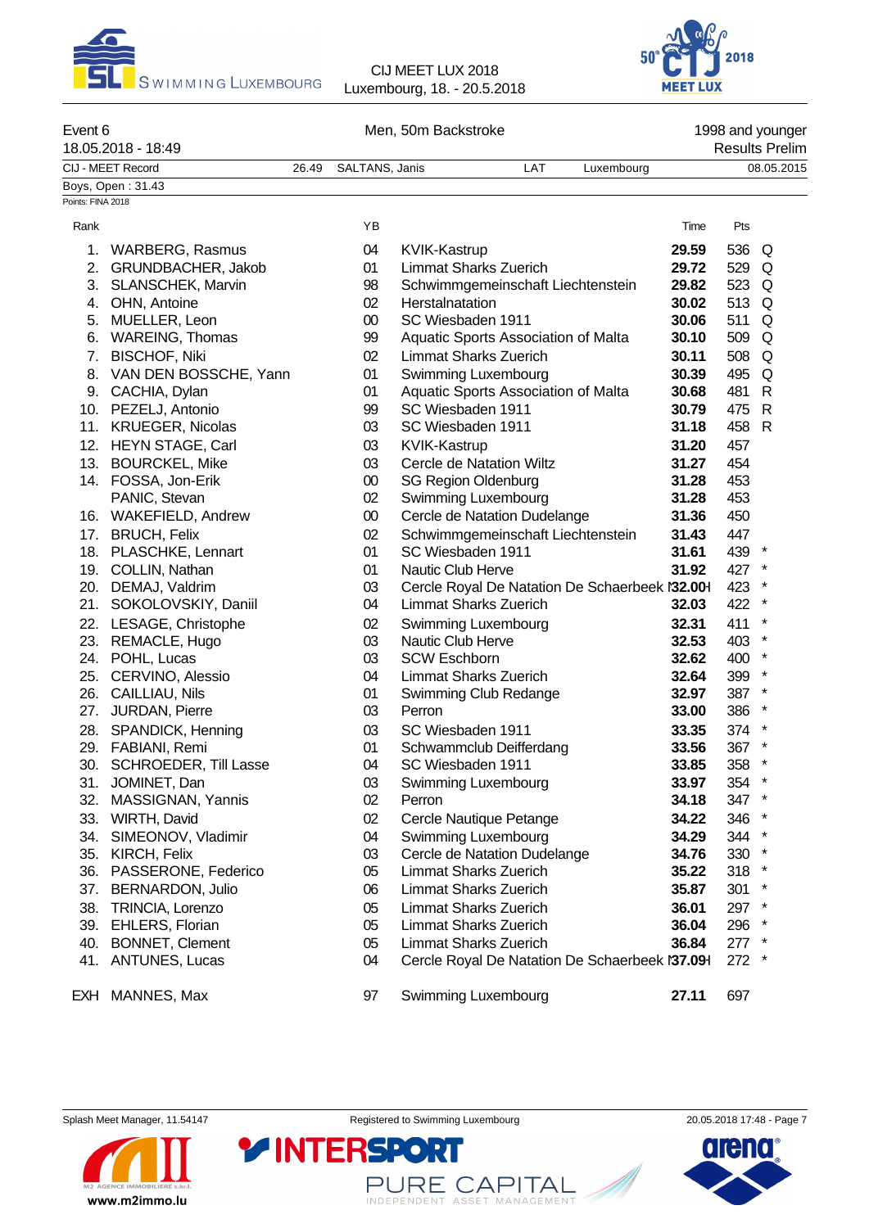



| Event 6           | 18.05.2018 - 18:49                  |       |                | Men, 50m Backstroke |                                                 |            |                |            | 1998 and younger<br><b>Results Prelim</b> |
|-------------------|-------------------------------------|-------|----------------|---------------------|-------------------------------------------------|------------|----------------|------------|-------------------------------------------|
|                   | CIJ - MEET Record                   | 26.49 | SALTANS, Janis |                     | LAT                                             | Luxembourg |                |            | 08.05.2015                                |
|                   | Boys, Open: 31.43                   |       |                |                     |                                                 |            |                |            |                                           |
| Points: FINA 2018 |                                     |       |                |                     |                                                 |            |                |            |                                           |
| Rank              |                                     |       | YB             |                     |                                                 |            | Time           | Pts        |                                           |
| 1.                | <b>WARBERG, Rasmus</b>              |       | 04             | <b>KVIK-Kastrup</b> |                                                 |            | 29.59          | 536        | Q                                         |
| 2.                | GRUNDBACHER, Jakob                  |       | 01             |                     | <b>Limmat Sharks Zuerich</b>                    |            | 29.72          | 529        | Q                                         |
| 3.                | SLANSCHEK, Marvin                   |       | 98             |                     | Schwimmgemeinschaft Liechtenstein               |            | 29.82          | 523        | Q                                         |
| 4.                | OHN, Antoine                        |       | 02             | Herstalnatation     |                                                 |            | 30.02          | 513        | Q                                         |
| 5.                | MUELLER, Leon                       |       | $00\,$         |                     | SC Wiesbaden 1911                               |            | 30.06          | 511        | Q                                         |
| 6.                | <b>WAREING, Thomas</b>              |       | 99             |                     | Aquatic Sports Association of Malta             |            | 30.10          | 509        | Q                                         |
| 7.                | <b>BISCHOF, Niki</b>                |       | 02             |                     | <b>Limmat Sharks Zuerich</b>                    |            | 30.11          | 508        | Q                                         |
| 8.                | VAN DEN BOSSCHE, Yann               |       | 01             |                     | Swimming Luxembourg                             |            | 30.39          | 495        | Q                                         |
|                   | 9. CACHIA, Dylan                    |       | 01             |                     | Aquatic Sports Association of Malta             |            | 30.68          | 481        | R                                         |
|                   | 10. PEZELJ, Antonio                 |       | 99             |                     | SC Wiesbaden 1911                               |            | 30.79          | 475        | R                                         |
|                   | 11. KRUEGER, Nicolas                |       | 03             |                     | SC Wiesbaden 1911                               |            | 31.18          | 458        | R                                         |
|                   | 12. HEYN STAGE, Carl                |       | 03             | KVIK-Kastrup        |                                                 |            | 31.20          | 457        |                                           |
|                   | 13. BOURCKEL, Mike                  |       | 03             |                     | Cercle de Natation Wiltz                        |            | 31.27          | 454        |                                           |
|                   | 14. FOSSA, Jon-Erik                 |       | $00\,$         |                     | <b>SG Region Oldenburg</b>                      |            | 31.28          | 453        |                                           |
|                   | PANIC, Stevan                       |       | 02             |                     | Swimming Luxembourg                             |            | 31.28          | 453        |                                           |
|                   | 16. WAKEFIELD, Andrew               |       | $00\,$         |                     | Cercle de Natation Dudelange                    |            | 31.36          | 450        |                                           |
|                   | 17. BRUCH, Felix                    |       | 02             |                     | Schwimmgemeinschaft Liechtenstein               |            | 31.43          | 447        |                                           |
|                   | 18. PLASCHKE, Lennart               |       | 01             |                     | SC Wiesbaden 1911                               |            | 31.61          | 439        | $\ast$                                    |
|                   | 19. COLLIN, Nathan                  |       | 01             |                     | Nautic Club Herve                               |            | 31.92          | 427 *      |                                           |
|                   | 20. DEMAJ, Valdrim                  |       | 03             |                     | Cercle Royal De Natation De Schaerbeek l'32.001 |            |                | 423        | $\ast$<br>$\ast$                          |
| 21.               | SOKOLOVSKIY, Daniil                 |       | 04             |                     | <b>Limmat Sharks Zuerich</b>                    |            | 32.03          | 422        | $\star$                                   |
|                   | 22. LESAGE, Christophe              |       | 02             |                     | Swimming Luxembourg<br>Nautic Club Herve        |            | 32.31          | 411        | $\ast$                                    |
|                   | 23. REMACLE, Hugo                   |       | 03<br>03       | <b>SCW Eschborn</b> |                                                 |            | 32.53<br>32.62 | 403        | $\star$                                   |
| 25.               | 24. POHL, Lucas<br>CERVINO, Alessio |       | 04             |                     | <b>Limmat Sharks Zuerich</b>                    |            | 32.64          | 400<br>399 | $\star$                                   |
| 26.               | CAILLIAU, Nils                      |       | 01             |                     | Swimming Club Redange                           |            | 32.97          | 387 *      |                                           |
| 27.               | JURDAN, Pierre                      |       | 03             | Perron              |                                                 |            | 33.00          | 386        | $\ast$                                    |
| 28.               | SPANDICK, Henning                   |       | 03             |                     | SC Wiesbaden 1911                               |            | 33.35          | 374        |                                           |
|                   | 29. FABIANI, Remi                   |       | 01             |                     | Schwammclub Deifferdang                         |            | 33.56          | 367        | $\ast$                                    |
|                   | 30. SCHROEDER, Till Lasse           |       | 04             |                     | SC Wiesbaden 1911                               |            | 33.85          | 358        |                                           |
| 31.               | JOMINET, Dan                        |       | 03             |                     | Swimming Luxembourg                             |            | 33.97          | 354        | $\ast$                                    |
| 32.               | MASSIGNAN, Yannis                   |       | 02             | Perron              |                                                 |            | 34.18          | 347 *      |                                           |
| 33.               | WIRTH, David                        |       | 02             |                     | Cercle Nautique Petange                         |            | 34.22          | 346        | $\ast$                                    |
| 34.               | SIMEONOV, Vladimir                  |       | 04             |                     | Swimming Luxembourg                             |            | 34.29          | 344        | $\ast$                                    |
| 35.               | KIRCH, Felix                        |       | 03             |                     | Cercle de Natation Dudelange                    |            | 34.76          | 330        | $\ast$                                    |
| 36.               | PASSERONE, Federico                 |       | 05             |                     | <b>Limmat Sharks Zuerich</b>                    |            | 35.22          | 318        | $\star$                                   |
| 37.               | BERNARDON, Julio                    |       | 06             |                     | <b>Limmat Sharks Zuerich</b>                    |            | 35.87          | 301        | $\ast$                                    |
| 38.               | TRINCIA, Lorenzo                    |       | 05             |                     | <b>Limmat Sharks Zuerich</b>                    |            | 36.01          | 297 *      |                                           |
| 39.               | EHLERS, Florian                     |       | 05             |                     | <b>Limmat Sharks Zuerich</b>                    |            | 36.04          | 296        |                                           |
| 40.               | <b>BONNET, Clement</b>              |       | 05             |                     | <b>Limmat Sharks Zuerich</b>                    |            | 36.84          | 277 *      |                                           |

41. ANTUNES, Lucas **04** Cercle Royal De Natation De Schaerbeek N 37.091 272 \*

EXH MANNES, Max 97 Swimming Luxembourg **27.11** 697

Splash Meet Manager, 11.54147 **Registered to Swimming Luxembourg** 20.05.2018 17:48 - Page 7

PURE CAPITAL

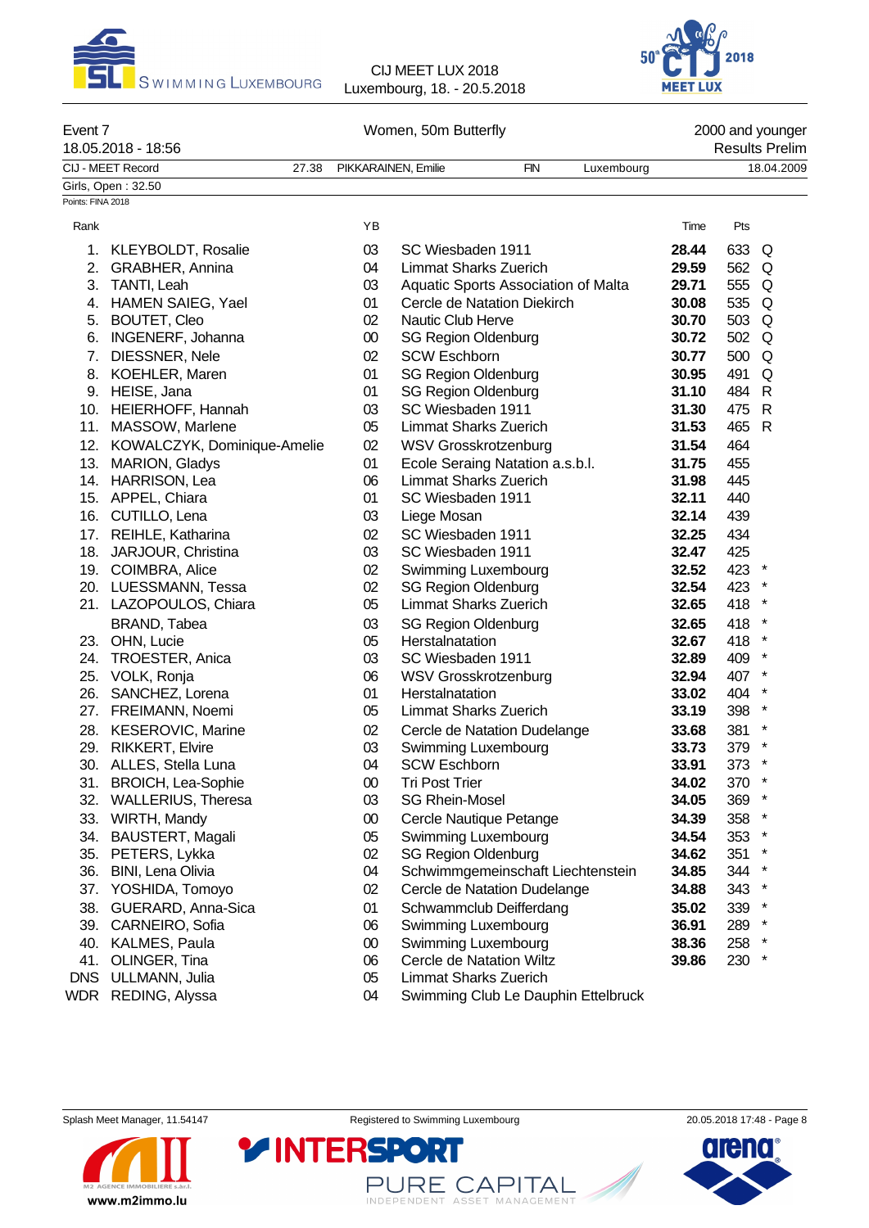



| Event 7           | 18.05.2018 - 18:56              |                     | Women, 50m Butterfly  |                                     |            |                                     |       |         | 2000 and younger<br><b>Results Prelim</b> |
|-------------------|---------------------------------|---------------------|-----------------------|-------------------------------------|------------|-------------------------------------|-------|---------|-------------------------------------------|
|                   | CIJ - MEET Record<br>27.38      | PIKKARAINEN, Emilie |                       |                                     | <b>FIN</b> | Luxembourg                          |       |         | 18.04.2009                                |
|                   | Girls, Open: 32.50              |                     |                       |                                     |            |                                     |       |         |                                           |
| Points: FINA 2018 |                                 |                     |                       |                                     |            |                                     |       |         |                                           |
| Rank              |                                 | YB                  |                       |                                     |            |                                     | Time  | Pts     |                                           |
|                   | 1. KLEYBOLDT, Rosalie           | 03                  |                       | SC Wiesbaden 1911                   |            |                                     | 28.44 | 633 Q   |                                           |
|                   | 2. GRABHER, Annina              | 04                  |                       | <b>Limmat Sharks Zuerich</b>        |            |                                     | 29.59 | 562     | Q                                         |
|                   | 3. TANTI, Leah                  | 03                  |                       | Aquatic Sports Association of Malta |            |                                     | 29.71 | 555     | Q                                         |
|                   | 4. HAMEN SAIEG, Yael            | 01                  |                       | Cercle de Natation Diekirch         |            |                                     | 30.08 | 535     | Q                                         |
|                   | 5. BOUTET, Cleo                 | 02                  | Nautic Club Herve     |                                     |            |                                     | 30.70 | 503     | Q                                         |
| 6.                | <b>INGENERF, Johanna</b>        | $00\,$              |                       | <b>SG Region Oldenburg</b>          |            |                                     | 30.72 | 502     | Q                                         |
| 7.                | DIESSNER, Nele                  | 02                  | <b>SCW Eschborn</b>   |                                     |            |                                     | 30.77 | 500     | Q                                         |
| 8.                | KOEHLER, Maren                  | 01                  |                       | <b>SG Region Oldenburg</b>          |            |                                     | 30.95 | 491     | Q                                         |
|                   | 9. HEISE, Jana                  | 01                  |                       | <b>SG Region Oldenburg</b>          |            |                                     | 31.10 | 484     | R                                         |
|                   | 10. HEIERHOFF, Hannah           | 03                  |                       | SC Wiesbaden 1911                   |            |                                     | 31.30 | 475     | $\mathsf{R}$                              |
|                   | 11. MASSOW, Marlene             | 05                  |                       | <b>Limmat Sharks Zuerich</b>        |            |                                     | 31.53 | 465     | $\mathsf{R}$                              |
|                   | 12. KOWALCZYK, Dominique-Amelie | 02                  |                       | <b>WSV Grosskrotzenburg</b>         |            |                                     | 31.54 | 464     |                                           |
|                   | 13. MARION, Gladys              | 01                  |                       | Ecole Seraing Natation a.s.b.l.     |            |                                     | 31.75 | 455     |                                           |
|                   | 14. HARRISON, Lea               | 06                  |                       | <b>Limmat Sharks Zuerich</b>        |            |                                     | 31.98 | 445     |                                           |
|                   | 15. APPEL, Chiara               | 01                  |                       | SC Wiesbaden 1911                   |            |                                     | 32.11 | 440     |                                           |
|                   | 16. CUTILLO, Lena               | 03                  | Liege Mosan           |                                     |            |                                     | 32.14 | 439     |                                           |
|                   | 17. REIHLE, Katharina           | 02                  |                       | SC Wiesbaden 1911                   |            |                                     | 32.25 | 434     |                                           |
|                   | 18. JARJOUR, Christina          | 03                  |                       | SC Wiesbaden 1911                   |            |                                     | 32.47 | 425     |                                           |
|                   | 19. COIMBRA, Alice              | 02                  |                       | Swimming Luxembourg                 |            |                                     | 32.52 | 423     |                                           |
|                   | 20. LUESSMANN, Tessa            | 02                  |                       | <b>SG Region Oldenburg</b>          |            |                                     | 32.54 | 423     |                                           |
|                   | 21. LAZOPOULOS, Chiara          | 05                  |                       | <b>Limmat Sharks Zuerich</b>        |            |                                     | 32.65 | 418     |                                           |
|                   | BRAND, Tabea                    | 03                  |                       | <b>SG Region Oldenburg</b>          |            |                                     | 32.65 | 418     | $\ast$                                    |
|                   | 23. OHN, Lucie                  | 05                  | Herstalnatation       |                                     |            |                                     | 32.67 | 418     | $\ast$                                    |
|                   | 24. TROESTER, Anica             | 03                  |                       | SC Wiesbaden 1911                   |            |                                     | 32.89 | 409     | $\star$                                   |
|                   | 25. VOLK, Ronja                 | 06                  |                       | <b>WSV Grosskrotzenburg</b>         |            |                                     | 32.94 | 407     | $\star$                                   |
|                   | 26. SANCHEZ, Lorena             | 01                  | Herstalnatation       |                                     |            |                                     | 33.02 | 404     | $\ast$                                    |
|                   | 27. FREIMANN, Noemi             | 05                  |                       | <b>Limmat Sharks Zuerich</b>        |            |                                     | 33.19 | 398     | $\ast$                                    |
|                   | 28. KESEROVIC, Marine           | 02                  |                       | Cercle de Natation Dudelange        |            |                                     | 33.68 | 381     | $\ast$                                    |
|                   | 29. RIKKERT, Elvire             | 03                  |                       | Swimming Luxembourg                 |            |                                     | 33.73 | 379     | $\ast$                                    |
|                   | 30. ALLES, Stella Luna          | 04                  | <b>SCW Eschborn</b>   |                                     |            |                                     | 33.91 | 373     |                                           |
|                   | 31. BROICH, Lea-Sophie          | $00\,$              | <b>Tri Post Trier</b> |                                     |            |                                     | 34.02 | 370 *   |                                           |
|                   | 32. WALLERIUS, Theresa          | 03                  | <b>SG Rhein-Mosel</b> |                                     |            |                                     | 34.05 | 369 *   |                                           |
|                   | 33. WIRTH, Mandy                | $00\,$              |                       | Cercle Nautique Petange             |            |                                     | 34.39 | 358 *   |                                           |
|                   | 34. BAUSTERT, Magali            | 05                  |                       | Swimming Luxembourg                 |            |                                     | 34.54 | $353$ * |                                           |
|                   | 35. PETERS, Lykka               | 02                  |                       | <b>SG Region Oldenburg</b>          |            |                                     | 34.62 | $351 *$ |                                           |
|                   | 36. BINI, Lena Olivia           | 04                  |                       | Schwimmgemeinschaft Liechtenstein   |            |                                     | 34.85 | 344 *   |                                           |
| 37.               | YOSHIDA, Tomoyo                 | 02                  |                       | Cercle de Natation Dudelange        |            |                                     | 34.88 | 343 *   |                                           |
| 38.               | GUERARD, Anna-Sica              | 01                  |                       | Schwammclub Deifferdang             |            |                                     | 35.02 | 339 *   |                                           |
|                   | 39. CARNEIRO, Sofia             | 06                  |                       | Swimming Luxembourg                 |            |                                     | 36.91 | 289 *   |                                           |
|                   | 40. KALMES, Paula               | $00\,$              |                       | Swimming Luxembourg                 |            |                                     | 38.36 | 258 *   |                                           |
| 41.               | OLINGER, Tina                   | 06                  |                       | Cercle de Natation Wiltz            |            |                                     | 39.86 | 230 *   |                                           |
| <b>DNS</b>        | ULLMANN, Julia                  | 05                  |                       | <b>Limmat Sharks Zuerich</b>        |            |                                     |       |         |                                           |
|                   | WDR REDING, Alyssa              | 04                  |                       |                                     |            | Swimming Club Le Dauphin Ettelbruck |       |         |                                           |
|                   |                                 |                     |                       |                                     |            |                                     |       |         |                                           |



PURE CAPITAL

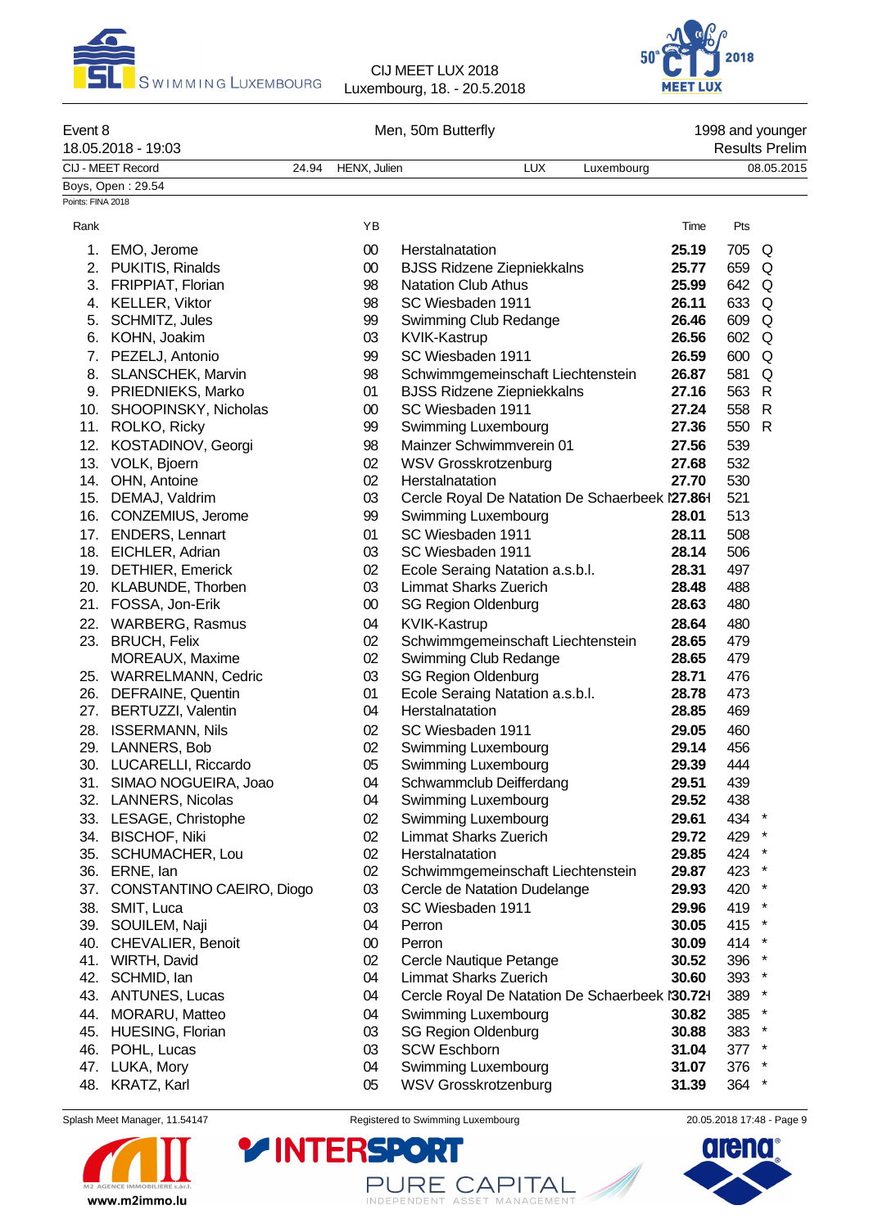



| Event 8           | 18.05.2018 - 19:03                           |       |              | Men, 50m Butterfly                                              |            |       |         | 1998 and younger<br><b>Results Prelim</b> |
|-------------------|----------------------------------------------|-------|--------------|-----------------------------------------------------------------|------------|-------|---------|-------------------------------------------|
|                   | CIJ - MEET Record                            | 24.94 | HENX, Julien | <b>LUX</b>                                                      | Luxembourg |       |         | 08.05.2015                                |
|                   | Boys, Open: 29.54                            |       |              |                                                                 |            |       |         |                                           |
| Points: FINA 2018 |                                              |       |              |                                                                 |            |       |         |                                           |
| Rank              |                                              |       | YB           |                                                                 |            | Time  | Pts     |                                           |
|                   | 1. EMO, Jerome                               |       | $00\,$       | Herstalnatation                                                 |            | 25.19 | 705 Q   |                                           |
|                   | 2. PUKITIS, Rinalds                          |       | $00\,$       | <b>BJSS Ridzene Ziepniekkalns</b>                               |            | 25.77 | 659 Q   |                                           |
|                   | 3. FRIPPIAT, Florian                         |       | 98           | <b>Natation Club Athus</b>                                      |            | 25.99 | 642 Q   |                                           |
|                   | 4. KELLER, Viktor                            |       | 98           | SC Wiesbaden 1911                                               |            | 26.11 | 633 Q   |                                           |
|                   | 5. SCHMITZ, Jules                            |       | 99           | Swimming Club Redange                                           |            | 26.46 | 609 Q   |                                           |
|                   | 6. KOHN, Joakim                              |       | 03           | KVIK-Kastrup                                                    |            | 26.56 | 602 Q   |                                           |
|                   | 7. PEZELJ, Antonio                           |       | 99           | SC Wiesbaden 1911                                               |            | 26.59 | 600     | Q                                         |
|                   | 8. SLANSCHEK, Marvin                         |       | 98           | Schwimmgemeinschaft Liechtenstein                               |            | 26.87 | 581     | Q                                         |
|                   | 9. PRIEDNIEKS, Marko                         |       | 01           | <b>BJSS Ridzene Ziepniekkalns</b>                               |            | 27.16 | 563 R   |                                           |
|                   | 10. SHOOPINSKY, Nicholas                     |       | $00\,$       | SC Wiesbaden 1911                                               |            | 27.24 | 558 R   |                                           |
|                   | 11. ROLKO, Ricky                             |       | 99           | Swimming Luxembourg                                             |            | 27.36 | 550 R   |                                           |
|                   | 12. KOSTADINOV, Georgi                       |       | 98           | Mainzer Schwimmverein 01                                        |            | 27.56 | 539     |                                           |
|                   | 13. VOLK, Bjoern                             |       | 02           | <b>WSV Grosskrotzenburg</b>                                     |            | 27.68 | 532     |                                           |
|                   | 14. OHN, Antoine                             |       | 02           | Herstalnatation                                                 |            | 27.70 | 530     |                                           |
|                   | 15. DEMAJ, Valdrim                           |       | 03           | Cercle Royal De Natation De Schaerbeek 127.861                  |            |       | 521     |                                           |
|                   | 16. CONZEMIUS, Jerome                        |       | 99           | Swimming Luxembourg                                             |            | 28.01 | 513     |                                           |
|                   | 17. ENDERS, Lennart                          |       | 01           | SC Wiesbaden 1911                                               |            | 28.11 | 508     |                                           |
|                   |                                              |       | 03           | SC Wiesbaden 1911                                               |            | 28.14 | 506     |                                           |
|                   | 18. EICHLER, Adrian                          |       | 02           |                                                                 |            | 28.31 | 497     |                                           |
|                   | 19. DETHIER, Emerick                         |       | 03           | Ecole Seraing Natation a.s.b.l.<br><b>Limmat Sharks Zuerich</b> |            | 28.48 | 488     |                                           |
|                   | 20. KLABUNDE, Thorben<br>21. FOSSA, Jon-Erik |       | $00\,$       | <b>SG Region Oldenburg</b>                                      |            | 28.63 | 480     |                                           |
|                   |                                              |       |              |                                                                 |            |       |         |                                           |
|                   | 22. WARBERG, Rasmus                          |       | 04           | <b>KVIK-Kastrup</b>                                             |            | 28.64 | 480     |                                           |
|                   | 23. BRUCH, Felix                             |       | 02           | Schwimmgemeinschaft Liechtenstein                               |            | 28.65 | 479     |                                           |
|                   | MOREAUX, Maxime                              |       | 02           | Swimming Club Redange                                           |            | 28.65 | 479     |                                           |
|                   | 25. WARRELMANN, Cedric                       |       | 03           | <b>SG Region Oldenburg</b>                                      |            | 28.71 | 476     |                                           |
|                   | 26. DEFRAINE, Quentin                        |       | 01           | Ecole Seraing Natation a.s.b.l.<br>Herstalnatation              |            | 28.78 | 473     |                                           |
|                   | 27. BERTUZZI, Valentin                       |       | 04           |                                                                 |            | 28.85 | 469     |                                           |
|                   | 28. ISSERMANN, Nils                          |       | 02           | SC Wiesbaden 1911                                               |            | 29.05 | 460     |                                           |
|                   | 29. LANNERS, Bob                             |       | 02           | Swimming Luxembourg                                             |            | 29.14 | 456     |                                           |
|                   | 30. LUCARELLI, Riccardo                      |       | 05           | Swimming Luxembourg                                             |            | 29.39 | 444     |                                           |
|                   | 31. SIMAO NOGUEIRA, Joao                     |       | 04           | Schwammclub Deifferdang                                         |            | 29.51 | 439     |                                           |
|                   | 32. LANNERS, Nicolas                         |       | 04           | Swimming Luxembourg                                             |            | 29.52 | 438     |                                           |
|                   | 33. LESAGE, Christophe                       |       | 02           | Swimming Luxembourg                                             |            | 29.61 | 434 *   |                                           |
|                   | 34. BISCHOF, Niki                            |       | 02           | <b>Limmat Sharks Zuerich</b>                                    |            | 29.72 | 429 *   |                                           |
| 35.               | SCHUMACHER, Lou                              |       | 02           | Herstalnatation                                                 |            | 29.85 | 424 *   |                                           |
| 36.               | ERNE, lan                                    |       | 02           | Schwimmgemeinschaft Liechtenstein                               |            | 29.87 | 423 *   |                                           |
| 37.               | CONSTANTINO CAEIRO, Diogo                    |       | 03           | Cercle de Natation Dudelange                                    |            | 29.93 | 420 *   |                                           |
|                   | 38. SMIT, Luca                               |       | 03           | SC Wiesbaden 1911                                               |            | 29.96 | 419 *   |                                           |
|                   | 39. SOUILEM, Naji                            |       | 04           | Perron                                                          |            | 30.05 | 415 *   |                                           |
|                   | 40. CHEVALIER, Benoit                        |       | $00\,$       | Perron                                                          |            | 30.09 | 414 *   |                                           |
|                   | 41. WIRTH, David                             |       | 02           | Cercle Nautique Petange                                         |            | 30.52 | 396 *   |                                           |
|                   | 42. SCHMID, lan                              |       | 04           | Limmat Sharks Zuerich                                           |            | 30.60 | 393 *   |                                           |
|                   | 43. ANTUNES, Lucas                           |       | 04           | Cercle Royal De Natation De Schaerbeek l'30.721                 |            |       | 389 *   |                                           |
|                   | 44. MORARU, Matteo                           |       | 04           | Swimming Luxembourg                                             |            | 30.82 | 385 *   |                                           |
|                   | 45. HUESING, Florian                         |       | 03           | <b>SG Region Oldenburg</b>                                      |            | 30.88 | 383 *   |                                           |
|                   | 46. POHL, Lucas                              |       | 03           | <b>SCW Eschborn</b>                                             |            | 31.04 | $377$ * |                                           |
|                   | 47. LUKA, Mory                               |       | 04           | Swimming Luxembourg                                             |            | 31.07 | 376     |                                           |
|                   | 48. KRATZ, Karl                              |       | 05           | <b>WSV Grosskrotzenburg</b>                                     |            | 31.39 | 364     | $\star$                                   |



Splash Meet Manager, 11.54147 **Registered to Swimming Luxembourg** 20.05.2018 17:48 - Page 9

**RE** 

PURE CAPITAL

**YINTERSPO** 

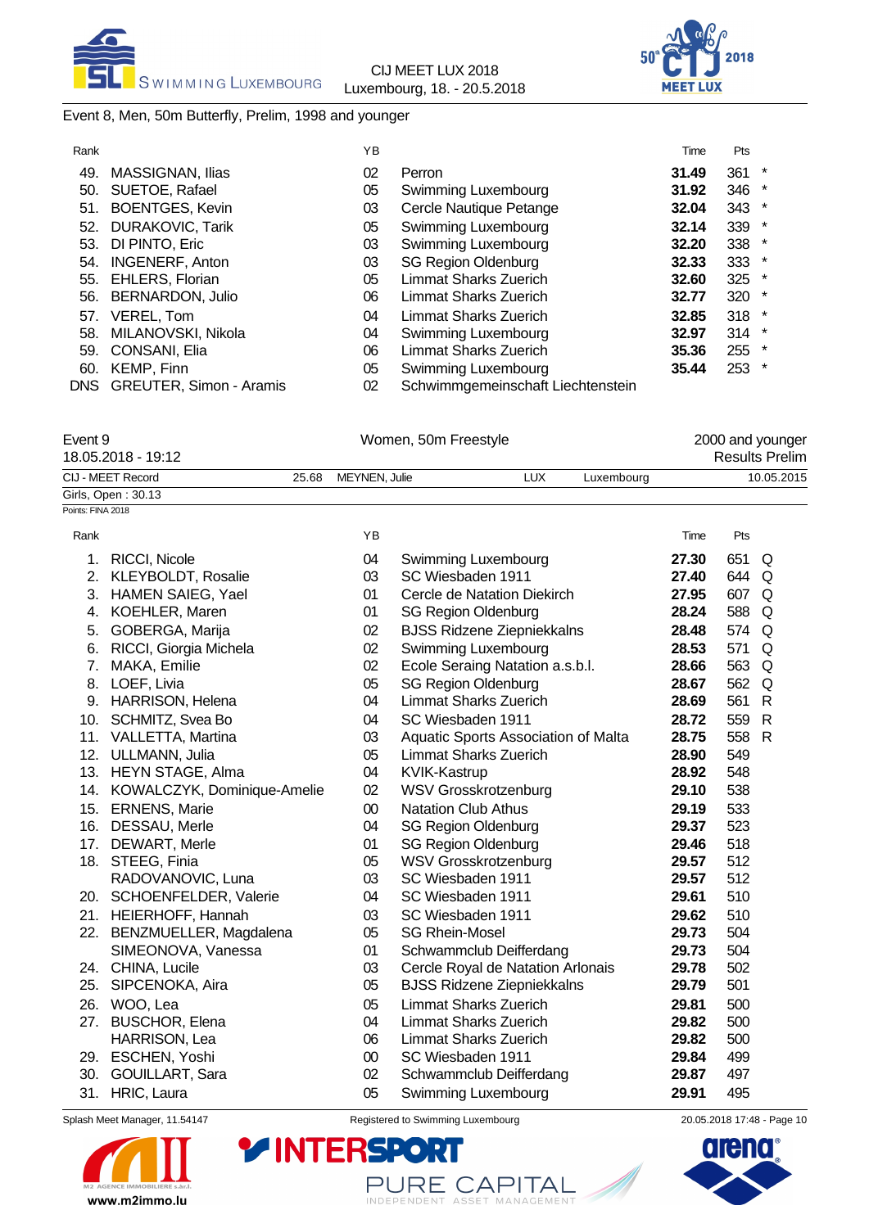

# Event 8, Men, 50m Butterfly, Prelim, 1998 and younger

| Rank |                             | YB |                                   | Time  | Pts |         |
|------|-----------------------------|----|-----------------------------------|-------|-----|---------|
| 49.  | MASSIGNAN, Ilias            | 02 | Perron                            | 31.49 | 361 | $\ast$  |
| 50.  | SUETOE, Rafael              | 05 | Swimming Luxembourg               | 31.92 | 346 | $\ast$  |
| 51.  | <b>BOENTGES, Kevin</b>      | 03 | Cercle Nautique Petange           | 32.04 | 343 | $\ast$  |
| 52.  | <b>DURAKOVIC, Tarik</b>     | 05 | Swimming Luxembourg               | 32.14 | 339 | $\star$ |
| 53.  | DI PINTO, Eric              | 03 | Swimming Luxembourg               | 32.20 | 338 | $\ast$  |
| 54.  | <b>INGENERF, Anton</b>      | 03 | <b>SG Region Oldenburg</b>        | 32.33 | 333 | $\ast$  |
| 55.  | <b>EHLERS, Florian</b>      | 05 | Limmat Sharks Zuerich             | 32.60 | 325 | $\ast$  |
| 56.  | BERNARDON, Julio            | 06 | Limmat Sharks Zuerich             | 32.77 | 320 | $\ast$  |
| 57.  | VEREL, Tom                  | 04 | Limmat Sharks Zuerich             | 32.85 | 318 | $\star$ |
| 58.  | MILANOVSKI, Nikola          | 04 | Swimming Luxembourg               | 32.97 | 314 | $\ast$  |
| 59.  | CONSANI, Elia               | 06 | Limmat Sharks Zuerich             | 35.36 | 255 | $\ast$  |
| 60.  | KEMP, Finn                  | 05 | Swimming Luxembourg               | 35.44 | 253 | $\ast$  |
|      | DNS GREUTER, Simon - Aramis | 02 | Schwimmgemeinschaft Liechtenstein |       |     |         |
|      |                             |    |                                   |       |     |         |

| Event 9<br>18.05.2018 - 19:12 |       | Women, 50m Freestyle | 2000 and younger<br><b>Results Prelim</b> |            |       |            |            |
|-------------------------------|-------|----------------------|-------------------------------------------|------------|-------|------------|------------|
| CIJ - MEET Record             | 25.68 | MEYNEN, Julie        | LUX                                       | Luxembourg |       |            | 10.05.2015 |
| Girls, Open: 30.13            |       |                      |                                           |            |       |            |            |
| Points: FINA 2018             |       |                      |                                           |            |       |            |            |
| Rank                          |       | ΥB                   |                                           |            | Time  | <b>Pts</b> |            |
| RICCI, Nicole                 |       | 04                   | Swimming Luxembourg                       |            | 27.30 | 651 Q      |            |
| 2. KLEYBOLDT, Rosalie         |       | 03                   | SC Wiesbaden 1911                         |            | 27.40 | 644 Q      |            |
|                               |       |                      |                                           |            |       |            |            |

|          | Splash Meet Manager, 11.54147          |          | Registered to Swimming Luxembourg                        | 20.05.2018 17:48 - Page 10 |              |   |  |
|----------|----------------------------------------|----------|----------------------------------------------------------|----------------------------|--------------|---|--|
|          | 31. HRIC, Laura                        | 05       | Swimming Luxembourg                                      | 29.91                      | 495          |   |  |
| 30.      | GOUILLART, Sara                        | 02       | Schwammclub Deifferdang                                  | 29.87                      | 497          |   |  |
|          | 29. ESCHEN, Yoshi                      | $00\,$   | SC Wiesbaden 1911                                        | 29.84                      | 499          |   |  |
|          | HARRISON, Lea                          | 06       | Limmat Sharks Zuerich                                    | 29.82                      | 500          |   |  |
| 27.      | <b>BUSCHOR, Elena</b>                  | 04       | <b>Limmat Sharks Zuerich</b>                             | 29.82                      | 500          |   |  |
| 26.      | WOO, Lea                               | 05       | <b>Limmat Sharks Zuerich</b>                             | 29.81                      | 500          |   |  |
| 25.      | SIPCENOKA, Aira                        | 05       | <b>BJSS Ridzene Ziepniekkalns</b>                        | 29.79                      | 501          |   |  |
|          | 24. CHINA, Lucile                      | 03       | Cercle Royal de Natation Arlonais                        | 29.78                      | 502          |   |  |
|          | SIMEONOVA, Vanessa                     | 01       | Schwammclub Deifferdang                                  | 29.73                      | 504          |   |  |
|          | 22. BENZMUELLER, Magdalena             | 05       | <b>SG Rhein-Mosel</b>                                    | 29.73                      | 504          |   |  |
|          | 21. HEIERHOFF, Hannah                  | 03       | SC Wiesbaden 1911                                        | 29.62                      | 510          |   |  |
|          | 20. SCHOENFELDER, Valerie              | 04       | SC Wiesbaden 1911                                        | 29.61                      | 510          |   |  |
|          | RADOVANOVIC, Luna                      | 03       | SC Wiesbaden 1911                                        | 29.57                      | 512          |   |  |
|          | 18. STEEG, Finia                       | 05       | <b>WSV Grosskrotzenburg</b>                              | 29.57                      | 512          |   |  |
| 17.      | DEWART, Merle                          | 01       | <b>SG Region Oldenburg</b>                               | 29.46                      | 518          |   |  |
| 16.      | DESSAU, Merle                          | 04       | <b>SG Region Oldenburg</b>                               | 29.37                      | 523          |   |  |
| 15.      | <b>ERNENS, Marie</b>                   | $00\,$   | <b>Natation Club Athus</b>                               | 29.19                      | 533          |   |  |
| 14.      | KOWALCZYK, Dominique-Amelie            | 02       | <b>WSV Grosskrotzenburg</b>                              | 29.10                      | 538          |   |  |
|          | 13. HEYN STAGE, Alma                   | 04       | KVIK-Kastrup                                             | 28.92                      | 548          |   |  |
| 12.      | ULLMANN, Julia                         | 05       | <b>Limmat Sharks Zuerich</b>                             | 28.90                      | 549          |   |  |
|          | 11. VALLETTA, Martina                  | 03       | Aquatic Sports Association of Malta                      | 28.75                      | 558 R        |   |  |
| 10.      | SCHMITZ, Svea Bo                       | 04       | SC Wiesbaden 1911                                        | 28.72                      | 559 R        |   |  |
| 9.       | <b>HARRISON, Helena</b>                | 04       | <b>Limmat Sharks Zuerich</b>                             | 28.69                      | 561          | R |  |
|          | 8. LOEF, Livia                         | 05       | <b>SG Region Oldenburg</b>                               | 28.67                      | 562 Q        |   |  |
| 7.       | RICCI, Giorgia Michela<br>MAKA, Emilie | 02       | Ecole Seraing Natation a.s.b.l.                          | 28.66                      | 563 Q        |   |  |
| 5.<br>6. | GOBERGA, Marija                        | 02<br>02 | <b>BJSS Ridzene Ziepniekkalns</b><br>Swimming Luxembourg | 28.48<br>28.53             | 574 Q<br>571 | Q |  |
|          | 4. KOEHLER, Maren                      | 01       | <b>SG Region Oldenburg</b>                               | 28.24                      | 588 Q        |   |  |
|          | 3. HAMEN SAIEG, Yael                   | 01       | Cercle de Natation Diekirch                              | 27.95                      | 607 Q        |   |  |
|          |                                        |          |                                                          |                            |              |   |  |



PURE CAPITAL

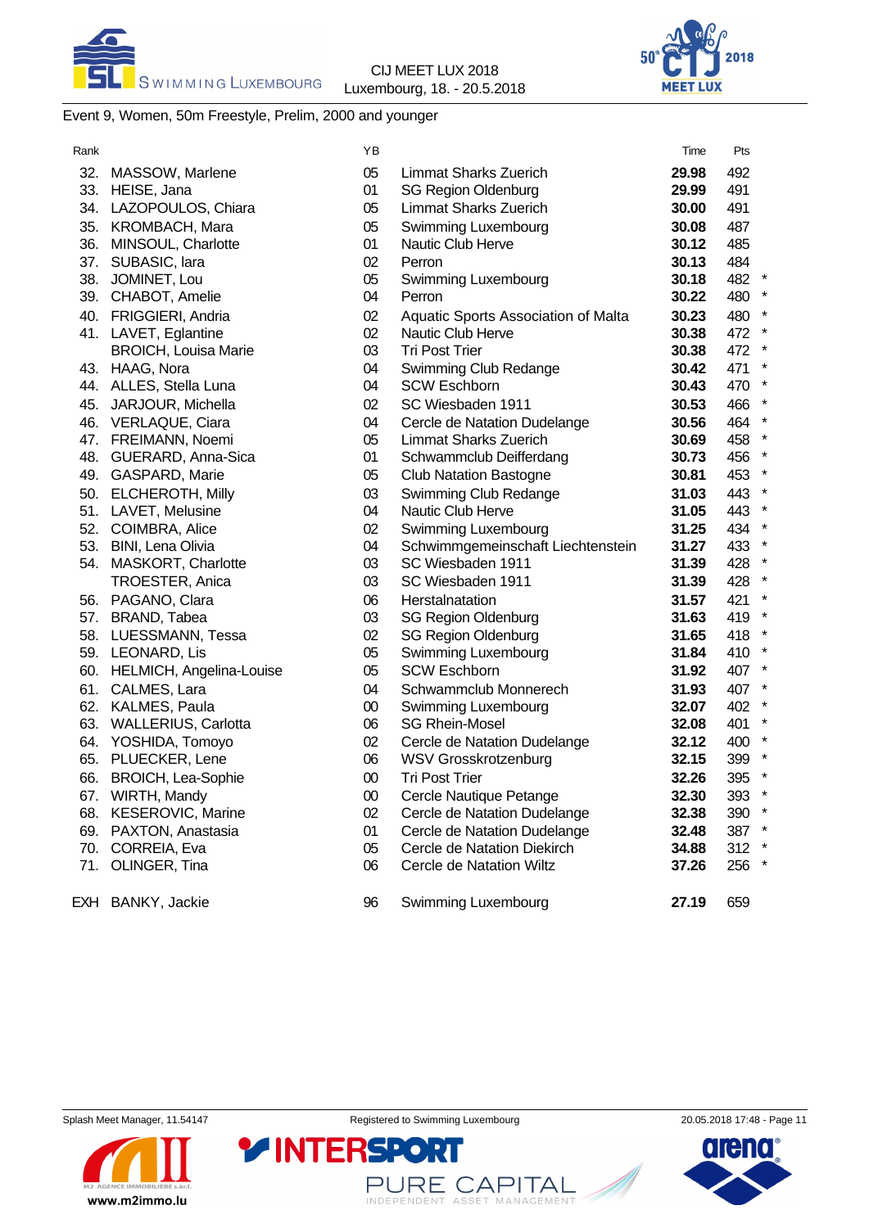



# Event 9, Women, 50m Freestyle, Prelim, 2000 and younger

| Rank |                             | YB     |                                     | Time  | Pts     |  |
|------|-----------------------------|--------|-------------------------------------|-------|---------|--|
| 32.  | MASSOW, Marlene             | 05     | <b>Limmat Sharks Zuerich</b>        | 29.98 | 492     |  |
| 33.  | HEISE, Jana                 | 01     | <b>SG Region Oldenburg</b>          | 29.99 | 491     |  |
|      | 34. LAZOPOULOS, Chiara      | 05     | <b>Limmat Sharks Zuerich</b>        | 30.00 | 491     |  |
|      | 35. KROMBACH, Mara          | 05     | Swimming Luxembourg                 | 30.08 | 487     |  |
| 36.  | MINSOUL, Charlotte          | 01     | Nautic Club Herve                   | 30.12 | 485     |  |
| 37.  | SUBASIC, lara               | 02     | Perron                              | 30.13 | 484     |  |
| 38.  | JOMINET, Lou                | 05     | Swimming Luxembourg                 | 30.18 | 482 *   |  |
|      | 39. CHABOT, Amelie          | 04     | Perron                              | 30.22 | 480 *   |  |
|      | 40. FRIGGIERI, Andria       | 02     | Aquatic Sports Association of Malta | 30.23 | 480 *   |  |
|      | 41. LAVET, Eglantine        | 02     | Nautic Club Herve                   | 30.38 | 472 *   |  |
|      | <b>BROICH, Louisa Marie</b> | 03     | <b>Tri Post Trier</b>               | 30.38 | 472 *   |  |
|      | 43. HAAG, Nora              | 04     | Swimming Club Redange               | 30.42 | 471 *   |  |
|      | 44. ALLES, Stella Luna      | 04     | <b>SCW Eschborn</b>                 | 30.43 | 470 *   |  |
|      | 45. JARJOUR, Michella       | 02     | SC Wiesbaden 1911                   | 30.53 | 466 *   |  |
|      | 46. VERLAQUE, Ciara         | 04     | Cercle de Natation Dudelange        | 30.56 | 464 *   |  |
|      | 47. FREIMANN, Noemi         | 05     | <b>Limmat Sharks Zuerich</b>        | 30.69 | 458 *   |  |
|      | 48. GUERARD, Anna-Sica      | 01     | Schwammclub Deifferdang             | 30.73 | 456 *   |  |
|      | 49. GASPARD, Marie          | 05     | <b>Club Natation Bastogne</b>       | 30.81 | 453 *   |  |
|      | 50. ELCHEROTH, Milly        | 03     | Swimming Club Redange               | 31.03 | 443 *   |  |
|      | 51. LAVET, Melusine         | 04     | Nautic Club Herve                   | 31.05 | 443 *   |  |
|      | 52. COIMBRA, Alice          | 02     | Swimming Luxembourg                 | 31.25 | 434 *   |  |
|      | 53. BINI, Lena Olivia       | 04     | Schwimmgemeinschaft Liechtenstein   | 31.27 | 433 *   |  |
|      | 54. MASKORT, Charlotte      | 03     | SC Wiesbaden 1911                   | 31.39 | 428 *   |  |
|      | TROESTER, Anica             | 03     | SC Wiesbaden 1911                   | 31.39 | 428 *   |  |
|      | 56. PAGANO, Clara           | 06     | Herstalnatation                     | 31.57 | 421 *   |  |
|      | 57. BRAND, Tabea            | 03     | <b>SG Region Oldenburg</b>          | 31.63 | 419 *   |  |
|      | 58. LUESSMANN, Tessa        | 02     | <b>SG Region Oldenburg</b>          | 31.65 | 418 *   |  |
|      | 59. LEONARD, Lis            | 05     | Swimming Luxembourg                 | 31.84 | 410 *   |  |
| 60.  | HELMICH, Angelina-Louise    | 05     | <b>SCW Eschborn</b>                 | 31.92 | 407 *   |  |
| 61.  | CALMES, Lara                | 04     | Schwammclub Monnerech               | 31.93 | 407 *   |  |
| 62.  | KALMES, Paula               | $00\,$ | Swimming Luxembourg                 | 32.07 | 402 *   |  |
| 63.  | <b>WALLERIUS, Carlotta</b>  | 06     | <b>SG Rhein-Mosel</b>               | 32.08 | 401 *   |  |
| 64.  | YOSHIDA, Tomoyo             | 02     | Cercle de Natation Dudelange        | 32.12 | 400 *   |  |
| 65.  | PLUECKER, Lene              | 06     | <b>WSV Grosskrotzenburg</b>         | 32.15 | 399 *   |  |
| 66.  | <b>BROICH, Lea-Sophie</b>   | $00\,$ | <b>Tri Post Trier</b>               | 32.26 | 395 *   |  |
| 67.  | WIRTH, Mandy                | 00     | Cercle Nautique Petange             | 32.30 | 393 *   |  |
|      | 68. KESEROVIC, Marine       | 02     | Cercle de Natation Dudelange        | 32.38 | 390 *   |  |
| 69.  | PAXTON, Anastasia           | 01     | Cercle de Natation Dudelange        | 32.48 | 387 *   |  |
| 70.  | CORREIA, Eva                | 05     | Cercle de Natation Diekirch         | 34.88 | $312$ * |  |
| 71.  | OLINGER, Tina               | 06     | <b>Cercle de Natation Wiltz</b>     | 37.26 | 256 *   |  |
| EXH  | BANKY, Jackie               | 96     | Swimming Luxembourg                 | 27.19 | 659     |  |

www.m2immo.lu

PURE CAPITAL



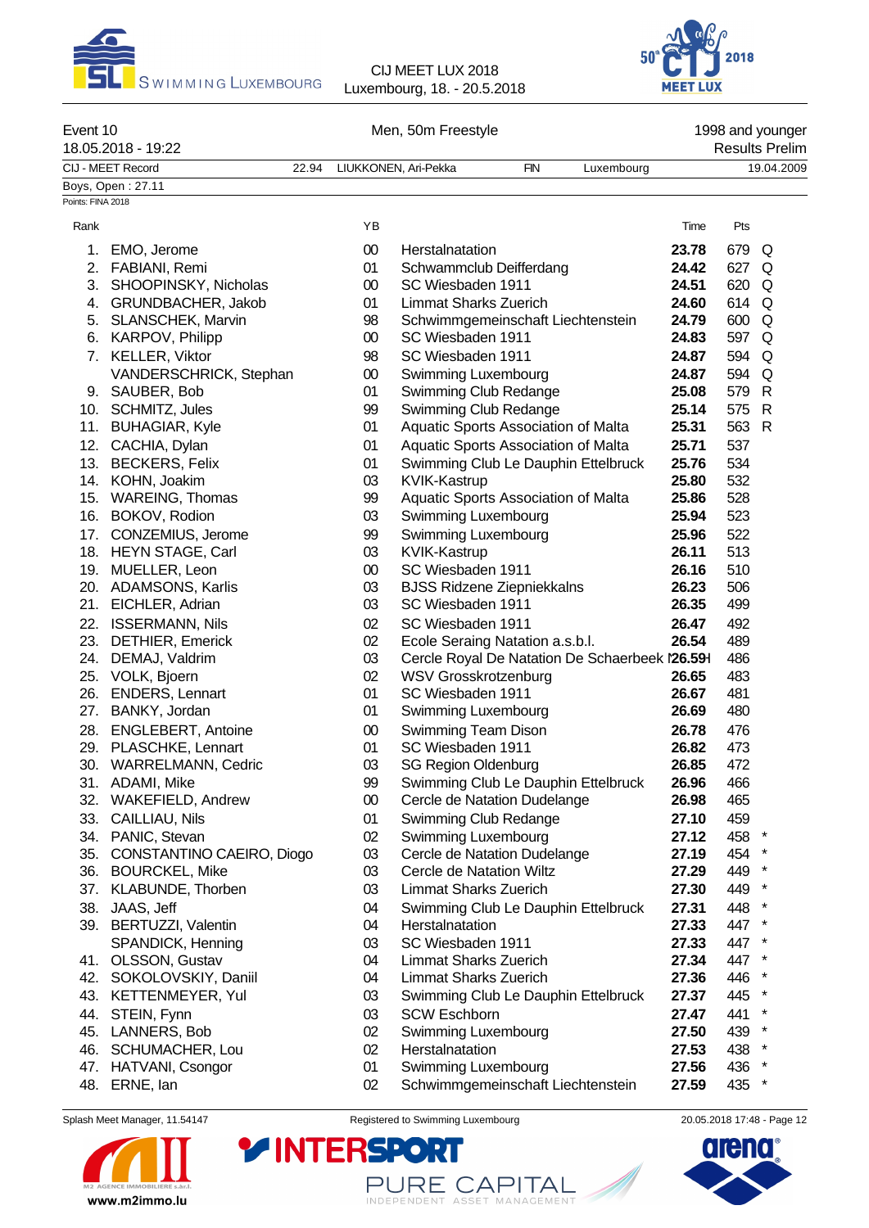



| Event 10          | 18.05.2018 - 19:22        |       | Men, 50m Freestyle |                            |                                   |                                                |       | 1998 and younger<br><b>Results Prelim</b> |              |  |  |
|-------------------|---------------------------|-------|--------------------|----------------------------|-----------------------------------|------------------------------------------------|-------|-------------------------------------------|--------------|--|--|
|                   | CIJ - MEET Record         | 22.94 |                    | LIUKKONEN, Ari-Pekka       | <b>FIN</b>                        | Luxembourg                                     |       |                                           | 19.04.2009   |  |  |
|                   | Boys, Open: 27.11         |       |                    |                            |                                   |                                                |       |                                           |              |  |  |
| Points: FINA 2018 |                           |       |                    |                            |                                   |                                                |       |                                           |              |  |  |
| Rank              |                           |       | YB                 |                            |                                   |                                                | Time  | Pts                                       |              |  |  |
| 1.                | EMO, Jerome               |       | 00                 | Herstalnatation            |                                   |                                                | 23.78 | 679                                       | Q            |  |  |
|                   | 2. FABIANI, Remi          |       | 01                 |                            | Schwammclub Deifferdang           |                                                | 24.42 | 627                                       | Q            |  |  |
| 3.                | SHOOPINSKY, Nicholas      |       | $00\,$             | SC Wiesbaden 1911          |                                   |                                                | 24.51 | 620                                       | Q            |  |  |
| 4.                | GRUNDBACHER, Jakob        |       | 01                 |                            | <b>Limmat Sharks Zuerich</b>      |                                                | 24.60 | 614                                       | Q            |  |  |
|                   | 5. SLANSCHEK, Marvin      |       | 98                 |                            |                                   | Schwimmgemeinschaft Liechtenstein              | 24.79 | 600                                       | Q            |  |  |
|                   | 6. KARPOV, Philipp        |       | 00                 | SC Wiesbaden 1911          |                                   |                                                | 24.83 | 597                                       | Q            |  |  |
|                   | 7. KELLER, Viktor         |       | 98                 | SC Wiesbaden 1911          |                                   |                                                | 24.87 | 594                                       | Q            |  |  |
|                   | VANDERSCHRICK, Stephan    |       | 00                 |                            | Swimming Luxembourg               |                                                | 24.87 | 594                                       | Q            |  |  |
|                   | 9. SAUBER, Bob            |       | 01                 |                            | Swimming Club Redange             |                                                | 25.08 | 579                                       | $\mathsf{R}$ |  |  |
|                   | 10. SCHMITZ, Jules        |       | 99                 |                            | Swimming Club Redange             |                                                | 25.14 | 575                                       | $\mathsf{R}$ |  |  |
|                   | 11. BUHAGIAR, Kyle        |       | 01                 |                            |                                   | Aquatic Sports Association of Malta            | 25.31 | 563                                       | $\mathsf{R}$ |  |  |
|                   | 12. CACHIA, Dylan         |       | 01                 |                            |                                   | Aquatic Sports Association of Malta            | 25.71 | 537                                       |              |  |  |
|                   | 13. BECKERS, Felix        |       | 01                 |                            |                                   | Swimming Club Le Dauphin Ettelbruck            | 25.76 | 534                                       |              |  |  |
|                   | 14. KOHN, Joakim          |       | 03                 | KVIK-Kastrup               |                                   |                                                | 25.80 | 532                                       |              |  |  |
|                   | 15. WAREING, Thomas       |       | 99                 |                            |                                   | Aquatic Sports Association of Malta            | 25.86 | 528                                       |              |  |  |
|                   | 16. BOKOV, Rodion         |       | 03                 |                            | Swimming Luxembourg               |                                                | 25.94 | 523                                       |              |  |  |
| 17.               | CONZEMIUS, Jerome         |       | 99                 |                            | Swimming Luxembourg               |                                                | 25.96 | 522                                       |              |  |  |
|                   | 18. HEYN STAGE, Carl      |       | 03                 | KVIK-Kastrup               |                                   |                                                | 26.11 | 513                                       |              |  |  |
|                   | 19. MUELLER, Leon         |       | 00                 | SC Wiesbaden 1911          |                                   |                                                | 26.16 | 510                                       |              |  |  |
|                   | 20. ADAMSONS, Karlis      |       | 03                 |                            | <b>BJSS Ridzene Ziepniekkalns</b> |                                                | 26.23 | 506                                       |              |  |  |
| 21.               | EICHLER, Adrian           |       | 03                 | SC Wiesbaden 1911          |                                   |                                                | 26.35 | 499                                       |              |  |  |
| 22.               | <b>ISSERMANN, Nils</b>    |       | 02                 | SC Wiesbaden 1911          |                                   |                                                | 26.47 | 492                                       |              |  |  |
|                   | 23. DETHIER, Emerick      |       | 02                 |                            | Ecole Seraing Natation a.s.b.l.   |                                                | 26.54 | 489                                       |              |  |  |
|                   | 24. DEMAJ, Valdrim        |       | 03                 |                            |                                   | Cercle Royal De Natation De Schaerbeek l26.591 |       | 486                                       |              |  |  |
|                   | 25. VOLK, Bjoern          |       | 02                 |                            | <b>WSV Grosskrotzenburg</b>       |                                                | 26.65 | 483                                       |              |  |  |
|                   | 26. ENDERS, Lennart       |       | 01                 | SC Wiesbaden 1911          |                                   |                                                | 26.67 | 481                                       |              |  |  |
| 27.               | BANKY, Jordan             |       | 01                 |                            | Swimming Luxembourg               |                                                | 26.69 | 480                                       |              |  |  |
| 28.               | <b>ENGLEBERT, Antoine</b> |       | 00                 |                            | Swimming Team Dison               |                                                | 26.78 | 476                                       |              |  |  |
|                   | 29. PLASCHKE, Lennart     |       | 01                 | SC Wiesbaden 1911          |                                   |                                                | 26.82 | 473                                       |              |  |  |
|                   | 30. WARRELMANN, Cedric    |       | 03                 | <b>SG Region Oldenburg</b> |                                   |                                                | 26.85 | 472                                       |              |  |  |
|                   | 31. ADAMI, Mike           |       | 99                 |                            |                                   | Swimming Club Le Dauphin Ettelbruck            | 26.96 | 466                                       |              |  |  |
|                   | 32. WAKEFIELD, Andrew     |       | 00                 |                            | Cercle de Natation Dudelange      |                                                | 26.98 | 465                                       |              |  |  |
|                   | 33. CAILLIAU, Nils        |       | 01                 |                            | Swimming Club Redange             |                                                | 27.10 | 459                                       |              |  |  |
|                   | 34. PANIC, Stevan         |       | 02                 |                            | Swimming Luxembourg               |                                                | 27.12 | 458 *                                     |              |  |  |
| 35.               | CONSTANTINO CAEIRO, Diogo |       | 03                 |                            | Cercle de Natation Dudelange      |                                                | 27.19 | 454                                       |              |  |  |
|                   | 36. BOURCKEL, Mike        |       | 03                 |                            | Cercle de Natation Wiltz          |                                                | 27.29 | 449                                       |              |  |  |
| 37.               | KLABUNDE, Thorben         |       | 03                 |                            | <b>Limmat Sharks Zuerich</b>      |                                                | 27.30 | 449                                       |              |  |  |
|                   | 38. JAAS, Jeff            |       | 04                 |                            |                                   | Swimming Club Le Dauphin Ettelbruck            | 27.31 | 448                                       |              |  |  |
|                   | 39. BERTUZZI, Valentin    |       | 04                 | Herstalnatation            |                                   |                                                | 27.33 | 447 *                                     |              |  |  |
|                   | SPANDICK, Henning         |       | 03                 | SC Wiesbaden 1911          |                                   |                                                | 27.33 | 447 *                                     |              |  |  |
|                   | 41. OLSSON, Gustav        |       | 04                 |                            | Limmat Sharks Zuerich             |                                                | 27.34 | 447 *                                     |              |  |  |

42. SOKOLOVSKIY, Daniil 04 Limmat Sharks Zuerich **27.36** 446 \*

- 43. KETTENMEYER, Yul 03 Swimming Club Le Dauphin Ettelbruck **27.37** 445 \*
- 
- 44. STEIN, Fynn 03 SCW Eschborn **27.47** 441 \*
- 
- 46. SCHUMACHER, Lou <sup>02</sup> Herstalnatation **1988 127.53 438 \***<br>47. HATVANI. Csongor 1988 1201 Swimming Luxembourg 127.56 436 \*
- 47. HATVANI, Csongor 01 Swimming Luxembourg **27.56** 436 \*
- 48. ERNE, Ian 02 Schwimmgemeinschaft Liechtenstein **27.59** 435 \*



Splash Meet Manager, 11.54147 **Registered to Swimming Luxembourg** 20.05.2018 17:48 - Page 12

**YINTERSPO** 



PURE CAPITAL

02 Swimming Luxembourg **27.50** 439<br>02 Herstalnatation **27.53** 438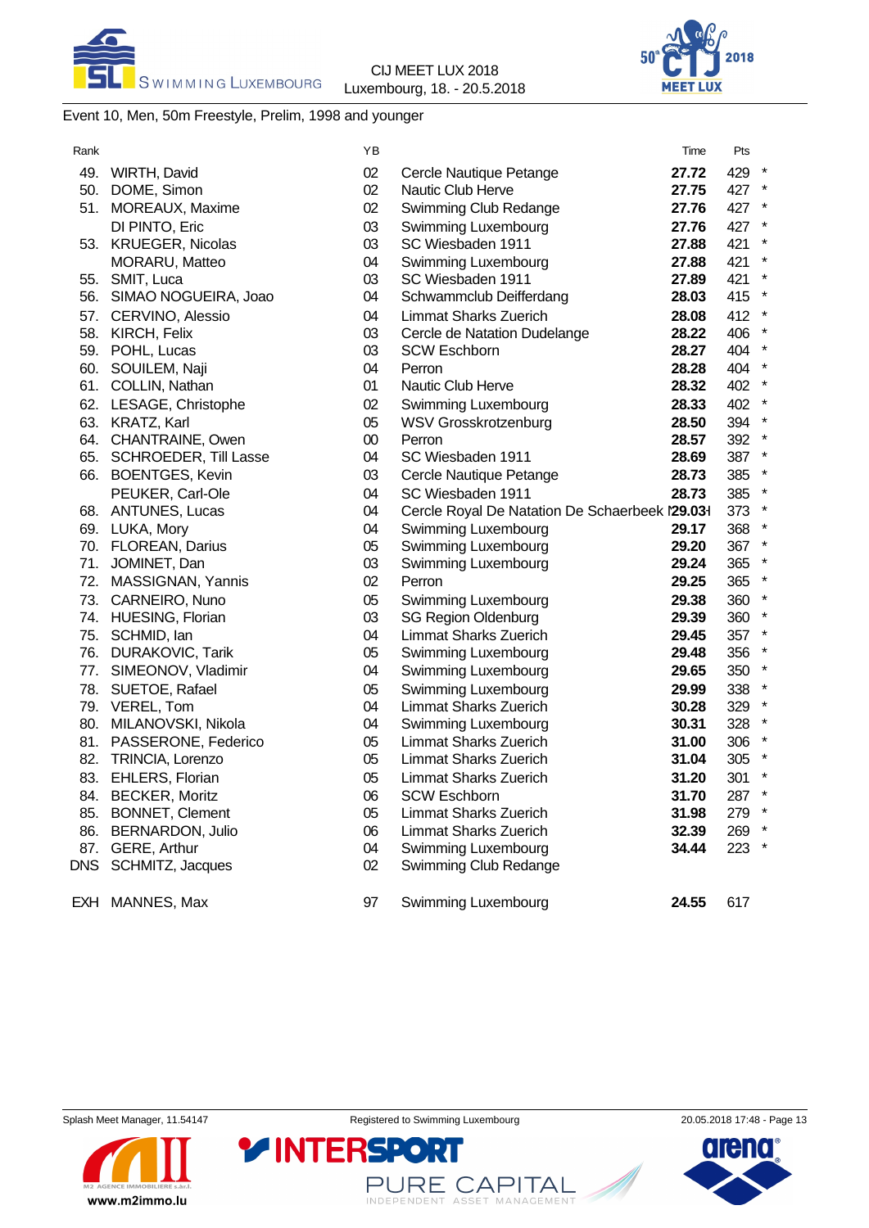



# Event 10, Men, 50m Freestyle, Prelim, 1998 and younger

| Rank |                           | ΥB     |                                                | Time  | Pts     |         |
|------|---------------------------|--------|------------------------------------------------|-------|---------|---------|
| 49.  | WIRTH, David              | 02     | Cercle Nautique Petange                        | 27.72 | 429 *   |         |
|      | 50. DOME, Simon           | 02     | Nautic Club Herve                              | 27.75 | 427 *   |         |
|      | 51. MOREAUX, Maxime       | 02     | Swimming Club Redange                          | 27.76 | 427 *   |         |
|      | DI PINTO, Eric            | 03     | Swimming Luxembourg                            | 27.76 | 427 *   |         |
|      | 53. KRUEGER, Nicolas      | 03     | SC Wiesbaden 1911                              | 27.88 | 421     | $\star$ |
|      | MORARU, Matteo            | 04     | Swimming Luxembourg                            | 27.88 | 421 *   |         |
|      | 55. SMIT, Luca            | 03     | SC Wiesbaden 1911                              | 27.89 | 421     | $\star$ |
|      | 56. SIMAO NOGUEIRA, Joao  | 04     | Schwammclub Deifferdang                        | 28.03 | 415 *   |         |
|      | 57. CERVINO, Alessio      | 04     | <b>Limmat Sharks Zuerich</b>                   | 28.08 | 412 *   |         |
|      | 58. KIRCH, Felix          | 03     | Cercle de Natation Dudelange                   | 28.22 | 406     |         |
|      | 59. POHL, Lucas           | 03     | <b>SCW Eschborn</b>                            | 28.27 | 404 *   |         |
|      | 60. SOUILEM, Naji         | 04     | Perron                                         | 28.28 | 404 *   |         |
|      | 61. COLLIN, Nathan        | 01     | Nautic Club Herve                              | 28.32 | 402 *   |         |
|      | 62. LESAGE, Christophe    | 02     | Swimming Luxembourg                            | 28.33 | 402 *   |         |
|      | 63. KRATZ, Karl           | 05     | <b>WSV Grosskrotzenburg</b>                    | 28.50 | 394 *   |         |
|      | 64. CHANTRAINE, Owen      | $00\,$ | Perron                                         | 28.57 | 392 *   |         |
|      | 65. SCHROEDER, Till Lasse | 04     | SC Wiesbaden 1911                              | 28.69 | 387 *   |         |
|      | 66. BOENTGES, Kevin       | 03     | Cercle Nautique Petange                        | 28.73 | 385 *   |         |
|      | PEUKER, Carl-Ole          | 04     | SC Wiesbaden 1911                              | 28.73 | 385 *   |         |
|      | 68. ANTUNES, Lucas        | 04     | Cercle Royal De Natation De Schaerbeek l29.031 |       | 373 *   |         |
|      | 69. LUKA, Mory            | 04     | Swimming Luxembourg                            | 29.17 | 368 *   |         |
|      | 70. FLOREAN, Darius       | 05     | Swimming Luxembourg                            | 29.20 | 367 *   |         |
|      | 71. JOMINET, Dan          | 03     | Swimming Luxembourg                            | 29.24 | 365 *   |         |
|      | 72. MASSIGNAN, Yannis     | 02     | Perron                                         | 29.25 | 365 *   |         |
|      | 73. CARNEIRO, Nuno        | 05     | Swimming Luxembourg                            | 29.38 | 360 *   |         |
|      | 74. HUESING, Florian      | 03     | <b>SG Region Oldenburg</b>                     | 29.39 | 360 *   |         |
|      | 75. SCHMID, lan           | 04     | <b>Limmat Sharks Zuerich</b>                   | 29.45 | 357 *   |         |
|      | 76. DURAKOVIC, Tarik      | 05     | Swimming Luxembourg                            | 29.48 | 356 *   |         |
|      | 77. SIMEONOV, Vladimir    | 04     | Swimming Luxembourg                            | 29.65 | 350 *   |         |
|      | 78. SUETOE, Rafael        | 05     | Swimming Luxembourg                            | 29.99 | 338 *   |         |
|      | 79. VEREL, Tom            | 04     | <b>Limmat Sharks Zuerich</b>                   | 30.28 | 329 *   |         |
|      | 80. MILANOVSKI, Nikola    | 04     | Swimming Luxembourg                            | 30.31 | 328 *   |         |
|      | 81. PASSERONE, Federico   | 05     | <b>Limmat Sharks Zuerich</b>                   | 31.00 | 306 *   |         |
|      | 82. TRINCIA, Lorenzo      | 05     | <b>Limmat Sharks Zuerich</b>                   | 31.04 | 305 *   |         |
|      | 83. EHLERS, Florian       | 05     | <b>Limmat Sharks Zuerich</b>                   | 31.20 | 301     | $\star$ |
|      | 84. BECKER, Moritz        | 06     | <b>SCW Eschborn</b>                            | 31.70 | 287 *   |         |
|      | 85. BONNET, Clement       | 05     | <b>Limmat Sharks Zuerich</b>                   | 31.98 | 279 *   |         |
|      | 86. BERNARDON, Julio      | 06     | <b>Limmat Sharks Zuerich</b>                   | 32.39 | 269 *   |         |
|      | 87. GERE, Arthur          | 04     | Swimming Luxembourg                            | 34.44 | $223$ * |         |
|      | DNS SCHMITZ, Jacques      | 02     | Swimming Club Redange                          |       |         |         |
|      | EXH MANNES, Max           | 97     | Swimming Luxembourg                            | 24.55 | 617     |         |



PURE CAPITAL

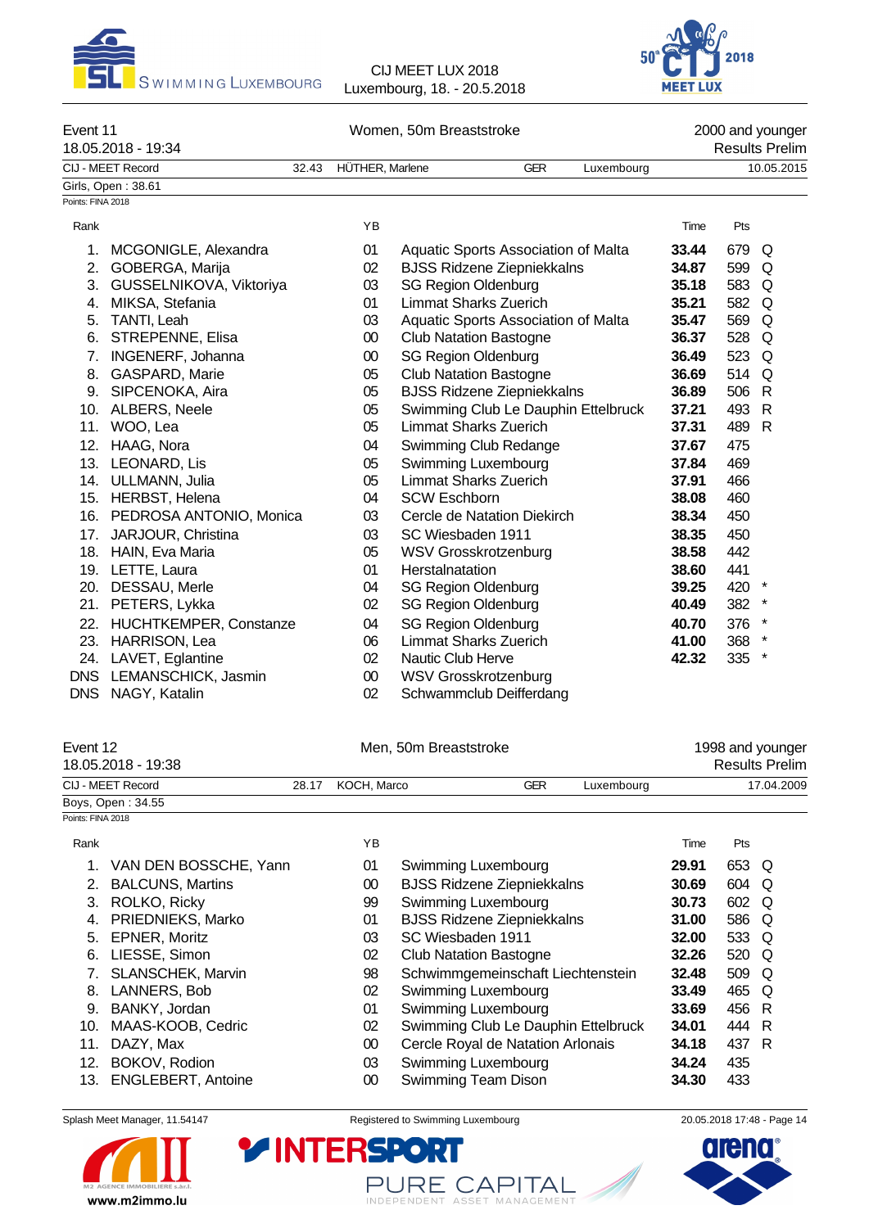



| Event 11<br>18.05.2018 - 19:34 |       | Women, 50m Breaststroke |     |            | 2000 and younger<br><b>Results Prelim</b> |
|--------------------------------|-------|-------------------------|-----|------------|-------------------------------------------|
| CIJ - MEET Record              | 32.43 | HÜTHER, Marlene         | GER | Luxembourg | 10.05.2015                                |
| Girls, Open: 38.61             |       |                         |     |            |                                           |
| Points: FINA 2018              |       |                         |     |            |                                           |

| Rank |                         | YB     |                                     | Time  | Pts   |              |
|------|-------------------------|--------|-------------------------------------|-------|-------|--------------|
| 1.   | MCGONIGLE, Alexandra    | 01     | Aquatic Sports Association of Malta | 33.44 | 679 Q |              |
| 2.   | GOBERGA, Marija         | 02     | <b>BJSS Ridzene Ziepniekkalns</b>   | 34.87 | 599   | Q            |
| 3.   | GUSSELNIKOVA, Viktoriya | 03     | <b>SG Region Oldenburg</b>          | 35.18 | 583   | Q            |
| 4.   | MIKSA, Stefania         | 01     | Limmat Sharks Zuerich               | 35.21 | 582 Q |              |
| 5.   | TANTI, Leah             | 03     | Aquatic Sports Association of Malta | 35.47 | 569   | Q            |
| 6.   | STREPENNE, Elisa        | $00\,$ | <b>Club Natation Bastogne</b>       | 36.37 | 528   | Q            |
| 7.   | INGENERF, Johanna       | $00\,$ | <b>SG Region Oldenburg</b>          | 36.49 | 523 Q |              |
| 8.   | GASPARD, Marie          | 05     | <b>Club Natation Bastogne</b>       | 36.69 | 514   | Q            |
| 9.   | SIPCENOKA, Aira         | 05     | <b>BJSS Ridzene Ziepniekkalns</b>   | 36.89 | 506   | $\mathsf{R}$ |
| 10.  | ALBERS, Neele           | 05     | Swimming Club Le Dauphin Ettelbruck | 37.21 | 493   | $\mathsf{R}$ |
| 11.  | WOO, Lea                | 05     | <b>Limmat Sharks Zuerich</b>        | 37.31 | 489   | R            |
| 12.  | HAAG, Nora              | 04     | Swimming Club Redange               | 37.67 | 475   |              |
| 13.  | LEONARD, Lis            | 05     | Swimming Luxembourg                 | 37.84 | 469   |              |
| 14.  | ULLMANN, Julia          | 05     | <b>Limmat Sharks Zuerich</b>        | 37.91 | 466   |              |
| 15.  | HERBST, Helena          | 04     | <b>SCW Eschborn</b>                 | 38.08 | 460   |              |
| 16.  | PEDROSA ANTONIO, Monica | 03     | Cercle de Natation Diekirch         | 38.34 | 450   |              |
| 17.  | JARJOUR, Christina      | 03     | SC Wiesbaden 1911                   | 38.35 | 450   |              |
| 18.  | HAIN, Eva Maria         | 05     | <b>WSV Grosskrotzenburg</b>         | 38.58 | 442   |              |
|      | 19. LETTE, Laura        | 01     | Herstalnatation                     | 38.60 | 441   |              |
| 20.  | DESSAU, Merle           | 04     | <b>SG Region Oldenburg</b>          | 39.25 | 420   | $\star$      |
| 21.  | PETERS, Lykka           | 02     | <b>SG Region Oldenburg</b>          | 40.49 | 382   |              |
| 22.  | HUCHTKEMPER, Constanze  | 04     | <b>SG Region Oldenburg</b>          | 40.70 | 376   | $\star$      |
| 23.  | HARRISON, Lea           | 06     | <b>Limmat Sharks Zuerich</b>        | 41.00 | 368 * |              |
| 24.  | LAVET, Eglantine        | $02\,$ | Nautic Club Herve                   | 42.32 | 335 * |              |
|      | DNS LEMANSCHICK, Jasmin | 00     | WSV Grosskrotzenburg                |       |       |              |
|      | DNS NAGY, Katalin       | 02     | Schwammclub Deifferdang             |       |       |              |

| Event 12          | 18.05.2018 - 19:38       |       | Men, 50m Breaststroke |                                     |            |            |        | 1998 and younger<br><b>Results Prelim</b> |            |  |  |
|-------------------|--------------------------|-------|-----------------------|-------------------------------------|------------|------------|--------|-------------------------------------------|------------|--|--|
|                   | CIJ - MEET Record        | 28.17 | KOCH, Marco           |                                     | <b>GER</b> | Luxembourg |        |                                           | 17.04.2009 |  |  |
|                   | Boys, Open: 34.55        |       |                       |                                     |            |            |        |                                           |            |  |  |
| Points: FINA 2018 |                          |       |                       |                                     |            |            |        |                                           |            |  |  |
| Rank              |                          |       | ΥB                    |                                     |            |            | Time   | Pts                                       |            |  |  |
|                   | VAN DEN BOSSCHE, Yann    |       | 01                    | Swimming Luxembourg                 |            |            | 29.91  | 653 Q                                     |            |  |  |
| 2.                | <b>BALCUNS, Martins</b>  |       | $00\,$                | <b>BJSS Ridzene Ziepniekkalns</b>   |            |            | 30.69  | 604 Q                                     |            |  |  |
| 3.                | ROLKO, Ricky             |       | 99                    | Swimming Luxembourg                 |            |            | 30.73  | 602 Q                                     |            |  |  |
| 4.                | PRIEDNIEKS, Marko        |       | 01                    | <b>BJSS Ridzene Ziepniekkalns</b>   |            |            | 31.00  | 586 Q                                     |            |  |  |
| 5.                | EPNER, Moritz            |       | 03                    | SC Wiesbaden 1911                   |            |            | 32.00  | 533 Q                                     |            |  |  |
| 6.                | LIESSE, Simon            |       | 02                    | <b>Club Natation Bastogne</b>       |            |            | 32.26  | 520 Q                                     |            |  |  |
|                   | <b>SLANSCHEK, Marvin</b> |       | 98                    | Schwimmgemeinschaft Liechtenstein   |            |            | 32.48  | 509 Q                                     |            |  |  |
| 8.                | LANNERS, Bob             |       | 02                    | Swimming Luxembourg                 |            |            | 33.49  | 465 Q                                     |            |  |  |
| 9.                | BANKY, Jordan            |       | 01                    | Swimming Luxembourg                 |            |            | 33.69  | 456 R                                     |            |  |  |
| 10.               | $MAAC_KOMR$ Cadric       |       | റാ                    | Swimming Club Le Douphin Ettelbruck |            |            | 21 U J | A A A                                     | Þ          |  |  |

10. MAAS-KOOB, Cedric 02 Swimming Club Le Dauphin Ettelbruck **34.01** 444 R 11. DAZY, Max 00 Cercle Royal de Natation Arlonais **34.18** 437 R 12. BOKOV, Rodion 03 Swimming Luxembourg **34.24** 435 13. ENGLEBERT, Antoine 00 Swimming Team Dison

**Y INTERSPOR** 

www.m2immo.lu



PURE CAPITAL

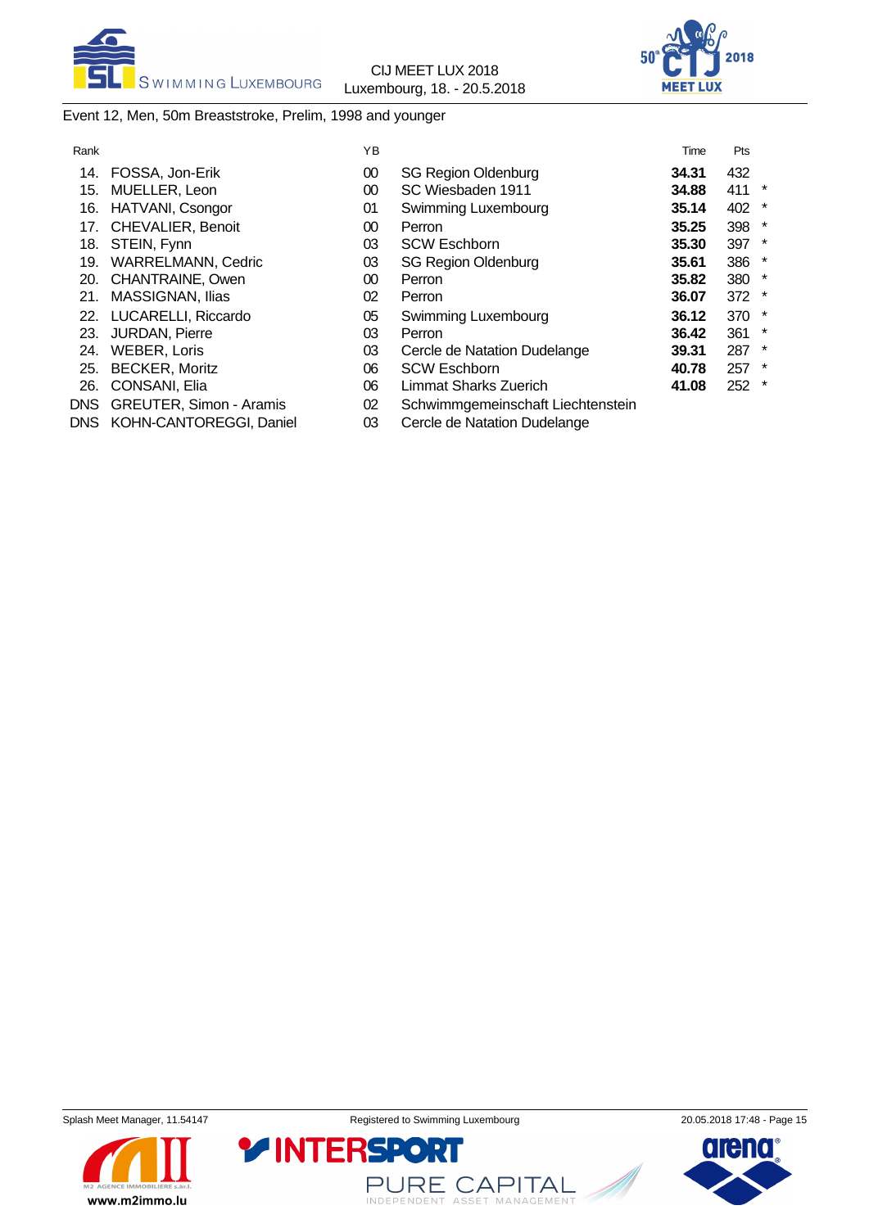



# Event 12, Men, 50m Breaststroke, Prelim, 1998 and younger

| Rank |                             | ΥB |                                   | Time  | Pts |         |
|------|-----------------------------|----|-----------------------------------|-------|-----|---------|
| 14.  | FOSSA, Jon-Erik             | 00 | <b>SG Region Oldenburg</b>        | 34.31 | 432 |         |
| 15.  | MUELLER, Leon               | 00 | SC Wiesbaden 1911                 | 34.88 | 411 | $\ast$  |
| 16.  | HATVANI, Csongor            | 01 | Swimming Luxembourg               | 35.14 | 402 | $\star$ |
| 17.  | <b>CHEVALIER, Benoit</b>    | 00 | Perron                            | 35.25 | 398 | *       |
| 18.  | STEIN, Fynn                 | 03 | <b>SCW Eschborn</b>               | 35.30 | 397 | $\star$ |
| 19.  | <b>WARRELMANN, Cedric</b>   | 03 | <b>SG Region Oldenburg</b>        | 35.61 | 386 | $\star$ |
|      | 20. CHANTRAINE, Owen        | 00 | Perron                            | 35.82 | 380 | $\star$ |
| 21.  | <b>MASSIGNAN, Ilias</b>     | 02 | Perron                            | 36.07 | 372 | $\star$ |
|      | 22. LUCARELLI, Riccardo     | 05 | Swimming Luxembourg               | 36.12 | 370 | $\star$ |
| 23.  | <b>JURDAN, Pierre</b>       | 03 | Perron                            | 36.42 | 361 | $\star$ |
| 24.  | WEBER, Loris                | 03 | Cercle de Natation Dudelange      | 39.31 | 287 | $\ast$  |
| 25.  | <b>BECKER, Moritz</b>       | 06 | <b>SCW Eschborn</b>               | 40.78 | 257 | $\star$ |
|      | 26. CONSANI, Elia           | 06 | <b>Limmat Sharks Zuerich</b>      | 41.08 | 252 | $\star$ |
|      | DNS GREUTER, Simon - Aramis | 02 | Schwimmgemeinschaft Liechtenstein |       |     |         |

- DNS KOHN-CANTOREGGI, Daniel 03 Cercle de Natation Dudelange
- 







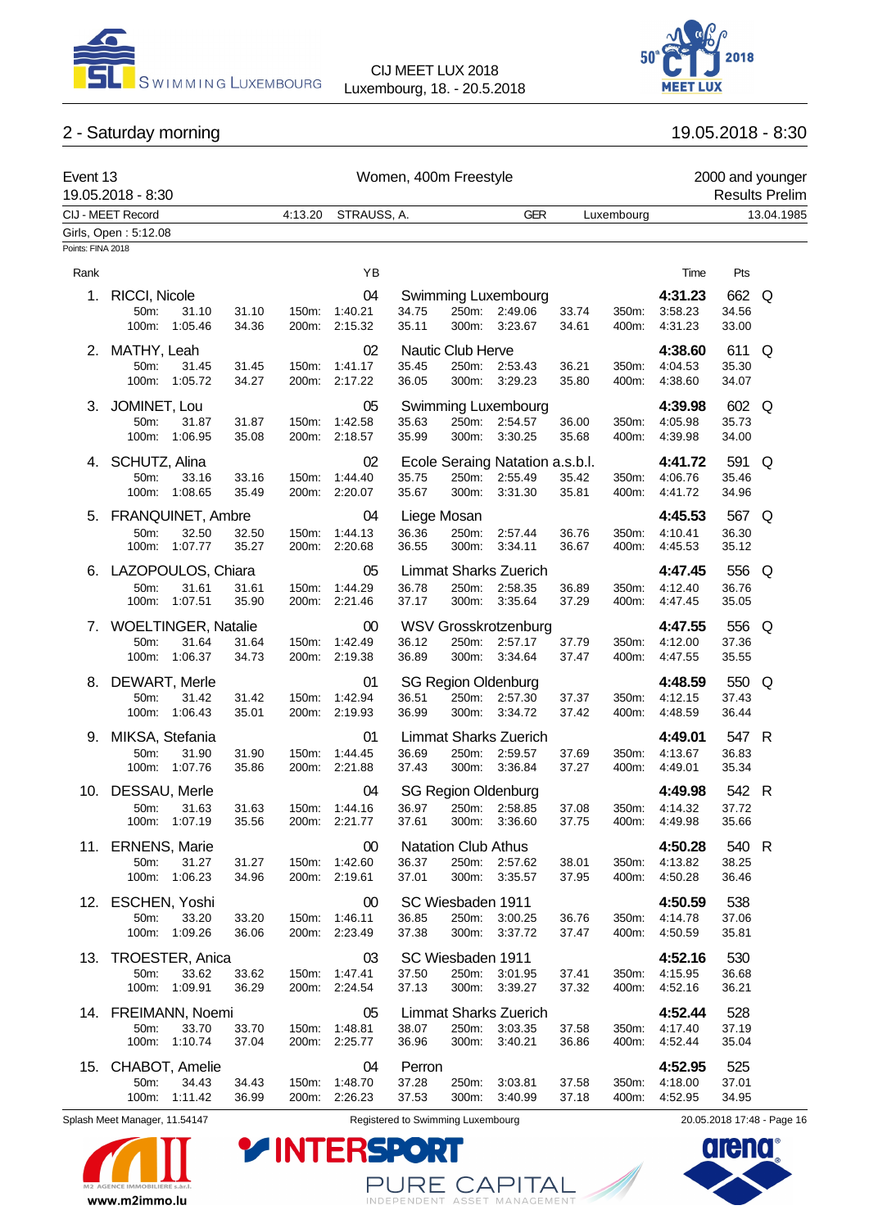



# 2 - Saturday morning 19.05.2018 - 8:30

| Event 13          | 19.05.2018 - 8:30                                           |                                  | Women, 400m Freestyle          |                                              |                                     |                                                              |                |                | 2000 and younger<br><b>Results Prelim</b> |                         |            |
|-------------------|-------------------------------------------------------------|----------------------------------|--------------------------------|----------------------------------------------|-------------------------------------|--------------------------------------------------------------|----------------|----------------|-------------------------------------------|-------------------------|------------|
|                   | CIJ - MEET Record                                           | 4:13.20                          | STRAUSS, A.                    |                                              |                                     | <b>GER</b>                                                   |                | Luxembourg     |                                           |                         | 13.04.1985 |
|                   | Girls, Open: 5:12.08                                        |                                  |                                |                                              |                                     |                                                              |                |                |                                           |                         |            |
| Points: FINA 2018 |                                                             |                                  |                                |                                              |                                     |                                                              |                |                |                                           |                         |            |
| Rank              |                                                             |                                  | YB                             |                                              |                                     |                                                              |                |                | Time                                      | Pts                     |            |
| 1.                | RICCI, Nicole<br>50m:<br>31.10<br>100m:<br>1:05.46          | 31.10<br>150m:<br>200m:<br>34.36 | 04<br>1:40.21<br>2:15.32       | 34.75<br>35.11                               |                                     | Swimming Luxembourg<br>250m: 2:49.06<br>300m: 3:23.67        | 33.74<br>34.61 | 350m:<br>400m: | 4:31.23<br>3:58.23<br>4:31.23             | 662 Q<br>34.56<br>33.00 |            |
| 2.                | MATHY, Leah<br>50m:<br>31.45<br>100m: 1:05.72               | 31.45<br>150m:<br>34.27<br>200m: | 02<br>1:41.17<br>2:17.22       | Nautic Club Herve<br>35.45<br>36.05          |                                     | 250m: 2:53.43<br>300m: 3:29.23                               | 36.21<br>35.80 | 350m:<br>400m: | 4:38.60<br>4:04.53<br>4:38.60             | 611<br>35.30<br>34.07   | Q          |
| 3.                | JOMINET, Lou<br>31.87<br>50m:<br>100m:<br>1:06.95           | 31.87<br>150m:<br>35.08<br>200m: | 05<br>1:42.58<br>2:18.57       | 35.63<br>35.99                               | 250m:<br>300m:                      | Swimming Luxembourg<br>2:54.57<br>3:30.25                    | 36.00<br>35.68 | 350m:<br>400m: | 4:39.98<br>4:05.98<br>4:39.98             | 602 Q<br>35.73<br>34.00 |            |
| 4.                | SCHUTZ, Alina<br>50m:<br>33.16<br>100m: 1:08.65             | 33.16<br>150m:<br>35.49<br>200m: | 02<br>1:44.40<br>2:20.07       | 35.75<br>35.67                               | 250m:<br>300m:                      | Ecole Seraing Natation a.s.b.l.<br>2:55.49<br>3:31.30        | 35.42<br>35.81 | 350m:<br>400m: | 4:41.72<br>4:06.76<br>4:41.72             | 591<br>35.46<br>34.96   | Q          |
|                   | 5. FRANQUINET, Ambre<br>50m:<br>32.50<br>100m: 1:07.77      | 32.50<br>150m:<br>35.27<br>200m: | 04<br>1:44.13<br>2:20.68       | Liege Mosan<br>36.36<br>36.55                | 250m:<br>300m:                      | 2:57.44<br>3:34.11                                           | 36.76<br>36.67 | 350m:<br>400m: | 4:45.53<br>4:10.41<br>4:45.53             | 567 Q<br>36.30<br>35.12 |            |
|                   | 6. LAZOPOULOS, Chiara<br>31.61<br>50m:<br>100m: 1:07.51     | 150m:<br>31.61<br>35.90<br>200m: | 05<br>1:44.29<br>2:21.46       | 36.78<br>37.17                               | 250m:<br>300m:                      | <b>Limmat Sharks Zuerich</b><br>2:58.35<br>3:35.64           | 36.89<br>37.29 | 350m:<br>400m: | 4:47.45<br>4:12.40<br>4:47.45             | 556<br>36.76<br>35.05   | Q          |
|                   | 7. WOELTINGER, Natalie<br>31.64<br>50m:<br>100m:<br>1:06.37 | 31.64<br>150m:<br>34.73          | 00<br>1:42.49<br>200m: 2:19.38 | 36.12<br>36.89                               | 250m:                               | <b>WSV Grosskrotzenburg</b><br>2:57.17<br>300m: 3:34.64      | 37.79<br>37.47 | 350m:<br>400m: | 4:47.55<br>4:12.00<br>4:47.55             | 556 Q<br>37.36<br>35.55 |            |
| 8.                | DEWART, Merle<br>50m:<br>31.42<br>100m:<br>1:06.43          | 31.42<br>150m:<br>35.01<br>200m: | 01<br>1:42.94<br>2:19.93       | 36.51<br>36.99                               | 300m:                               | <b>SG Region Oldenburg</b><br>250m: 2:57.30<br>3:34.72       | 37.37<br>37.42 | 350m:<br>400m: | 4:48.59<br>4:12.15<br>4:48.59             | 550<br>37.43<br>36.44   | Q          |
| 9.                | MIKSA, Stefania<br>50m:<br>31.90<br>100m: 1:07.76           | 31.90<br>150m:<br>35.86<br>200m: | 01<br>1:44.45<br>2:21.88       | 36.69<br>37.43                               | 250m:                               | <b>Limmat Sharks Zuerich</b><br>2:59.57<br>300m: 3:36.84     | 37.69<br>37.27 | 350m:<br>400m: | 4:49.01<br>4:13.67<br>4:49.01             | 547 R<br>36.83<br>35.34 |            |
| 10.               | DESSAU, Merle<br>31.63<br>50m:<br>100m: 1:07.19             | 31.63<br>150m:<br>35.56          | 04<br>1:44.16<br>200m: 2:21.77 | 36.97<br>37.61                               |                                     | <b>SG Region Oldenburg</b><br>250m: 2:58.85<br>300m: 3:36.60 | 37.08<br>37.75 | 350m:<br>400m: | 4:49.98<br>4:14.32<br>4:49.98             | 542 R<br>37.72<br>35.66 |            |
|                   | 11. ERNENS, Marie<br>31.27<br>50m:<br>100m: 1:06.23         | 31.27<br>150m:<br>34.96<br>200m: | 00<br>1:42.60<br>2:19.61       | <b>Natation Club Athus</b><br>36.37<br>37.01 | 300m:                               | 250m: 2:57.62<br>3:35.57                                     | 38.01<br>37.95 | 350m:<br>400m: | 4:50.28<br>4:13.82<br>4:50.28             | 540 R<br>38.25<br>36.46 |            |
|                   | 12. ESCHEN, Yoshi<br>50m:<br>33.20<br>100m: 1:09.26         | 33.20<br>150m:<br>36.06          | 00<br>1:46.11<br>200m: 2:23.49 | SC Wiesbaden 1911<br>36.85<br>37.38          | 250m:<br>300m:                      | 3:00.25<br>3:37.72                                           | 36.76<br>37.47 | 350m:<br>400m: | 4:50.59<br>4:14.78<br>4:50.59             | 538<br>37.06<br>35.81   |            |
|                   | 13. TROESTER, Anica<br>50m:<br>33.62<br>100m:<br>1:09.91    | 33.62<br>150m:<br>36.29<br>200m: | 03<br>1:47.41<br>2:24.54       | 37.50<br>37.13                               | SC Wiesbaden 1911<br>250m:<br>300m: | 3:01.95<br>3:39.27                                           | 37.41<br>37.32 | 350m:<br>400m: | 4:52.16<br>4:15.95<br>4:52.16             | 530<br>36.68<br>36.21   |            |
| 14.               | FREIMANN, Noemi<br>50m:<br>33.70<br>100m:<br>1:10.74        | 33.70<br>150m:<br>37.04<br>200m: | 05<br>1:48.81<br>2:25.77       | 38.07<br>36.96                               | 250m:<br>300m:                      | <b>Limmat Sharks Zuerich</b><br>3:03.35<br>3:40.21           | 37.58<br>36.86 | 350m:<br>400m: | 4:52.44<br>4:17.40<br>4:52.44             | 528<br>37.19<br>35.04   |            |
| 15.               | CHABOT, Amelie<br>50m:<br>34.43<br>100m: 1:11.42            | 34.43<br>150m:<br>36.99          | 04<br>1:48.70<br>200m: 2:26.23 | Perron<br>37.28<br>37.53                     | 250m:<br>300m:                      | 3:03.81<br>3:40.99                                           | 37.58<br>37.18 | 350m:<br>400m: | 4:52.95<br>4:18.00<br>4:52.95             | 525<br>37.01<br>34.95   |            |



Splash Meet Manager, 11.54147 **Registered to Swimming Luxembourg** 20.05.2018 17:48 - Page 16

**arena** 



PURE CAPITAL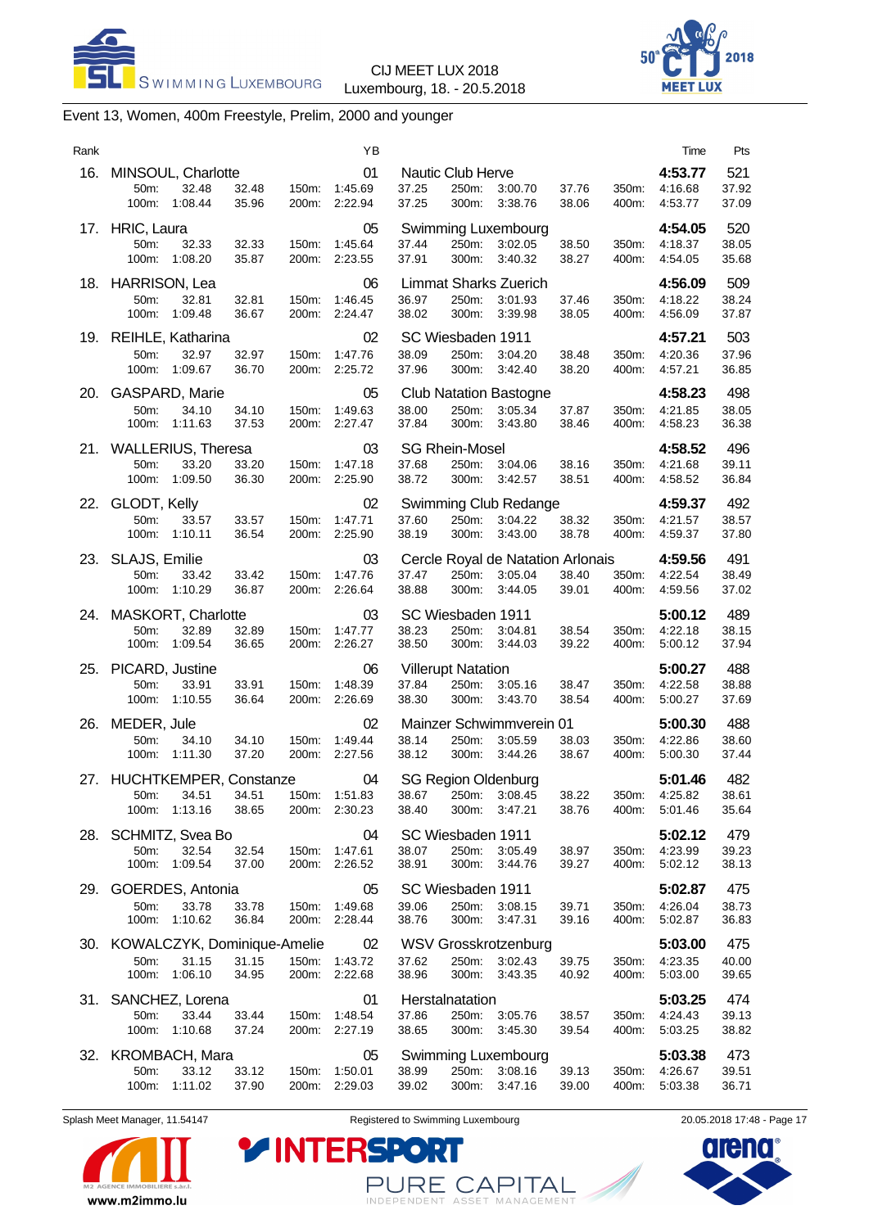



# Event 13, Women, 400m Freestyle, Prelim, 2000 and younger

| Rank |                                                    |                  |                |                | ΥB                                   |                |                                         |                                                                                                                 |                |                | Time                                | Pts                   |
|------|----------------------------------------------------|------------------|----------------|----------------|--------------------------------------|----------------|-----------------------------------------|-----------------------------------------------------------------------------------------------------------------|----------------|----------------|-------------------------------------|-----------------------|
|      | 16. MINSOUL, Charlotte<br>50m:<br>100m:            | 32.48<br>1:08.44 | 32.48<br>35.96 | 200m:          | 01<br>150m: 1:45.69<br>2:22.94       | 37.25<br>37.25 | Nautic Club Herve<br>250m:<br>300m:     | 3:00.70<br>3:38.76                                                                                              | 37.76<br>38.06 | 350m:<br>400m: | 4:53.77<br>4:16.68<br>4:53.77       | 521<br>37.92<br>37.09 |
|      | 17. HRIC, Laura<br>50m:<br>100m: 1:08.20           | 32.33            | 32.33<br>35.87 |                | 05<br>150m: 1:45.64<br>200m: 2:23.55 | 37.44<br>37.91 | 250m:                                   | Swimming Luxembourg<br>3:02.05<br>300m: 3:40.32                                                                 | 38.50<br>38.27 | 400m:          | 4:54.05<br>350m: 4:18.37<br>4:54.05 | 520<br>38.05<br>35.68 |
|      | 18. HARRISON, Lea<br>50m:<br>100m: 1:09.48         | 32.81            | 32.81<br>36.67 |                | 06<br>150m: 1:46.45<br>200m: 2:24.47 | 36.97<br>38.02 | 250m:<br>300m:                          | <b>Limmat Sharks Zuerich</b><br>3:01.93<br>3:39.98                                                              | 37.46<br>38.05 | 350m:<br>400m: | 4:56.09<br>4:18.22<br>4:56.09       | 509<br>38.24<br>37.87 |
|      | 19. REIHLE, Katharina<br>50m:<br>100m:             | 32.97<br>1:09.67 | 32.97<br>36.70 | 200m:          | 02<br>150m: 1:47.76<br>2:25.72       | 38.09<br>37.96 | SC Wiesbaden 1911<br>300m:              | 250m: 3:04.20<br>3:42.40                                                                                        | 38.48<br>38.20 | 350m:<br>400m: | 4:57.21<br>4:20.36<br>4:57.21       | 503<br>37.96<br>36.85 |
|      | 20. GASPARD, Marie<br>50m:<br>100m:                | 34.10<br>1:11.63 | 34.10<br>37.53 | 200m:          | 05<br>150m: 1:49.63<br>2:27.47       | 38.00<br>37.84 | 300m:                                   | <b>Club Natation Bastogne</b><br>250m: 3:05.34<br>3:43.80                                                       | 37.87<br>38.46 | 350m:<br>400m: | 4:58.23<br>4:21.85<br>4:58.23       | 498<br>38.05<br>36.38 |
|      | 21. WALLERIUS, Theresa<br>50m:<br>100m:            | 33.20<br>1:09.50 | 33.20<br>36.30 |                | 03<br>150m: 1:47.18<br>200m: 2:25.90 | 37.68<br>38.72 | <b>SG Rhein-Mosel</b><br>250m:<br>300m: | 3:04.06<br>3:42.57                                                                                              | 38.16<br>38.51 | 350m:<br>400m: | 4:58.52<br>4:21.68<br>4:58.52       | 496<br>39.11<br>36.84 |
|      | 22. GLODT, Kelly<br>50m:<br>100m:                  | 33.57<br>1:10.11 | 33.57<br>36.54 |                | 02<br>150m: 1:47.71<br>200m: 2:25.90 | 37.60<br>38.19 | 250m:<br>300m:                          | Swimming Club Redange<br>3:04.22<br>3:43.00                                                                     | 38.32<br>38.78 | 350m:<br>400m: | 4:59.37<br>4:21.57<br>4:59.37       | 492<br>38.57<br>37.80 |
|      | 23. SLAJS, Emilie<br>50m:<br>100m: 1:10.29         | 33.42            | 33.42<br>36.87 |                | 03<br>150m: 1:47.76<br>200m: 2:26.64 | 37.47<br>38.88 | 300m:                                   | Cercle Royal de Natation Arlonais<br>250m: 3:05.04<br>3:44.05                                                   | 38.40<br>39.01 | 400m:          | 4:59.56<br>350m: 4:22.54<br>4:59.56 | 491<br>38.49<br>37.02 |
|      | 24. MASKORT, Charlotte<br>50m:<br>100m: 1:09.54    | 32.89            | 32.89<br>36.65 |                | 03<br>150m: 1:47.77<br>200m: 2:26.27 | 38.23<br>38.50 | SC Wiesbaden 1911                       | 250m: 3:04.81<br>300m: 3:44.03                                                                                  | 38.54<br>39.22 | 350m:<br>400m: | 5:00.12<br>4:22.18<br>5:00.12       | 489<br>38.15<br>37.94 |
| 25.  | PICARD, Justine<br>50m:<br>100m: 1:10.55           | 33.91            | 33.91<br>36.64 | 150m:          | 06<br>1:48.39<br>200m: 2:26.69       | 37.84<br>38.30 | <b>Villerupt Natation</b>               | 250m: 3:05.16<br>300m: 3:43.70                                                                                  | 38.47<br>38.54 | 350m:<br>400m: | 5:00.27<br>4:22.58<br>5:00.27       | 488<br>38.88<br>37.69 |
| 26.  | MEDER, Jule<br>50m:<br>100m:                       | 34.10<br>1:11.30 | 34.10<br>37.20 | 150m:<br>200m: | 02<br>1:49.44<br>2:27.56             | 38.14<br>38.12 | 300m:                                   | Mainzer Schwimmverein 01<br>250m: 3:05.59<br>3:44.26                                                            | 38.03<br>38.67 | 350m:<br>400m: | 5:00.30<br>4:22.86<br>5:00.30       | 488<br>38.60<br>37.44 |
|      | 27. HUCHTKEMPER, Constanze<br>100m: 1:13.16        |                  | 38.65          |                | 04<br>200m: 2:30.23                  | 38.40          | 300m:                                   | <b>SG Region Oldenburg</b><br>50m: 34.51 34.51 150m: 1:51.83 38.67 250m: 3:08.45 38.22 350m: 4:25.82<br>3:47.21 | 38.76          | 400m:          | 5:01.46<br>5:01.46                  | 482<br>38.61<br>35.64 |
| 28.  | SCHMITZ, Svea Bo<br>50m:<br>100m: 1:09.54          | 32.54            | 32.54<br>37.00 | 150m:          | 04<br>1:47.61<br>200m: 2:26.52       | 38.07<br>38.91 | SC Wiesbaden 1911<br>250m:<br>300m:     | 3:05.49<br>3:44.76                                                                                              | 38.97<br>39.27 | 350m:<br>400m: | 5:02.12<br>4:23.99<br>5:02.12       | 479<br>39.23<br>38.13 |
|      | 29. GOERDES, Antonia<br>50 <sub>m</sub> :<br>100m: | 33.78<br>1:10.62 | 33.78<br>36.84 |                | 05<br>150m: 1:49.68<br>200m: 2:28.44 | 39.06<br>38.76 | SC Wiesbaden 1911<br>300m:              | 250m: 3:08.15<br>3:47.31                                                                                        | 39.71<br>39.16 | 350m:<br>400m: | 5:02.87<br>4:26.04<br>5:02.87       | 475<br>38.73<br>36.83 |
|      | 30. KOWALCZYK, Dominique-Amelie<br>50m:<br>100m:   | 31.15<br>1:06.10 | 31.15<br>34.95 | 150m:<br>200m: | 02<br>1:43.72<br>2:22.68             | 37.62<br>38.96 | 250m:<br>300m:                          | WSV Grosskrotzenburg<br>3:02.43<br>3:43.35                                                                      | 39.75<br>40.92 | 350m:<br>400m: | 5:03.00<br>4:23.35<br>5:03.00       | 475<br>40.00<br>39.65 |
|      | 31. SANCHEZ, Lorena<br>50m:<br>100m:               | 33.44<br>1:10.68 | 33.44<br>37.24 | 150m:<br>200m: | 01<br>1:48.54<br>2:27.19             | 37.86<br>38.65 | Herstalnatation<br>250m:<br>300m:       | 3:05.76<br>3:45.30                                                                                              | 38.57<br>39.54 | 350m:<br>400m: | 5:03.25<br>4:24.43<br>5:03.25       | 474<br>39.13<br>38.82 |
|      | 32. KROMBACH, Mara<br>50m:<br>100m:                | 33.12<br>1:11.02 | 33.12<br>37.90 | 150m:<br>200m: | 05<br>1:50.01<br>2:29.03             | 38.99<br>39.02 | 250m:<br>300m:                          | Swimming Luxembourg<br>3:08.16<br>3:47.16                                                                       | 39.13<br>39.00 | 350m:<br>400m: | 5:03.38<br>4:26.67<br>5:03.38       | 473<br>39.51<br>36.71 |



Splash Meet Manager, 11.54147 **Registered to Swimming Luxembourg** 20.05.2018 17:48 - Page 17

PURE CAPITAL

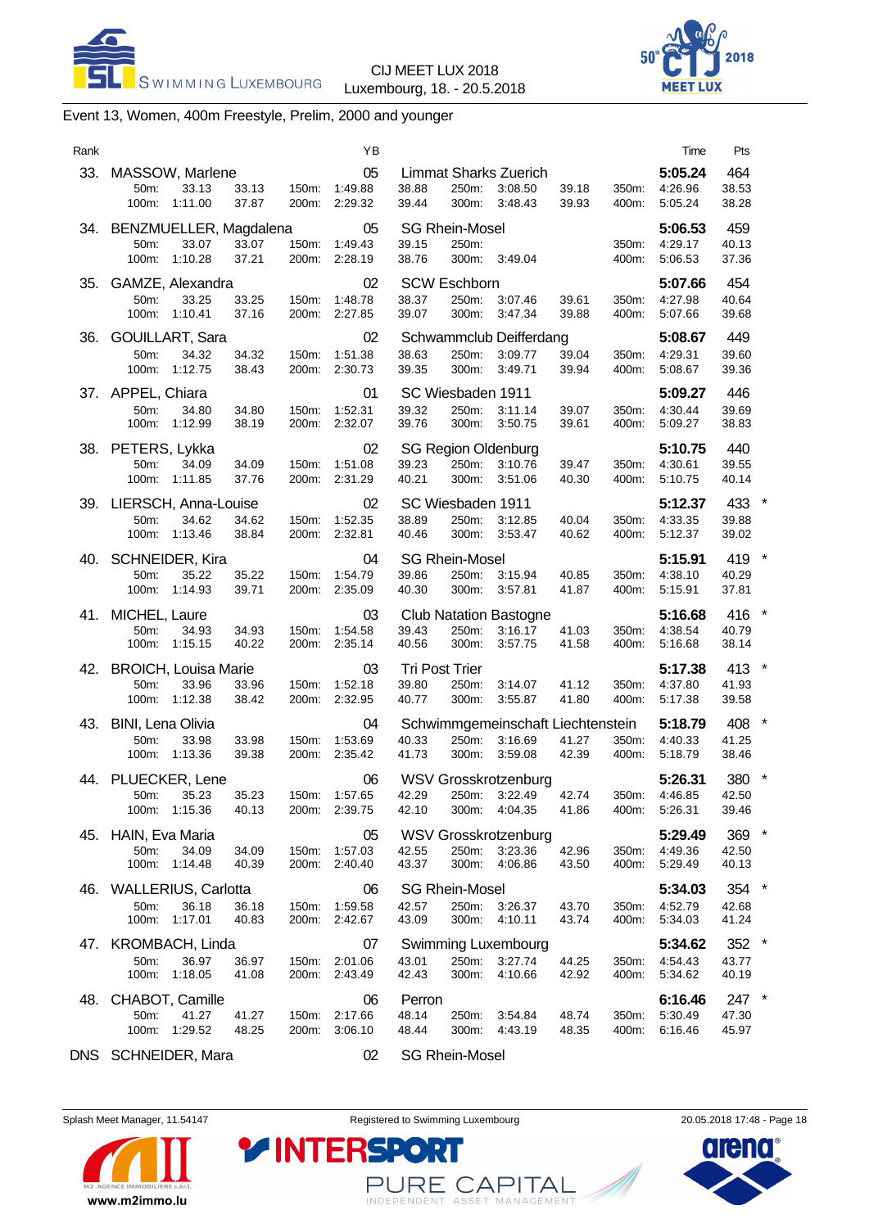



# Event 13, Women, 400m Freestyle, Prelim, 2000 and younger

| Rank |                                                                             |                                  | ΥB                                         | Time                                                                                                                                                             | Pts                       |
|------|-----------------------------------------------------------------------------|----------------------------------|--------------------------------------------|------------------------------------------------------------------------------------------------------------------------------------------------------------------|---------------------------|
|      | 33. MASSOW, Marlene<br>50m:<br>33.13<br>100m:<br>1:11.00                    | 33.13<br>37.87<br>200m:          | 05<br>150m: 1:49.88<br>2:29.32             | 5:05.24<br>Limmat Sharks Zuerich<br>38.88<br>4:26.96<br>250m:<br>3:08.50<br>39.18<br>350m:<br>39.44<br>300m:<br>3:48.43<br>39.93<br>400m:<br>5:05.24             | 464<br>38.53<br>38.28     |
|      | 34. BENZMUELLER, Magdalena<br>33.07<br>50m:<br>100m:<br>1:10.28             | 33.07<br>37.21                   | 05<br>150m: 1:49.43<br>200m: 2:28.19       | <b>SG Rhein-Mosel</b><br>5:06.53<br>39.15<br>250m:<br>350m:<br>4:29.17<br>38.76<br>300m: 3:49.04<br>400m:<br>5:06.53                                             | 459<br>40.13<br>37.36     |
| 35.  | GAMZE, Alexandra<br>50m:<br>33.25<br>100m: 1:10.41                          | 150m:<br>33.25<br>37.16          | 02<br>1:48.78<br>200m: 2:27.85             | <b>SCW Eschborn</b><br>5:07.66<br>38.37<br>250m:<br>39.61<br>350m:<br>4:27.98<br>3:07.46<br>39.07<br>300m:<br>3:47.34<br>39.88<br>400m:<br>5:07.66               | 454<br>40.64<br>39.68     |
| 36.  | GOUILLART, Sara<br>34.32<br>50m:<br>100m:<br>1:12.75                        | 34.32<br>150m:<br>38.43          | 02<br>1:51.38<br>200m: 2:30.73             | Schwammclub Deifferdang<br>5:08.67<br>38.63<br>250m:<br>3:09.77<br>39.04<br>350m:<br>4:29.31<br>39.35<br>300m:<br>3:49.71<br>39.94<br>400m:<br>5:08.67           | 449<br>39.60<br>39.36     |
|      | 37. APPEL, Chiara<br>50m:<br>34.80<br>100m:<br>1:12.99                      | 34.80<br>150m:<br>38.19          | 01<br>1:52.31<br>200m: 2:32.07             | SC Wiesbaden 1911<br>5:09.27<br>39.32<br>250m:<br>3:11.14<br>39.07<br>350m:<br>4:30.44<br>39.76<br>300m:<br>3:50.75<br>5:09.27<br>39.61<br>400m:                 | 446<br>39.69<br>38.83     |
|      | 38. PETERS, Lykka<br>50m:<br>34.09<br>100m:<br>1:11.85                      | 34.09<br>150m:<br>37.76          | 02<br>1:51.08<br>200m: 2:31.29             | <b>SG Region Oldenburg</b><br>5:10.75<br>39.23<br>250m:<br>39.47<br>350m:<br>3:10.76<br>4:30.61<br>40.21<br>300m:<br>3:51.06<br>5:10.75<br>40.30<br>400m:        | 440<br>39.55<br>40.14     |
|      | 39. LIERSCH, Anna-Louise<br>50m:<br>34.62<br>100m:<br>1:13.46               | 34.62<br>150m:<br>38.84          | 02<br>1:52.35<br>200m:<br>2:32.81          | SC Wiesbaden 1911<br>5:12.37<br>38.89<br>250m:<br>40.04<br>350m:<br>4:33.35<br>3:12.85<br>40.46<br>300m:<br>3:53.47<br>40.62<br>400m:<br>5:12.37                 | 433 *<br>39.88<br>39.02   |
|      | 40. SCHNEIDER, Kira<br>50m:<br>35.22<br>100m:<br>1:14.93                    | 35.22<br>150m:<br>39.71<br>200m: | 04<br>1:54.79<br>2:35.09                   | <b>SG Rhein-Mosel</b><br>5:15.91<br>39.86<br>250m: 3:15.94<br>40.85<br>350m:<br>4:38.10<br>40.30<br>300m:<br>3:57.81<br>41.87<br>400m:<br>5:15.91                | 419 *<br>40.29<br>37.81   |
|      | 41. MICHEL, Laure<br>50m:<br>34.93<br>100m: 1:15.15                         | 34.93<br>150m:<br>40.22          | 03<br>1:54.58<br>200m: 2:35.14             | <b>Club Natation Bastogne</b><br>5:16.68<br>39.43<br>250m:<br>350m:<br>3:16.17<br>41.03<br>4:38.54<br>40.56<br>300m:<br>3:57.75<br>41.58<br>400m:<br>5:16.68     | 416 *<br>40.79<br>38.14   |
|      | 42. BROICH, Louisa Marie<br>50m:<br>33.96<br>100m: 1:12.38                  | 150m:<br>33.96<br>38.42          | 03<br>1:52.18<br>200m: 2:32.95             | Tri Post Trier<br>5:17.38<br>39.80<br>250m:<br>350m:<br>4:37.80<br>3:14.07<br>41.12<br>40.77<br>300m:<br>3:55.87<br>41.80<br>400m:<br>5:17.38                    | 413 *<br>41.93<br>39.58   |
|      | 43. BINI, Lena Olivia<br>50m:<br>33.98<br>100m:<br>1:13.36                  | 33.98<br>150m:<br>39.38          | 04<br>1:53.69<br>200m: 2:35.42             | Schwimmgemeinschaft Liechtenstein<br>5:18.79<br>40.33<br>250m:<br>3:16.69<br>41.27<br>350m:<br>4:40.33<br>41.73<br>300m:<br>3:59.08<br>42.39<br>400m:<br>5:18.79 | 408 *<br>41.25<br>38.46   |
|      | 44. PLUECKER, Lene<br>50m: 35.23 35.23 150m: 1:57.65 42.29<br>100m: 1:15.36 | 40.13                            | 06<br>200m: 2:39.75                        | <b>WSV Grosskrotzenburg</b><br>5:26.31<br>250m: 3:22.49  42.74  350m: 4:46.85<br>42.10<br>300m: 4:04.35<br>400m: 5:26.31<br>41.86                                | 380 *<br>42.50<br>39.46   |
|      | 45. HAIN, Eva Maria<br>50m:<br>34.09<br>100m: 1:14.48                       | 34.09<br>40.39                   | 05<br>150m:<br>1:57.03<br>200m: 2:40.40    | WSV Grosskrotzenburg<br>5:29.49<br>250m:<br>3:23.36<br>42.55<br>42.96<br>350m:<br>4:49.36<br>43.37<br>300m: 4:06.86<br>400m:<br>5:29.49<br>43.50                 | 369 *<br>42.50<br>40.13   |
|      | 46. WALLERIUS, Carlotta<br>36.18<br>50m:<br>1:17.01<br>100m:                | 36.18<br>40.83                   | 06<br>150m:<br>1:59.58<br>200m:<br>2:42.67 | <b>SG Rhein-Mosel</b><br>5:34.03<br>42.57<br>250m:<br>4:52.79<br>3:26.37<br>43.70<br>350m:<br>43.09<br>300m:<br>4:10.11<br>43.74<br>400m:<br>5:34.03             | 354 *<br>42.68<br>41.24   |
|      | 47. KROMBACH, Linda<br>50m:<br>36.97<br>100m:<br>1:18.05                    | 36.97<br>41.08                   | 07<br>150m: 2:01.06<br>200m: 2:43.49       | <b>Swimming Luxembourg</b><br>5:34.62<br>250m: 3:27.74<br>43.01<br>44.25<br>350m:<br>4:54.43<br>42.43<br>4:10.66<br>300m:<br>42.92<br>400m:<br>5:34.62           | $352$ *<br>43.77<br>40.19 |
|      | 48. CHABOT, Camille<br>41.27<br>50m:<br>1:29.52<br>100m:                    | 41.27<br>150m:<br>48.25          | 06<br>2:17.66<br>200m: 3:06.10             | 6:16.46<br>Perron<br>48.14<br>250m:<br>3:54.84<br>48.74<br>350m:<br>5:30.49<br>48.44<br>4:43.19<br>300m:<br>48.35<br>400m:<br>6:16.46                            | 247 *<br>47.30<br>45.97   |
|      | DNS SCHNEIDER, Mara                                                         |                                  | 02                                         | <b>SG Rhein-Mosel</b>                                                                                                                                            |                           |

Splash Meet Manager, 11.54147 **Registered to Swimming Luxembourg** 20.05.2018 17:48 - Page 18



PURE CAPITAL

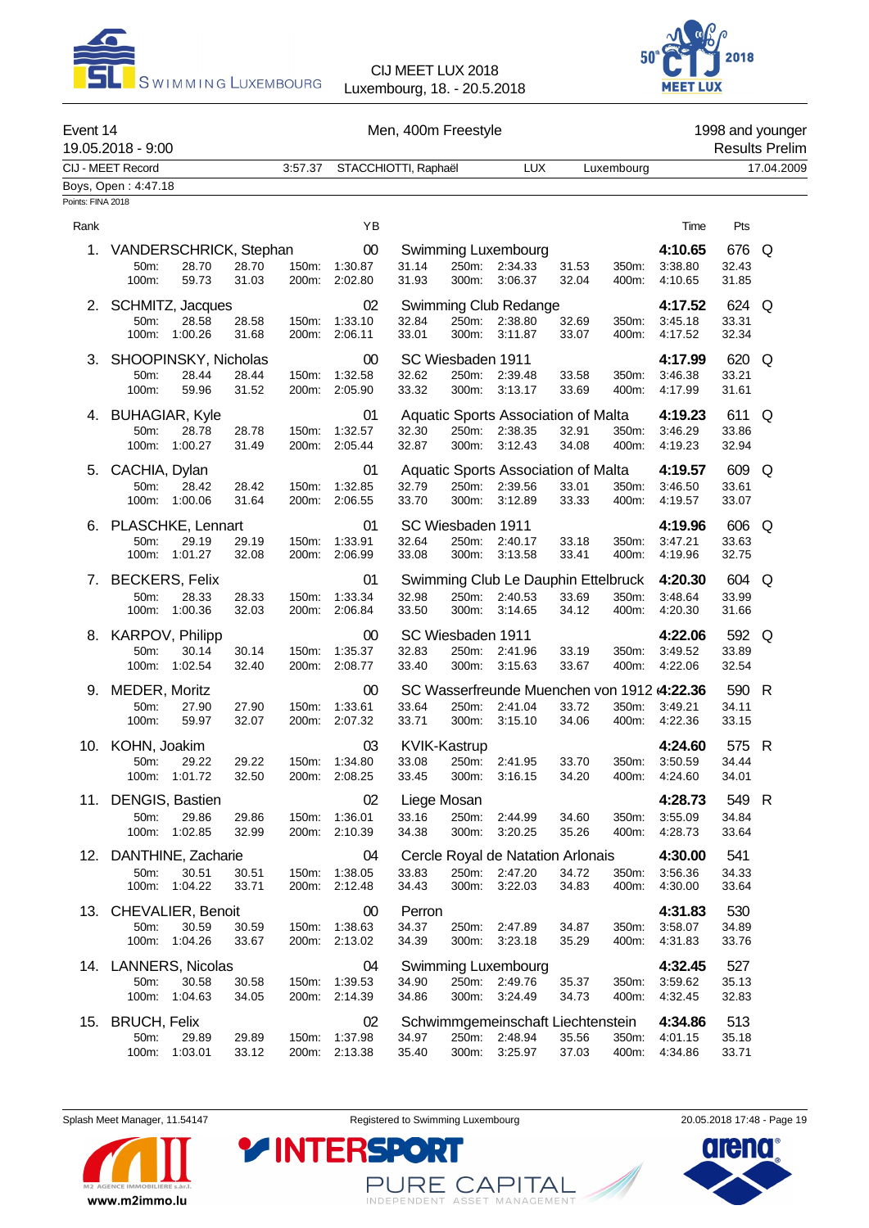



| Event 14          | 19.05.2018 - 9:00                                           |                                  | Men, 400m Freestyle                  |                                              | 1998 and younger<br><b>Results Prelim</b>                                |                                                                                 |                               |                         |            |
|-------------------|-------------------------------------------------------------|----------------------------------|--------------------------------------|----------------------------------------------|--------------------------------------------------------------------------|---------------------------------------------------------------------------------|-------------------------------|-------------------------|------------|
|                   | CIJ - MEET Record                                           | 3:57.37                          |                                      | STACCHIOTTI, Raphaël                         | <b>LUX</b>                                                               | Luxembourg                                                                      |                               |                         | 17.04.2009 |
| Points: FINA 2018 | Boys, Open: 4:47.18                                         |                                  |                                      |                                              |                                                                          |                                                                                 |                               |                         |            |
| Rank              |                                                             |                                  | ΥB                                   |                                              |                                                                          |                                                                                 | Time                          | Pts                     |            |
| 1.                | VANDERSCHRICK, Stephan<br>50m:<br>28.70<br>59.73<br>100m:   | 28.70<br>150m:<br>31.03<br>200m: | $00\,$<br>1:30.87<br>2:02.80         | 31.14<br>31.93                               | Swimming Luxembourg<br>250m:<br>2:34.33<br>300m:<br>3:06.37              | 31.53<br>350m:<br>32.04<br>400m:                                                | 4:10.65<br>3:38.80<br>4:10.65 | 676 Q<br>32.43<br>31.85 |            |
|                   | 2. SCHMITZ, Jacques<br>50m:<br>28.58<br>100m:<br>1:00.26    | 28.58<br>150m:<br>31.68<br>200m: | 02<br>1:33.10<br>2:06.11             | 32.84<br>33.01                               | Swimming Club Redange<br>250m: 2:38.80<br>300m:<br>3:11.87               | 32.69<br>350m:<br>33.07<br>400m:                                                | 4:17.52<br>3:45.18<br>4:17.52 | 624 Q<br>33.31<br>32.34 |            |
|                   | 3. SHOOPINSKY, Nicholas<br>50m:<br>28.44<br>100m:<br>59.96  | 28.44<br>150m:<br>31.52<br>200m: | 00<br>1:32.58<br>2:05.90             | SC Wiesbaden 1911<br>32.62<br>33.32<br>300m: | 250m:<br>2:39.48<br>3:13.17                                              | 33.58<br>350m:<br>33.69<br>400m:                                                | 4:17.99<br>3:46.38<br>4:17.99 | 620 Q<br>33.21<br>31.61 |            |
|                   | 4. BUHAGIAR, Kyle<br>50m:<br>28.78<br>100m:<br>1:00.27      | 28.78<br>150m:<br>31.49<br>200m: | 01<br>1:32.57<br>2:05.44             | 32.30<br>300m:<br>32.87                      | Aquatic Sports Association of Malta<br>250m:<br>2:38.35<br>3:12.43       | 32.91<br>350m:<br>34.08<br>400m:                                                | 4:19.23<br>3:46.29<br>4:19.23 | 611 Q<br>33.86<br>32.94 |            |
|                   | 5. CACHIA, Dylan<br>50m:<br>28.42<br>100m:<br>1:00.06       | 28.42<br>150m:<br>31.64          | 01<br>1:32.85<br>200m: 2:06.55       | 32.79<br>33.70                               | Aquatic Sports Association of Malta<br>250m: 2:39.56<br>300m:<br>3:12.89 | 33.01<br>350m:<br>33.33<br>400m:                                                | 4:19.57<br>3:46.50<br>4:19.57 | 609 Q<br>33.61<br>33.07 |            |
|                   | 6. PLASCHKE, Lennart<br>29.19<br>50m:<br>100m: 1:01.27      | 150m:<br>29.19<br>32.08          | 01<br>1:33.91<br>200m: 2:06.99       | SC Wiesbaden 1911<br>32.64<br>33.08          | 250m:<br>2:40.17<br>300m: 3:13.58                                        | 350m:<br>33.18<br>33.41<br>400m:                                                | 4:19.96<br>3:47.21<br>4:19.96 | 606 Q<br>33.63<br>32.75 |            |
|                   | 7. BECKERS, Felix<br>50m:<br>28.33<br>100m:<br>1:00.36      | 28.33<br>150m:<br>32.03          | 01<br>1:33.34<br>200m: 2:06.84       | 32.98<br>33.50                               | 250m: 2:40.53<br>300m:<br>3:14.65                                        | Swimming Club Le Dauphin Ettelbruck<br>350m:<br>33.69<br>34.12<br>400m:         | 4:20.30<br>3:48.64<br>4:20.30 | 604 Q<br>33.99<br>31.66 |            |
|                   | 8. KARPOV, Philipp<br>50m:<br>30.14<br>100m:<br>1:02.54     | 30.14<br>150m:<br>32.40<br>200m: | 00<br>1:35.37<br>2:08.77             | SC Wiesbaden 1911<br>32.83<br>33.40          | 250m:<br>2:41.96<br>300m:<br>3:15.63                                     | 33.19<br>350m:<br>33.67<br>400m:                                                | 4:22.06<br>3:49.52<br>4:22.06 | 592 Q<br>33.89<br>32.54 |            |
|                   | 9. MEDER, Moritz<br>50m:<br>27.90<br>100m:<br>59.97         | 27.90<br>150m:<br>32.07          | 00<br>1:33.61<br>200m: 2:07.32       | 33.64<br>33.71                               | 250m:<br>2:41.04<br>300m:<br>3:15.10                                     | SC Wasserfreunde Muenchen von 1912 (4:22.36<br>33.72<br>350m:<br>34.06<br>400m: | 3:49.21<br>4:22.36            | 590 R<br>34.11<br>33.15 |            |
|                   | 10. KOHN, Joakim<br>29.22<br>50m:<br>100m: 1:01.72          | 29.22<br>32.50                   | 03<br>150m: 1:34.80<br>200m: 2:08.25 | <b>KVIK-Kastrup</b><br>33.08<br>33.45        | 250m: 2:41.95<br>300m:<br>3:16.15                                        | 33.70<br>350m:<br>34.20<br>400m:                                                | 4:24.60<br>3:50.59<br>4:24.60 | 575 R<br>34.44<br>34.01 |            |
|                   | 11. DENGIS, Bastien<br>50m:<br>29.86<br>100m:<br>1:02.85    | 29.86<br>150m:<br>32.99<br>200m: | 02<br>1:36.01<br>2:10.39             | Liege Mosan<br>33.16<br>34.38                | 250m:<br>2:44.99<br>300m:<br>3:20.25                                     | 34.60<br>350m:<br>35.26<br>400m:                                                | 4:28.73<br>3:55.09<br>4:28.73 | 549 R<br>34.84<br>33.64 |            |
|                   | 12. DANTHINE, Zacharie<br>50m:<br>30.51<br>1:04.22<br>100m: | 30.51<br>150m:<br>33.71          | 04<br>1:38.05<br>200m: 2:12.48       | 33.83<br>34.43                               | Cercle Royal de Natation Arlonais<br>250m: 2:47.20<br>3:22.03<br>300m:   | 34.72<br>350m:<br>34.83<br>400m:                                                | 4:30.00<br>3:56.36<br>4:30.00 | 541<br>34.33<br>33.64   |            |
|                   | 13. CHEVALIER, Benoit<br>50m:<br>30.59<br>1:04.26<br>100m:  | 30.59<br>150m:<br>33.67<br>200m: | 00<br>1:38.63<br>2:13.02             | Perron<br>34.37<br>250m:<br>34.39            | 2:47.89<br>300m:<br>3:23.18                                              | 34.87<br>350m:<br>35.29<br>400m:                                                | 4:31.83<br>3:58.07<br>4:31.83 | 530<br>34.89<br>33.76   |            |
|                   | 14. LANNERS, Nicolas<br>50m:<br>30.58<br>100m:<br>1:04.63   | 30.58<br>150m:<br>34.05<br>200m: | 04<br>1:39.53<br>2:14.39             | 34.90<br>34.86<br>300m:                      | <b>Swimming Luxembourg</b><br>250m:<br>2:49.76<br>3:24.49                | 35.37<br>350m:<br>34.73<br>400m:                                                | 4:32.45<br>3:59.62<br>4:32.45 | 527<br>35.13<br>32.83   |            |
|                   | 15. BRUCH, Felix<br>50m:<br>29.89<br>100m:<br>1:03.01       | 29.89<br>33.12                   | 02<br>150m: 1:37.98<br>200m: 2:13.38 | 34.97<br>35.40                               | 250m: 2:48.94<br>300m:<br>3:25.97                                        | Schwimmgemeinschaft Liechtenstein<br>35.56<br>350m:<br>37.03<br>400m:           | 4:34.86<br>4:01.15<br>4:34.86 | 513<br>35.18<br>33.71   |            |

Splash Meet Manager, 11.54147 **Registered to Swimming Luxembourg** 20.05.2018 17:48 - Page 19



PURE CAPITAL

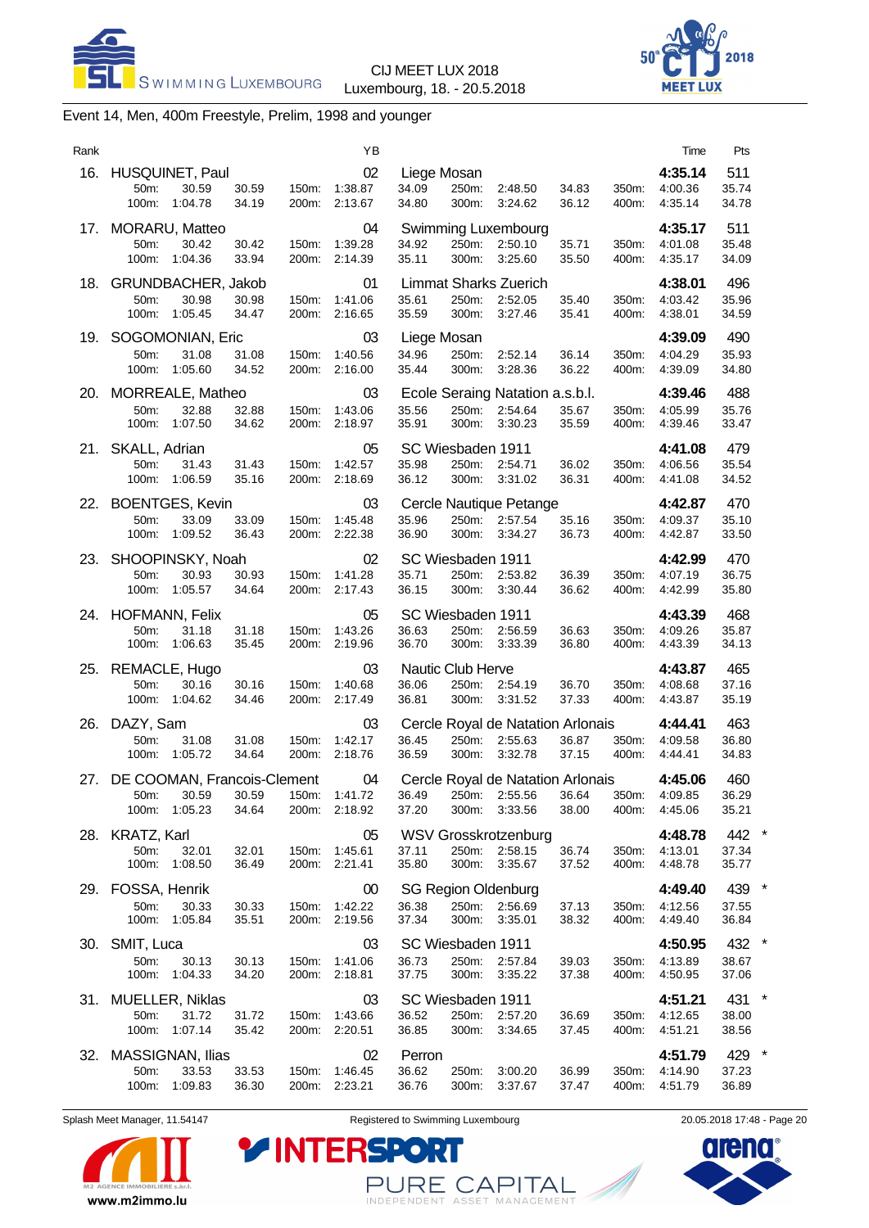



# Event 14, Men, 400m Freestyle, Prelim, 1998 and younger

| Rank |                                                                      |                                  | ΥB                             |                                              |                |                                                         |                |                | Time                          | Pts                                               |
|------|----------------------------------------------------------------------|----------------------------------|--------------------------------|----------------------------------------------|----------------|---------------------------------------------------------|----------------|----------------|-------------------------------|---------------------------------------------------|
| 16.  | HUSQUINET, Paul<br>50m:<br>30.59<br>100m:<br>1:04.78                 | 30.59<br>150m:<br>34.19<br>200m: | 02<br>1:38.87<br>2:13.67       | Liege Mosan<br>34.09<br>34.80                | 250m:<br>300m: | 2:48.50<br>3:24.62                                      | 34.83<br>36.12 | 350m:<br>400m: | 4:35.14<br>4:00.36<br>4:35.14 | 511<br>35.74<br>34.78                             |
| 17.  | MORARU, Matteo<br>50m:<br>30.42<br>1:04.36<br>100m:                  | 30.42<br>150m:<br>33.94          | 04<br>1:39.28<br>200m: 2:14.39 | 34.92<br>35.11                               | 250m:<br>300m: | Swimming Luxembourg<br>2:50.10<br>3:25.60               | 35.71<br>35.50 | 350m:<br>400m: | 4:35.17<br>4:01.08<br>4:35.17 | 511<br>35.48<br>34.09                             |
| 18.  | GRUNDBACHER, Jakob<br>50m:<br>30.98<br>100m:<br>1:05.45              | 30.98<br>150m:<br>34.47<br>200m: | 01<br>1:41.06<br>2:16.65       | 35.61<br>35.59                               | 250m:<br>300m: | <b>Limmat Sharks Zuerich</b><br>2:52.05<br>3:27.46      | 35.40<br>35.41 | 350m:<br>400m: | 4:38.01<br>4:03.42<br>4:38.01 | 496<br>35.96<br>34.59                             |
| 19.  | SOGOMONIAN, Eric<br>31.08<br>50m:<br>100m:<br>1:05.60                | 31.08<br>150m:<br>34.52<br>200m: | 03<br>1:40.56<br>2:16.00       | Liege Mosan<br>34.96<br>35.44                | 250m:<br>300m: | 2:52.14<br>3:28.36                                      | 36.14<br>36.22 | 350m:<br>400m: | 4:39.09<br>4:04.29<br>4:39.09 | 490<br>35.93<br>34.80                             |
| 20.  | MORREALE, Matheo<br>32.88<br>50m:<br>100m:<br>1:07.50                | 32.88<br>150m:<br>34.62<br>200m: | 03<br>1:43.06<br>2:18.97       | 35.56<br>35.91                               | 250m:<br>300m: | Ecole Seraing Natation a.s.b.l.<br>2:54.64<br>3:30.23   | 35.67<br>35.59 | 350m:<br>400m: | 4:39.46<br>4:05.99<br>4:39.46 | 488<br>35.76<br>33.47                             |
| 21.  | SKALL, Adrian<br>50m:<br>31.43<br>100m:<br>1:06.59                   | 31.43<br>150m:<br>35.16<br>200m: | 05<br>1:42.57<br>2:18.69       | SC Wiesbaden 1911<br>35.98<br>36.12          | 250m:<br>300m: | 2:54.71<br>3:31.02                                      | 36.02<br>36.31 | 350m:<br>400m: | 4:41.08<br>4:06.56<br>4:41.08 | 479<br>35.54<br>34.52                             |
|      | 22. BOENTGES, Kevin<br>33.09<br>50m:<br>100m:<br>1:09.52             | 33.09<br>150m:<br>36.43<br>200m: | 03<br>1.45.48<br>2:22.38       | 35.96<br>36.90                               | 250m:<br>300m: | Cercle Nautique Petange<br>2:57.54<br>3:34.27           | 35.16<br>36.73 | 350m:<br>400m: | 4:42.87<br>4:09.37<br>4:42.87 | 470<br>35.10<br>33.50                             |
| 23.  | SHOOPINSKY, Noah<br>50m:<br>30.93<br>100m: 1:05.57                   | 30.93<br>150m:<br>34.64          | 02<br>1:41.28<br>200m: 2:17.43 | SC Wiesbaden 1911<br>35.71<br>36.15          | 250m:<br>300m: | 2:53.82<br>3:30.44                                      | 36.39<br>36.62 | 350m:<br>400m: | 4:42.99<br>4:07.19<br>4:42.99 | 470<br>36.75<br>35.80                             |
|      | 24. HOFMANN, Felix<br>50m:<br>31.18<br>100m:<br>1:06.63              | 31.18<br>150m:<br>35.45          | 05<br>1:43.26<br>200m: 2:19.96 | SC Wiesbaden 1911<br>36.63<br>36.70          | 250m:<br>300m: | 2:56.59<br>3:33.39                                      | 36.63<br>36.80 | 350m:<br>400m: | 4:43.39<br>4:09.26<br>4:43.39 | 468<br>35.87<br>34.13                             |
| 25.  | REMACLE, Hugo<br>50m:<br>30.16<br>100m:<br>1:04.62                   | 30.16<br>150m:<br>200m:<br>34.46 | 03<br>1:40.68<br>2:17.49       | Nautic Club Herve<br>36.06<br>36.81          | 300m:          | 250m: 2:54.19<br>3:31.52                                | 36.70<br>37.33 | 350m:<br>400m: | 4:43.87<br>4:08.68<br>4:43.87 | 465<br>37.16<br>35.19                             |
| 26.  | DAZY, Sam<br>50m:<br>31.08<br>100m:<br>1:05.72                       | 31.08<br>150m:<br>34.64<br>200m: | 03<br>1:42.17<br>2:18.76       | 36.45<br>36.59                               | 250m:<br>300m: | Cercle Royal de Natation Arlonais<br>2:55.63<br>3:32.78 | 36.87<br>37.15 | 350m:<br>400m: | 4:44.41<br>4:09.58<br>4:44.41 | 463<br>36.80<br>34.83                             |
|      | 27. DE COOMAN, Francois-Clement<br>50m.<br>30.59<br>100m:<br>1:05.23 | 30.59<br>150m:<br>34.64          | 04<br>1:41.72<br>200m: 2:18.92 | 36.49<br>37.20                               | 250m:<br>300m: | Cercle Royal de Natation Arlonais<br>2:55.56<br>3:33.56 | 36.64<br>38.00 | 350m:<br>400m: | 4:45.06<br>4.09.85<br>4:45.06 | 460<br>36.29<br>35.21                             |
| 28.  | <b>KRATZ, Karl</b><br>50m:<br>32.01<br>1:08.50<br>100m:              | 32.01<br>150m:<br>36.49          | 05<br>1:45.61<br>200m: 2:21.41 | 37.11<br>35.80                               | $300m$ :       | <b>WSV Grosskrotzenburg</b><br>250m: 2:58.15<br>3:35.67 | 36.74<br>37.52 | 350m:<br>400m: | 4:48.78<br>4:13.01<br>4:48.78 | 442 *<br>37.34<br>35.77                           |
|      | 29. FOSSA, Henrik<br>50m:<br>30.33<br>100m:<br>1:05.84               | 30.33<br>150m:<br>35.51<br>200m: | 00<br>1:42.22<br>2:19.56       | <b>SG Region Oldenburg</b><br>36.38<br>37.34 | 300m:          | 250m: 2:56.69<br>3:35.01                                | 37.13<br>38.32 | 350m:<br>400m: | 4:49.40<br>4:12.56<br>4:49.40 | $\overline{\phantom{a}}$<br>439<br>37.55<br>36.84 |
|      | 30. SMIT, Luca<br>50m:<br>30.13<br>100m:<br>1:04.33                  | 150m:<br>30.13<br>34.20          | 03<br>1:41.06<br>200m: 2:18.81 | SC Wiesbaden 1911<br>36.73<br>37.75          | 250m:<br>300m: | 2:57.84<br>3:35.22                                      | 39.03<br>37.38 | 350m:<br>400m: | 4:50.95<br>4:13.89<br>4:50.95 | 432 *<br>38.67<br>37.06                           |
|      | 31. MUELLER, Niklas<br>50m:<br>31.72<br>100m:<br>1:07.14             | 31.72<br>150m:<br>35.42<br>200m: | 03<br>1:43.66<br>2:20.51       | SC Wiesbaden 1911<br>36.52<br>36.85          | 250m:<br>300m: | 2:57.20<br>3:34.65                                      | 36.69<br>37.45 | 350m:<br>400m: | 4:51.21<br>4:12.65<br>4:51.21 | 431 *<br>38.00<br>38.56                           |
|      | 32. MASSIGNAN, Ilias<br>50m:<br>33.53<br>1:09.83<br>100m:            | 33.53<br>150m:<br>36.30<br>200m: | 02<br>1:46.45<br>2:23.21       | Perron<br>36.62<br>36.76                     | 250m:<br>300m: | 3:00.20<br>3:37.67                                      | 36.99<br>37.47 | 350m:<br>400m: | 4:51.79<br>4:14.90<br>4:51.79 | 429 *<br>37.23<br>36.89                           |



Splash Meet Manager, 11.54147 **Registered to Swimming Luxembourg** 2005 2005 2018 17:48 - Page 20

PURE CAPITAL

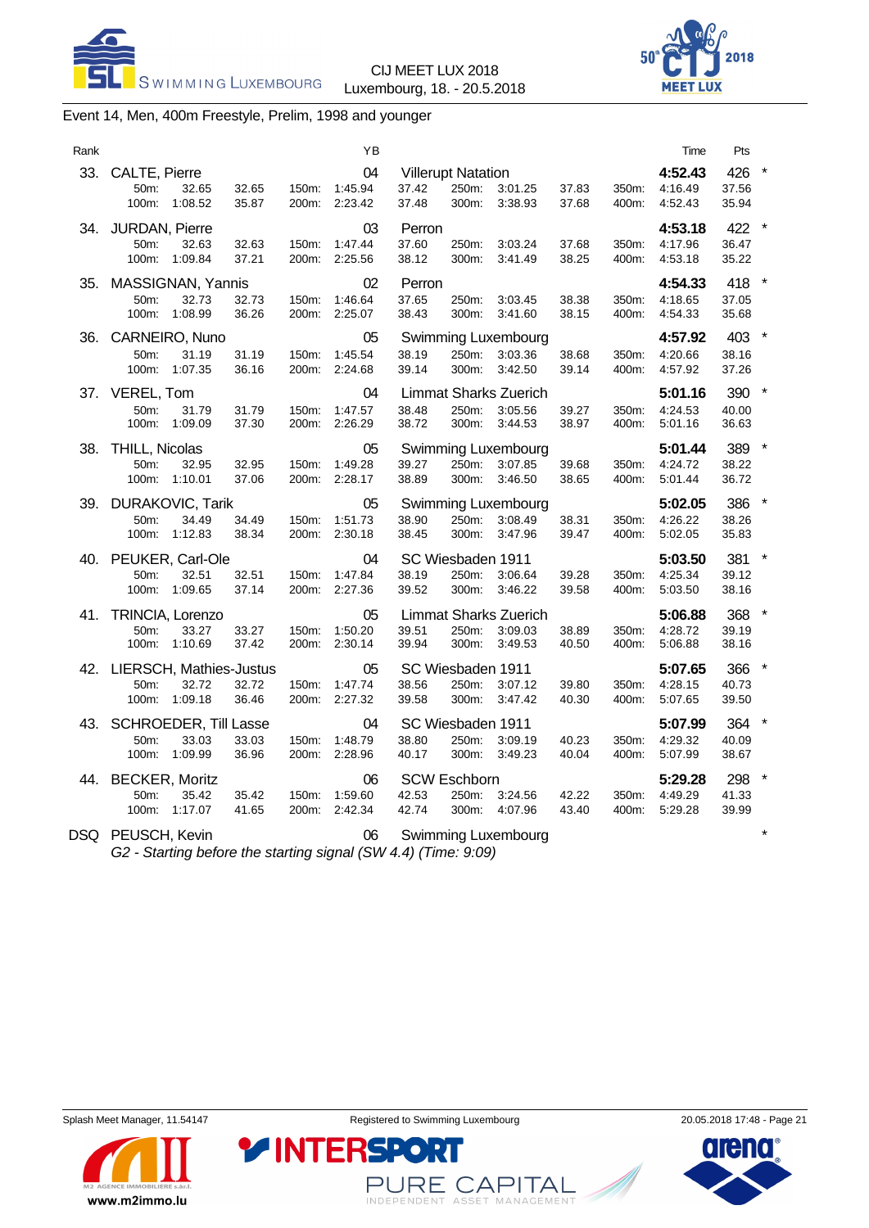



# Event 14, Men, 400m Freestyle, Prelim, 1998 and younger

| Rank |                                                                |                |                | YB                             |                                             |                |                                                    |                |                | Time                          | Pts                     |         |
|------|----------------------------------------------------------------|----------------|----------------|--------------------------------|---------------------------------------------|----------------|----------------------------------------------------|----------------|----------------|-------------------------------|-------------------------|---------|
|      | 33. CALTE, Pierre<br>50m:<br>32.65<br>100m:<br>1:08.52         | 32.65<br>35.87 | 150m:          | 04<br>1:45.94<br>200m: 2:23.42 | <b>Villerupt Natation</b><br>37.42<br>37.48 | 250m:<br>300m: | 3:01.25<br>3:38.93                                 | 37.83<br>37.68 | 350m:<br>400m: | 4:52.43<br>4:16.49<br>4.52.43 | 426<br>37.56<br>35.94   |         |
|      | 34. JURDAN, Pierre<br>32.63<br>50m:<br>100m:<br>1:09.84        | 32.63<br>37.21 | 150m:          | 03<br>1:47.44<br>200m: 2:25.56 | Perron<br>37.60<br>38.12                    | 250m:<br>300m: | 3:03.24<br>3:41.49                                 | 37.68<br>38.25 | 350m:<br>400m: | 4:53.18<br>4:17.96<br>4:53.18 | 422<br>36.47<br>35.22   |         |
| 35.  | MASSIGNAN, Yannis<br>32.73<br>50m:<br>100m:<br>1:08.99         | 32.73<br>36.26 | 150m:          | 02<br>1:46.64<br>200m: 2:25.07 | Perron<br>37.65<br>38.43                    | 250m:<br>300m: | 3:03.45<br>3:41.60                                 | 38.38<br>38.15 | 350m:<br>400m: | 4:54.33<br>4:18.65<br>4:54.33 | 418 *<br>37.05<br>35.68 |         |
| 36.  | CARNEIRO, Nuno<br>50m:<br>31.19<br>100m:<br>1:07.35            | 31.19<br>36.16 | 150m:          | 05<br>1:45.54<br>200m: 2:24.68 | 38.19<br>39.14                              | 250m:<br>300m: | <b>Swimming Luxembourg</b><br>3:03.36<br>3:42.50   | 38.68<br>39.14 | 350m:<br>400m: | 4:57.92<br>4:20.66<br>4:57.92 | 403 *<br>38.16<br>37.26 |         |
| 37.  | VEREL, Tom<br>50m:<br>31.79<br>100m:<br>1:09.09                | 31.79<br>37.30 | 150m:<br>200m: | 04<br>1:47.57<br>2:26.29       | 38.48<br>38.72                              | 250m:<br>300m: | <b>Limmat Sharks Zuerich</b><br>3:05.56<br>3:44.53 | 39.27<br>38.97 | 350m:<br>400m: | 5:01.16<br>4:24.53<br>5:01.16 | 390<br>40.00<br>36.63   |         |
|      | 38. THILL, Nicolas<br>32.95<br>50m:<br>100m:<br>1:10.01        | 32.95<br>37.06 | 150m:          | 05<br>1:49.28<br>200m: 2:28.17 | 39.27<br>38.89                              | 250m:<br>300m: | Swimming Luxembourg<br>3:07.85<br>3:46.50          | 39.68<br>38.65 | 350m:<br>400m: | 5:01.44<br>4:24.72<br>5:01.44 | 389<br>38.22<br>36.72   |         |
|      | 39. DURAKOVIC, Tarik<br>34.49<br>50m:<br>1:12.83<br>100m:      | 34.49<br>38.34 | 150m:          | 05<br>1:51.73<br>200m: 2:30.18 | 38.90<br>38.45                              | 250m:<br>300m: | Swimming Luxembourg<br>3:08.49<br>3:47.96          | 38.31<br>39.47 | 350m:<br>400m: | 5:02.05<br>4:26.22<br>5:02.05 | 386<br>38.26<br>35.83   |         |
|      | 40. PEUKER, Carl-Ole<br>50m:<br>32.51<br>100m: 1:09.65         | 32.51<br>37.14 | 150m:          | 04<br>1:47.84<br>200m: 2:27.36 | SC Wiesbaden 1911<br>38.19<br>39.52         | 250m:<br>300m: | 3:06.64<br>3:46.22                                 | 39.28<br>39.58 | 350m:<br>400m: | 5:03.50<br>4:25.34<br>5:03.50 | 381<br>39.12<br>38.16   |         |
| 41.  | TRINCIA, Lorenzo<br>50m:<br>33.27<br>100m: 1:10.69             | 33.27<br>37.42 | 150m:          | 05<br>1:50.20<br>200m: 2:30.14 | 39.51<br>39.94                              | 250m:<br>300m: | <b>Limmat Sharks Zuerich</b><br>3:09.03<br>3:49.53 | 38.89<br>40.50 | 350m:<br>400m: | 5:06.88<br>4:28.72<br>5:06.88 | 368<br>39.19<br>38.16   |         |
|      | 42. LIERSCH, Mathies-Justus<br>50m:<br>32.72<br>100m: 1:09.18  | 32.72<br>36.46 | 150m:          | 05<br>1:47.74<br>200m: 2:27.32 | SC Wiesbaden 1911<br>38.56<br>39.58         | 250m:<br>300m: | 3:07.12<br>3:47.42                                 | 39.80<br>40.30 | 350m:<br>400m: | 5:07.65<br>4:28.15<br>5:07.65 | 366<br>40.73<br>39.50   |         |
|      | 43. SCHROEDER, Till Lasse<br>33.03<br>50m:<br>1:09.99<br>100m: | 33.03<br>36.96 | 150m:          | 04<br>1:48.79<br>200m: 2:28.96 | SC Wiesbaden 1911<br>38.80<br>40.17         | 250m:<br>300m: | 3:09.19<br>3:49.23                                 | 40.23<br>40.04 | 350m:<br>400m: | 5:07.99<br>4:29.32<br>5:07.99 | 364<br>40.09<br>38.67   |         |
|      | 44. BECKER, Moritz<br>35.42<br>50m:<br>100m:<br>1:17.07        | 35.42<br>41.65 | 150m:<br>200m: | 06<br>1:59.60<br>2:42.34       | <b>SCW Eschborn</b><br>42.53<br>42.74       | 250m:<br>300m: | 3:24.56<br>4:07.96                                 | 42.22<br>43.40 | 350m:<br>400m: | 5:29.28<br>4:49.29<br>5:29.28 | 298<br>41.33<br>39.99   | $\star$ |
|      | DSQ PEUSCH, Kevin                                              |                |                | 06                             |                                             |                | Swimming Luxembourg                                |                |                |                               |                         |         |

*G2 - Starting before the starting signal (SW 4.4) (Time: 9:09)*

**YINTERSPO** 



PURE CAPITAL

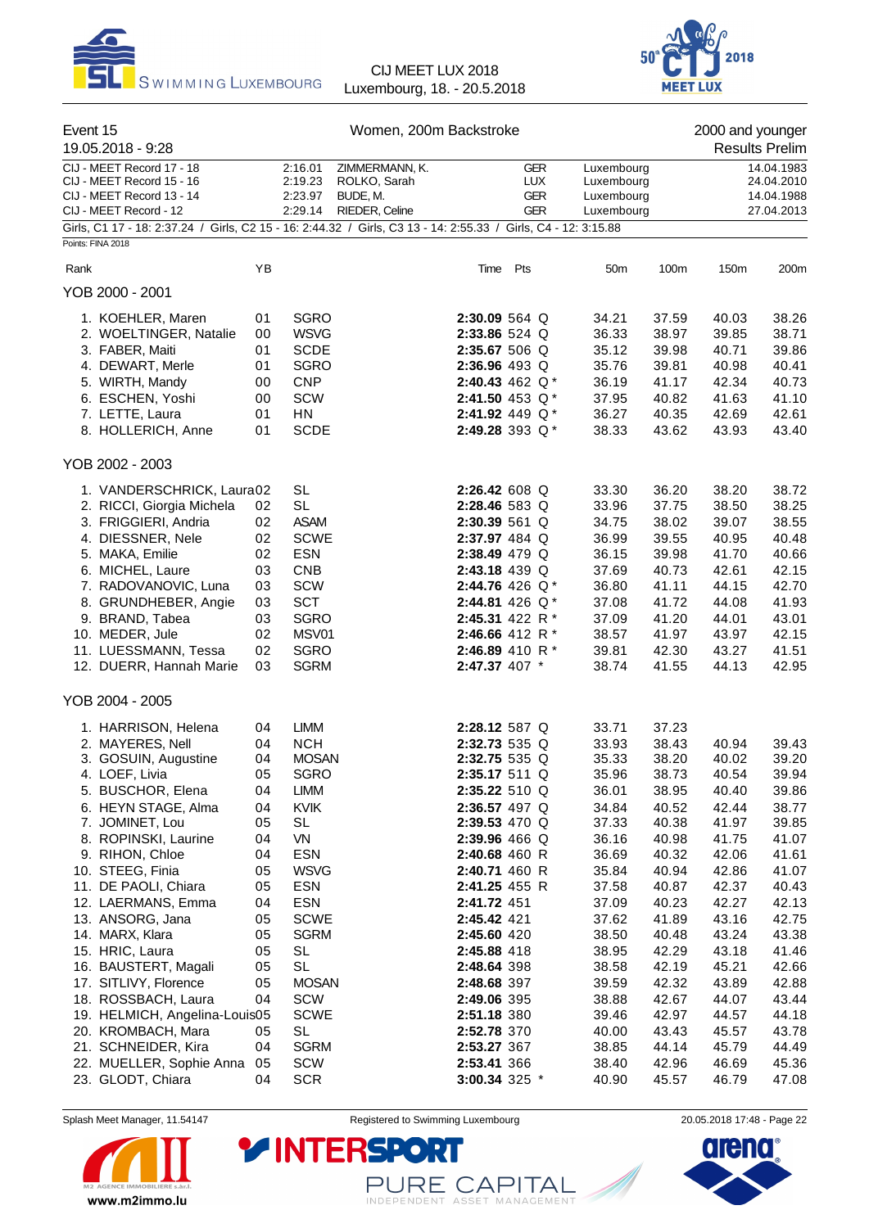



| Event 15<br>19.05.2018 - 9:28                                                                                                       |          |                                          | Women, 200m Backstroke                                       |                                |                                               |                                                      |                | 2000 and younger | <b>Results Prelim</b>                                |
|-------------------------------------------------------------------------------------------------------------------------------------|----------|------------------------------------------|--------------------------------------------------------------|--------------------------------|-----------------------------------------------|------------------------------------------------------|----------------|------------------|------------------------------------------------------|
| CIJ - MEET Record 17 - 18<br>CIJ - MEET Record 15 - 16<br>CIJ - MEET Record 13 - 14<br>CIJ - MEET Record - 12                       |          | 2:16.01<br>2:19.23<br>2:23.97<br>2:29.14 | ZIMMERMANN, K.<br>ROLKO, Sarah<br>BUDE, M.<br>RIEDER, Celine |                                | <b>GER</b><br><b>LUX</b><br>GER<br><b>GER</b> | Luxembourg<br>Luxembourg<br>Luxembourg<br>Luxembourg |                |                  | 14.04.1983<br>24.04.2010<br>14.04.1988<br>27.04.2013 |
| Girls, C1 17 - 18: 2:37.24 / Girls, C2 15 - 16: 2:44.32 / Girls, C3 13 - 14: 2:55.33 / Girls, C4 - 12: 3:15.88<br>Points: FINA 2018 |          |                                          |                                                              |                                |                                               |                                                      |                |                  |                                                      |
|                                                                                                                                     |          |                                          |                                                              |                                |                                               |                                                      |                |                  |                                                      |
| Rank                                                                                                                                | YB       |                                          |                                                              |                                | Time Pts                                      | 50 <sub>m</sub>                                      | 100m           | 150m             | 200m                                                 |
| YOB 2000 - 2001                                                                                                                     |          |                                          |                                                              |                                |                                               |                                                      |                |                  |                                                      |
| 1. KOEHLER, Maren                                                                                                                   | 01       | <b>SGRO</b>                              |                                                              | 2:30.09 564 Q                  |                                               | 34.21                                                | 37.59          | 40.03            | 38.26                                                |
| 2. WOELTINGER, Natalie                                                                                                              | 00       | <b>WSVG</b>                              |                                                              | 2:33.86 524 Q                  |                                               | 36.33                                                | 38.97          | 39.85            | 38.71                                                |
| 3. FABER, Maiti                                                                                                                     | 01       | <b>SCDE</b>                              |                                                              | 2:35.67 506 Q                  |                                               | 35.12                                                | 39.98          | 40.71            | 39.86                                                |
| 4. DEWART, Merle                                                                                                                    | 01       | <b>SGRO</b>                              |                                                              | 2:36.96 493 Q                  |                                               | 35.76                                                | 39.81          | 40.98            | 40.41                                                |
| 5. WIRTH, Mandy                                                                                                                     | 00       | <b>CNP</b>                               |                                                              |                                | 2:40.43 462 Q*                                | 36.19                                                | 41.17          | 42.34            | 40.73                                                |
| 6. ESCHEN, Yoshi                                                                                                                    | 00       | SCW                                      |                                                              |                                | 2:41.50 453 Q*                                | 37.95                                                | 40.82          | 41.63            | 41.10                                                |
| 7. LETTE, Laura                                                                                                                     | 01       | HN                                       |                                                              |                                | 2:41.92 449 $Q^*$                             | 36.27                                                | 40.35          | 42.69            | 42.61                                                |
| 8. HOLLERICH, Anne                                                                                                                  | 01       | <b>SCDE</b>                              |                                                              |                                | 2:49.28 393 Q*                                | 38.33                                                | 43.62          | 43.93            | 43.40                                                |
| YOB 2002 - 2003                                                                                                                     |          |                                          |                                                              |                                |                                               |                                                      |                |                  |                                                      |
| 1. VANDERSCHRICK, Laura02                                                                                                           |          | SL                                       |                                                              | 2:26.42 608 Q                  |                                               | 33.30                                                | 36.20          | 38.20            | 38.72                                                |
| 2. RICCI, Giorgia Michela                                                                                                           | 02       | <b>SL</b>                                |                                                              | 2:28.46 583 Q                  |                                               | 33.96                                                | 37.75          | 38.50            | 38.25                                                |
| 3. FRIGGIERI, Andria                                                                                                                | 02       | <b>ASAM</b>                              |                                                              | 2:30.39 561 Q                  |                                               | 34.75                                                | 38.02          | 39.07            | 38.55                                                |
| 4. DIESSNER, Nele                                                                                                                   | 02       | <b>SCWE</b>                              |                                                              | 2:37.97 484 Q                  |                                               | 36.99                                                | 39.55          | 40.95            | 40.48                                                |
| 5. MAKA, Emilie                                                                                                                     | 02       | <b>ESN</b>                               |                                                              | 2:38.49 479 Q                  |                                               | 36.15                                                | 39.98          | 41.70            | 40.66                                                |
| 6. MICHEL, Laure                                                                                                                    | 03       | <b>CNB</b>                               |                                                              | 2:43.18 439 Q                  |                                               | 37.69                                                | 40.73          | 42.61            | 42.15                                                |
| 7. RADOVANOVIC, Luna                                                                                                                | 03       | SCW                                      |                                                              |                                | 2:44.76 426 Q*                                | 36.80                                                | 41.11          | 44.15            | 42.70                                                |
| 8. GRUNDHEBER, Angie                                                                                                                | 03       | <b>SCT</b>                               |                                                              |                                | 2:44.81 426 $Q^*$                             | 37.08                                                | 41.72          | 44.08            | 41.93                                                |
| 9. BRAND, Tabea                                                                                                                     | 03       | <b>SGRO</b>                              |                                                              |                                | 2:45.31 422 R *                               | 37.09                                                | 41.20          | 44.01            | 43.01                                                |
| 10. MEDER, Jule                                                                                                                     | 02       | MSV01                                    |                                                              |                                | 2:46.66 412 R $*$                             | 38.57                                                | 41.97          | 43.97            | 42.15                                                |
| 11. LUESSMANN, Tessa                                                                                                                | 02       | <b>SGRO</b>                              |                                                              |                                | 2:46.89 410 R $*$                             | 39.81                                                | 42.30          | 43.27            | 41.51                                                |
| 12. DUERR, Hannah Marie                                                                                                             | 03       | <b>SGRM</b>                              |                                                              | 2:47.37 407 *                  |                                               | 38.74                                                | 41.55          | 44.13            | 42.95                                                |
| YOB 2004 - 2005                                                                                                                     |          |                                          |                                                              |                                |                                               |                                                      |                |                  |                                                      |
|                                                                                                                                     |          |                                          |                                                              |                                |                                               |                                                      |                |                  |                                                      |
| 1. HARRISON, Helena                                                                                                                 | 04       | <b>LIMM</b><br><b>NCH</b>                |                                                              | 2:28.12 587 Q<br>2:32.73 535 Q |                                               | 33.71                                                | 37.23          |                  |                                                      |
| 2. MAYERES, Nell<br>3. GOSUIN, Augustine                                                                                            | 04<br>04 | <b>MOSAN</b>                             |                                                              | 2:32.75 535 Q                  |                                               | 33.93<br>35.33                                       | 38.43<br>38.20 | 40.94<br>40.02   | 39.43<br>39.20                                       |
| 4. LOEF, Livia                                                                                                                      | 05       | <b>SGRO</b>                              |                                                              | 2:35.17 511 Q                  |                                               | 35.96                                                | 38.73          | 40.54            | 39.94                                                |
| 5. BUSCHOR, Elena                                                                                                                   | 04       | LIMM                                     |                                                              | 2:35.22 510 Q                  |                                               | 36.01                                                | 38.95          | 40.40            | 39.86                                                |
| 6. HEYN STAGE, Alma                                                                                                                 | 04       | KVIK                                     |                                                              | 2:36.57 497 Q                  |                                               | 34.84                                                | 40.52          | 42.44            | 38.77                                                |
| 7. JOMINET, Lou                                                                                                                     | 05       | <b>SL</b>                                |                                                              | 2:39.53 470 Q                  |                                               | 37.33                                                | 40.38          | 41.97            | 39.85                                                |
| 8. ROPINSKI, Laurine                                                                                                                | 04       | VN                                       |                                                              | 2:39.96 466 Q                  |                                               | 36.16                                                | 40.98          | 41.75            | 41.07                                                |
| 9. RIHON, Chloe                                                                                                                     | 04       | <b>ESN</b>                               |                                                              | 2:40.68 460 R                  |                                               | 36.69                                                | 40.32          | 42.06            | 41.61                                                |
| 10. STEEG, Finia                                                                                                                    | 05       | <b>WSVG</b>                              |                                                              | 2:40.71 460 R                  |                                               | 35.84                                                | 40.94          | 42.86            | 41.07                                                |
| 11. DE PAOLI, Chiara                                                                                                                | 05       | <b>ESN</b>                               |                                                              | 2:41.25 455 R                  |                                               | 37.58                                                | 40.87          | 42.37            | 40.43                                                |
| 12. LAERMANS, Emma                                                                                                                  | 04       | <b>ESN</b>                               |                                                              | 2:41.72 451                    |                                               | 37.09                                                | 40.23          | 42.27            | 42.13                                                |
| 13. ANSORG, Jana                                                                                                                    | 05       | <b>SCWE</b>                              |                                                              | 2:45.42 421                    |                                               | 37.62                                                | 41.89          | 43.16            | 42.75                                                |
| 14. MARX, Klara                                                                                                                     | 05       | <b>SGRM</b>                              |                                                              | 2:45.60 420                    |                                               | 38.50                                                | 40.48          | 43.24            | 43.38                                                |
| 15. HRIC, Laura                                                                                                                     | 05       | <b>SL</b>                                |                                                              | 2:45.88 418                    |                                               | 38.95                                                | 42.29          | 43.18            | 41.46                                                |
| 16. BAUSTERT, Magali                                                                                                                | 05       | <b>SL</b>                                |                                                              | 2:48.64 398                    |                                               | 38.58                                                | 42.19          | 45.21            | 42.66                                                |
| 17. SITLIVY, Florence                                                                                                               | 05       | <b>MOSAN</b>                             |                                                              | 2:48.68 397                    |                                               | 39.59                                                | 42.32          | 43.89            | 42.88                                                |
| 18. ROSSBACH, Laura                                                                                                                 | 04       | SCW                                      |                                                              | 2:49.06 395                    |                                               | 38.88                                                | 42.67          | 44.07            | 43.44                                                |
| 19. HELMICH, Angelina-Louis05                                                                                                       |          | <b>SCWE</b>                              |                                                              | 2:51.18 380                    |                                               | 39.46                                                | 42.97          | 44.57            | 44.18                                                |
| 20. KROMBACH, Mara                                                                                                                  | 05       | <b>SL</b>                                |                                                              | 2:52.78 370                    |                                               | 40.00                                                | 43.43          | 45.57            | 43.78                                                |
| 21. SCHNEIDER, Kira                                                                                                                 | 04       | <b>SGRM</b>                              |                                                              | 2:53.27 367                    |                                               | 38.85                                                | 44.14          | 45.79            | 44.49                                                |
| 22. MUELLER, Sophie Anna                                                                                                            | 05       | SCW                                      |                                                              | 2:53.41 366                    |                                               | 38.40                                                | 42.96          | 46.69            | 45.36                                                |
| 23. GLODT, Chiara                                                                                                                   | 04       | <b>SCR</b>                               |                                                              | 3:00.34 325 *                  |                                               | 40.90                                                | 45.57          | 46.79            | 47.08                                                |

Splash Meet Manager, 11.54147 **Registered to Swimming Luxembourg** 2005 2005.2018 17:48 - Page 22



PURE CAPITAL

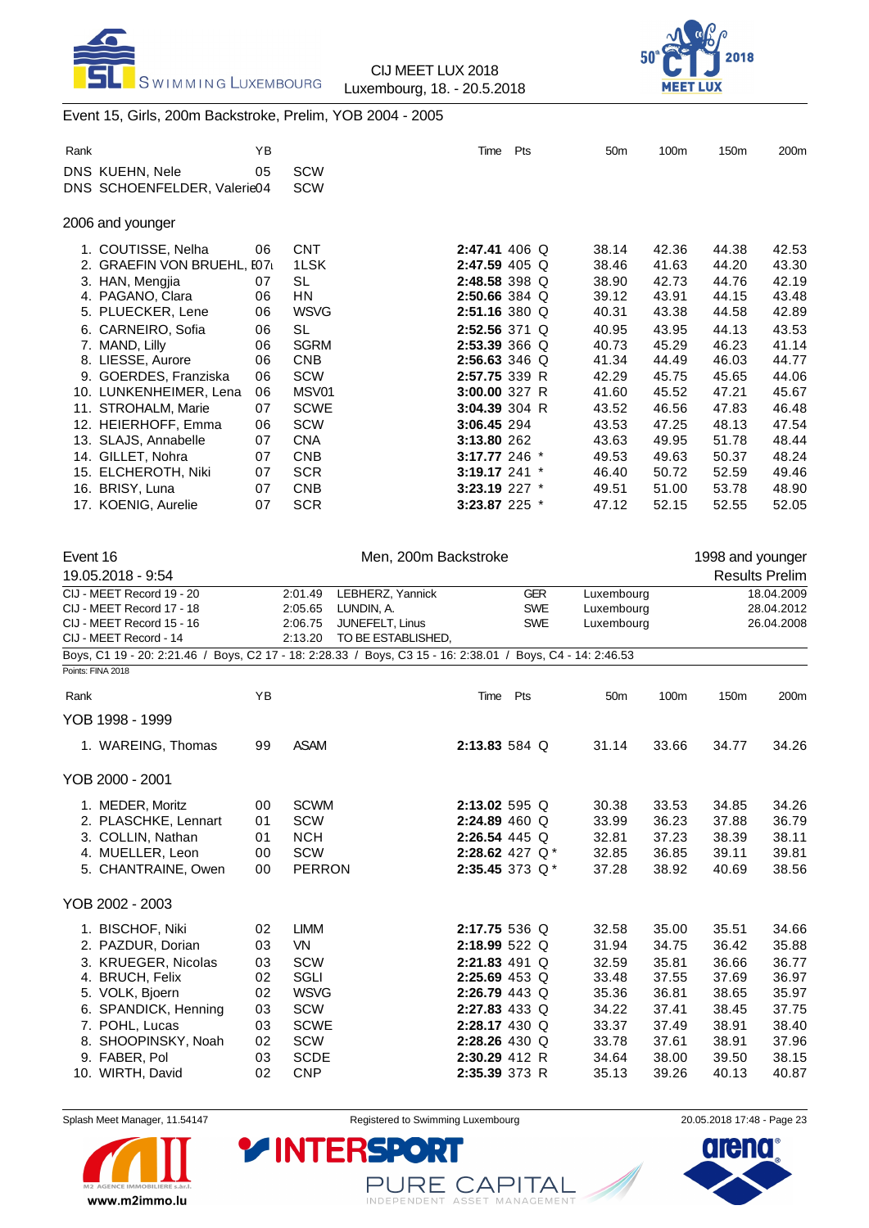



# Event 15, Girls, 200m Backstroke, Prelim, YOB 2004 - 2005

|                                                                                                                                                                                                                                                                                                                                                                   | ΥB                                                                                     |                                                                                                                                                                                                     | Time                                                                                                                                                                                                                                                                     | Pts      |                                        | 50 <sub>m</sub>                                                                                                                              | 100m                                                                                                                                         | 150m                                                                                                                                         | 200m                                                                                                                                         |
|-------------------------------------------------------------------------------------------------------------------------------------------------------------------------------------------------------------------------------------------------------------------------------------------------------------------------------------------------------------------|----------------------------------------------------------------------------------------|-----------------------------------------------------------------------------------------------------------------------------------------------------------------------------------------------------|--------------------------------------------------------------------------------------------------------------------------------------------------------------------------------------------------------------------------------------------------------------------------|----------|----------------------------------------|----------------------------------------------------------------------------------------------------------------------------------------------|----------------------------------------------------------------------------------------------------------------------------------------------|----------------------------------------------------------------------------------------------------------------------------------------------|----------------------------------------------------------------------------------------------------------------------------------------------|
| DNS KUEHN, Nele<br>DNS SCHOENFELDER, Valerie04                                                                                                                                                                                                                                                                                                                    | 05                                                                                     | SCW<br>SCW                                                                                                                                                                                          |                                                                                                                                                                                                                                                                          |          |                                        |                                                                                                                                              |                                                                                                                                              |                                                                                                                                              |                                                                                                                                              |
| 2006 and younger                                                                                                                                                                                                                                                                                                                                                  |                                                                                        |                                                                                                                                                                                                     |                                                                                                                                                                                                                                                                          |          |                                        |                                                                                                                                              |                                                                                                                                              |                                                                                                                                              |                                                                                                                                              |
| 1. COUTISSE, Nelha<br>2. GRAEFIN VON BRUEHL, E07<br>3. HAN, Mengjia<br>4. PAGANO, Clara<br>5. PLUECKER, Lene<br>6. CARNEIRO, Sofia<br>7. MAND, Lilly<br>8. LIESSE, Aurore<br>9. GOERDES, Franziska<br>10. LUNKENHEIMER, Lena<br>11. STROHALM, Marie<br>12. HEIERHOFF, Emma<br>13. SLAJS, Annabelle<br>14. GILLET, Nohra<br>15. ELCHEROTH, Niki<br>16. BRISY, Luna | 06<br>07<br>06<br>06<br>06<br>06<br>06<br>06<br>06<br>07<br>06<br>07<br>07<br>07<br>07 | <b>CNT</b><br>1LSK<br><b>SL</b><br>HN<br><b>WSVG</b><br><b>SL</b><br><b>SGRM</b><br><b>CNB</b><br>SCW<br>MSV01<br><b>SCWE</b><br><b>SCW</b><br><b>CNA</b><br><b>CNB</b><br><b>SCR</b><br><b>CNB</b> | 2:47.41 406 Q<br>2:47.59 405 Q<br>2:48.58 398 Q<br>2:50.66 384 Q<br>2:51.16 380 Q<br>2:52.56 371 Q<br>2:53.39 366 Q<br>2:56.63 346 Q<br>2:57.75 339 R<br>3:00.00 327 R<br>3:04.39 304 R<br>3:06.45 294<br>3:13.80 262<br>3:17.77 246 *<br>3:19.17 241 *<br>3:23.19 227 * |          |                                        | 38.14<br>38.46<br>38.90<br>39.12<br>40.31<br>40.95<br>40.73<br>41.34<br>42.29<br>41.60<br>43.52<br>43.53<br>43.63<br>49.53<br>46.40<br>49.51 | 42.36<br>41.63<br>42.73<br>43.91<br>43.38<br>43.95<br>45.29<br>44.49<br>45.75<br>45.52<br>46.56<br>47.25<br>49.95<br>49.63<br>50.72<br>51.00 | 44.38<br>44.20<br>44.76<br>44.15<br>44.58<br>44.13<br>46.23<br>46.03<br>45.65<br>47.21<br>47.83<br>48.13<br>51.78<br>50.37<br>52.59<br>53.78 | 42.53<br>43.30<br>42.19<br>43.48<br>42.89<br>43.53<br>41.14<br>44.77<br>44.06<br>45.67<br>46.48<br>47.54<br>48.44<br>48.24<br>49.46<br>48.90 |
| 17. KOENIG, Aurelie                                                                                                                                                                                                                                                                                                                                               | 07                                                                                     | <b>SCR</b>                                                                                                                                                                                          | 3:23.87 225 *                                                                                                                                                                                                                                                            |          |                                        | 47.12                                                                                                                                        | 52.15                                                                                                                                        | 52.55                                                                                                                                        | 52.05                                                                                                                                        |
| Event 16<br>19.05.2018 - 9:54                                                                                                                                                                                                                                                                                                                                     |                                                                                        |                                                                                                                                                                                                     | Men, 200m Backstroke                                                                                                                                                                                                                                                     |          |                                        |                                                                                                                                              |                                                                                                                                              | 1998 and younger                                                                                                                             | <b>Results Prelim</b>                                                                                                                        |
| CIJ - MEET Record 19 - 20<br>CIJ - MEET Record 17 - 18<br>CIJ - MEET Record 15 - 16<br>CIJ - MEET Record - 14<br>Boys, C1 19 - 20: 2:21.46 / Boys, C2 17 - 18: 2:28.33 / Boys, C3 15 - 16: 2:38.01 / Boys, C4 - 14: 2:46.53                                                                                                                                       |                                                                                        | 2:01.49<br>2:05.65<br>2:06.75<br>2:13.20                                                                                                                                                            | LEBHERZ, Yannick<br>LUNDIN, A.<br>JUNEFELT, Linus<br>TO BE ESTABLISHED,                                                                                                                                                                                                  |          | <b>GER</b><br><b>SWE</b><br><b>SWE</b> | Luxembourg<br>Luxembourg<br>Luxembourg                                                                                                       |                                                                                                                                              |                                                                                                                                              | 18.04.2009<br>28.04.2012<br>26.04.2008                                                                                                       |
|                                                                                                                                                                                                                                                                                                                                                                   |                                                                                        |                                                                                                                                                                                                     |                                                                                                                                                                                                                                                                          |          |                                        |                                                                                                                                              |                                                                                                                                              |                                                                                                                                              |                                                                                                                                              |
| Points: FINA 2018                                                                                                                                                                                                                                                                                                                                                 |                                                                                        |                                                                                                                                                                                                     |                                                                                                                                                                                                                                                                          |          |                                        |                                                                                                                                              |                                                                                                                                              |                                                                                                                                              |                                                                                                                                              |
| Rank                                                                                                                                                                                                                                                                                                                                                              | YB                                                                                     |                                                                                                                                                                                                     |                                                                                                                                                                                                                                                                          | Time Pts |                                        | 50 <sub>m</sub>                                                                                                                              | 100m                                                                                                                                         | 150m                                                                                                                                         | 200m                                                                                                                                         |
| YOB 1998 - 1999<br>1. WAREING, Thomas                                                                                                                                                                                                                                                                                                                             | 99                                                                                     | <b>ASAM</b>                                                                                                                                                                                         | 2:13.83 584 Q                                                                                                                                                                                                                                                            |          |                                        | 31.14                                                                                                                                        | 33.66                                                                                                                                        | 34.77                                                                                                                                        | 34.26                                                                                                                                        |
| YOB 2000 - 2001                                                                                                                                                                                                                                                                                                                                                   |                                                                                        |                                                                                                                                                                                                     |                                                                                                                                                                                                                                                                          |          |                                        |                                                                                                                                              |                                                                                                                                              |                                                                                                                                              |                                                                                                                                              |
| 1. MEDER, Moritz<br>2. PLASCHKE, Lennart<br>3. COLLIN, Nathan<br>4. MUELLER, Leon<br>5. CHANTRAINE, Owen                                                                                                                                                                                                                                                          | 00<br>01<br>01<br>00<br>00                                                             | <b>SCWM</b><br>SCW<br><b>NCH</b><br>SCW<br><b>PERRON</b>                                                                                                                                            | 2:13.02 595 Q<br>2:24.89 460 Q<br>2:26.54 445 Q<br>2:28.62 427 $Q^*$<br>2:35.45 373 Q*                                                                                                                                                                                   |          |                                        | 30.38<br>33.99<br>32.81<br>32.85<br>37.28                                                                                                    | 33.53<br>36.23<br>37.23<br>36.85<br>38.92                                                                                                    | 34.85<br>37.88<br>38.39<br>39.11<br>40.69                                                                                                    | 34.26<br>36.79<br>38.11<br>39.81<br>38.56                                                                                                    |
| YOB 2002 - 2003                                                                                                                                                                                                                                                                                                                                                   |                                                                                        |                                                                                                                                                                                                     |                                                                                                                                                                                                                                                                          |          |                                        |                                                                                                                                              |                                                                                                                                              |                                                                                                                                              |                                                                                                                                              |



Splash Meet Manager, 11.54147 **Registered to Swimming Luxembourg** 20.05.2018 17:48 - Page 23

PURE CAPITAL

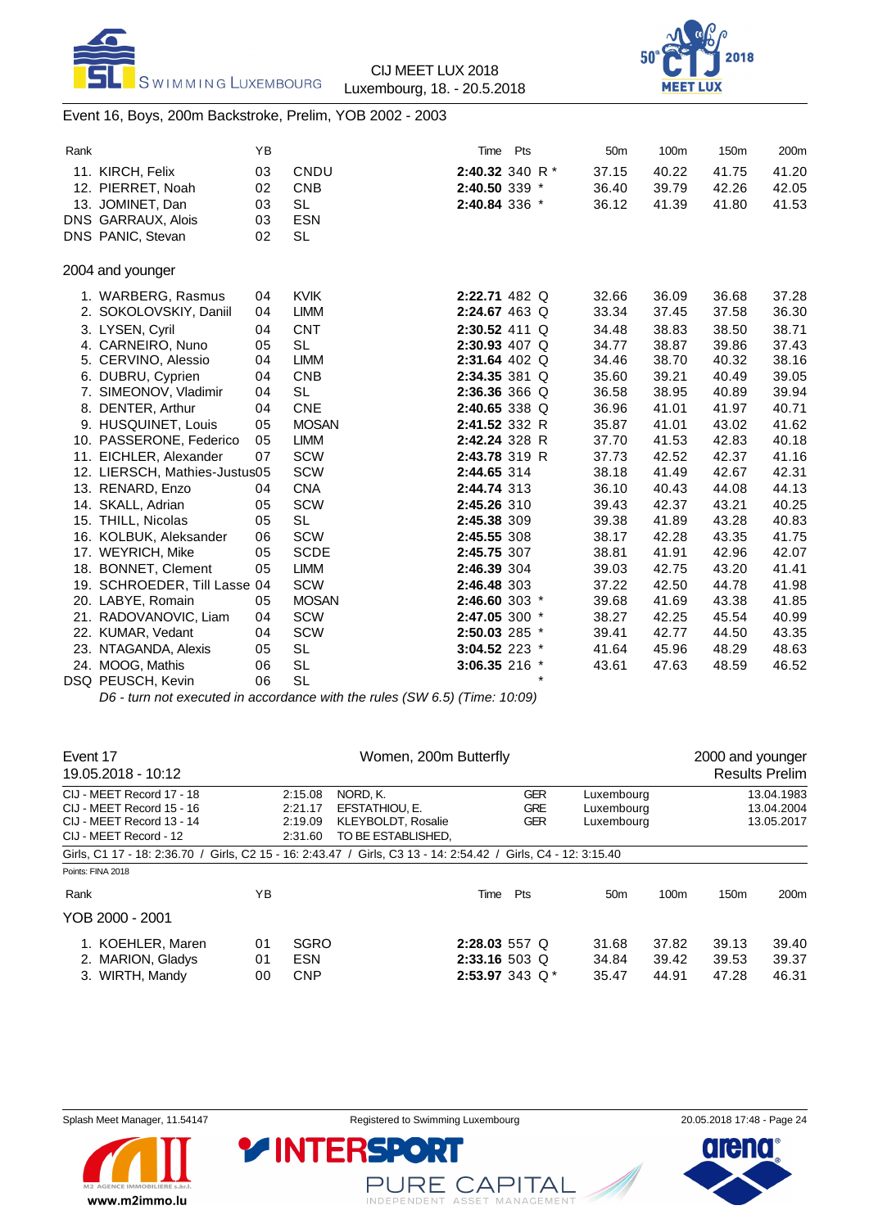



Event 16, Boys, 200m Backstroke, Prelim, YOB 2002 - 2003

| Rank |                               | ΥB |              | Time            | Pts               | 50 <sub>m</sub> | 100m  | 150m  | 200m  |
|------|-------------------------------|----|--------------|-----------------|-------------------|-----------------|-------|-------|-------|
|      | 11. KIRCH, Felix              | 03 | CNDU         |                 | 2:40.32 340 R $*$ | 37.15           | 40.22 | 41.75 | 41.20 |
|      | 12. PIERRET, Noah             | 02 | <b>CNB</b>   | 2:40.50 339 *   |                   | 36.40           | 39.79 | 42.26 | 42.05 |
|      | 13. JOMINET, Dan              | 03 | <b>SL</b>    | 2:40.84 336 *   |                   | 36.12           | 41.39 | 41.80 | 41.53 |
|      | DNS GARRAUX, Alois            | 03 | <b>ESN</b>   |                 |                   |                 |       |       |       |
|      | DNS PANIC, Stevan             | 02 | <b>SL</b>    |                 |                   |                 |       |       |       |
|      | 2004 and younger              |    |              |                 |                   |                 |       |       |       |
|      | 1. WARBERG, Rasmus            | 04 | <b>KVIK</b>  | 2:22.71 482 Q   |                   | 32.66           | 36.09 | 36.68 | 37.28 |
|      | 2. SOKOLOVSKIY, Daniil        | 04 | <b>LIMM</b>  | 2:24.67 463 Q   |                   | 33.34           | 37.45 | 37.58 | 36.30 |
|      | 3. LYSEN, Cyril               | 04 | <b>CNT</b>   | 2:30.52 411 Q   |                   | 34.48           | 38.83 | 38.50 | 38.71 |
|      | 4. CARNEIRO, Nuno             | 05 | <b>SL</b>    | 2:30.93 407 Q   |                   | 34.77           | 38.87 | 39.86 | 37.43 |
|      | 5. CERVINO, Alessio           | 04 | <b>LIMM</b>  | $2:31.64$ 402 Q |                   | 34.46           | 38.70 | 40.32 | 38.16 |
|      | 6. DUBRU, Cyprien             | 04 | <b>CNB</b>   | 2:34.35 381 Q   |                   | 35.60           | 39.21 | 40.49 | 39.05 |
|      | 7. SIMEONOV, Vladimir         | 04 | <b>SL</b>    | 2:36.36 366 Q   |                   | 36.58           | 38.95 | 40.89 | 39.94 |
|      | 8. DENTER, Arthur             | 04 | <b>CNE</b>   | 2:40.65 338 Q   |                   | 36.96           | 41.01 | 41.97 | 40.71 |
|      | 9. HUSQUINET, Louis           | 05 | <b>MOSAN</b> | 2:41.52 332 R   |                   | 35.87           | 41.01 | 43.02 | 41.62 |
|      | 10. PASSERONE, Federico       | 05 | <b>LIMM</b>  | 2:42.24 328 R   |                   | 37.70           | 41.53 | 42.83 | 40.18 |
|      | 11. EICHLER, Alexander        | 07 | <b>SCW</b>   | 2:43.78 319 R   |                   | 37.73           | 42.52 | 42.37 | 41.16 |
|      | 12. LIERSCH, Mathies-Justus05 |    | <b>SCW</b>   | 2:44.65 314     |                   | 38.18           | 41.49 | 42.67 | 42.31 |
|      | 13. RENARD, Enzo              | 04 | <b>CNA</b>   | 2:44.74 313     |                   | 36.10           | 40.43 | 44.08 | 44.13 |
|      | 14. SKALL, Adrian             | 05 | <b>SCW</b>   | 2:45.26 310     |                   | 39.43           | 42.37 | 43.21 | 40.25 |
|      | 15. THILL, Nicolas            | 05 | <b>SL</b>    | 2:45.38 309     |                   | 39.38           | 41.89 | 43.28 | 40.83 |
|      | 16. KOLBUK, Aleksander        | 06 | <b>SCW</b>   | 2:45.55 308     |                   | 38.17           | 42.28 | 43.35 | 41.75 |
|      | 17. WEYRICH, Mike             | 05 | <b>SCDE</b>  | 2:45.75 307     |                   | 38.81           | 41.91 | 42.96 | 42.07 |
|      | 18. BONNET, Clement           | 05 | <b>LIMM</b>  | 2:46.39 304     |                   | 39.03           | 42.75 | 43.20 | 41.41 |
|      | 19. SCHROEDER, Till Lasse 04  |    | <b>SCW</b>   | 2:46.48 303     |                   | 37.22           | 42.50 | 44.78 | 41.98 |
|      | 20. LABYE, Romain             | 05 | <b>MOSAN</b> | 2:46.60 303 *   |                   | 39.68           | 41.69 | 43.38 | 41.85 |
|      | 21. RADOVANOVIC, Liam         | 04 | <b>SCW</b>   | 2:47.05 300 *   |                   | 38.27           | 42.25 | 45.54 | 40.99 |
|      | 22. KUMAR, Vedant             | 04 | <b>SCW</b>   | 2:50.03 285 *   |                   | 39.41           | 42.77 | 44.50 | 43.35 |
|      | 23. NTAGANDA, Alexis          | 05 | <b>SL</b>    | 3:04.52 223 *   |                   | 41.64           | 45.96 | 48.29 | 48.63 |
|      | 24. MOOG, Mathis              | 06 | <b>SL</b>    | 3:06.35 216 *   |                   | 43.61           | 47.63 | 48.59 | 46.52 |
|      | DSQ PEUSCH, Kevin             | 06 | <b>SL</b>    |                 | $\star$           |                 |       |       |       |

*D6 - turn not executed in accordance with the rules (SW 6.5) (Time: 10:09)*

| Event 17<br>19.05.2018 - 10:12                                                                                 |                | Women, 200m Butterfly                    |                                                                        |                                                       |     |                                        |                                        |                         |                         | 2000 and younger<br><b>Results Prelim</b> |  |
|----------------------------------------------------------------------------------------------------------------|----------------|------------------------------------------|------------------------------------------------------------------------|-------------------------------------------------------|-----|----------------------------------------|----------------------------------------|-------------------------|-------------------------|-------------------------------------------|--|
| CIJ - MEET Record 17 - 18<br>CIJ - MEET Record 15 - 16<br>CIJ - MEET Record 13 - 14<br>CIJ - MEET Record - 12  |                | 2:15.08<br>2:21.17<br>2:19.09<br>2:31.60 | NORD. K.<br>EFSTATHIOU, E.<br>KLEYBOLDT, Rosalie<br>TO BE ESTABLISHED. |                                                       |     | <b>GER</b><br><b>GRE</b><br><b>GER</b> | Luxembourg<br>Luxemboura<br>Luxembourg |                         |                         | 13.04.1983<br>13.04.2004<br>13.05.2017    |  |
| Girls, C1 17 - 18: 2:36.70 / Girls, C2 15 - 16: 2:43.47 / Girls, C3 13 - 14: 2:54.42 / Girls, C4 - 12: 3:15.40 |                |                                          |                                                                        |                                                       |     |                                        |                                        |                         |                         |                                           |  |
| Points: FINA 2018                                                                                              |                |                                          |                                                                        |                                                       |     |                                        |                                        |                         |                         |                                           |  |
| Rank                                                                                                           | ΥB             |                                          |                                                                        | Time                                                  | Pts |                                        | 50 <sub>m</sub>                        | 100m                    | 150 <sub>m</sub>        | 200 <sub>m</sub>                          |  |
| YOB 2000 - 2001                                                                                                |                |                                          |                                                                        |                                                       |     |                                        |                                        |                         |                         |                                           |  |
| 1. KOEHLER, Maren<br>2. MARION, Gladys<br>3. WIRTH, Mandy                                                      | 01<br>01<br>00 | <b>SGRO</b><br><b>ESN</b><br><b>CNP</b>  |                                                                        | $2:28.03557$ Q<br>$2:33.16503$ Q<br>2:53.97 343 $Q^*$ |     |                                        | 31.68<br>34.84<br>35.47                | 37.82<br>39.42<br>44.91 | 39.13<br>39.53<br>47.28 | 39.40<br>39.37<br>46.31                   |  |



PURE CAPITAL

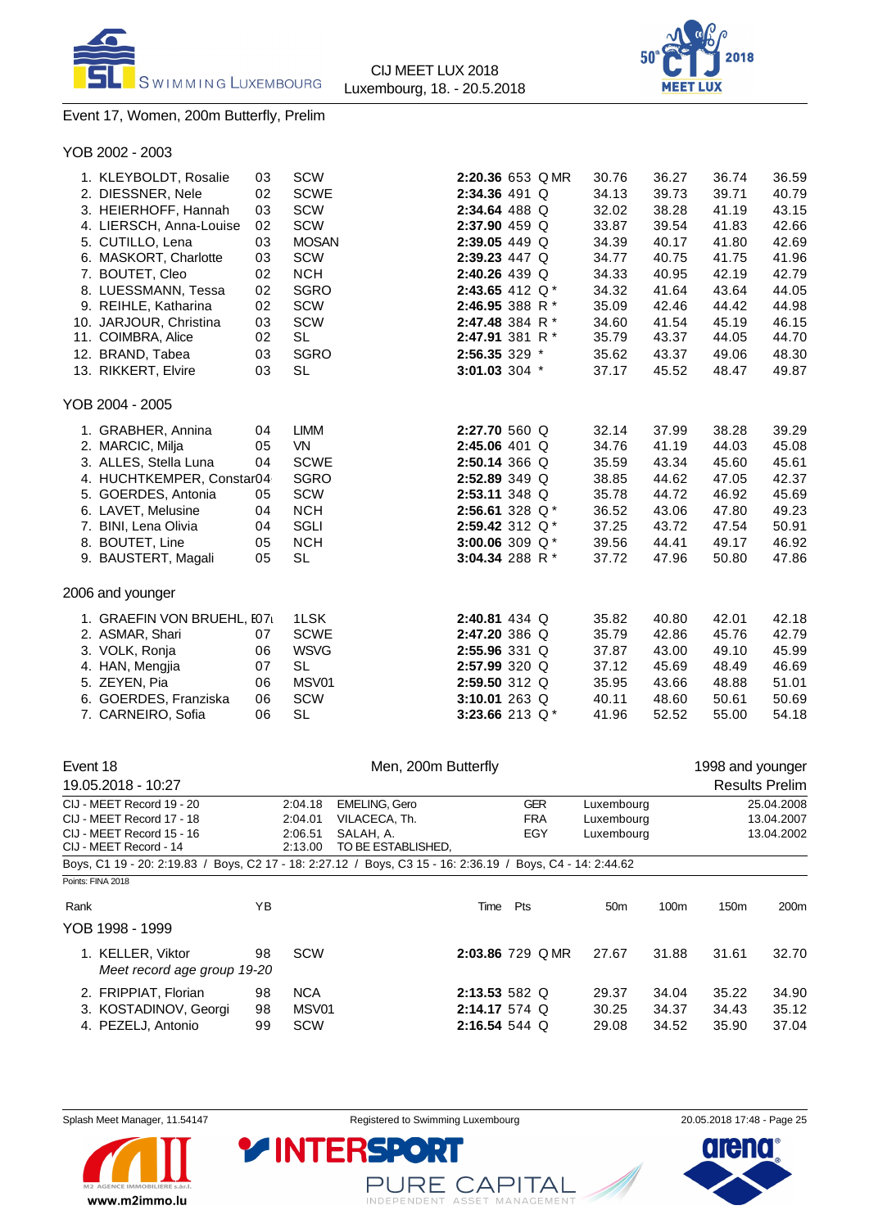



2:20.36 653 Q MR 30.76 36.27 36.74 36.59 2:34.36 491 Q 34.13 39.73 39.71 40.79 2:34.64 488 Q 32.02 38.28 41.19 43.15 2:37.90 459 Q 33.87 39.54 41.83 42.66 **2:39.05** 449 Q 34.39 40.17 41.80 42.69 **2:39.23** 447 Q 34.77 40.75 41.75 41.96 **2:40.26** 439 Q 34.33 40.95 42.19 42.79 **2:43.65** 412 Q \* 34.32 41.64 43.64 44.05 2:46.95 388 R \* 35.09 42.46 44.42 44.98 2**:47.48** 384 R \* 34.60 41.54 45.19 46.15<br>2**:47.91** 381 R \* 35.79 43.37 44.05 44.70

### Event 17, Women, 200m Butterfly, Prelim

| YOB 2002 - 2003         |    |              |
|-------------------------|----|--------------|
| 1. KLEYBOLDT, Rosalie   | 03 | SCW          |
| 2. DIESSNER, Nele       | 02 | <b>SCWE</b>  |
| 3. HEIERHOFF, Hannah    | 03 | <b>SCW</b>   |
| 4. LIERSCH, Anna-Louise | 02 | <b>SCW</b>   |
| 5. CUTILLO, Lena        | 03 | <b>MOSAN</b> |
| 6. MASKORT, Charlotte   | 03 | <b>SCW</b>   |
| 7. BOUTET, Cleo         | 02 | <b>NCH</b>   |
| 8. LUESSMANN, Tessa     | 02 | <b>SGRO</b>  |

| 9. REIHLE, Katharina   | 02  | <b>SCW</b> | 2:46.95 388 R $*$ |  | 35.09 | 42.46 | 44.42 | 44.98 |
|------------------------|-----|------------|-------------------|--|-------|-------|-------|-------|
| 10. JARJOUR, Christina | 03  | – SCW      | 2:47.48 384 R $*$ |  | 34.60 | 41.54 | 45.19 | 46.15 |
| 11. COIMBRA, Alice     | 02  | -SL        | 2:47.91 381 R $*$ |  | 35.79 | 43.37 | 44.05 | 44.70 |
| 12. BRAND. Tabea       | 03. | SGRO       | $2:56.35329$ *    |  | 35.62 | 43.37 | 49.06 | 48.30 |
| 13. RIKKERT, Elvire    | 03  | -SL        | $3:01.03$ 304 $*$ |  | 37 17 | 45.52 | 48.47 | 49.87 |

#### YOB 2004 - 2005

| 1. GRABHER, Annina         | 04 | LIMM        | 2:27.70 560 Q     |  | 32.14 | 37.99 | 38.28 | 39.29 |
|----------------------------|----|-------------|-------------------|--|-------|-------|-------|-------|
| 2. MARCIC, Milja           | 05 | VN.         | $2:45.06$ 401 Q   |  | 34.76 | 41.19 | 44.03 | 45.08 |
| 3. ALLES, Stella Luna      | 04 | <b>SCWE</b> | $2:50.14$ 366 Q   |  | 35.59 | 43.34 | 45.60 | 45.61 |
| 4. HUCHTKEMPER, Constar04  |    | <b>SGRO</b> | $2:52.89$ 349 Q   |  | 38.85 | 44.62 | 47.05 | 42.37 |
| 5. GOERDES, Antonia        | 05 | SCW         | $2:53.11$ 348 Q   |  | 35.78 | 44.72 | 46.92 | 45.69 |
| 6. LAVET, Melusine         | 04 | <b>NCH</b>  | 2:56.61 328 $Q^*$ |  | 36.52 | 43.06 | 47.80 | 49.23 |
| 7. BINI, Lena Olivia       | 04 | SGLI        | 2:59.42 312 $Q^*$ |  | 37.25 | 43.72 | 47.54 | 50.91 |
| 8. BOUTET, Line            | 05 | <b>NCH</b>  | 3:00.06 309 $Q^*$ |  | 39.56 | 44.41 | 49.17 | 46.92 |
| 9. BAUSTERT, Magali        | 05 | <b>SL</b>   | 3:04.34 288 R $*$ |  | 37.72 | 47.96 | 50.80 | 47.86 |
| 2006 and younger           |    |             |                   |  |       |       |       |       |
| 1. GRAEFIN VON BRUEHL, 107 |    | 1LSK        | $2:40.81$ 434 Q   |  | 35.82 | 40.80 | 42.01 | 42.18 |
| 2. ASMAR, Shari            | 07 | <b>SCWE</b> | 2:47.20 386 Q     |  | 35.79 | 42.86 | 45.76 | 42.79 |
|                            |    |             |                   |  |       |       |       |       |

| Z. AJMAR, JIMI        | VI. | <b>OUVVE</b> | 2.47.ZU JOU W     |  | 33.79 | 42.OO | 40. LO | 42.IY |
|-----------------------|-----|--------------|-------------------|--|-------|-------|--------|-------|
| 3. VOLK, Ronja        | 06  | <b>WSVG</b>  | $2:55.96$ 331 Q   |  | 37.87 | 43.00 | 49.10  | 45.99 |
| 4. HAN, Mengjia       | 07  | -SL          | $2:57.99$ 320 Q   |  | 37.12 | 45.69 | 48.49  | 46.69 |
| 5. ZEYEN. Pia         | 06  | MSV01        | $2:59.50$ 312 Q   |  | 35.95 | 43.66 | 48.88  | 51.01 |
| 6. GOERDES, Franziska | 06  | <b>SCW</b>   | 3:10.01 263 Q     |  | 40.11 | 48.60 | 50.61  | 50.69 |
| 7. CARNEIRO, Sofia    | 06  | - SL         | 3:23.66 213 $Q^*$ |  | 41.96 | 52.52 | 55.00  | 54.18 |
|                       |     |              |                   |  |       |       |        |       |

| Event 18                                                                                                   |    | Men, 200m Butterfly             |                                 |                  |            |                          |                 |       | 1998 and younger |                       |
|------------------------------------------------------------------------------------------------------------|----|---------------------------------|---------------------------------|------------------|------------|--------------------------|-----------------|-------|------------------|-----------------------|
| 19.05.2018 - 10:27                                                                                         |    |                                 |                                 |                  |            |                          |                 |       |                  | <b>Results Prelim</b> |
| CIJ - MEET Record 19 - 20                                                                                  |    | <b>EMELING, Gero</b><br>2:04.18 |                                 |                  |            | <b>GER</b><br>Luxembourg |                 |       | 25.04.2008       |                       |
| CIJ - MEET Record 17 - 18                                                                                  |    | 2:04.01                         | VILACECA, Th.                   |                  | <b>FRA</b> |                          | Luxembourg      |       | 13.04.2007       |                       |
| CIJ - MEET Record 15 - 16<br>CIJ - MEET Record - 14                                                        |    | 2:06.51<br>2:13.00              | SALAH, A.<br>TO BE ESTABLISHED, |                  | EGY        |                          | Luxembourg      |       |                  | 13.04.2002            |
| Boys, C1 19 - 20: 2:19.83 / Boys, C2 17 - 18: 2:27.12 / Boys, C3 15 - 16: 2:36.19 / Boys, C4 - 14: 2:44.62 |    |                                 |                                 |                  |            |                          |                 |       |                  |                       |
| Points: FINA 2018                                                                                          |    |                                 |                                 |                  |            |                          |                 |       |                  |                       |
| Rank                                                                                                       | ΥB |                                 |                                 | Time             | Pts        |                          | 50 <sub>m</sub> | 100m  | 150 <sub>m</sub> | 200 <sub>m</sub>      |
| YOB 1998 - 1999                                                                                            |    |                                 |                                 |                  |            |                          |                 |       |                  |                       |
| 1. KELLER, Viktor<br>Meet record age group 19-20                                                           | 98 | SCW                             |                                 | 2:03.86 729 Q MR |            |                          | 27.67           | 31.88 | 31.61            | 32.70                 |
| 2. FRIPPIAT, Florian                                                                                       | 98 | <b>NCA</b>                      |                                 | $2:13.53582$ Q   |            |                          | 29.37           | 34.04 | 35.22            | 34.90                 |
| 3. KOSTADINOV, Georgi                                                                                      | 98 | MSV01                           |                                 | $2:14.17574$ Q   |            |                          | 30.25           | 34.37 | 34.43            | 35.12                 |
| 4. PEZELJ, Antonio                                                                                         | 99 | <b>SCW</b>                      |                                 | 2:16.54 544 Q    |            |                          | 29.08           | 34.52 | 35.90            | 37.04                 |

Splash Meet Manager, 11.54147 Registered to Swimming Luxembourg 20.05.2018 17:48 - Page 25



PURE CAPITAL INDEPENDENT ASSET MANAGEMENT

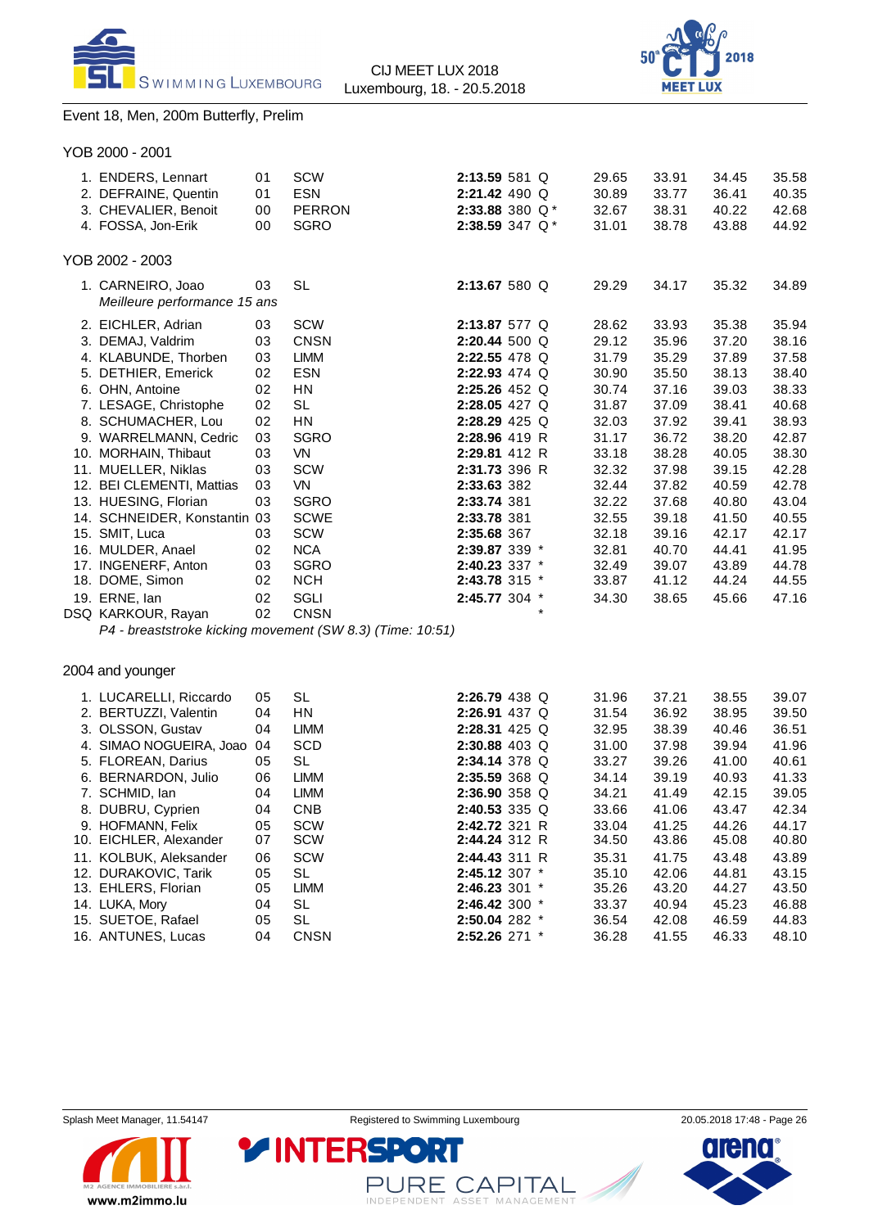



# Event 18, Men, 200m Butterfly, Prelim

| YOB 2000 - 2001 |  |
|-----------------|--|
|-----------------|--|

| 1. ENDERS, Lennart<br>2. DEFRAINE, Quentin<br>3. CHEVALIER, Benoit<br>4. FOSSA, Jon-Erik | 01<br>01<br>00<br>00 | <b>SCW</b><br><b>ESN</b><br><b>PERRON</b><br><b>SGRO</b>  | $2:13.59581$ Q<br>2:21.42 490 Q<br>2:33.88 380 $Q^*$<br>2:38.59 347 Q* |        | 29.65<br>30.89<br>32.67<br>31.01 | 33.91<br>33.77<br>38.31<br>38.78 | 34.45<br>36.41<br>40.22<br>43.88 | 35.58<br>40.35<br>42.68<br>44.92 |
|------------------------------------------------------------------------------------------|----------------------|-----------------------------------------------------------|------------------------------------------------------------------------|--------|----------------------------------|----------------------------------|----------------------------------|----------------------------------|
| YOB 2002 - 2003                                                                          |                      |                                                           |                                                                        |        |                                  |                                  |                                  |                                  |
| 1. CARNEIRO, Joao<br>Meilleure performance 15 ans                                        | 03                   | <b>SL</b>                                                 | 2:13.67 580 Q                                                          |        | 29.29                            | 34.17                            | 35.32                            | 34.89                            |
| 2. EICHLER, Adrian                                                                       | 03                   | <b>SCW</b>                                                | 2:13.87 577 Q                                                          |        | 28.62                            | 33.93                            | 35.38                            | 35.94                            |
| 3. DEMAJ, Valdrim                                                                        | 03                   | <b>CNSN</b>                                               | 2:20.44 500 Q                                                          |        | 29.12                            | 35.96                            | 37.20                            | 38.16                            |
| 4. KLABUNDE, Thorben                                                                     | 03                   | <b>LIMM</b>                                               | 2:22.55 478 Q                                                          |        | 31.79                            | 35.29                            | 37.89                            | 37.58                            |
| 5. DETHIER, Emerick                                                                      | 02                   | <b>ESN</b>                                                | 2:22.93 474 Q                                                          |        | 30.90                            | 35.50                            | 38.13                            | 38.40                            |
| 6. OHN. Antoine                                                                          | 02                   | HN                                                        | $2:25.26$ 452 Q                                                        |        | 30.74                            | 37.16                            | 39.03                            | 38.33                            |
| 7. LESAGE, Christophe                                                                    | 02                   | <b>SL</b>                                                 | 2:28.05 427 Q                                                          |        | 31.87                            | 37.09                            | 38.41                            | 40.68                            |
| 8. SCHUMACHER, Lou                                                                       | 02                   | <b>HN</b>                                                 | $2:28.29$ 425 Q                                                        |        | 32.03                            | 37.92                            | 39.41                            | 38.93                            |
| 9. WARRELMANN, Cedric                                                                    | 03                   | <b>SGRO</b>                                               | 2:28.96 419 R                                                          |        | 31.17                            | 36.72                            | 38.20                            | 42.87                            |
| 10. MORHAIN, Thibaut                                                                     | 03                   | <b>VN</b>                                                 | 2:29.81 412 R                                                          |        | 33.18                            | 38.28                            | 40.05                            | 38.30                            |
| 11. MUELLER, Niklas                                                                      | 03                   | <b>SCW</b>                                                | 2:31.73 396 R                                                          |        | 32.32                            | 37.98                            | 39.15                            | 42.28                            |
| 12. BEI CLEMENTI, Mattias                                                                | 03                   | <b>VN</b>                                                 | 2:33.63 382                                                            |        | 32.44                            | 37.82                            | 40.59                            | 42.78                            |
| 13. HUESING, Florian                                                                     | 03                   | <b>SGRO</b>                                               | 2:33.74 381                                                            |        | 32.22                            | 37.68                            | 40.80                            | 43.04                            |
| 14. SCHNEIDER, Konstantin 03                                                             |                      | <b>SCWE</b>                                               | 2:33.78 381                                                            |        | 32.55                            | 39.18                            | 41.50                            | 40.55                            |
| 15. SMIT, Luca                                                                           | 03                   | <b>SCW</b>                                                | 2:35.68 367                                                            |        | 32.18                            | 39.16                            | 42.17                            | 42.17                            |
| 16. MULDER, Anael                                                                        | 02                   | <b>NCA</b>                                                | 2:39.87 339 *                                                          |        | 32.81                            | 40.70                            | 44.41                            | 41.95                            |
| 17. INGENERF, Anton                                                                      | 03                   | <b>SGRO</b>                                               | 2:40.23 337 *                                                          |        | 32.49                            | 39.07                            | 43.89                            | 44.78                            |
| 18. DOME, Simon                                                                          | 02                   | <b>NCH</b>                                                | 2:43.78 315 *                                                          |        | 33.87                            | 41.12                            | 44.24                            | 44.55                            |
| 19. ERNE, lan                                                                            | 02                   | SGLI                                                      | 2:45.77 304 *                                                          |        | 34.30                            | 38.65                            | 45.66                            | 47.16                            |
| DSQ KARKOUR, Rayan                                                                       | 02                   | <b>CNSN</b>                                               |                                                                        | $\ast$ |                                  |                                  |                                  |                                  |
|                                                                                          |                      | P4 - breaststroke kicking movement (SW 8.3) (Time: 10:51) |                                                                        |        |                                  |                                  |                                  |                                  |

# 2004 and younger

| 1. LUCARELLI, Riccardo  | 05 | <b>SL</b>   | 2:26.79 438 Q     |  | 31.96 | 37.21 | 38.55 | 39.07 |
|-------------------------|----|-------------|-------------------|--|-------|-------|-------|-------|
| 2. BERTUZZI, Valentin   | 04 | <b>HN</b>   | $2:26.91$ 437 Q   |  | 31.54 | 36.92 | 38.95 | 39.50 |
| 3. OLSSON, Gustav       | 04 | LIMM        | $2:28.31$ 425 Q   |  | 32.95 | 38.39 | 40.46 | 36.51 |
| 4. SIMAO NOGUEIRA, Joao | 04 | <b>SCD</b>  | $2:30.88$ 403 Q   |  | 31.00 | 37.98 | 39.94 | 41.96 |
| 5. FLOREAN, Darius      | 05 | SL          | 2:34.14 378 Q     |  | 33.27 | 39.26 | 41.00 | 40.61 |
| 6. BERNARDON, Julio     | 06 | LIMM        | 2:35.59 368 Q     |  | 34.14 | 39.19 | 40.93 | 41.33 |
| 7. SCHMID. Ian          | 04 | <b>LIMM</b> | $2:36.90358$ Q    |  | 34.21 | 41.49 | 42.15 | 39.05 |
| 8. DUBRU, Cyprien       | 04 | <b>CNB</b>  | $2:40.53$ 335 Q   |  | 33.66 | 41.06 | 43.47 | 42.34 |
| 9. HOFMANN, Felix       | 05 | SCW         | 2:42.72 321 R     |  | 33.04 | 41.25 | 44.26 | 44.17 |
| 10. EICHLER, Alexander  | 07 | <b>SCW</b>  | 2:44.24 312 R     |  | 34.50 | 43.86 | 45.08 | 40.80 |
| 11. KOLBUK, Aleksander  | 06 | SCW         | 2:44.43 311 R     |  | 35.31 | 41.75 | 43.48 | 43.89 |
| 12. DURAKOVIC, Tarik    | 05 | SL          | 2:45.12 307 *     |  | 35.10 | 42.06 | 44.81 | 43.15 |
| 13. EHLERS, Florian     | 05 | <b>LIMM</b> | 2:46.23 301 *     |  | 35.26 | 43.20 | 44.27 | 43.50 |
| 14. LUKA, Mory          | 04 | <b>SL</b>   | 2:46.42 300 *     |  | 33.37 | 40.94 | 45.23 | 46.88 |
| 15. SUETOE, Rafael      | 05 | <b>SL</b>   | $2:50.04$ 282 $*$ |  | 36.54 | 42.08 | 46.59 | 44.83 |
| 16. ANTUNES, Lucas      | 04 | <b>CNSN</b> | $2:52.26$ 271 $*$ |  | 36.28 | 41.55 | 46.33 | 48.10 |
|                         |    |             |                   |  |       |       |       |       |



PURE CAPITAL

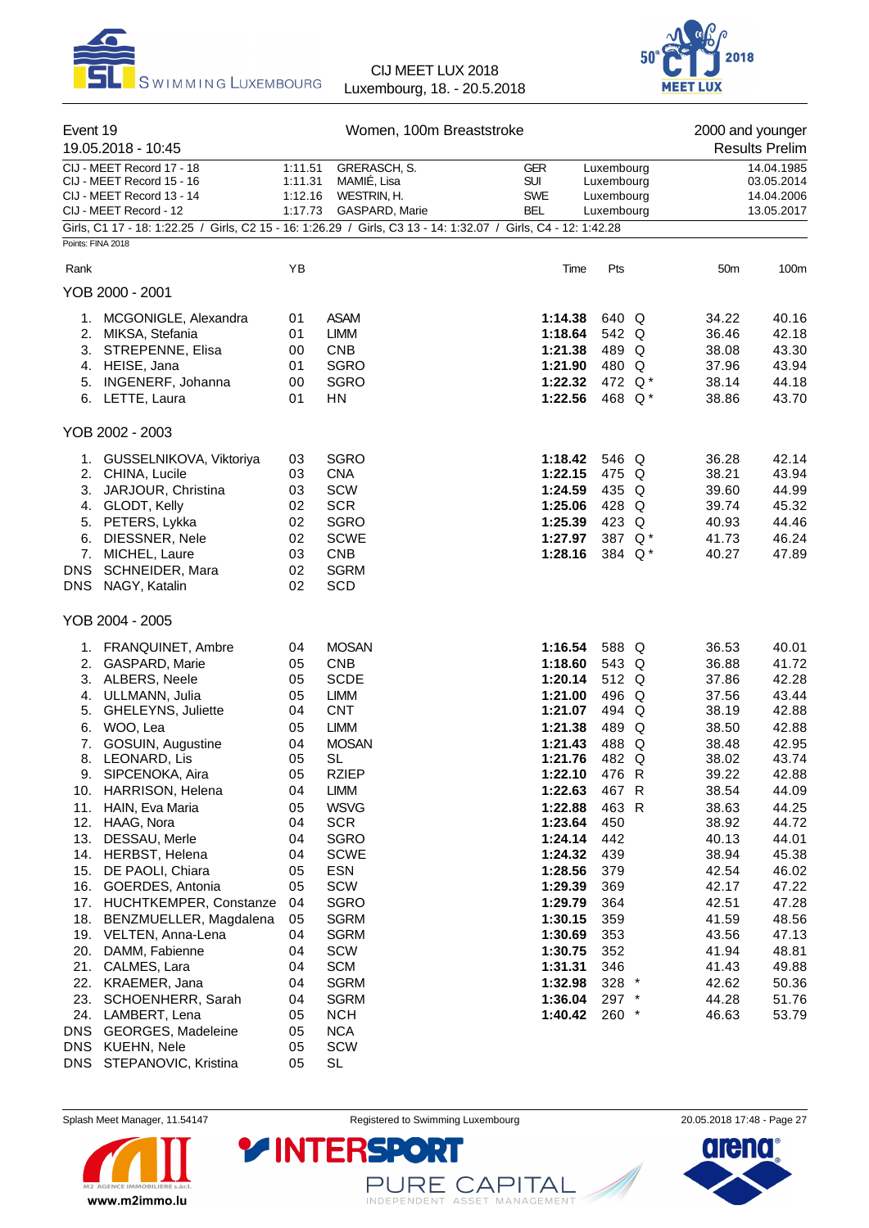



| Event 19                                                                                                                                                                                                                                                                                                                                                   |                                                                                  |                                                                                                                                                                      | 2000 and younger<br><b>Results Prelim</b>                                                                                                   |                                                                                                 |                                                                                                                   |                                                                                                                   |
|------------------------------------------------------------------------------------------------------------------------------------------------------------------------------------------------------------------------------------------------------------------------------------------------------------------------------------------------------------|----------------------------------------------------------------------------------|----------------------------------------------------------------------------------------------------------------------------------------------------------------------|---------------------------------------------------------------------------------------------------------------------------------------------|-------------------------------------------------------------------------------------------------|-------------------------------------------------------------------------------------------------------------------|-------------------------------------------------------------------------------------------------------------------|
| 19.05.2018 - 10:45<br>CIJ - MEET Record 17 - 18<br>CIJ - MEET Record 15 - 16<br>CIJ - MEET Record 13 - 14<br>CIJ - MEET Record - 12                                                                                                                                                                                                                        | 1:11.51<br>1:11.31<br>1:12.16<br>1:17.73                                         | GRERASCH, S.<br>MAMIÉ, Lisa<br>WESTRIN, H.<br>GASPARD, Marie                                                                                                         | <b>GER</b><br><b>SUI</b><br><b>SWE</b><br><b>BEL</b>                                                                                        | Luxembourg<br>Luxembourg<br>Luxembourg<br>Luxembourg                                            |                                                                                                                   | 14.04.1985<br>03.05.2014<br>14.04.2006<br>13.05.2017                                                              |
| Girls, C1 17 - 18: 1:22.25 / Girls, C2 15 - 16: 1:26.29 / Girls, C3 13 - 14: 1:32.07 / Girls, C4 - 12: 1:42.28                                                                                                                                                                                                                                             |                                                                                  |                                                                                                                                                                      |                                                                                                                                             |                                                                                                 |                                                                                                                   |                                                                                                                   |
| Points: FINA 2018                                                                                                                                                                                                                                                                                                                                          |                                                                                  |                                                                                                                                                                      |                                                                                                                                             |                                                                                                 |                                                                                                                   |                                                                                                                   |
| Rank                                                                                                                                                                                                                                                                                                                                                       | YB                                                                               |                                                                                                                                                                      | Time                                                                                                                                        | Pts                                                                                             | 50 <sub>m</sub>                                                                                                   | 100m                                                                                                              |
| YOB 2000 - 2001                                                                                                                                                                                                                                                                                                                                            |                                                                                  |                                                                                                                                                                      |                                                                                                                                             |                                                                                                 |                                                                                                                   |                                                                                                                   |
| MCGONIGLE, Alexandra<br>1.<br>2. MIKSA, Stefania<br>3. STREPENNE, Elisa<br>4. HEISE, Jana<br>INGENERF, Johanna<br>5.<br>6. LETTE, Laura                                                                                                                                                                                                                    | 01<br>01<br>00<br>01<br>00<br>01                                                 | <b>ASAM</b><br><b>LIMM</b><br><b>CNB</b><br><b>SGRO</b><br><b>SGRO</b><br><b>HN</b>                                                                                  | 1:14.38<br>1:18.64<br>1:21.38<br>1:21.90<br>1:22.32<br>1:22.56                                                                              | 640 Q<br>542 Q<br>489 Q<br>480 Q<br>472 Q*<br>468 Q*                                            | 34.22<br>36.46<br>38.08<br>37.96<br>38.14<br>38.86                                                                | 40.16<br>42.18<br>43.30<br>43.94<br>44.18<br>43.70                                                                |
| YOB 2002 - 2003                                                                                                                                                                                                                                                                                                                                            |                                                                                  |                                                                                                                                                                      |                                                                                                                                             |                                                                                                 |                                                                                                                   |                                                                                                                   |
| GUSSELNIKOVA, Viktoriya<br>1.<br>2. CHINA, Lucile<br>3. JARJOUR, Christina<br>4. GLODT, Kelly<br>5. PETERS, Lykka<br>6.<br>DIESSNER, Nele<br>7.<br>MICHEL, Laure<br><b>DNS</b><br>SCHNEIDER, Mara<br><b>DNS</b><br>NAGY, Katalin                                                                                                                           | 03<br>03<br>03<br>02<br>02<br>02<br>03<br>02<br>02                               | <b>SGRO</b><br><b>CNA</b><br>SCW<br><b>SCR</b><br><b>SGRO</b><br><b>SCWE</b><br><b>CNB</b><br><b>SGRM</b><br>SCD                                                     | 1:18.42<br>1:22.15<br>1:24.59<br>1:25.06<br>1:25.39<br>1:27.97<br>1:28.16                                                                   | 546 Q<br>475 Q<br>435 Q<br>428 Q<br>423 Q<br>387 Q*<br>384 Q*                                   | 36.28<br>38.21<br>39.60<br>39.74<br>40.93<br>41.73<br>40.27                                                       | 42.14<br>43.94<br>44.99<br>45.32<br>44.46<br>46.24<br>47.89                                                       |
| YOB 2004 - 2005                                                                                                                                                                                                                                                                                                                                            |                                                                                  |                                                                                                                                                                      |                                                                                                                                             |                                                                                                 |                                                                                                                   |                                                                                                                   |
| 1. FRANQUINET, Ambre<br>2.<br>GASPARD, Marie<br>3. ALBERS, Neele<br>4. ULLMANN, Julia<br><b>GHELEYNS, Juliette</b><br>5.<br>6. WOO, Lea<br>7.<br>GOSUIN, Augustine<br>8. LEONARD, Lis<br>9.<br>SIPCENOKA, Aira<br><b>HARRISON, Helena</b><br>10.<br>11. HAIN, Eva Maria                                                                                    | 04<br>05<br>05<br>05<br>04<br>05<br>04<br>05<br>05<br>04<br>05                   | <b>MOSAN</b><br><b>CNB</b><br><b>SCDE</b><br><b>LIMM</b><br><b>CNT</b><br><b>LIMM</b><br><b>MOSAN</b><br><b>SL</b><br>RZIEP<br><b>LIMM</b><br><b>WSVG</b>            | 1:16.54<br>1:18.60<br>1:20.14<br>1:21.00<br>1:21.07<br>1:21.38<br>1:21.43<br>1:21.76<br>1:22.10<br>1:22.63<br>1:22.88                       | 588 Q<br>543 Q<br>512 Q<br>496 Q<br>494 Q<br>489 Q<br>488 Q<br>482 Q<br>476 R<br>467 R<br>463 R | 36.53<br>36.88<br>37.86<br>37.56<br>38.19<br>38.50<br>38.48<br>38.02<br>39.22<br>38.54<br>38.63                   | 40.01<br>41.72<br>42.28<br>43.44<br>42.88<br>42.88<br>42.95<br>43.74<br>42.88<br>44.09<br>44.25                   |
| 12. HAAG, Nora<br>13.<br>DESSAU, Merle<br>HERBST, Helena<br>14.<br>15.<br>DE PAOLI, Chiara<br>16.<br>GOERDES, Antonia<br>17. HUCHTKEMPER, Constanze<br>18. BENZMUELLER, Magdalena<br>19. VELTEN, Anna-Lena<br>20.<br>DAMM, Fabienne<br>21.<br>CALMES, Lara<br>22. KRAEMER, Jana<br>23.<br>SCHOENHERR, Sarah<br>24. LAMBERT, Lena<br>DNS GEORGES, Madeleine | 04<br>04<br>04<br>05<br>05<br>04<br>05<br>04<br>04<br>04<br>04<br>04<br>05<br>05 | <b>SCR</b><br>SGRO<br><b>SCWE</b><br>ESN<br>SCW<br>SGRO<br><b>SGRM</b><br><b>SGRM</b><br>SCW<br><b>SCM</b><br><b>SGRM</b><br><b>SGRM</b><br><b>NCH</b><br><b>NCA</b> | 1:23.64<br>1:24.14<br>1:24.32<br>1:28.56<br>1:29.39<br>1:29.79<br>1:30.15<br>1:30.69<br>1:30.75<br>1:31.31<br>1:32.98<br>1:36.04<br>1:40.42 | 450<br>442<br>439<br>379<br>369<br>364<br>359<br>353<br>352<br>346<br>328 *<br>297 *<br>$260$ * | 38.92<br>40.13<br>38.94<br>42.54<br>42.17<br>42.51<br>41.59<br>43.56<br>41.94<br>41.43<br>42.62<br>44.28<br>46.63 | 44.72<br>44.01<br>45.38<br>46.02<br>47.22<br>47.28<br>48.56<br>47.13<br>48.81<br>49.88<br>50.36<br>51.76<br>53.79 |
| DNS KUEHN, Nele<br>DNS STEPANOVIC, Kristina                                                                                                                                                                                                                                                                                                                | 05<br>05                                                                         | SCW<br>SL                                                                                                                                                            |                                                                                                                                             |                                                                                                 |                                                                                                                   |                                                                                                                   |



Splash Meet Manager, 11.54147 **Registered to Swimming Luxembourg** 20.05.2018 17:48 - Page 27

PURE CAPITAL

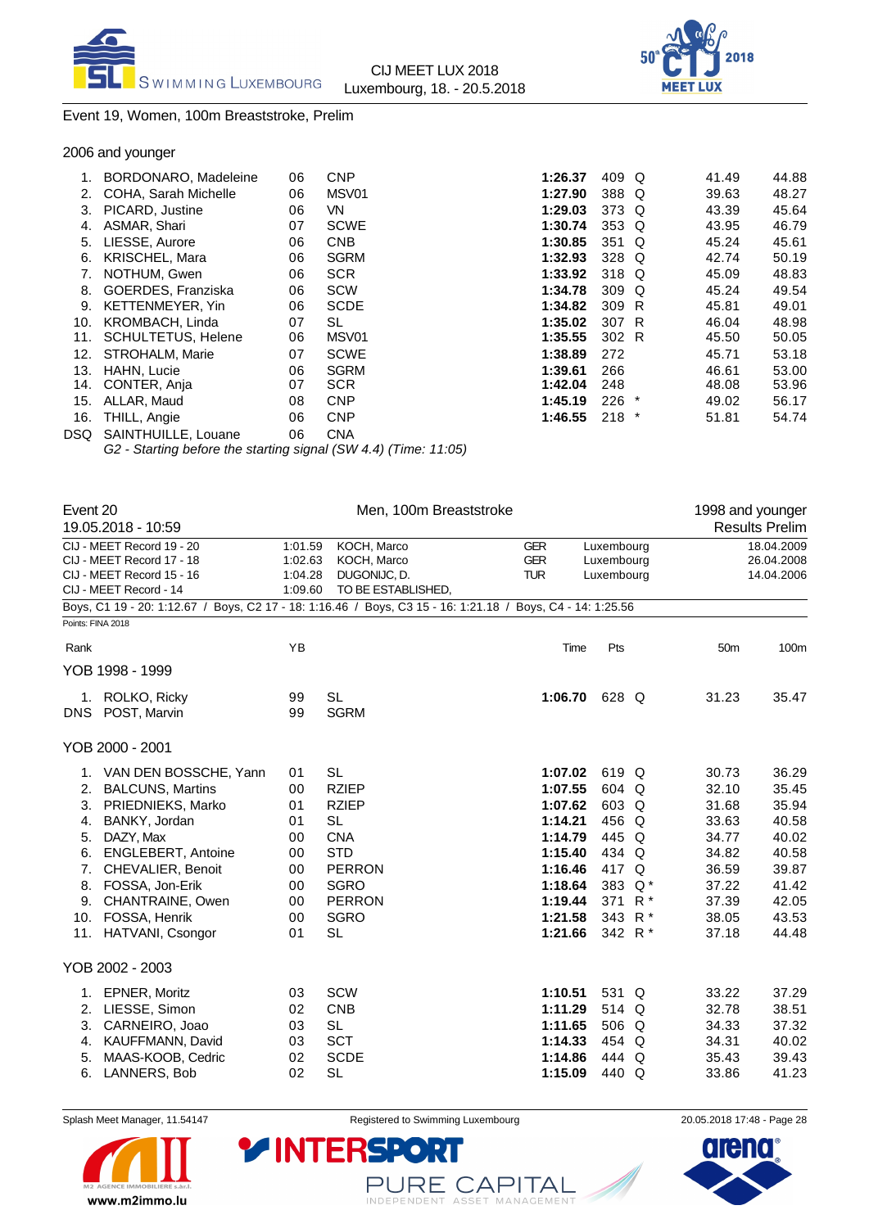



# Event 19, Women, 100m Breaststroke, Prelim

|      | BORDONARO, Madeleine      | 06 | <b>CNP</b>  | 1:26.37 | 409 Q            |         | 41.49 | 44.88 |
|------|---------------------------|----|-------------|---------|------------------|---------|-------|-------|
| 2.   | COHA, Sarah Michelle      | 06 | MSV01       | 1:27.90 | 388 Q            |         | 39.63 | 48.27 |
| 3.   | PICARD, Justine           | 06 | VN.         | 1:29.03 | 373 Q            |         | 43.39 | 45.64 |
| 4.   | ASMAR, Shari              | 07 | <b>SCWE</b> | 1:30.74 | 353 Q            |         | 43.95 | 46.79 |
| 5.   | LIESSE, Aurore            | 06 | <b>CNB</b>  | 1:30.85 | 351 Q            |         | 45.24 | 45.61 |
| 6.   | <b>KRISCHEL, Mara</b>     | 06 | <b>SGRM</b> | 1:32.93 | 328 Q            |         | 42.74 | 50.19 |
| 7.   | NOTHUM, Gwen              | 06 | <b>SCR</b>  | 1:33.92 | 318 Q            |         | 45.09 | 48.83 |
| 8.   | GOERDES, Franziska        | 06 | <b>SCW</b>  | 1:34.78 | 309 <sub>Q</sub> |         | 45.24 | 49.54 |
| 9.   | KETTENMEYER, Yin          | 06 | <b>SCDE</b> | 1:34.82 | 309 R            |         | 45.81 | 49.01 |
| 10.  | KROMBACH, Linda           | 07 | SL          | 1:35.02 | 307 R            |         | 46.04 | 48.98 |
| 11.  | <b>SCHULTETUS, Helene</b> | 06 | MSV01       | 1:35.55 | 302 R            |         | 45.50 | 50.05 |
| 12.  | STROHALM, Marie           | 07 | <b>SCWE</b> | 1:38.89 | 272              |         | 45.71 | 53.18 |
| 13.  | <b>HAHN, Lucie</b>        | 06 | <b>SGRM</b> | 1:39.61 | 266              |         | 46.61 | 53.00 |
| 14.  | CONTER, Anja              | 07 | <b>SCR</b>  | 1:42.04 | 248              |         | 48.08 | 53.96 |
| 15.  | ALLAR, Maud               | 08 | <b>CNP</b>  | 1:45.19 | 226              | $\star$ | 49.02 | 56.17 |
| 16.  | THILL, Angie              | 06 | <b>CNP</b>  | 1:46.55 | $218$ *          |         | 51.81 | 54.74 |
| DSQ. | SAINTHUILLE, Louane       | 06 | <b>CNA</b>  |         |                  |         |       |       |
|      |                           |    |             |         |                  |         |       |       |

*G2 - Starting before the starting signal (SW 4.4) (Time: 11:05)*

| Event 20          |                                                                                                            | Men, 100m Breaststroke |                    |            |                    |       | 1998 and younger |                       |
|-------------------|------------------------------------------------------------------------------------------------------------|------------------------|--------------------|------------|--------------------|-------|------------------|-----------------------|
|                   | 19.05.2018 - 10:59                                                                                         |                        |                    |            |                    |       |                  | <b>Results Prelim</b> |
|                   | CIJ - MEET Record 19 - 20                                                                                  | 1:01.59                | KOCH, Marco        | <b>GER</b> | Luxembourg         |       |                  | 18.04.2009            |
|                   | CIJ - MEET Record 17 - 18                                                                                  | 1:02.63                | KOCH, Marco        | <b>GER</b> | Luxembourg         |       | 26.04.2008       |                       |
|                   | CIJ - MEET Record 15 - 16                                                                                  | 1:04.28                | DUGONIJC, D.       | <b>TUR</b> | Luxembourg         |       |                  | 14.04.2006            |
|                   | CIJ - MEET Record - 14                                                                                     | 1:09.60                | TO BE ESTABLISHED, |            |                    |       |                  |                       |
|                   | Boys, C1 19 - 20: 1:12.67 / Boys, C2 17 - 18: 1:16.46 / Boys, C3 15 - 16: 1:21.18 / Boys, C4 - 14: 1:25.56 |                        |                    |            |                    |       |                  |                       |
| Points: FINA 2018 |                                                                                                            |                        |                    |            |                    |       |                  |                       |
| Rank              |                                                                                                            | YB                     |                    | Time       | Pts                |       | 50 <sub>m</sub>  | 100m                  |
|                   | YOB 1998 - 1999                                                                                            |                        |                    |            |                    |       |                  |                       |
|                   | 1. ROLKO, Ricky                                                                                            | 99                     | <b>SL</b>          | 1:06.70    | 628 Q              |       | 31.23            | 35.47                 |
|                   | DNS POST, Marvin                                                                                           | 99                     | <b>SGRM</b>        |            |                    |       |                  |                       |
|                   | YOB 2000 - 2001                                                                                            |                        |                    |            |                    |       |                  |                       |
|                   | 1. VAN DEN BOSSCHE, Yann                                                                                   | 01                     | <b>SL</b>          | 1:07.02    | 619 Q              |       | 30.73            | 36.29                 |
| 2.                | <b>BALCUNS, Martins</b>                                                                                    | 00                     | <b>RZIEP</b>       | 1:07.55    | 604 Q              |       | 32.10            | 35.45                 |
| 3.                | PRIEDNIEKS, Marko                                                                                          | 01                     | <b>RZIEP</b>       | 1:07.62    | 603 Q              |       | 31.68            | 35.94                 |
| 4.                | BANKY, Jordan                                                                                              | 01                     | <b>SL</b>          | 1:14.21    | 456 Q              |       | 33.63            | 40.58                 |
| 5.                | DAZY, Max                                                                                                  | 00                     | <b>CNA</b>         | 1:14.79    | 445 Q              |       | 34.77            | 40.02                 |
| 6.                | ENGLEBERT, Antoine                                                                                         | 00                     | <b>STD</b>         | 1:15.40    | 434 Q              |       | 34.82            | 40.58                 |
| 7.                | <b>CHEVALIER, Benoit</b>                                                                                   | 00                     | <b>PERRON</b>      | 1:16.46    | 417 Q              |       | 36.59            | 39.87                 |
| 8.                | FOSSA, Jon-Erik                                                                                            | 00                     | <b>SGRO</b>        | 1:18.64    | 383 Q*             |       | 37.22            | 41.42                 |
| 9.                | CHANTRAINE, Owen                                                                                           | 00                     | <b>PERRON</b>      | 1:19.44    | 371                | $R^*$ | 37.39            | 42.05                 |
| 10.               | FOSSA, Henrik                                                                                              | 00                     | <b>SGRO</b>        | 1:21.58    | 343                | $R^*$ | 38.05            | 43.53                 |
| 11.               | <b>HATVANI, Csongor</b>                                                                                    | 01                     | <b>SL</b>          | 1:21.66    | 342 R <sup>*</sup> |       | 37.18            | 44.48                 |
|                   | YOB 2002 - 2003                                                                                            |                        |                    |            |                    |       |                  |                       |
|                   | 1. EPNER, Moritz                                                                                           | 03                     | <b>SCW</b>         | 1:10.51    | 531 Q              |       | 33.22            | 37.29                 |
| 2.                | LIESSE, Simon                                                                                              | 02                     | <b>CNB</b>         | 1:11.29    | 514 Q              |       | 32.78            | 38.51                 |
| 3.                | CARNEIRO, Joao                                                                                             | 03                     | <b>SL</b>          | 1:11.65    | 506 Q              |       | 34.33            | 37.32                 |
| 4.                | KAUFFMANN, David                                                                                           | 03                     | <b>SCT</b>         | 1:14.33    | 454 Q              |       | 34.31            | 40.02                 |
| 5.                | MAAS-KOOB, Cedric                                                                                          | 02                     | <b>SCDE</b>        | 1:14.86    | 444 Q              |       | 35.43            | 39.43                 |
| 6.                | LANNERS, Bob                                                                                               | 02                     | <b>SL</b>          | 1:15.09    | 440 Q              |       | 33.86            | 41.23                 |



Splash Meet Manager, 11.54147 **Registered to Swimming Luxembourg** 2005 2005 2018 17:48 - Page 28

PURE CAPITAL

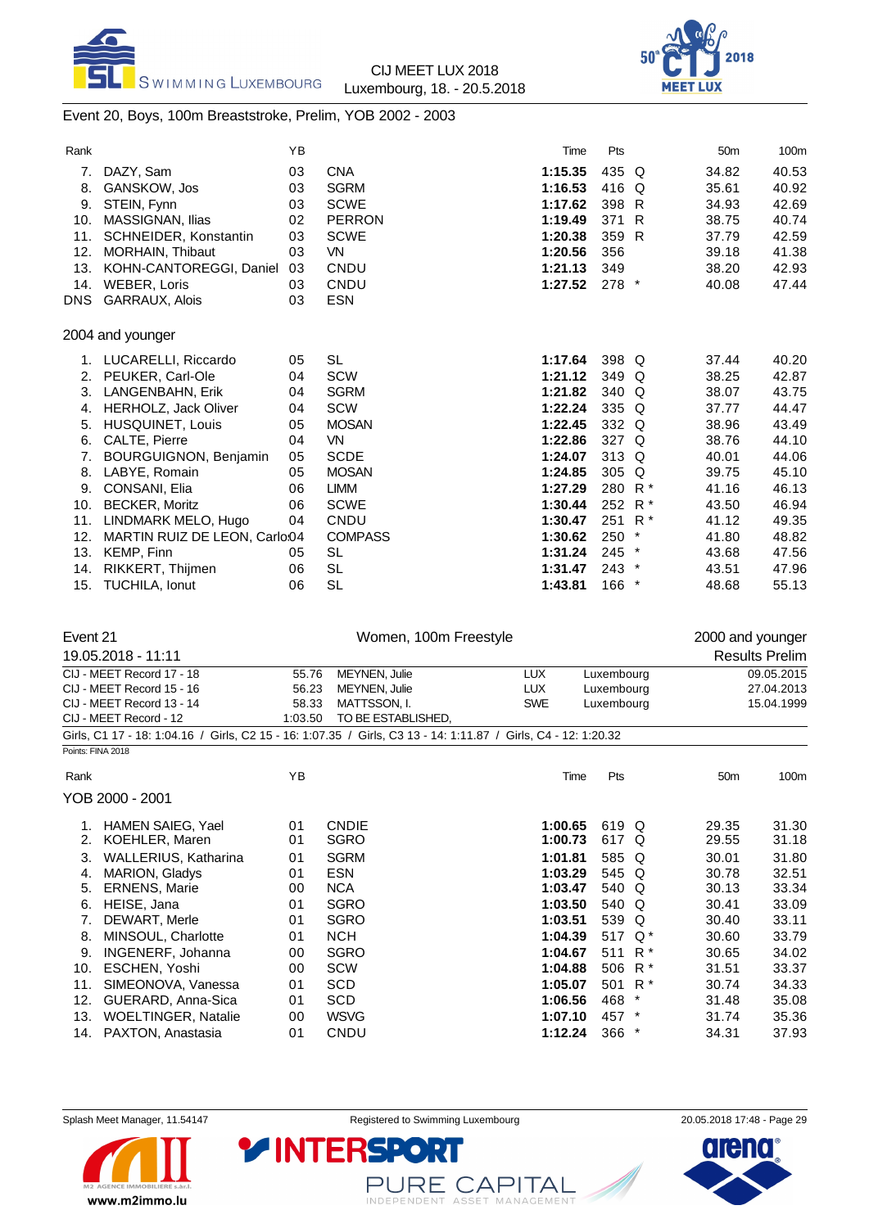



# Event 20, Boys, 100m Breaststroke, Prelim, YOB 2002 - 2003

| Rank       |                               | YB |                       | Time    | Pts     |               | 50 <sub>m</sub>  | 100m  |
|------------|-------------------------------|----|-----------------------|---------|---------|---------------|------------------|-------|
| 7.         | DAZY, Sam                     | 03 | <b>CNA</b>            | 1:15.35 | 435 Q   |               | 34.82            | 40.53 |
| 8.         | <b>GANSKOW, Jos</b>           | 03 | <b>SGRM</b>           | 1:16.53 | 416 Q   |               | 35.61            | 40.92 |
| 9.         | STEIN, Fynn                   | 03 | <b>SCWE</b>           | 1:17.62 | 398 R   |               | 34.93            | 42.69 |
| 10.        | MASSIGNAN, Ilias              | 02 | <b>PERRON</b>         | 1:19.49 | 371     | R             | 38.75            | 40.74 |
| 11.        | SCHNEIDER, Konstantin         | 03 | <b>SCWE</b>           | 1:20.38 | 359 R   |               | 37.79            | 42.59 |
| 12.        | <b>MORHAIN, Thibaut</b>       | 03 | <b>VN</b>             | 1:20.56 | 356     |               | 39.18            | 41.38 |
| 13.        | KOHN-CANTOREGGI, Daniel       | 03 | CNDU                  | 1:21.13 | 349     |               | 38.20            | 42.93 |
| 14.        | <b>WEBER, Loris</b>           | 03 | CNDU                  | 1:27.52 | $278$ * |               | 40.08            | 47.44 |
| <b>DNS</b> | GARRAUX, Alois                | 03 | <b>ESN</b>            |         |         |               |                  |       |
|            | 2004 and younger              |    |                       |         |         |               |                  |       |
| 1.         | LUCARELLI, Riccardo           | 05 | <b>SL</b>             | 1:17.64 | 398 Q   |               | 37.44            | 40.20 |
| 2.         | PEUKER, Carl-Ole              | 04 | <b>SCW</b>            | 1:21.12 | 349     | Q             | 38.25            | 42.87 |
| 3.         | LANGENBAHN, Erik              | 04 | <b>SGRM</b>           | 1:21.82 | 340 Q   |               | 38.07            | 43.75 |
| 4.         | <b>HERHOLZ, Jack Oliver</b>   | 04 | SCW                   | 1:22.24 | 335 Q   |               | 37.77            | 44.47 |
| 5.         | <b>HUSQUINET, Louis</b>       | 05 | <b>MOSAN</b>          | 1:22.45 | 332 Q   |               | 38.96            | 43.49 |
| 6.         | CALTE, Pierre                 | 04 | <b>VN</b>             | 1:22.86 | 327 Q   |               | 38.76            | 44.10 |
| 7.         | BOURGUIGNON, Benjamin         | 05 | <b>SCDE</b>           | 1:24.07 | 313 Q   |               | 40.01            | 44.06 |
| 8.         | LABYE, Romain                 | 05 | <b>MOSAN</b>          | 1:24.85 | 305     | Q             | 39.75            | 45.10 |
| 9.         | CONSANI, Elia                 | 06 | <b>LIMM</b>           | 1:27.29 | 280     | $R^*$         | 41.16            | 46.13 |
| 10.        | <b>BECKER, Moritz</b>         | 06 | <b>SCWE</b>           | 1:30.44 | 252     | $R^*$         | 43.50            | 46.94 |
| 11.        | LINDMARK MELO, Hugo           | 04 | CNDU                  | 1:30.47 | 251     | $R^*$         | 41.12            | 49.35 |
| 12.        | MARTIN RUIZ DE LEON, Carlo:04 |    | <b>COMPASS</b>        | 1:30.62 | 250     | $\ast$        | 41.80            | 48.82 |
| 13.        | <b>KEMP, Finn</b>             | 05 | <b>SL</b>             | 1:31.24 | $245$ * |               | 43.68            | 47.56 |
| 14.        | RIKKERT, Thijmen              | 06 | <b>SL</b>             | 1:31.47 | $243$ * |               | 43.51            | 47.96 |
| 15.        | TUCHILA, Ionut                | 06 | <b>SL</b>             | 1:43.81 | 166     | $\rightarrow$ | 48.68            | 55.13 |
|            |                               |    |                       |         |         |               |                  |       |
| Event 21   |                               |    | Women, 100m Freestyle |         |         |               | 2000 and younger |       |

| -----                     |                                                                                                                |         | ************************** |                          |            | $-000$ and young on |                       |
|---------------------------|----------------------------------------------------------------------------------------------------------------|---------|----------------------------|--------------------------|------------|---------------------|-----------------------|
|                           | 19.05.2018 - 11:11                                                                                             |         |                            |                          |            |                     | <b>Results Prelim</b> |
|                           | CIJ - MEET Record 17 - 18                                                                                      | 55.76   | <b>MEYNEN, Julie</b>       | <b>LUX</b>               | Luxembourg |                     | 09.05.2015            |
| CIJ - MEET Record 15 - 16 |                                                                                                                | 56.23   | <b>MEYNEN, Julie</b>       | <b>LUX</b>               | Luxembourg |                     | 27.04.2013            |
|                           | CIJ - MEET Record 13 - 14                                                                                      | 58.33   | MATTSSON. I.               | <b>SWE</b><br>Luxembourg |            |                     | 15.04.1999            |
|                           | CIJ - MEET Record - 12                                                                                         | 1:03.50 | TO BE ESTABLISHED.         |                          |            |                     |                       |
|                           | Girls, C1 17 - 18: 1:04.16 / Girls, C2 15 - 16: 1:07.35 / Girls, C3 13 - 14: 1:11.87 / Girls, C4 - 12: 1:20.32 |         |                            |                          |            |                     |                       |
|                           | Points: FINA 2018                                                                                              |         |                            |                          |            |                     |                       |
| Rank                      |                                                                                                                | ΥB      |                            | Time                     | Pts        | 50 <sub>m</sub>     | 100m                  |
|                           | YOB 2000 - 2001                                                                                                |         |                            |                          |            |                     |                       |
|                           | HAMEN SAIEG. Yael                                                                                              | 01      | <b>CNDIE</b>               | 1:00.65                  | 619 Q      | 29.35               | 31.30                 |
| 2.                        | KOEHLER, Maren                                                                                                 | 01      | <b>SGRO</b>                | 1:00.73                  | 617 Q      | 29.55               | 31.18                 |
| 3.                        | WALLERIUS, Katharina                                                                                           | 01      | <b>SGRM</b>                | 1:01.81                  | 585 Q      | 30.01               | 31.80                 |
| 4.                        | <b>MARION, Gladys</b>                                                                                          | 01      | <b>ESN</b>                 | 1:03.29                  | 545 Q      | 30.78               | 32.51                 |

| 5. ERNENS, Marie        | 00 | <b>NCA</b>  | 1:03.47 | 540 Q              | 30.13 | 33.34 |
|-------------------------|----|-------------|---------|--------------------|-------|-------|
| 6. HEISE, Jana          | 01 | <b>SGRO</b> | 1:03.50 | 540 Q              | 30.41 | 33.09 |
| 7. DEWART, Merle        | 01 | <b>SGRO</b> | 1:03.51 | 539 Q              | 30.40 | 33.11 |
| 8. MINSOUL, Charlotte   | 01 | <b>NCH</b>  | 1:04.39 | 517 Q <sup>*</sup> | 30.60 | 33.79 |
| 9. INGENERF, Johanna    | 00 | <b>SGRO</b> | 1:04.67 | 511 R <sup>*</sup> | 30.65 | 34.02 |
| 10. ESCHEN, Yoshi       | 00 | <b>SCW</b>  | 1:04.88 | 506 R <sup>*</sup> | 31.51 | 33.37 |
| 11. SIMEONOVA, Vanessa  | 01 | SCD         | 1:05.07 | 501 R <sup>*</sup> | 30.74 | 34.33 |
| 12. GUERARD, Anna-Sica  | 01 | <b>SCD</b>  | 1:06.56 | 468 *              | 31.48 | 35.08 |
| 13. WOELTINGER, Natalie | 00 | <b>WSVG</b> | 1:07.10 | 457 *              | 31.74 | 35.36 |
| 14. PAXTON, Anastasia   | 01 | <b>CNDU</b> | 1:12.24 | $366$ *            | 34.31 | 37.93 |
|                         |    |             |         |                    |       |       |

www.m2immo.lu

PURE CAPITAL

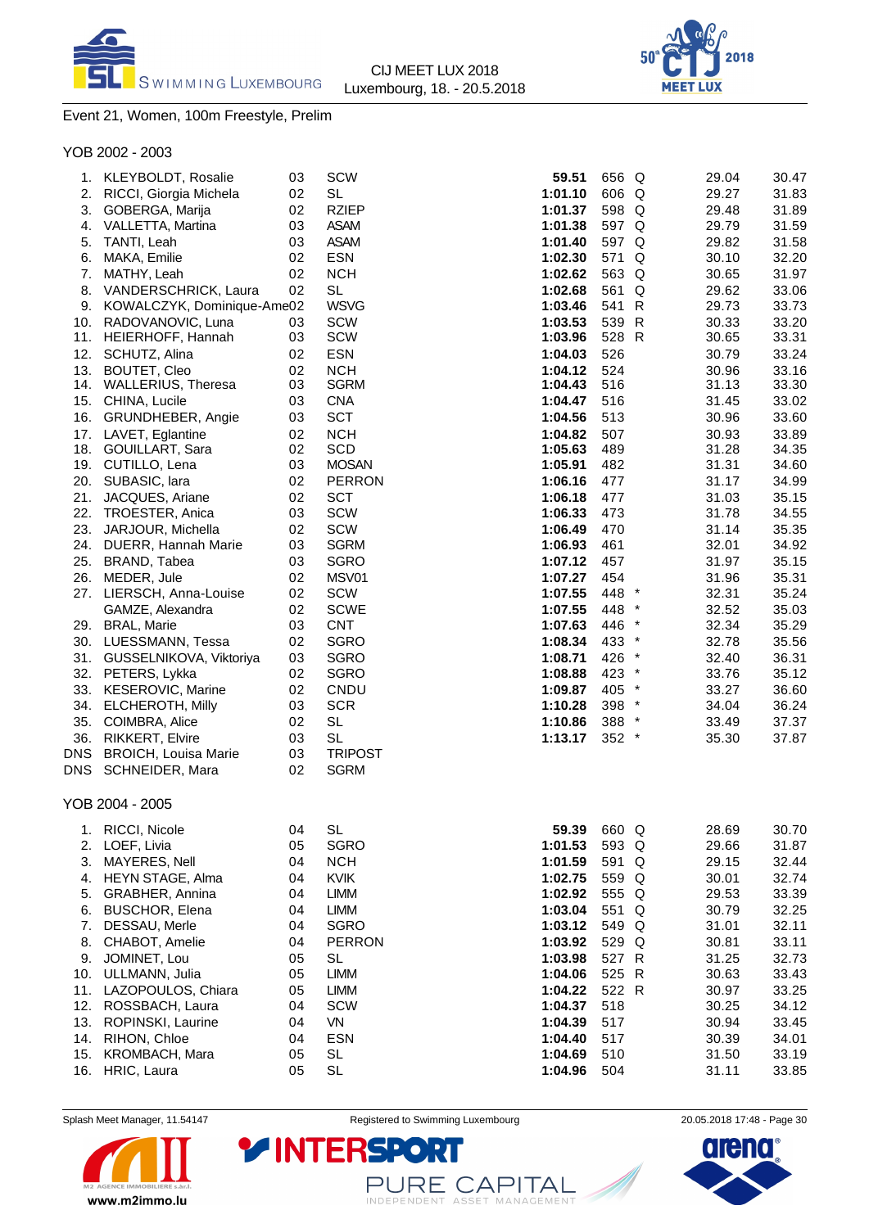



# Event 21, Women, 100m Freestyle, Prelim

YOB 2002 - 2003

| 1.         | KLEYBOLDT, Rosalie          | 03 | SCW            | 59.51   | 656 Q   |   | 29.04 | 30.47 |
|------------|-----------------------------|----|----------------|---------|---------|---|-------|-------|
| 2.         | RICCI, Giorgia Michela      | 02 | <b>SL</b>      | 1:01.10 | 606 Q   |   | 29.27 | 31.83 |
| 3.         | GOBERGA, Marija             | 02 | <b>RZIEP</b>   | 1:01.37 | 598 Q   |   | 29.48 | 31.89 |
| 4.         | VALLETTA, Martina           | 03 | <b>ASAM</b>    | 1:01.38 | 597 Q   |   | 29.79 | 31.59 |
| 5.         | TANTI, Leah                 | 03 | <b>ASAM</b>    | 1:01.40 | 597 Q   |   | 29.82 | 31.58 |
| 6.         | MAKA, Emilie                | 02 | <b>ESN</b>     | 1:02.30 | 571     | Q | 30.10 | 32.20 |
| 7.         | MATHY, Leah                 | 02 | <b>NCH</b>     | 1:02.62 | 563 Q   |   | 30.65 | 31.97 |
| 8.         | VANDERSCHRICK, Laura        | 02 | <b>SL</b>      | 1:02.68 | 561 Q   |   | 29.62 | 33.06 |
| 9.         |                             |    | <b>WSVG</b>    |         | 541 R   |   | 29.73 | 33.73 |
|            | KOWALCZYK, Dominique-Ame02  |    |                | 1:03.46 |         |   |       |       |
| 10.        | RADOVANOVIC, Luna           | 03 | SCW<br>SCW     | 1:03.53 | 539 R   |   | 30.33 | 33.20 |
| 11.        | HEIERHOFF, Hannah           | 03 |                | 1:03.96 | 528 R   |   | 30.65 | 33.31 |
| 12.        | SCHUTZ, Alina               | 02 | <b>ESN</b>     | 1:04.03 | 526     |   | 30.79 | 33.24 |
| 13.        | <b>BOUTET, Cleo</b>         | 02 | <b>NCH</b>     | 1:04.12 | 524     |   | 30.96 | 33.16 |
|            | 14. WALLERIUS, Theresa      | 03 | <b>SGRM</b>    | 1:04.43 | 516     |   | 31.13 | 33.30 |
| 15.        | CHINA, Lucile               | 03 | <b>CNA</b>     | 1:04.47 | 516     |   | 31.45 | 33.02 |
| 16.        | GRUNDHEBER, Angie           | 03 | <b>SCT</b>     | 1:04.56 | 513     |   | 30.96 | 33.60 |
| 17.        | LAVET, Eglantine            | 02 | <b>NCH</b>     | 1:04.82 | 507     |   | 30.93 | 33.89 |
| 18.        | GOUILLART, Sara             | 02 | <b>SCD</b>     | 1:05.63 | 489     |   | 31.28 | 34.35 |
| 19.        | CUTILLO, Lena               | 03 | <b>MOSAN</b>   | 1:05.91 | 482     |   | 31.31 | 34.60 |
| 20.        | SUBASIC, lara               | 02 | <b>PERRON</b>  | 1:06.16 | 477     |   | 31.17 | 34.99 |
| 21.        | JACQUES, Ariane             | 02 | <b>SCT</b>     | 1:06.18 | 477     |   | 31.03 | 35.15 |
| 22.        | TROESTER, Anica             | 03 | <b>SCW</b>     | 1:06.33 | 473     |   | 31.78 | 34.55 |
| 23.        | JARJOUR, Michella           | 02 | SCW            | 1:06.49 | 470     |   | 31.14 | 35.35 |
| 24.        | DUERR, Hannah Marie         | 03 | <b>SGRM</b>    | 1:06.93 | 461     |   | 32.01 | 34.92 |
| 25.        | BRAND, Tabea                | 03 | <b>SGRO</b>    | 1:07.12 | 457     |   | 31.97 | 35.15 |
| 26.        | MEDER, Jule                 | 02 | MSV01          | 1:07.27 | 454     |   | 31.96 | 35.31 |
| 27.        | LIERSCH, Anna-Louise        | 02 | SCW            | 1:07.55 | 448 *   |   | 32.31 | 35.24 |
|            | GAMZE, Alexandra            | 02 | <b>SCWE</b>    | 1:07.55 | 448 *   |   | 32.52 | 35.03 |
| 29.        | <b>BRAL, Marie</b>          | 03 | <b>CNT</b>     | 1:07.63 | 446 *   |   | 32.34 | 35.29 |
| 30.        | LUESSMANN, Tessa            | 02 | <b>SGRO</b>    | 1:08.34 | 433 *   |   | 32.78 | 35.56 |
| 31.        | GUSSELNIKOVA, Viktoriya     | 03 | <b>SGRO</b>    | 1:08.71 | 426 *   |   | 32.40 | 36.31 |
| 32.        | PETERS, Lykka               | 02 | <b>SGRO</b>    | 1:08.88 | 423 *   |   | 33.76 | 35.12 |
| 33.        | <b>KESEROVIC, Marine</b>    | 02 | CNDU           | 1:09.87 | 405 *   |   | 33.27 | 36.60 |
| 34.        | <b>ELCHEROTH, Milly</b>     | 03 | <b>SCR</b>     | 1:10.28 | 398 *   |   | 34.04 | 36.24 |
| 35.        | COIMBRA, Alice              | 02 | SL             | 1:10.86 | 388 *   |   | 33.49 | 37.37 |
| 36.        | RIKKERT, Elvire             | 03 | <b>SL</b>      | 1:13.17 | $352$ * |   | 35.30 | 37.87 |
| <b>DNS</b> | <b>BROICH, Louisa Marie</b> | 03 | <b>TRIPOST</b> |         |         |   |       |       |
| DNS        | SCHNEIDER, Mara             | 02 | <b>SGRM</b>    |         |         |   |       |       |
|            |                             |    |                |         |         |   |       |       |
|            | YOB 2004 - 2005             |    |                |         |         |   |       |       |
| 1.         | RICCI, Nicole               | 04 | SL             | 59.39   | 660 Q   |   | 28.69 | 30.70 |
| 2.         | LOEF, Livia                 | 05 | <b>SGRO</b>    | 1:01.53 | 593 Q   |   | 29.66 | 31.87 |
| 3.         | MAYERES, Nell               | 04 | <b>NCH</b>     | 1:01.59 | 591 Q   |   | 29.15 | 32.44 |
| 4.         | HEYN STAGE, Alma            | 04 | <b>KVIK</b>    | 1:02.75 | 559 Q   |   | 30.01 | 32.74 |
| 5.         | GRABHER, Annina             | 04 | <b>LIMM</b>    | 1:02.92 | 555 Q   |   | 29.53 | 33.39 |
| 6.         | <b>BUSCHOR, Elena</b>       | 04 | <b>LIMM</b>    | 1:03.04 | 551 Q   |   | 30.79 | 32.25 |
| 7.         | DESSAU, Merle               | 04 | <b>SGRO</b>    | 1:03.12 | 549 Q   |   | 31.01 | 32.11 |
| 8.         | CHABOT, Amelie              | 04 | <b>PERRON</b>  | 1:03.92 | 529 Q   |   | 30.81 | 33.11 |
| 9.         | JOMINET, Lou                | 05 | <b>SL</b>      | 1:03.98 | 527 R   |   | 31.25 | 32.73 |
| 10.        | ULLMANN, Julia              | 05 | <b>LIMM</b>    | 1:04.06 | 525 R   |   | 30.63 | 33.43 |
| 11.        | LAZOPOULOS, Chiara          | 05 | <b>LIMM</b>    | 1:04.22 | 522 R   |   | 30.97 | 33.25 |
| 12.        | ROSSBACH, Laura             | 04 | SCW            | 1:04.37 | 518     |   | 30.25 | 34.12 |
| 13.        | ROPINSKI, Laurine           | 04 | VN             | 1:04.39 | 517     |   | 30.94 | 33.45 |
| 14.        | RIHON, Chloe                | 04 | <b>ESN</b>     | 1:04.40 | 517     |   | 30.39 | 34.01 |
| 15.        | KROMBACH, Mara              | 05 | <b>SL</b>      | 1:04.69 | 510     |   | 31.50 | 33.19 |
| 16.        | HRIC, Laura                 | 05 | <b>SL</b>      | 1:04.96 | 504     |   | 31.11 | 33.85 |
|            |                             |    |                |         |         |   |       |       |



Splash Meet Manager, 11.54147 **Registered to Swimming Luxembourg** 20.05.2018 17:48 - Page 30

PURE CAPITAL

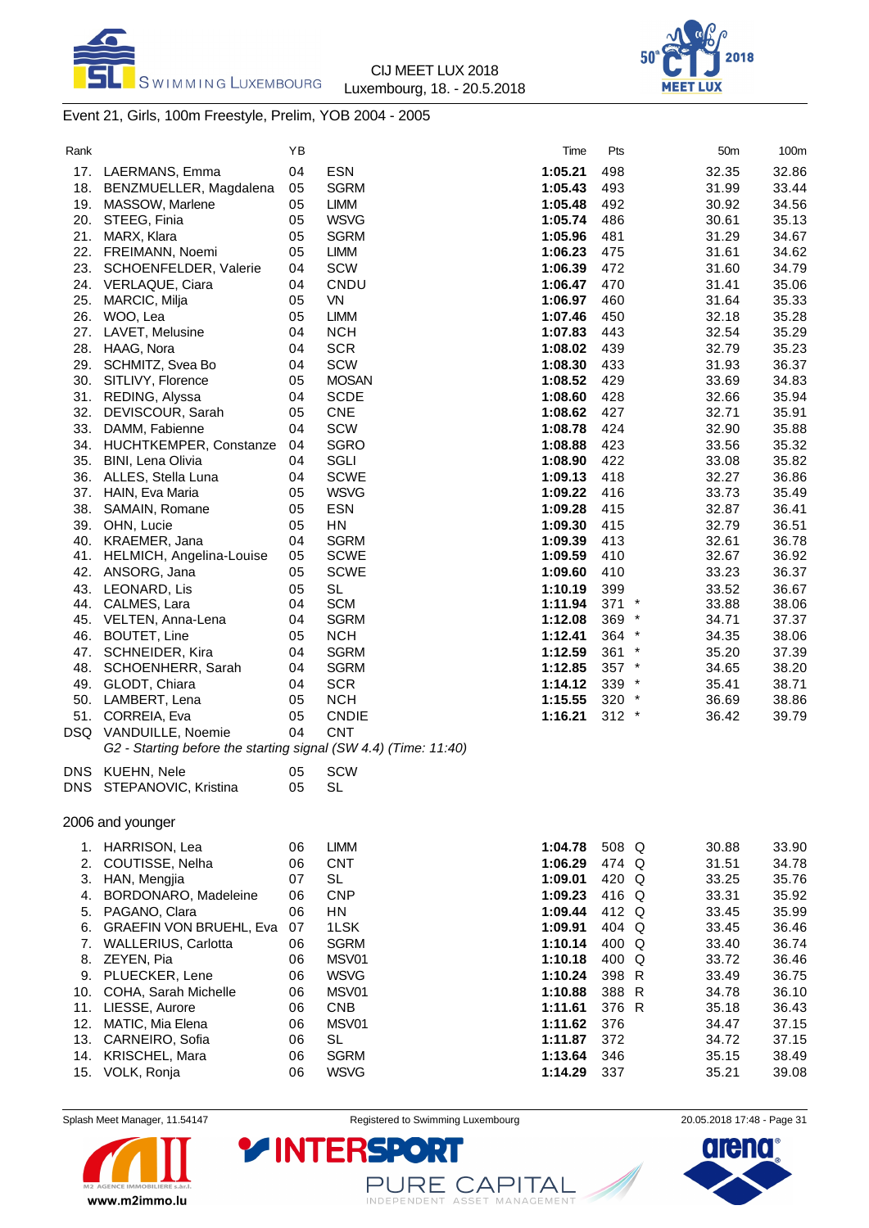



# Event 21, Girls, 100m Freestyle, Prelim, YOB 2004 - 2005

| Rank |                                                                 | ΥB |                  | Time    | Pts     | 50m   | 100m  |
|------|-----------------------------------------------------------------|----|------------------|---------|---------|-------|-------|
| 17.  | LAERMANS, Emma                                                  | 04 | <b>ESN</b>       | 1:05.21 | 498     | 32.35 | 32.86 |
| 18.  | BENZMUELLER, Magdalena                                          | 05 | <b>SGRM</b>      | 1:05.43 | 493     | 31.99 | 33.44 |
| 19.  | MASSOW, Marlene                                                 | 05 | <b>LIMM</b>      | 1:05.48 | 492     | 30.92 | 34.56 |
| 20.  | STEEG, Finia                                                    | 05 | <b>WSVG</b>      | 1:05.74 | 486     | 30.61 | 35.13 |
| 21.  | MARX, Klara                                                     | 05 | <b>SGRM</b>      | 1:05.96 | 481     | 31.29 | 34.67 |
| 22.  | FREIMANN, Noemi                                                 | 05 | <b>LIMM</b>      | 1:06.23 | 475     | 31.61 | 34.62 |
| 23.  | SCHOENFELDER, Valerie                                           | 04 | SCW              | 1:06.39 | 472     | 31.60 | 34.79 |
| 24.  | VERLAQUE, Ciara                                                 | 04 | CNDU             | 1:06.47 | 470     | 31.41 | 35.06 |
| 25.  | MARCIC, Milja                                                   | 05 | <b>VN</b>        | 1:06.97 | 460     | 31.64 | 35.33 |
| 26.  | WOO, Lea                                                        | 05 | <b>LIMM</b>      | 1:07.46 | 450     | 32.18 | 35.28 |
| 27.  | LAVET, Melusine                                                 | 04 | <b>NCH</b>       | 1:07.83 | 443     | 32.54 | 35.29 |
| 28.  | HAAG, Nora                                                      | 04 | <b>SCR</b>       | 1:08.02 | 439     | 32.79 | 35.23 |
| 29.  | SCHMITZ, Svea Bo                                                | 04 | SCW              | 1:08.30 | 433     | 31.93 | 36.37 |
| 30.  | SITLIVY, Florence                                               | 05 | <b>MOSAN</b>     | 1:08.52 | 429     | 33.69 | 34.83 |
| 31.  | REDING, Alyssa                                                  | 04 | <b>SCDE</b>      | 1:08.60 | 428     | 32.66 | 35.94 |
| 32.  | DEVISCOUR, Sarah                                                | 05 | <b>CNE</b>       | 1:08.62 | 427     | 32.71 | 35.91 |
| 33.  | DAMM, Fabienne                                                  | 04 | <b>SCW</b>       | 1:08.78 | 424     | 32.90 | 35.88 |
| 34.  | HUCHTKEMPER, Constanze                                          | 04 | <b>SGRO</b>      | 1:08.88 | 423     | 33.56 | 35.32 |
| 35.  | BINI, Lena Olivia                                               | 04 | SGLI             | 1:08.90 | 422     | 33.08 | 35.82 |
| 36.  | ALLES, Stella Luna                                              | 04 | <b>SCWE</b>      | 1:09.13 | 418     | 32.27 | 36.86 |
| 37.  | HAIN, Eva Maria                                                 | 05 | <b>WSVG</b>      | 1:09.22 | 416     | 33.73 | 35.49 |
| 38.  | SAMAIN, Romane                                                  | 05 | ESN              | 1:09.28 | 415     | 32.87 | 36.41 |
| 39.  | OHN, Lucie                                                      | 05 | HN               | 1:09.30 | 415     | 32.79 | 36.51 |
| 40.  | KRAEMER, Jana                                                   | 04 | <b>SGRM</b>      | 1:09.39 | 413     | 32.61 | 36.78 |
| 41.  | HELMICH, Angelina-Louise                                        | 05 | <b>SCWE</b>      | 1:09.59 | 410     | 32.67 | 36.92 |
| 42.  | ANSORG, Jana                                                    | 05 | <b>SCWE</b>      | 1:09.60 | 410     | 33.23 | 36.37 |
| 43.  | LEONARD, Lis                                                    | 05 | <b>SL</b>        | 1:10.19 | 399     | 33.52 | 36.67 |
| 44.  | CALMES, Lara                                                    | 04 | <b>SCM</b>       | 1:11.94 | $371$ * | 33.88 | 38.06 |
| 45.  | VELTEN, Anna-Lena                                               | 04 | <b>SGRM</b>      | 1:12.08 | 369 *   | 34.71 | 37.37 |
| 46.  | <b>BOUTET, Line</b>                                             | 05 | <b>NCH</b>       | 1:12.41 | 364 *   | 34.35 | 38.06 |
| 47.  | SCHNEIDER, Kira                                                 | 04 | <b>SGRM</b>      | 1:12.59 | $361$ * | 35.20 | 37.39 |
| 48.  | SCHOENHERR, Sarah                                               | 04 | <b>SGRM</b>      | 1:12.85 | $357$ * | 34.65 | 38.20 |
| 49.  | GLODT, Chiara                                                   | 04 | <b>SCR</b>       | 1:14.12 | 339 *   | 35.41 | 38.71 |
| 50.  | LAMBERT, Lena                                                   | 05 | <b>NCH</b>       | 1:15.55 | 320 *   | 36.69 | 38.86 |
| 51.  | CORREIA, Eva                                                    | 05 | <b>CNDIE</b>     | 1:16.21 | $312 *$ | 36.42 | 39.79 |
| DSQ  | VANDUILLE, Noemie                                               | 04 | <b>CNT</b>       |         |         |       |       |
|      | G2 - Starting before the starting signal (SW 4.4) (Time: 11:40) |    |                  |         |         |       |       |
| DNS  | KUEHN, Nele                                                     | 05 | SCW              |         |         |       |       |
| DNS  | STEPANOVIC, Kristina                                            | 05 | <b>SL</b>        |         |         |       |       |
|      |                                                                 |    |                  |         |         |       |       |
|      | 2006 and younger                                                |    |                  |         |         |       |       |
|      | 1. HARRISON, Lea                                                | 06 | <b>LIMM</b>      | 1:04.78 | 508 Q   | 30.88 | 33.90 |
| 2.   | COUTISSE, Nelha                                                 | 06 | <b>CNT</b>       | 1:06.29 | 474 Q   | 31.51 | 34.78 |
| 3.   | HAN, Mengjia                                                    | 07 | SL               | 1:09.01 | 420 Q   | 33.25 | 35.76 |
| 4.   | BORDONARO, Madeleine                                            | 06 | <b>CNP</b>       | 1:09.23 | 416 Q   | 33.31 | 35.92 |
| 5.   | PAGANO, Clara                                                   | 06 | ${\sf H}{\sf N}$ | 1:09.44 | 412 Q   | 33.45 | 35.99 |
| 6.   | <b>GRAEFIN VON BRUEHL, Eva</b>                                  | 07 | 1LSK             | 1:09.91 | 404 Q   | 33.45 | 36.46 |
| 7.   | <b>WALLERIUS, Carlotta</b>                                      | 06 | <b>SGRM</b>      | 1:10.14 | 400 Q   | 33.40 | 36.74 |
| 8.   | ZEYEN, Pia                                                      | 06 | MSV01            | 1:10.18 | 400 Q   | 33.72 | 36.46 |
| 9.   | PLUECKER, Lene                                                  | 06 | <b>WSVG</b>      | 1:10.24 | 398 R   | 33.49 | 36.75 |
| 10.  | COHA, Sarah Michelle                                            | 06 | MSV01            | 1:10.88 | 388 R   | 34.78 | 36.10 |
| 11.  | LIESSE, Aurore                                                  | 06 | <b>CNB</b>       | 1:11.61 | 376 R   | 35.18 | 36.43 |
| 12.  | MATIC, Mia Elena                                                | 06 | MSV01            | 1:11.62 | 376     | 34.47 | 37.15 |
| 13.  | CARNEIRO, Sofia                                                 | 06 | <b>SL</b>        | 1:11.87 | 372     | 34.72 | 37.15 |
| 14.  | KRISCHEL, Mara                                                  | 06 | <b>SGRM</b>      | 1:13.64 | 346     | 35.15 | 38.49 |
|      | 15. VOLK, Ronja                                                 | 06 | <b>WSVG</b>      | 1:14.29 | 337     | 35.21 | 39.08 |
|      |                                                                 |    |                  |         |         |       |       |



Splash Meet Manager, 11.54147 **Registered to Swimming Luxembourg** 20.05.2018 17:48 - Page 31

PURE CAPITAL

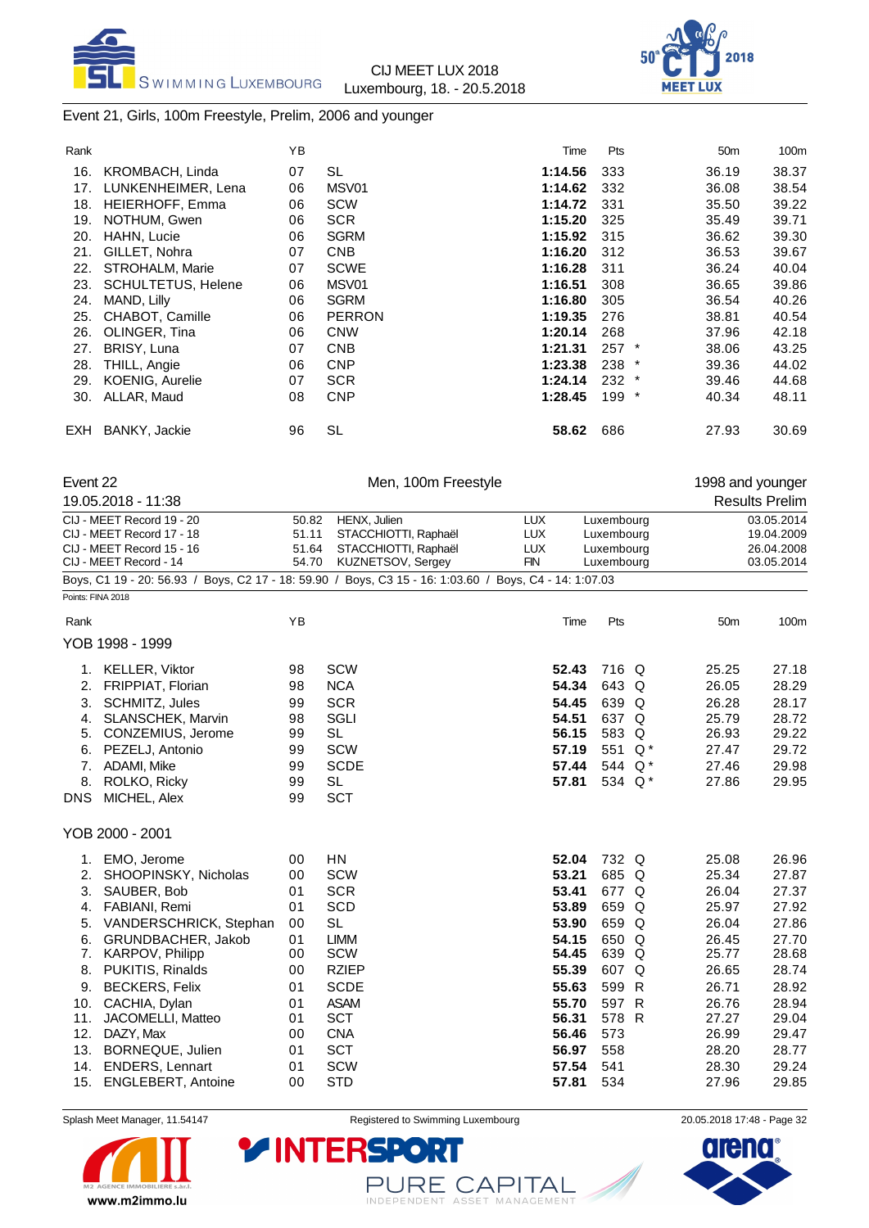



### Event 21, Girls, 100m Freestyle, Prelim, 2006 and younger

| Rank |                           | YB |               | Time    | Pts |         | 50 <sub>m</sub> | 100m  |
|------|---------------------------|----|---------------|---------|-----|---------|-----------------|-------|
| 16.  | KROMBACH, Linda           | 07 | SL            | 1:14.56 | 333 |         | 36.19           | 38.37 |
| 17.  | LUNKENHEIMER, Lena        | 06 | MSV01         | 1:14.62 | 332 |         | 36.08           | 38.54 |
| 18.  | HEIERHOFF, Emma           | 06 | <b>SCW</b>    | 1:14.72 | 331 |         | 35.50           | 39.22 |
| 19.  | NOTHUM, Gwen              | 06 | <b>SCR</b>    | 1:15.20 | 325 |         | 35.49           | 39.71 |
| 20.  | <b>HAHN, Lucie</b>        | 06 | <b>SGRM</b>   | 1:15.92 | 315 |         | 36.62           | 39.30 |
| 21.  | GILLET, Nohra             | 07 | <b>CNB</b>    | 1:16.20 | 312 |         | 36.53           | 39.67 |
| 22.  | STROHALM, Marie           | 07 | <b>SCWE</b>   | 1:16.28 | 311 |         | 36.24           | 40.04 |
| 23.  | <b>SCHULTETUS, Helene</b> | 06 | MSV01         | 1:16.51 | 308 |         | 36.65           | 39.86 |
| 24.  | MAND, Lilly               | 06 | <b>SGRM</b>   | 1:16.80 | 305 |         | 36.54           | 40.26 |
| 25.  | CHABOT, Camille           | 06 | <b>PERRON</b> | 1:19.35 | 276 |         | 38.81           | 40.54 |
| 26.  | OLINGER, Tina             | 06 | <b>CNW</b>    | 1:20.14 | 268 |         | 37.96           | 42.18 |
| 27.  | <b>BRISY, Luna</b>        | 07 | <b>CNB</b>    | 1:21.31 | 257 | $\ast$  | 38.06           | 43.25 |
| 28.  | THILL, Angie              | 06 | <b>CNP</b>    | 1:23.38 | 238 | $\ast$  | 39.36           | 44.02 |
| 29.  | <b>KOENIG, Aurelie</b>    | 07 | <b>SCR</b>    | 1:24.14 | 232 | $\star$ | 39.46           | 44.68 |
| 30.  | ALLAR, Maud               | 08 | <b>CNP</b>    | 1:28.45 | 199 | $\star$ | 40.34           | 48.11 |
| EXH  | <b>BANKY, Jackie</b>      | 96 | SL            | 58.62   | 686 |         | 27.93           | 30.69 |

| Event 22 |                                                                                                        |       | Men, 100m Freestyle  |            |      |            |     | 1998 and younger |                       |
|----------|--------------------------------------------------------------------------------------------------------|-------|----------------------|------------|------|------------|-----|------------------|-----------------------|
|          | 19.05.2018 - 11:38                                                                                     |       |                      |            |      |            |     |                  | <b>Results Prelim</b> |
|          | CIJ - MEET Record 19 - 20                                                                              | 50.82 | HENX, Julien         | <b>LUX</b> |      | Luxembourg |     |                  | 03.05.2014            |
|          | CIJ - MEET Record 17 - 18                                                                              | 51.11 | STACCHIOTTI, Raphaël | <b>LUX</b> |      | Luxembourg |     |                  | 19.04.2009            |
|          | CIJ - MEET Record 15 - 16                                                                              | 51.64 | STACCHIOTTI, Raphaël | <b>LUX</b> |      | Luxembourg |     |                  | 26.04.2008            |
|          | CIJ - MEET Record - 14                                                                                 | 54.70 | KUZNETSOV, Sergey    | <b>FIN</b> |      | Luxembourg |     |                  | 03.05.2014            |
|          | Boys, C1 19 - 20: 56.93 / Boys, C2 17 - 18: 59.90 / Boys, C3 15 - 16: 1:03.60 / Boys, C4 - 14: 1:07.03 |       |                      |            |      |            |     |                  |                       |
|          | Points: FINA 2018                                                                                      |       |                      |            |      |            |     |                  |                       |
| Rank     |                                                                                                        | YB    |                      |            | Time | Pts        |     | 50 <sub>m</sub>  | 100m                  |
|          | YOB 1998 - 1999                                                                                        |       |                      |            |      |            |     |                  |                       |
| 1.       | KELLER, Viktor                                                                                         | 98    | <b>SCW</b>           | 52.43      |      | 716 Q      |     | 25.25            | 27.18                 |
| 2.       | <b>FRIPPIAT, Florian</b>                                                                               | 98    | <b>NCA</b>           | 54.34      |      | 643 Q      |     | 26.05            | 28.29                 |
| 3.       | SCHMITZ, Jules                                                                                         | 99    | <b>SCR</b>           | 54.45      |      | 639 Q      |     | 26.28            | 28.17                 |
| 4.       | <b>SLANSCHEK, Marvin</b>                                                                               | 98    | SGLI                 | 54.51      |      | 637 Q      |     | 25.79            | 28.72                 |
| 5.       | CONZEMIUS, Jerome                                                                                      | 99    | <b>SL</b>            | 56.15      |      | 583 Q      |     | 26.93            | 29.22                 |
| 6.       | PEZELJ, Antonio                                                                                        | 99    | <b>SCW</b>           | 57.19      |      | 551        | Q * | 27.47            | 29.72                 |
| 7.       | ADAMI, Mike                                                                                            | 99    | <b>SCDE</b>          | 57.44      |      | 544        | Q * | 27.46            | 29.98                 |
| 8.       | ROLKO, Ricky                                                                                           | 99    | <b>SL</b>            | 57.81      |      | 534 Q*     |     | 27.86            | 29.95                 |
| DNS      | MICHEL, Alex                                                                                           | 99    | <b>SCT</b>           |            |      |            |     |                  |                       |
|          | YOB 2000 - 2001                                                                                        |       |                      |            |      |            |     |                  |                       |
| 1.       | EMO, Jerome                                                                                            | 00    | <b>HN</b>            | 52.04      |      | 732 Q      |     | 25.08            | 26.96                 |
| 2.       | SHOOPINSKY, Nicholas                                                                                   | 00    | <b>SCW</b>           | 53.21      |      | 685 Q      |     | 25.34            | 27.87                 |
| 3.       | SAUBER, Bob                                                                                            | 01    | <b>SCR</b>           | 53.41      |      | 677 Q      |     | 26.04            | 27.37                 |
| 4.       | FABIANI, Remi                                                                                          | 01    | <b>SCD</b>           | 53.89      |      | 659 Q      |     | 25.97            | 27.92                 |
| 5.       | VANDERSCHRICK, Stephan                                                                                 | 00    | <b>SL</b>            | 53.90      |      | 659        | Q   | 26.04            | 27.86                 |
| 6.       | GRUNDBACHER, Jakob                                                                                     | 01    | <b>LIMM</b>          | 54.15      |      | 650        | Q   | 26.45            | 27.70                 |
| 7.       | <b>KARPOV, Philipp</b>                                                                                 | 00    | <b>SCW</b>           | 54.45      |      | 639        | Q   | 25.77            | 28.68                 |
| 8.       | PUKITIS, Rinalds                                                                                       | 00    | <b>RZIEP</b>         | 55.39      |      | 607        | Q   | 26.65            | 28.74                 |
| 9.       | <b>BECKERS, Felix</b>                                                                                  | 01    | <b>SCDE</b>          | 55.63      |      | 599 R      |     | 26.71            | 28.92                 |
| 10.      | CACHIA, Dylan                                                                                          | 01    | <b>ASAM</b>          | 55.70      |      | 597 R      |     | 26.76            | 28.94                 |
| 11.      | JACOMELLI, Matteo                                                                                      | 01    | <b>SCT</b>           | 56.31      |      | 578        | R   | 27.27            | 29.04                 |

12. DAZY, Max 00 CNA **56.46** 573 26.99 29.47 13. BORNEQUE, Julien 01 SCT **56.97** 558 28.20 28.77 14. ENDERS, Lennart 01 SCW **57.54** 541 28.30 29.24 15. ENGLEBERT, Antoine 00 STD **57.81** 534 27.96

**YINTERSPO** 



Splash Meet Manager, 11.54147 **Registered to Swimming Luxembourg** 20.05.2018 17:48 - Page 32

PURE CAPITAL

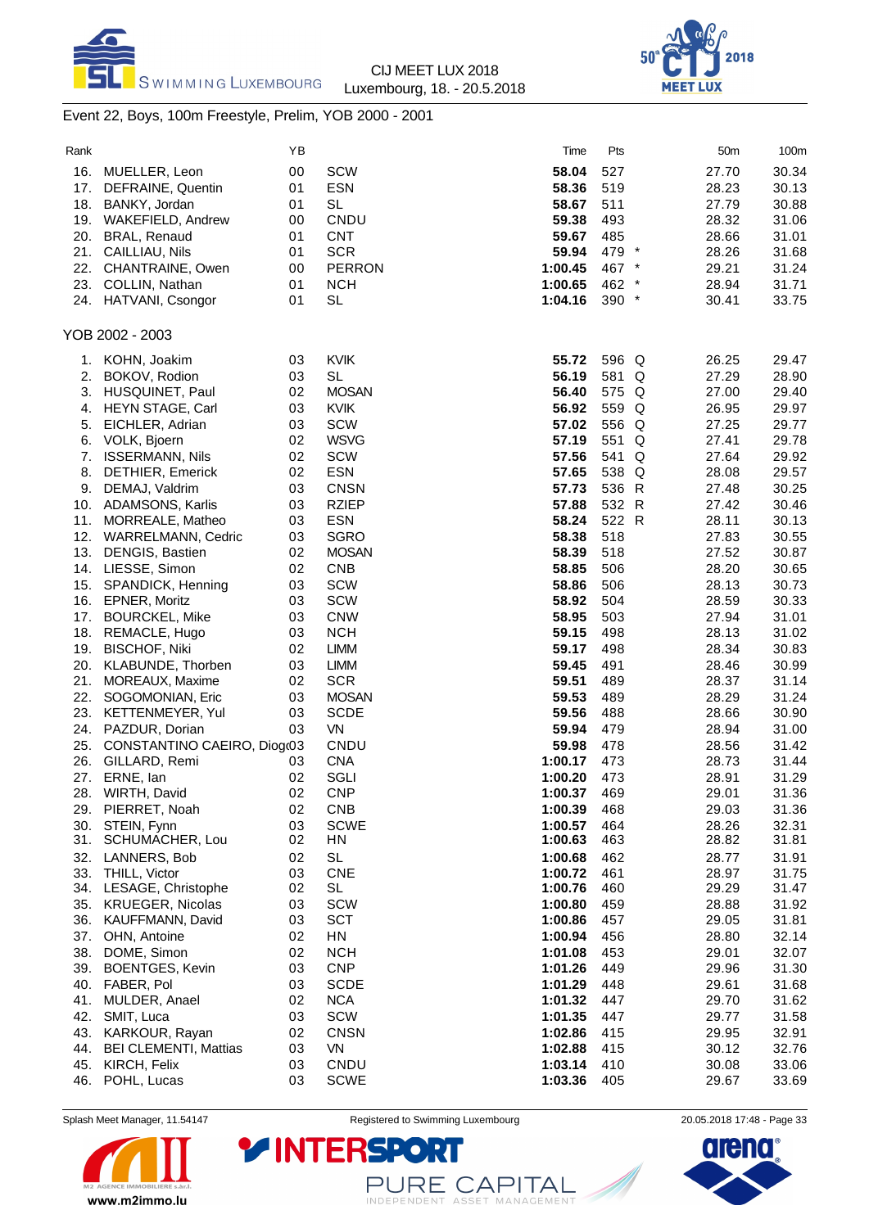



# Event 22, Boys, 100m Freestyle, Prelim, YOB 2000 - 2001

| Rank |                              | ΥB |               | Time    | Pts     | 50 <sub>m</sub> | 100m  |
|------|------------------------------|----|---------------|---------|---------|-----------------|-------|
| 16.  | MUELLER, Leon                | 00 | <b>SCW</b>    | 58.04   | 527     | 27.70           | 30.34 |
| 17.  | DEFRAINE, Quentin            | 01 | <b>ESN</b>    | 58.36   | 519     | 28.23           | 30.13 |
| 18.  | BANKY, Jordan                | 01 | <b>SL</b>     | 58.67   | 511     | 27.79           | 30.88 |
| 19.  | <b>WAKEFIELD, Andrew</b>     | 00 | CNDU          | 59.38   | 493     | 28.32           | 31.06 |
| 20.  | BRAL, Renaud                 | 01 | <b>CNT</b>    | 59.67   | 485     | 28.66           | 31.01 |
|      | 21. CAILLIAU, Nils           | 01 | <b>SCR</b>    | 59.94   | 479 *   | 28.26           | 31.68 |
| 22.  | CHANTRAINE, Owen             | 00 | <b>PERRON</b> | 1:00.45 | 467 *   | 29.21           | 31.24 |
| 23.  | COLLIN, Nathan               | 01 | <b>NCH</b>    | 1:00.65 | 462 *   | 28.94           | 31.71 |
|      | 24. HATVANI, Csongor         | 01 | <b>SL</b>     | 1:04.16 | $390 *$ | 30.41           | 33.75 |
|      |                              |    |               |         |         |                 |       |
|      | YOB 2002 - 2003              |    |               |         |         |                 |       |
| 1.   | KOHN, Joakim                 | 03 | <b>KVIK</b>   | 55.72   | 596 Q   | 26.25           | 29.47 |
| 2.   | BOKOV, Rodion                | 03 | <b>SL</b>     | 56.19   | 581 Q   | 27.29           | 28.90 |
| 3.   | HUSQUINET, Paul              | 02 | <b>MOSAN</b>  | 56.40   | 575 Q   | 27.00           | 29.40 |
| 4.   | HEYN STAGE, Carl             | 03 | <b>KVIK</b>   | 56.92   | 559 Q   | 26.95           | 29.97 |
| 5.   | EICHLER, Adrian              | 03 | <b>SCW</b>    | 57.02   | 556 Q   | 27.25           | 29.77 |
| 6.   | VOLK, Bjoern                 | 02 | <b>WSVG</b>   | 57.19   | 551 Q   | 27.41           | 29.78 |
| 7.   | <b>ISSERMANN, Nils</b>       | 02 | <b>SCW</b>    | 57.56   | 541 Q   | 27.64           | 29.92 |
| 8.   | <b>DETHIER, Emerick</b>      | 02 | <b>ESN</b>    | 57.65   | 538 Q   | 28.08           | 29.57 |
| 9.   | DEMAJ, Valdrim               | 03 | <b>CNSN</b>   | 57.73   | 536 R   | 27.48           | 30.25 |
|      | 10. ADAMSONS, Karlis         | 03 | <b>RZIEP</b>  | 57.88   | 532 R   | 27.42           | 30.46 |
| 11.  | MORREALE, Matheo             | 03 | <b>ESN</b>    | 58.24   | 522 R   | 28.11           | 30.13 |
| 12.  | <b>WARRELMANN, Cedric</b>    | 03 | <b>SGRO</b>   | 58.38   | 518     | 27.83           | 30.55 |
| 13.  | DENGIS, Bastien              | 02 | <b>MOSAN</b>  | 58.39   | 518     | 27.52           | 30.87 |
| 14.  | LIESSE, Simon                | 02 | <b>CNB</b>    | 58.85   | 506     | 28.20           | 30.65 |
| 15.  | SPANDICK, Henning            | 03 | <b>SCW</b>    | 58.86   | 506     | 28.13           | 30.73 |
| 16.  | EPNER, Moritz                | 03 | <b>SCW</b>    | 58.92   | 504     | 28.59           | 30.33 |
| 17.  | <b>BOURCKEL, Mike</b>        | 03 | <b>CNW</b>    | 58.95   | 503     | 27.94           | 31.01 |
| 18.  | REMACLE, Hugo                | 03 | <b>NCH</b>    | 59.15   | 498     | 28.13           | 31.02 |
| 19.  | <b>BISCHOF, Niki</b>         | 02 | <b>LIMM</b>   | 59.17   | 498     | 28.34           | 30.83 |
| 20.  | KLABUNDE, Thorben            | 03 | <b>LIMM</b>   | 59.45   | 491     | 28.46           | 30.99 |
| 21.  | MOREAUX, Maxime              | 02 | <b>SCR</b>    | 59.51   | 489     | 28.37           | 31.14 |
| 22.  | SOGOMONIAN, Eric             | 03 | <b>MOSAN</b>  | 59.53   | 489     | 28.29           | 31.24 |
| 23.  | KETTENMEYER, Yul             | 03 | <b>SCDE</b>   | 59.56   | 488     | 28.66           | 30.90 |
| 24.  | PAZDUR, Dorian               | 03 | VN            | 59.94   | 479     | 28.94           | 31.00 |
| 25.  | CONSTANTINO CAEIRO, Diog(03  |    | CNDU          | 59.98   | 478     | 28.56           | 31.42 |
| 26.  | GILLARD, Remi                | 03 | <b>CNA</b>    | 1:00.17 | 473     | 28.73           | 31.44 |
| 27.  | ERNE, Ian                    | 02 | SGLI          | 1:00.20 | 473     | 28.91           | 31.29 |
|      | 28. WIRTH, David             | 02 | <b>CNP</b>    | 1:00.37 | 469     | 29.01           | 31.36 |
| 29.  | PIERRET, Noah                | 02 | <b>CNB</b>    | 1:00.39 | 468     | 29.03           | 31.36 |
| 30.  | STEIN, Fynn                  | 03 | <b>SCWE</b>   | 1:00.57 | 464     | 28.26           | 32.31 |
| 31.  | SCHUMACHER, Lou              | 02 | HN            | 1:00.63 | 463     | 28.82           | 31.81 |
| 32.  | LANNERS, Bob                 | 02 | <b>SL</b>     | 1:00.68 | 462     | 28.77           | 31.91 |
| 33.  | THILL, Victor                | 03 | <b>CNE</b>    | 1:00.72 | 461     | 28.97           | 31.75 |
| 34.  | LESAGE, Christophe           | 02 | <b>SL</b>     | 1:00.76 | 460     | 29.29           | 31.47 |
| 35.  | <b>KRUEGER, Nicolas</b>      | 03 | <b>SCW</b>    | 1:00.80 | 459     | 28.88           | 31.92 |
| 36.  | KAUFFMANN, David             | 03 | <b>SCT</b>    | 1:00.86 | 457     | 29.05           | 31.81 |
| 37.  | OHN, Antoine                 | 02 | HN            | 1:00.94 | 456     | 28.80           | 32.14 |
| 38.  | DOME, Simon                  | 02 | <b>NCH</b>    | 1:01.08 | 453     | 29.01           | 32.07 |
| 39.  | <b>BOENTGES, Kevin</b>       | 03 | <b>CNP</b>    | 1:01.26 | 449     | 29.96           | 31.30 |
| 40.  | FABER, Pol                   | 03 | <b>SCDE</b>   | 1:01.29 | 448     | 29.61           | 31.68 |
| 41.  | MULDER, Anael                | 02 | <b>NCA</b>    | 1:01.32 | 447     | 29.70           | 31.62 |
| 42.  | SMIT, Luca                   | 03 | SCW           | 1:01.35 | 447     | 29.77           | 31.58 |
| 43.  | KARKOUR, Rayan               | 02 | <b>CNSN</b>   | 1:02.86 | 415     | 29.95           | 32.91 |
| 44.  | <b>BEI CLEMENTI, Mattias</b> | 03 | VN            | 1:02.88 | 415     | 30.12           | 32.76 |
| 45.  | KIRCH, Felix                 | 03 | CNDU          | 1:03.14 | 410     | 30.08           | 33.06 |
|      | 46. POHL, Lucas              | 03 | <b>SCWE</b>   | 1:03.36 | 405     | 29.67           | 33.69 |

Splash Meet Manager, 11.54147 **Registered to Swimming Luxembourg** 20.05.2018 17:48 - Page 33



PURE CAPITAL

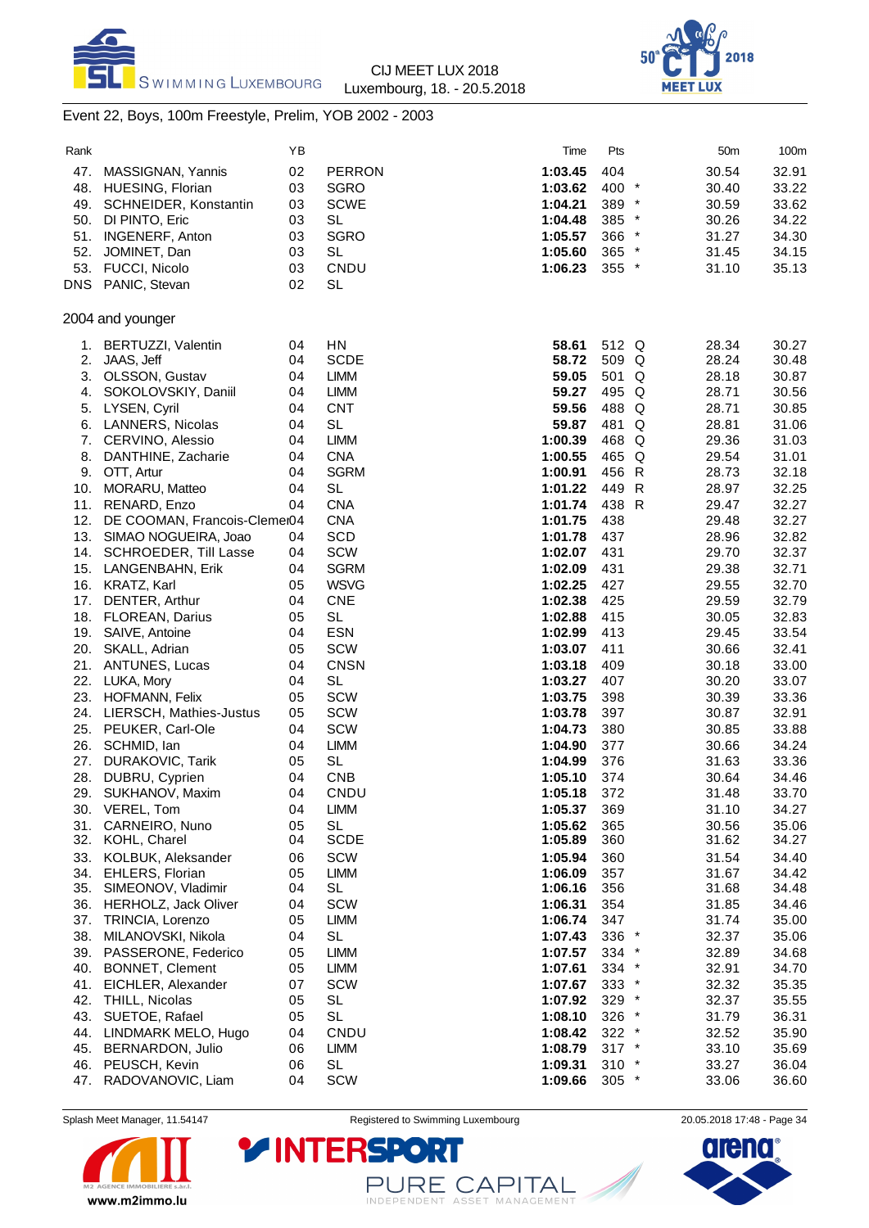



# Event 22, Boys, 100m Freestyle, Prelim, YOB 2002 - 2003

| Rank       |                                    | ΥB       |                          | Time               | Pts        |   | 50m            | 100m           |
|------------|------------------------------------|----------|--------------------------|--------------------|------------|---|----------------|----------------|
| 47.        | MASSIGNAN, Yannis                  | 02       | <b>PERRON</b>            | 1:03.45            | 404        |   | 30.54          | 32.91          |
| 48.        | <b>HUESING, Florian</b>            | 03       | <b>SGRO</b>              | 1:03.62            | 400 *      |   | 30.40          | 33.22          |
| 49.        | SCHNEIDER, Konstantin              | 03       | <b>SCWE</b>              | 1:04.21            | 389 *      |   | 30.59          | 33.62          |
| 50.        | DI PINTO, Eric                     | 03       | <b>SL</b>                | 1:04.48            | 385 *      |   | 30.26          | 34.22          |
| 51.        | <b>INGENERF, Anton</b>             | 03       | <b>SGRO</b>              | 1:05.57            | 366 *      |   | 31.27          | 34.30          |
| 52.        | JOMINET, Dan                       | 03       | <b>SL</b>                | 1:05.60            | 365 *      |   | 31.45          | 34.15          |
|            | 53. FUCCI, Nicolo                  | 03       | CNDU                     | 1:06.23            | 355 *      |   | 31.10          | 35.13          |
| DNS        | PANIC, Stevan                      | 02       | <b>SL</b>                |                    |            |   |                |                |
|            | 2004 and younger                   |          |                          |                    |            |   |                |                |
| 1.         | BERTUZZI, Valentin                 | 04       | HN                       | 58.61              | 512 Q      |   | 28.34          | 30.27          |
| 2.         | JAAS, Jeff                         | 04       | <b>SCDE</b>              | 58.72              | 509 Q      |   | 28.24          | 30.48          |
| 3.         | OLSSON, Gustav                     | 04       | <b>LIMM</b>              | 59.05              | 501 Q      |   | 28.18          | 30.87          |
| 4.         | SOKOLOVSKIY, Daniil                | 04       | <b>LIMM</b>              | 59.27              | 495 Q      |   | 28.71          | 30.56          |
| 5.         | LYSEN, Cyril                       | 04       | <b>CNT</b>               | 59.56              | 488 Q      |   | 28.71          | 30.85          |
| 6.         | <b>LANNERS, Nicolas</b>            | 04       | <b>SL</b>                | 59.87              | 481        | Q | 28.81          | 31.06          |
| 7.         | CERVINO, Alessio                   | 04       | <b>LIMM</b>              | 1:00.39            | 468 Q      |   | 29.36          | 31.03          |
| 8.         | DANTHINE, Zacharie                 | 04       | <b>CNA</b>               | 1:00.55            | 465 Q      |   | 29.54          | 31.01          |
|            | 9. OTT, Artur                      | 04       | <b>SGRM</b>              | 1:00.91            | 456 R      |   | 28.73          | 32.18          |
| 10.        | MORARU, Matteo                     | 04       | <b>SL</b>                | 1:01.22            | 449 R      |   | 28.97          | 32.25          |
| 11.        | RENARD, Enzo                       | 04       | <b>CNA</b>               | 1:01.74            | 438 R      |   | 29.47          | 32.27          |
| 12.        | DE COOMAN, Francois-Clemer04       |          | <b>CNA</b>               | 1:01.75            | 438        |   | 29.48          | 32.27          |
| 13.        | SIMAO NOGUEIRA, Joao               | 04       | SCD                      | 1:01.78            | 437        |   | 28.96          | 32.82          |
| 14.        | SCHROEDER, Till Lasse              | 04       | SCW                      | 1:02.07            | 431        |   | 29.70          | 32.37          |
| 15.        | LANGENBAHN, Erik                   | 04       | <b>SGRM</b>              | 1:02.09            | 431        |   | 29.38          | 32.71          |
|            | 16. KRATZ, Karl                    | 05       | <b>WSVG</b>              | 1:02.25            | 427        |   | 29.55          | 32.70          |
| 17.        | DENTER, Arthur                     | 04       | <b>CNE</b>               | 1:02.38            | 425        |   | 29.59          | 32.79          |
|            | 18. FLOREAN, Darius                | 05       | <b>SL</b>                | 1:02.88            | 415        |   | 30.05          | 32.83          |
| 19.        | SAIVE, Antoine                     | 04       | <b>ESN</b>               | 1:02.99            | 413        |   | 29.45          | 33.54          |
| 20.        | SKALL, Adrian                      | 05       | SCW                      | 1:03.07            | 411        |   | 30.66          | 32.41          |
| 21.        | ANTUNES, Lucas                     | 04       | <b>CNSN</b>              | 1:03.18            | 409        |   | 30.18          | 33.00          |
| 22.        | LUKA, Mory                         | 04       | <b>SL</b>                | 1:03.27            | 407        |   | 30.20          | 33.07          |
| 23.        | HOFMANN, Felix                     | 05       | SCW                      | 1:03.75            | 398        |   | 30.39          | 33.36          |
| 24.        | LIERSCH, Mathies-Justus            | 05       | <b>SCW</b>               | 1:03.78            | 397        |   | 30.87          | 32.91          |
| 25.        | PEUKER, Carl-Ole                   | 04       | <b>SCW</b>               | 1:04.73            | 380        |   | 30.85          | 33.88          |
| 26.        | SCHMID, lan                        | 04       | <b>LIMM</b><br><b>SL</b> | 1:04.90            | 377        |   | 30.66          | 34.24          |
| 27.<br>28. | DURAKOVIC, Tarik<br>DUBRU, Cyprien | 05<br>04 | <b>CNB</b>               | 1:04.99<br>1:05.10 | 376<br>374 |   | 31.63<br>30.64 | 33.36          |
|            |                                    |          |                          |                    |            |   |                | 34.46          |
| 29.        | SUKHANOV, Maxim                    | 04       | CNDU                     | 1:05.18            | 372        |   | 31.48          | 33.70          |
| 31.        | 30. VEREL, Tom<br>CARNEIRO, Nuno   | 04<br>05 | LIMM<br><b>SL</b>        | 1:05.37<br>1:05.62 | 369<br>365 |   | 31.10<br>30.56 | 34.27<br>35.06 |
|            | 32. KOHL, Charel                   | 04       | <b>SCDE</b>              | 1:05.89            | 360        |   | 31.62          | 34.27          |
|            | 33. KOLBUK, Aleksander             | 06       | SCW                      | 1:05.94            | 360        |   | 31.54          | 34.40          |
|            | 34. EHLERS, Florian                | 05       | <b>LIMM</b>              | 1:06.09            | 357        |   | 31.67          | 34.42          |
| 35.        | SIMEONOV, Vladimir                 | 04       | SL                       | 1:06.16            | 356        |   | 31.68          | 34.48          |
| 36.        | HERHOLZ, Jack Oliver               | 04       | <b>SCW</b>               | 1:06.31            | 354        |   | 31.85          | 34.46          |
| 37.        | TRINCIA, Lorenzo                   | 05       | <b>LIMM</b>              | 1:06.74            | 347        |   | 31.74          | 35.00          |
| 38.        | MILANOVSKI, Nikola                 | 04       | <b>SL</b>                | 1:07.43            | 336 *      |   | 32.37          | 35.06          |
|            | 39. PASSERONE, Federico            | 05       | <b>LIMM</b>              | 1:07.57            | $334$ *    |   | 32.89          | 34.68          |
| 40.        | BONNET, Clement                    | 05       | <b>LIMM</b>              | 1:07.61            | 334 *      |   | 32.91          | 34.70          |
| 41.        | EICHLER, Alexander                 | 07       | <b>SCW</b>               | 1:07.67            | 333 *      |   | 32.32          | 35.35          |
| 42.        | THILL, Nicolas                     | 05       | <b>SL</b>                | 1:07.92            | $329$ *    |   | 32.37          | 35.55          |
| 43.        | SUETOE, Rafael                     | 05       | SL                       | 1:08.10            | 326 *      |   | 31.79          | 36.31          |
| 44.        | LINDMARK MELO, Hugo                | 04       | CNDU                     | 1:08.42            | $322$ *    |   | 32.52          | 35.90          |
| 45.        | BERNARDON, Julio                   | 06       | <b>LIMM</b>              | 1:08.79            | $317$ *    |   | 33.10          | 35.69          |
|            | 46. PEUSCH, Kevin                  | 06       | <b>SL</b>                | 1:09.31            | $310 *$    |   | 33.27          | 36.04          |
| 47.        | RADOVANOVIC, Liam                  | 04       | SCW                      | 1:09.66            | $305$ *    |   | 33.06          | 36.60          |



Splash Meet Manager, 11.54147 **Registered to Swimming Luxembourg** 20.05.2018 17:48 - Page 34

PURE CAPITAL

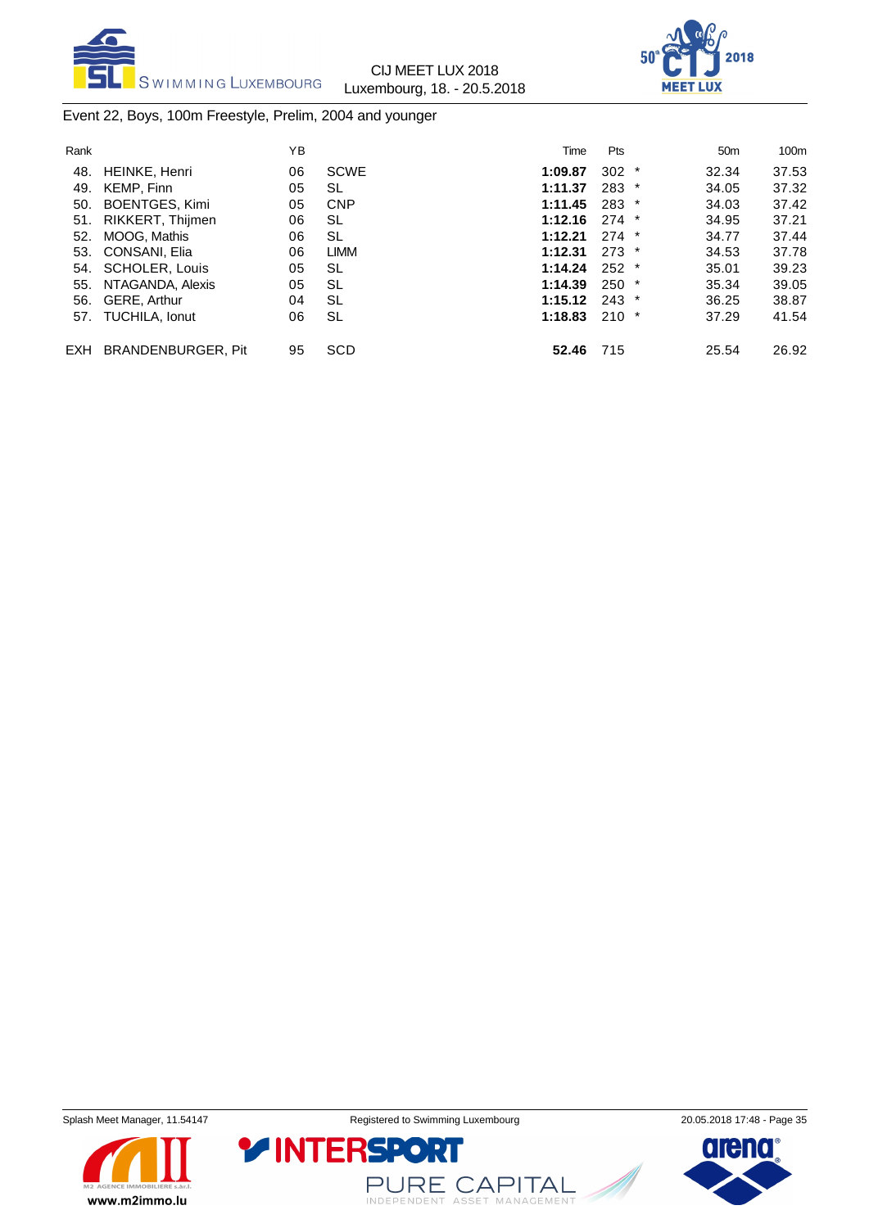



# Event 22, Boys, 100m Freestyle, Prelim, 2004 and younger

| Rank       |                           | YB |             | Time    | <b>Pts</b> | 50 <sub>m</sub> | 100 <sub>m</sub> |
|------------|---------------------------|----|-------------|---------|------------|-----------------|------------------|
| 48.        | HEINKE, Henri             | 06 | <b>SCWE</b> | 1:09.87 | $302 *$    | 32.34           | 37.53            |
| 49.        | KEMP, Finn                | 05 | <b>SL</b>   | 1:11.37 | $283$ *    | 34.05           | 37.32            |
| 50.        | <b>BOENTGES, Kimi</b>     | 05 | <b>CNP</b>  | 1:11.45 | $283$ *    | 34.03           | 37.42            |
| 51.        | RIKKERT, Thijmen          | 06 | <b>SL</b>   | 1:12.16 | $274$ *    | 34.95           | 37.21            |
| 52.        | MOOG, Mathis              | 06 | <b>SL</b>   | 1:12.21 | $274$ *    | 34.77           | 37.44            |
|            | 53. CONSANI, Elia         | 06 | <b>LIMM</b> | 1:12.31 | $273$ *    | 34.53           | 37.78            |
|            | 54. SCHOLER, Louis        | 05 | <b>SL</b>   | 1:14.24 | $252$ *    | 35.01           | 39.23            |
| 55.        | NTAGANDA, Alexis          | 05 | SL          | 1:14.39 | $250$ *    | 35.34           | 39.05            |
|            | 56. GERE, Arthur          | 04 | SL          | 1:15.12 | $243$ *    | 36.25           | 38.87            |
|            | 57. TUCHILA, Ionut        | 06 | <b>SL</b>   | 1:18.83 | $210$ *    | 37.29           | 41.54            |
| <b>EXH</b> | <b>BRANDENBURGER, Pit</b> | 95 | <b>SCD</b>  | 52.46   | 715        | 25.54           | 26.92            |





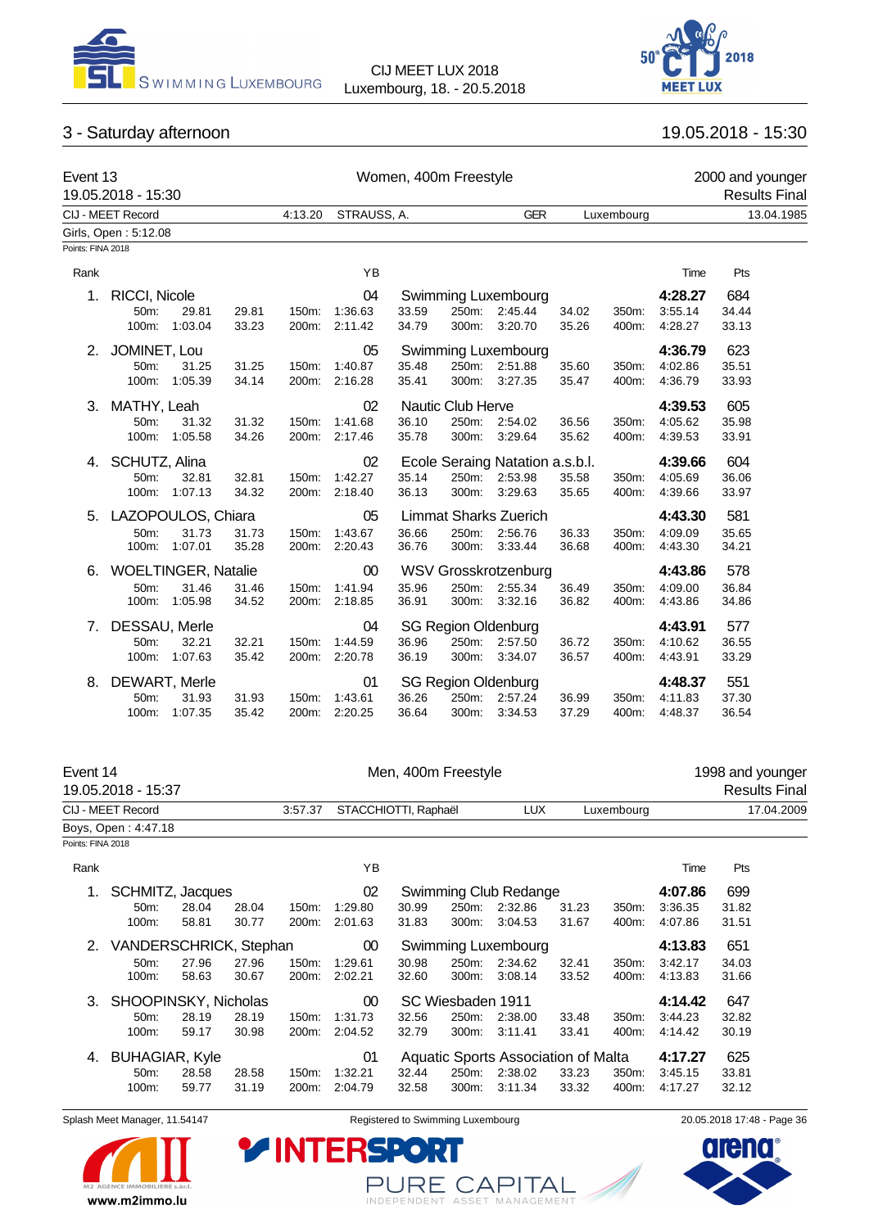



# 3 - Saturday afternoon 19.05.2018 - 15:30

| Event 13          | 19.05.2018 - 15:30   |                            |       | Women, 400m Freestyle |               |       |                            |                                 |       | 2000 and younger<br><b>Results Final</b> |         |            |  |
|-------------------|----------------------|----------------------------|-------|-----------------------|---------------|-------|----------------------------|---------------------------------|-------|------------------------------------------|---------|------------|--|
|                   | CIJ - MEET Record    |                            |       | 4:13.20               | STRAUSS, A.   |       |                            | <b>GER</b>                      |       | Luxembourg                               |         | 13.04.1985 |  |
|                   | Girls, Open: 5:12.08 |                            |       |                       |               |       |                            |                                 |       |                                          |         |            |  |
| Points: FINA 2018 |                      |                            |       |                       |               |       |                            |                                 |       |                                          |         |            |  |
| Rank              |                      |                            |       |                       | ΥB            |       |                            |                                 |       |                                          | Time    | Pts        |  |
| 1.                | <b>RICCI, Nicole</b> |                            |       |                       | 04            |       |                            | Swimming Luxembourg             |       |                                          | 4:28.27 | 684        |  |
|                   | 50m:                 | 29.81                      | 29.81 |                       | 150m: 1:36.63 | 33.59 | 250m:                      | 2:45.44                         | 34.02 | 350m:                                    | 3:55.14 | 34.44      |  |
|                   | 100m:                | 1:03.04                    | 33.23 |                       | 200m: 2:11.42 | 34.79 | 300m:                      | 3:20.70                         | 35.26 | 400m:                                    | 4:28.27 | 33.13      |  |
| 2.                | JOMINET, Lou         |                            |       |                       | 05            |       |                            | Swimming Luxembourg             |       |                                          | 4:36.79 | 623        |  |
|                   | 50m:                 | 31.25                      | 31.25 | 150m:                 | 1:40.87       | 35.48 | 250m:                      | 2:51.88                         | 35.60 | 350m:                                    | 4:02.86 | 35.51      |  |
|                   | 100m:                | 1:05.39                    | 34.14 | 200m:                 | 2:16.28       | 35.41 | 300m:                      | 3:27.35                         | 35.47 | 400m:                                    | 4:36.79 | 33.93      |  |
| 3.                | MATHY, Leah          |                            |       |                       | 02            |       | Nautic Club Herve          |                                 |       |                                          | 4:39.53 | 605        |  |
|                   | 50m:                 | 31.32                      | 31.32 | 150m:                 | 1:41.68       | 36.10 | 250m:                      | 2:54.02                         | 36.56 | 350m:                                    | 4:05.62 | 35.98      |  |
|                   | 100m:                | 1:05.58                    | 34.26 | 200m:                 | 2:17.46       | 35.78 | 300m:                      | 3:29.64                         | 35.62 | 400m:                                    | 4:39.53 | 33.91      |  |
| 4.                | SCHUTZ, Alina        |                            |       |                       | 02            |       |                            | Ecole Seraing Natation a.s.b.l. |       |                                          | 4:39.66 | 604        |  |
|                   | 50m:                 | 32.81                      | 32.81 | 150m:                 | 1:42.27       | 35.14 | 250m:                      | 2:53.98                         | 35.58 | 350m:                                    | 4:05.69 | 36.06      |  |
|                   | 100m:                | 1:07.13                    | 34.32 |                       | 200m: 2:18.40 | 36.13 | 300m:                      | 3:29.63                         | 35.65 | 400m:                                    | 4:39.66 | 33.97      |  |
| 5.                | LAZOPOULOS, Chiara   |                            |       |                       | 05            |       |                            | <b>Limmat Sharks Zuerich</b>    |       |                                          | 4:43.30 | 581        |  |
|                   | 50m:                 | 31.73                      | 31.73 | 150m:                 | 1:43.67       | 36.66 | 250m:                      | 2:56.76                         | 36.33 | 350m:                                    | 4:09.09 | 35.65      |  |
|                   | 100m:                | 1:07.01                    | 35.28 |                       | 200m: 2:20.43 | 36.76 | 300m:                      | 3:33.44                         | 36.68 | 400m:                                    | 4:43.30 | 34.21      |  |
| 6.                |                      | <b>WOELTINGER, Natalie</b> |       |                       | 00            |       |                            | <b>WSV Grosskrotzenburg</b>     |       |                                          | 4:43.86 | 578        |  |
|                   | 50m:                 | 31.46                      | 31.46 | 150m:                 | 1:41.94       | 35.96 | 250m:                      | 2:55.34                         | 36.49 | 350m:                                    | 4:09.00 | 36.84      |  |
|                   | 100m:                | 1:05.98                    | 34.52 | 200m:                 | 2:18.85       | 36.91 | 300m:                      | 3:32.16                         | 36.82 | 400m:                                    | 4:43.86 | 34.86      |  |
| 7.                | DESSAU, Merle        |                            |       |                       | 04            |       |                            | <b>SG Region Oldenburg</b>      |       |                                          | 4:43.91 | 577        |  |
|                   | 50m:                 | 32.21                      | 32.21 | 150m:                 | 1:44.59       | 36.96 | 250m:                      | 2:57.50                         | 36.72 | 350m:                                    | 4:10.62 | 36.55      |  |
|                   | 100m:                | 1:07.63                    | 35.42 | 200m:                 | 2:20.78       | 36.19 | 300m:                      | 3:34.07                         | 36.57 | 400m:                                    | 4:43.91 | 33.29      |  |
| 8.                | DEWART, Merle        |                            |       |                       | 01            |       | <b>SG Region Oldenburg</b> |                                 |       |                                          | 4:48.37 | 551        |  |
|                   | 50m:                 | 31.93                      | 31.93 | 150m:                 | 1:43.61       | 36.26 | 250m:                      | 2:57.24                         | 36.99 | 350m:                                    | 4:11.83 | 37.30      |  |
|                   | 100m:                | 1:07.35                    | 35.42 | 200m:                 | 2:20.25       | 36.64 | 300m:                      | 3:34.53                         | 37.29 | 400m:                                    | 4:48.37 | 36.54      |  |

| Event 14          | 19.05.2018 - 15:37     |       |       |                             |                      |                     | Men, 400m Freestyle |                                     |       |            | 1998 and younger<br><b>Results Final</b> |       |  |  |
|-------------------|------------------------|-------|-------|-----------------------------|----------------------|---------------------|---------------------|-------------------------------------|-------|------------|------------------------------------------|-------|--|--|
|                   | CIJ - MEET Record      |       |       | 3:57.37                     | STACCHIOTTI, Raphaël |                     |                     | <b>LUX</b>                          |       | Luxembourg | 17.04.2009                               |       |  |  |
|                   | Boys, Open: 4:47.18    |       |       |                             |                      |                     |                     |                                     |       |            |                                          |       |  |  |
| Points: FINA 2018 |                        |       |       |                             |                      |                     |                     |                                     |       |            |                                          |       |  |  |
| Rank              |                        |       |       |                             | ΥB                   |                     |                     |                                     |       |            | Time                                     | Pts   |  |  |
| 1.                | SCHMITZ, Jacques       |       |       | 02<br>Swimming Club Redange |                      |                     |                     | 4:07.86                             | 699   |            |                                          |       |  |  |
|                   | 50m:                   | 28.04 | 28.04 | 150m:                       | 1:29.80              | 30.99               | 250m:               | 2:32.86                             | 31.23 | 350m:      | 3:36.35                                  | 31.82 |  |  |
|                   | 100m:                  | 58.81 | 30.77 | 200m:                       | 2:01.63              | 31.83               | 300m:               | 3:04.53                             | 31.67 | 400m:      | 4:07.86                                  | 31.51 |  |  |
| 2.                | VANDERSCHRICK, Stephan |       |       |                             | $00\,$               | Swimming Luxembourg |                     |                                     |       |            | 4:13.83                                  | 651   |  |  |
|                   | 50m:                   | 27.96 | 27.96 | 150m:                       | 1:29.61              | 30.98               | 250m:               | 2:34.62                             | 32.41 | 350m:      | 3:42.17                                  | 34.03 |  |  |
|                   | 100m:                  | 58.63 | 30.67 | 200m:                       | 2:02.21              | 32.60               | 300m:               | 3:08.14                             | 33.52 | 400m:      | 4:13.83                                  | 31.66 |  |  |
| 3.                | SHOOPINSKY, Nicholas   |       |       |                             | 00                   |                     | SC Wiesbaden 1911   |                                     |       |            | 4:14.42                                  | 647   |  |  |
|                   | 50m:                   | 28.19 | 28.19 | 150m:                       | 1:31.73              | 32.56               | 250m:               | 2:38.00                             | 33.48 | 350m:      | 3:44.23                                  | 32.82 |  |  |
|                   | 100m:                  | 59.17 | 30.98 | 200m:                       | 2:04.52              | 32.79               | 300m:               | 3:11.41                             | 33.41 | 400m:      | 4:14.42                                  | 30.19 |  |  |
| 4.                | <b>BUHAGIAR, Kyle</b>  |       |       |                             | 01                   |                     |                     | Aquatic Sports Association of Malta |       |            | 4:17.27                                  | 625   |  |  |
|                   | 50 <sub>m</sub> :      | 28.58 | 28.58 | 150m:                       | 1:32.21              | 32.44               | 250m:               | 2:38.02                             | 33.23 | 350m:      | 3:45.15                                  | 33.81 |  |  |
|                   | 100m:                  | 59.77 | 31.19 | 200m:                       | 2:04.79              | 32.58               | 300m:               | 3.11.34                             | 33.32 | 400m:      | 4:17.27                                  | 32.12 |  |  |
|                   |                        |       |       |                             |                      |                     |                     |                                     |       |            |                                          |       |  |  |

Splash Meet Manager, 11.54147 **Registered to Swimming Luxembourg** 20.05.2018 17:48 - Page 36



PURE CAPITAL

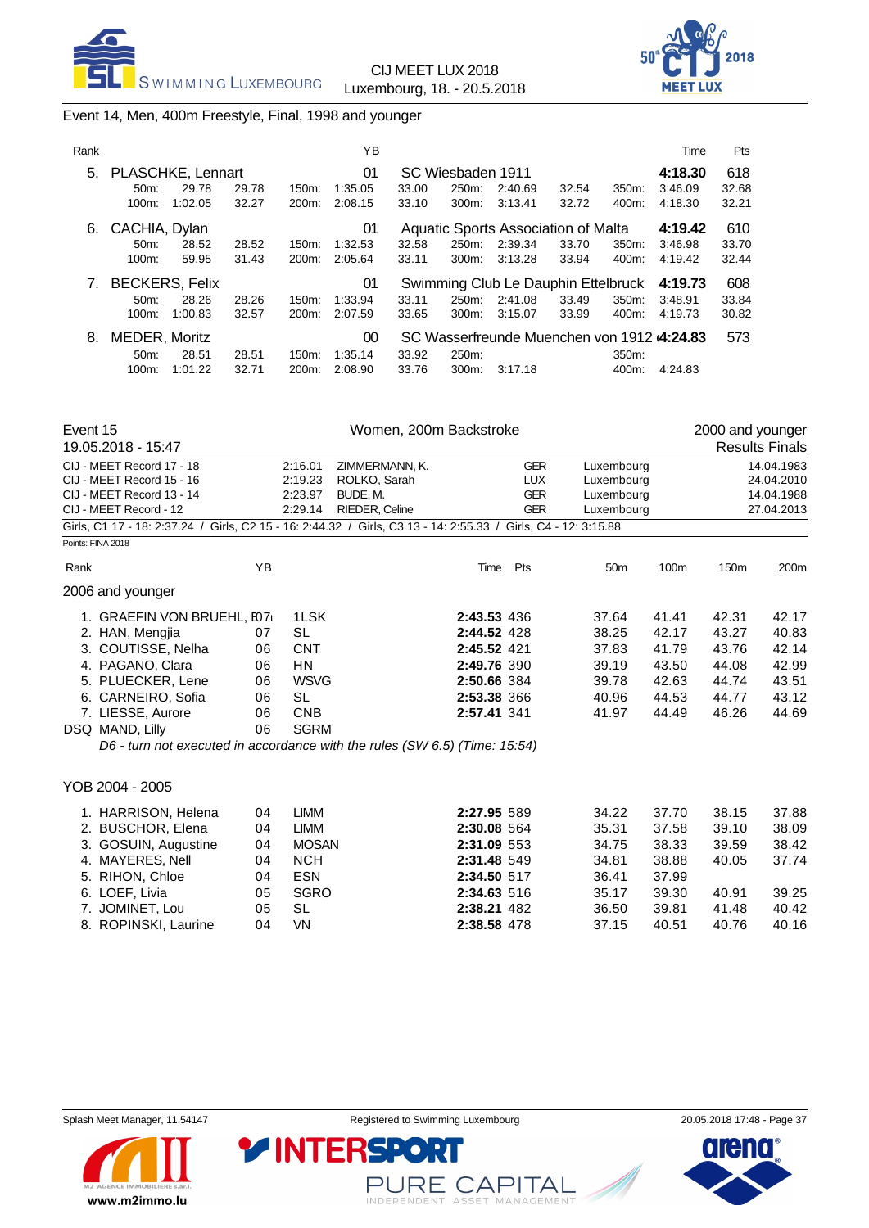



### Event 14, Men, 400m Freestyle, Final, 1998 and younger

| Rank |                       |         |       |                    | ΥB      |       |                   |                                             |       |       | Time    | Pts   |
|------|-----------------------|---------|-------|--------------------|---------|-------|-------------------|---------------------------------------------|-------|-------|---------|-------|
| 5.   | PLASCHKE, Lennart     |         |       |                    | 01      |       | SC Wiesbaden 1911 |                                             |       |       | 4:18.30 | 618   |
|      | 50m                   | 29.78   | 29.78 | 150m:              | 1:35.05 | 33.00 | 250m:             | 2:40.69                                     | 32.54 | 350m: | 3:46.09 | 32.68 |
|      | $100m$ :              | 1:02.05 | 32.27 | 200 <sub>m</sub> : | 2:08.15 | 33.10 | 300m:             | 3:13.41                                     | 32.72 | 400m: | 4:18.30 | 32.21 |
| 6.   | CACHIA, Dylan         |         |       |                    | 01      |       |                   | Aquatic Sports Association of Malta         |       |       | 4:19.42 | 610   |
|      | $50m$ :               | 28.52   | 28.52 | 150m:              | 1:32.53 | 32.58 | 250m:             | 2:39.34                                     | 33.70 | 350m: | 3:46.98 | 33.70 |
|      | $100m$ :              | 59.95   | 31.43 | 200m:              | 2:05.64 | 33.11 | 300m:             | 3:13.28                                     | 33.94 | 400m: | 4:19.42 | 32.44 |
| 7.   | <b>BECKERS, Felix</b> |         |       |                    | 01      |       |                   | Swimming Club Le Dauphin Ettelbruck         |       |       | 4:19.73 | 608   |
|      | $50m$ :               | 28.26   | 28.26 | $150m$ :           | 1:33.94 | 33.11 | 250m:             | 2:41.08                                     | 33.49 | 350m: | 3:48.91 | 33.84 |
|      | $100m$ :              | 1:00.83 | 32.57 | 200 <sub>m</sub> : | 2:07.59 | 33.65 | 300m:             | 3:15.07                                     | 33.99 | 400m: | 4:19.73 | 30.82 |
| 8.   | MEDER, Moritz         |         |       |                    | 00      |       |                   | SC Wasserfreunde Muenchen von 1912 (4:24.83 |       |       |         | 573   |
|      | $50m$ :               | 28.51   | 28.51 | $150m$ :           | 1:35.14 | 33.92 | 250m:             |                                             |       | 350m: |         |       |
|      | $100m$ :              | 1:01.22 | 32.71 | 200m:              | 2:08.90 | 33.76 | 300m:             | 3:17.18                                     |       | 400m: | 4:24.83 |       |

| Event 15 |                            |    |             | Women, 200m Backstroke                                                                                         |      |             |            |       | 2000 and younger |                       |
|----------|----------------------------|----|-------------|----------------------------------------------------------------------------------------------------------------|------|-------------|------------|-------|------------------|-----------------------|
|          | 19.05.2018 - 15:47         |    |             |                                                                                                                |      |             |            |       |                  | <b>Results Finals</b> |
|          | CIJ - MEET Record 17 - 18  |    | 2:16.01     | ZIMMERMANN, K.                                                                                                 |      | <b>GER</b>  | Luxembourg |       |                  | 14.04.1983            |
|          | CIJ - MEET Record 15 - 16  |    | 2:19.23     | ROLKO, Sarah                                                                                                   |      | <b>LUX</b>  | Luxembourg |       |                  | 24.04.2010            |
|          | CIJ - MEET Record 13 - 14  |    | 2:23.97     | BUDE, M.                                                                                                       |      | <b>GER</b>  | Luxembourg |       |                  | 14.04.1988            |
|          | CIJ - MEET Record - 12     |    | 2:29.14     | RIEDER, Celine                                                                                                 |      | <b>GER</b>  | Luxembourg |       |                  | 27.04.2013            |
|          |                            |    |             | Girls, C1 17 - 18: 2:37.24 / Girls, C2 15 - 16: 2:44.32 / Girls, C3 13 - 14: 2:55.33 / Girls, C4 - 12: 3:15.88 |      |             |            |       |                  |                       |
|          | Points: FINA 2018          |    |             |                                                                                                                |      |             |            |       |                  |                       |
| Rank     |                            | ΥB |             |                                                                                                                | Time | Pts         | 50m        | 100m  | 150 <sub>m</sub> | 200m                  |
|          | 2006 and younger           |    |             |                                                                                                                |      |             |            |       |                  |                       |
|          | 1. GRAEFIN VON BRUEHL, E07 |    | 1LSK        | 2:43.53 436                                                                                                    |      |             | 37.64      | 41.41 | 42.31            | 42.17                 |
|          | 2. HAN, Mengjia            | 07 | <b>SL</b>   | 2:44.52 428                                                                                                    |      |             | 38.25      | 42.17 | 43.27            | 40.83                 |
|          | 3. COUTISSE, Nelha         | 06 | <b>CNT</b>  | 2:45.52 421                                                                                                    |      |             | 37.83      | 41.79 | 43.76            | 42.14                 |
|          | 4. PAGANO, Clara           | 06 | <b>HN</b>   |                                                                                                                |      | 2:49.76 390 | 39.19      | 43.50 | 44.08            | 42.99                 |
|          | 5. PLUECKER, Lene          | 06 | <b>WSVG</b> | 2:50.66 384                                                                                                    |      |             | 39.78      | 42.63 | 44.74            | 43.51                 |
|          | 6. CARNEIRO, Sofia         | 06 | SL          | 2:53.38 366                                                                                                    |      |             | 40.96      | 44.53 | 44.77            | 43.12                 |
|          | 7. LIESSE, Aurore          | 06 | <b>CNB</b>  | 2:57.41 341                                                                                                    |      |             | 41.97      | 44.49 | 46.26            | 44.69                 |
|          | DSQ MAND, Lilly            | 06 | <b>SGRM</b> |                                                                                                                |      |             |            |       |                  |                       |

*D6 - turn not executed in accordance with the rules (SW 6.5) (Time: 15:54)*

**YINTERSPO** 

#### YOB 2004 - 2005

| 1. HARRISON, Helena<br>2. BUSCHOR, Elena<br>3. GOSUIN, Augustine<br>4. MAYERES, Nell<br>5. RIHON, Chloe<br>6. LOEF, Livia<br>7. JOMINET, Lou | 04<br>04<br>04<br>04<br>04<br>05<br>05 | LIMM<br>LIMM<br><b>MOSAN</b><br><b>NCH</b><br><b>ESN</b><br><b>SGRO</b><br>SL | 2:27.95 589<br>2:30.08 564<br>2:31.09 553<br>2:31.48 549<br>2:34.50 517<br>2:34.63 516<br>2:38.21 482 | 34.22<br>35.31<br>34.75<br>34.81<br>36.41<br>35.17<br>36.50 | 37.70<br>37.58<br>38.33<br>38.88<br>37.99<br>39.30<br>39.81 | 38.15<br>39.10<br>39.59<br>40.05<br>40.91<br>41.48 | 37.88<br>38.09<br>38.42<br>37.74<br>39.25<br>40.42 |
|----------------------------------------------------------------------------------------------------------------------------------------------|----------------------------------------|-------------------------------------------------------------------------------|-------------------------------------------------------------------------------------------------------|-------------------------------------------------------------|-------------------------------------------------------------|----------------------------------------------------|----------------------------------------------------|
| 8. ROPINSKI, Laurine                                                                                                                         | 04                                     | VN                                                                            | 2:38.58 478                                                                                           | 37.15                                                       | 40.51                                                       | 40.76                                              | 40.16                                              |



PURE CAPITAL

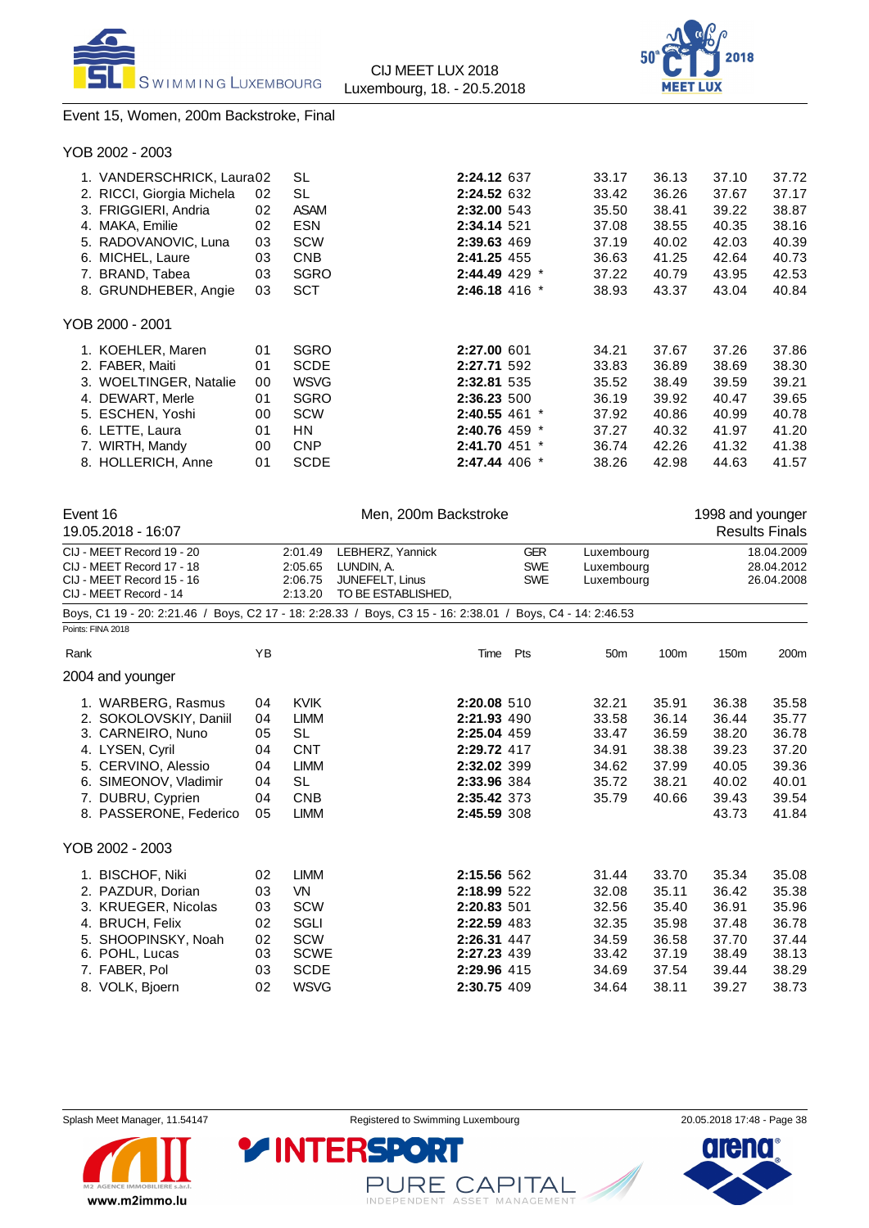



### Event 15, Women, 200m Backstroke, Final

| YOB 2002 - 2003                                                                                                                                                    |                                              |                                                                                                            |                                                                                                                                  |                                                                      |                                                                      |                                                                      |                                                                      |
|--------------------------------------------------------------------------------------------------------------------------------------------------------------------|----------------------------------------------|------------------------------------------------------------------------------------------------------------|----------------------------------------------------------------------------------------------------------------------------------|----------------------------------------------------------------------|----------------------------------------------------------------------|----------------------------------------------------------------------|----------------------------------------------------------------------|
| 1. VANDERSCHRICK, Laura02<br>2. RICCI, Giorgia Michela<br>3. FRIGGIERI, Andria<br>4. MAKA, Emilie<br>5. RADOVANOVIC, Luna<br>6. MICHEL, Laure<br>7. BRAND, Tabea   | 02<br>02<br>02<br>03<br>03<br>03             | SL<br>SL<br><b>ASAM</b><br><b>ESN</b><br>SCW<br><b>CNB</b><br><b>SGRO</b>                                  | 2:24.12 637<br>2:24.52 632<br>2:32.00 543<br>2:34.14 521<br>2:39.63 469<br>2:41.25 455<br>2:44.49 429 *                          | 33.17<br>33.42<br>35.50<br>37.08<br>37.19<br>36.63<br>37.22          | 36.13<br>36.26<br>38.41<br>38.55<br>40.02<br>41.25<br>40.79          | 37.10<br>37.67<br>39.22<br>40.35<br>42.03<br>42.64<br>43.95          | 37.72<br>37.17<br>38.87<br>38.16<br>40.39<br>40.73<br>42.53          |
| 8. GRUNDHEBER, Angie                                                                                                                                               | 03                                           | <b>SCT</b>                                                                                                 | 2:46.18 416 *                                                                                                                    | 38.93                                                                | 43.37                                                                | 43.04                                                                | 40.84                                                                |
| YOB 2000 - 2001                                                                                                                                                    |                                              |                                                                                                            |                                                                                                                                  |                                                                      |                                                                      |                                                                      |                                                                      |
| 1. KOEHLER, Maren<br>2. FABER, Maiti<br>3. WOELTINGER, Natalie<br>4. DEWART, Merle<br>5. ESCHEN, Yoshi<br>6. LETTE, Laura<br>7. WIRTH, Mandy<br>8. HOLLERICH, Anne | 01<br>01<br>00<br>01<br>00<br>01<br>00<br>01 | <b>SGRO</b><br><b>SCDE</b><br><b>WSVG</b><br><b>SGRO</b><br><b>SCW</b><br>HN.<br><b>CNP</b><br><b>SCDE</b> | 2:27.00 601<br>2:27.71 592<br>2:32.81 535<br>2:36.23 500<br>$2:40.55$ 461 $*$<br>2:40.76 459 *<br>2:41.70 451 *<br>2:47.44 406 * | 34.21<br>33.83<br>35.52<br>36.19<br>37.92<br>37.27<br>36.74<br>38.26 | 37.67<br>36.89<br>38.49<br>39.92<br>40.86<br>40.32<br>42.26<br>42.98 | 37.26<br>38.69<br>39.59<br>40.47<br>40.99<br>41.97<br>41.32<br>44.63 | 37.86<br>38.30<br>39.21<br>39.65<br>40.78<br>41.20<br>41.38<br>41.57 |

| Event 16<br>19.05.2018 - 16:07                                                                                                                                                                          |                                              |                                                                                                                  | Men. 200m Backstroke                                                    |                                                                                                                      |                                                                                  |                                                                      |                                                                      | 1998 and younger                                                     | <b>Results Finals</b>                                                |
|---------------------------------------------------------------------------------------------------------------------------------------------------------------------------------------------------------|----------------------------------------------|------------------------------------------------------------------------------------------------------------------|-------------------------------------------------------------------------|----------------------------------------------------------------------------------------------------------------------|----------------------------------------------------------------------------------|----------------------------------------------------------------------|----------------------------------------------------------------------|----------------------------------------------------------------------|----------------------------------------------------------------------|
| CIJ - MEET Record 19 - 20<br>CIJ - MEET Record 17 - 18<br>CIJ - MEET Record 15 - 16<br>CIJ - MEET Record - 14                                                                                           |                                              | 2:01.49<br>2:05.65<br>2:06.75<br>2:13.20                                                                         | LEBHERZ, Yannick<br>LUNDIN, A.<br>JUNEFELT, Linus<br>TO BE ESTABLISHED, |                                                                                                                      | <b>GER</b><br>Luxembourg<br><b>SWE</b><br>Luxembourg<br><b>SWE</b><br>Luxembourg |                                                                      |                                                                      | 18.04.2009<br>28.04.2012<br>26.04.2008                               |                                                                      |
| Boys, C1 19 - 20: 2:21.46 / Boys, C2 17 - 18: 2:28.33 / Boys, C3 15 - 16: 2:38.01 / Boys, C4 - 14: 2:46.53<br>Points: FINA 2018                                                                         |                                              |                                                                                                                  |                                                                         |                                                                                                                      |                                                                                  |                                                                      |                                                                      |                                                                      |                                                                      |
| Rank                                                                                                                                                                                                    | YB                                           |                                                                                                                  |                                                                         | Time                                                                                                                 | Pts                                                                              | 50 <sub>m</sub>                                                      | 100m                                                                 | 150 <sub>m</sub>                                                     | 200m                                                                 |
| 2004 and younger<br>1. WARBERG, Rasmus<br>2. SOKOLOVSKIY, Daniil<br>3. CARNEIRO, Nuno<br>4. LYSEN, Cyril<br>5. CERVINO, Alessio<br>6. SIMEONOV, Vladimir<br>7. DUBRU, Cyprien<br>8. PASSERONE, Federico | 04<br>04<br>05<br>04<br>04<br>04<br>04<br>05 | <b>KVIK</b><br><b>LIMM</b><br>SL<br><b>CNT</b><br><b>LIMM</b><br><b>SL</b><br><b>CNB</b><br><b>LIMM</b>          |                                                                         | 2:20.08 510<br>2:21.93 490<br>2:25.04 459<br>2:29.72 417<br>2:32.02 399<br>2:33.96 384<br>2:35.42 373<br>2:45.59 308 |                                                                                  | 32.21<br>33.58<br>33.47<br>34.91<br>34.62<br>35.72<br>35.79          | 35.91<br>36.14<br>36.59<br>38.38<br>37.99<br>38.21<br>40.66          | 36.38<br>36.44<br>38.20<br>39.23<br>40.05<br>40.02<br>39.43<br>43.73 | 35.58<br>35.77<br>36.78<br>37.20<br>39.36<br>40.01<br>39.54<br>41.84 |
| YOB 2002 - 2003                                                                                                                                                                                         |                                              |                                                                                                                  |                                                                         |                                                                                                                      |                                                                                  |                                                                      |                                                                      |                                                                      |                                                                      |
| 1. BISCHOF, Niki<br>2. PAZDUR, Dorian<br>3. KRUEGER, Nicolas<br><b>BRUCH, Felix</b><br>4.<br>5. SHOOPINSKY, Noah<br>6. POHL, Lucas<br>7. FABER, Pol<br>8. VOLK, Bjoern                                  | 02<br>03<br>03<br>02<br>02<br>03<br>03<br>02 | <b>LIMM</b><br><b>VN</b><br><b>SCW</b><br><b>SGLI</b><br><b>SCW</b><br><b>SCWE</b><br><b>SCDE</b><br><b>WSVG</b> |                                                                         | 2:15.56 562<br>2:18.99 522<br>2:20.83 501<br>2:22.59 483<br>2:26.31 447<br>2:27.23 439<br>2:29.96 415<br>2:30.75 409 |                                                                                  | 31.44<br>32.08<br>32.56<br>32.35<br>34.59<br>33.42<br>34.69<br>34.64 | 33.70<br>35.11<br>35.40<br>35.98<br>36.58<br>37.19<br>37.54<br>38.11 | 35.34<br>36.42<br>36.91<br>37.48<br>37.70<br>38.49<br>39.44<br>39.27 | 35.08<br>35.38<br>35.96<br>36.78<br>37.44<br>38.13<br>38.29<br>38.73 |



PURE CAPITAL

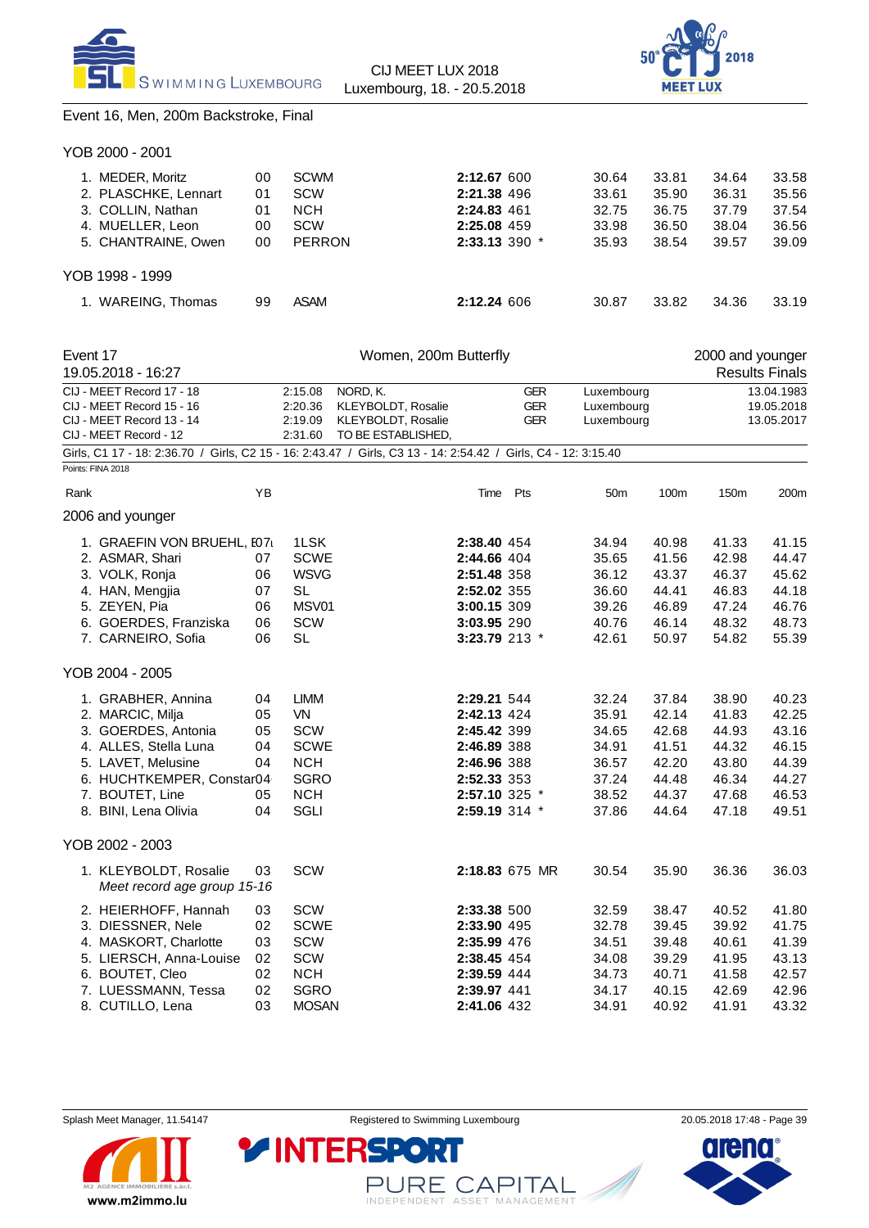



### Event 16, Men, 200m Backstroke, Final

| YOB 2000 - 2001      |    |               |                   |       |       |       |       |
|----------------------|----|---------------|-------------------|-------|-------|-------|-------|
| 1. MEDER, Moritz     | 00 | <b>SCWM</b>   | 2:12.67 600       | 30.64 | 33.81 | 34.64 | 33.58 |
| 2. PLASCHKE, Lennart | 01 | <b>SCW</b>    | 2:21.38 496       | 33.61 | 35.90 | 36.31 | 35.56 |
| 3. COLLIN, Nathan    | 01 | <b>NCH</b>    | 2:24.83 461       | 32.75 | 36.75 | 37.79 | 37.54 |
| 4. MUELLER, Leon     | 00 | SCW           | 2:25.08 459       | 33.98 | 36.50 | 38.04 | 36.56 |
| 5. CHANTRAINE, Owen  | 00 | <b>PERRON</b> | $2:33.13$ 390 $*$ | 35.93 | 38.54 | 39.57 | 39.09 |
| YOB 1998 - 1999      |    |               |                   |       |       |       |       |
| 1. WAREING, Thomas   | 99 | <b>ASAM</b>   | 2:12.24606        | 30.87 | 33.82 | 34.36 | 33.19 |
|                      |    |               |                   |       |       |       |       |

| Event 17 |                                                                                                                |    | Women, 200m Butterfly<br>2000 and younger |                                                      |               |                                        |                                        |       |       |                                        |
|----------|----------------------------------------------------------------------------------------------------------------|----|-------------------------------------------|------------------------------------------------------|---------------|----------------------------------------|----------------------------------------|-------|-------|----------------------------------------|
|          | 19.05.2018 - 16:27                                                                                             |    |                                           |                                                      |               |                                        |                                        |       |       | <b>Results Finals</b>                  |
|          | CIJ - MEET Record 17 - 18<br>CIJ - MEET Record 15 - 16<br>CIJ - MEET Record 13 - 14                            |    | 2:15.08<br>2:20.36<br>2:19.09             | NORD, K.<br>KLEYBOLDT, Rosalie<br>KLEYBOLDT, Rosalie |               | <b>GER</b><br><b>GER</b><br><b>GER</b> | Luxembourg<br>Luxembourg<br>Luxembourg |       |       | 13.04.1983<br>19.05.2018<br>13.05.2017 |
|          | CIJ - MEET Record - 12                                                                                         |    | 2:31.60                                   | TO BE ESTABLISHED,                                   |               |                                        |                                        |       |       |                                        |
|          | Girls, C1 17 - 18: 2:36.70 / Girls, C2 15 - 16: 2:43.47 / Girls, C3 13 - 14: 2:54.42 / Girls, C4 - 12: 3:15.40 |    |                                           |                                                      |               |                                        |                                        |       |       |                                        |
|          | Points: FINA 2018                                                                                              |    |                                           |                                                      |               |                                        |                                        |       |       |                                        |
| Rank     |                                                                                                                | YB |                                           |                                                      | Time Pts      |                                        | 50 <sub>m</sub>                        | 100m  | 150m  | 200m                                   |
|          | 2006 and younger                                                                                               |    |                                           |                                                      |               |                                        |                                        |       |       |                                        |
|          | 1. GRAEFIN VON BRUEHL, I071                                                                                    |    | 1LSK                                      |                                                      | 2:38.40 454   |                                        | 34.94                                  | 40.98 | 41.33 | 41.15                                  |
|          | 2. ASMAR, Shari                                                                                                | 07 | <b>SCWE</b>                               |                                                      | 2:44.66 404   |                                        | 35.65                                  | 41.56 | 42.98 | 44.47                                  |
|          | 3. VOLK, Ronja                                                                                                 | 06 | <b>WSVG</b>                               |                                                      | 2:51.48 358   |                                        | 36.12                                  | 43.37 | 46.37 | 45.62                                  |
|          | 4. HAN, Mengjia                                                                                                | 07 | <b>SL</b>                                 |                                                      | 2:52.02 355   |                                        | 36.60                                  | 44.41 | 46.83 | 44.18                                  |
|          | 5. ZEYEN, Pia                                                                                                  | 06 | MSV01                                     |                                                      | 3:00.15 309   |                                        | 39.26                                  | 46.89 | 47.24 | 46.76                                  |
|          | 6. GOERDES, Franziska                                                                                          | 06 | <b>SCW</b>                                |                                                      | 3:03.95 290   |                                        | 40.76                                  | 46.14 | 48.32 | 48.73                                  |
|          | 7. CARNEIRO, Sofia                                                                                             | 06 | <b>SL</b>                                 |                                                      | 3:23.79 213 * |                                        | 42.61                                  | 50.97 | 54.82 | 55.39                                  |
|          | YOB 2004 - 2005                                                                                                |    |                                           |                                                      |               |                                        |                                        |       |       |                                        |
|          | 1. GRABHER, Annina                                                                                             | 04 | <b>LIMM</b>                               |                                                      | 2:29.21 544   |                                        | 32.24                                  | 37.84 | 38.90 | 40.23                                  |
|          | 2. MARCIC, Milja                                                                                               | 05 | VN                                        |                                                      | 2:42.13 424   |                                        | 35.91                                  | 42.14 | 41.83 | 42.25                                  |
|          | 3. GOERDES, Antonia                                                                                            | 05 | <b>SCW</b>                                |                                                      | 2:45.42 399   |                                        | 34.65                                  | 42.68 | 44.93 | 43.16                                  |
|          | 4. ALLES, Stella Luna                                                                                          | 04 | <b>SCWE</b>                               |                                                      | 2:46.89 388   |                                        | 34.91                                  | 41.51 | 44.32 | 46.15                                  |
|          | 5. LAVET, Melusine                                                                                             | 04 | <b>NCH</b>                                |                                                      | 2:46.96 388   |                                        | 36.57                                  | 42.20 | 43.80 | 44.39                                  |
|          | 6. HUCHTKEMPER, Constar04                                                                                      |    | <b>SGRO</b>                               |                                                      | 2:52.33 353   |                                        | 37.24                                  | 44.48 | 46.34 | 44.27                                  |
|          | 7. BOUTET, Line                                                                                                | 05 | <b>NCH</b>                                |                                                      | 2:57.10 325 * |                                        | 38.52                                  | 44.37 | 47.68 | 46.53                                  |
|          | 8. BINI, Lena Olivia                                                                                           | 04 | SGLI                                      |                                                      | 2:59.19 314 * |                                        | 37.86                                  | 44.64 | 47.18 | 49.51                                  |
|          | YOB 2002 - 2003                                                                                                |    |                                           |                                                      |               |                                        |                                        |       |       |                                        |
|          | 1. KLEYBOLDT, Rosalie<br>Meet record age group 15-16                                                           | 03 | <b>SCW</b>                                |                                                      |               | 2:18.83 675 MR                         | 30.54                                  | 35.90 | 36.36 | 36.03                                  |
|          | 2. HEIERHOFF, Hannah                                                                                           | 03 | SCW                                       |                                                      | 2:33.38 500   |                                        | 32.59                                  | 38.47 | 40.52 | 41.80                                  |
|          | 3. DIESSNER, Nele                                                                                              | 02 | <b>SCWE</b>                               |                                                      | 2:33.90 495   |                                        | 32.78                                  | 39.45 | 39.92 | 41.75                                  |
|          | 4. MASKORT, Charlotte                                                                                          | 03 | <b>SCW</b>                                |                                                      | 2:35.99 476   |                                        | 34.51                                  | 39.48 | 40.61 | 41.39                                  |
|          | 5. LIERSCH, Anna-Louise                                                                                        | 02 | SCW                                       |                                                      | 2:38.45 454   |                                        | 34.08                                  | 39.29 | 41.95 | 43.13                                  |
|          | 6. BOUTET, Cleo                                                                                                | 02 | <b>NCH</b>                                |                                                      | 2:39.59 444   |                                        | 34.73                                  | 40.71 | 41.58 | 42.57                                  |
|          | 7. LUESSMANN, Tessa                                                                                            | 02 | <b>SGRO</b>                               |                                                      | 2:39.97 441   |                                        | 34.17                                  | 40.15 | 42.69 | 42.96                                  |
|          | 8. CUTILLO, Lena                                                                                               | 03 | <b>MOSAN</b>                              |                                                      | 2:41.06 432   |                                        | 34.91                                  | 40.92 | 41.91 | 43.32                                  |



PURE CAPITAL

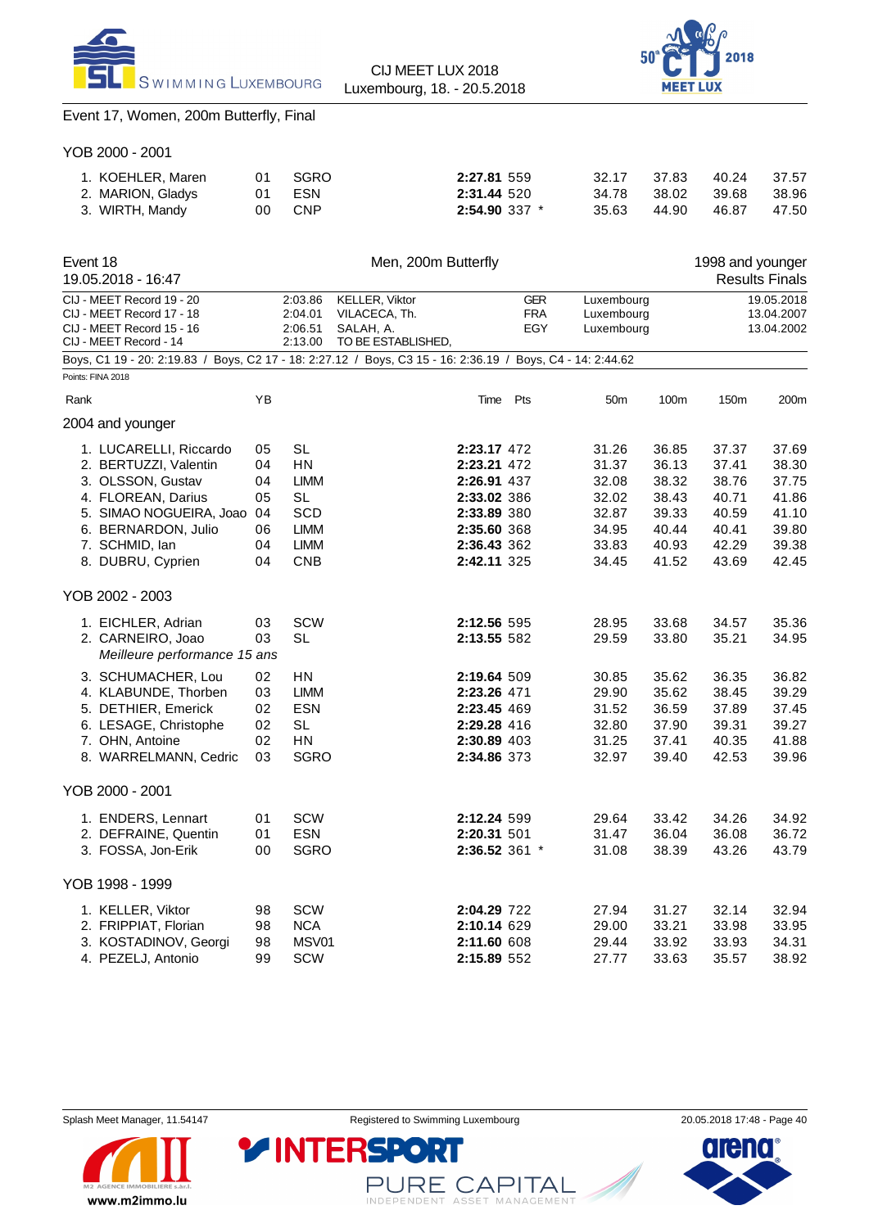



## Event 17, Women, 200m Butterfly, Final

YOB 2000 - 2001

| 1. KOEHLER, Maren | 01  | SGRO       | 2:27.81 559       | 32.17 | 37.83 | 40.24 | 37.57 |
|-------------------|-----|------------|-------------------|-------|-------|-------|-------|
| 2. MARION, Gladys | 01  | ESN        | 2:31.44 520       | 34.78 | 38.02 | 39.68 | 38.96 |
| 3. WIRTH, Mandy   | 00. | <b>CNP</b> | $2:54.90$ 337 $*$ | 35.63 | 44.90 | 46.87 | 47.50 |

| Event 18 | 19.05.2018 - 16:47                                                                                                                                                                  |                                              |                                                                                  | Men, 200m Butterfly                                                                                        |                                                                                                                      |                                                                      |                                                                      | 1998 and younger                                                     | <b>Results Finals</b>                                                |
|----------|-------------------------------------------------------------------------------------------------------------------------------------------------------------------------------------|----------------------------------------------|----------------------------------------------------------------------------------|------------------------------------------------------------------------------------------------------------|----------------------------------------------------------------------------------------------------------------------|----------------------------------------------------------------------|----------------------------------------------------------------------|----------------------------------------------------------------------|----------------------------------------------------------------------|
|          | CIJ - MEET Record 19 - 20<br>CIJ - MEET Record 17 - 18<br>CIJ - MEET Record 15 - 16<br>CIJ - MEET Record - 14                                                                       |                                              | 2:03.86<br>2:04.01<br>2:06.51<br>2:13.00                                         | <b>KELLER, Viktor</b><br>VILACECA, Th.<br>SALAH, A.<br>TO BE ESTABLISHED,                                  | <b>GER</b><br><b>FRA</b><br>EGY                                                                                      | Luxembourg<br>Luxembourg<br>Luxembourg                               |                                                                      |                                                                      | 19.05.2018<br>13.04.2007<br>13.04.2002                               |
|          |                                                                                                                                                                                     |                                              |                                                                                  | Boys, C1 19 - 20: 2:19.83 / Boys, C2 17 - 18: 2:27.12 / Boys, C3 15 - 16: 2:36.19 / Boys, C4 - 14: 2:44.62 |                                                                                                                      |                                                                      |                                                                      |                                                                      |                                                                      |
|          | Points: FINA 2018                                                                                                                                                                   |                                              |                                                                                  |                                                                                                            |                                                                                                                      |                                                                      |                                                                      |                                                                      |                                                                      |
| Rank     |                                                                                                                                                                                     | ΥB                                           |                                                                                  | Time                                                                                                       | Pts                                                                                                                  | 50 <sub>m</sub>                                                      | 100m                                                                 | 150m                                                                 | 200m                                                                 |
|          | 2004 and younger                                                                                                                                                                    |                                              |                                                                                  |                                                                                                            |                                                                                                                      |                                                                      |                                                                      |                                                                      |                                                                      |
|          | 1. LUCARELLI, Riccardo<br>2. BERTUZZI, Valentin<br>3. OLSSON, Gustav<br>4. FLOREAN, Darius<br>5. SIMAO NOGUEIRA, Joao<br>6. BERNARDON, Julio<br>7. SCHMID, lan<br>8. DUBRU, Cyprien | 05<br>04<br>04<br>05<br>04<br>06<br>04<br>04 | SL<br>ΗN<br><b>LIMM</b><br><b>SL</b><br>SCD<br><b>LIMM</b><br><b>LIMM</b><br>CNB |                                                                                                            | 2:23.17 472<br>2:23.21 472<br>2:26.91 437<br>2:33.02 386<br>2:33.89 380<br>2:35.60 368<br>2:36.43 362<br>2:42.11 325 | 31.26<br>31.37<br>32.08<br>32.02<br>32.87<br>34.95<br>33.83<br>34.45 | 36.85<br>36.13<br>38.32<br>38.43<br>39.33<br>40.44<br>40.93<br>41.52 | 37.37<br>37.41<br>38.76<br>40.71<br>40.59<br>40.41<br>42.29<br>43.69 | 37.69<br>38.30<br>37.75<br>41.86<br>41.10<br>39.80<br>39.38<br>42.45 |
|          | YOB 2002 - 2003                                                                                                                                                                     |                                              |                                                                                  |                                                                                                            |                                                                                                                      |                                                                      |                                                                      |                                                                      |                                                                      |
|          | 1. EICHLER, Adrian<br>2. CARNEIRO, Joao<br>Meilleure performance 15 ans                                                                                                             | 03<br>03                                     | <b>SCW</b><br><b>SL</b>                                                          |                                                                                                            | 2:12.56 595<br>2:13.55 582                                                                                           | 28.95<br>29.59                                                       | 33.68<br>33.80                                                       | 34.57<br>35.21                                                       | 35.36<br>34.95                                                       |
|          | 3. SCHUMACHER, Lou<br>4. KLABUNDE, Thorben<br>5. DETHIER, Emerick<br>6. LESAGE, Christophe<br>7. OHN, Antoine<br>8. WARRELMANN, Cedric                                              | 02<br>03<br>02<br>02<br>02<br>03             | <b>HN</b><br><b>LIMM</b><br><b>ESN</b><br>SL<br><b>HN</b><br><b>SGRO</b>         | 2:23.26 471                                                                                                | 2:19.64 509<br>2:23.45 469<br>2:29.28 416<br>2:30.89 403<br>2:34.86 373                                              | 30.85<br>29.90<br>31.52<br>32.80<br>31.25<br>32.97                   | 35.62<br>35.62<br>36.59<br>37.90<br>37.41<br>39.40                   | 36.35<br>38.45<br>37.89<br>39.31<br>40.35<br>42.53                   | 36.82<br>39.29<br>37.45<br>39.27<br>41.88<br>39.96                   |
|          | YOB 2000 - 2001                                                                                                                                                                     |                                              |                                                                                  |                                                                                                            |                                                                                                                      |                                                                      |                                                                      |                                                                      |                                                                      |
|          | 1. ENDERS, Lennart<br>2. DEFRAINE, Quentin<br>3. FOSSA, Jon-Erik                                                                                                                    | 01<br>01<br>00                               | <b>SCW</b><br><b>ESN</b><br><b>SGRO</b>                                          | 2:20.31 501                                                                                                | 2:12.24 599<br>2:36.52 361 *                                                                                         | 29.64<br>31.47<br>31.08                                              | 33.42<br>36.04<br>38.39                                              | 34.26<br>36.08<br>43.26                                              | 34.92<br>36.72<br>43.79                                              |
|          | YOB 1998 - 1999                                                                                                                                                                     |                                              |                                                                                  |                                                                                                            |                                                                                                                      |                                                                      |                                                                      |                                                                      |                                                                      |
|          | 1. KELLER, Viktor<br>2. FRIPPIAT, Florian<br>3. KOSTADINOV, Georgi<br>4. PEZELJ, Antonio                                                                                            | 98<br>98<br>98<br>99                         | <b>SCW</b><br><b>NCA</b><br>MSV01<br><b>SCW</b>                                  |                                                                                                            | 2:04.29 722<br>2:10.14 629<br>2:11.60 608<br>2:15.89 552                                                             | 27.94<br>29.00<br>29.44<br>27.77                                     | 31.27<br>33.21<br>33.92<br>33.63                                     | 32.14<br>33.98<br>33.93<br>35.57                                     | 32.94<br>33.95<br>34.31<br>38.92                                     |



PURE CAPITAL

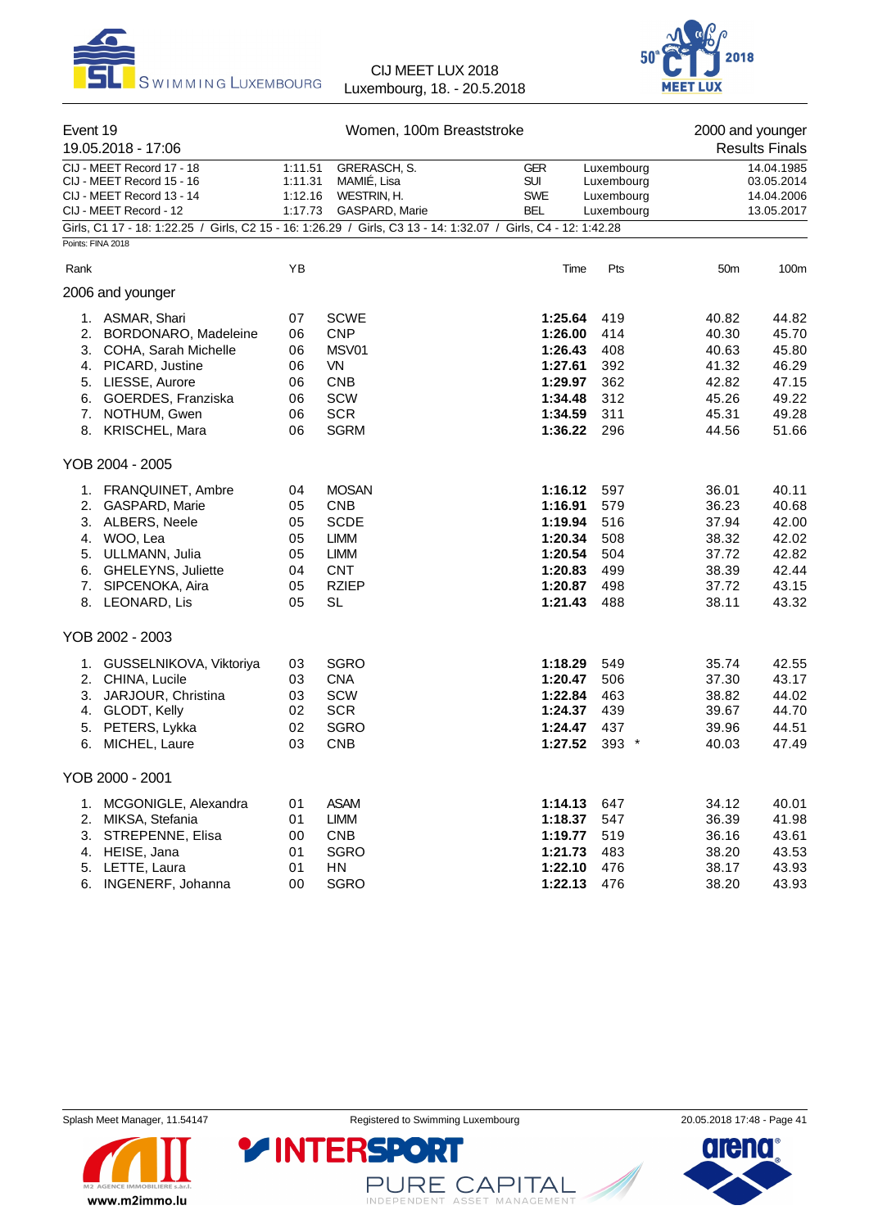



| Event 19                                                                                                                           | 19.05.2018 - 17:06                                                                                                                                                          |                                                                                                                                                                                                                            | Women, 100m Breaststroke                                                                                           | 2000 and younger<br><b>Results Finals</b>                                            |                                                      |                                                                      |                                                                      |
|------------------------------------------------------------------------------------------------------------------------------------|-----------------------------------------------------------------------------------------------------------------------------------------------------------------------------|----------------------------------------------------------------------------------------------------------------------------------------------------------------------------------------------------------------------------|--------------------------------------------------------------------------------------------------------------------|--------------------------------------------------------------------------------------|------------------------------------------------------|----------------------------------------------------------------------|----------------------------------------------------------------------|
| CIJ - MEET Record 17 - 18<br>CIJ - MEET Record 15 - 16<br>CIJ - MEET Record 13 - 14<br>CIJ - MEET Record - 12<br>Points: FINA 2018 |                                                                                                                                                                             | 1:11.51<br>GRERASCH, S.<br>1:11.31<br>MAMIÉ, Lisa<br>1:12.16<br>WESTRIN, H.<br>1:17.73<br>GASPARD, Marie<br>Girls, C1 17 - 18: 1:22.25 / Girls, C2 15 - 16: 1:26.29 / Girls, C3 13 - 14: 1:32.07 / Girls, C4 - 12: 1:42.28 |                                                                                                                    | <b>GER</b><br><b>SUI</b><br><b>SWE</b><br><b>BEL</b>                                 | Luxembourg<br>Luxembourg<br>Luxembourg<br>Luxembourg |                                                                      | 14.04.1985<br>03.05.2014<br>14.04.2006<br>13.05.2017                 |
| Rank                                                                                                                               |                                                                                                                                                                             | YB                                                                                                                                                                                                                         |                                                                                                                    | Time                                                                                 | Pts                                                  | 50 <sub>m</sub>                                                      | 100m                                                                 |
|                                                                                                                                    | 2006 and younger                                                                                                                                                            |                                                                                                                                                                                                                            |                                                                                                                    |                                                                                      |                                                      |                                                                      |                                                                      |
| 5.<br>8.                                                                                                                           | 1. ASMAR, Shari<br>2. BORDONARO, Madeleine<br>3. COHA, Sarah Michelle<br>4. PICARD, Justine<br>LIESSE, Aurore<br>6. GOERDES, Franziska<br>7. NOTHUM, Gwen<br>KRISCHEL, Mara | 07<br>06<br>06<br>06<br>06<br>06<br>06<br>06                                                                                                                                                                               | <b>SCWE</b><br><b>CNP</b><br>MSV01<br><b>VN</b><br><b>CNB</b><br><b>SCW</b><br><b>SCR</b><br><b>SGRM</b>           | 1:25.64<br>1:26.00<br>1:26.43<br>1:27.61<br>1:29.97<br>1:34.48<br>1:34.59<br>1:36.22 | 419<br>414<br>408<br>392<br>362<br>312<br>311<br>296 | 40.82<br>40.30<br>40.63<br>41.32<br>42.82<br>45.26<br>45.31<br>44.56 | 44.82<br>45.70<br>45.80<br>46.29<br>47.15<br>49.22<br>49.28<br>51.66 |
|                                                                                                                                    | YOB 2004 - 2005                                                                                                                                                             |                                                                                                                                                                                                                            |                                                                                                                    |                                                                                      |                                                      |                                                                      |                                                                      |
|                                                                                                                                    | 1. FRANQUINET, Ambre<br>2. GASPARD, Marie<br>3. ALBERS, Neele<br>4. WOO, Lea<br>5. ULLMANN, Julia<br>6. GHELEYNS, Juliette<br>7. SIPCENOKA, Aira<br>8. LEONARD, Lis         | 04<br>05<br>05<br>05<br>05<br>04<br>05<br>05                                                                                                                                                                               | <b>MOSAN</b><br><b>CNB</b><br><b>SCDE</b><br><b>LIMM</b><br><b>LIMM</b><br><b>CNT</b><br><b>RZIEP</b><br><b>SL</b> | 1:16.12<br>1:16.91<br>1:19.94<br>1:20.34<br>1:20.54<br>1:20.83<br>1:20.87<br>1:21.43 | 597<br>579<br>516<br>508<br>504<br>499<br>498<br>488 | 36.01<br>36.23<br>37.94<br>38.32<br>37.72<br>38.39<br>37.72<br>38.11 | 40.11<br>40.68<br>42.00<br>42.02<br>42.82<br>42.44<br>43.15<br>43.32 |
|                                                                                                                                    | YOB 2002 - 2003                                                                                                                                                             |                                                                                                                                                                                                                            |                                                                                                                    |                                                                                      |                                                      |                                                                      |                                                                      |
| 1.<br>6.                                                                                                                           | GUSSELNIKOVA, Viktoriya<br>2. CHINA, Lucile<br>3. JARJOUR, Christina<br>4. GLODT, Kelly<br>5. PETERS, Lykka<br>MICHEL, Laure                                                | 03<br>03<br>03<br>02<br>02<br>03                                                                                                                                                                                           | <b>SGRO</b><br><b>CNA</b><br>SCW<br><b>SCR</b><br><b>SGRO</b><br><b>CNB</b>                                        | 1:18.29<br>1:20.47<br>1:22.84<br>1:24.37<br>1:24.47<br>1:27.52                       | 549<br>506<br>463<br>439<br>437<br>$393$ *           | 35.74<br>37.30<br>38.82<br>39.67<br>39.96<br>40.03                   | 42.55<br>43.17<br>44.02<br>44.70<br>44.51<br>47.49                   |
|                                                                                                                                    | YOB 2000 - 2001                                                                                                                                                             |                                                                                                                                                                                                                            |                                                                                                                    |                                                                                      |                                                      |                                                                      |                                                                      |
| 1.<br>2.<br>4.<br>5.<br>6.                                                                                                         | MCGONIGLE, Alexandra<br>MIKSA, Stefania<br>3. STREPENNE, Elisa<br>HEISE, Jana<br>LETTE, Laura<br>INGENERF, Johanna                                                          | 01<br>01<br>00<br>01<br>01<br>00                                                                                                                                                                                           | <b>ASAM</b><br><b>LIMM</b><br><b>CNB</b><br><b>SGRO</b><br>HN<br><b>SGRO</b>                                       | 1:14.13<br>1:18.37<br>1:19.77<br>1:21.73<br>1:22.10<br>1:22.13                       | 647<br>547<br>519<br>483<br>476<br>476               | 34.12<br>36.39<br>36.16<br>38.20<br>38.17<br>38.20                   | 40.01<br>41.98<br>43.61<br>43.53<br>43.93<br>43.93                   |



PURE CAPITAL

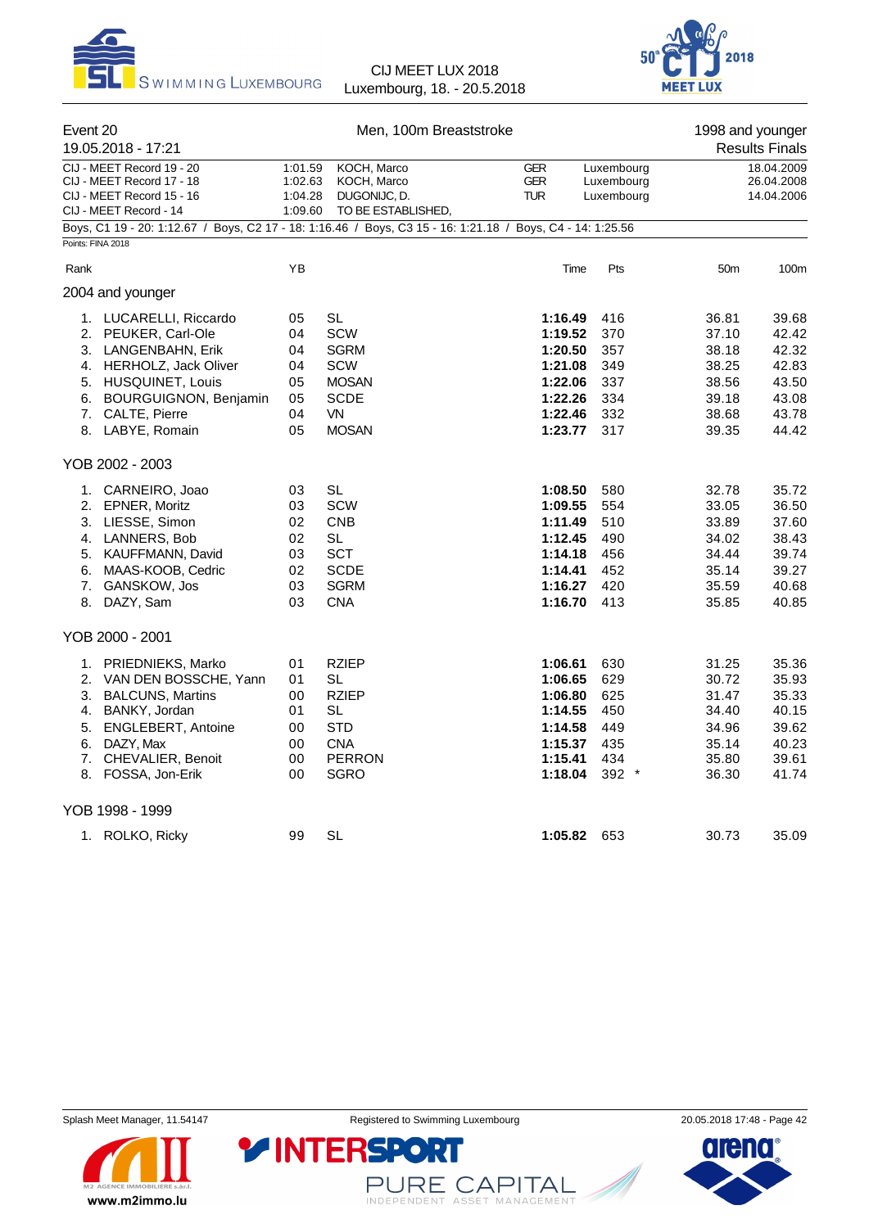



| Event 20<br>19.05.2018 - 17:21                                                                                                                                                                                                                                                                                                                                                  |                                                                                              | Men, 100m Breaststroke                                                                                                                                                                               |                                                                                                                                                                              |                                                                                                              | 1998 and younger<br><b>Results Finals</b>                                                                                                    |                                                                                                                                              |  |
|---------------------------------------------------------------------------------------------------------------------------------------------------------------------------------------------------------------------------------------------------------------------------------------------------------------------------------------------------------------------------------|----------------------------------------------------------------------------------------------|------------------------------------------------------------------------------------------------------------------------------------------------------------------------------------------------------|------------------------------------------------------------------------------------------------------------------------------------------------------------------------------|--------------------------------------------------------------------------------------------------------------|----------------------------------------------------------------------------------------------------------------------------------------------|----------------------------------------------------------------------------------------------------------------------------------------------|--|
| CIJ - MEET Record 19 - 20<br>CIJ - MEET Record 17 - 18<br>CIJ - MEET Record 15 - 16<br>CIJ - MEET Record - 14                                                                                                                                                                                                                                                                   | 1:01.59<br>1:02.63<br>1:04.28<br>1:09.60                                                     | KOCH, Marco<br>KOCH, Marco<br>DUGONIJC, D.<br>TO BE ESTABLISHED,                                                                                                                                     | <b>GER</b><br><b>GER</b><br><b>TUR</b>                                                                                                                                       | Luxembourg<br>Luxembourg<br>Luxembourg                                                                       |                                                                                                                                              | 18.04.2009<br>26.04.2008<br>14.04.2006                                                                                                       |  |
| Boys, C1 19 - 20: 1:12.67 / Boys, C2 17 - 18: 1:16.46 / Boys, C3 15 - 16: 1:21.18 / Boys, C4 - 14: 1:25.56<br>Points: FINA 2018                                                                                                                                                                                                                                                 |                                                                                              |                                                                                                                                                                                                      |                                                                                                                                                                              |                                                                                                              |                                                                                                                                              |                                                                                                                                              |  |
| Rank                                                                                                                                                                                                                                                                                                                                                                            | YB                                                                                           |                                                                                                                                                                                                      | Time                                                                                                                                                                         | Pts                                                                                                          | 50 <sub>m</sub>                                                                                                                              | 100m                                                                                                                                         |  |
| 2004 and younger                                                                                                                                                                                                                                                                                                                                                                |                                                                                              |                                                                                                                                                                                                      |                                                                                                                                                                              |                                                                                                              |                                                                                                                                              |                                                                                                                                              |  |
| 1. LUCARELLI, Riccardo<br>2. PEUKER, Carl-Ole<br>3. LANGENBAHN, Erik<br>4. HERHOLZ, Jack Oliver<br>5. HUSQUINET, Louis<br>6. BOURGUIGNON, Benjamin<br>7. CALTE, Pierre<br>8. LABYE, Romain<br>YOB 2002 - 2003<br>1. CARNEIRO, Joao<br>2. EPNER, Moritz<br>3. LIESSE, Simon<br>4. LANNERS, Bob<br>5. KAUFFMANN, David<br>6. MAAS-KOOB, Cedric<br>7. GANSKOW, Jos<br>8. DAZY, Sam | 05<br>04<br>04<br>04<br>05<br>05<br>04<br>05<br>03<br>03<br>02<br>02<br>03<br>02<br>03<br>03 | <b>SL</b><br>SCW<br><b>SGRM</b><br>SCW<br><b>MOSAN</b><br><b>SCDE</b><br>VN<br><b>MOSAN</b><br>SL<br><b>SCW</b><br><b>CNB</b><br><b>SL</b><br><b>SCT</b><br><b>SCDE</b><br><b>SGRM</b><br><b>CNA</b> | 1:16.49<br>1:19.52<br>1:20.50<br>1:21.08<br>1:22.06<br>1:22.26<br>1:22.46<br>1:23.77<br>1:08.50<br>1:09.55<br>1:11.49<br>1:12.45<br>1:14.18<br>1:14.41<br>1:16.27<br>1:16.70 | 416<br>370<br>357<br>349<br>337<br>334<br>332<br>317<br>580<br>554<br>510<br>490<br>456<br>452<br>420<br>413 | 36.81<br>37.10<br>38.18<br>38.25<br>38.56<br>39.18<br>38.68<br>39.35<br>32.78<br>33.05<br>33.89<br>34.02<br>34.44<br>35.14<br>35.59<br>35.85 | 39.68<br>42.42<br>42.32<br>42.83<br>43.50<br>43.08<br>43.78<br>44.42<br>35.72<br>36.50<br>37.60<br>38.43<br>39.74<br>39.27<br>40.68<br>40.85 |  |
| YOB 2000 - 2001                                                                                                                                                                                                                                                                                                                                                                 |                                                                                              |                                                                                                                                                                                                      |                                                                                                                                                                              |                                                                                                              |                                                                                                                                              |                                                                                                                                              |  |
| 1. PRIEDNIEKS, Marko<br>2. VAN DEN BOSSCHE, Yann<br>3. BALCUNS, Martins<br>4. BANKY, Jordan<br>5. ENGLEBERT, Antoine<br>6. DAZY, Max<br>7. CHEVALIER, Benoit<br>8. FOSSA, Jon-Erik                                                                                                                                                                                              | 01<br>01<br>00<br>01<br>00<br>00<br>00<br>00                                                 | <b>RZIEP</b><br>SL<br><b>RZIEP</b><br>SL<br><b>STD</b><br><b>CNA</b><br><b>PERRON</b><br><b>SGRO</b>                                                                                                 | 1:06.61<br>1:06.65<br>1:06.80<br>1:14.55<br>1:14.58<br>1:15.37<br>1:15.41<br>1:18.04                                                                                         | 630<br>629<br>625<br>450<br>449<br>435<br>434<br>392 *                                                       | 31.25<br>30.72<br>31.47<br>34.40<br>34.96<br>35.14<br>35.80<br>36.30                                                                         | 35.36<br>35.93<br>35.33<br>40.15<br>39.62<br>40.23<br>39.61<br>41.74                                                                         |  |
| YOB 1998 - 1999                                                                                                                                                                                                                                                                                                                                                                 |                                                                                              |                                                                                                                                                                                                      |                                                                                                                                                                              |                                                                                                              |                                                                                                                                              |                                                                                                                                              |  |
| 1. ROLKO, Ricky                                                                                                                                                                                                                                                                                                                                                                 | 99                                                                                           | <b>SL</b>                                                                                                                                                                                            | 1:05.82                                                                                                                                                                      | 653                                                                                                          | 30.73                                                                                                                                        | 35.09                                                                                                                                        |  |



PURE CAPITAL

**Y INTERSPORT** 

arena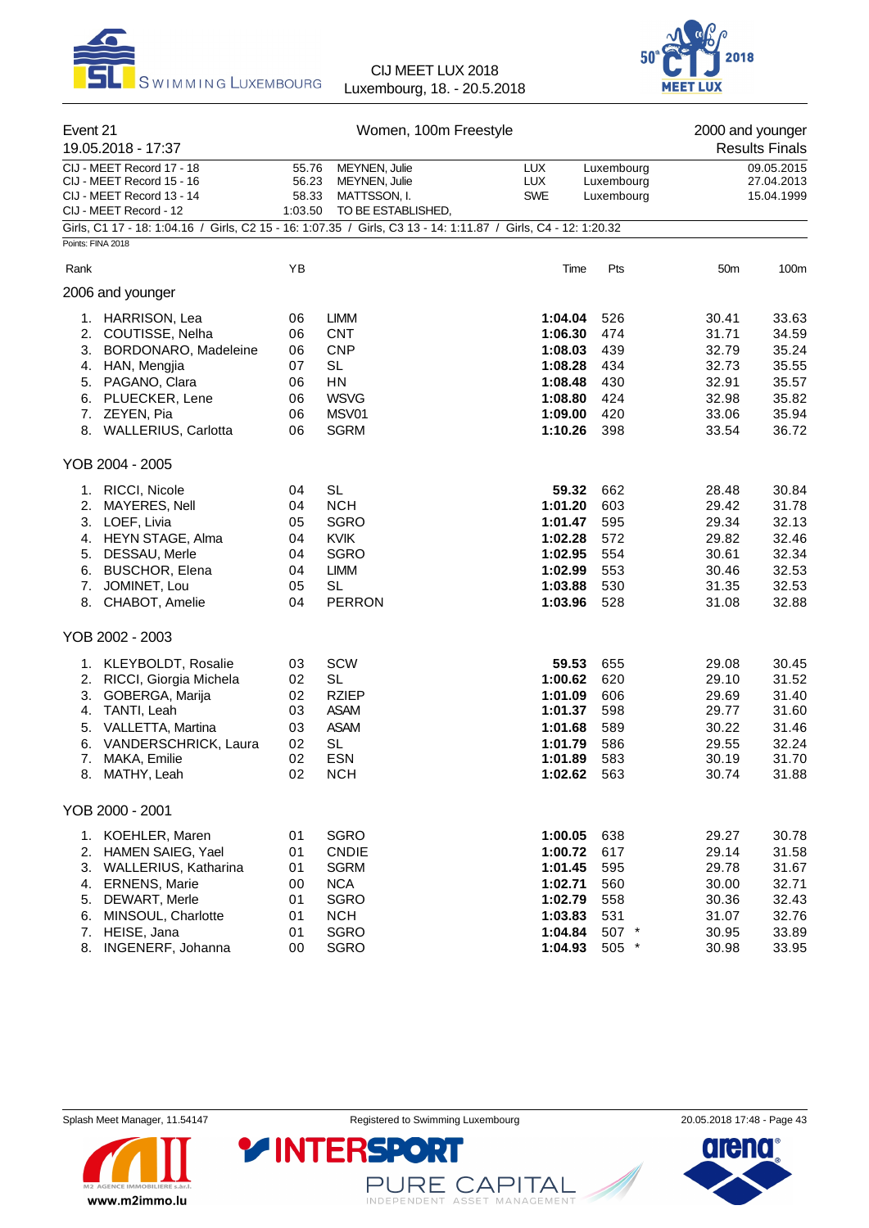



| Event 21<br>19.05.2018 - 17:37 |                                                                                                                                                                           |                                              | Women, 100m Freestyle                                                                                             |                                                                                        | 2000 and younger<br><b>Results Finals</b>                |                                                                      |                                                                      |
|--------------------------------|---------------------------------------------------------------------------------------------------------------------------------------------------------------------------|----------------------------------------------|-------------------------------------------------------------------------------------------------------------------|----------------------------------------------------------------------------------------|----------------------------------------------------------|----------------------------------------------------------------------|----------------------------------------------------------------------|
|                                | CIJ - MEET Record 17 - 18<br>CIJ - MEET Record 15 - 16<br>CIJ - MEET Record 13 - 14<br>CIJ - MEET Record - 12                                                             | 55.76<br>56.23<br>58.33<br>1:03.50           | MEYNEN, Julie<br>MEYNEN, Julie<br>MATTSSON, I.<br>TO BE ESTABLISHED,                                              | <b>LUX</b><br><b>LUX</b><br><b>SWE</b>                                                 | Luxembourg<br>Luxembourg<br>Luxembourg                   | 09.05.2015<br>27.04.2013<br>15.04.1999                               |                                                                      |
| Points: FINA 2018              | Girls, C1 17 - 18: 1:04.16 / Girls, C2 15 - 16: 1:07.35 / Girls, C3 13 - 14: 1:11.87 / Girls, C4 - 12: 1:20.32                                                            |                                              |                                                                                                                   |                                                                                        |                                                          |                                                                      |                                                                      |
| Rank                           |                                                                                                                                                                           | YB                                           |                                                                                                                   | Time                                                                                   | Pts                                                      | 50 <sub>m</sub>                                                      | 100m                                                                 |
|                                | 2006 and younger                                                                                                                                                          |                                              |                                                                                                                   |                                                                                        |                                                          |                                                                      |                                                                      |
| 3.<br>4.                       | 1. HARRISON, Lea<br>2. COUTISSE, Nelha<br><b>BORDONARO, Madeleine</b><br>HAN, Mengjia<br>5. PAGANO, Clara<br>6. PLUECKER, Lene<br>7. ZEYEN, Pia<br>8. WALLERIUS, Carlotta | 06<br>06<br>06<br>07<br>06<br>06<br>06<br>06 | <b>LIMM</b><br><b>CNT</b><br><b>CNP</b><br><b>SL</b><br>HN<br><b>WSVG</b><br>MSV01<br><b>SGRM</b>                 | 1:04.04<br>1:06.30<br>1:08.03<br>1:08.28<br>1:08.48<br>1:08.80<br>1:09.00<br>1:10.26   | 526<br>474<br>439<br>434<br>430<br>424<br>420<br>398     | 30.41<br>31.71<br>32.79<br>32.73<br>32.91<br>32.98<br>33.06<br>33.54 | 33.63<br>34.59<br>35.24<br>35.55<br>35.57<br>35.82<br>35.94<br>36.72 |
| YOB 2004 - 2005                |                                                                                                                                                                           |                                              |                                                                                                                   |                                                                                        |                                                          |                                                                      |                                                                      |
| 1.<br>2.<br>6.<br>8.           | <b>RICCI, Nicole</b><br>MAYERES, Nell<br>3. LOEF, Livia<br>4. HEYN STAGE, Alma<br>5. DESSAU, Merle<br><b>BUSCHOR, Elena</b><br>7. JOMINET, Lou<br>CHABOT, Amelie          | 04<br>04<br>05<br>04<br>04<br>04<br>05<br>04 | <b>SL</b><br><b>NCH</b><br><b>SGRO</b><br><b>KVIK</b><br><b>SGRO</b><br><b>LIMM</b><br><b>SL</b><br><b>PERRON</b> | 59.32<br>1:01.20<br>1:01.47<br>1:02.28<br>1:02.95<br>1:02.99<br>1:03.88<br>1:03.96     | 662<br>603<br>595<br>572<br>554<br>553<br>530<br>528     | 28.48<br>29.42<br>29.34<br>29.82<br>30.61<br>30.46<br>31.35<br>31.08 | 30.84<br>31.78<br>32.13<br>32.46<br>32.34<br>32.53<br>32.53<br>32.88 |
| YOB 2002 - 2003                |                                                                                                                                                                           |                                              |                                                                                                                   |                                                                                        |                                                          |                                                                      |                                                                      |
| 3.<br>4.<br>5.<br>6.<br>7.     | 1. KLEYBOLDT, Rosalie<br>2. RICCI, Giorgia Michela<br>GOBERGA, Marija<br>TANTI, Leah<br>VALLETTA, Martina<br>VANDERSCHRICK, Laura<br>MAKA, Emilie<br>8. MATHY, Leah       | 03<br>02<br>02<br>03<br>03<br>02<br>02<br>02 | SCW<br><b>SL</b><br><b>RZIEP</b><br><b>ASAM</b><br><b>ASAM</b><br><b>SL</b><br><b>ESN</b><br><b>NCH</b>           | 59.53<br>1:00.62<br>1:01.09<br>1:01.37<br>1:01.68<br>1:01.79<br>1:01.89<br>1:02.62 563 | 655<br>620<br>606<br>598<br>589<br>586<br>583            | 29.08<br>29.10<br>29.69<br>29.77<br>30.22<br>29.55<br>30.19<br>30.74 | 30.45<br>31.52<br>31.40<br>31.60<br>31.46<br>32.24<br>31.70<br>31.88 |
| YOB 2000 - 2001                |                                                                                                                                                                           |                                              |                                                                                                                   |                                                                                        |                                                          |                                                                      |                                                                      |
| 1.<br>5.<br>6.                 | KOEHLER, Maren<br>2. HAMEN SAIEG, Yael<br>3. WALLERIUS, Katharina<br>4. ERNENS, Marie<br>DEWART, Merle<br>MINSOUL, Charlotte<br>7. HEISE, Jana<br>8. INGENERF, Johanna    | 01<br>01<br>01<br>00<br>01<br>01<br>01<br>00 | SGRO<br><b>CNDIE</b><br><b>SGRM</b><br><b>NCA</b><br>SGRO<br><b>NCH</b><br><b>SGRO</b><br>SGRO                    | 1:00.05<br>1:00.72<br>1:01.45<br>1:02.71<br>1:02.79<br>1:03.83<br>1:04.84<br>1:04.93   | 638<br>617<br>595<br>560<br>558<br>531<br>507 *<br>505 * | 29.27<br>29.14<br>29.78<br>30.00<br>30.36<br>31.07<br>30.95<br>30.98 | 30.78<br>31.58<br>31.67<br>32.71<br>32.43<br>32.76<br>33.89<br>33.95 |



PURE CAPITAL

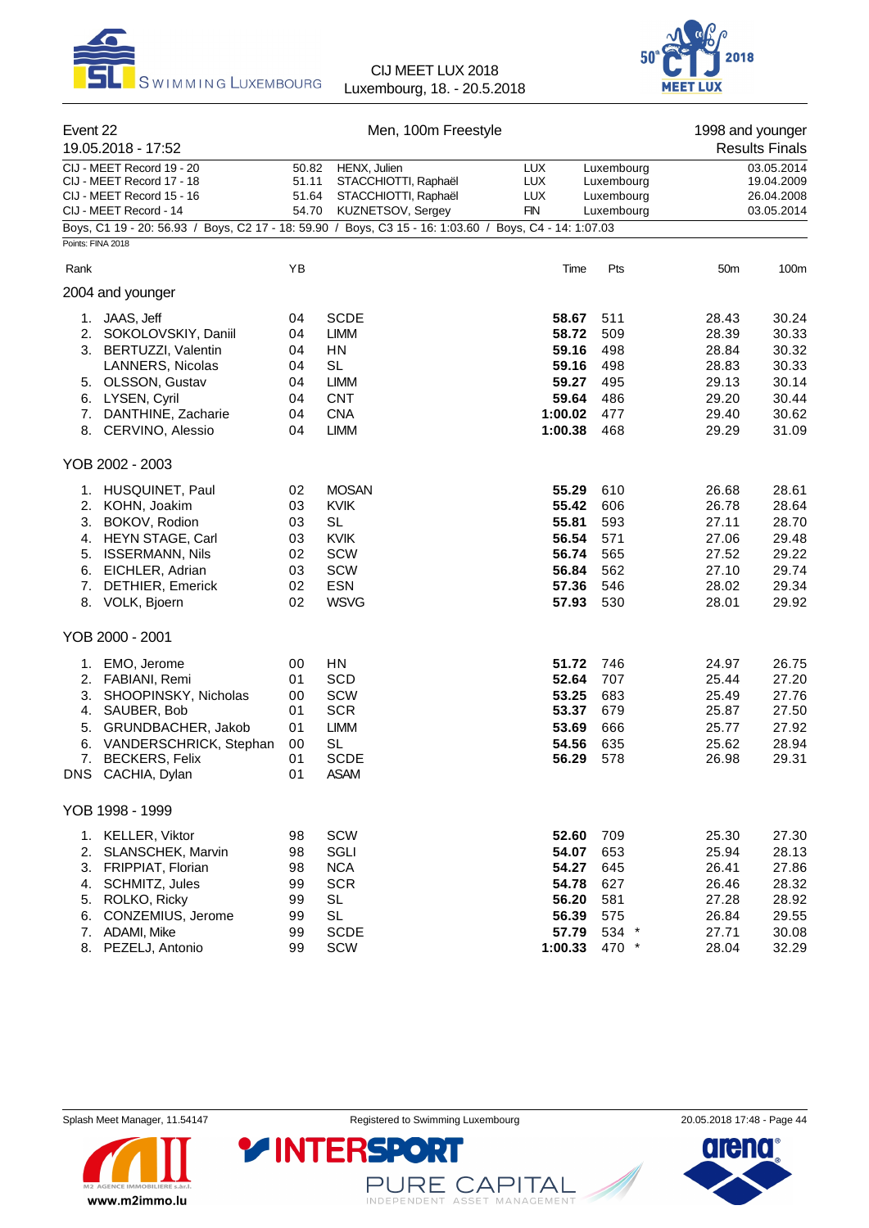



| Event 22                         | 19.05.2018 - 17:52                                                                                                                                                     |                                              | Men, 100m Freestyle                                                                                                                                                    |                                                                          |                                                          | 1998 and younger                                                     | <b>Results Finals</b>                                                |
|----------------------------------|------------------------------------------------------------------------------------------------------------------------------------------------------------------------|----------------------------------------------|------------------------------------------------------------------------------------------------------------------------------------------------------------------------|--------------------------------------------------------------------------|----------------------------------------------------------|----------------------------------------------------------------------|----------------------------------------------------------------------|
|                                  | CIJ - MEET Record 19 - 20<br>CIJ - MEET Record 17 - 18<br>CIJ - MEET Record 15 - 16<br>CIJ - MEET Record - 14                                                          |                                              | HENX, Julien<br><b>LUX</b><br>50.82<br>STACCHIOTTI, Raphaël<br><b>LUX</b><br>51.11<br>51.64<br>STACCHIOTTI, Raphaël<br><b>LUX</b><br>54.70<br>KUZNETSOV, Sergey<br>FIN |                                                                          | Luxembourg<br>Luxembourg<br>Luxembourg<br>Luxembourg     | 03.05.2014<br>19.04.2009<br>26.04.2008<br>03.05.2014                 |                                                                      |
| Points: FINA 2018                | Boys, C1 19 - 20: 56.93 / Boys, C2 17 - 18: 59.90 / Boys, C3 15 - 16: 1:03.60 / Boys, C4 - 14: 1:07.03                                                                 |                                              |                                                                                                                                                                        |                                                                          |                                                          |                                                                      |                                                                      |
|                                  |                                                                                                                                                                        |                                              |                                                                                                                                                                        |                                                                          |                                                          |                                                                      |                                                                      |
| Rank                             |                                                                                                                                                                        | ΥB                                           |                                                                                                                                                                        | Time                                                                     | Pts                                                      | 50m                                                                  | 100m                                                                 |
|                                  | 2004 and younger                                                                                                                                                       |                                              |                                                                                                                                                                        |                                                                          |                                                          |                                                                      |                                                                      |
| 1.<br>2.                         | JAAS, Jeff<br>SOKOLOVSKIY, Daniil<br>3. BERTUZZI, Valentin<br>LANNERS, Nicolas<br>5. OLSSON, Gustav<br>6. LYSEN, Cyril<br>7. DANTHINE, Zacharie<br>8. CERVINO, Alessio | 04<br>04<br>04<br>04<br>04<br>04<br>04<br>04 | <b>SCDE</b><br>LIMM<br>HN<br><b>SL</b><br><b>LIMM</b><br><b>CNT</b><br><b>CNA</b><br><b>LIMM</b>                                                                       | 58.67<br>58.72<br>59.16<br>59.16<br>59.27<br>59.64<br>1:00.02<br>1:00.38 | 511<br>509<br>498<br>498<br>495<br>486<br>477<br>468     | 28.43<br>28.39<br>28.84<br>28.83<br>29.13<br>29.20<br>29.40<br>29.29 | 30.24<br>30.33<br>30.32<br>30.33<br>30.14<br>30.44<br>30.62<br>31.09 |
|                                  | YOB 2002 - 2003                                                                                                                                                        |                                              |                                                                                                                                                                        |                                                                          |                                                          |                                                                      |                                                                      |
| 3.<br>6.<br>7.                   | 1. HUSQUINET, Paul<br>2. KOHN, Joakim<br>BOKOV, Rodion<br>4. HEYN STAGE, Carl<br>5. ISSERMANN, Nils<br>EICHLER, Adrian<br><b>DETHIER, Emerick</b><br>8. VOLK, Bjoern   | 02<br>03<br>03<br>03<br>02<br>03<br>02<br>02 | <b>MOSAN</b><br><b>KVIK</b><br><b>SL</b><br><b>KVIK</b><br>SCW<br>SCW<br><b>ESN</b><br><b>WSVG</b>                                                                     | 55.29<br>55.42<br>55.81<br>56.54<br>56.74<br>56.84<br>57.36<br>57.93     | 610<br>606<br>593<br>571<br>565<br>562<br>546<br>530     | 26.68<br>26.78<br>27.11<br>27.06<br>27.52<br>27.10<br>28.02<br>28.01 | 28.61<br>28.64<br>28.70<br>29.48<br>29.22<br>29.74<br>29.34<br>29.92 |
|                                  | YOB 2000 - 2001                                                                                                                                                        |                                              |                                                                                                                                                                        |                                                                          |                                                          |                                                                      |                                                                      |
| 1.<br>3.<br>4.<br>5.<br>6.<br>7. | EMO, Jerome<br>2. FABIANI, Remi<br>SHOOPINSKY, Nicholas<br>SAUBER, Bob<br>GRUNDBACHER, Jakob<br>VANDERSCHRICK, Stephan<br><b>BECKERS, Felix</b><br>DNS CACHIA, Dylan   | 00<br>01<br>00<br>01<br>01<br>00<br>01<br>01 | HN<br><b>SCD</b><br><b>SCW</b><br><b>SCR</b><br><b>LIMM</b><br><b>SL</b><br><b>SCDE</b><br><b>ASAM</b>                                                                 | 51.72<br>52.64<br>53.25<br>53.37<br>53.69<br>54.56<br>56.29              | 746<br>707<br>683<br>679<br>666<br>635<br>578            | 24.97<br>25.44<br>25.49<br>25.87<br>25.77<br>25.62<br>26.98          | 26.75<br>27.20<br>27.76<br>27.50<br>27.92<br>28.94<br>29.31          |
|                                  | YOB 1998 - 1999                                                                                                                                                        |                                              |                                                                                                                                                                        |                                                                          |                                                          |                                                                      |                                                                      |
| 4.<br>6.                         | 1. KELLER, Viktor<br>2. SLANSCHEK, Marvin<br>3. FRIPPIAT, Florian<br>SCHMITZ, Jules<br>5. ROLKO, Ricky<br>CONZEMIUS, Jerome<br>7. ADAMI, Mike<br>8. PEZELJ, Antonio    | 98<br>98<br>98<br>99<br>99<br>99<br>99<br>99 | SCW<br>SGLI<br><b>NCA</b><br><b>SCR</b><br><b>SL</b><br><b>SL</b><br><b>SCDE</b><br>SCW                                                                                | 52.60<br>54.07<br>54.27<br>54.78<br>56.20<br>56.39<br>57.79<br>1:00.33   | 709<br>653<br>645<br>627<br>581<br>575<br>534 *<br>470 * | 25.30<br>25.94<br>26.41<br>26.46<br>27.28<br>26.84<br>27.71<br>28.04 | 27.30<br>28.13<br>27.86<br>28.32<br>28.92<br>29.55<br>30.08<br>32.29 |



PURE CAPITAL

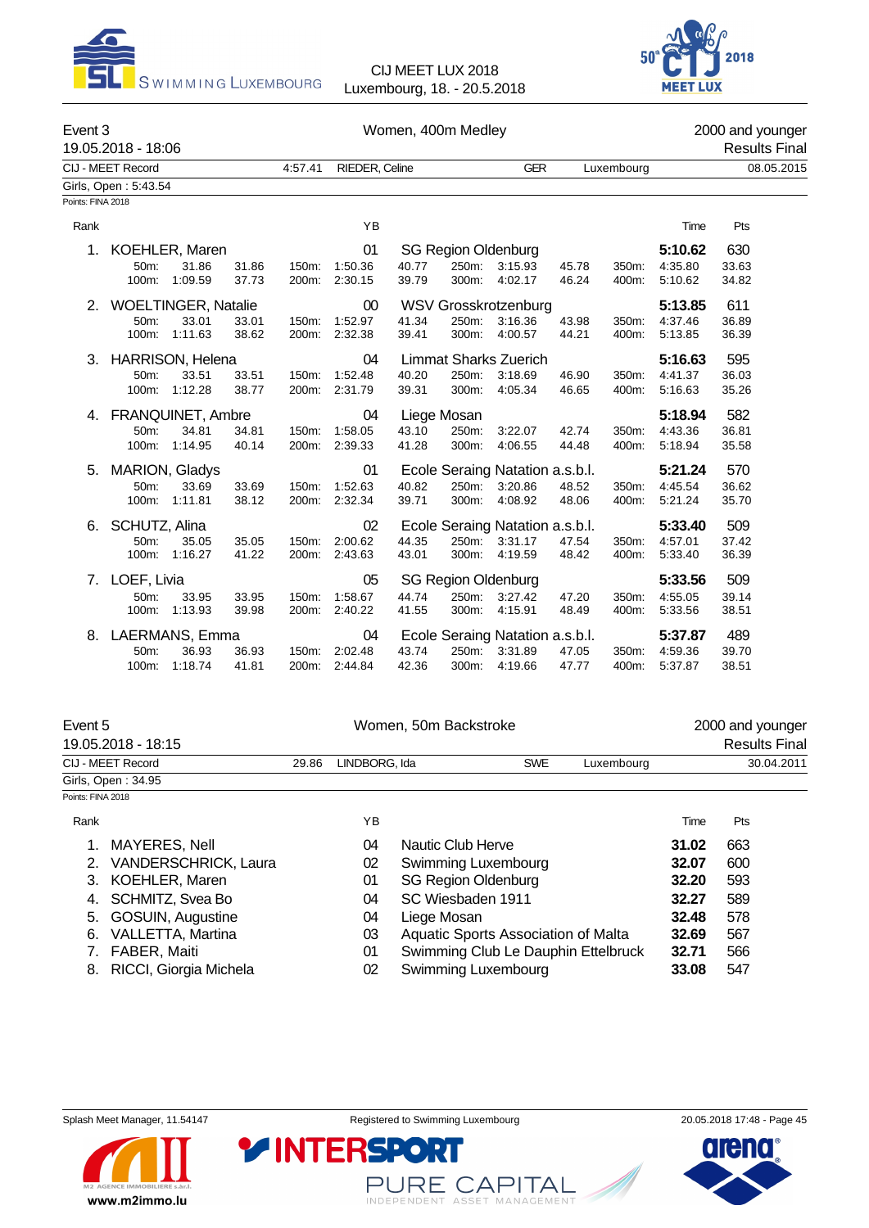



| Event 3           | 19.05.2018 - 18:06      |         |       |         |                |       | Women, 400m Medley         |                                 |       |            |         | 2000 and younger | <b>Results Final</b> |
|-------------------|-------------------------|---------|-------|---------|----------------|-------|----------------------------|---------------------------------|-------|------------|---------|------------------|----------------------|
|                   | CIJ - MEET Record       |         |       | 4:57.41 | RIEDER, Celine |       |                            | <b>GER</b>                      |       | Luxembourg |         |                  | 08.05.2015           |
|                   | Girls, Open: 5:43.54    |         |       |         |                |       |                            |                                 |       |            |         |                  |                      |
| Points: FINA 2018 |                         |         |       |         |                |       |                            |                                 |       |            |         |                  |                      |
| Rank              |                         |         |       |         | YB             |       |                            |                                 |       |            | Time    | Pts              |                      |
|                   | 1. KOEHLER, Maren       |         |       |         | 01             |       | <b>SG Region Oldenburg</b> |                                 |       |            | 5:10.62 | 630              |                      |
|                   | 50m:                    | 31.86   | 31.86 | 150m:   | 1:50.36        | 40.77 | 250m:                      | 3:15.93                         | 45.78 | 350m:      | 4:35.80 | 33.63            |                      |
|                   | 100m:                   | 1:09.59 | 37.73 | 200m:   | 2:30.15        | 39.79 | 300m:                      | 4:02.17                         | 46.24 | 400m:      | 5:10.62 | 34.82            |                      |
|                   | 2. WOELTINGER, Natalie  |         |       |         | 00             |       |                            | WSV Grosskrotzenburg            |       |            | 5:13.85 | 611              |                      |
|                   | 50m:                    | 33.01   | 33.01 | 150m:   | 1:52.97        | 41.34 | 250m:                      | 3:16.36                         | 43.98 | 350m:      | 4:37.46 | 36.89            |                      |
|                   | 100m:                   | 1:11.63 | 38.62 | 200m:   | 2:32.38        | 39.41 | 300m:                      | 4:00.57                         | 44.21 | 400m:      | 5:13.85 | 36.39            |                      |
| 3.                | <b>HARRISON, Helena</b> |         |       |         | 04             |       |                            | <b>Limmat Sharks Zuerich</b>    |       |            | 5:16.63 | 595              |                      |
|                   | 50m:                    | 33.51   | 33.51 | 150m:   | 1:52.48        | 40.20 | 250m:                      | 3:18.69                         | 46.90 | 350m:      | 4:41.37 | 36.03            |                      |
|                   | 100m:                   | 1:12.28 | 38.77 | 200m:   | 2:31.79        | 39.31 | 300m:                      | 4:05.34                         | 46.65 | 400m:      | 5:16.63 | 35.26            |                      |
|                   | 4. FRANQUINET, Ambre    |         |       |         | 04             |       | Liege Mosan                |                                 |       |            | 5:18.94 | 582              |                      |
|                   | 50 <sub>m</sub> :       | 34.81   | 34.81 | 150m:   | 1:58.05        | 43.10 | 250m:                      | 3:22.07                         | 42.74 | 350m:      | 4:43.36 | 36.81            |                      |
|                   | 100m:                   | 1:14.95 | 40.14 |         | 200m: 2:39.33  | 41.28 | 300m:                      | 4:06.55                         | 44.48 | 400m:      | 5:18.94 | 35.58            |                      |
| 5.                | MARION, Gladys          |         |       |         | 01             |       |                            | Ecole Seraing Natation a.s.b.l. |       |            | 5:21.24 | 570              |                      |
|                   | 50m:                    | 33.69   | 33.69 | 150m:   | 1:52.63        | 40.82 | 250m:                      | 3:20.86                         | 48.52 | 350m:      | 4:45.54 | 36.62            |                      |
|                   | 100m:                   | 1:11.81 | 38.12 | 200m:   | 2:32.34        | 39.71 | 300m:                      | 4:08.92                         | 48.06 | 400m:      | 5:21.24 | 35.70            |                      |
| 6.                | SCHUTZ, Alina           |         |       |         | 02             |       |                            | Ecole Seraing Natation a.s.b.l. |       |            | 5:33.40 | 509              |                      |
|                   | 50m:                    | 35.05   | 35.05 | 150m:   | 2:00.62        | 44.35 | 250m:                      | 3:31.17                         | 47.54 | 350m:      | 4:57.01 | 37.42            |                      |
|                   | 100m:                   | 1:16.27 | 41.22 | 200m:   | 2:43.63        | 43.01 | 300m:                      | 4:19.59                         | 48.42 | 400m:      | 5:33.40 | 36.39            |                      |
| 7.                | LOEF, Livia             |         |       |         | 05             |       | <b>SG Region Oldenburg</b> |                                 |       |            | 5:33.56 | 509              |                      |
|                   | 50m:                    | 33.95   | 33.95 | 150m:   | 1:58.67        | 44.74 | 250m:                      | 3:27.42                         | 47.20 | 350m:      | 4:55.05 | 39.14            |                      |
|                   | 100m:                   | 1:13.93 | 39.98 | 200m:   | 2:40.22        | 41.55 | 300m:                      | 4:15.91                         | 48.49 | 400m:      | 5:33.56 | 38.51            |                      |
|                   | 8. LAERMANS, Emma       |         |       |         | 04             |       |                            | Ecole Seraing Natation a.s.b.l. |       |            | 5:37.87 | 489              |                      |
|                   | 50m:                    | 36.93   | 36.93 | 150m:   | 2:02.48        | 43.74 | 250m:                      | 3:31.89                         | 47.05 | 350m:      | 4:59.36 | 39.70            |                      |
|                   | 100m:                   | 1:18.74 | 41.81 | 200m:   | 2:44.84        | 42.36 | 300m:                      | 4.19.66                         | 47.77 | 400m:      | 5:37.87 | 38.51            |                      |
|                   |                         |         |       |         |                |       |                            |                                 |       |            |         |                  |                      |

| Event 5           |                      |       |               | Women, 50m Backstroke               |       | 2000 and younger     |  |  |  |
|-------------------|----------------------|-------|---------------|-------------------------------------|-------|----------------------|--|--|--|
|                   | 19.05.2018 - 18:15   |       |               |                                     |       | <b>Results Final</b> |  |  |  |
|                   | CIJ - MEET Record    | 29.86 | LINDBORG. Ida | <b>SWE</b><br>Luxembourg            |       | 30.04.2011           |  |  |  |
|                   | Girls, Open: 34.95   |       |               |                                     |       |                      |  |  |  |
| Points: FINA 2018 |                      |       |               |                                     |       |                      |  |  |  |
| Rank              |                      |       | ΥB            |                                     | Time  | Pts                  |  |  |  |
|                   | <b>MAYERES, Nell</b> |       | 04            | Nautic Club Herve                   | 31.02 | 663                  |  |  |  |
| 2 <sub>1</sub>    | VANDERSCHRICK, Laura |       | 02            | Swimming Luxembourg                 | 32.07 | 600                  |  |  |  |
|                   | 3. KOEHLER, Maren    |       | 01            | <b>SG Region Oldenburg</b>          | 32.20 | 593                  |  |  |  |
| 4.                | SCHMITZ, Svea Bo     |       | 04            | SC Wiesbaden 1911                   | 32.27 | 589                  |  |  |  |
| 5.                | GOSUIN, Augustine    |       | 04            | Liege Mosan                         | 32.48 | 578                  |  |  |  |
| 6.                | VALLETTA, Martina    |       | 03            | Aquatic Sports Association of Malta | 32.69 | 567                  |  |  |  |
|                   | FABER, Maiti         |       | 01            | Swimming Club Le Dauphin Ettelbruck | 32.71 | 566                  |  |  |  |

- 
- 8. RICCI, Giorgia Michela 02 Swimming Luxembourg **33.08** 547
	-

**YINTERSPO** 



PURE CAPITAL

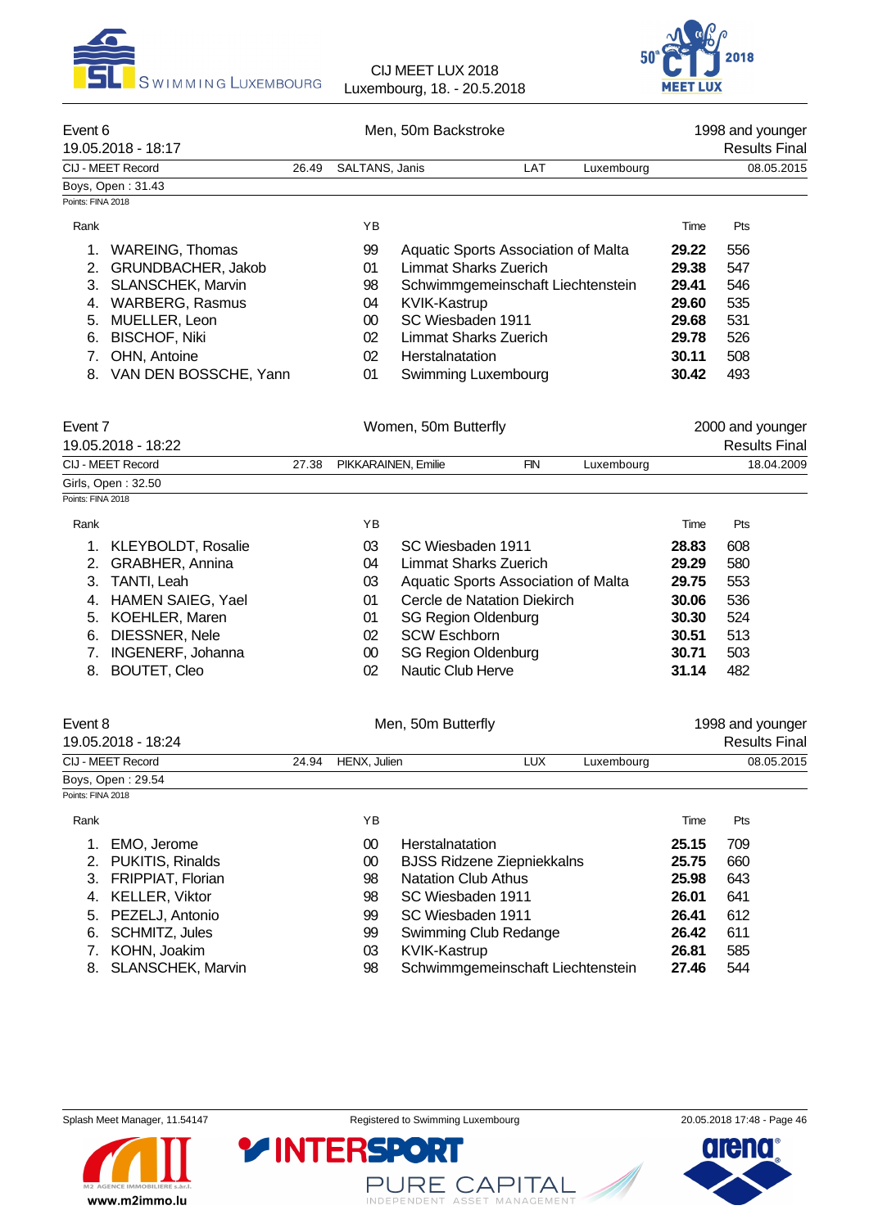



| Event 6<br>19.05.2018 - 18:17  |       |                     | Men, 50m Backstroke  |                              |            |                                     |       | 1998 and younger<br><b>Results Final</b> |
|--------------------------------|-------|---------------------|----------------------|------------------------------|------------|-------------------------------------|-------|------------------------------------------|
| CIJ - MEET Record              | 26.49 | SALTANS, Janis      |                      |                              | LAT        | Luxembourg                          |       | 08.05.2015                               |
| Boys, Open: 31.43              |       |                     |                      |                              |            |                                     |       |                                          |
| Points: FINA 2018              |       |                     |                      |                              |            |                                     |       |                                          |
| Rank                           |       | YB                  |                      |                              |            |                                     | Time  | Pts                                      |
| <b>WAREING, Thomas</b><br>1.   |       | 99                  |                      |                              |            | Aquatic Sports Association of Malta | 29.22 | 556                                      |
| GRUNDBACHER, Jakob<br>2.       |       | 01                  |                      | <b>Limmat Sharks Zuerich</b> |            |                                     | 29.38 | 547                                      |
| SLANSCHEK, Marvin<br>3.        |       | 98                  |                      |                              |            | Schwimmgemeinschaft Liechtenstein   | 29.41 | 546                                      |
| <b>WARBERG, Rasmus</b><br>4.   |       | 04                  | KVIK-Kastrup         |                              |            |                                     | 29.60 | 535                                      |
| MUELLER, Leon<br>5.            |       | $00\,$              |                      | SC Wiesbaden 1911            |            |                                     | 29.68 | 531                                      |
| <b>BISCHOF, Niki</b><br>6.     |       | 02                  |                      | <b>Limmat Sharks Zuerich</b> |            |                                     | 29.78 | 526                                      |
| OHN, Antoine<br>7 <sub>1</sub> |       | 02                  | Herstalnatation      |                              |            |                                     | 30.11 | 508                                      |
| VAN DEN BOSSCHE, Yann<br>8.    |       | 01                  |                      | Swimming Luxembourg          |            |                                     | 30.42 | 493                                      |
| Event 7<br>19.05.2018 - 18:22  |       |                     | Women, 50m Butterfly |                              |            |                                     |       | 2000 and younger<br><b>Results Final</b> |
| CIJ - MEET Record              | 27.38 | PIKKARAINEN, Emilie |                      |                              | <b>FIN</b> | Luxembourg                          |       | 18.04.2009                               |
| Girls, Open: 32.50             |       |                     |                      |                              |            |                                     |       |                                          |
| Points: FINA 2018              |       |                     |                      |                              |            |                                     |       |                                          |
| Rank                           |       | ΥB                  |                      |                              |            |                                     | Time  | Pts                                      |
| KLEYBOLDT, Rosalie<br>1.       |       | 03                  |                      | SC Wiesbaden 1911            |            |                                     | 28.83 | 608                                      |
| 2.<br><b>GRABHER, Annina</b>   |       | 04                  |                      | <b>Limmat Sharks Zuerich</b> |            |                                     | 29.29 | 580                                      |
| 3.<br>TANTI, Leah              |       | 03                  |                      |                              |            | Aquatic Sports Association of Malta | 29.75 | 553                                      |
| HAMEN SAIEG, Yael<br>4.        |       | 01                  |                      | Cercle de Natation Diekirch  |            |                                     | 30.06 | 536                                      |
| KOEHLER, Maren<br>5.           |       | 01                  |                      | <b>SG Region Oldenburg</b>   |            |                                     | 30.30 | 524                                      |
| DIESSNER, Nele<br>6.           |       | 02                  | <b>SCW Eschborn</b>  |                              |            |                                     | 30.51 | 513                                      |
| INGENERF, Johanna<br>7.        |       | $00\,$              |                      | <b>SG Region Oldenburg</b>   |            |                                     | 30.71 | 503                                      |
| <b>BOUTET, Cleo</b><br>8.      |       | 02                  |                      | Nautic Club Herve            |            |                                     | 31.14 | 482                                      |
| Event 8                        |       |                     | Men, 50m Butterfly   |                              |            |                                     |       | 1998 and younger                         |

| 19.05.2018 - 18:24 |                    |     |            | <b>Results Final</b> |
|--------------------|--------------------|-----|------------|----------------------|
| CIJ - MEET Record  | 24.94 HENX, Julien | LUX | Luxembourg | 08.05.2015           |
| Boys, Open: 29.54  |                    |     |            |                      |

Points: FINA 2018

| Rank |                      | ΥB |                                   | Time  | Pts |  |
|------|----------------------|----|-----------------------------------|-------|-----|--|
| 1.   | EMO, Jerome          | 00 | Herstalnatation                   | 25.15 | 709 |  |
|      | 2. PUKITIS, Rinalds  | 00 | <b>BJSS Ridzene Ziepniekkalns</b> | 25.75 | 660 |  |
|      | 3. FRIPPIAT, Florian | 98 | <b>Natation Club Athus</b>        | 25.98 | 643 |  |
|      | 4. KELLER, Viktor    | 98 | SC Wiesbaden 1911                 | 26.01 | 641 |  |
|      | 5. PEZELJ, Antonio   | 99 | SC Wiesbaden 1911                 | 26.41 | 612 |  |
|      | 6. SCHMITZ, Jules    | 99 | Swimming Club Redange             | 26.42 | 611 |  |
|      | 7. KOHN, Joakim      | 03 | KVIK-Kastrup                      | 26.81 | 585 |  |
|      | 8. SLANSCHEK, Marvin | 98 | Schwimmgemeinschaft Liechtenstein | 27.46 | 544 |  |
|      |                      |    |                                   |       |     |  |



PURE CAPITAL

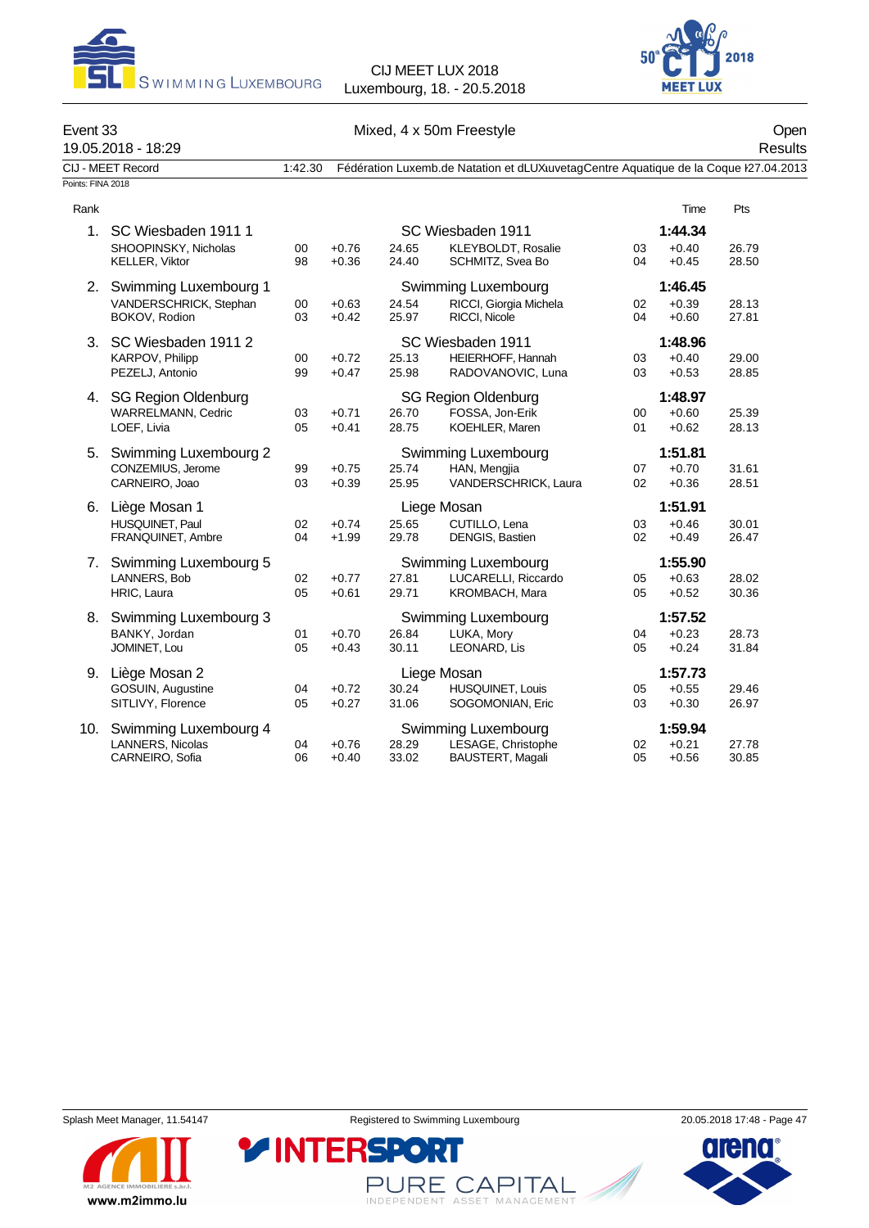



## Event 33 Communication of the Mixed, 4 x 50m Freestyle Communication of the Open 19.05.2018 - 18:29 Results CIJ - MEET Record 1:42.30 Fédération Luxemb.de Natation et dLUX uvetag Centre Aquatique de la Coque K27.04.2013 Points: FINA 2018 Rank **Time Pts** 1. SC Wiesbaden 1911 1 SC Wiesbaden 1911 **1:44.34** SHOOPINSKY, Nicholas 00 +0.76 24.65 KLEYBOLDT, Rosalie 03 +0.40 26.79<br>KELLER, Viktor 98 +0.36 24.40 SCHMITZ, Svea Bo 04 +0.45 28.50 SCHMITZ, Svea Bo 2. Swimming Luxembourg 1 Swimming Luxembourg **1:46.45** VANDERSCHRICK, Stephan 00 +0.63 24.54 RICCI, Giorgia Michela 02 +0.39 28.13 BOKOV, Rodion 03 +0.42 25.97 RICCI, Nicole 04 +0.60 27.81 3. SC Wiesbaden 1911 2 SC Wiesbaden 1911 **1:48.96** 25.13 HEIERHOFF, Hannah 03 +0.40 29.00 PEZELJ, Antonio 99 +0.47 25.98 RADOVANOVIC, Luna 03 +0.53 28.85 4. SG Region Oldenburg SG Region Oldenburg **1:48.97** WARRELMANN, Cedric 03 +0.71 26.70 FOSSA, Jon-Erik 00 +0.60 25.39 LOEF, Livia 05 +0.41 28.75 KOEHLER, Maren 01 +0.62 28.13 5. Swimming Luxembourg 2 Swimming Luxembourg **1:51.81** CONZEMIUS, Jerome 99 +0.75 25.74 HAN, Mengjia 07 +0.70 31.61 CARNEIRO, Joao 03 +0.39 25.95 VANDERSCHRICK, Laura 02 +0.36 28.51 6. Liège Mosan 1 Liege Mosan **1:51.91** HUSQUINET, Paul 02 +0.74 25.65 CUTILLO, Lena 03 +0.46 30.01 FRANQUINET, Ambre 7. Swimming Luxembourg 5 Swimming Luxembourg **1:55.90** LANNERS, Bob 02 +0.77 27.81 LUCARELLI, Riccardo 05 +0.63 28.02 HRIC, Laura 05 +0.61 29.71 KROMBACH, Mara 05 +0.52 30.36 8. Swimming Luxembourg 3 Swimming Luxembourg **1:57.52** BANKY, Jordan 01 +0.70 26.84 LUKA, Mory 04 +0.23 28.73 JOMINET, Lou 05 +0.43 30.11 LEONARD, Lis 05 +0.24 31.84 9. Liège Mosan 2 Liege Mosan **1:57.73** GOSUIN, Augustine 04 +0.72 30.24 HUSQUINET, Louis 05 +0.55 29.46 SITLIVY, Florence  $105 +0.27$  31.06 SOGOMONIAN, Eric  $03 +0.30$  26.97 10. Swimming Luxembourg 4 Swimming Luxembourg **1:59.94** LANNERS, Nicolas 04 +0.76 28.29 LESAGE, Christophe 02 +0.21 27.78 BAUSTERT, Magali



PURE CAPITAL

INDEPENDENT ASSET MANAGEMENT

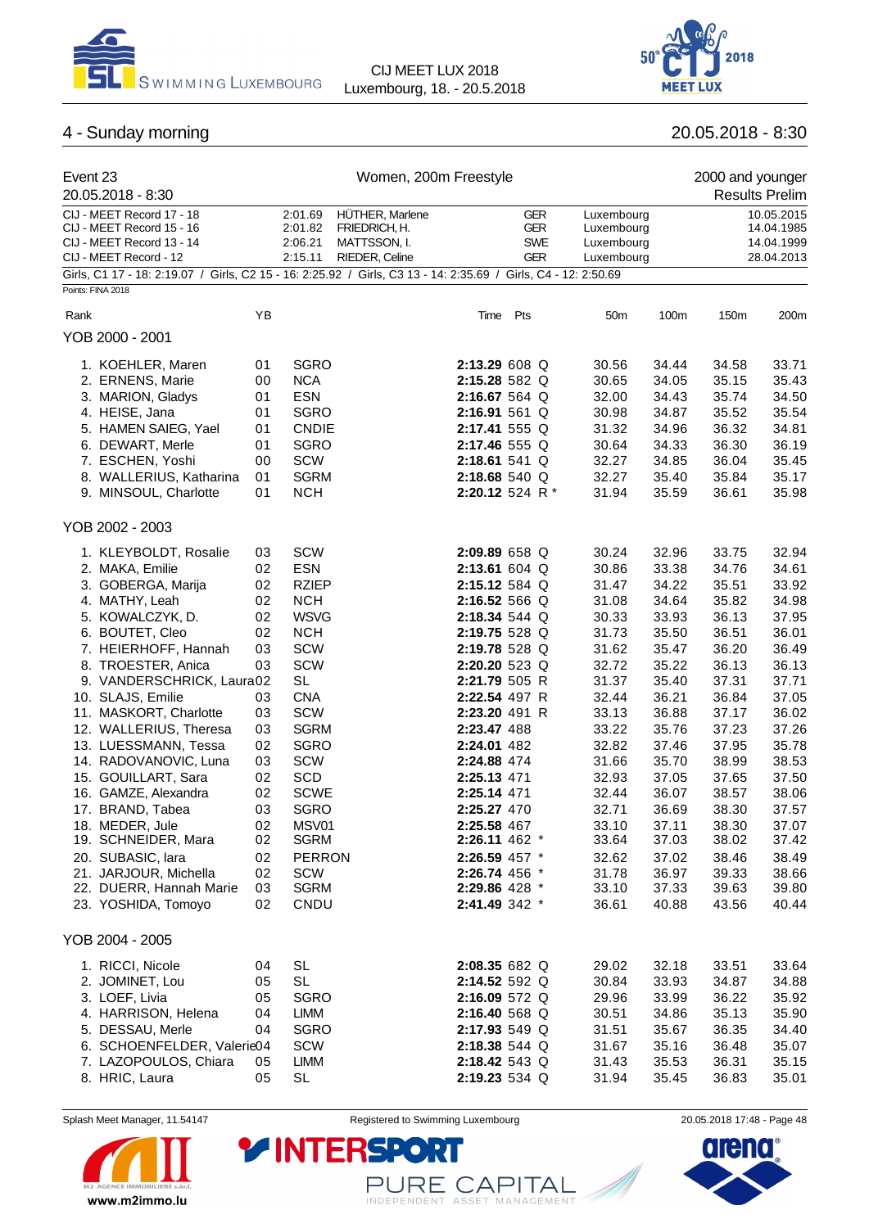



# 4 - Sunday morning 20.05.2018 - 8:30

| Event 23<br>20.05.2018 - 8:30                                                                                                       |    |                                          | Women, 200m Freestyle                                              |               |                                                      |                                                      |       | 2000 and younger | <b>Results Prelim</b>                                |
|-------------------------------------------------------------------------------------------------------------------------------------|----|------------------------------------------|--------------------------------------------------------------------|---------------|------------------------------------------------------|------------------------------------------------------|-------|------------------|------------------------------------------------------|
| CIJ - MEET Record 17 - 18<br>CIJ - MEET Record 15 - 16<br>CIJ - MEET Record 13 - 14<br>CIJ - MEET Record - 12                       |    | 2:01.69<br>2:01.82<br>2:06.21<br>2:15.11 | HÜTHER, Marlene<br>FRIEDRICH, H.<br>MATTSSON, I.<br>RIEDER, Celine |               | <b>GER</b><br><b>GER</b><br><b>SWE</b><br><b>GER</b> | Luxembourg<br>Luxembourg<br>Luxembourg<br>Luxembourg |       |                  | 10.05.2015<br>14.04.1985<br>14.04.1999<br>28.04.2013 |
| Girls, C1 17 - 18: 2:19.07 / Girls, C2 15 - 16: 2:25.92 / Girls, C3 13 - 14: 2:35.69 / Girls, C4 - 12: 2:50.69<br>Points: FINA 2018 |    |                                          |                                                                    |               |                                                      |                                                      |       |                  |                                                      |
|                                                                                                                                     |    |                                          |                                                                    |               |                                                      |                                                      |       |                  |                                                      |
| Rank                                                                                                                                | ΥB |                                          |                                                                    | Time          | Pts                                                  | 50 <sub>m</sub>                                      | 100m  | 150m             | 200m                                                 |
| YOB 2000 - 2001                                                                                                                     |    |                                          |                                                                    |               |                                                      |                                                      |       |                  |                                                      |
| 1. KOEHLER, Maren                                                                                                                   | 01 | <b>SGRO</b>                              |                                                                    | 2:13.29 608 Q |                                                      | 30.56                                                | 34.44 | 34.58            | 33.71                                                |
| 2. ERNENS, Marie                                                                                                                    | 00 | <b>NCA</b>                               |                                                                    | 2:15.28 582 Q |                                                      | 30.65                                                | 34.05 | 35.15            | 35.43                                                |
| 3. MARION, Gladys                                                                                                                   | 01 | <b>ESN</b>                               |                                                                    | 2:16.67 564 Q |                                                      | 32.00                                                | 34.43 | 35.74            | 34.50                                                |
| 4. HEISE, Jana                                                                                                                      | 01 | <b>SGRO</b>                              |                                                                    | 2:16.91 561 Q |                                                      | 30.98                                                | 34.87 | 35.52            | 35.54                                                |
| 5. HAMEN SAIEG, Yael                                                                                                                | 01 | <b>CNDIE</b>                             |                                                                    | 2:17.41 555 Q |                                                      | 31.32                                                | 34.96 | 36.32            | 34.81                                                |
| 6. DEWART, Merle                                                                                                                    | 01 | <b>SGRO</b>                              |                                                                    | 2:17.46 555 Q |                                                      | 30.64                                                | 34.33 | 36.30            | 36.19                                                |
| 7. ESCHEN, Yoshi                                                                                                                    | 00 | SCW                                      |                                                                    | 2:18.61 541 Q |                                                      | 32.27                                                | 34.85 | 36.04            | 35.45                                                |
| 8. WALLERIUS, Katharina                                                                                                             | 01 | <b>SGRM</b>                              |                                                                    | 2:18.68 540 Q |                                                      | 32.27                                                | 35.40 | 35.84            | 35.17                                                |
| 9. MINSOUL, Charlotte                                                                                                               | 01 | <b>NCH</b>                               |                                                                    |               | 2:20.12 524 R*                                       | 31.94                                                | 35.59 | 36.61            | 35.98                                                |
| YOB 2002 - 2003                                                                                                                     |    |                                          |                                                                    |               |                                                      |                                                      |       |                  |                                                      |
| 1. KLEYBOLDT, Rosalie                                                                                                               | 03 | SCW                                      |                                                                    | 2:09.89 658 Q |                                                      | 30.24                                                | 32.96 | 33.75            | 32.94                                                |
| 2. MAKA, Emilie                                                                                                                     | 02 | <b>ESN</b>                               |                                                                    | 2:13.61 604 Q |                                                      | 30.86                                                | 33.38 | 34.76            | 34.61                                                |
| 3. GOBERGA, Marija                                                                                                                  | 02 | <b>RZIEP</b>                             |                                                                    | 2:15.12 584 Q |                                                      | 31.47                                                | 34.22 | 35.51            | 33.92                                                |
| 4. MATHY, Leah                                                                                                                      | 02 | <b>NCH</b>                               |                                                                    | 2:16.52 566 Q |                                                      | 31.08                                                | 34.64 | 35.82            | 34.98                                                |
| 5. KOWALCZYK, D.                                                                                                                    | 02 | <b>WSVG</b>                              |                                                                    | 2:18.34 544 Q |                                                      | 30.33                                                | 33.93 | 36.13            | 37.95                                                |
| 6. BOUTET, Cleo                                                                                                                     | 02 | <b>NCH</b>                               |                                                                    | 2:19.75 528 Q |                                                      | 31.73                                                | 35.50 | 36.51            | 36.01                                                |
| 7. HEIERHOFF, Hannah                                                                                                                | 03 | SCW                                      |                                                                    | 2:19.78 528 Q |                                                      | 31.62                                                | 35.47 | 36.20            | 36.49                                                |
| 8. TROESTER, Anica                                                                                                                  | 03 | SCW                                      |                                                                    | 2:20.20 523 Q |                                                      | 32.72                                                | 35.22 | 36.13            | 36.13                                                |
| 9. VANDERSCHRICK, Laura02                                                                                                           |    | <b>SL</b>                                |                                                                    | 2:21.79 505 R |                                                      | 31.37                                                | 35.40 | 37.31            | 37.71                                                |
| 10. SLAJS, Emilie                                                                                                                   | 03 | <b>CNA</b>                               |                                                                    | 2:22.54 497 R |                                                      | 32.44                                                | 36.21 | 36.84            | 37.05                                                |
| 11. MASKORT, Charlotte                                                                                                              | 03 | SCW                                      |                                                                    | 2:23.20 491 R |                                                      | 33.13                                                | 36.88 | 37.17            | 36.02                                                |
| 12. WALLERIUS, Theresa                                                                                                              | 03 | <b>SGRM</b>                              |                                                                    | 2:23.47 488   |                                                      | 33.22                                                | 35.76 | 37.23            | 37.26                                                |
| 13. LUESSMANN, Tessa                                                                                                                | 02 | <b>SGRO</b>                              |                                                                    | 2:24.01 482   |                                                      | 32.82                                                | 37.46 | 37.95            | 35.78                                                |
| 14. RADOVANOVIC, Luna                                                                                                               | 03 | <b>SCW</b>                               |                                                                    | 2:24.88 474   |                                                      | 31.66                                                | 35.70 | 38.99            | 38.53                                                |
| 15. GOUILLART, Sara                                                                                                                 | 02 | SCD                                      |                                                                    | 2:25.13 471   |                                                      | 32.93                                                | 37.05 | 37.65            | 37.50                                                |
| 16. GAMZE, Alexandra                                                                                                                | 02 | <b>SCWE</b>                              |                                                                    | 2:25.14 471   |                                                      | 32.44                                                | 36.07 | 38.57            | 38.06                                                |
| 17. BRAND, Tabea                                                                                                                    | 03 | <b>SGRO</b>                              |                                                                    | 2:25.27 470   |                                                      | 32.71                                                | 36.69 | 38.30            | 37.57                                                |
| 18. MEDER, Jule                                                                                                                     | 02 | MSV01                                    |                                                                    | 2:25.58 467   |                                                      | 33.10                                                | 37.11 | 38.30            | 37.07                                                |
| 19. SCHNEIDER, Mara                                                                                                                 | 02 | <b>SGRM</b>                              |                                                                    | 2:26.11 462 * |                                                      | 33.64                                                | 37.03 | 38.02            | 37.42                                                |
| 20. SUBASIC, lara                                                                                                                   | 02 | <b>PERRON</b>                            |                                                                    | 2:26.59 457 * |                                                      | 32.62                                                | 37.02 | 38.46            | 38.49                                                |
| 21. JARJOUR, Michella                                                                                                               | 02 | SCW                                      |                                                                    | 2:26.74 456 * |                                                      | 31.78                                                | 36.97 | 39.33            | 38.66                                                |
| 22. DUERR, Hannah Marie                                                                                                             | 03 | <b>SGRM</b>                              |                                                                    | 2:29.86 428 * |                                                      | 33.10                                                | 37.33 | 39.63            | 39.80                                                |
| 23. YOSHIDA, Tomoyo                                                                                                                 | 02 | CNDU                                     |                                                                    | 2:41.49 342 * |                                                      | 36.61                                                | 40.88 | 43.56            | 40.44                                                |
| YOB 2004 - 2005                                                                                                                     |    |                                          |                                                                    |               |                                                      |                                                      |       |                  |                                                      |
| 1. RICCI, Nicole                                                                                                                    | 04 | <b>SL</b>                                |                                                                    | 2:08.35 682 Q |                                                      | 29.02                                                | 32.18 | 33.51            | 33.64                                                |
| 2. JOMINET, Lou                                                                                                                     | 05 | <b>SL</b>                                |                                                                    | 2:14.52 592 Q |                                                      | 30.84                                                | 33.93 | 34.87            | 34.88                                                |
| 3. LOEF, Livia                                                                                                                      | 05 | <b>SGRO</b>                              |                                                                    | 2:16.09 572 Q |                                                      | 29.96                                                | 33.99 | 36.22            | 35.92                                                |
| 4. HARRISON, Helena                                                                                                                 | 04 | LIMM                                     |                                                                    | 2:16.40 568 Q |                                                      | 30.51                                                | 34.86 | 35.13            | 35.90                                                |
| 5. DESSAU, Merle                                                                                                                    | 04 | <b>SGRO</b>                              |                                                                    | 2:17.93 549 Q |                                                      | 31.51                                                | 35.67 | 36.35            | 34.40                                                |
| 6. SCHOENFELDER, Valerie04                                                                                                          |    | SCW                                      |                                                                    | 2:18.38 544 Q |                                                      | 31.67                                                | 35.16 | 36.48            | 35.07                                                |
| 7. LAZOPOULOS, Chiara                                                                                                               | 05 | <b>LIMM</b>                              |                                                                    | 2:18.42 543 Q |                                                      | 31.43                                                | 35.53 | 36.31            | 35.15                                                |
| 8. HRIC, Laura                                                                                                                      | 05 | <b>SL</b>                                |                                                                    | 2:19.23 534 Q |                                                      | 31.94                                                | 35.45 | 36.83            | 35.01                                                |
|                                                                                                                                     |    |                                          |                                                                    |               |                                                      |                                                      |       |                  |                                                      |



Splash Meet Manager, 11.54147 **Registered to Swimming Luxembourg** 20.05.2018 17:48 - Page 48

PURE CAPITAL

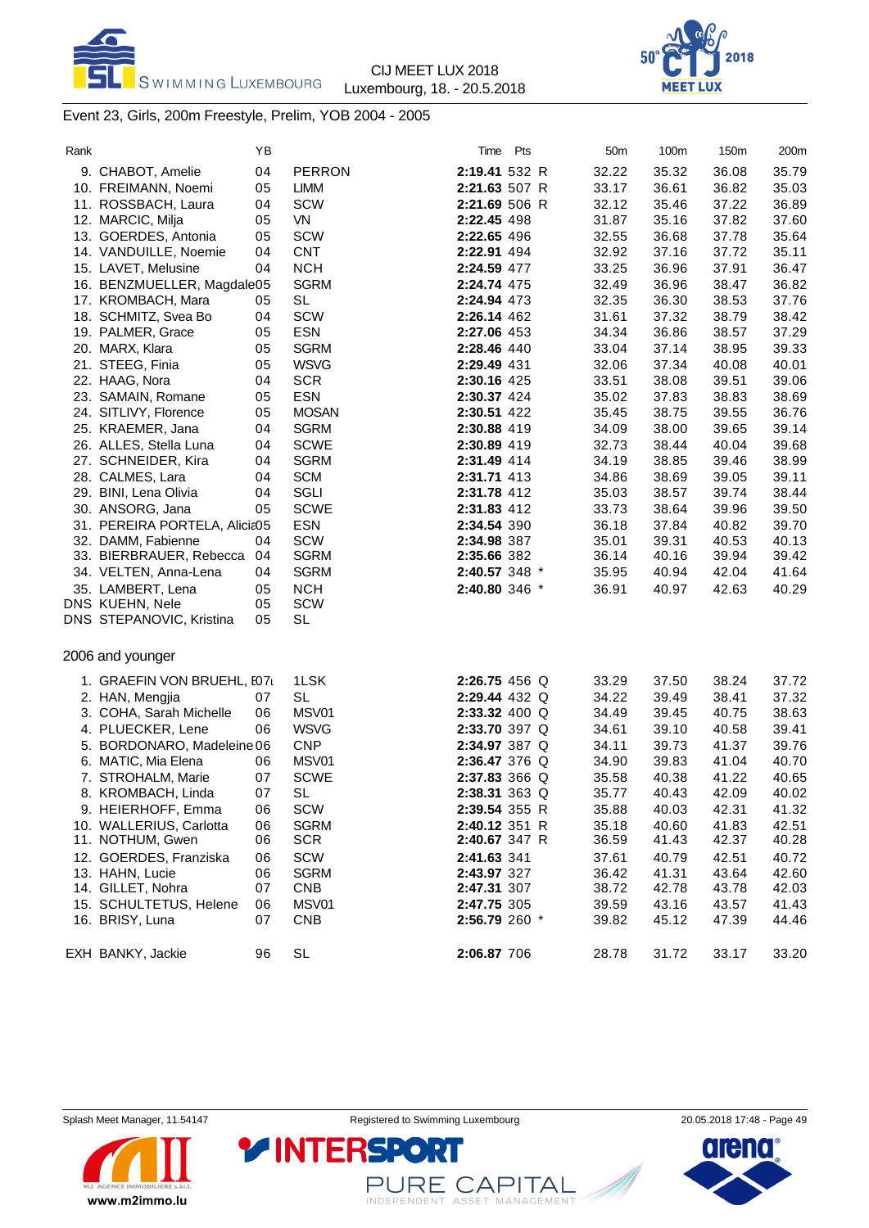



### Event 23, Girls, 200m Freestyle, Prelim, YOB 2004 - 2005

| Rank |                               | ΥB |               | Time          | Pts | 50 <sub>m</sub> | 100m  | 150m  | 200m  |
|------|-------------------------------|----|---------------|---------------|-----|-----------------|-------|-------|-------|
|      | 9. CHABOT, Amelie             | 04 | <b>PERRON</b> | 2:19.41 532 R |     | 32.22           | 35.32 | 36.08 | 35.79 |
|      | 10. FREIMANN, Noemi           | 05 | <b>LIMM</b>   | 2:21.63 507 R |     | 33.17           | 36.61 | 36.82 | 35.03 |
|      | 11. ROSSBACH, Laura           | 04 | <b>SCW</b>    | 2:21.69 506 R |     | 32.12           | 35.46 | 37.22 | 36.89 |
|      | 12. MARCIC, Milja             | 05 | VN            | 2:22.45 498   |     | 31.87           | 35.16 | 37.82 | 37.60 |
|      | 13. GOERDES, Antonia          | 05 | <b>SCW</b>    | 2:22.65 496   |     | 32.55           | 36.68 | 37.78 | 35.64 |
|      | 14. VANDUILLE, Noemie         | 04 | <b>CNT</b>    | 2:22.91 494   |     | 32.92           | 37.16 | 37.72 | 35.11 |
|      | 15. LAVET, Melusine           | 04 | <b>NCH</b>    | 2:24.59 477   |     | 33.25           | 36.96 | 37.91 | 36.47 |
|      | 16. BENZMUELLER, Magdale05    |    | <b>SGRM</b>   | 2:24.74 475   |     | 32.49           | 36.96 | 38.47 | 36.82 |
|      | 17. KROMBACH, Mara            | 05 | <b>SL</b>     | 2:24.94 473   |     | 32.35           | 36.30 | 38.53 | 37.76 |
|      | 18. SCHMITZ, Svea Bo          | 04 | SCW           | 2:26.14 462   |     | 31.61           | 37.32 | 38.79 | 38.42 |
|      | 19. PALMER, Grace             | 05 | <b>ESN</b>    | 2:27.06 453   |     | 34.34           | 36.86 | 38.57 | 37.29 |
|      | 20. MARX, Klara               | 05 | <b>SGRM</b>   | 2:28.46 440   |     | 33.04           | 37.14 | 38.95 | 39.33 |
|      | 21. STEEG, Finia              | 05 | <b>WSVG</b>   | 2:29.49 431   |     | 32.06           | 37.34 | 40.08 | 40.01 |
|      | 22. HAAG, Nora                | 04 | <b>SCR</b>    | 2:30.16 425   |     | 33.51           | 38.08 | 39.51 | 39.06 |
|      | 23. SAMAIN, Romane            | 05 | <b>ESN</b>    | 2:30.37 424   |     | 35.02           | 37.83 | 38.83 | 38.69 |
|      | 24. SITLIVY, Florence         | 05 | <b>MOSAN</b>  | 2:30.51 422   |     | 35.45           | 38.75 | 39.55 | 36.76 |
|      | 25. KRAEMER, Jana             | 04 | <b>SGRM</b>   | 2:30.88 419   |     | 34.09           | 38.00 | 39.65 | 39.14 |
|      | 26. ALLES, Stella Luna        | 04 | <b>SCWE</b>   | 2:30.89 419   |     | 32.73           | 38.44 | 40.04 | 39.68 |
|      | 27. SCHNEIDER, Kira           | 04 | <b>SGRM</b>   | 2:31.49 414   |     | 34.19           | 38.85 | 39.46 | 38.99 |
|      | 28. CALMES, Lara              | 04 | <b>SCM</b>    | 2:31.71 413   |     | 34.86           | 38.69 | 39.05 | 39.11 |
|      | 29. BINI, Lena Olivia         | 04 | SGLI          | 2:31.78 412   |     | 35.03           | 38.57 | 39.74 | 38.44 |
|      | 30. ANSORG, Jana              | 05 | <b>SCWE</b>   | 2:31.83 412   |     | 33.73           | 38.64 | 39.96 | 39.50 |
|      | 31. PEREIRA PORTELA, Alicia05 |    | <b>ESN</b>    | 2:34.54 390   |     | 36.18           | 37.84 | 40.82 | 39.70 |
|      | 32. DAMM, Fabienne            | 04 | SCW           | 2:34.98 387   |     | 35.01           | 39.31 | 40.53 | 40.13 |
|      | 33. BIERBRAUER, Rebecca       | 04 | <b>SGRM</b>   | 2:35.66 382   |     | 36.14           | 40.16 | 39.94 | 39.42 |
|      | 34. VELTEN, Anna-Lena         | 04 | <b>SGRM</b>   | 2:40.57 348 * |     | 35.95           | 40.94 | 42.04 | 41.64 |
|      | 35. LAMBERT, Lena             | 05 | <b>NCH</b>    | 2:40.80 346 * |     | 36.91           | 40.97 | 42.63 | 40.29 |
|      | DNS KUEHN, Nele               | 05 | SCW           |               |     |                 |       |       |       |
|      | DNS STEPANOVIC, Kristina      | 05 | <b>SL</b>     |               |     |                 |       |       |       |
|      |                               |    |               |               |     |                 |       |       |       |
|      | 2006 and younger              |    |               |               |     |                 |       |       |       |
|      | 1. GRAEFIN VON BRUEHL, I07    |    | 1LSK          | 2:26.75 456 Q |     | 33.29           | 37.50 | 38.24 | 37.72 |
|      | 2. HAN, Mengjia               | 07 | <b>SL</b>     | 2:29.44 432 Q |     | 34.22           | 39.49 | 38.41 | 37.32 |
|      | 3. COHA, Sarah Michelle       | 06 | MSV01         | 2:33.32 400 Q |     | 34.49           | 39.45 | 40.75 | 38.63 |
|      | 4. PLUECKER, Lene             | 06 | <b>WSVG</b>   | 2:33.70 397 Q |     | 34.61           | 39.10 | 40.58 | 39.41 |
|      | 5. BORDONARO, Madeleine 06    |    | <b>CNP</b>    | 2:34.97 387 Q |     | 34.11           | 39.73 | 41.37 | 39.76 |
|      | 6. MATIC, Mia Elena           | 06 | MSV01         | 2:36.47 376 Q |     | 34.90           | 39.83 | 41.04 | 40.70 |
|      | 7. STROHALM, Marie            | 07 | <b>SCWE</b>   | 2:37.83 366 Q |     | 35.58           | 40.38 | 41.22 | 40.65 |
|      | 8. KROMBACH, Linda            | 07 | <b>SL</b>     | 2:38.31 363 Q |     | 35.77           | 40.43 | 42.09 | 40.02 |
|      | 9. HEIERHOFF, Emma            | 06 | SCW           | 2:39.54 355 R |     | 35.88           | 40.03 | 42.31 | 41.32 |
|      | 10. WALLERIUS, Carlotta       | 06 | <b>SGRM</b>   | 2:40.12 351 R |     | 35.18           | 40.60 | 41.83 | 42.51 |
|      | 11. NOTHUM, Gwen              | 06 | <b>SCR</b>    | 2:40.67 347 R |     | 36.59           | 41.43 | 42.37 | 40.28 |
|      | 12. GOERDES, Franziska        | 06 | SCW           | 2:41.63 341   |     | 37.61           | 40.79 | 42.51 | 40.72 |
|      | 13. HAHN, Lucie               | 06 | <b>SGRM</b>   | 2:43.97 327   |     | 36.42           | 41.31 | 43.64 | 42.60 |
|      | 14. GILLET, Nohra             | 07 | <b>CNB</b>    | 2:47.31 307   |     | 38.72           | 42.78 | 43.78 | 42.03 |
|      | 15. SCHULTETUS, Helene        | 06 | MSV01         | 2:47.75 305   |     | 39.59           | 43.16 | 43.57 | 41.43 |
|      | 16. BRISY, Luna               | 07 | <b>CNB</b>    | 2:56.79 260 * |     | 39.82           | 45.12 | 47.39 | 44.46 |
|      | EXH BANKY, Jackie             | 96 | SL            | 2:06.87 706   |     | 28.78           | 31.72 | 33.17 | 33.20 |
|      |                               |    |               |               |     |                 |       |       |       |



PURE CAPITAL

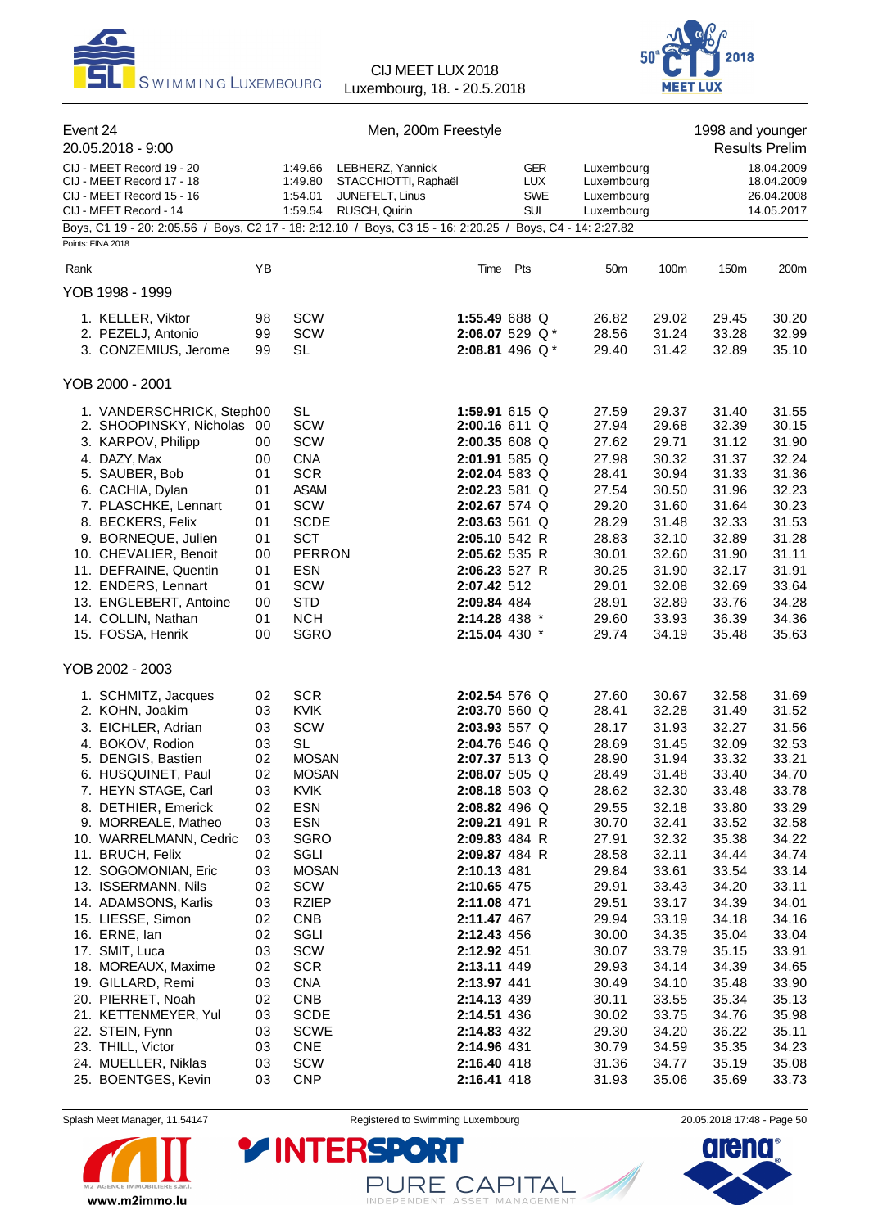



| Event 24<br>20.05.2018 - 9:00<br>CIJ - MEET Record 19 - 20 |                                                                                                                                 |          |                                          | Men, 200m Freestyle                                                          |                                                      |                                                      |                | 1998 and younger | <b>Results Prelim</b>                                |
|------------------------------------------------------------|---------------------------------------------------------------------------------------------------------------------------------|----------|------------------------------------------|------------------------------------------------------------------------------|------------------------------------------------------|------------------------------------------------------|----------------|------------------|------------------------------------------------------|
|                                                            | CIJ - MEET Record 17 - 18<br>CIJ - MEET Record 15 - 16<br>CIJ - MEET Record - 14                                                |          | 1:49.66<br>1:49.80<br>1:54.01<br>1:59.54 | LEBHERZ, Yannick<br>STACCHIOTTI, Raphaël<br>JUNEFELT, Linus<br>RUSCH, Quirin | <b>GER</b><br><b>LUX</b><br><b>SWE</b><br><b>SUI</b> | Luxembourg<br>Luxembourg<br>Luxembourg<br>Luxembourg |                |                  | 18.04.2009<br>18.04.2009<br>26.04.2008<br>14.05.2017 |
|                                                            | Boys, C1 19 - 20: 2:05.56 / Boys, C2 17 - 18: 2:12.10 / Boys, C3 15 - 16: 2:20.25 / Boys, C4 - 14: 2:27.82<br>Points: FINA 2018 |          |                                          |                                                                              |                                                      |                                                      |                |                  |                                                      |
| Rank                                                       |                                                                                                                                 | YB       |                                          | Time                                                                         | Pts                                                  | 50 <sub>m</sub>                                      | 100m           | 150m             | 200m                                                 |
|                                                            | YOB 1998 - 1999                                                                                                                 |          |                                          |                                                                              |                                                      |                                                      |                |                  |                                                      |
|                                                            | 1. KELLER, Viktor                                                                                                               | 98       | SCW                                      |                                                                              | 1:55.49 688 Q                                        | 26.82                                                | 29.02          | 29.45            | 30.20                                                |
|                                                            | 2. PEZELJ, Antonio                                                                                                              | 99       | <b>SCW</b>                               |                                                                              | 2:06.07 529 Q*                                       | 28.56                                                | 31.24          | 33.28            | 32.99                                                |
|                                                            | 3. CONZEMIUS, Jerome                                                                                                            | 99       | <b>SL</b>                                |                                                                              | 2:08.81 496 Q*                                       | 29.40                                                | 31.42          | 32.89            | 35.10                                                |
|                                                            | YOB 2000 - 2001                                                                                                                 |          |                                          |                                                                              |                                                      |                                                      |                |                  |                                                      |
|                                                            | 1. VANDERSCHRICK, Steph00                                                                                                       |          | <b>SL</b>                                |                                                                              | 1:59.91 615 Q                                        | 27.59                                                | 29.37          | 31.40            | 31.55                                                |
|                                                            | 2. SHOOPINSKY, Nicholas 00                                                                                                      |          | <b>SCW</b>                               |                                                                              | 2:00.16 611 Q                                        | 27.94                                                | 29.68          | 32.39            | 30.15                                                |
|                                                            | 3. KARPOV, Philipp<br>4. DAZY, Max                                                                                              | 00<br>00 | <b>SCW</b><br><b>CNA</b>                 |                                                                              | 2:00.35 608 Q<br>2:01.91 585 Q                       | 27.62<br>27.98                                       | 29.71<br>30.32 | 31.12<br>31.37   | 31.90<br>32.24                                       |
|                                                            | 5. SAUBER, Bob                                                                                                                  | 01       | <b>SCR</b>                               |                                                                              | 2:02.04 583 Q                                        | 28.41                                                | 30.94          | 31.33            | 31.36                                                |
|                                                            | 6. CACHIA, Dylan                                                                                                                | 01       | <b>ASAM</b>                              |                                                                              | 2:02.23 581 Q                                        | 27.54                                                | 30.50          | 31.96            | 32.23                                                |
|                                                            | 7. PLASCHKE, Lennart                                                                                                            | 01       | SCW                                      |                                                                              | 2:02.67 574 Q                                        | 29.20                                                | 31.60          | 31.64            | 30.23                                                |
|                                                            | 8. BECKERS, Felix                                                                                                               | 01       | <b>SCDE</b>                              |                                                                              | 2:03.63 561 Q                                        | 28.29                                                | 31.48          | 32.33            | 31.53                                                |
|                                                            | 9. BORNEQUE, Julien                                                                                                             | 01       | <b>SCT</b>                               | 2:05.10 542 R                                                                |                                                      | 28.83                                                | 32.10          | 32.89            | 31.28                                                |
|                                                            | 10. CHEVALIER, Benoit                                                                                                           | 00       | <b>PERRON</b>                            | 2:05.62 535 R                                                                |                                                      | 30.01                                                | 32.60          | 31.90            | 31.11                                                |
|                                                            | 11. DEFRAINE, Quentin<br>12. ENDERS, Lennart                                                                                    | 01<br>01 | <b>ESN</b><br><b>SCW</b>                 | 2:06.23 527 R<br>2:07.42 512                                                 |                                                      | 30.25<br>29.01                                       | 31.90<br>32.08 | 32.17<br>32.69   | 31.91<br>33.64                                       |
|                                                            | 13. ENGLEBERT, Antoine                                                                                                          | 00       | <b>STD</b>                               | 2:09.84 484                                                                  |                                                      | 28.91                                                | 32.89          | 33.76            | 34.28                                                |
|                                                            | 14. COLLIN, Nathan                                                                                                              | 01       | <b>NCH</b>                               | 2:14.28 438 *                                                                |                                                      | 29.60                                                | 33.93          | 36.39            | 34.36                                                |
|                                                            | 15. FOSSA, Henrik                                                                                                               | 00       | <b>SGRO</b>                              | 2:15.04 430 *                                                                |                                                      | 29.74                                                | 34.19          | 35.48            | 35.63                                                |
|                                                            | YOB 2002 - 2003                                                                                                                 |          |                                          |                                                                              |                                                      |                                                      |                |                  |                                                      |
|                                                            | 1. SCHMITZ, Jacques                                                                                                             | 02       | <b>SCR</b>                               |                                                                              | 2:02.54 576 Q                                        | 27.60                                                | 30.67          | 32.58            | 31.69                                                |
|                                                            | 2. KOHN, Joakim                                                                                                                 | 03       | KVIK                                     |                                                                              | 2:03.70 560 Q                                        | 28.41                                                | 32.28          | 31.49            | 31.52                                                |
|                                                            | 3. EICHLER, Adrian                                                                                                              | 03       | <b>SCW</b>                               |                                                                              | 2:03.93 557 Q                                        | 28.17                                                | 31.93          | 32.27            | 31.56                                                |
|                                                            | 4. BOKOV, Rodion                                                                                                                | 03       | <b>SL</b>                                |                                                                              | 2:04.76 546 Q                                        | 28.69                                                | 31.45          | 32.09            | 32.53                                                |
|                                                            | 5. DENGIS, Bastien                                                                                                              | 02       | <b>MOSAN</b>                             |                                                                              | 2:07.37 513 Q                                        | 28.90                                                | 31.94          | 33.32            | 33.21                                                |
|                                                            | 6. HUSQUINET, Paul<br>7. HEYN STAGE, Carl                                                                                       | 02<br>03 | <b>MOSAN</b><br>KVIK                     |                                                                              | $2:08.07505$ Q<br>2:08.18 503 Q                      | 28.49<br>28.62                                       | 31.48<br>32.30 | 33.40<br>33.48   | 34.70<br>33.78                                       |
|                                                            | 8. DETHIER, Emerick                                                                                                             | 02       | <b>ESN</b>                               |                                                                              | 2:08.82 496 Q                                        | 29.55                                                | 32.18          | 33.80            | 33.29                                                |
|                                                            | 9. MORREALE, Matheo                                                                                                             | 03       | <b>ESN</b>                               |                                                                              | 2:09.21 491 R                                        | 30.70                                                | 32.41          | 33.52            | 32.58                                                |
|                                                            | 10. WARRELMANN, Cedric                                                                                                          | 03       | SGRO                                     |                                                                              | 2:09.83 484 R                                        | 27.91                                                | 32.32          | 35.38            | 34.22                                                |
|                                                            | 11. BRUCH, Felix                                                                                                                | 02       | SGLI                                     |                                                                              | 2:09.87 484 R                                        | 28.58                                                | 32.11          | 34.44            | 34.74                                                |
|                                                            | 12. SOGOMONIAN, Eric                                                                                                            | 03       | <b>MOSAN</b>                             | 2:10.13 481                                                                  |                                                      | 29.84                                                | 33.61          | 33.54            | 33.14                                                |
|                                                            | 13. ISSERMANN, Nils                                                                                                             | 02       | SCW                                      | 2:10.65 475                                                                  |                                                      | 29.91                                                | 33.43          | 34.20            | 33.11                                                |
|                                                            | 14. ADAMSONS, Karlis<br>15. LIESSE, Simon                                                                                       | 03<br>02 | <b>RZIEP</b><br><b>CNB</b>               | 2:11.08 471<br>2:11.47 467                                                   |                                                      | 29.51<br>29.94                                       | 33.17<br>33.19 | 34.39<br>34.18   | 34.01<br>34.16                                       |
|                                                            | 16. ERNE, lan                                                                                                                   | 02       | SGLI                                     | 2:12.43 456                                                                  |                                                      | 30.00                                                | 34.35          | 35.04            | 33.04                                                |
|                                                            | 17. SMIT, Luca                                                                                                                  | 03       | SCW                                      | 2:12.92 451                                                                  |                                                      | 30.07                                                | 33.79          | 35.15            | 33.91                                                |
|                                                            | 18. MOREAUX, Maxime                                                                                                             | 02       | <b>SCR</b>                               | 2:13.11 449                                                                  |                                                      | 29.93                                                | 34.14          | 34.39            | 34.65                                                |
|                                                            | 19. GILLARD, Remi                                                                                                               | 03       | <b>CNA</b>                               | 2:13.97 441                                                                  |                                                      | 30.49                                                | 34.10          | 35.48            | 33.90                                                |
|                                                            | 20. PIERRET, Noah                                                                                                               | 02       | <b>CNB</b>                               | 2:14.13 439                                                                  |                                                      | 30.11                                                | 33.55          | 35.34            | 35.13                                                |
|                                                            | 21. KETTENMEYER, Yul                                                                                                            | 03       | <b>SCDE</b>                              | 2:14.51 436                                                                  |                                                      | 30.02                                                | 33.75          | 34.76            | 35.98                                                |
|                                                            | 22. STEIN, Fynn                                                                                                                 | 03       | <b>SCWE</b>                              | 2:14.83 432                                                                  |                                                      | 29.30                                                | 34.20          | 36.22            | 35.11                                                |
|                                                            | 23. THILL, Victor<br>24. MUELLER, Niklas                                                                                        | 03<br>03 | <b>CNE</b><br>SCW                        | 2:14.96 431<br>2:16.40 418                                                   |                                                      | 30.79<br>31.36                                       | 34.59<br>34.77 | 35.35<br>35.19   | 34.23<br>35.08                                       |
|                                                            | 25. BOENTGES, Kevin                                                                                                             | 03       | <b>CNP</b>                               | 2:16.41 418                                                                  |                                                      | 31.93                                                | 35.06          | 35.69            | 33.73                                                |
|                                                            |                                                                                                                                 |          |                                          |                                                                              |                                                      |                                                      |                |                  |                                                      |



Splash Meet Manager, 11.54147 **Registered to Swimming Luxembourg** 20.05.2018 17:48 - Page 50

PURE CAPITAL

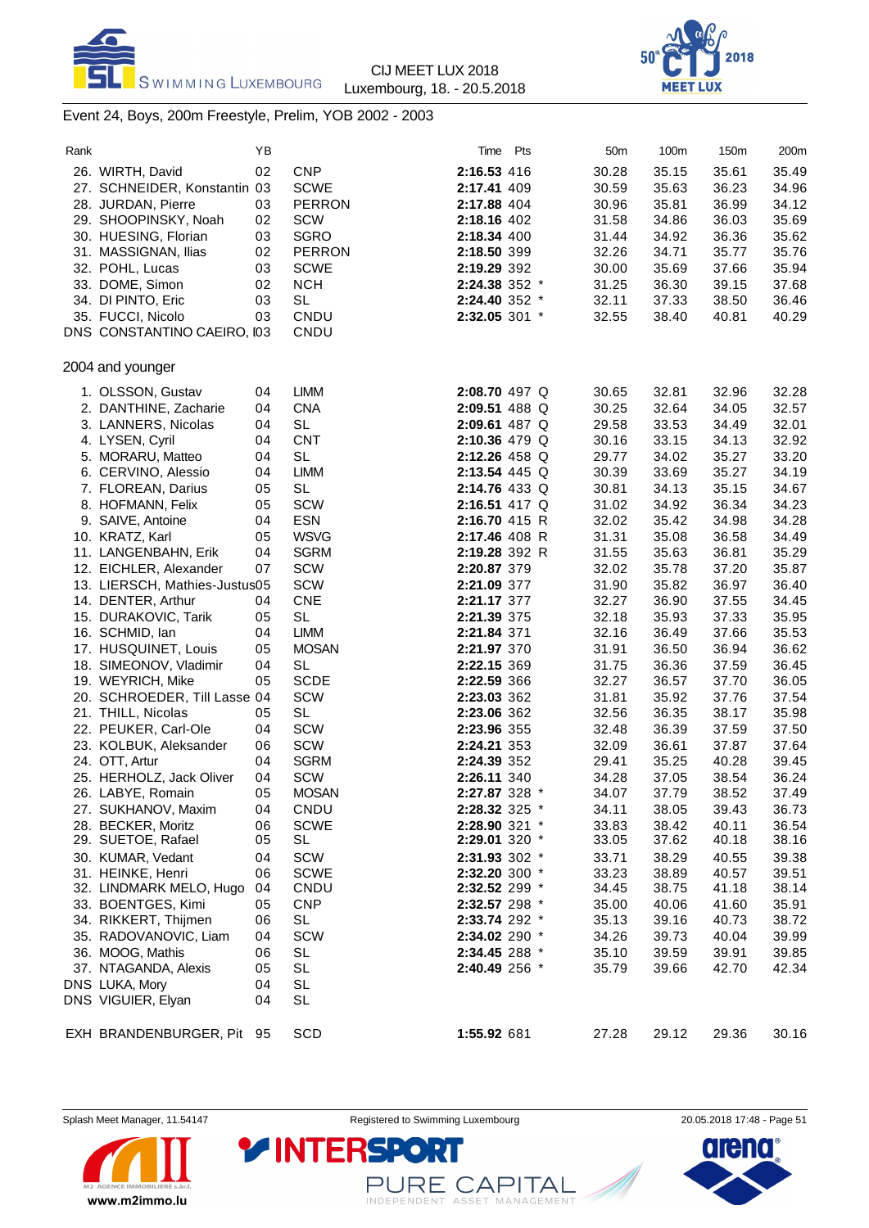



### Event 24, Boys, 200m Freestyle, Prelim, YOB 2002 - 2003

| 26. WIRTH, David<br>27. SCHNEIDER, Konstantin 03<br>28. JURDAN, Pierre<br>29. SHOOPINSKY, Noah<br>30. HUESING, Florian<br>31. MASSIGNAN, Ilias<br>32. POHL, Lucas<br>33. DOME, Simon<br>34. DI PINTO, Eric<br>35. FUCCI, Nicolo<br>DNS CONSTANTINO CAEIRO, I03<br>2004 and younger<br>1. OLSSON, Gustav<br>2. DANTHINE, Zacharie<br>3. LANNERS, Nicolas<br>4. LYSEN, Cyril | 02<br>03<br>02<br>03<br>02<br>03<br>02<br>03<br>03<br>04                                                                                                                                                                                                                                                                                                                                                                                                                                                                                                                         | <b>CNP</b><br><b>SCWE</b><br><b>PERRON</b><br><b>SCW</b><br><b>SGRO</b><br><b>PERRON</b><br><b>SCWE</b><br><b>NCH</b><br><b>SL</b><br>CNDU<br>CNDU                                                | 2:16.53 416<br>2:17.41 409<br>2:17.88 404<br>2:18.16 402<br>2:18.34 400<br>2:18.50 399<br>2:19.29 392<br>2:24.38 352 *<br>2:24.40 352 *<br>2:32.05 301 *                                                                                                                                                                          | 30.28<br>30.59<br>30.96<br>31.58<br>31.44<br>32.26<br>30.00<br>31.25<br>32.11<br>32.55                                                                                                                                                                                                                                                                                                                                                                                                                                                                                                                                | 35.15<br>35.63<br>35.81<br>34.86<br>34.92<br>34.71<br>35.69<br>36.30<br>37.33<br>38.40                                                                                                                                        | 35.61<br>36.23<br>36.99<br>36.03<br>36.36<br>35.77<br>37.66<br>39.15<br>38.50<br>40.81                                                                                                                                                                            | 35.49<br>34.96<br>34.12<br>35.69<br>35.62<br>35.76<br>35.94<br>37.68<br>36.46<br>40.29                                                                                                                                                                                              |
|----------------------------------------------------------------------------------------------------------------------------------------------------------------------------------------------------------------------------------------------------------------------------------------------------------------------------------------------------------------------------|----------------------------------------------------------------------------------------------------------------------------------------------------------------------------------------------------------------------------------------------------------------------------------------------------------------------------------------------------------------------------------------------------------------------------------------------------------------------------------------------------------------------------------------------------------------------------------|---------------------------------------------------------------------------------------------------------------------------------------------------------------------------------------------------|-----------------------------------------------------------------------------------------------------------------------------------------------------------------------------------------------------------------------------------------------------------------------------------------------------------------------------------|-----------------------------------------------------------------------------------------------------------------------------------------------------------------------------------------------------------------------------------------------------------------------------------------------------------------------------------------------------------------------------------------------------------------------------------------------------------------------------------------------------------------------------------------------------------------------------------------------------------------------|-------------------------------------------------------------------------------------------------------------------------------------------------------------------------------------------------------------------------------|-------------------------------------------------------------------------------------------------------------------------------------------------------------------------------------------------------------------------------------------------------------------|-------------------------------------------------------------------------------------------------------------------------------------------------------------------------------------------------------------------------------------------------------------------------------------|
|                                                                                                                                                                                                                                                                                                                                                                            |                                                                                                                                                                                                                                                                                                                                                                                                                                                                                                                                                                                  |                                                                                                                                                                                                   |                                                                                                                                                                                                                                                                                                                                   |                                                                                                                                                                                                                                                                                                                                                                                                                                                                                                                                                                                                                       |                                                                                                                                                                                                                               |                                                                                                                                                                                                                                                                   |                                                                                                                                                                                                                                                                                     |
|                                                                                                                                                                                                                                                                                                                                                                            |                                                                                                                                                                                                                                                                                                                                                                                                                                                                                                                                                                                  |                                                                                                                                                                                                   |                                                                                                                                                                                                                                                                                                                                   |                                                                                                                                                                                                                                                                                                                                                                                                                                                                                                                                                                                                                       |                                                                                                                                                                                                                               |                                                                                                                                                                                                                                                                   |                                                                                                                                                                                                                                                                                     |
|                                                                                                                                                                                                                                                                                                                                                                            |                                                                                                                                                                                                                                                                                                                                                                                                                                                                                                                                                                                  |                                                                                                                                                                                                   |                                                                                                                                                                                                                                                                                                                                   |                                                                                                                                                                                                                                                                                                                                                                                                                                                                                                                                                                                                                       |                                                                                                                                                                                                                               |                                                                                                                                                                                                                                                                   |                                                                                                                                                                                                                                                                                     |
|                                                                                                                                                                                                                                                                                                                                                                            |                                                                                                                                                                                                                                                                                                                                                                                                                                                                                                                                                                                  |                                                                                                                                                                                                   |                                                                                                                                                                                                                                                                                                                                   |                                                                                                                                                                                                                                                                                                                                                                                                                                                                                                                                                                                                                       |                                                                                                                                                                                                                               |                                                                                                                                                                                                                                                                   |                                                                                                                                                                                                                                                                                     |
|                                                                                                                                                                                                                                                                                                                                                                            |                                                                                                                                                                                                                                                                                                                                                                                                                                                                                                                                                                                  |                                                                                                                                                                                                   |                                                                                                                                                                                                                                                                                                                                   |                                                                                                                                                                                                                                                                                                                                                                                                                                                                                                                                                                                                                       |                                                                                                                                                                                                                               |                                                                                                                                                                                                                                                                   |                                                                                                                                                                                                                                                                                     |
|                                                                                                                                                                                                                                                                                                                                                                            |                                                                                                                                                                                                                                                                                                                                                                                                                                                                                                                                                                                  |                                                                                                                                                                                                   |                                                                                                                                                                                                                                                                                                                                   |                                                                                                                                                                                                                                                                                                                                                                                                                                                                                                                                                                                                                       |                                                                                                                                                                                                                               |                                                                                                                                                                                                                                                                   |                                                                                                                                                                                                                                                                                     |
|                                                                                                                                                                                                                                                                                                                                                                            |                                                                                                                                                                                                                                                                                                                                                                                                                                                                                                                                                                                  |                                                                                                                                                                                                   |                                                                                                                                                                                                                                                                                                                                   |                                                                                                                                                                                                                                                                                                                                                                                                                                                                                                                                                                                                                       |                                                                                                                                                                                                                               |                                                                                                                                                                                                                                                                   |                                                                                                                                                                                                                                                                                     |
|                                                                                                                                                                                                                                                                                                                                                                            |                                                                                                                                                                                                                                                                                                                                                                                                                                                                                                                                                                                  |                                                                                                                                                                                                   |                                                                                                                                                                                                                                                                                                                                   |                                                                                                                                                                                                                                                                                                                                                                                                                                                                                                                                                                                                                       |                                                                                                                                                                                                                               |                                                                                                                                                                                                                                                                   |                                                                                                                                                                                                                                                                                     |
|                                                                                                                                                                                                                                                                                                                                                                            |                                                                                                                                                                                                                                                                                                                                                                                                                                                                                                                                                                                  |                                                                                                                                                                                                   |                                                                                                                                                                                                                                                                                                                                   |                                                                                                                                                                                                                                                                                                                                                                                                                                                                                                                                                                                                                       |                                                                                                                                                                                                                               |                                                                                                                                                                                                                                                                   |                                                                                                                                                                                                                                                                                     |
|                                                                                                                                                                                                                                                                                                                                                                            |                                                                                                                                                                                                                                                                                                                                                                                                                                                                                                                                                                                  |                                                                                                                                                                                                   |                                                                                                                                                                                                                                                                                                                                   |                                                                                                                                                                                                                                                                                                                                                                                                                                                                                                                                                                                                                       |                                                                                                                                                                                                                               |                                                                                                                                                                                                                                                                   |                                                                                                                                                                                                                                                                                     |
|                                                                                                                                                                                                                                                                                                                                                                            |                                                                                                                                                                                                                                                                                                                                                                                                                                                                                                                                                                                  |                                                                                                                                                                                                   |                                                                                                                                                                                                                                                                                                                                   |                                                                                                                                                                                                                                                                                                                                                                                                                                                                                                                                                                                                                       |                                                                                                                                                                                                                               |                                                                                                                                                                                                                                                                   |                                                                                                                                                                                                                                                                                     |
|                                                                                                                                                                                                                                                                                                                                                                            |                                                                                                                                                                                                                                                                                                                                                                                                                                                                                                                                                                                  |                                                                                                                                                                                                   |                                                                                                                                                                                                                                                                                                                                   |                                                                                                                                                                                                                                                                                                                                                                                                                                                                                                                                                                                                                       |                                                                                                                                                                                                                               |                                                                                                                                                                                                                                                                   |                                                                                                                                                                                                                                                                                     |
|                                                                                                                                                                                                                                                                                                                                                                            |                                                                                                                                                                                                                                                                                                                                                                                                                                                                                                                                                                                  |                                                                                                                                                                                                   |                                                                                                                                                                                                                                                                                                                                   |                                                                                                                                                                                                                                                                                                                                                                                                                                                                                                                                                                                                                       |                                                                                                                                                                                                                               |                                                                                                                                                                                                                                                                   |                                                                                                                                                                                                                                                                                     |
|                                                                                                                                                                                                                                                                                                                                                                            |                                                                                                                                                                                                                                                                                                                                                                                                                                                                                                                                                                                  | <b>LIMM</b>                                                                                                                                                                                       | 2:08.70 497 Q                                                                                                                                                                                                                                                                                                                     | 30.65                                                                                                                                                                                                                                                                                                                                                                                                                                                                                                                                                                                                                 | 32.81                                                                                                                                                                                                                         | 32.96                                                                                                                                                                                                                                                             | 32.28                                                                                                                                                                                                                                                                               |
|                                                                                                                                                                                                                                                                                                                                                                            | 04                                                                                                                                                                                                                                                                                                                                                                                                                                                                                                                                                                               | <b>CNA</b>                                                                                                                                                                                        | 2:09.51 488 Q                                                                                                                                                                                                                                                                                                                     | 30.25                                                                                                                                                                                                                                                                                                                                                                                                                                                                                                                                                                                                                 | 32.64                                                                                                                                                                                                                         | 34.05                                                                                                                                                                                                                                                             | 32.57                                                                                                                                                                                                                                                                               |
|                                                                                                                                                                                                                                                                                                                                                                            | 04                                                                                                                                                                                                                                                                                                                                                                                                                                                                                                                                                                               | <b>SL</b>                                                                                                                                                                                         | 2:09.61 487 Q                                                                                                                                                                                                                                                                                                                     | 29.58                                                                                                                                                                                                                                                                                                                                                                                                                                                                                                                                                                                                                 | 33.53                                                                                                                                                                                                                         | 34.49                                                                                                                                                                                                                                                             | 32.01                                                                                                                                                                                                                                                                               |
|                                                                                                                                                                                                                                                                                                                                                                            | 04                                                                                                                                                                                                                                                                                                                                                                                                                                                                                                                                                                               | <b>CNT</b>                                                                                                                                                                                        |                                                                                                                                                                                                                                                                                                                                   | 30.16                                                                                                                                                                                                                                                                                                                                                                                                                                                                                                                                                                                                                 | 33.15                                                                                                                                                                                                                         | 34.13                                                                                                                                                                                                                                                             | 32.92                                                                                                                                                                                                                                                                               |
|                                                                                                                                                                                                                                                                                                                                                                            |                                                                                                                                                                                                                                                                                                                                                                                                                                                                                                                                                                                  |                                                                                                                                                                                                   |                                                                                                                                                                                                                                                                                                                                   |                                                                                                                                                                                                                                                                                                                                                                                                                                                                                                                                                                                                                       |                                                                                                                                                                                                                               |                                                                                                                                                                                                                                                                   | 33.20                                                                                                                                                                                                                                                                               |
|                                                                                                                                                                                                                                                                                                                                                                            |                                                                                                                                                                                                                                                                                                                                                                                                                                                                                                                                                                                  |                                                                                                                                                                                                   |                                                                                                                                                                                                                                                                                                                                   |                                                                                                                                                                                                                                                                                                                                                                                                                                                                                                                                                                                                                       |                                                                                                                                                                                                                               |                                                                                                                                                                                                                                                                   | 34.19                                                                                                                                                                                                                                                                               |
|                                                                                                                                                                                                                                                                                                                                                                            |                                                                                                                                                                                                                                                                                                                                                                                                                                                                                                                                                                                  |                                                                                                                                                                                                   |                                                                                                                                                                                                                                                                                                                                   |                                                                                                                                                                                                                                                                                                                                                                                                                                                                                                                                                                                                                       |                                                                                                                                                                                                                               |                                                                                                                                                                                                                                                                   |                                                                                                                                                                                                                                                                                     |
|                                                                                                                                                                                                                                                                                                                                                                            |                                                                                                                                                                                                                                                                                                                                                                                                                                                                                                                                                                                  |                                                                                                                                                                                                   |                                                                                                                                                                                                                                                                                                                                   |                                                                                                                                                                                                                                                                                                                                                                                                                                                                                                                                                                                                                       |                                                                                                                                                                                                                               |                                                                                                                                                                                                                                                                   | 34.67                                                                                                                                                                                                                                                                               |
|                                                                                                                                                                                                                                                                                                                                                                            |                                                                                                                                                                                                                                                                                                                                                                                                                                                                                                                                                                                  |                                                                                                                                                                                                   |                                                                                                                                                                                                                                                                                                                                   |                                                                                                                                                                                                                                                                                                                                                                                                                                                                                                                                                                                                                       |                                                                                                                                                                                                                               |                                                                                                                                                                                                                                                                   | 34.23                                                                                                                                                                                                                                                                               |
|                                                                                                                                                                                                                                                                                                                                                                            |                                                                                                                                                                                                                                                                                                                                                                                                                                                                                                                                                                                  |                                                                                                                                                                                                   |                                                                                                                                                                                                                                                                                                                                   |                                                                                                                                                                                                                                                                                                                                                                                                                                                                                                                                                                                                                       |                                                                                                                                                                                                                               |                                                                                                                                                                                                                                                                   | 34.28                                                                                                                                                                                                                                                                               |
|                                                                                                                                                                                                                                                                                                                                                                            |                                                                                                                                                                                                                                                                                                                                                                                                                                                                                                                                                                                  |                                                                                                                                                                                                   |                                                                                                                                                                                                                                                                                                                                   |                                                                                                                                                                                                                                                                                                                                                                                                                                                                                                                                                                                                                       |                                                                                                                                                                                                                               |                                                                                                                                                                                                                                                                   | 34.49                                                                                                                                                                                                                                                                               |
|                                                                                                                                                                                                                                                                                                                                                                            |                                                                                                                                                                                                                                                                                                                                                                                                                                                                                                                                                                                  |                                                                                                                                                                                                   |                                                                                                                                                                                                                                                                                                                                   |                                                                                                                                                                                                                                                                                                                                                                                                                                                                                                                                                                                                                       |                                                                                                                                                                                                                               |                                                                                                                                                                                                                                                                   | 35.29                                                                                                                                                                                                                                                                               |
|                                                                                                                                                                                                                                                                                                                                                                            |                                                                                                                                                                                                                                                                                                                                                                                                                                                                                                                                                                                  |                                                                                                                                                                                                   |                                                                                                                                                                                                                                                                                                                                   |                                                                                                                                                                                                                                                                                                                                                                                                                                                                                                                                                                                                                       |                                                                                                                                                                                                                               |                                                                                                                                                                                                                                                                   | 35.87                                                                                                                                                                                                                                                                               |
|                                                                                                                                                                                                                                                                                                                                                                            |                                                                                                                                                                                                                                                                                                                                                                                                                                                                                                                                                                                  |                                                                                                                                                                                                   |                                                                                                                                                                                                                                                                                                                                   |                                                                                                                                                                                                                                                                                                                                                                                                                                                                                                                                                                                                                       |                                                                                                                                                                                                                               |                                                                                                                                                                                                                                                                   | 36.40                                                                                                                                                                                                                                                                               |
| 14. DENTER, Arthur                                                                                                                                                                                                                                                                                                                                                         | 04                                                                                                                                                                                                                                                                                                                                                                                                                                                                                                                                                                               | <b>CNE</b>                                                                                                                                                                                        |                                                                                                                                                                                                                                                                                                                                   | 32.27                                                                                                                                                                                                                                                                                                                                                                                                                                                                                                                                                                                                                 |                                                                                                                                                                                                                               |                                                                                                                                                                                                                                                                   | 34.45                                                                                                                                                                                                                                                                               |
| 15. DURAKOVIC, Tarik                                                                                                                                                                                                                                                                                                                                                       | 05                                                                                                                                                                                                                                                                                                                                                                                                                                                                                                                                                                               | <b>SL</b>                                                                                                                                                                                         |                                                                                                                                                                                                                                                                                                                                   | 32.18                                                                                                                                                                                                                                                                                                                                                                                                                                                                                                                                                                                                                 | 35.93                                                                                                                                                                                                                         | 37.33                                                                                                                                                                                                                                                             | 35.95                                                                                                                                                                                                                                                                               |
| 16. SCHMID, lan                                                                                                                                                                                                                                                                                                                                                            | 04                                                                                                                                                                                                                                                                                                                                                                                                                                                                                                                                                                               | <b>LIMM</b>                                                                                                                                                                                       |                                                                                                                                                                                                                                                                                                                                   | 32.16                                                                                                                                                                                                                                                                                                                                                                                                                                                                                                                                                                                                                 | 36.49                                                                                                                                                                                                                         | 37.66                                                                                                                                                                                                                                                             | 35.53                                                                                                                                                                                                                                                                               |
|                                                                                                                                                                                                                                                                                                                                                                            | 05                                                                                                                                                                                                                                                                                                                                                                                                                                                                                                                                                                               | <b>MOSAN</b>                                                                                                                                                                                      |                                                                                                                                                                                                                                                                                                                                   |                                                                                                                                                                                                                                                                                                                                                                                                                                                                                                                                                                                                                       |                                                                                                                                                                                                                               |                                                                                                                                                                                                                                                                   | 36.62                                                                                                                                                                                                                                                                               |
|                                                                                                                                                                                                                                                                                                                                                                            | 04                                                                                                                                                                                                                                                                                                                                                                                                                                                                                                                                                                               |                                                                                                                                                                                                   |                                                                                                                                                                                                                                                                                                                                   |                                                                                                                                                                                                                                                                                                                                                                                                                                                                                                                                                                                                                       |                                                                                                                                                                                                                               |                                                                                                                                                                                                                                                                   | 36.45                                                                                                                                                                                                                                                                               |
|                                                                                                                                                                                                                                                                                                                                                                            |                                                                                                                                                                                                                                                                                                                                                                                                                                                                                                                                                                                  |                                                                                                                                                                                                   |                                                                                                                                                                                                                                                                                                                                   |                                                                                                                                                                                                                                                                                                                                                                                                                                                                                                                                                                                                                       |                                                                                                                                                                                                                               |                                                                                                                                                                                                                                                                   | 36.05                                                                                                                                                                                                                                                                               |
|                                                                                                                                                                                                                                                                                                                                                                            |                                                                                                                                                                                                                                                                                                                                                                                                                                                                                                                                                                                  |                                                                                                                                                                                                   |                                                                                                                                                                                                                                                                                                                                   |                                                                                                                                                                                                                                                                                                                                                                                                                                                                                                                                                                                                                       |                                                                                                                                                                                                                               |                                                                                                                                                                                                                                                                   | 37.54                                                                                                                                                                                                                                                                               |
|                                                                                                                                                                                                                                                                                                                                                                            |                                                                                                                                                                                                                                                                                                                                                                                                                                                                                                                                                                                  |                                                                                                                                                                                                   |                                                                                                                                                                                                                                                                                                                                   |                                                                                                                                                                                                                                                                                                                                                                                                                                                                                                                                                                                                                       |                                                                                                                                                                                                                               |                                                                                                                                                                                                                                                                   | 35.98                                                                                                                                                                                                                                                                               |
|                                                                                                                                                                                                                                                                                                                                                                            |                                                                                                                                                                                                                                                                                                                                                                                                                                                                                                                                                                                  |                                                                                                                                                                                                   |                                                                                                                                                                                                                                                                                                                                   |                                                                                                                                                                                                                                                                                                                                                                                                                                                                                                                                                                                                                       |                                                                                                                                                                                                                               |                                                                                                                                                                                                                                                                   | 37.50                                                                                                                                                                                                                                                                               |
|                                                                                                                                                                                                                                                                                                                                                                            |                                                                                                                                                                                                                                                                                                                                                                                                                                                                                                                                                                                  |                                                                                                                                                                                                   |                                                                                                                                                                                                                                                                                                                                   |                                                                                                                                                                                                                                                                                                                                                                                                                                                                                                                                                                                                                       |                                                                                                                                                                                                                               |                                                                                                                                                                                                                                                                   | 37.64                                                                                                                                                                                                                                                                               |
|                                                                                                                                                                                                                                                                                                                                                                            |                                                                                                                                                                                                                                                                                                                                                                                                                                                                                                                                                                                  |                                                                                                                                                                                                   |                                                                                                                                                                                                                                                                                                                                   |                                                                                                                                                                                                                                                                                                                                                                                                                                                                                                                                                                                                                       |                                                                                                                                                                                                                               |                                                                                                                                                                                                                                                                   |                                                                                                                                                                                                                                                                                     |
|                                                                                                                                                                                                                                                                                                                                                                            |                                                                                                                                                                                                                                                                                                                                                                                                                                                                                                                                                                                  |                                                                                                                                                                                                   |                                                                                                                                                                                                                                                                                                                                   |                                                                                                                                                                                                                                                                                                                                                                                                                                                                                                                                                                                                                       |                                                                                                                                                                                                                               |                                                                                                                                                                                                                                                                   | 39.45                                                                                                                                                                                                                                                                               |
|                                                                                                                                                                                                                                                                                                                                                                            |                                                                                                                                                                                                                                                                                                                                                                                                                                                                                                                                                                                  |                                                                                                                                                                                                   |                                                                                                                                                                                                                                                                                                                                   |                                                                                                                                                                                                                                                                                                                                                                                                                                                                                                                                                                                                                       |                                                                                                                                                                                                                               |                                                                                                                                                                                                                                                                   | 36.24                                                                                                                                                                                                                                                                               |
|                                                                                                                                                                                                                                                                                                                                                                            |                                                                                                                                                                                                                                                                                                                                                                                                                                                                                                                                                                                  |                                                                                                                                                                                                   |                                                                                                                                                                                                                                                                                                                                   |                                                                                                                                                                                                                                                                                                                                                                                                                                                                                                                                                                                                                       |                                                                                                                                                                                                                               |                                                                                                                                                                                                                                                                   | 37.49                                                                                                                                                                                                                                                                               |
|                                                                                                                                                                                                                                                                                                                                                                            |                                                                                                                                                                                                                                                                                                                                                                                                                                                                                                                                                                                  |                                                                                                                                                                                                   |                                                                                                                                                                                                                                                                                                                                   |                                                                                                                                                                                                                                                                                                                                                                                                                                                                                                                                                                                                                       |                                                                                                                                                                                                                               |                                                                                                                                                                                                                                                                   | 36.73                                                                                                                                                                                                                                                                               |
|                                                                                                                                                                                                                                                                                                                                                                            |                                                                                                                                                                                                                                                                                                                                                                                                                                                                                                                                                                                  |                                                                                                                                                                                                   |                                                                                                                                                                                                                                                                                                                                   |                                                                                                                                                                                                                                                                                                                                                                                                                                                                                                                                                                                                                       |                                                                                                                                                                                                                               |                                                                                                                                                                                                                                                                   | 36.54                                                                                                                                                                                                                                                                               |
|                                                                                                                                                                                                                                                                                                                                                                            |                                                                                                                                                                                                                                                                                                                                                                                                                                                                                                                                                                                  |                                                                                                                                                                                                   |                                                                                                                                                                                                                                                                                                                                   |                                                                                                                                                                                                                                                                                                                                                                                                                                                                                                                                                                                                                       |                                                                                                                                                                                                                               |                                                                                                                                                                                                                                                                   | 38.16                                                                                                                                                                                                                                                                               |
|                                                                                                                                                                                                                                                                                                                                                                            |                                                                                                                                                                                                                                                                                                                                                                                                                                                                                                                                                                                  |                                                                                                                                                                                                   |                                                                                                                                                                                                                                                                                                                                   |                                                                                                                                                                                                                                                                                                                                                                                                                                                                                                                                                                                                                       |                                                                                                                                                                                                                               |                                                                                                                                                                                                                                                                   | 39.38                                                                                                                                                                                                                                                                               |
| 31. HEINKE, Henri                                                                                                                                                                                                                                                                                                                                                          | 06                                                                                                                                                                                                                                                                                                                                                                                                                                                                                                                                                                               |                                                                                                                                                                                                   |                                                                                                                                                                                                                                                                                                                                   | 33.23                                                                                                                                                                                                                                                                                                                                                                                                                                                                                                                                                                                                                 |                                                                                                                                                                                                                               |                                                                                                                                                                                                                                                                   | 39.51                                                                                                                                                                                                                                                                               |
|                                                                                                                                                                                                                                                                                                                                                                            | 04                                                                                                                                                                                                                                                                                                                                                                                                                                                                                                                                                                               |                                                                                                                                                                                                   |                                                                                                                                                                                                                                                                                                                                   | 34.45                                                                                                                                                                                                                                                                                                                                                                                                                                                                                                                                                                                                                 |                                                                                                                                                                                                                               |                                                                                                                                                                                                                                                                   | 38.14                                                                                                                                                                                                                                                                               |
| 33. BOENTGES, Kimi                                                                                                                                                                                                                                                                                                                                                         | 05                                                                                                                                                                                                                                                                                                                                                                                                                                                                                                                                                                               | <b>CNP</b>                                                                                                                                                                                        |                                                                                                                                                                                                                                                                                                                                   | 35.00                                                                                                                                                                                                                                                                                                                                                                                                                                                                                                                                                                                                                 | 40.06                                                                                                                                                                                                                         |                                                                                                                                                                                                                                                                   | 35.91                                                                                                                                                                                                                                                                               |
| 34. RIKKERT, Thijmen                                                                                                                                                                                                                                                                                                                                                       | 06                                                                                                                                                                                                                                                                                                                                                                                                                                                                                                                                                                               | <b>SL</b>                                                                                                                                                                                         |                                                                                                                                                                                                                                                                                                                                   | 35.13                                                                                                                                                                                                                                                                                                                                                                                                                                                                                                                                                                                                                 | 39.16                                                                                                                                                                                                                         |                                                                                                                                                                                                                                                                   | 38.72                                                                                                                                                                                                                                                                               |
| 35. RADOVANOVIC, Liam                                                                                                                                                                                                                                                                                                                                                      | 04                                                                                                                                                                                                                                                                                                                                                                                                                                                                                                                                                                               | <b>SCW</b>                                                                                                                                                                                        |                                                                                                                                                                                                                                                                                                                                   | 34.26                                                                                                                                                                                                                                                                                                                                                                                                                                                                                                                                                                                                                 | 39.73                                                                                                                                                                                                                         |                                                                                                                                                                                                                                                                   | 39.99                                                                                                                                                                                                                                                                               |
|                                                                                                                                                                                                                                                                                                                                                                            |                                                                                                                                                                                                                                                                                                                                                                                                                                                                                                                                                                                  |                                                                                                                                                                                                   |                                                                                                                                                                                                                                                                                                                                   |                                                                                                                                                                                                                                                                                                                                                                                                                                                                                                                                                                                                                       |                                                                                                                                                                                                                               |                                                                                                                                                                                                                                                                   | 39.85                                                                                                                                                                                                                                                                               |
|                                                                                                                                                                                                                                                                                                                                                                            |                                                                                                                                                                                                                                                                                                                                                                                                                                                                                                                                                                                  |                                                                                                                                                                                                   |                                                                                                                                                                                                                                                                                                                                   |                                                                                                                                                                                                                                                                                                                                                                                                                                                                                                                                                                                                                       |                                                                                                                                                                                                                               |                                                                                                                                                                                                                                                                   | 42.34                                                                                                                                                                                                                                                                               |
|                                                                                                                                                                                                                                                                                                                                                                            |                                                                                                                                                                                                                                                                                                                                                                                                                                                                                                                                                                                  |                                                                                                                                                                                                   |                                                                                                                                                                                                                                                                                                                                   |                                                                                                                                                                                                                                                                                                                                                                                                                                                                                                                                                                                                                       |                                                                                                                                                                                                                               |                                                                                                                                                                                                                                                                   |                                                                                                                                                                                                                                                                                     |
| DNS VIGUIER, Elyan                                                                                                                                                                                                                                                                                                                                                         | 04                                                                                                                                                                                                                                                                                                                                                                                                                                                                                                                                                                               | <b>SL</b>                                                                                                                                                                                         |                                                                                                                                                                                                                                                                                                                                   |                                                                                                                                                                                                                                                                                                                                                                                                                                                                                                                                                                                                                       |                                                                                                                                                                                                                               |                                                                                                                                                                                                                                                                   |                                                                                                                                                                                                                                                                                     |
|                                                                                                                                                                                                                                                                                                                                                                            |                                                                                                                                                                                                                                                                                                                                                                                                                                                                                                                                                                                  |                                                                                                                                                                                                   |                                                                                                                                                                                                                                                                                                                                   | 27.28                                                                                                                                                                                                                                                                                                                                                                                                                                                                                                                                                                                                                 |                                                                                                                                                                                                                               | 29.36                                                                                                                                                                                                                                                             | 30.16                                                                                                                                                                                                                                                                               |
|                                                                                                                                                                                                                                                                                                                                                                            | 5. MORARU, Matteo<br>6. CERVINO, Alessio<br>7. FLOREAN, Darius<br>8. HOFMANN, Felix<br>9. SAIVE, Antoine<br>10. KRATZ, Karl<br>11. LANGENBAHN, Erik<br>12. EICHLER, Alexander<br>17. HUSQUINET, Louis<br>18. SIMEONOV, Vladimir<br>19. WEYRICH, Mike<br>21. THILL, Nicolas<br>22. PEUKER, Carl-Ole<br>23. KOLBUK, Aleksander<br>24. OTT, Artur<br>25. HERHOLZ, Jack Oliver<br>26. LABYE, Romain<br>27. SUKHANOV, Maxim<br>28. BECKER, Moritz<br>29. SUETOE, Rafael<br>30. KUMAR, Vedant<br>32. LINDMARK MELO, Hugo<br>36. MOOG, Mathis<br>37. NTAGANDA, Alexis<br>DNS LUKA, Mory | 04<br>04<br>05<br>05<br>04<br>05<br>04<br>07<br>13. LIERSCH, Mathies-Justus05<br>05<br>20. SCHROEDER, Till Lasse 04<br>05<br>04<br>06<br>04<br>04<br>05<br>04<br>06<br>05<br>04<br>06<br>05<br>04 | <b>SL</b><br><b>LIMM</b><br><b>SL</b><br>SCW<br><b>ESN</b><br><b>WSVG</b><br><b>SGRM</b><br><b>SCW</b><br><b>SCW</b><br><b>SL</b><br><b>SCDE</b><br><b>SCW</b><br><b>SL</b><br>SCW<br>SCW<br><b>SGRM</b><br><b>SCW</b><br><b>MOSAN</b><br>CNDU<br><b>SCWE</b><br>SL<br>SCW<br><b>SCWE</b><br>CNDU<br>SL<br><b>SL</b><br><b>SL</b> | 2:10.36 479 Q<br>2:12.26 458 Q<br>2:13.54 445 Q<br>2:14.76 433 Q<br>2:16.51 417 Q<br>2:16.70 415 R<br>2:17.46 408 R<br>2:19.28 392 R<br>2:20.87 379<br>2:21.09 377<br>2:21.17 377<br>2:21.39 375<br>2:21.84 371<br>2:21.97 370<br>2:22.15 369<br>2:22.59 366<br>2:23.03 362<br>2:23.06 362<br>2:23.96 355<br>2:24.21 353<br>2:24.39 352<br>2:26.11 340<br>2:27.87 328 *<br>2:28.32 325 *<br>2:28.90 321 *<br>2:29.01 320 *<br>2:31.93 302 *<br>2:32.20 300 *<br>2:32.52 299 *<br>2:32.57 298 *<br>2:33.74 292 *<br>2:34.02 290 *<br>2:34.45 288 *<br>2:40.49 256 *<br>SCD<br>EXH BRANDENBURGER, Pit 95<br>1:55.92 681 | 29.77<br>30.39<br>30.81<br>31.02<br>32.02<br>31.31<br>31.55<br>32.02<br>31.90<br>31.91<br>31.75<br>32.27<br>31.81<br>32.56<br>32.48<br>32.09<br>29.41<br>34.28<br>34.07<br>34.11<br>33.83<br>33.05<br>33.71<br>35.10<br>35.79 | 34.02<br>33.69<br>34.13<br>34.92<br>35.42<br>35.08<br>35.63<br>35.78<br>35.82<br>36.90<br>36.50<br>36.36<br>36.57<br>35.92<br>36.35<br>36.39<br>36.61<br>35.25<br>37.05<br>37.79<br>38.05<br>38.42<br>37.62<br>38.29<br>38.89<br>38.75<br>39.59<br>39.66<br>29.12 | 35.27<br>35.27<br>35.15<br>36.34<br>34.98<br>36.58<br>36.81<br>37.20<br>36.97<br>37.55<br>36.94<br>37.59<br>37.70<br>37.76<br>38.17<br>37.59<br>37.87<br>40.28<br>38.54<br>38.52<br>39.43<br>40.11<br>40.18<br>40.55<br>40.57<br>41.18<br>41.60<br>40.73<br>40.04<br>39.91<br>42.70 |



PURE CAPITAL

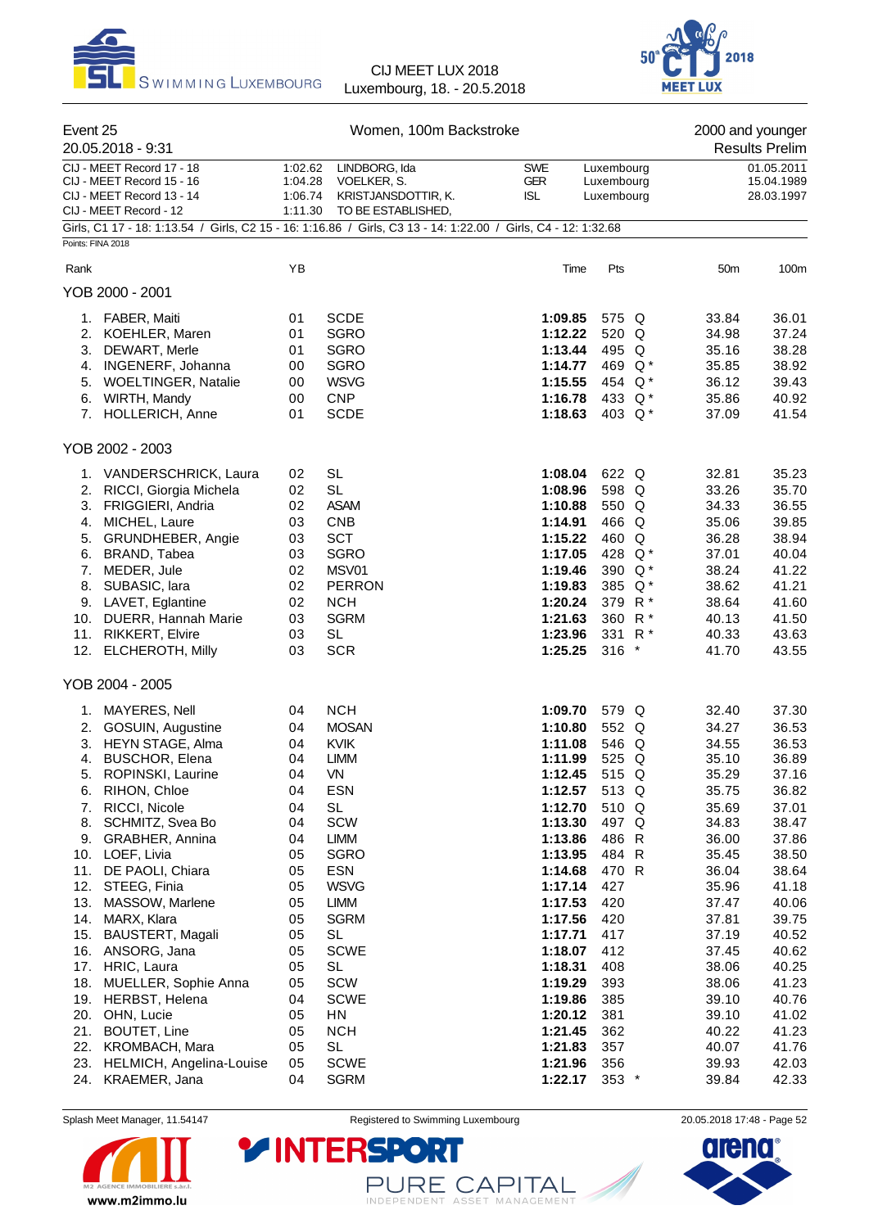



| Event 25          | 20.05.2018 - 9:31                                                                                              | Women, 100m Backstroke                   |                                                                           |                                        |                                        |  | 2000 and younger<br><b>Results Prelim</b> |                                        |  |
|-------------------|----------------------------------------------------------------------------------------------------------------|------------------------------------------|---------------------------------------------------------------------------|----------------------------------------|----------------------------------------|--|-------------------------------------------|----------------------------------------|--|
|                   | CIJ - MEET Record 17 - 18<br>CIJ - MEET Record 15 - 16<br>CIJ - MEET Record 13 - 14<br>CIJ - MEET Record - 12  | 1:02.62<br>1:04.28<br>1:06.74<br>1:11.30 | LINDBORG, Ida<br>VOELKER, S.<br>KRISTJANSDOTTIR, K.<br>TO BE ESTABLISHED, | <b>SWE</b><br><b>GER</b><br><b>ISL</b> | Luxembourg<br>Luxembourg<br>Luxembourg |  |                                           | 01.05.2011<br>15.04.1989<br>28.03.1997 |  |
| Points: FINA 2018 | Girls, C1 17 - 18: 1:13.54 / Girls, C2 15 - 16: 1:16.86 / Girls, C3 13 - 14: 1:22.00 / Girls, C4 - 12: 1:32.68 |                                          |                                                                           |                                        |                                        |  |                                           |                                        |  |
| Rank              |                                                                                                                | YB                                       |                                                                           | Time                                   | Pts                                    |  | 50 <sub>m</sub>                           | 100m                                   |  |
|                   | YOB 2000 - 2001                                                                                                |                                          |                                                                           |                                        |                                        |  |                                           |                                        |  |
|                   | 1. FABER, Maiti                                                                                                | 01                                       | <b>SCDE</b>                                                               | 1:09.85                                | 575 Q                                  |  | 33.84                                     | 36.01                                  |  |
|                   | 2. KOEHLER, Maren                                                                                              | 01                                       | <b>SGRO</b>                                                               | 1:12.22                                | 520 Q                                  |  | 34.98                                     | 37.24                                  |  |
|                   | 3. DEWART, Merle                                                                                               | 01                                       | <b>SGRO</b>                                                               | 1:13.44                                | 495 Q                                  |  | 35.16                                     | 38.28                                  |  |
|                   | 4. INGENERF, Johanna                                                                                           | 00                                       | <b>SGRO</b>                                                               | 1:14.77                                | 469 Q*                                 |  | 35.85                                     | 38.92                                  |  |
|                   | 5. WOELTINGER, Natalie                                                                                         | 00                                       | <b>WSVG</b>                                                               | 1:15.55                                | 454 Q <sup>*</sup>                     |  | 36.12                                     | 39.43                                  |  |
|                   | 6. WIRTH, Mandy                                                                                                | 00                                       | <b>CNP</b>                                                                | 1:16.78                                | 433 Q*                                 |  | 35.86                                     | 40.92                                  |  |
|                   | 7. HOLLERICH, Anne                                                                                             | 01                                       | <b>SCDE</b>                                                               | 1:18.63                                | 403 $Q^*$                              |  | 37.09                                     | 41.54                                  |  |
|                   | YOB 2002 - 2003                                                                                                |                                          |                                                                           |                                        |                                        |  |                                           |                                        |  |
|                   | 1. VANDERSCHRICK, Laura                                                                                        | 02                                       | <b>SL</b>                                                                 | 1:08.04                                | 622 Q                                  |  | 32.81                                     | 35.23                                  |  |
|                   | 2. RICCI, Giorgia Michela                                                                                      | 02                                       | <b>SL</b>                                                                 | 1:08.96                                | 598 Q                                  |  | 33.26                                     | 35.70                                  |  |
|                   | 3. FRIGGIERI, Andria                                                                                           | 02                                       | <b>ASAM</b>                                                               | 1:10.88                                | 550 Q                                  |  | 34.33                                     | 36.55                                  |  |
| 4.                | MICHEL, Laure                                                                                                  | 03                                       | <b>CNB</b>                                                                | 1:14.91                                | 466 Q                                  |  | 35.06                                     | 39.85                                  |  |
| 5.                | GRUNDHEBER, Angie                                                                                              | 03                                       | <b>SCT</b>                                                                | 1:15.22                                | 460 Q                                  |  | 36.28                                     | 38.94                                  |  |
|                   | 6. BRAND, Tabea                                                                                                | 03                                       | <b>SGRO</b>                                                               | 1:17.05                                | 428 Q*                                 |  | 37.01                                     | 40.04                                  |  |
|                   | 7. MEDER, Jule                                                                                                 | 02                                       | MSV01                                                                     | 1:19.46                                | 390 Q*                                 |  | 38.24                                     | 41.22                                  |  |
|                   | 8. SUBASIC, lara                                                                                               | 02                                       | <b>PERRON</b>                                                             | 1:19.83                                | 385 Q*                                 |  | 38.62                                     | 41.21                                  |  |
|                   | 9. LAVET, Eglantine                                                                                            | 02                                       | <b>NCH</b>                                                                | 1:20.24                                | 379 R <sup>*</sup>                     |  | 38.64                                     | 41.60                                  |  |
|                   | 10. DUERR, Hannah Marie<br>11. RIKKERT, Elvire                                                                 | 03<br>03                                 | <b>SGRM</b><br><b>SL</b>                                                  | 1:21.63<br>1:23.96                     | 360 R*<br>331 R <sup>*</sup>           |  | 40.13<br>40.33                            | 41.50<br>43.63                         |  |
|                   | 12. ELCHEROTH, Milly                                                                                           | 03                                       | <b>SCR</b>                                                                | 1:25.25                                | $316$ *                                |  | 41.70                                     | 43.55                                  |  |
|                   | YOB 2004 - 2005                                                                                                |                                          |                                                                           |                                        |                                        |  |                                           |                                        |  |
|                   |                                                                                                                |                                          |                                                                           |                                        |                                        |  |                                           |                                        |  |
|                   | 1. MAYERES, Nell                                                                                               | 04                                       | <b>NCH</b>                                                                | 1:09.70                                | 579 Q                                  |  | 32.40                                     | 37.30                                  |  |
|                   | 2. GOSUIN, Augustine                                                                                           | 04                                       | <b>MOSAN</b>                                                              | 1:10.80                                | 552 Q                                  |  | 34.27                                     | 36.53                                  |  |
|                   | 3. HEYN STAGE, Alma<br>4. BUSCHOR, Elena                                                                       | 04<br>04                                 | <b>KVIK</b><br><b>LIMM</b>                                                | 1:11.08<br>1:11.99                     | 546 Q<br>525 Q                         |  | 34.55                                     | 36.53                                  |  |
| 5.                | ROPINSKI, Laurine                                                                                              | 04                                       | VN                                                                        | 1:12.45                                | 515 Q                                  |  | 35.10<br>35.29                            | 36.89<br>37.16                         |  |
| 6.                | RIHON, Chloe                                                                                                   | 04                                       | <b>ESN</b>                                                                | 1:12.57                                | 513 Q                                  |  | 35.75                                     | 36.82                                  |  |
| 7.                | RICCI, Nicole                                                                                                  | 04                                       | <b>SL</b>                                                                 | 1:12.70                                | 510 Q                                  |  | 35.69                                     | 37.01                                  |  |
| 8.                | SCHMITZ, Svea Bo                                                                                               | 04                                       | SCW                                                                       | 1:13.30                                | 497 Q                                  |  | 34.83                                     | 38.47                                  |  |
| 9.                | GRABHER, Annina                                                                                                | 04                                       | LIMM                                                                      | 1:13.86                                | 486 R                                  |  | 36.00                                     | 37.86                                  |  |
| 10.               | LOEF, Livia                                                                                                    | 05                                       | SGRO                                                                      | 1:13.95                                | 484 R                                  |  | 35.45                                     | 38.50                                  |  |
| 11.               | DE PAOLI, Chiara                                                                                               | 05                                       | <b>ESN</b>                                                                | 1:14.68                                | 470 R                                  |  | 36.04                                     | 38.64                                  |  |
| 12.               | STEEG, Finia                                                                                                   | 05                                       | <b>WSVG</b>                                                               | 1:17.14                                | 427                                    |  | 35.96                                     | 41.18                                  |  |
| 13.               | MASSOW, Marlene                                                                                                | 05                                       | LIMM                                                                      | 1:17.53                                | 420                                    |  | 37.47                                     | 40.06                                  |  |
| 14.               | MARX, Klara                                                                                                    | 05                                       | <b>SGRM</b>                                                               | 1:17.56                                | 420                                    |  | 37.81                                     | 39.75                                  |  |
| 15.               | BAUSTERT, Magali                                                                                               | 05                                       | <b>SL</b>                                                                 | 1:17.71                                | 417                                    |  | 37.19                                     | 40.52                                  |  |
| 16.               | ANSORG, Jana                                                                                                   | 05                                       | <b>SCWE</b>                                                               | 1:18.07                                | 412                                    |  | 37.45                                     | 40.62                                  |  |
| 17.               | HRIC, Laura                                                                                                    | 05                                       | <b>SL</b>                                                                 | 1:18.31                                | 408                                    |  | 38.06                                     | 40.25                                  |  |
| 18.               | MUELLER, Sophie Anna                                                                                           | 05                                       | SCW                                                                       | 1:19.29                                | 393                                    |  | 38.06                                     | 41.23                                  |  |
|                   | 19. HERBST, Helena<br>20. OHN, Lucie                                                                           | 04<br>05                                 | <b>SCWE</b><br>HN                                                         | 1:19.86<br>1:20.12                     | 385<br>381                             |  | 39.10<br>39.10                            | 40.76<br>41.02                         |  |
| 21.               | <b>BOUTET, Line</b>                                                                                            | 05                                       | <b>NCH</b>                                                                | 1:21.45                                | 362                                    |  | 40.22                                     | 41.23                                  |  |
| 22.               | KROMBACH, Mara                                                                                                 | 05                                       | <b>SL</b>                                                                 | 1:21.83                                | 357                                    |  | 40.07                                     | 41.76                                  |  |
| 23.               | HELMICH, Angelina-Louise                                                                                       | 05                                       | <b>SCWE</b>                                                               | 1:21.96                                | 356                                    |  | 39.93                                     | 42.03                                  |  |
| 24.               | KRAEMER, Jana                                                                                                  | 04                                       | <b>SGRM</b>                                                               | 1:22.17                                | $353$ *                                |  | 39.84                                     | 42.33                                  |  |



Splash Meet Manager, 11.54147 **Registered to Swimming Luxembourg** 20.05.2018 17:48 - Page 52

PURE CAPITAL

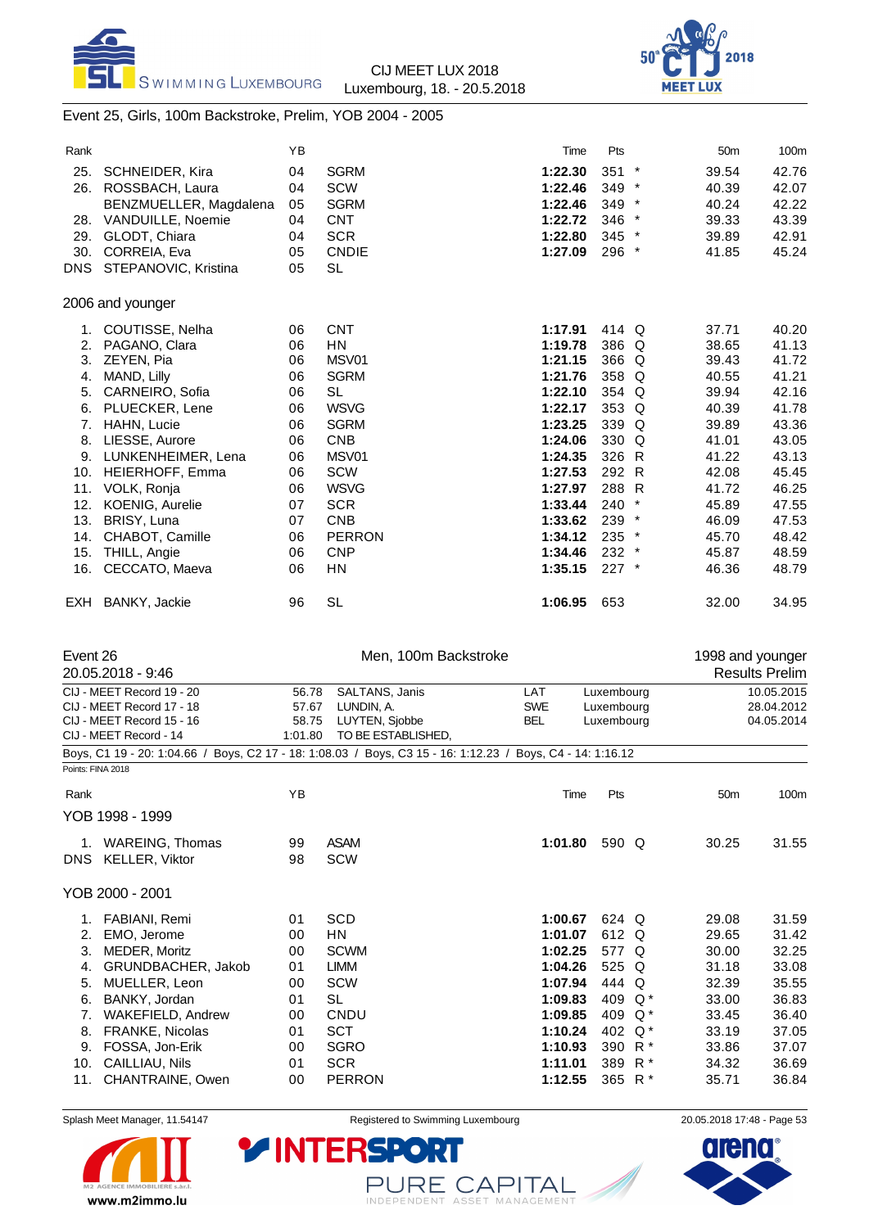



### Event 25, Girls, 100m Backstroke, Prelim, YOB 2004 - 2005

| Rank |                        | YB |               | Time    | Pts     |         | 50 <sub>m</sub> | 100m  |
|------|------------------------|----|---------------|---------|---------|---------|-----------------|-------|
| 25.  | <b>SCHNEIDER, Kira</b> | 04 | <b>SGRM</b>   | 1:22.30 | 351     | $\ast$  | 39.54           | 42.76 |
| 26.  | ROSSBACH, Laura        | 04 | <b>SCW</b>    | 1:22.46 | $349$ * |         | 40.39           | 42.07 |
|      | BENZMUELLER, Magdalena | 05 | <b>SGRM</b>   | 1:22.46 | 349 *   |         | 40.24           | 42.22 |
| 28.  | VANDUILLE, Noemie      | 04 | <b>CNT</b>    | 1:22.72 | 346     | $\star$ | 39.33           | 43.39 |
| 29.  | GLODT, Chiara          | 04 | <b>SCR</b>    | 1:22.80 | $345$ * |         | 39.89           | 42.91 |
| 30.  | CORREIA, Eva           | 05 | <b>CNDIE</b>  | 1:27.09 | 296 *   |         | 41.85           | 45.24 |
| DNS. | STEPANOVIC, Kristina   | 05 | <b>SL</b>     |         |         |         |                 |       |
|      | 2006 and younger       |    |               |         |         |         |                 |       |
| 1.   | COUTISSE, Nelha        | 06 | <b>CNT</b>    | 1:17.91 | 414 Q   |         | 37.71           | 40.20 |
| 2.   | PAGANO, Clara          | 06 | HN            | 1:19.78 | 386 Q   |         | 38.65           | 41.13 |
| 3.   | ZEYEN, Pia             | 06 | MSV01         | 1:21.15 | 366 Q   |         | 39.43           | 41.72 |
| 4.   | MAND, Lilly            | 06 | <b>SGRM</b>   | 1:21.76 | 358 Q   |         | 40.55           | 41.21 |
| 5.   | CARNEIRO, Sofia        | 06 | <b>SL</b>     | 1:22.10 | 354 Q   |         | 39.94           | 42.16 |
| 6.   | PLUECKER, Lene         | 06 | <b>WSVG</b>   | 1:22.17 | 353     | Q       | 40.39           | 41.78 |
| 7.   | HAHN, Lucie            | 06 | <b>SGRM</b>   | 1:23.25 | 339 Q   |         | 39.89           | 43.36 |
| 8.   | LIESSE, Aurore         | 06 | <b>CNB</b>    | 1:24.06 | 330 Q   |         | 41.01           | 43.05 |
| 9.   | LUNKENHEIMER, Lena     | 06 | MSV01         | 1:24.35 | 326 R   |         | 41.22           | 43.13 |
| 10.  | HEIERHOFF, Emma        | 06 | <b>SCW</b>    | 1:27.53 | 292 R   |         | 42.08           | 45.45 |
| 11.  | VOLK, Ronja            | 06 | <b>WSVG</b>   | 1:27.97 | 288 R   |         | 41.72           | 46.25 |
| 12.  | <b>KOENIG, Aurelie</b> | 07 | <b>SCR</b>    | 1:33.44 | 240     |         | 45.89           | 47.55 |
| 13.  | BRISY, Luna            | 07 | <b>CNB</b>    | 1:33.62 | $239$ * |         | 46.09           | 47.53 |
| 14.  | CHABOT, Camille        | 06 | <b>PERRON</b> | 1:34.12 | 235     | $\star$ | 45.70           | 48.42 |
| 15.  | THILL, Angie           | 06 | <b>CNP</b>    | 1:34.46 | $232$ * |         | 45.87           | 48.59 |
| 16.  | CECCATO, Maeva         | 06 | HN            | 1:35.15 | $227$ * |         | 46.36           | 48.79 |
|      | EXH BANKY, Jackie      | 96 | <b>SL</b>     | 1:06.95 | 653     |         | 32.00           | 34.95 |

| Event 26          |                           |                         | Men, 100m Backstroke                                                                                       |            |            |       | 1998 and younger |                       |
|-------------------|---------------------------|-------------------------|------------------------------------------------------------------------------------------------------------|------------|------------|-------|------------------|-----------------------|
|                   | 20.05.2018 - 9:46         |                         |                                                                                                            |            |            |       |                  | <b>Results Prelim</b> |
|                   | CIJ - MEET Record 19 - 20 | 56.78                   | SALTANS, Janis                                                                                             | LAT        | Luxembourg |       |                  | 10.05.2015            |
|                   | CIJ - MEET Record 17 - 18 | 57.67                   | LUNDIN, A.                                                                                                 | <b>SWE</b> | Luxembourg |       |                  | 28.04.2012            |
|                   | CIJ - MEET Record 15 - 16 | LUYTEN, Sjobbe<br>58.75 |                                                                                                            | <b>BEL</b> | Luxembourg |       |                  | 04.05.2014            |
|                   | CIJ - MEET Record - 14    | 1:01.80                 | TO BE ESTABLISHED.                                                                                         |            |            |       |                  |                       |
|                   |                           |                         | Boys, C1 19 - 20: 1:04.66 / Boys, C2 17 - 18: 1:08.03 / Boys, C3 15 - 16: 1:12.23 / Boys, C4 - 14: 1:16.12 |            |            |       |                  |                       |
| Points: FINA 2018 |                           |                         |                                                                                                            |            |            |       |                  |                       |
| Rank              |                           | YB                      |                                                                                                            | Time       | Pts        |       | 50 <sub>m</sub>  | 100m                  |
|                   | YOB 1998 - 1999           |                         |                                                                                                            |            |            |       |                  |                       |
|                   | 1. WAREING, Thomas        | 99                      | <b>ASAM</b>                                                                                                | 1:01.80    | 590 Q      |       | 30.25            | 31.55                 |
|                   | DNS KELLER, Viktor        | 98                      | SCW                                                                                                        |            |            |       |                  |                       |
|                   | YOB 2000 - 2001           |                         |                                                                                                            |            |            |       |                  |                       |
| 1.                | FABIANI, Remi             | 01                      | SCD                                                                                                        | 1:00.67    | 624 Q      |       | 29.08            | 31.59                 |
| 2.                | EMO, Jerome               | 00                      | HN                                                                                                         | 1:01.07    | 612 Q      |       | 29.65            | 31.42                 |
| 3.                | MEDER, Moritz             | 00                      | <b>SCWM</b>                                                                                                | 1:02.25    | 577 Q      |       | 30.00            | 32.25                 |
| 4.                | GRUNDBACHER, Jakob        | 01                      | <b>LIMM</b>                                                                                                | 1:04.26    | 525 Q      |       | 31.18            | 33.08                 |
| 5.                | MUELLER, Leon             | 00                      | <b>SCW</b>                                                                                                 | 1:07.94    | 444 Q      |       | 32.39            | 35.55                 |
| 6.                | BANKY, Jordan             | 01                      | SL                                                                                                         | 1:09.83    | 409        | Q *   | 33.00            | 36.83                 |
| 7.                | <b>WAKEFIELD, Andrew</b>  | 00                      | CNDU                                                                                                       | 1:09.85    | 409        | Q *   | 33.45            | 36.40                 |
| 8.                | FRANKE, Nicolas           | 01                      | <b>SCT</b>                                                                                                 | 1:10.24    | 402        | $Q^*$ | 33.19            | 37.05                 |
| 9.                | FOSSA, Jon-Erik           | 00                      | SGRO                                                                                                       | 1:10.93    | 390        | $R^*$ | 33.86            | 37.07                 |
| 10.               | CAILLIAU, Nils            | 01                      | <b>SCR</b>                                                                                                 | 1:11.01    | 389        | $R^*$ | 34.32            | 36.69                 |
| 11.               | CHANTRAINE, Owen          | 00                      | <b>PERRON</b>                                                                                              | 1:12.55    | 365 R*     |       | 35.71            | 36.84                 |



Splash Meet Manager, 11.54147 **Registered to Swimming Luxembourg** 20.05.2018 17:48 - Page 53

PURE CAPITAL

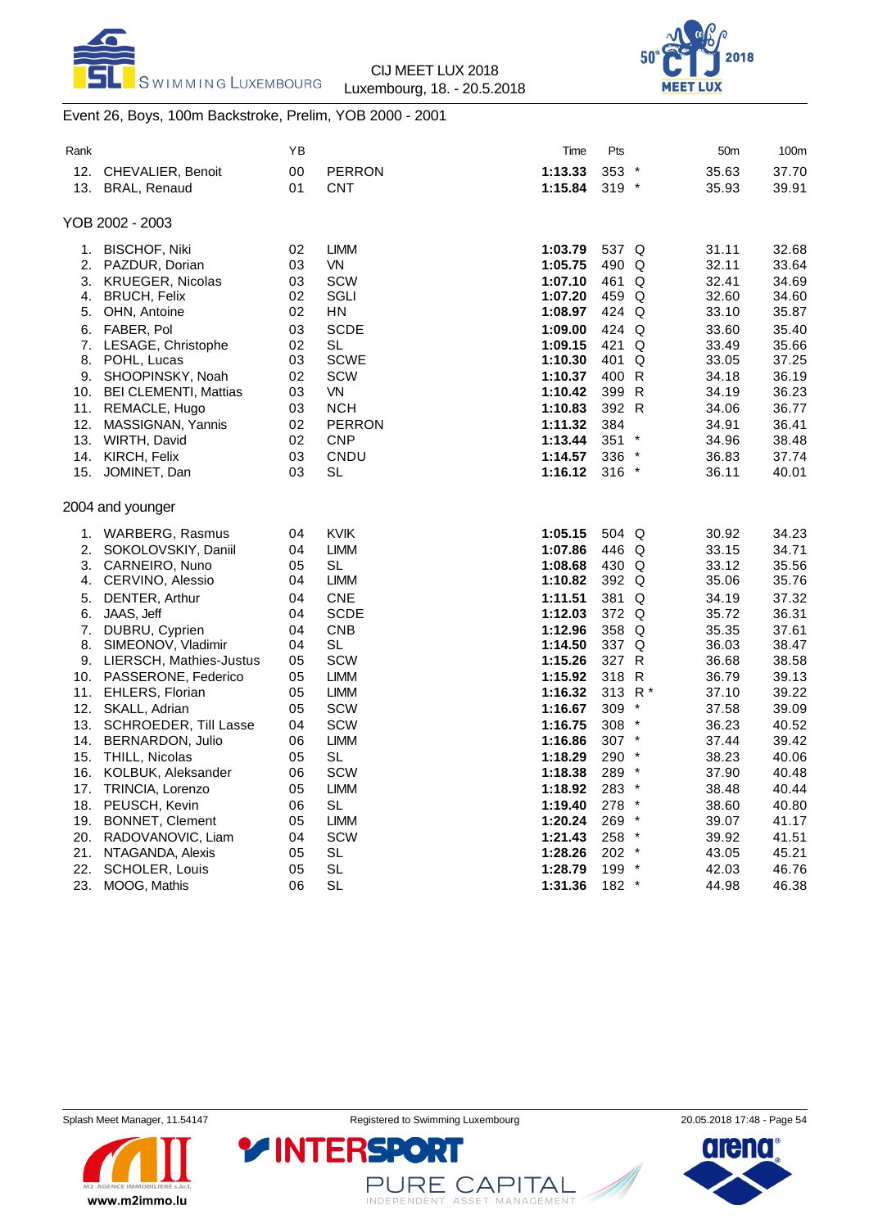



### Event 26, Boys, 100m Backstroke, Prelim, YOB 2000 - 2001

| Rank |                            | ΥB     |               | Time    | Pts                | 50m                          | 100m  |
|------|----------------------------|--------|---------------|---------|--------------------|------------------------------|-------|
| 12.  | <b>CHEVALIER, Benoit</b>   | $00\,$ | <b>PERRON</b> | 1:13.33 | 353                | 35.63<br>$\star$             | 37.70 |
| 13.  | <b>BRAL, Renaud</b>        | 01     | <b>CNT</b>    | 1:15.84 | $319 *$            | 35.93                        | 39.91 |
|      |                            |        |               |         |                    |                              |       |
|      | YOB 2002 - 2003            |        |               |         |                    |                              |       |
| 1.   | <b>BISCHOF, Niki</b>       | 02     | <b>LIMM</b>   | 1:03.79 | 537 Q              | 31.11                        | 32.68 |
| 2.   | PAZDUR, Dorian             | 03     | VN.           | 1:05.75 | 490 Q              | 32.11                        | 33.64 |
| 3.   | <b>KRUEGER, Nicolas</b>    | 03     | <b>SCW</b>    | 1:07.10 | 461 Q              | 32.41                        | 34.69 |
|      | 4. BRUCH, Felix            | 02     | SGLI          | 1:07.20 | 459 Q              | 32.60                        | 34.60 |
| 5.   | OHN, Antoine               | 02     | ΗN            | 1:08.97 | 424 Q              | 33.10                        | 35.87 |
| 6.   | FABER, Pol                 | 03     | <b>SCDE</b>   | 1:09.00 | 424 Q              | 33.60                        | 35.40 |
|      | 7. LESAGE, Christophe      | 02     | <b>SL</b>     | 1:09.15 | 421 Q              | 33.49                        | 35.66 |
| 8.   | POHL, Lucas                | 03     | <b>SCWE</b>   | 1:10.30 | 401 Q              | 33.05                        | 37.25 |
| 9.   | SHOOPINSKY, Noah           | 02     | <b>SCW</b>    | 1:10.37 | 400 R              | 34.18                        | 36.19 |
|      | 10. BEI CLEMENTI, Mattias  | 03     | <b>VN</b>     | 1:10.42 | 399 R              | 34.19                        | 36.23 |
|      | 11. REMACLE, Hugo          | 03     | <b>NCH</b>    | 1:10.83 | 392 R              | 34.06                        | 36.77 |
| 12.  | MASSIGNAN, Yannis          | 02     | <b>PERRON</b> | 1:11.32 | 384                | 34.91                        | 36.41 |
|      | 13. WIRTH, David           | 02     | <b>CNP</b>    | 1:13.44 | 351                | $\ast$<br>34.96              | 38.48 |
|      | 14. KIRCH, Felix           | 03     | CNDU          | 1:14.57 | 336                | 36.83                        | 37.74 |
| 15.  | JOMINET, Dan               | 03     | SL            | 1:16.12 | $316$ *            | 36.11                        | 40.01 |
|      |                            |        |               |         |                    |                              |       |
|      | 2004 and younger           |        |               |         |                    |                              |       |
|      | 1. WARBERG, Rasmus         | 04     | <b>KVIK</b>   | 1:05.15 | 504 Q              | 30.92                        | 34.23 |
| 2.   | SOKOLOVSKIY, Daniil        | 04     | <b>LIMM</b>   | 1:07.86 | 446 Q              | 33.15                        | 34.71 |
| 3.   | CARNEIRO, Nuno             | 05     | SL            | 1:08.68 | 430 Q              | 33.12                        | 35.56 |
| 4.   | CERVINO, Alessio           | 04     | LIMM          | 1:10.82 | 392 Q              | 35.06                        | 35.76 |
| 5.   | DENTER, Arthur             | 04     | <b>CNE</b>    | 1:11.51 | 381 Q              | 34.19                        | 37.32 |
| 6.   | JAAS, Jeff                 | 04     | <b>SCDE</b>   | 1:12.03 | 372 Q              | 35.72                        | 36.31 |
| 7.   | DUBRU, Cyprien             | 04     | <b>CNB</b>    | 1:12.96 | 358 Q              | 35.35                        | 37.61 |
| 8.   | SIMEONOV, Vladimir         | 04     | <b>SL</b>     | 1:14.50 | 337 Q              | 36.03                        | 38.47 |
|      | 9. LIERSCH, Mathies-Justus | 05     | <b>SCW</b>    | 1:15.26 | 327 R              | 36.68                        | 38.58 |
|      | 10. PASSERONE, Federico    | 05     | <b>LIMM</b>   | 1:15.92 | 318 R              | 36.79                        | 39.13 |
|      | 11. EHLERS, Florian        | 05     | <b>LIMM</b>   | 1:16.32 | 313 R <sup>*</sup> | 37.10                        | 39.22 |
| 12.  | SKALL, Adrian              | 05     | <b>SCW</b>    | 1:16.67 | 309                | 37.58<br>*                   | 39.09 |
|      | 13. SCHROEDER, Till Lasse  | 04     | <b>SCW</b>    | 1:16.75 | 308                | 36.23                        | 40.52 |
|      | 14. BERNARDON, Julio       | 06     | <b>LIMM</b>   | 1:16.86 | 307 *              | 37.44                        | 39.42 |
|      | 15. THILL, Nicolas         | 05     | <b>SL</b>     | 1:18.29 | 290                | $\star$<br>38.23             | 40.06 |
|      | 16. KOLBUK, Aleksander     | 06     | <b>SCW</b>    | 1:18.38 | 289                | $\star$<br>37.90             | 40.48 |
| 17.  | TRINCIA, Lorenzo           | 05     | <b>LIMM</b>   | 1:18.92 | 283 *              | 38.48                        | 40.44 |
|      | 18. PEUSCH, Kevin          | 06     | SL            | 1:19.40 | 278                | 38.60                        | 40.80 |
| 19.  | <b>BONNET, Clement</b>     | 05     | <b>LIMM</b>   | 1:20.24 | 269                | 39.07                        | 41.17 |
|      | 20. RADOVANOVIC, Liam      | 04     | <b>SCW</b>    | 1:21.43 | 258                | 39.92                        | 41.51 |
|      | 21. NTAGANDA, Alexis       | 05     | <b>SL</b>     | 1:28.26 | 202                | 43.05<br>$\ast$              | 45.21 |
| 22.  | <b>SCHOLER, Louis</b>      | 05     | <b>SL</b>     | 1:28.79 | 199                | 42.03<br>$\boldsymbol{\ast}$ | 46.76 |
| 23.  | MOOG, Mathis               | 06     | <b>SL</b>     | 1:31.36 | 182                | $\star$<br>44.98             | 46.38 |



PURE CAPITAL

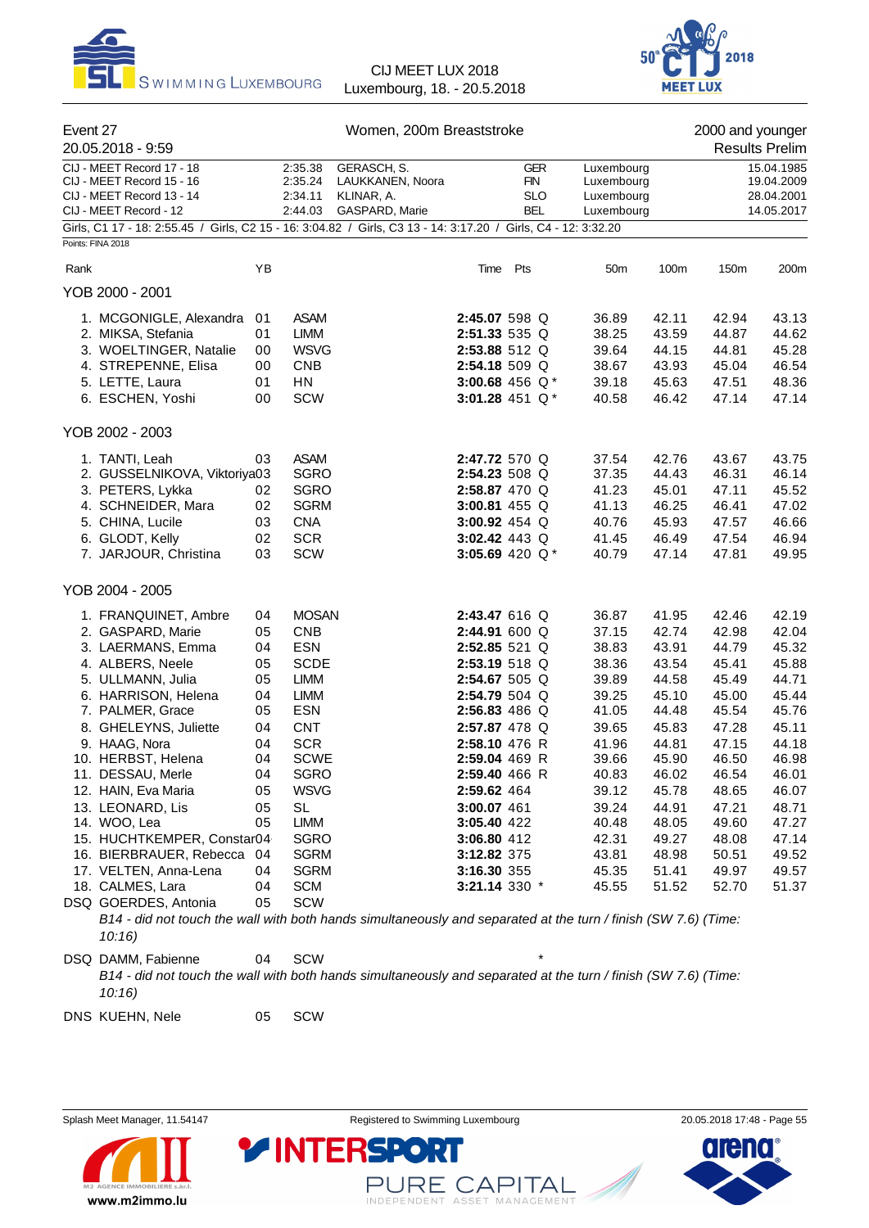



| Event 27<br>20.05.2018 - 9:59                                                                                                                                                                                                                                                                                                                                                                                                                |                                                                                                    |                                                                                                                                                                                                                                                              | Women, 200m Breaststroke                                                                                       |                                                                                                                                                                                                                                                                                                    |                                                      |   |                                                                                                                                                                |                                                                                                                                                                | 2000 and younger                                                                                                                                               | <b>Results Prelim</b>                                                                                                                                          |
|----------------------------------------------------------------------------------------------------------------------------------------------------------------------------------------------------------------------------------------------------------------------------------------------------------------------------------------------------------------------------------------------------------------------------------------------|----------------------------------------------------------------------------------------------------|--------------------------------------------------------------------------------------------------------------------------------------------------------------------------------------------------------------------------------------------------------------|----------------------------------------------------------------------------------------------------------------|----------------------------------------------------------------------------------------------------------------------------------------------------------------------------------------------------------------------------------------------------------------------------------------------------|------------------------------------------------------|---|----------------------------------------------------------------------------------------------------------------------------------------------------------------|----------------------------------------------------------------------------------------------------------------------------------------------------------------|----------------------------------------------------------------------------------------------------------------------------------------------------------------|----------------------------------------------------------------------------------------------------------------------------------------------------------------|
| CIJ - MEET Record 17 - 18<br>CIJ - MEET Record 15 - 16<br>CIJ - MEET Record 13 - 14<br>CIJ - MEET Record - 12                                                                                                                                                                                                                                                                                                                                |                                                                                                    | 2:35.38<br>2:35.24<br>2:34.11<br>2:44.03                                                                                                                                                                                                                     | GERASCH, S.<br>LAUKKANEN, Noora<br>KLINAR, A.<br>GASPARD, Marie                                                |                                                                                                                                                                                                                                                                                                    | <b>GER</b><br><b>FIN</b><br><b>SLO</b><br><b>BEL</b> |   | Luxembourg<br>Luxembourg<br>Luxembourg<br>Luxembourg                                                                                                           |                                                                                                                                                                |                                                                                                                                                                | 15.04.1985<br>19.04.2009<br>28.04.2001<br>14.05.2017                                                                                                           |
| Girls, C1 17 - 18: 2:55.45 / Girls, C2 15 - 16: 3:04.82 / Girls, C3 13 - 14: 3:17.20 / Girls, C4 - 12: 3:32.20<br>Points: FINA 2018                                                                                                                                                                                                                                                                                                          |                                                                                                    |                                                                                                                                                                                                                                                              |                                                                                                                |                                                                                                                                                                                                                                                                                                    |                                                      |   |                                                                                                                                                                |                                                                                                                                                                |                                                                                                                                                                |                                                                                                                                                                |
| Rank                                                                                                                                                                                                                                                                                                                                                                                                                                         | YB                                                                                                 |                                                                                                                                                                                                                                                              |                                                                                                                |                                                                                                                                                                                                                                                                                                    | Time Pts                                             |   | 50 <sub>m</sub>                                                                                                                                                | 100m                                                                                                                                                           | 150m                                                                                                                                                           | 200m                                                                                                                                                           |
| YOB 2000 - 2001                                                                                                                                                                                                                                                                                                                                                                                                                              |                                                                                                    |                                                                                                                                                                                                                                                              |                                                                                                                |                                                                                                                                                                                                                                                                                                    |                                                      |   |                                                                                                                                                                |                                                                                                                                                                |                                                                                                                                                                |                                                                                                                                                                |
| 1. MCGONIGLE, Alexandra<br>2. MIKSA, Stefania<br>3. WOELTINGER, Natalie<br>4. STREPENNE, Elisa<br>5. LETTE, Laura<br>6. ESCHEN, Yoshi                                                                                                                                                                                                                                                                                                        | 01<br>01<br>00<br>00<br>01<br>00                                                                   | <b>ASAM</b><br><b>LIMM</b><br><b>WSVG</b><br><b>CNB</b><br><b>HN</b><br>SCW                                                                                                                                                                                  |                                                                                                                | 2:45.07 598 Q<br>2:51.33 535 Q<br>2:53.88 512 Q<br>2:54.18 509 Q<br>3:00.68 456 $Q*$<br>3:01.28 451 $Q*$                                                                                                                                                                                           |                                                      |   | 36.89<br>38.25<br>39.64<br>38.67<br>39.18<br>40.58                                                                                                             | 42.11<br>43.59<br>44.15<br>43.93<br>45.63<br>46.42                                                                                                             | 42.94<br>44.87<br>44.81<br>45.04<br>47.51<br>47.14                                                                                                             | 43.13<br>44.62<br>45.28<br>46.54<br>48.36<br>47.14                                                                                                             |
| YOB 2002 - 2003                                                                                                                                                                                                                                                                                                                                                                                                                              |                                                                                                    |                                                                                                                                                                                                                                                              |                                                                                                                |                                                                                                                                                                                                                                                                                                    |                                                      |   |                                                                                                                                                                |                                                                                                                                                                |                                                                                                                                                                |                                                                                                                                                                |
| 1. TANTI. Leah<br>2. GUSSELNIKOVA, Viktoriya03<br>3. PETERS, Lykka<br>4. SCHNEIDER, Mara<br>5. CHINA, Lucile<br>6. GLODT, Kelly<br>7. JARJOUR, Christina                                                                                                                                                                                                                                                                                     | 03<br>02<br>02<br>03<br>02<br>03                                                                   | <b>ASAM</b><br><b>SGRO</b><br><b>SGRO</b><br><b>SGRM</b><br><b>CNA</b><br><b>SCR</b><br>SCW                                                                                                                                                                  |                                                                                                                | 2:47.72 570 Q<br>2:54.23 508 Q<br>2:58.87 470 Q<br>3:00.81 455 Q<br>3:00.92 454 Q<br>3:02.42 443 Q<br>3:05.69 420 Q*                                                                                                                                                                               |                                                      |   | 37.54<br>37.35<br>41.23<br>41.13<br>40.76<br>41.45<br>40.79                                                                                                    | 42.76<br>44.43<br>45.01<br>46.25<br>45.93<br>46.49<br>47.14                                                                                                    | 43.67<br>46.31<br>47.11<br>46.41<br>47.57<br>47.54<br>47.81                                                                                                    | 43.75<br>46.14<br>45.52<br>47.02<br>46.66<br>46.94<br>49.95                                                                                                    |
| YOB 2004 - 2005                                                                                                                                                                                                                                                                                                                                                                                                                              |                                                                                                    |                                                                                                                                                                                                                                                              |                                                                                                                |                                                                                                                                                                                                                                                                                                    |                                                      |   |                                                                                                                                                                |                                                                                                                                                                |                                                                                                                                                                |                                                                                                                                                                |
| 1. FRANQUINET, Ambre<br>2. GASPARD, Marie<br>3. LAERMANS, Emma<br>4. ALBERS, Neele<br>5. ULLMANN, Julia<br>6. HARRISON, Helena<br>7. PALMER, Grace<br>8. GHELEYNS, Juliette<br>9. HAAG, Nora<br>10. HERBST, Helena<br>11. DESSAU, Merle<br>12. HAIN, Eva Maria<br>13. LEONARD, Lis<br>14. WOO, Lea<br>15. HUCHTKEMPER, Constar04<br>16. BIERBRAUER, Rebecca 04<br>17. VELTEN, Anna-Lena<br>18. CALMES, Lara<br>DSQ GOERDES, Antonia<br>10:16 | 04<br>05<br>04<br>05<br>05<br>04<br>05<br>04<br>04<br>04<br>04<br>05<br>05<br>05<br>04<br>04<br>05 | <b>MOSAN</b><br><b>CNB</b><br><b>ESN</b><br><b>SCDE</b><br><b>LIMM</b><br><b>LIMM</b><br><b>ESN</b><br><b>CNT</b><br><b>SCR</b><br><b>SCWE</b><br>SGRO<br><b>WSVG</b><br><b>SL</b><br>LIMM<br><b>SGRO</b><br><b>SGRM</b><br><b>SGRM</b><br><b>SCM</b><br>SCW | B14 - did not touch the wall with both hands simultaneously and separated at the turn / finish (SW 7.6) (Time: | 2:43.47 616 Q<br>2:44.91 600 Q<br>2:52.85 521 Q<br>2:53.19 518 Q<br>2:54.67 505 Q<br>2:54.79 504 Q<br>2:56.83 486 Q<br>2:57.87 478 Q<br>2:58.10 476 R<br>2:59.04 469 R<br>2:59.40 466 R<br>2:59.62 464<br>3:00.07 461<br>3:05.40 422<br>3:06.80 412<br>3:12.82 375<br>3:16.30 355<br>3:21.14 330 * |                                                      |   | 36.87<br>37.15<br>38.83<br>38.36<br>39.89<br>39.25<br>41.05<br>39.65<br>41.96<br>39.66<br>40.83<br>39.12<br>39.24<br>40.48<br>42.31<br>43.81<br>45.35<br>45.55 | 41.95<br>42.74<br>43.91<br>43.54<br>44.58<br>45.10<br>44.48<br>45.83<br>44.81<br>45.90<br>46.02<br>45.78<br>44.91<br>48.05<br>49.27<br>48.98<br>51.41<br>51.52 | 42.46<br>42.98<br>44.79<br>45.41<br>45.49<br>45.00<br>45.54<br>47.28<br>47.15<br>46.50<br>46.54<br>48.65<br>47.21<br>49.60<br>48.08<br>50.51<br>49.97<br>52.70 | 42.19<br>42.04<br>45.32<br>45.88<br>44.71<br>45.44<br>45.76<br>45.11<br>44.18<br>46.98<br>46.01<br>46.07<br>48.71<br>47.27<br>47.14<br>49.52<br>49.57<br>51.37 |
| DSQ DAMM, Fabienne                                                                                                                                                                                                                                                                                                                                                                                                                           | 04                                                                                                 | SCW                                                                                                                                                                                                                                                          |                                                                                                                |                                                                                                                                                                                                                                                                                                    |                                                      | * |                                                                                                                                                                |                                                                                                                                                                |                                                                                                                                                                |                                                                                                                                                                |

*10:16)*

DNS KUEHN, Nele 05 SCW

www.m2immo.lu



PURE CAPITAL

**YINTERSPO** 

*B14 - did not touch the wall with both hands simultaneously and separated at the turn / finish (SW 7.6) (Time:*

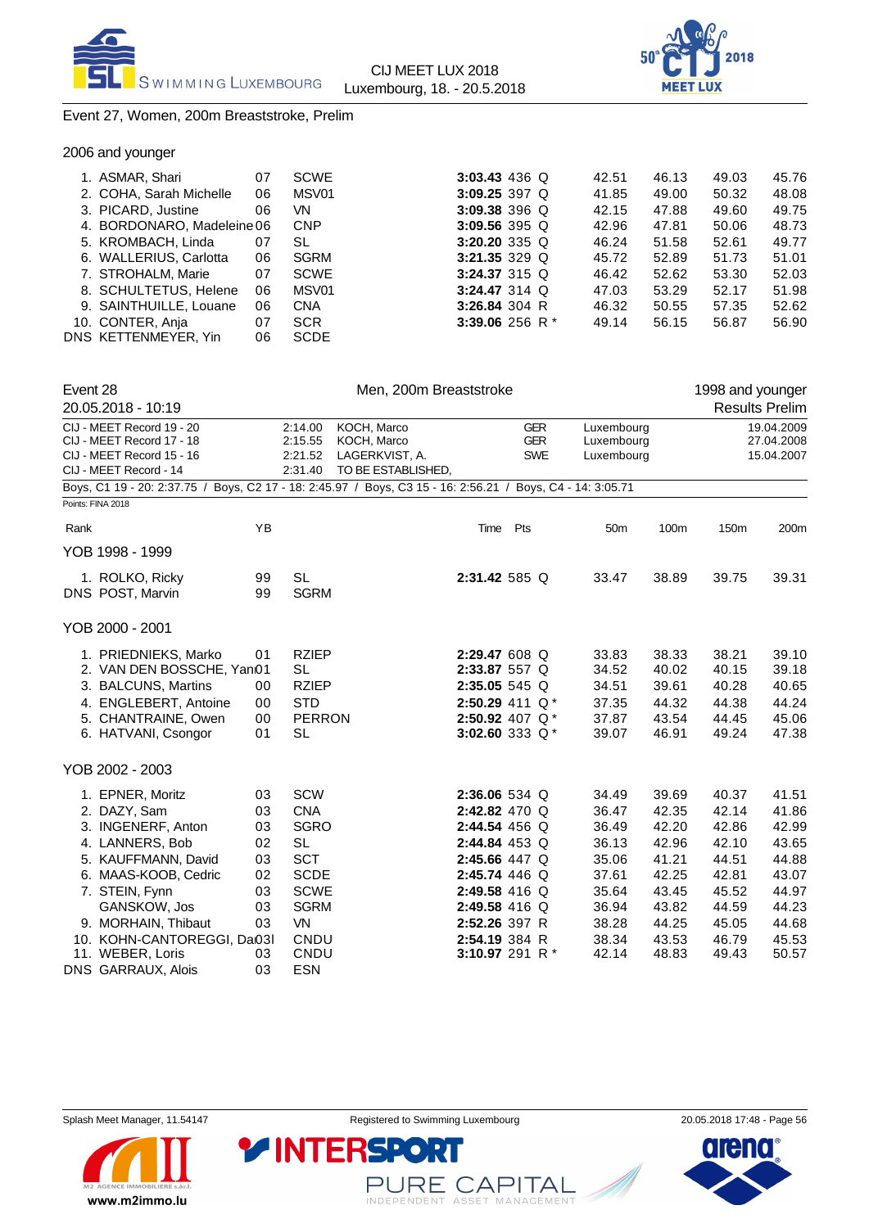



### Event 27, Women, 200m Breaststroke, Prelim

2006 and younger

| 1. ASMAR, Shari            | 07 | <b>SCWE</b> | 3:03.43 436 Q        | 42.51 | 46.13 | 49.03 | 45.76 |
|----------------------------|----|-------------|----------------------|-------|-------|-------|-------|
| 2. COHA, Sarah Michelle    | 06 | MSV01       | 3:09.25 397 $Q$      | 41.85 | 49.00 | 50.32 | 48.08 |
| 3. PICARD, Justine         | 06 | VN          | 3:09.38 396 $Q$      | 42.15 | 47.88 | 49.60 | 49.75 |
| 4. BORDONARO, Madeleine 06 |    | <b>CNP</b>  | 3:09.56 395 Q        | 42.96 | 47.81 | 50.06 | 48.73 |
| 5. KROMBACH, Linda         | 07 | SL          | 3:20.20 335 Q        | 46.24 | 51.58 | 52.61 | 49.77 |
| 6. WALLERIUS, Carlotta     | 06 | <b>SGRM</b> | 3:21.35 329 $\Omega$ | 45.72 | 52.89 | 51.73 | 51.01 |
| 7. STROHALM, Marie         | 07 | <b>SCWE</b> | 3:24.37 315 Q        | 46.42 | 52.62 | 53.30 | 52.03 |
| 8. SCHULTETUS, Helene      | 06 | MSV01       | $3:24.47314$ Q       | 47.03 | 53.29 | 52.17 | 51.98 |
| 9. SAINTHUILLE, Louane     | 06 | <b>CNA</b>  | 3:26.84 304 R        | 46.32 | 50.55 | 57.35 | 52.62 |
| 10. CONTER, Anja           | 07 | <b>SCR</b>  | 3:39.06 256 R $*$    | 49.14 | 56.15 | 56.87 | 56.90 |
| DNS KETTENMEYER, Yin       | 06 | <b>SCDE</b> |                      |       |       |       |       |
|                            |    |             |                      |       |       |       |       |

| Event 28 | 20.05.2018 - 10:19                                                                                            |    |                                          | Men, 200m Breaststroke                                                                                     |     |                                        |                                        |       | 1998 and younger | <b>Results Prelim</b>                  |
|----------|---------------------------------------------------------------------------------------------------------------|----|------------------------------------------|------------------------------------------------------------------------------------------------------------|-----|----------------------------------------|----------------------------------------|-------|------------------|----------------------------------------|
|          | CIJ - MEET Record 19 - 20<br>CIJ - MEET Record 17 - 18<br>CIJ - MEET Record 15 - 16<br>CIJ - MEET Record - 14 |    | 2:14.00<br>2:15.55<br>2:21.52<br>2:31.40 | KOCH, Marco<br>KOCH, Marco<br>LAGERKVIST, A.<br>TO BE ESTABLISHED,                                         |     | <b>GER</b><br><b>GER</b><br><b>SWE</b> | Luxembourg<br>Luxembourg<br>Luxembourg |       |                  | 19.04.2009<br>27.04.2008<br>15.04.2007 |
|          | Points: FINA 2018                                                                                             |    |                                          | Boys, C1 19 - 20: 2:37.75 / Boys, C2 17 - 18: 2:45.97 / Boys, C3 15 - 16: 2:56.21 / Boys, C4 - 14: 3:05.71 |     |                                        |                                        |       |                  |                                        |
|          |                                                                                                               |    |                                          |                                                                                                            |     |                                        |                                        |       |                  |                                        |
| Rank     |                                                                                                               | YB |                                          | Time                                                                                                       | Pts |                                        | 50 <sub>m</sub>                        | 100m  | 150m             | 200m                                   |
|          | YOB 1998 - 1999                                                                                               |    |                                          |                                                                                                            |     |                                        |                                        |       |                  |                                        |
|          | 1. ROLKO, Ricky                                                                                               | 99 | <b>SL</b>                                | 2:31.42 585 Q                                                                                              |     |                                        | 33.47                                  | 38.89 | 39.75            | 39.31                                  |
|          | DNS POST, Marvin                                                                                              | 99 | <b>SGRM</b>                              |                                                                                                            |     |                                        |                                        |       |                  |                                        |
|          | YOB 2000 - 2001                                                                                               |    |                                          |                                                                                                            |     |                                        |                                        |       |                  |                                        |
|          | 1. PRIEDNIEKS, Marko                                                                                          | 01 | <b>RZIEP</b>                             | 2:29.47 608 Q                                                                                              |     |                                        | 33.83                                  | 38.33 | 38.21            | 39.10                                  |
|          | 2. VAN DEN BOSSCHE, Yan01                                                                                     |    | <b>SL</b>                                | 2:33.87 557 Q                                                                                              |     |                                        | 34.52                                  | 40.02 | 40.15            | 39.18                                  |
|          | 3. BALCUNS, Martins                                                                                           | 00 | <b>RZIEP</b>                             | 2:35.05 545 Q                                                                                              |     |                                        | 34.51                                  | 39.61 | 40.28            | 40.65                                  |
|          | 4. ENGLEBERT, Antoine                                                                                         | 00 | <b>STD</b>                               | 2:50.29 411 Q*                                                                                             |     |                                        | 37.35                                  | 44.32 | 44.38            | 44.24                                  |
|          | 5. CHANTRAINE, Owen                                                                                           | 00 | <b>PERRON</b>                            | 2:50.92 407 $Q^*$                                                                                          |     |                                        | 37.87                                  | 43.54 | 44.45            | 45.06                                  |
|          | 6. HATVANI, Csongor                                                                                           | 01 | <b>SL</b>                                | 3:02.60 333 $Q^*$                                                                                          |     |                                        | 39.07                                  | 46.91 | 49.24            | 47.38                                  |
|          | YOB 2002 - 2003                                                                                               |    |                                          |                                                                                                            |     |                                        |                                        |       |                  |                                        |
|          | 1. EPNER, Moritz                                                                                              | 03 | SCW                                      | 2:36.06 534 Q                                                                                              |     |                                        | 34.49                                  | 39.69 | 40.37            | 41.51                                  |
|          | 2. DAZY, Sam                                                                                                  | 03 | <b>CNA</b>                               | 2:42.82 470 Q                                                                                              |     |                                        | 36.47                                  | 42.35 | 42.14            | 41.86                                  |
|          | 3. INGENERF, Anton                                                                                            | 03 | <b>SGRO</b>                              | 2:44.54 456 Q                                                                                              |     |                                        | 36.49                                  | 42.20 | 42.86            | 42.99                                  |
|          | 4. LANNERS, Bob                                                                                               | 02 | <b>SL</b>                                | 2:44.84 453 Q                                                                                              |     |                                        | 36.13                                  | 42.96 | 42.10            | 43.65                                  |
|          | 5. KAUFFMANN, David                                                                                           | 03 | <b>SCT</b>                               | 2:45.66 447 Q                                                                                              |     |                                        | 35.06                                  | 41.21 | 44.51            | 44.88                                  |
|          | 6. MAAS-KOOB, Cedric                                                                                          | 02 | <b>SCDE</b>                              | 2:45.74 446 Q                                                                                              |     |                                        | 37.61                                  | 42.25 | 42.81            | 43.07                                  |
|          | 7. STEIN, Fynn                                                                                                | 03 | <b>SCWE</b>                              | 2:49.58 416 Q                                                                                              |     |                                        | 35.64                                  | 43.45 | 45.52            | 44.97                                  |
|          | GANSKOW, Jos                                                                                                  | 03 | <b>SGRM</b>                              | 2:49.58 416 Q                                                                                              |     |                                        | 36.94                                  | 43.82 | 44.59            | 44.23                                  |
|          | 9. MORHAIN, Thibaut                                                                                           | 03 | <b>VN</b>                                | 2:52.26 397 R                                                                                              |     |                                        | 38.28                                  | 44.25 | 45.05            | 44.68                                  |
|          | 10. KOHN-CANTOREGGI, Da03I                                                                                    |    | CNDU                                     | 2:54.19 384 R                                                                                              |     |                                        | 38.34                                  | 43.53 | 46.79            | 45.53                                  |
|          | 11. WEBER, Loris                                                                                              | 03 | CNDU                                     | 3:10.97 291 R $*$                                                                                          |     |                                        | 42.14                                  | 48.83 | 49.43            | 50.57                                  |
|          | DNS GARRAUX, Alois                                                                                            | 03 | <b>ESN</b>                               |                                                                                                            |     |                                        |                                        |       |                  |                                        |



www.m2immo.lu



PURE CAPITAL

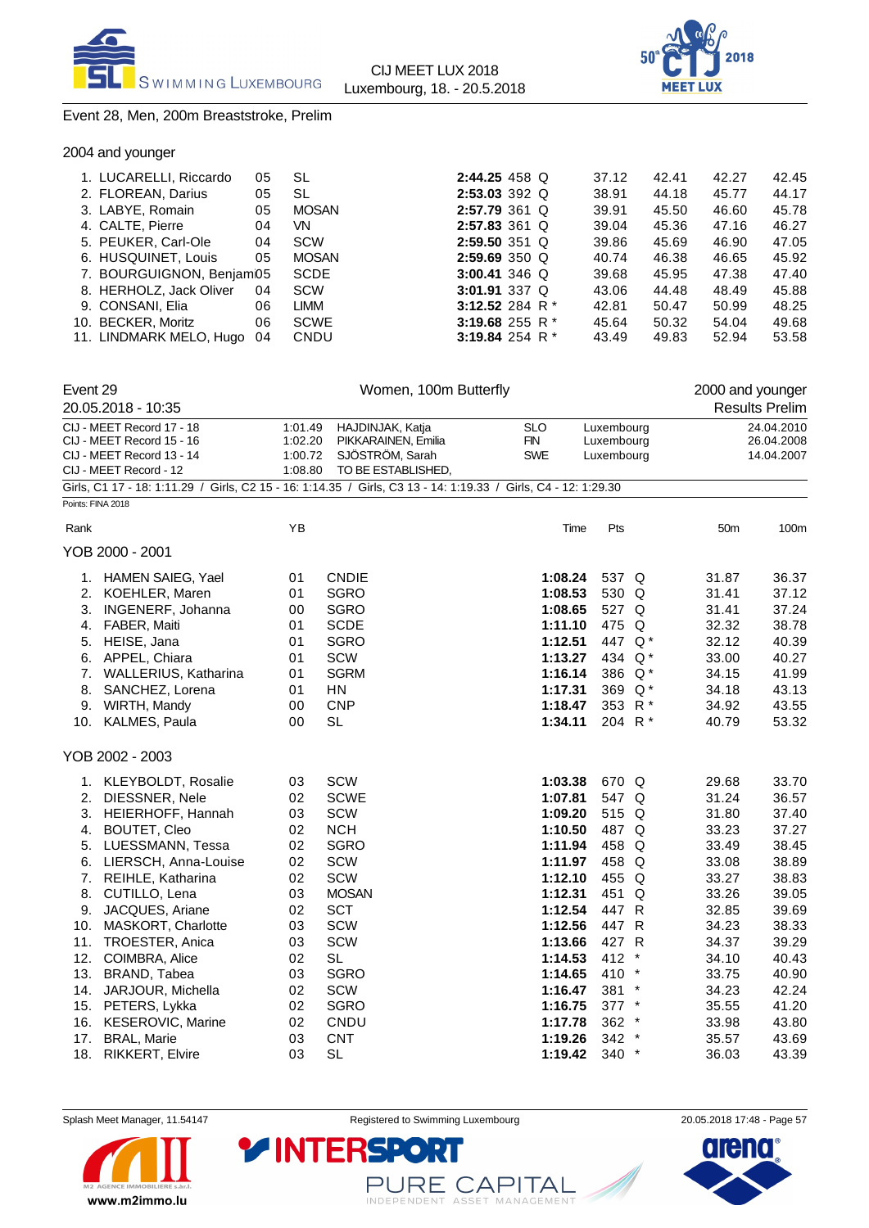



### Event 28, Men, 200m Breaststroke, Prelim

| 2004 and younger |  |
|------------------|--|
|------------------|--|

| 1. LUCARELLI, Riccardo   | 05 | SL           | $2:44.25$ 458 Q   |  | 37.12 | 42.41 | 42.27 | 42.45 |
|--------------------------|----|--------------|-------------------|--|-------|-------|-------|-------|
| 2. FLOREAN, Darius       | 05 | SL           | $2:53.03$ 392 Q   |  | 38.91 | 44.18 | 45.77 | 44.17 |
| 3. LABYE, Romain         | 05 | <b>MOSAN</b> | $2:57.79361$ Q    |  | 39.91 | 45.50 | 46.60 | 45.78 |
| 4. CALTE, Pierre         | 04 | VN           | $2:57.83$ 361 Q   |  | 39.04 | 45.36 | 47.16 | 46.27 |
| 5. PEUKER, Carl-Ole      | 04 | <b>SCW</b>   | $2:59.50$ 351 Q   |  | 39.86 | 45.69 | 46.90 | 47.05 |
| 6. HUSQUINET, Louis      | 05 | <b>MOSAN</b> | $2:59.69350$ Q    |  | 40.74 | 46.38 | 46.65 | 45.92 |
| 7. BOURGUIGNON, Benjam05 |    | <b>SCDE</b>  | 3:00.41 346 Q     |  | 39.68 | 45.95 | 47.38 | 47.40 |
| 8. HERHOLZ, Jack Oliver  | 04 | <b>SCW</b>   | 3:01.91 337 Q     |  | 43.06 | 44.48 | 48.49 | 45.88 |
| 9. CONSANI, Elia         | 06 | LIMM         | 3:12.52 284 R $*$ |  | 42.81 | 50.47 | 50.99 | 48.25 |
| 10. BECKER, Moritz       | 06 | <b>SCWE</b>  | 3:19.68 255 R $*$ |  | 45.64 | 50.32 | 54.04 | 49.68 |
| 11. LINDMARK MELO, Hugo  | 04 | CNDU         | 3:19.84 254 R $*$ |  | 43.49 | 49.83 | 52.94 | 53.58 |

| Event 29 |                                                                                                                |         | Women, 100m Butterfly |            |            |  | 2000 and younger |                       |
|----------|----------------------------------------------------------------------------------------------------------------|---------|-----------------------|------------|------------|--|------------------|-----------------------|
|          | 20.05.2018 - 10:35                                                                                             |         |                       |            |            |  |                  | <b>Results Prelim</b> |
|          | CIJ - MEET Record 17 - 18                                                                                      | 1:01.49 | HAJDINJAK, Katja      | <b>SLO</b> | Luxembourg |  |                  | 24.04.2010            |
|          | CIJ - MEET Record 15 - 16                                                                                      | 1:02.20 | PIKKARAINEN, Emilia   | <b>FIN</b> | Luxembourg |  |                  | 26.04.2008            |
|          | CIJ - MEET Record 13 - 14                                                                                      | 1:00.72 | SJÖSTRÖM, Sarah       | <b>SWE</b> | Luxembourg |  |                  | 14.04.2007            |
|          | CIJ - MEET Record - 12                                                                                         | 1:08.80 | TO BE ESTABLISHED,    |            |            |  |                  |                       |
|          | Girls, C1 17 - 18: 1:11.29 / Girls, C2 15 - 16: 1:14.35 / Girls, C3 13 - 14: 1:19.33 / Girls, C4 - 12: 1:29.30 |         |                       |            |            |  |                  |                       |
|          | Points: FINA 2018                                                                                              |         |                       |            |            |  |                  |                       |
| Rank     |                                                                                                                | YB      |                       | Time       | Pts        |  | 50 <sub>m</sub>  | 100m                  |
|          | YOB 2000 - 2001                                                                                                |         |                       |            |            |  |                  |                       |
|          | 1. HAMEN SAIEG, Yael                                                                                           | 01      | <b>CNDIE</b>          | 1:08.24    | 537 Q      |  | 31.87            | 36.37                 |
|          | 2. KOEHLER, Maren                                                                                              | 01      | <b>SGRO</b>           | 1:08.53    | 530 Q      |  | 31.41            | 37.12                 |
|          | 3. INGENERF, Johanna                                                                                           | 00      | <b>SGRO</b>           | 1:08.65    | 527 Q      |  | 31.41            | 37.24                 |
|          | 4. FABER, Maiti                                                                                                | 01      | <b>SCDE</b>           | 1:11.10    | 475 Q      |  | 32.32            | 38.78                 |
|          | 5. HEISE, Jana                                                                                                 | 01      | <b>SGRO</b>           | 1:12.51    | 447 Q*     |  | 32.12            | 40.39                 |
|          | 6. APPEL, Chiara                                                                                               | 01      | SCW                   | 1:13.27    | 434 Q*     |  | 33.00            | 40.27                 |
|          | 7. WALLERIUS, Katharina                                                                                        | 01      | <b>SGRM</b>           | 1:16.14    | 386 Q*     |  | 34.15            | 41.99                 |
| 8.       | SANCHEZ, Lorena                                                                                                | 01      | HN                    | 1:17.31    | 369 Q*     |  | 34.18            | 43.13                 |
|          | 9. WIRTH, Mandy                                                                                                | 00      | <b>CNP</b>            | 1:18.47    | 353 R *    |  | 34.92            | 43.55                 |
|          | 10. KALMES, Paula                                                                                              | 00      | <b>SL</b>             | 1:34.11    | 204 R*     |  | 40.79            | 53.32                 |
|          | YOB 2002 - 2003                                                                                                |         |                       |            |            |  |                  |                       |
|          | 1. KLEYBOLDT, Rosalie                                                                                          | 03      | SCW                   | 1:03.38    | 670 Q      |  | 29.68            | 33.70                 |
| 2.       | DIESSNER, Nele                                                                                                 | 02      | <b>SCWE</b>           | 1:07.81    | 547 Q      |  | 31.24            | 36.57                 |
|          | 3. HEIERHOFF, Hannah                                                                                           | 03      | SCW                   | 1:09.20    | 515 Q      |  | 31.80            | 37.40                 |
| 4.       | <b>BOUTET, Cleo</b>                                                                                            | 02      | <b>NCH</b>            | 1:10.50    | 487 Q      |  | 33.23            | 37.27                 |
|          | 5. LUESSMANN, Tessa                                                                                            | 02      | <b>SGRO</b>           | 1:11.94    | 458 Q      |  | 33.49            | 38.45                 |
|          | 6. LIERSCH, Anna-Louise                                                                                        | 02      | SCW                   | 1:11.97    | 458 Q      |  | 33.08            | 38.89                 |
|          | 7. REIHLE, Katharina                                                                                           | 02      | SCW                   | 1:12.10    | 455 Q      |  | 33.27            | 38.83                 |
| 8.       | CUTILLO, Lena                                                                                                  | 03      | <b>MOSAN</b>          | 1:12.31    | 451 Q      |  | 33.26            | 39.05                 |
|          | 9. JACQUES, Ariane                                                                                             | 02      | <b>SCT</b>            | 1:12.54    | 447 R      |  | 32.85            | 39.69                 |
|          | 10. MASKORT, Charlotte                                                                                         | 03      | <b>SCW</b>            | 1:12.56    | 447 R      |  | 34.23            | 38.33                 |
| 11.      | TROESTER, Anica                                                                                                | 03      | SCW                   | 1:13.66    | 427 R      |  | 34.37            | 39.29                 |
|          | 12. COIMBRA, Alice                                                                                             | 02      | <b>SL</b>             | 1:14.53    | 412 *      |  | 34.10            | 40.43                 |
|          | 13. BRAND, Tabea                                                                                               | 03      | <b>SGRO</b>           | 1:14.65    | 410 *      |  | 33.75            | 40.90                 |
|          | 14. JARJOUR, Michella                                                                                          | 02      | SCW                   | 1:16.47    | 381 *      |  | 34.23            | 42.24                 |
|          | 15. PETERS, Lykka                                                                                              | 02      | <b>SGRO</b>           | 1:16.75    | $377$ *    |  | 35.55            | 41.20                 |
|          | 16. KESEROVIC, Marine                                                                                          | 02      | CNDU                  | 1:17.78    | 362 *      |  | 33.98            | 43.80                 |
| 17.      | <b>BRAL, Marie</b>                                                                                             | 03      | <b>CNT</b>            | 1:19.26    | $342$ *    |  | 35.57            | 43.69                 |
|          | 18. RIKKERT, Elvire                                                                                            | 03      | <b>SL</b>             | 1:19.42    | $340$ *    |  | 36.03            | 43.39                 |
|          |                                                                                                                |         |                       |            |            |  |                  |                       |



Splash Meet Manager, 11.54147 **Registered to Swimming Luxembourg** 20.05.2018 17:48 - Page 57

PURE CAPITAL

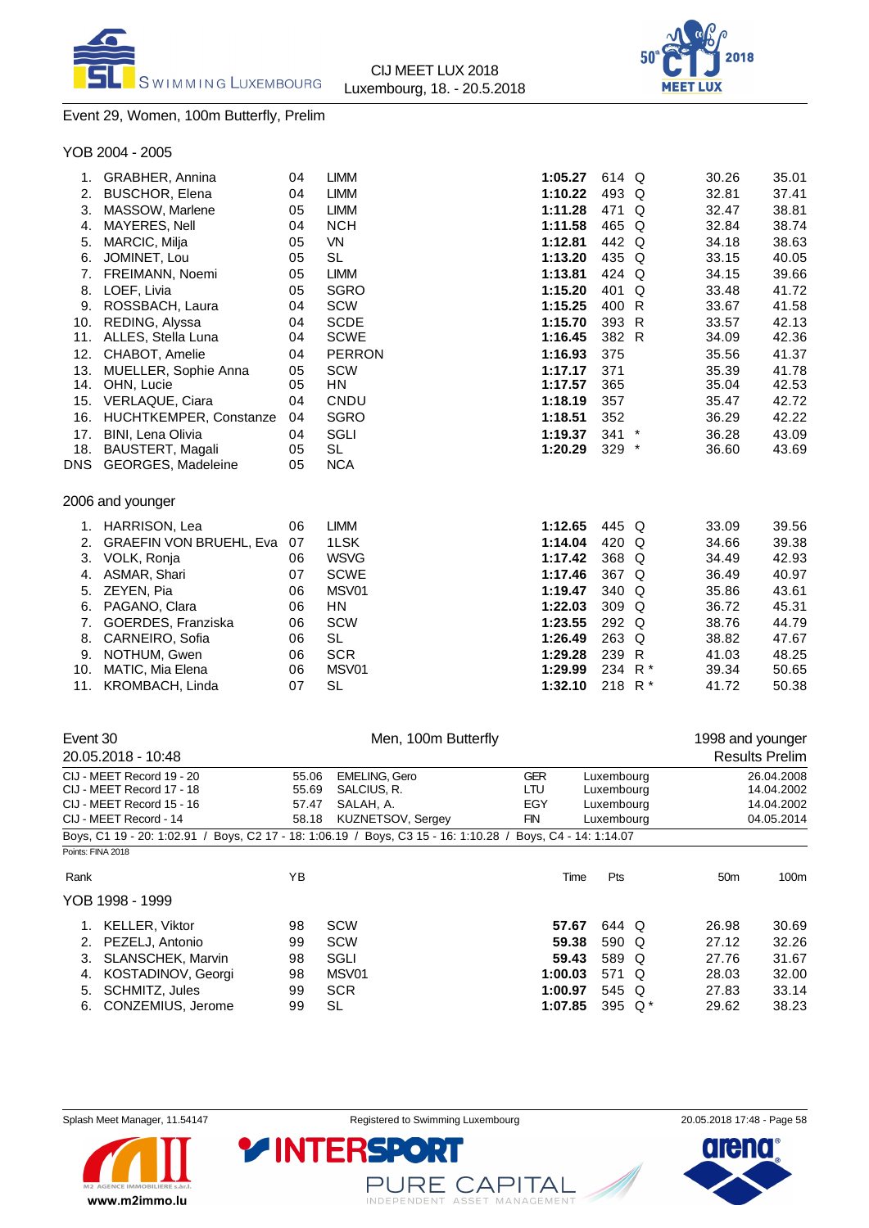



## Event 29, Women, 100m Butterfly, Prelim

|  | YOB 2004 - 2005 |  |
|--|-----------------|--|
|--|-----------------|--|

| GRABHER, Annina<br>1.             | 04           | <b>LIMM</b>             | 1:05.27   | 614 Q   |   | 30.26                                                                                               | 35.01 |
|-----------------------------------|--------------|-------------------------|-----------|---------|---|-----------------------------------------------------------------------------------------------------|-------|
| <b>BUSCHOR, Elena</b><br>2.       | 04           | <b>LIMM</b>             | 1:10.22   | 493 Q   |   | 32.81                                                                                               | 37.41 |
| 3.<br>MASSOW, Marlene             | 05           | <b>LIMM</b>             | 1:11.28   | 471 Q   |   | 32.47                                                                                               | 38.81 |
| MAYERES, Nell<br>4.               | 04           | <b>NCH</b>              | 1:11.58   | 465 Q   |   | 32.84                                                                                               | 38.74 |
| 5.<br>MARCIC, Milja               | 05           | <b>VN</b>               | 1:12.81   | 442 Q   |   | 34.18                                                                                               | 38.63 |
| JOMINET, Lou<br>6.                | 05           | <b>SL</b>               | 1:13.20   | 435 Q   |   | 33.15                                                                                               | 40.05 |
| 7.<br>FREIMANN, Noemi             | 05           | <b>LIMM</b>             | 1:13.81   | 424 Q   |   | 34.15                                                                                               | 39.66 |
| LOEF, Livia<br>8.                 | 05           | <b>SGRO</b>             | 1:15.20   | 401     | Q | 33.48                                                                                               | 41.72 |
| 9.<br>ROSSBACH, Laura             | 04           | SCW                     | 1:15.25   | 400 R   |   | 33.67                                                                                               | 41.58 |
| REDING, Alyssa<br>10.             | 04           | <b>SCDE</b>             | 1:15.70   | 393 R   |   | 33.57                                                                                               | 42.13 |
| ALLES, Stella Luna<br>11.         | 04           | <b>SCWE</b>             | 1:16.45   | 382 R   |   | 34.09                                                                                               | 42.36 |
| 12.<br>CHABOT, Amelie             | 04           | <b>PERRON</b>           | 1:16.93   | 375     |   | 35.56                                                                                               | 41.37 |
| 13.<br>MUELLER, Sophie Anna       | 05           | <b>SCW</b>              | 1:17.17   | 371     |   | 35.39                                                                                               | 41.78 |
| OHN, Lucie<br>14.                 | 05           | <b>HN</b>               | 1:17.57   | 365     |   | 35.04                                                                                               | 42.53 |
| VERLAQUE, Ciara<br>15.            | 04           | CNDU                    | 1:18.19   | 357     |   | 35.47                                                                                               | 42.72 |
| 16.<br>HUCHTKEMPER, Constanze     | 04           | <b>SGRO</b>             | 1:18.51   | 352     |   | 36.29                                                                                               | 42.22 |
| 17.<br>BINI, Lena Olivia          | 04           | <b>SGLI</b>             | 1:19.37   |         |   | 36.28                                                                                               | 43.09 |
| BAUSTERT, Magali<br>18.           | 05           |                         | 1:20.29   |         |   | 36.60                                                                                               | 43.69 |
| <b>GEORGES, Madeleine</b><br>DNS. | 05           | <b>NCA</b>              |           |         |   |                                                                                                     |       |
| 2006 and younger                  |              |                         |           |         |   |                                                                                                     |       |
| HARRISON, Lea<br>1.               | 06           | <b>LIMM</b>             | 1:12.65   |         |   | 33.09                                                                                               | 39.56 |
| 2.                                | 07           | 1LSK                    | 1:14.04   |         |   | 34.66                                                                                               | 39.38 |
| 3.<br>VOLK, Ronja                 | 06           | <b>WSVG</b>             | 1:17.42   |         |   | 34.49                                                                                               | 42.93 |
| 4.<br>ASMAR, Shari                | 07           | <b>SCWE</b>             | 1:17.46   |         |   | 36.49                                                                                               | 40.97 |
| ZEYEN, Pia<br>5.                  | 06           | MSV01                   | 1:19.47   |         |   | 35.86                                                                                               | 43.61 |
| 6.<br>PAGANO, Clara               | 06           | ΗN                      | 1:22.03   |         |   | 36.72                                                                                               | 45.31 |
| 7.<br>GOERDES, Franziska          | 06           | <b>SCW</b>              | 1:23.55   |         |   | 38.76                                                                                               | 44.79 |
| CARNEIRO, Sofia<br>8.             | 06           | <b>SL</b>               | 1:26.49   |         |   | 38.82                                                                                               | 47.67 |
| 9.                                | 06           | <b>SCR</b>              | 1:29.28   |         |   | 41.03                                                                                               | 48.25 |
|                                   |              |                         |           |         |   |                                                                                                     |       |
| 10.<br>MATIC, Mia Elena           | 06           | MSV01                   | 1:29.99   | 234 R * |   | 39.34                                                                                               | 50.65 |
|                                   | NOTHUM, Gwen | GRAEFIN VON BRUEHL, Eva | <b>SL</b> |         |   | $341$ *<br>$329$ *<br>445 Q<br>420 Q<br>368 Q<br>367 Q<br>340 Q<br>309 Q<br>292 Q<br>263 Q<br>239 R |       |

| Event 30          | 20.05.2018 - 10:48                                                                  |       | Men, 100m Butterfly      |                        |            |           | 1998 and younger | <b>Results Prelim</b> |
|-------------------|-------------------------------------------------------------------------------------|-------|--------------------------|------------------------|------------|-----------|------------------|-----------------------|
|                   | CIJ - MEET Record 19 - 20                                                           | 55.06 | <b>EMELING, Gero</b>     | <b>GER</b>             | Luxemboura |           |                  | 26.04.2008            |
|                   | CIJ - MEET Record 17 - 18                                                           | 55.69 | SALCIUS, R.              | LTU                    | Luxembourg |           |                  | 14.04.2002            |
|                   | CIJ - MEET Record 15 - 16                                                           | 57.47 | SALAH, A.                | EGY                    | Luxembourg |           |                  | 14.04.2002            |
|                   | CIJ - MEET Record - 14                                                              | 58.18 | <b>KUZNETSOV, Sergey</b> | FIN                    | Luxembourg |           |                  | 04.05.2014            |
|                   | Boys, C1 19 - 20: 1:02.91 / Boys, C2 17 - 18: 1:06.19 / Boys, C3 15 - 16: 1:10.28 / |       |                          | Boys, C4 - 14: 1:14.07 |            |           |                  |                       |
| Points: FINA 2018 |                                                                                     |       |                          |                        |            |           |                  |                       |
| Rank              |                                                                                     | YB    |                          | Time                   | Pts        |           | 50 <sub>m</sub>  | 100m                  |
|                   | YOB 1998 - 1999                                                                     |       |                          |                        |            |           |                  |                       |
| 1.                | <b>KELLER, Viktor</b>                                                               | 98    | <b>SCW</b>               | 57.67                  | 644 Q      |           | 26.98            | 30.69                 |
| 2.                | PEZELJ, Antonio                                                                     | 99    | <b>SCW</b>               | 59.38                  | 590 Q      |           | 27.12            | 32.26                 |
| З.                | <b>SLANSCHEK, Marvin</b>                                                            | 98    | SGLI                     | 59.43                  | 589 Q      |           | 27.76            | 31.67                 |
| 4.                | KOSTADINOV, Georgi                                                                  | 98    | MSV01                    | 1:00.03                | 571 Q      |           | 28.03            | 32.00                 |
| 5.                | SCHMITZ, Jules                                                                      | 99    | <b>SCR</b>               | 1:00.97                | 545 Q      |           | 27.83            | 33.14                 |
| 6.                | CONZEMIUS, Jerome                                                                   | 99    | <b>SL</b>                | 1:07.85                |            | 395 $Q^*$ | 29.62            | 38.23                 |
|                   |                                                                                     |       |                          |                        |            |           |                  |                       |



PURE CAPITAL

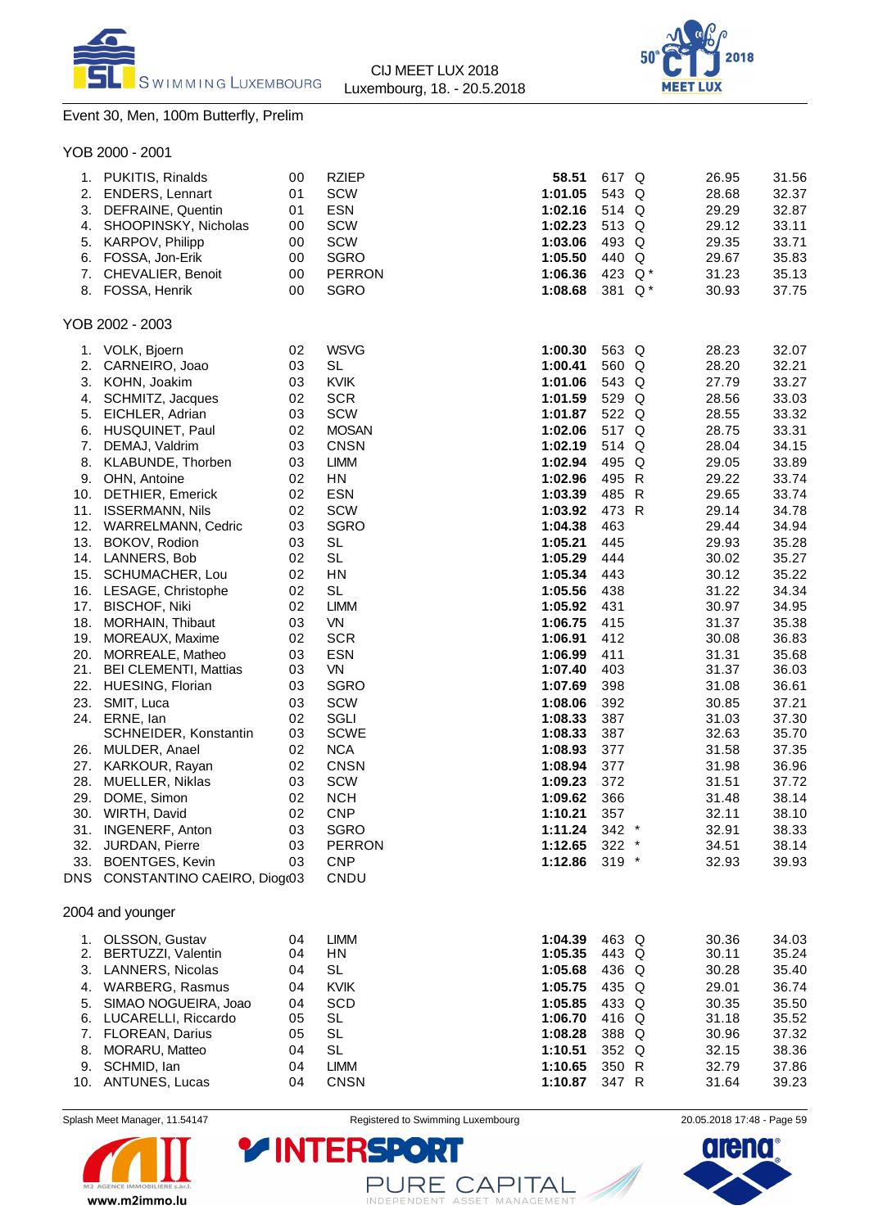



## Event 30, Men, 100m Butterfly, Prelim

|                        | YOB 2000 - 2001                                                                                                                                                                                                                                                                                                                                                                                                                                                                                                                                                                                                                                                                              |                                                                                                                                                                                        |                                                                                                                                                                                                                                                                                                                                                                                             |                                                                                                                                                                                                                                                                                                                                                   |                                                                                                                                                                                                                                                 |                                                                                                                                                                                                                                                                                     |                                                                                                                                                                                                                                                                                     |
|------------------------|----------------------------------------------------------------------------------------------------------------------------------------------------------------------------------------------------------------------------------------------------------------------------------------------------------------------------------------------------------------------------------------------------------------------------------------------------------------------------------------------------------------------------------------------------------------------------------------------------------------------------------------------------------------------------------------------|----------------------------------------------------------------------------------------------------------------------------------------------------------------------------------------|---------------------------------------------------------------------------------------------------------------------------------------------------------------------------------------------------------------------------------------------------------------------------------------------------------------------------------------------------------------------------------------------|---------------------------------------------------------------------------------------------------------------------------------------------------------------------------------------------------------------------------------------------------------------------------------------------------------------------------------------------------|-------------------------------------------------------------------------------------------------------------------------------------------------------------------------------------------------------------------------------------------------|-------------------------------------------------------------------------------------------------------------------------------------------------------------------------------------------------------------------------------------------------------------------------------------|-------------------------------------------------------------------------------------------------------------------------------------------------------------------------------------------------------------------------------------------------------------------------------------|
| 6.                     | 1. PUKITIS, Rinalds<br>2. ENDERS, Lennart<br>3. DEFRAINE, Quentin<br>4. SHOOPINSKY, Nicholas<br>5. KARPOV, Philipp<br>FOSSA, Jon-Erik<br>7. CHEVALIER, Benoit<br>8. FOSSA, Henrik                                                                                                                                                                                                                                                                                                                                                                                                                                                                                                            | 00<br>01<br>01<br>00<br>00<br>00<br>00<br>00                                                                                                                                           | <b>RZIEP</b><br>SCW<br><b>ESN</b><br>SCW<br>SCW<br><b>SGRO</b><br><b>PERRON</b><br><b>SGRO</b>                                                                                                                                                                                                                                                                                              | 58.51<br>1:01.05<br>1:02.16<br>1:02.23<br>1:03.06<br>1:05.50<br>1:06.36<br>1:08.68                                                                                                                                                                                                                                                                | 617 Q<br>543 Q<br>514 Q<br>513 Q<br>493 Q<br>440 Q<br>423 Q*<br>381 Q*                                                                                                                                                                          | 26.95<br>28.68<br>29.29<br>29.12<br>29.35<br>29.67<br>31.23<br>30.93                                                                                                                                                                                                                | 31.56<br>32.37<br>32.87<br>33.11<br>33.71<br>35.83<br>35.13<br>37.75                                                                                                                                                                                                                |
|                        | YOB 2002 - 2003                                                                                                                                                                                                                                                                                                                                                                                                                                                                                                                                                                                                                                                                              |                                                                                                                                                                                        |                                                                                                                                                                                                                                                                                                                                                                                             |                                                                                                                                                                                                                                                                                                                                                   |                                                                                                                                                                                                                                                 |                                                                                                                                                                                                                                                                                     |                                                                                                                                                                                                                                                                                     |
| 4.<br>5.<br>27.<br>28. | 1. VOLK, Bjoern<br>2. CARNEIRO, Joao<br>3. KOHN, Joakim<br>SCHMITZ, Jacques<br>EICHLER, Adrian<br>6. HUSQUINET, Paul<br>7. DEMAJ, Valdrim<br>8. KLABUNDE, Thorben<br>9. OHN, Antoine<br>10. DETHIER, Emerick<br>11. ISSERMANN, Nils<br>12. WARRELMANN, Cedric<br>13. BOKOV, Rodion<br>14. LANNERS, Bob<br>15. SCHUMACHER, Lou<br>16. LESAGE, Christophe<br>17. BISCHOF, Niki<br>18. MORHAIN, Thibaut<br>19. MOREAUX, Maxime<br>20. MORREALE, Matheo<br>21. BEI CLEMENTI, Mattias<br>22. HUESING, Florian<br>23. SMIT, Luca<br>24. ERNE, lan<br>SCHNEIDER, Konstantin<br>26. MULDER, Anael<br>KARKOUR, Rayan<br>MUELLER, Niklas<br>29. DOME, Simon<br>30. WIRTH, David<br>31. INGENERF, Anton | 02<br>03<br>03<br>02<br>03<br>02<br>03<br>03<br>02<br>02<br>02<br>03<br>03<br>02<br>02<br>02<br>02<br>03<br>02<br>03<br>03<br>03<br>03<br>02<br>03<br>02<br>02<br>03<br>02<br>02<br>03 | <b>WSVG</b><br><b>SL</b><br><b>KVIK</b><br><b>SCR</b><br>SCW<br><b>MOSAN</b><br><b>CNSN</b><br><b>LIMM</b><br>HN<br><b>ESN</b><br>SCW<br><b>SGRO</b><br><b>SL</b><br><b>SL</b><br>HN<br><b>SL</b><br><b>LIMM</b><br><b>VN</b><br><b>SCR</b><br><b>ESN</b><br>VN<br><b>SGRO</b><br>SCW<br>SGLI<br><b>SCWE</b><br><b>NCA</b><br><b>CNSN</b><br>SCW<br><b>NCH</b><br><b>CNP</b><br><b>SGRO</b> | 1:00.30<br>1:00.41<br>1:01.06<br>1:01.59<br>1:01.87<br>1:02.06<br>1:02.19<br>1:02.94<br>1:02.96<br>1:03.39<br>1:03.92<br>1:04.38<br>1:05.21<br>1:05.29<br>1:05.34<br>1:05.56<br>1:05.92<br>1:06.75<br>1:06.91<br>1:06.99<br>1:07.40<br>1:07.69<br>1:08.06<br>1:08.33<br>1:08.33<br>1:08.93<br>1:08.94<br>1:09.23<br>1:09.62<br>1:10.21<br>1:11.24 | 563 Q<br>560 Q<br>543 Q<br>529 Q<br>522 Q<br>517 Q<br>514 Q<br>495 Q<br>495 R<br>485 R<br>473 R<br>463<br>445<br>444<br>443<br>438<br>431<br>415<br>412<br>411<br>403<br>398<br>392<br>387<br>387<br>377<br>377<br>372<br>366<br>357<br>$342$ * | 28.23<br>28.20<br>27.79<br>28.56<br>28.55<br>28.75<br>28.04<br>29.05<br>29.22<br>29.65<br>29.14<br>29.44<br>29.93<br>30.02<br>30.12<br>31.22<br>30.97<br>31.37<br>30.08<br>31.31<br>31.37<br>31.08<br>30.85<br>31.03<br>32.63<br>31.58<br>31.98<br>31.51<br>31.48<br>32.11<br>32.91 | 32.07<br>32.21<br>33.27<br>33.03<br>33.32<br>33.31<br>34.15<br>33.89<br>33.74<br>33.74<br>34.78<br>34.94<br>35.28<br>35.27<br>35.22<br>34.34<br>34.95<br>35.38<br>36.83<br>35.68<br>36.03<br>36.61<br>37.21<br>37.30<br>35.70<br>37.35<br>36.96<br>37.72<br>38.14<br>38.10<br>38.33 |
| 32.                    | <b>JURDAN, Pierre</b><br>33. BOENTGES, Kevin                                                                                                                                                                                                                                                                                                                                                                                                                                                                                                                                                                                                                                                 | 03<br>03                                                                                                                                                                               | <b>PERRON</b><br><b>CNP</b>                                                                                                                                                                                                                                                                                                                                                                 | 1:12.65<br>1:12.86                                                                                                                                                                                                                                                                                                                                | $322 *$<br>$319 *$                                                                                                                                                                                                                              | 34.51<br>32.93                                                                                                                                                                                                                                                                      | 38.14<br>39.93                                                                                                                                                                                                                                                                      |
|                        | DNS CONSTANTINO CAEIRO, Diogr03                                                                                                                                                                                                                                                                                                                                                                                                                                                                                                                                                                                                                                                              |                                                                                                                                                                                        | CNDU                                                                                                                                                                                                                                                                                                                                                                                        |                                                                                                                                                                                                                                                                                                                                                   |                                                                                                                                                                                                                                                 |                                                                                                                                                                                                                                                                                     |                                                                                                                                                                                                                                                                                     |
|                        | 2004 and younger                                                                                                                                                                                                                                                                                                                                                                                                                                                                                                                                                                                                                                                                             |                                                                                                                                                                                        |                                                                                                                                                                                                                                                                                                                                                                                             |                                                                                                                                                                                                                                                                                                                                                   |                                                                                                                                                                                                                                                 |                                                                                                                                                                                                                                                                                     |                                                                                                                                                                                                                                                                                     |
| 5.<br>8.               | 1. OLSSON, Gustav<br>2. BERTUZZI, Valentin<br>3. LANNERS, Nicolas<br>4. WARBERG, Rasmus<br>SIMAO NOGUEIRA, Joao<br>6. LUCARELLI, Riccardo<br>7. FLOREAN, Darius<br>MORARU, Matteo                                                                                                                                                                                                                                                                                                                                                                                                                                                                                                            | 04<br>04<br>04<br>04<br>04<br>05<br>05<br>04                                                                                                                                           | <b>LIMM</b><br>HN<br><b>SL</b><br><b>KVIK</b><br><b>SCD</b><br>SL<br><b>SL</b><br><b>SL</b>                                                                                                                                                                                                                                                                                                 | 1:04.39<br>1:05.35<br>1:05.68<br>1:05.75<br>1:05.85<br>1:06.70<br>1:08.28<br>1:10.51                                                                                                                                                                                                                                                              | 463 Q<br>443 Q<br>436 Q<br>435 Q<br>433 Q<br>416 Q<br>388 Q<br>352 Q                                                                                                                                                                            | 30.36<br>30.11<br>30.28<br>29.01<br>30.35<br>31.18<br>30.96<br>32.15                                                                                                                                                                                                                | 34.03<br>35.24<br>35.40<br>36.74<br>35.50<br>35.52<br>37.32<br>38.36                                                                                                                                                                                                                |
|                        | 9. SCHMID, lan<br>10. ANTUNES, Lucas                                                                                                                                                                                                                                                                                                                                                                                                                                                                                                                                                                                                                                                         | 04<br>04                                                                                                                                                                               | <b>LIMM</b><br><b>CNSN</b>                                                                                                                                                                                                                                                                                                                                                                  | 1:10.65<br>1:10.87                                                                                                                                                                                                                                                                                                                                | 350 R<br>347 R                                                                                                                                                                                                                                  | 32.79<br>31.64                                                                                                                                                                                                                                                                      | 37.86<br>39.23                                                                                                                                                                                                                                                                      |

Splash Meet Manager, 11.54147 **Registered to Swimming Luxembourg** 20.05.2018 17:48 - Page 59



PURE CAPITAL

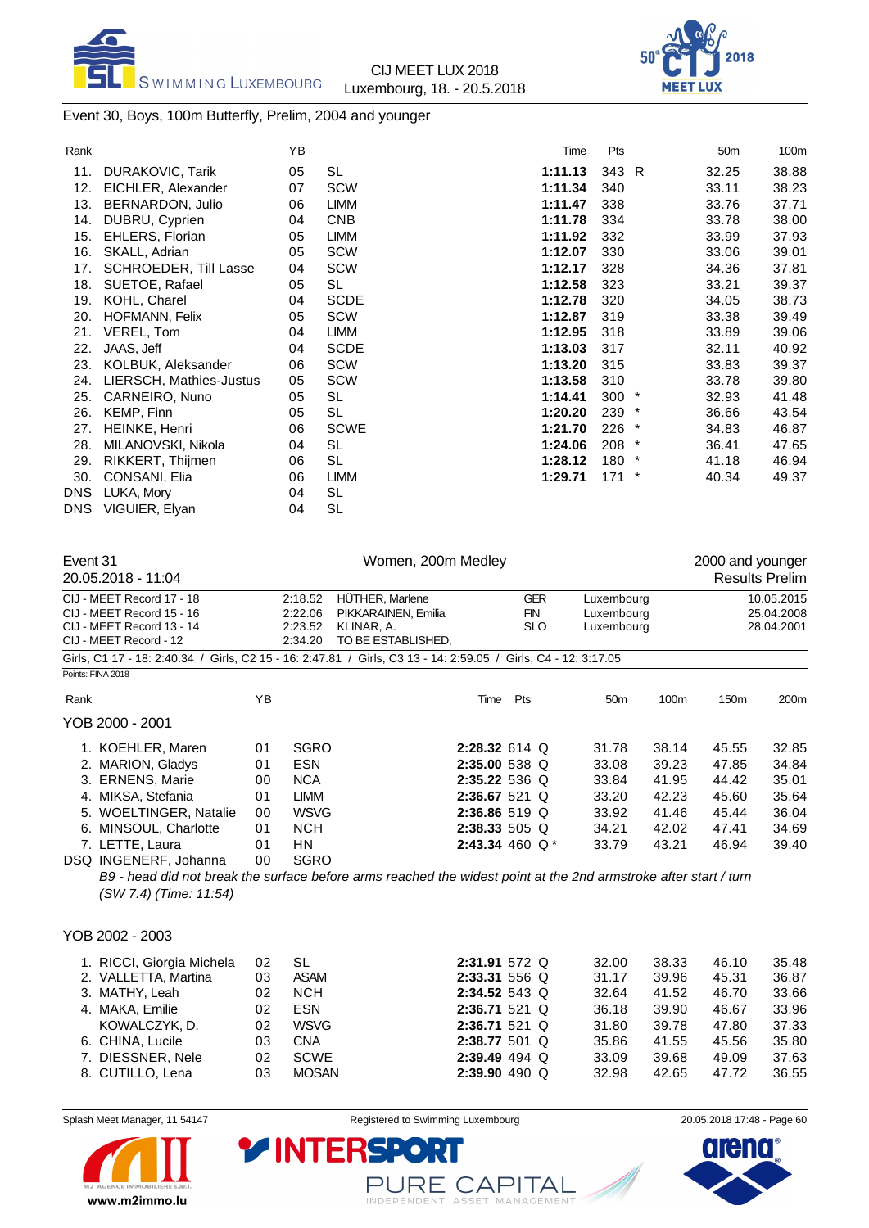



## Event 30, Boys, 100m Butterfly, Prelim, 2004 and younger

| Rank |                              | YB |             | Time    | Pts     |         | 50 <sub>m</sub> | 100m  |
|------|------------------------------|----|-------------|---------|---------|---------|-----------------|-------|
| 11.  | <b>DURAKOVIC, Tarik</b>      | 05 | <b>SL</b>   | 1:11.13 | 343 R   |         | 32.25           | 38.88 |
| 12.  | EICHLER, Alexander           | 07 | SCW         | 1:11.34 | 340     |         | 33.11           | 38.23 |
| 13.  | BERNARDON, Julio             | 06 | LIMM        | 1:11.47 | 338     |         | 33.76           | 37.71 |
| 14.  | DUBRU, Cyprien               | 04 | <b>CNB</b>  | 1:11.78 | 334     |         | 33.78           | 38.00 |
| 15.  | EHLERS, Florian              | 05 | <b>LIMM</b> | 1:11.92 | 332     |         | 33.99           | 37.93 |
| 16.  | SKALL, Adrian                | 05 | SCW         | 1:12.07 | 330     |         | 33.06           | 39.01 |
| 17.  | <b>SCHROEDER, Till Lasse</b> | 04 | <b>SCW</b>  | 1:12.17 | 328     |         | 34.36           | 37.81 |
| 18.  | SUETOE, Rafael               | 05 | SL          | 1:12.58 | 323     |         | 33.21           | 39.37 |
| 19.  | KOHL, Charel                 | 04 | <b>SCDE</b> | 1:12.78 | 320     |         | 34.05           | 38.73 |
| 20.  | <b>HOFMANN, Felix</b>        | 05 | SCW         | 1:12.87 | 319     |         | 33.38           | 39.49 |
| 21.  | VEREL, Tom                   | 04 | <b>LIMM</b> | 1:12.95 | 318     |         | 33.89           | 39.06 |
| 22.  | JAAS, Jeff                   | 04 | <b>SCDE</b> | 1:13.03 | 317     |         | 32.11           | 40.92 |
| 23.  | KOLBUK, Aleksander           | 06 | SCW         | 1:13.20 | 315     |         | 33.83           | 39.37 |
| 24.  | LIERSCH, Mathies-Justus      | 05 | <b>SCW</b>  | 1:13.58 | 310     |         | 33.78           | 39.80 |
| 25.  | CARNEIRO, Nuno               | 05 | SL          | 1:14.41 | $300 *$ |         | 32.93           | 41.48 |
| 26.  | KEMP, Finn                   | 05 | SL          | 1:20.20 | 239 *   |         | 36.66           | 43.54 |
| 27.  | HEINKE, Henri                | 06 | <b>SCWE</b> | 1:21.70 | 226     | $\star$ | 34.83           | 46.87 |
| 28.  | MILANOVSKI, Nikola           | 04 | <b>SL</b>   | 1:24.06 | $208$ * |         | 36.41           | 47.65 |
| 29.  | RIKKERT, Thijmen             | 06 | SL          | 1:28.12 | 180     | $\ast$  | 41.18           | 46.94 |
| 30.  | CONSANI, Elia                | 06 | <b>LIMM</b> | 1:29.71 | 171     | $\ast$  | 40.34           | 49.37 |
| DNS. | LUKA, Mory                   | 04 | SL          |         |         |         |                 |       |
| DNS. | VIGUIER, Elyan               | 04 | <b>SL</b>   |         |         |         |                 |       |
|      |                              |    |             |         |         |         |                 |       |

| Event 31                                                                                                       |    | Women, 200m Medley |                                                                                                                  |                   |                 |       | 2000 and younger |                  |  |
|----------------------------------------------------------------------------------------------------------------|----|--------------------|------------------------------------------------------------------------------------------------------------------|-------------------|-----------------|-------|------------------|------------------|--|
| 20.05.2018 - 11:04                                                                                             |    |                    |                                                                                                                  |                   |                 |       |                  | Results Prelim   |  |
| CIJ - MEET Record 17 - 18                                                                                      |    | 2:18.52            | HÜTHER, Marlene                                                                                                  | <b>GER</b>        | Luxembourg      |       |                  | 10.05.2015       |  |
| CIJ - MEET Record 15 - 16                                                                                      |    | 2:22.06            | PIKKARAINEN, Emilia                                                                                              | <b>FIN</b>        | Luxembourg      |       |                  | 25.04.2008       |  |
| CIJ - MEET Record 13 - 14                                                                                      |    | 2:23.52            | KLINAR, A.                                                                                                       | <b>SLO</b>        | Luxembourg      |       |                  | 28.04.2001       |  |
| CIJ - MEET Record - 12                                                                                         |    | 2:34.20            | TO BE ESTABLISHED.                                                                                               |                   |                 |       |                  |                  |  |
| Girls, C1 17 - 18: 2:40.34 / Girls, C2 15 - 16: 2:47.81 / Girls, C3 13 - 14: 2:59.05 / Girls, C4 - 12: 3:17.05 |    |                    |                                                                                                                  |                   |                 |       |                  |                  |  |
| Points: FINA 2018                                                                                              |    |                    |                                                                                                                  |                   |                 |       |                  |                  |  |
| Rank                                                                                                           | YB |                    | Time                                                                                                             | Pts               | 50 <sub>m</sub> | 100m  | 150m             | 200 <sub>m</sub> |  |
| YOB 2000 - 2001                                                                                                |    |                    |                                                                                                                  |                   |                 |       |                  |                  |  |
| 1. KOEHLER, Maren                                                                                              | 01 | <b>SGRO</b>        |                                                                                                                  | $2:28.32614$ Q    | 31.78           | 38.14 | 45.55            | 32.85            |  |
| 2. MARION, Gladys                                                                                              | 01 | <b>ESN</b>         |                                                                                                                  | 2:35.00 538 Q     | 33.08           | 39.23 | 47.85            | 34.84            |  |
| 3. ERNENS, Marie                                                                                               | 00 | <b>NCA</b>         |                                                                                                                  | $2:35.22536$ Q    | 33.84           | 41.95 | 44.42            | 35.01            |  |
| 4. MIKSA, Stefania                                                                                             | 01 | <b>LIMM</b>        |                                                                                                                  | 2:36.67 521 Q     | 33.20           | 42.23 | 45.60            | 35.64            |  |
| 5. WOELTINGER, Natalie                                                                                         | 00 | <b>WSVG</b>        |                                                                                                                  | 2:36.86 519 Q     | 33.92           | 41.46 | 45.44            | 36.04            |  |
| 6. MINSOUL, Charlotte                                                                                          | 01 | <b>NCH</b>         |                                                                                                                  | $2:38.33505$ Q    | 34.21           | 42.02 | 47.41            | 34.69            |  |
| 7. LETTE, Laura                                                                                                | 01 | HN.                |                                                                                                                  | 2:43.34 460 $Q^*$ | 33.79           | 43.21 | 46.94            | 39.40            |  |
| DSQ INGENERF, Johanna                                                                                          | 00 | <b>SGRO</b>        |                                                                                                                  |                   |                 |       |                  |                  |  |
|                                                                                                                |    |                    | B9 - head did not break the surface before arms reached the widest point at the 2nd armstroke after start / turn |                   |                 |       |                  |                  |  |
| (SW 7.4) (Time: 11:54)                                                                                         |    |                    |                                                                                                                  |                   |                 |       |                  |                  |  |
|                                                                                                                |    |                    |                                                                                                                  |                   |                 |       |                  |                  |  |
|                                                                                                                |    |                    |                                                                                                                  |                   |                 |       |                  |                  |  |
| YOB 2002 - 2003                                                                                                |    |                    |                                                                                                                  |                   |                 |       |                  |                  |  |

| 1. RICCI, Giorgia Michela<br>02<br>2. VALLETTA, Martina<br>03<br>3. MATHY, Leah<br>02<br>4. MAKA, Emilie<br>02<br>KOWALCZYK, D.<br>02<br>6. CHINA, Lucile<br>03<br>7. DIESSNER, Nele<br>02 | SL<br><b>ASAM</b><br><b>NCH</b><br><b>ESN</b><br><b>WSVG</b><br>CNA<br>SCWE | 2:31.91 572 Q<br>2:33.31 556 Q<br>$2:34.52543$ Q<br>$2:36.71521$ Q<br>2:36.71521<br>$2:38.77501$ Q<br>$2:39.49$ 494 Q | 32.00<br>31.17<br>32.64<br>36.18<br>31.80<br>35.86<br>33.09 | 38.33<br>39.96<br>41.52<br>39.90<br>39.78<br>41.55<br>39.68 | 46.10<br>45.31<br>46.70<br>46.67<br>47.80<br>45.56<br>49.09 | 35.48<br>36.87<br>33.66<br>33.96<br>37.33<br>35.80<br>37.63 |
|--------------------------------------------------------------------------------------------------------------------------------------------------------------------------------------------|-----------------------------------------------------------------------------|-----------------------------------------------------------------------------------------------------------------------|-------------------------------------------------------------|-------------------------------------------------------------|-------------------------------------------------------------|-------------------------------------------------------------|
| 8. CUTILLO, Lena<br>03                                                                                                                                                                     | <b>MOSAN</b>                                                                | 2:39.90 490 Q                                                                                                         | 32.98                                                       | 42.65                                                       | 47.72                                                       | 36.55                                                       |

Splash Meet Manager, 11.54147 **Registered to Swimming Luxembourg** 20.05.2018 17:48 - Page 60



PURE CAPITAL

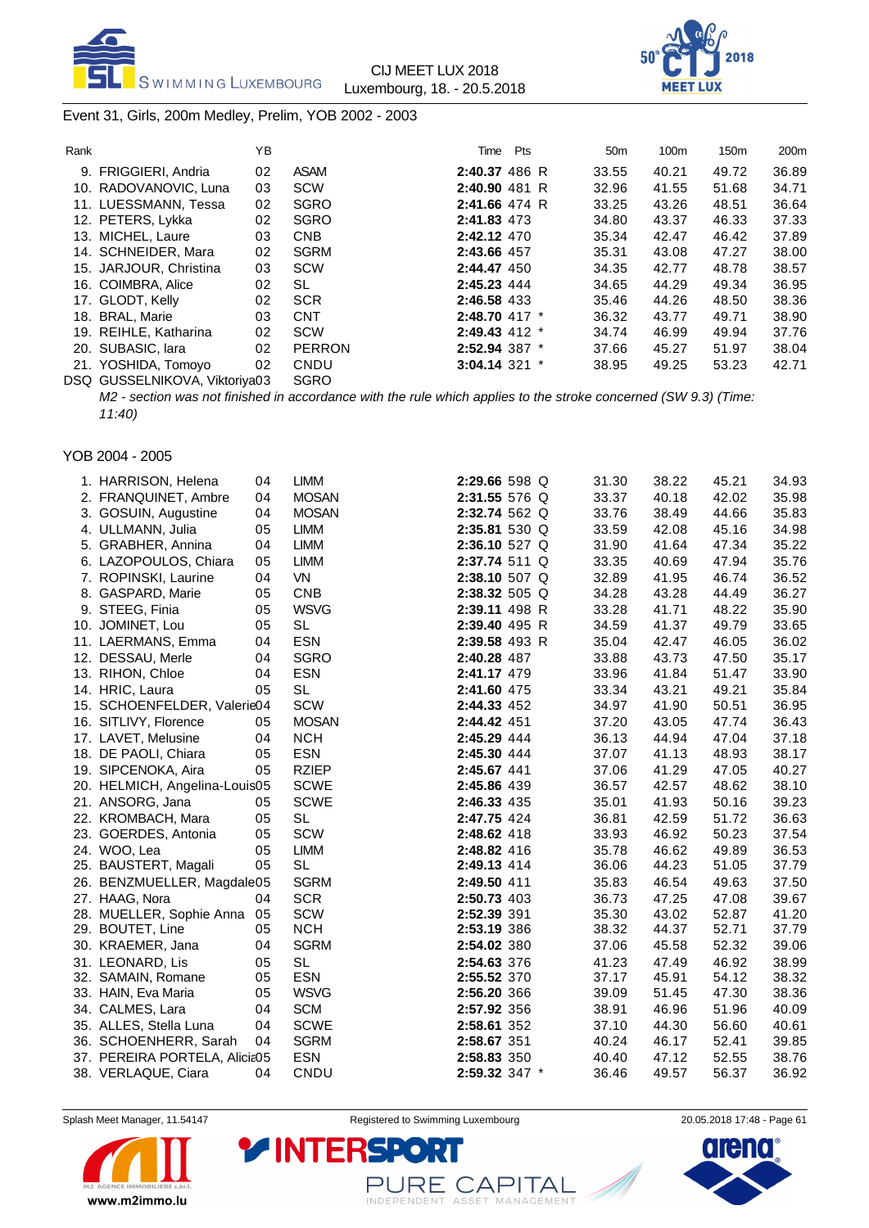



### Event 31, Girls, 200m Medley, Prelim, YOB 2002 - 2003

| Rank |                               | YΒ |               | Time              | Pts | 50 <sub>m</sub> | 100m  | 150m  | 200 <sub>m</sub> |
|------|-------------------------------|----|---------------|-------------------|-----|-----------------|-------|-------|------------------|
|      | 9. FRIGGIERI, Andria          | 02 | <b>ASAM</b>   | 2:40.37 486 R     |     | 33.55           | 40.21 | 49.72 | 36.89            |
|      | 10. RADOVANOVIC, Luna         | 03 | <b>SCW</b>    | $2:40.90$ 481 R   |     | 32.96           | 41.55 | 51.68 | 34.71            |
|      | 11. LUESSMANN, Tessa          | 02 | <b>SGRO</b>   | $2:41.66$ 474 R   |     | 33.25           | 43.26 | 48.51 | 36.64            |
|      | 12. PETERS, Lykka             | 02 | <b>SGRO</b>   | 2:41.83 473       |     | 34.80           | 43.37 | 46.33 | 37.33            |
|      | 13. MICHEL, Laure             | 03 | <b>CNB</b>    | 2:42.12 470       |     | 35.34           | 42.47 | 46.42 | 37.89            |
|      | 14. SCHNEIDER, Mara           | 02 | <b>SGRM</b>   | 2:43.66 457       |     | 35.31           | 43.08 | 47.27 | 38.00            |
|      | 15. JARJOUR, Christina        | 03 | <b>SCW</b>    | 2:44.47 450       |     | 34.35           | 42.77 | 48.78 | 38.57            |
|      | 16. COIMBRA, Alice            | 02 | SL            | 2:45.23 444       |     | 34.65           | 44.29 | 49.34 | 36.95            |
|      | 17. GLODT, Kelly              | 02 | <b>SCR</b>    | 2:46.58 433       |     | 35.46           | 44.26 | 48.50 | 38.36            |
|      | 18. BRAL, Marie               | 03 | <b>CNT</b>    | 2:48.70 417 *     |     | 36.32           | 43.77 | 49.71 | 38.90            |
|      | 19. REIHLE, Katharina         | 02 | SCW           | $2:49.43$ 412 $*$ |     | 34.74           | 46.99 | 49.94 | 37.76            |
|      | 20. SUBASIC, lara             | 02 | <b>PERRON</b> | 2:52.94 387 *     |     | 37.66           | 45.27 | 51.97 | 38.04            |
|      | 21. YOSHIDA, Tomoyo           | 02 | CNDU          | $3:04.14$ 321 $*$ |     | 38.95           | 49.25 | 53.23 | 42.71            |
|      | DSQ GUSSELNIKOVA, Viktoriva03 |    | <b>SGRO</b>   |                   |     |                 |       |       |                  |

*M2 - section was not finished in accordance with the rule which applies to the stroke concerned (SW 9.3) (Time: 11:40)*

## YOB 2004 - 2005

| 1. HARRISON, Helena           | 04 | <b>LIMM</b>  | 2:29.66 598 Q | 31.30 | 38.22 | 45.21 | 34.93 |
|-------------------------------|----|--------------|---------------|-------|-------|-------|-------|
| 2. FRANQUINET, Ambre          | 04 | <b>MOSAN</b> | 2:31.55 576 Q | 33.37 | 40.18 | 42.02 | 35.98 |
| 3. GOSUIN, Augustine          | 04 | <b>MOSAN</b> | 2:32.74 562 Q | 33.76 | 38.49 | 44.66 | 35.83 |
| 4. ULLMANN, Julia             | 05 | <b>LIMM</b>  | 2:35.81 530 Q | 33.59 | 42.08 | 45.16 | 34.98 |
| 5. GRABHER, Annina            | 04 | <b>LIMM</b>  | 2:36.10 527 Q | 31.90 | 41.64 | 47.34 | 35.22 |
| 6. LAZOPOULOS, Chiara         | 05 | <b>LIMM</b>  | 2:37.74 511 Q | 33.35 | 40.69 | 47.94 | 35.76 |
| 7. ROPINSKI, Laurine          | 04 | <b>VN</b>    | 2:38.10 507 Q | 32.89 | 41.95 | 46.74 | 36.52 |
| 8. GASPARD, Marie             | 05 | <b>CNB</b>   | 2:38.32 505 Q | 34.28 | 43.28 | 44.49 | 36.27 |
| 9. STEEG, Finia               | 05 | <b>WSVG</b>  | 2:39.11 498 R | 33.28 | 41.71 | 48.22 | 35.90 |
| 10. JOMINET, Lou              | 05 | <b>SL</b>    | 2:39.40 495 R | 34.59 | 41.37 | 49.79 | 33.65 |
| 11. LAERMANS, Emma            | 04 | <b>ESN</b>   | 2:39.58 493 R | 35.04 | 42.47 | 46.05 | 36.02 |
| 12. DESSAU, Merle             | 04 | <b>SGRO</b>  | 2:40.28 487   | 33.88 | 43.73 | 47.50 | 35.17 |
| 13. RIHON, Chloe              | 04 | <b>ESN</b>   | 2:41.17 479   | 33.96 | 41.84 | 51.47 | 33.90 |
| 14. HRIC, Laura               | 05 | <b>SL</b>    | 2:41.60 475   | 33.34 | 43.21 | 49.21 | 35.84 |
| 15. SCHOENFELDER, Valerie04   |    | <b>SCW</b>   | 2:44.33 452   | 34.97 | 41.90 | 50.51 | 36.95 |
| 16. SITLIVY, Florence         | 05 | <b>MOSAN</b> | 2:44.42 451   | 37.20 | 43.05 | 47.74 | 36.43 |
| 17. LAVET, Melusine           | 04 | <b>NCH</b>   | 2:45.29 444   | 36.13 | 44.94 | 47.04 | 37.18 |
| 18. DE PAOLI, Chiara          | 05 | <b>ESN</b>   | 2:45.30 444   | 37.07 | 41.13 | 48.93 | 38.17 |
| 19. SIPCENOKA, Aira           | 05 | <b>RZIEP</b> | 2:45.67 441   | 37.06 | 41.29 | 47.05 | 40.27 |
| 20. HELMICH, Angelina-Louis05 |    | <b>SCWE</b>  | 2:45.86 439   | 36.57 | 42.57 | 48.62 | 38.10 |
| 21. ANSORG, Jana              | 05 | <b>SCWE</b>  | 2:46.33 435   | 35.01 | 41.93 | 50.16 | 39.23 |
| 22. KROMBACH, Mara            | 05 | <b>SL</b>    | 2:47.75 424   | 36.81 | 42.59 | 51.72 | 36.63 |
| 23. GOERDES, Antonia          | 05 | SCW          | 2:48.62 418   | 33.93 | 46.92 | 50.23 | 37.54 |
| 24. WOO, Lea                  | 05 | <b>LIMM</b>  | 2:48.82 416   | 35.78 | 46.62 | 49.89 | 36.53 |
| 25. BAUSTERT, Magali          | 05 | SL           | 2:49.13 414   | 36.06 | 44.23 | 51.05 | 37.79 |
| 26. BENZMUELLER, Magdale05    |    | <b>SGRM</b>  | 2:49.50 411   | 35.83 | 46.54 | 49.63 | 37.50 |
| 27. HAAG, Nora                | 04 | <b>SCR</b>   | 2:50.73 403   | 36.73 | 47.25 | 47.08 | 39.67 |
| 28. MUELLER, Sophie Anna      | 05 | <b>SCW</b>   | 2:52.39 391   | 35.30 | 43.02 | 52.87 | 41.20 |
| 29. BOUTET, Line              | 05 | <b>NCH</b>   | 2:53.19 386   | 38.32 | 44.37 | 52.71 | 37.79 |
| 30. KRAEMER, Jana             | 04 | <b>SGRM</b>  | 2:54.02 380   | 37.06 | 45.58 | 52.32 | 39.06 |
| 31. LEONARD, Lis              | 05 | <b>SL</b>    | 2:54.63 376   | 41.23 | 47.49 | 46.92 | 38.99 |
| 32. SAMAIN, Romane            | 05 | <b>ESN</b>   | 2:55.52 370   | 37.17 | 45.91 | 54.12 | 38.32 |
| 33. HAIN, Eva Maria           | 05 | <b>WSVG</b>  | 2:56.20 366   | 39.09 | 51.45 | 47.30 | 38.36 |
| 34. CALMES, Lara              | 04 | <b>SCM</b>   | 2:57.92 356   | 38.91 | 46.96 | 51.96 | 40.09 |
| 35. ALLES, Stella Luna        | 04 | <b>SCWE</b>  | 2:58.61 352   | 37.10 | 44.30 | 56.60 | 40.61 |
| 36. SCHOENHERR, Sarah         | 04 | <b>SGRM</b>  | 2:58.67 351   | 40.24 | 46.17 | 52.41 | 39.85 |
| 37. PEREIRA PORTELA, Alicia05 |    | <b>ESN</b>   | 2:58.83 350   | 40.40 | 47.12 | 52.55 | 38.76 |
| 38. VERLAQUE, Ciara           | 04 | CNDU         | 2:59.32 347 * | 36.46 | 49.57 | 56.37 | 36.92 |
|                               |    |              |               |       |       |       |       |



Splash Meet Manager, 11.54147 **Registered to Swimming Luxembourg** 20.05.2018 17:48 - Page 61

PURE CAPITAL

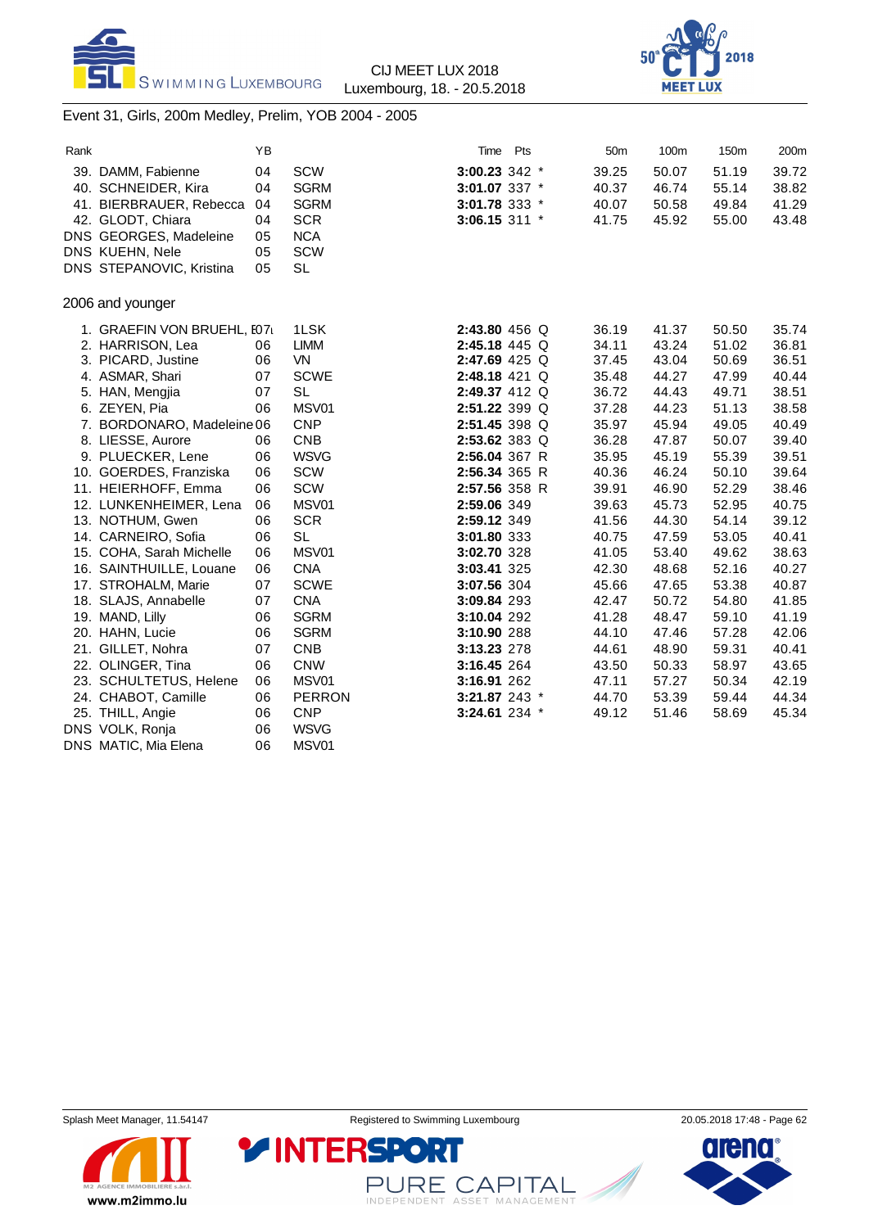



### Event 31, Girls, 200m Medley, Prelim, YOB 2004 - 2005

| Rank |                            | ΥB |               | Time          | <b>Pts</b> | 50 <sub>m</sub> | 100m  | 150m  | 200m  |
|------|----------------------------|----|---------------|---------------|------------|-----------------|-------|-------|-------|
|      | 39. DAMM, Fabienne         | 04 | SCW           | 3:00.23 342 * |            | 39.25           | 50.07 | 51.19 | 39.72 |
|      | 40. SCHNEIDER, Kira        | 04 | <b>SGRM</b>   | 3:01.07 337 * |            | 40.37           | 46.74 | 55.14 | 38.82 |
|      | 41. BIERBRAUER, Rebecca    | 04 | <b>SGRM</b>   | 3:01.78 333 * |            | 40.07           | 50.58 | 49.84 | 41.29 |
|      | 42. GLODT, Chiara          | 04 | <b>SCR</b>    | 3:06.15 311 * |            | 41.75           | 45.92 | 55.00 | 43.48 |
|      | DNS GEORGES, Madeleine     | 05 | <b>NCA</b>    |               |            |                 |       |       |       |
|      | DNS KUEHN, Nele            | 05 | SCW           |               |            |                 |       |       |       |
|      | DNS STEPANOVIC, Kristina   | 05 | <b>SL</b>     |               |            |                 |       |       |       |
|      | 2006 and younger           |    |               |               |            |                 |       |       |       |
|      | 1. GRAEFIN VON BRUEHL, I07 |    | 1LSK          | 2:43.80 456 Q |            | 36.19           | 41.37 | 50.50 | 35.74 |
|      | 2. HARRISON, Lea           | 06 | <b>LIMM</b>   | 2:45.18 445 Q |            | 34.11           | 43.24 | 51.02 | 36.81 |
|      | 3. PICARD, Justine         | 06 | VN            | 2:47.69 425 Q |            | 37.45           | 43.04 | 50.69 | 36.51 |
|      | 4. ASMAR, Shari            | 07 | <b>SCWE</b>   | 2:48.18 421 Q |            | 35.48           | 44.27 | 47.99 | 40.44 |
|      | 5. HAN, Mengjia            | 07 | <b>SL</b>     | 2:49.37 412 Q |            | 36.72           | 44.43 | 49.71 | 38.51 |
|      | 6. ZEYEN, Pia              | 06 | MSV01         | 2:51.22 399 Q |            | 37.28           | 44.23 | 51.13 | 38.58 |
|      | 7. BORDONARO, Madeleine 06 |    | <b>CNP</b>    | 2:51.45 398 Q |            | 35.97           | 45.94 | 49.05 | 40.49 |
|      | 8. LIESSE, Aurore          | 06 | <b>CNB</b>    | 2:53.62 383 Q |            | 36.28           | 47.87 | 50.07 | 39.40 |
|      | 9. PLUECKER, Lene          | 06 | <b>WSVG</b>   | 2:56.04 367 R |            | 35.95           | 45.19 | 55.39 | 39.51 |
|      | 10. GOERDES, Franziska     | 06 | SCW           | 2:56.34 365 R |            | 40.36           | 46.24 | 50.10 | 39.64 |
|      | 11. HEIERHOFF, Emma        | 06 | SCW           | 2:57.56 358 R |            | 39.91           | 46.90 | 52.29 | 38.46 |
|      | 12. LUNKENHEIMER, Lena     | 06 | MSV01         | 2:59.06 349   |            | 39.63           | 45.73 | 52.95 | 40.75 |
|      | 13. NOTHUM, Gwen           | 06 | <b>SCR</b>    | 2:59.12 349   |            | 41.56           | 44.30 | 54.14 | 39.12 |
|      | 14. CARNEIRO, Sofia        | 06 | <b>SL</b>     | 3:01.80 333   |            | 40.75           | 47.59 | 53.05 | 40.41 |
|      | 15. COHA, Sarah Michelle   | 06 | MSV01         | 3:02.70 328   |            | 41.05           | 53.40 | 49.62 | 38.63 |
|      | 16. SAINTHUILLE, Louane    | 06 | <b>CNA</b>    | 3:03.41 325   |            | 42.30           | 48.68 | 52.16 | 40.27 |
|      | 17. STROHALM, Marie        | 07 | <b>SCWE</b>   | 3:07.56 304   |            | 45.66           | 47.65 | 53.38 | 40.87 |
|      | 18. SLAJS, Annabelle       | 07 | <b>CNA</b>    | 3:09.84 293   |            | 42.47           | 50.72 | 54.80 | 41.85 |
|      | 19. MAND, Lilly            | 06 | <b>SGRM</b>   | 3:10.04 292   |            | 41.28           | 48.47 | 59.10 | 41.19 |
|      | 20. HAHN, Lucie            | 06 | <b>SGRM</b>   | 3:10.90 288   |            | 44.10           | 47.46 | 57.28 | 42.06 |
|      | 21. GILLET, Nohra          | 07 | <b>CNB</b>    | 3:13.23 278   |            | 44.61           | 48.90 | 59.31 | 40.41 |
|      | 22. OLINGER, Tina          | 06 | <b>CNW</b>    | 3:16.45 264   |            | 43.50           | 50.33 | 58.97 | 43.65 |
|      | 23. SCHULTETUS, Helene     | 06 | MSV01         | 3:16.91 262   |            | 47.11           | 57.27 | 50.34 | 42.19 |
|      | 24. CHABOT, Camille        | 06 | <b>PERRON</b> | 3:21.87 243 * |            | 44.70           | 53.39 | 59.44 | 44.34 |
|      | 25. THILL, Angie           | 06 | <b>CNP</b>    | 3:24.61 234 * |            | 49.12           | 51.46 | 58.69 | 45.34 |
|      | DNS VOLK, Ronja            | 06 | <b>WSVG</b>   |               |            |                 |       |       |       |
|      | DNS MATIC, Mia Elena       | 06 | MSV01         |               |            |                 |       |       |       |



Splash Meet Manager, 11.54147 **Registered to Swimming Luxembourg** 20.05.2018 17:48 - Page 62

PURE CAPITAL

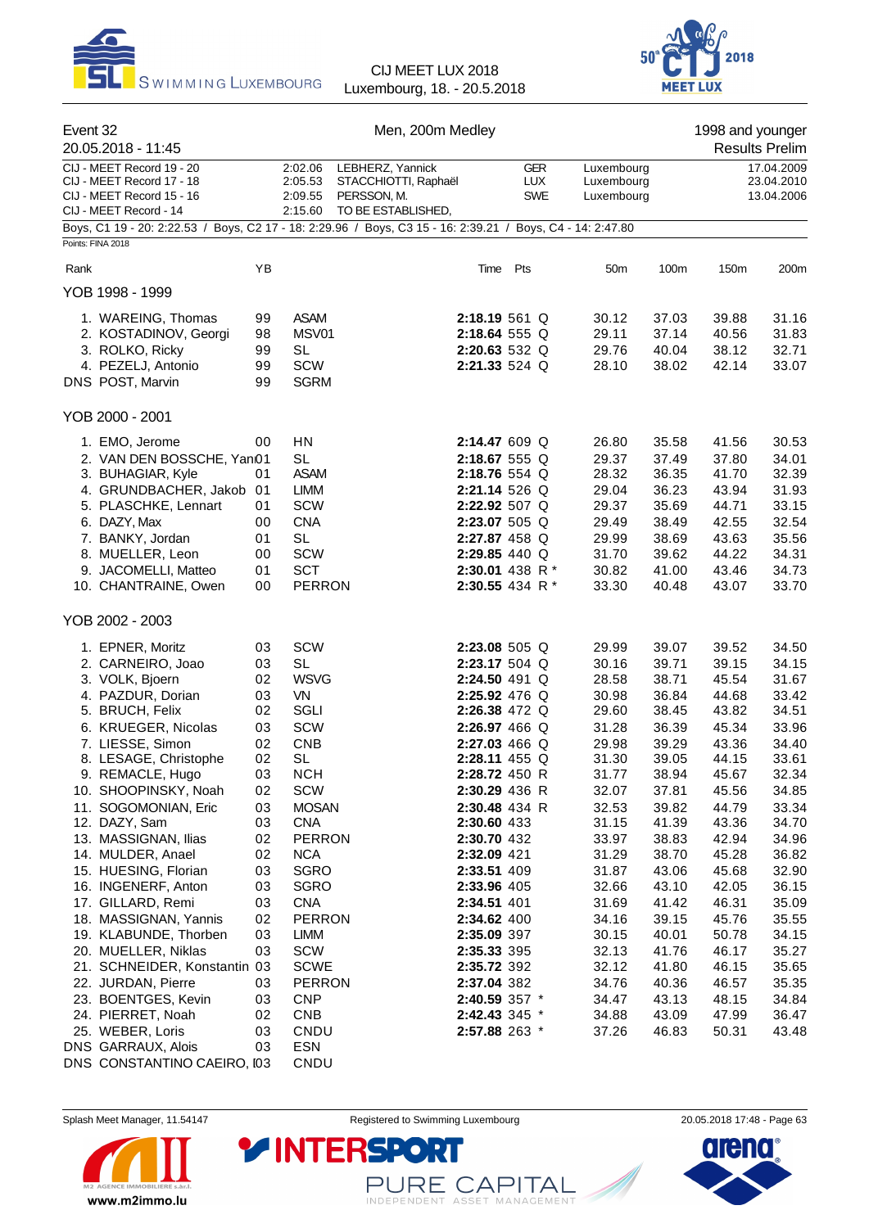



|      | Event 32<br>20.05.2018 - 11:45                                                                                |          | Men, 200m Medley                         |                                                                               |                                    |     |                                        |                                        |                | 1998 and younger<br><b>Results Prelim</b> |                                        |
|------|---------------------------------------------------------------------------------------------------------------|----------|------------------------------------------|-------------------------------------------------------------------------------|------------------------------------|-----|----------------------------------------|----------------------------------------|----------------|-------------------------------------------|----------------------------------------|
|      | CIJ - MEET Record 19 - 20<br>CIJ - MEET Record 17 - 18<br>CIJ - MEET Record 15 - 16<br>CIJ - MEET Record - 14 |          | 2:02.06<br>2:05.53<br>2:09.55<br>2:15.60 | LEBHERZ, Yannick<br>STACCHIOTTI, Raphaël<br>PERSSON, M.<br>TO BE ESTABLISHED, |                                    |     | <b>GER</b><br><b>LUX</b><br><b>SWE</b> | Luxembourg<br>Luxembourg<br>Luxembourg |                |                                           | 17.04.2009<br>23.04.2010<br>13.04.2006 |
|      | Boys, C1 19 - 20: 2:22.53 / Boys, C2 17 - 18: 2:29.96 / Boys, C3 15 - 16: 2:39.21 / Boys, C4 - 14: 2:47.80    |          |                                          |                                                                               |                                    |     |                                        |                                        |                |                                           |                                        |
|      | Points: FINA 2018                                                                                             |          |                                          |                                                                               |                                    |     |                                        |                                        |                |                                           |                                        |
| Rank |                                                                                                               | YB       |                                          |                                                                               | Time                               | Pts |                                        | 50 <sub>m</sub>                        | 100m           | 150m                                      | 200m                                   |
|      | YOB 1998 - 1999                                                                                               |          |                                          |                                                                               |                                    |     |                                        |                                        |                |                                           |                                        |
|      | 1. WAREING, Thomas                                                                                            | 99       | <b>ASAM</b>                              |                                                                               | 2:18.19 561 Q                      |     |                                        | 30.12                                  | 37.03          | 39.88                                     | 31.16                                  |
|      | 2. KOSTADINOV, Georgi                                                                                         | 98       | MSV01                                    |                                                                               | 2:18.64 555 Q                      |     |                                        | 29.11                                  | 37.14          | 40.56                                     | 31.83                                  |
|      | 3. ROLKO, Ricky<br>4. PEZELJ, Antonio                                                                         | 99<br>99 | <b>SL</b><br>SCW                         |                                                                               | 2:20.63 532 Q<br>2:21.33 524 Q     |     |                                        | 29.76<br>28.10                         | 40.04<br>38.02 | 38.12<br>42.14                            | 32.71<br>33.07                         |
|      | DNS POST, Marvin                                                                                              | 99       | <b>SGRM</b>                              |                                                                               |                                    |     |                                        |                                        |                |                                           |                                        |
|      | YOB 2000 - 2001                                                                                               |          |                                          |                                                                               |                                    |     |                                        |                                        |                |                                           |                                        |
|      | 1. EMO, Jerome                                                                                                | 00       | HN                                       |                                                                               | 2:14.47 609 Q                      |     |                                        | 26.80                                  | 35.58          | 41.56                                     | 30.53                                  |
|      | 2. VAN DEN BOSSCHE, Yan01                                                                                     |          | <b>SL</b>                                |                                                                               | 2:18.67 555 Q                      |     |                                        | 29.37                                  | 37.49          | 37.80                                     | 34.01                                  |
|      | 3. BUHAGIAR, Kyle                                                                                             | 01       | <b>ASAM</b>                              |                                                                               | 2:18.76 554 Q                      |     |                                        | 28.32                                  | 36.35          | 41.70                                     | 32.39                                  |
|      | 4. GRUNDBACHER, Jakob 01                                                                                      |          | <b>LIMM</b>                              |                                                                               | 2:21.14 526 Q                      |     |                                        | 29.04                                  | 36.23          | 43.94                                     | 31.93                                  |
|      | 5. PLASCHKE, Lennart                                                                                          | 01       | <b>SCW</b>                               |                                                                               | 2:22.92 507 Q                      |     |                                        | 29.37                                  | 35.69          | 44.71                                     | 33.15                                  |
|      | 6. DAZY, Max                                                                                                  | 00       | <b>CNA</b>                               |                                                                               | 2:23.07 505 Q                      |     |                                        | 29.49                                  | 38.49          | 42.55                                     | 32.54                                  |
|      | 7. BANKY, Jordan                                                                                              | 01       | <b>SL</b>                                |                                                                               | 2:27.87 458 Q                      |     |                                        | 29.99                                  | 38.69          | 43.63                                     | 35.56                                  |
|      | 8. MUELLER, Leon                                                                                              | 00       | <b>SCW</b>                               |                                                                               | 2:29.85 440 Q                      |     |                                        | 31.70                                  | 39.62          | 44.22                                     | 34.31                                  |
|      | 9. JACOMELLI, Matteo<br>10. CHANTRAINE, Owen                                                                  | 01<br>00 | <b>SCT</b><br><b>PERRON</b>              |                                                                               | 2:30.01 438 R *<br>2:30.55 434 R * |     |                                        | 30.82<br>33.30                         | 41.00<br>40.48 | 43.46<br>43.07                            | 34.73<br>33.70                         |
|      | YOB 2002 - 2003                                                                                               |          |                                          |                                                                               |                                    |     |                                        |                                        |                |                                           |                                        |
|      | 1. EPNER, Moritz                                                                                              | 03       | SCW                                      |                                                                               | 2:23.08 505 Q                      |     |                                        | 29.99                                  | 39.07          | 39.52                                     | 34.50                                  |
|      | 2. CARNEIRO, Joao                                                                                             | 03       | <b>SL</b>                                |                                                                               | 2:23.17 504 Q                      |     |                                        | 30.16                                  | 39.71          | 39.15                                     | 34.15                                  |
|      | 3. VOLK, Bjoern                                                                                               | 02       | <b>WSVG</b>                              |                                                                               | 2:24.50 491 Q                      |     |                                        | 28.58                                  | 38.71          | 45.54                                     | 31.67                                  |
|      | 4. PAZDUR, Dorian                                                                                             | 03       | VN                                       |                                                                               | 2:25.92 476 Q                      |     |                                        | 30.98                                  | 36.84          | 44.68                                     | 33.42                                  |
|      | 5. BRUCH, Felix                                                                                               | 02       | SGLI                                     |                                                                               | 2:26.38 472 Q                      |     |                                        | 29.60                                  | 38.45          | 43.82                                     | 34.51                                  |
|      | 6. KRUEGER, Nicolas                                                                                           | 03       | SCW                                      |                                                                               | 2:26.97 466 Q                      |     |                                        | 31.28                                  | 36.39          | 45.34                                     | 33.96                                  |
|      | 7. LIESSE, Simon                                                                                              | 02       | <b>CNB</b>                               |                                                                               | 2:27.03 466 Q                      |     |                                        | 29.98                                  | 39.29          | 43.36                                     | 34.40                                  |
|      | 8. LESAGE, Christophe                                                                                         | 02       | <b>SL</b>                                |                                                                               | 2:28.11 455 Q                      |     |                                        | 31.30                                  | 39.05          | 44.15                                     | 33.61                                  |
|      | 9. REMACLE, Hugo                                                                                              | 03       | <b>NCH</b>                               |                                                                               | 2:28.72 450 R                      |     |                                        | 31.77                                  | 38.94          | 45.67                                     | 32.34                                  |
|      | 10. SHOOPINSKY, Noah                                                                                          | 02       | SCW                                      |                                                                               | 2:30.29 436 R                      |     |                                        | 32.07                                  | 37.81          | 45.56                                     | 34.85                                  |
|      | 11. SOGOMONIAN, Eric                                                                                          | 03       | <b>MOSAN</b>                             |                                                                               | 2:30.48 434 R                      |     |                                        | 32.53                                  | 39.82          | 44.79                                     | 33.34                                  |
|      | 12. DAZY, Sam<br>13. MASSIGNAN, Ilias                                                                         | 03<br>02 | <b>CNA</b><br><b>PERRON</b>              |                                                                               | 2:30.60 433<br>2:30.70 432         |     |                                        | 31.15<br>33.97                         | 41.39<br>38.83 | 43.36<br>42.94                            | 34.70<br>34.96                         |
|      | 14. MULDER, Anael                                                                                             | 02       | <b>NCA</b>                               |                                                                               | 2:32.09 421                        |     |                                        | 31.29                                  | 38.70          | 45.28                                     | 36.82                                  |
|      | 15. HUESING, Florian                                                                                          | 03       | SGRO                                     |                                                                               | 2:33.51 409                        |     |                                        | 31.87                                  | 43.06          | 45.68                                     | 32.90                                  |
|      | 16. INGENERF, Anton                                                                                           | 03       | <b>SGRO</b>                              |                                                                               | 2:33.96 405                        |     |                                        | 32.66                                  | 43.10          | 42.05                                     | 36.15                                  |
|      | 17. GILLARD, Remi                                                                                             | 03       | <b>CNA</b>                               |                                                                               | 2:34.51 401                        |     |                                        | 31.69                                  | 41.42          | 46.31                                     | 35.09                                  |
|      | 18. MASSIGNAN, Yannis                                                                                         | 02       | <b>PERRON</b>                            |                                                                               | 2:34.62 400                        |     |                                        | 34.16                                  | 39.15          | 45.76                                     | 35.55                                  |
|      | 19. KLABUNDE, Thorben                                                                                         | 03       | LIMM                                     |                                                                               | 2:35.09 397                        |     |                                        | 30.15                                  | 40.01          | 50.78                                     | 34.15                                  |
|      | 20. MUELLER, Niklas                                                                                           | 03       | SCW                                      |                                                                               | 2:35.33 395                        |     |                                        | 32.13                                  | 41.76          | 46.17                                     | 35.27                                  |
|      | 21. SCHNEIDER, Konstantin 03                                                                                  |          | <b>SCWE</b>                              |                                                                               | 2:35.72 392                        |     |                                        | 32.12                                  | 41.80          | 46.15                                     | 35.65                                  |
|      | 22. JURDAN, Pierre                                                                                            | 03       | <b>PERRON</b>                            |                                                                               | 2:37.04 382                        |     |                                        | 34.76                                  | 40.36          | 46.57                                     | 35.35                                  |
|      | 23. BOENTGES, Kevin                                                                                           | 03       | <b>CNP</b>                               |                                                                               | 2:40.59 357 *                      |     |                                        | 34.47                                  | 43.13          | 48.15                                     | 34.84                                  |
|      | 24. PIERRET, Noah                                                                                             | 02       | <b>CNB</b>                               |                                                                               | 2:42.43 345 *                      |     |                                        | 34.88                                  | 43.09          | 47.99                                     | 36.47                                  |
|      | 25. WEBER, Loris<br>DNS GARRAUX, Alois                                                                        | 03<br>03 | CNDU<br><b>ESN</b>                       |                                                                               | 2:57.88 263 *                      |     |                                        | 37.26                                  | 46.83          | 50.31                                     | 43.48                                  |
|      | DNS CONSTANTINO CAEIRO, I03                                                                                   |          | CNDU                                     |                                                                               |                                    |     |                                        |                                        |                |                                           |                                        |



Splash Meet Manager, 11.54147 **Registered to Swimming Luxembourg** 20.05.2018 17:48 - Page 63

PURE CAPITAL

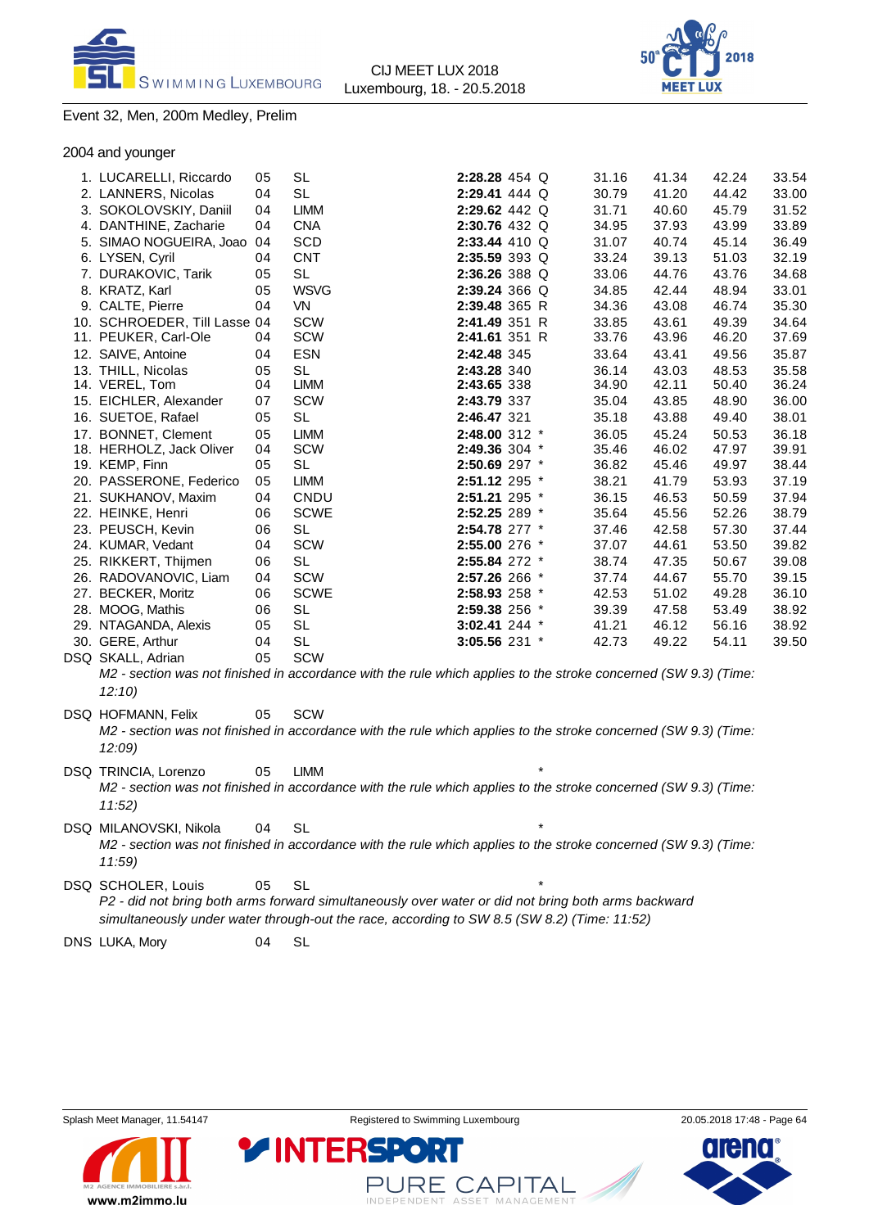



#### Event 32, Men, 200m Medley, Prelim

2004 and younger

| 1. LUCARELLI, Riccardo       | 05 | <b>SL</b>                                                                                                       | 2:28.28 454 Q     |  | 31.16 | 41.34 | 42.24 | 33.54 |
|------------------------------|----|-----------------------------------------------------------------------------------------------------------------|-------------------|--|-------|-------|-------|-------|
| 2. LANNERS, Nicolas          | 04 | <b>SL</b>                                                                                                       | 2:29.41 444 Q     |  | 30.79 | 41.20 | 44.42 | 33.00 |
| 3. SOKOLOVSKIY, Daniil       | 04 | <b>LIMM</b>                                                                                                     | 2:29.62 442 Q     |  | 31.71 | 40.60 | 45.79 | 31.52 |
| 4. DANTHINE, Zacharie        | 04 | <b>CNA</b>                                                                                                      | 2:30.76 432 Q     |  | 34.95 | 37.93 | 43.99 | 33.89 |
| 5. SIMAO NOGUEIRA, Joao 04   |    | SCD                                                                                                             | 2:33.44 410 Q     |  | 31.07 | 40.74 | 45.14 | 36.49 |
| 6. LYSEN, Cyril              | 04 | <b>CNT</b>                                                                                                      | 2:35.59 393 Q     |  | 33.24 | 39.13 | 51.03 | 32.19 |
| 7. DURAKOVIC, Tarik          | 05 | <b>SL</b>                                                                                                       | 2:36.26 388 Q     |  | 33.06 | 44.76 | 43.76 | 34.68 |
| 8. KRATZ, Karl               | 05 | <b>WSVG</b>                                                                                                     | 2:39.24 366 Q     |  | 34.85 | 42.44 | 48.94 | 33.01 |
| 9. CALTE, Pierre             | 04 | VN                                                                                                              | 2:39.48 365 R     |  | 34.36 | 43.08 | 46.74 | 35.30 |
| 10. SCHROEDER, Till Lasse 04 |    | <b>SCW</b>                                                                                                      | 2:41.49 351 R     |  | 33.85 | 43.61 | 49.39 | 34.64 |
| 11. PEUKER, Carl-Ole         | 04 | <b>SCW</b>                                                                                                      | 2:41.61 351 R     |  | 33.76 | 43.96 | 46.20 | 37.69 |
| 12. SAIVE, Antoine           | 04 | <b>ESN</b>                                                                                                      | 2:42.48 345       |  | 33.64 | 43.41 | 49.56 | 35.87 |
| 13. THILL, Nicolas           | 05 | <b>SL</b>                                                                                                       | 2:43.28 340       |  | 36.14 | 43.03 | 48.53 | 35.58 |
| 14. VEREL, Tom               | 04 | <b>LIMM</b>                                                                                                     | 2:43.65 338       |  | 34.90 | 42.11 | 50.40 | 36.24 |
| 15. EICHLER, Alexander       | 07 | <b>SCW</b>                                                                                                      | 2:43.79 337       |  | 35.04 | 43.85 | 48.90 | 36.00 |
| 16. SUETOE, Rafael           | 05 | <b>SL</b>                                                                                                       | 2:46.47 321       |  | 35.18 | 43.88 | 49.40 | 38.01 |
| 17. BONNET, Clement          | 05 | <b>LIMM</b>                                                                                                     | 2:48.00 312 *     |  | 36.05 | 45.24 | 50.53 | 36.18 |
| 18. HERHOLZ, Jack Oliver     | 04 | <b>SCW</b>                                                                                                      | 2:49.36 304 *     |  | 35.46 | 46.02 | 47.97 | 39.91 |
| 19. KEMP, Finn               | 05 | <b>SL</b>                                                                                                       | 2:50.69 297 *     |  | 36.82 | 45.46 | 49.97 | 38.44 |
| 20. PASSERONE, Federico      | 05 | <b>LIMM</b>                                                                                                     | 2:51.12 295 *     |  | 38.21 | 41.79 | 53.93 | 37.19 |
| 21. SUKHANOV, Maxim          | 04 | CNDU                                                                                                            | 2:51.21 295 *     |  | 36.15 | 46.53 | 50.59 | 37.94 |
| 22. HEINKE, Henri            | 06 | <b>SCWE</b>                                                                                                     | 2:52.25 289 *     |  | 35.64 | 45.56 | 52.26 | 38.79 |
| 23. PEUSCH, Kevin            | 06 | <b>SL</b>                                                                                                       | 2:54.78 277 *     |  | 37.46 | 42.58 | 57.30 | 37.44 |
| 24. KUMAR, Vedant            | 04 | <b>SCW</b>                                                                                                      | 2:55.00 276 *     |  | 37.07 | 44.61 | 53.50 | 39.82 |
| 25. RIKKERT, Thijmen         | 06 | <b>SL</b>                                                                                                       | 2:55.84 272 *     |  | 38.74 | 47.35 | 50.67 | 39.08 |
| 26. RADOVANOVIC, Liam        | 04 | <b>SCW</b>                                                                                                      | 2:57.26 266 *     |  | 37.74 | 44.67 | 55.70 | 39.15 |
| 27. BECKER, Moritz           | 06 | <b>SCWE</b>                                                                                                     | 2:58.93 258 *     |  | 42.53 | 51.02 | 49.28 | 36.10 |
| 28. MOOG, Mathis             | 06 | <b>SL</b>                                                                                                       | 2:59.38 256 *     |  | 39.39 | 47.58 | 53.49 | 38.92 |
| 29. NTAGANDA, Alexis         | 05 | <b>SL</b>                                                                                                       | $3:02.41$ 244 $*$ |  | 41.21 | 46.12 | 56.16 | 38.92 |
| 30. GERE, Arthur             | 04 | <b>SL</b>                                                                                                       | 3:05.56 231 *     |  | 42.73 | 49.22 | 54.11 | 39.50 |
| DSQ SKALL, Adrian            | 05 | <b>SCW</b>                                                                                                      |                   |  |       |       |       |       |
|                              |    | M2 - section was not finished in accordance with the rule which applies to the stroke concerned (SW 9.3) (Time: |                   |  |       |       |       |       |
| 12:10                        |    |                                                                                                                 |                   |  |       |       |       |       |
| DSQ HOFMANN, Felix           | 05 | <b>SCW</b>                                                                                                      |                   |  |       |       |       |       |
|                              |    | M2 - section was not finished in accordance with the rule which applies to the stroke concerned (SW 9.3) (Time: |                   |  |       |       |       |       |
| 12:09                        |    |                                                                                                                 |                   |  |       |       |       |       |

- DSQ TRINCIA, Lorenzo 05 LIMM *M2 - section was not finished in accordance with the rule which applies to the stroke concerned (SW 9.3) (Time: 11:52)*
- DSQ MILANOVSKI, Nikola 04 SL *M2 - section was not finished in accordance with the rule which applies to the stroke concerned (SW 9.3) (Time: 11:59)*

DSQ SCHOLER, Louis 05 SL *P2 - did not bring both arms forward simultaneously over water or did not bring both arms backward simultaneously under water through-out the race, according to SW 8.5 (SW 8.2) (Time: 11:52)*

**YINTERSP** 

DNS LUKA, Mory 04 SL



**CAPITAL** 

ASSET MANAGEMENT

JF RF.

INDEPENDENT

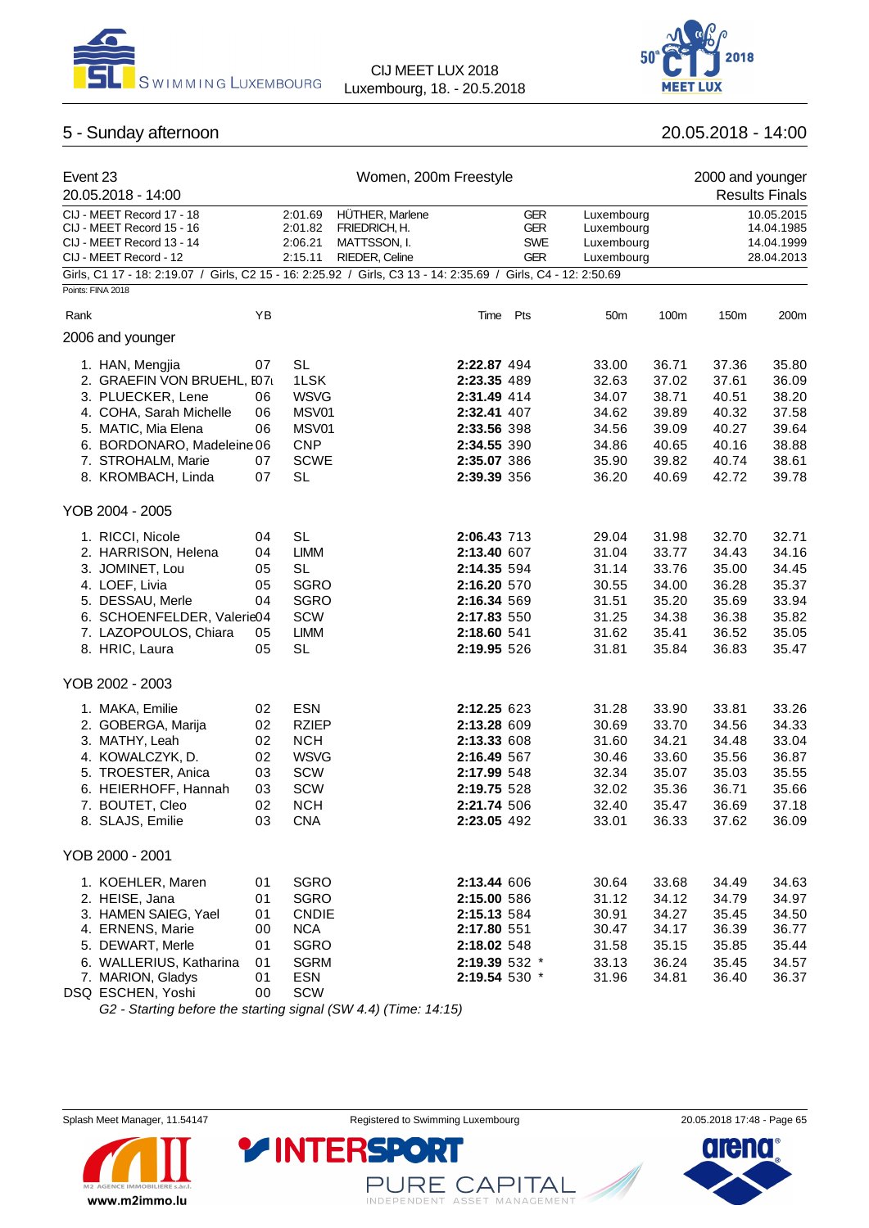



# 5 - Sunday afternoon 20.05.2018 - 14:00

| Event 23<br>20.05.2018 - 14:00                                                                                                                                                                                                  |                                              |                                                                                                               | Women, 200m Freestyle                                              |                                                                                                                      |                                                      |                                                                      |                                                                      | 2000 and younger                                                     | <b>Results Finals</b>                                                |
|---------------------------------------------------------------------------------------------------------------------------------------------------------------------------------------------------------------------------------|----------------------------------------------|---------------------------------------------------------------------------------------------------------------|--------------------------------------------------------------------|----------------------------------------------------------------------------------------------------------------------|------------------------------------------------------|----------------------------------------------------------------------|----------------------------------------------------------------------|----------------------------------------------------------------------|----------------------------------------------------------------------|
| CIJ - MEET Record 17 - 18<br>CIJ - MEET Record 15 - 16<br>CIJ - MEET Record 13 - 14<br>CIJ - MEET Record - 12<br>Girls, C1 17 - 18: 2:19.07 / Girls, C2 15 - 16: 2:25.92 / Girls, C3 13 - 14: 2:35.69 / Girls, C4 - 12: 2:50.69 |                                              | 2:01.69<br>2:01.82<br>2:06.21<br>2:15.11                                                                      | HÜTHER, Marlene<br>FRIEDRICH, H.<br>MATTSSON, I.<br>RIEDER, Celine |                                                                                                                      | <b>GER</b><br><b>GER</b><br><b>SWE</b><br><b>GER</b> | Luxembourg<br>Luxembourg<br>Luxembourg<br>Luxembourg                 |                                                                      |                                                                      | 10.05.2015<br>14.04.1985<br>14.04.1999<br>28.04.2013                 |
| Points: FINA 2018                                                                                                                                                                                                               |                                              |                                                                                                               |                                                                    |                                                                                                                      |                                                      |                                                                      |                                                                      |                                                                      |                                                                      |
| Rank                                                                                                                                                                                                                            | YB                                           |                                                                                                               |                                                                    |                                                                                                                      | Time Pts                                             | 50 <sub>m</sub>                                                      | 100m                                                                 | 150m                                                                 | 200m                                                                 |
| 2006 and younger                                                                                                                                                                                                                |                                              |                                                                                                               |                                                                    |                                                                                                                      |                                                      |                                                                      |                                                                      |                                                                      |                                                                      |
| 1. HAN, Mengjia<br>2. GRAEFIN VON BRUEHL, E07<br>3. PLUECKER, Lene<br>4. COHA, Sarah Michelle<br>5. MATIC, Mia Elena<br>6. BORDONARO, Madeleine 06<br>7. STROHALM, Marie<br>8. KROMBACH, Linda                                  | 07<br>06<br>06<br>06<br>07<br>07             | <b>SL</b><br>1LSK<br><b>WSVG</b><br>MSV01<br>MSV01<br><b>CNP</b><br><b>SCWE</b><br><b>SL</b>                  |                                                                    | 2:22.87 494<br>2:23.35 489<br>2:31.49 414<br>2:32.41 407<br>2:33.56 398<br>2:34.55 390<br>2:35.07 386<br>2:39.39 356 |                                                      | 33.00<br>32.63<br>34.07<br>34.62<br>34.56<br>34.86<br>35.90<br>36.20 | 36.71<br>37.02<br>38.71<br>39.89<br>39.09<br>40.65<br>39.82<br>40.69 | 37.36<br>37.61<br>40.51<br>40.32<br>40.27<br>40.16<br>40.74<br>42.72 | 35.80<br>36.09<br>38.20<br>37.58<br>39.64<br>38.88<br>38.61<br>39.78 |
| YOB 2004 - 2005                                                                                                                                                                                                                 |                                              |                                                                                                               |                                                                    |                                                                                                                      |                                                      |                                                                      |                                                                      |                                                                      |                                                                      |
| 1. RICCI, Nicole<br>2. HARRISON, Helena<br>3. JOMINET, Lou<br>4. LOEF, Livia<br>5. DESSAU, Merle<br>6. SCHOENFELDER, Valerie04<br>7. LAZOPOULOS, Chiara<br>8. HRIC, Laura                                                       | 04<br>04<br>05<br>05<br>04<br>05<br>05       | <b>SL</b><br><b>LIMM</b><br><b>SL</b><br><b>SGRO</b><br><b>SGRO</b><br><b>SCW</b><br><b>LIMM</b><br><b>SL</b> |                                                                    | 2:06.43 713<br>2:13.40 607<br>2:14.35 594<br>2:16.20 570<br>2:16.34 569<br>2:17.83 550<br>2:18.60 541<br>2:19.95 526 |                                                      | 29.04<br>31.04<br>31.14<br>30.55<br>31.51<br>31.25<br>31.62<br>31.81 | 31.98<br>33.77<br>33.76<br>34.00<br>35.20<br>34.38<br>35.41<br>35.84 | 32.70<br>34.43<br>35.00<br>36.28<br>35.69<br>36.38<br>36.52<br>36.83 | 32.71<br>34.16<br>34.45<br>35.37<br>33.94<br>35.82<br>35.05<br>35.47 |
| YOB 2002 - 2003                                                                                                                                                                                                                 |                                              |                                                                                                               |                                                                    |                                                                                                                      |                                                      |                                                                      |                                                                      |                                                                      |                                                                      |
| 1. MAKA, Emilie<br>2. GOBERGA, Marija<br>3. MATHY, Leah<br>4. KOWALCZYK, D.<br>5. TROESTER, Anica<br>6. HEIERHOFF, Hannah<br>7. BOUTET, Cleo<br>8. SLAJS, Emilie                                                                | 02<br>02<br>02<br>02<br>03<br>03<br>02<br>03 | <b>ESN</b><br><b>RZIEP</b><br><b>NCH</b><br><b>WSVG</b><br>SCW<br><b>SCW</b><br><b>NCH</b><br><b>CNA</b>      |                                                                    | 2:12.25 623<br>2:13.28 609<br>2:13.33 608<br>2:16.49 567<br>2:17.99 548<br>2:19.75 528<br>2:21.74 506<br>2:23.05 492 |                                                      | 31.28<br>30.69<br>31.60<br>30.46<br>32.34<br>32.02<br>32.40<br>33.01 | 33.90<br>33.70<br>34.21<br>33.60<br>35.07<br>35.36<br>35.47<br>36.33 | 33.81<br>34.56<br>34.48<br>35.56<br>35.03<br>36.71<br>36.69<br>37.62 | 33.26<br>34.33<br>33.04<br>36.87<br>35.55<br>35.66<br>37.18<br>36.09 |
| YOB 2000 - 2001                                                                                                                                                                                                                 |                                              |                                                                                                               |                                                                    |                                                                                                                      |                                                      |                                                                      |                                                                      |                                                                      |                                                                      |
| 1. KOEHLER, Maren<br>2. HEISE, Jana<br>3. HAMEN SAIEG, Yael<br>4. ERNENS, Marie<br>5. DEWART, Merle<br>6. WALLERIUS, Katharina<br>7. MARION, Gladys<br>DSQ ESCHEN, Yoshi                                                        | 01<br>01<br>01<br>00<br>01<br>01<br>01<br>00 | SGRO<br><b>SGRO</b><br><b>CNDIE</b><br>$\sf{NCA}$<br>SGRO<br><b>SGRM</b><br><b>ESN</b><br>SCW                 |                                                                    | 2:13.44 606<br>2:15.00 586<br>2:15.13 584<br>2:17.80 551<br>2:18.02 548<br>2:19.39 532 *<br>2:19.54 530 *            |                                                      | 30.64<br>31.12<br>30.91<br>30.47<br>31.58<br>33.13<br>31.96          | 33.68<br>34.12<br>34.27<br>34.17<br>35.15<br>36.24<br>34.81          | 34.49<br>34.79<br>35.45<br>36.39<br>35.85<br>35.45<br>36.40          | 34.63<br>34.97<br>34.50<br>36.77<br>35.44<br>34.57<br>36.37          |

*G2 - Starting before the starting signal (SW 4.4) (Time: 14:15)*

**YINTERSPO** 



PURE CAPITAL

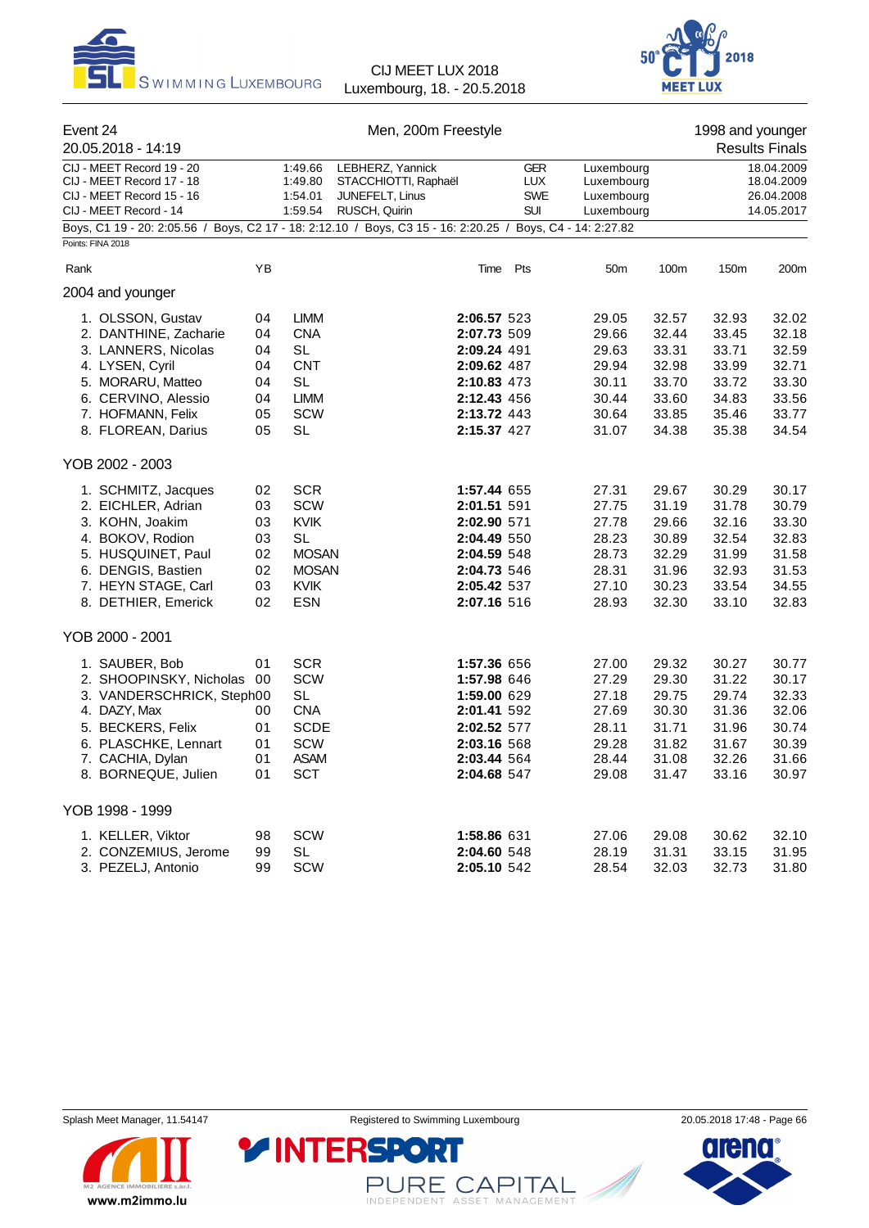



| Event 24 |                           | Men, 200m Freestyle |              |                                                                                                            |            |                 |       | 1998 and younger |                       |  |
|----------|---------------------------|---------------------|--------------|------------------------------------------------------------------------------------------------------------|------------|-----------------|-------|------------------|-----------------------|--|
|          | 20.05.2018 - 14:19        |                     |              |                                                                                                            |            |                 |       |                  | <b>Results Finals</b> |  |
|          | CIJ - MEET Record 19 - 20 |                     | 1:49.66      | LEBHERZ, Yannick                                                                                           | <b>GER</b> | Luxembourg      |       |                  | 18.04.2009            |  |
|          | CIJ - MEET Record 17 - 18 |                     | 1:49.80      | STACCHIOTTI, Raphaël                                                                                       | <b>LUX</b> | Luxembourg      |       |                  | 18.04.2009            |  |
|          | CIJ - MEET Record 15 - 16 |                     | 1:54.01      | JUNEFELT, Linus                                                                                            | <b>SWE</b> | Luxembourg      |       | 26.04.2008       |                       |  |
|          | CIJ - MEET Record - 14    |                     | 1:59.54      | RUSCH, Quirin                                                                                              | <b>SUI</b> | Luxembourg      |       |                  | 14.05.2017            |  |
|          | Points: FINA 2018         |                     |              | Boys, C1 19 - 20: 2:05.56 / Boys, C2 17 - 18: 2:12.10 / Boys, C3 15 - 16: 2:20.25 / Boys, C4 - 14: 2:27.82 |            |                 |       |                  |                       |  |
|          |                           |                     |              |                                                                                                            |            |                 |       |                  |                       |  |
| Rank     |                           | YB                  |              |                                                                                                            | Time Pts   | 50 <sub>m</sub> | 100m  | 150m             | 200m                  |  |
|          | 2004 and younger          |                     |              |                                                                                                            |            |                 |       |                  |                       |  |
|          | 1. OLSSON, Gustav         | 04                  | <b>LIMM</b>  | 2:06.57 523                                                                                                |            | 29.05           | 32.57 | 32.93            | 32.02                 |  |
|          | 2. DANTHINE, Zacharie     | 04                  | <b>CNA</b>   | 2:07.73 509                                                                                                |            | 29.66           | 32.44 | 33.45            | 32.18                 |  |
|          | 3. LANNERS, Nicolas       | 04                  | <b>SL</b>    | 2:09.24 491                                                                                                |            | 29.63           | 33.31 | 33.71            | 32.59                 |  |
|          | 4. LYSEN, Cyril           | 04                  | <b>CNT</b>   | 2:09.62 487                                                                                                |            | 29.94           | 32.98 | 33.99            | 32.71                 |  |
|          | 5. MORARU, Matteo         | 04                  | SL           | 2:10.83 473                                                                                                |            | 30.11           | 33.70 | 33.72            | 33.30                 |  |
|          | 6. CERVINO, Alessio       | 04                  | LIMM         | 2:12.43 456                                                                                                |            | 30.44           | 33.60 | 34.83            | 33.56                 |  |
|          | 7. HOFMANN, Felix         | 05                  | <b>SCW</b>   | 2:13.72 443                                                                                                |            | 30.64           | 33.85 | 35.46            | 33.77                 |  |
|          | 8. FLOREAN, Darius        | 05                  | SL           | 2:15.37 427                                                                                                |            | 31.07           | 34.38 | 35.38            | 34.54                 |  |
|          | YOB 2002 - 2003           |                     |              |                                                                                                            |            |                 |       |                  |                       |  |
|          | 1. SCHMITZ, Jacques       | 02                  | <b>SCR</b>   | 1:57.44 655                                                                                                |            | 27.31           | 29.67 | 30.29            | 30.17                 |  |
|          | 2. EICHLER, Adrian        | 03                  | SCW          | 2:01.51 591                                                                                                |            | 27.75           | 31.19 | 31.78            | 30.79                 |  |
|          | 3. KOHN, Joakim           | 03                  | <b>KVIK</b>  | 2:02.90 571                                                                                                |            | 27.78           | 29.66 | 32.16            | 33.30                 |  |
|          | 4. BOKOV, Rodion          | 03                  | SL           | 2:04.49 550                                                                                                |            | 28.23           | 30.89 | 32.54            | 32.83                 |  |
|          | 5. HUSQUINET, Paul        | 02                  | <b>MOSAN</b> | 2:04.59 548                                                                                                |            | 28.73           | 32.29 | 31.99            | 31.58                 |  |
|          | 6. DENGIS, Bastien        | 02                  | <b>MOSAN</b> | 2:04.73 546                                                                                                |            | 28.31           | 31.96 | 32.93            | 31.53                 |  |
|          |                           |                     | <b>KVIK</b>  |                                                                                                            |            |                 |       |                  | 34.55                 |  |
|          | 7. HEYN STAGE, Carl       | 03                  |              | 2:05.42 537                                                                                                |            | 27.10           | 30.23 | 33.54            |                       |  |
|          | 8. DETHIER, Emerick       | 02                  | ESN          | 2:07.16 516                                                                                                |            | 28.93           | 32.30 | 33.10            | 32.83                 |  |
|          | YOB 2000 - 2001           |                     |              |                                                                                                            |            |                 |       |                  |                       |  |
|          | 1. SAUBER, Bob            | 01                  | <b>SCR</b>   | 1:57.36 656                                                                                                |            | 27.00           | 29.32 | 30.27            | 30.77                 |  |
|          | 2. SHOOPINSKY, Nicholas   | 00                  | <b>SCW</b>   | 1:57.98 646                                                                                                |            | 27.29           | 29.30 | 31.22            | 30.17                 |  |
|          | 3. VANDERSCHRICK, Steph00 |                     | SL           | 1:59.00 629                                                                                                |            | 27.18           | 29.75 | 29.74            | 32.33                 |  |
|          | 4. DAZY, Max              | 00                  | <b>CNA</b>   | 2:01.41 592                                                                                                |            | 27.69           | 30.30 | 31.36            | 32.06                 |  |
|          | 5. BECKERS, Felix         | 01                  | <b>SCDE</b>  | 2:02.52 577                                                                                                |            | 28.11           | 31.71 | 31.96            | 30.74                 |  |
|          | 6. PLASCHKE, Lennart      | 01                  | <b>SCW</b>   | 2:03.16 568                                                                                                |            | 29.28           | 31.82 | 31.67            | 30.39                 |  |
|          | 7. CACHIA, Dylan          | 01                  | <b>ASAM</b>  | 2:03.44 564                                                                                                |            | 28.44           | 31.08 | 32.26            | 31.66                 |  |
|          | 8. BORNEQUE, Julien       | 01                  | <b>SCT</b>   | 2:04.68 547                                                                                                |            | 29.08           | 31.47 | 33.16            | 30.97                 |  |
|          | YOB 1998 - 1999           |                     |              |                                                                                                            |            |                 |       |                  |                       |  |
|          | 1. KELLER, Viktor         | 98                  | SCW          | 1:58.86 631                                                                                                |            | 27.06           | 29.08 | 30.62            | 32.10                 |  |
|          | 2. CONZEMIUS, Jerome      | 99                  | <b>SL</b>    | 2:04.60 548                                                                                                |            | 28.19           | 31.31 | 33.15            | 31.95                 |  |
|          | 3. PEZELJ, Antonio        | 99                  | SCW          | 2:05.10 542                                                                                                |            | 28.54           | 32.03 | 32.73            | 31.80                 |  |



PURE CAPITAL

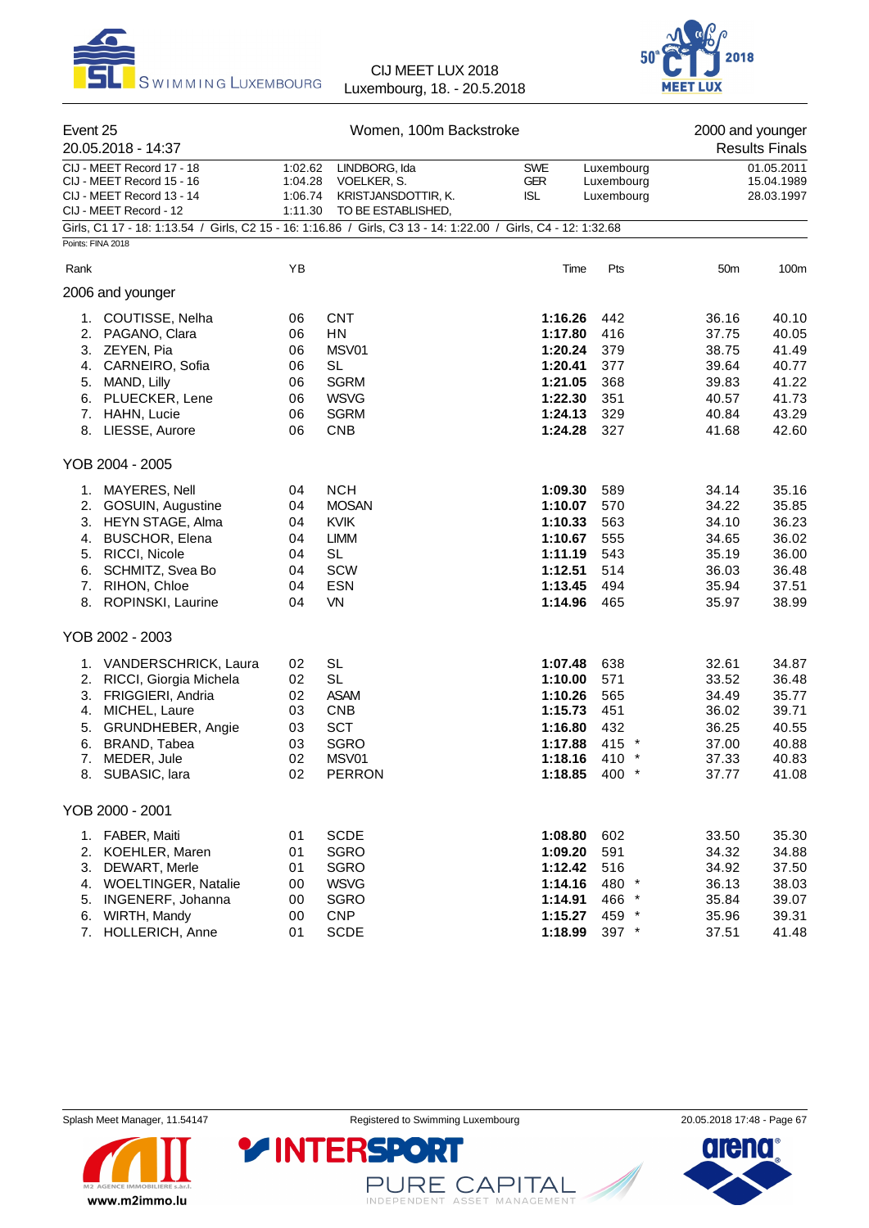



| Event 25<br>20.05.2018 - 14:37 |                                                                                                                |                                          | Women, 100m Backstroke                                                    |                                        | 2000 and younger<br><b>Results Finals</b> |                 |                                        |
|--------------------------------|----------------------------------------------------------------------------------------------------------------|------------------------------------------|---------------------------------------------------------------------------|----------------------------------------|-------------------------------------------|-----------------|----------------------------------------|
|                                | CIJ - MEET Record 17 - 18<br>CIJ - MEET Record 15 - 16<br>CIJ - MEET Record 13 - 14<br>CIJ - MEET Record - 12  | 1:02.62<br>1:04.28<br>1:06.74<br>1:11.30 | LINDBORG, Ida<br>VOELKER, S.<br>KRISTJANSDOTTIR, K.<br>TO BE ESTABLISHED, | <b>SWE</b><br><b>GER</b><br><b>ISL</b> | Luxembourg<br>Luxembourg<br>Luxembourg    |                 | 01.05.2011<br>15.04.1989<br>28.03.1997 |
| Points: FINA 2018              | Girls, C1 17 - 18: 1:13.54 / Girls, C2 15 - 16: 1:16.86 / Girls, C3 13 - 14: 1:22.00 / Girls, C4 - 12: 1:32.68 |                                          |                                                                           |                                        |                                           |                 |                                        |
| Rank                           |                                                                                                                | YB                                       |                                                                           | Time                                   | Pts                                       | 50 <sub>m</sub> | 100m                                   |
|                                | 2006 and younger                                                                                               |                                          |                                                                           |                                        |                                           |                 |                                        |
|                                |                                                                                                                |                                          |                                                                           |                                        |                                           |                 |                                        |
|                                | 1. COUTISSE, Nelha                                                                                             | 06                                       | <b>CNT</b>                                                                | 1:16.26                                | 442                                       | 36.16           | 40.10                                  |
|                                | 2. PAGANO, Clara                                                                                               | 06                                       | <b>HN</b>                                                                 | 1:17.80                                | 416                                       | 37.75           | 40.05                                  |
|                                | 3. ZEYEN, Pia                                                                                                  | 06                                       | MSV01                                                                     | 1:20.24                                | 379                                       | 38.75           | 41.49                                  |
|                                | 4. CARNEIRO, Sofia                                                                                             | 06                                       | <b>SL</b>                                                                 | 1:20.41                                | 377                                       | 39.64           | 40.77                                  |
| 5.                             | MAND, Lilly                                                                                                    | 06                                       | <b>SGRM</b>                                                               | 1:21.05                                | 368                                       | 39.83           | 41.22                                  |
|                                | 6. PLUECKER, Lene                                                                                              | 06                                       | <b>WSVG</b>                                                               | 1:22.30                                | 351                                       | 40.57           | 41.73                                  |
|                                | 7. HAHN, Lucie<br>8. LIESSE, Aurore                                                                            | 06                                       | <b>SGRM</b>                                                               | 1:24.13<br>1:24.28                     | 329                                       | 40.84<br>41.68  | 43.29                                  |
|                                |                                                                                                                | 06                                       | <b>CNB</b>                                                                |                                        | 327                                       |                 | 42.60                                  |
|                                | YOB 2004 - 2005                                                                                                |                                          |                                                                           |                                        |                                           |                 |                                        |
| 1.                             | <b>MAYERES, Nell</b>                                                                                           | 04                                       | <b>NCH</b>                                                                | 1:09.30                                | 589                                       | 34.14           | 35.16                                  |
|                                | 2. GOSUIN, Augustine                                                                                           | 04                                       | <b>MOSAN</b>                                                              | 1:10.07                                | 570                                       | 34.22           | 35.85                                  |
|                                | 3. HEYN STAGE, Alma                                                                                            | 04                                       | KVIK                                                                      | 1:10.33                                | 563                                       | 34.10           | 36.23                                  |
| 4.                             | <b>BUSCHOR, Elena</b>                                                                                          | 04                                       | <b>LIMM</b>                                                               | 1:10.67                                | 555                                       | 34.65           | 36.02                                  |
|                                | 5. RICCI, Nicole                                                                                               | 04                                       | <b>SL</b>                                                                 | 1:11.19                                | 543                                       | 35.19           | 36.00                                  |
| 6.                             | SCHMITZ, Svea Bo                                                                                               | 04                                       | SCW                                                                       | 1:12.51                                | 514                                       | 36.03           | 36.48                                  |
|                                | 7. RIHON, Chloe                                                                                                | 04                                       | <b>ESN</b>                                                                | 1:13.45                                | 494                                       | 35.94           | 37.51                                  |
| 8.                             | ROPINSKI, Laurine                                                                                              | 04                                       | VN                                                                        | 1:14.96                                | 465                                       | 35.97           | 38.99                                  |
|                                | YOB 2002 - 2003                                                                                                |                                          |                                                                           |                                        |                                           |                 |                                        |
|                                | 1. VANDERSCHRICK, Laura                                                                                        | 02                                       | <b>SL</b>                                                                 | 1:07.48                                | 638                                       | 32.61           | 34.87                                  |
|                                | 2. RICCI, Giorgia Michela                                                                                      | 02                                       | <b>SL</b>                                                                 | 1:10.00                                | 571                                       | 33.52           | 36.48                                  |
|                                | 3. FRIGGIERI, Andria                                                                                           | 02                                       | <b>ASAM</b>                                                               | 1:10.26                                | 565                                       | 34.49           | 35.77                                  |
| 4.                             | MICHEL, Laure                                                                                                  | 03                                       | <b>CNB</b>                                                                | 1:15.73                                | 451                                       | 36.02           | 39.71                                  |
| 5.                             | GRUNDHEBER, Angie                                                                                              | 03                                       | <b>SCT</b>                                                                | 1:16.80                                | 432                                       | 36.25           | 40.55                                  |
| 6.                             | BRAND, Tabea                                                                                                   | 03                                       | <b>SGRO</b>                                                               | 1:17.88                                | $415$ *                                   | 37.00           | 40.88                                  |
| 7.                             | MEDER, Jule                                                                                                    | 02                                       | MSV01                                                                     | 1:18.16                                | $410 *$                                   | 37.33           | 40.83                                  |
|                                | 8. SUBASIC, lara                                                                                               | 02                                       | <b>PERRON</b>                                                             | 1:18.85 400                            |                                           | 37.77           | 41.08                                  |
|                                | YOB 2000 - 2001                                                                                                |                                          |                                                                           |                                        |                                           |                 |                                        |
|                                | 1. FABER, Maiti                                                                                                | 01                                       | <b>SCDE</b>                                                               | 1:08.80                                | 602                                       | 33.50           | 35.30                                  |
|                                | 2. KOEHLER, Maren                                                                                              | 01                                       | SGRO                                                                      | 1:09.20                                | 591                                       | 34.32           | 34.88                                  |
|                                | 3. DEWART, Merle                                                                                               | 01                                       | <b>SGRO</b>                                                               | 1:12.42                                | 516                                       | 34.92           | 37.50                                  |
|                                | 4. WOELTINGER, Natalie                                                                                         | 00                                       | <b>WSVG</b>                                                               | 1:14.16                                | 480 *                                     | 36.13           | 38.03                                  |
|                                | 5. INGENERF, Johanna                                                                                           | 00                                       | <b>SGRO</b>                                                               | 1:14.91                                | 466 *                                     | 35.84           | 39.07                                  |
| 6.                             | WIRTH, Mandy                                                                                                   | 00                                       | <b>CNP</b>                                                                | 1:15.27                                | 459 *                                     | 35.96           | 39.31                                  |
|                                | 7. HOLLERICH, Anne                                                                                             | 01                                       | <b>SCDE</b>                                                               | 1:18.99                                | 397 *                                     | 37.51           | 41.48                                  |



PURE CAPITAL

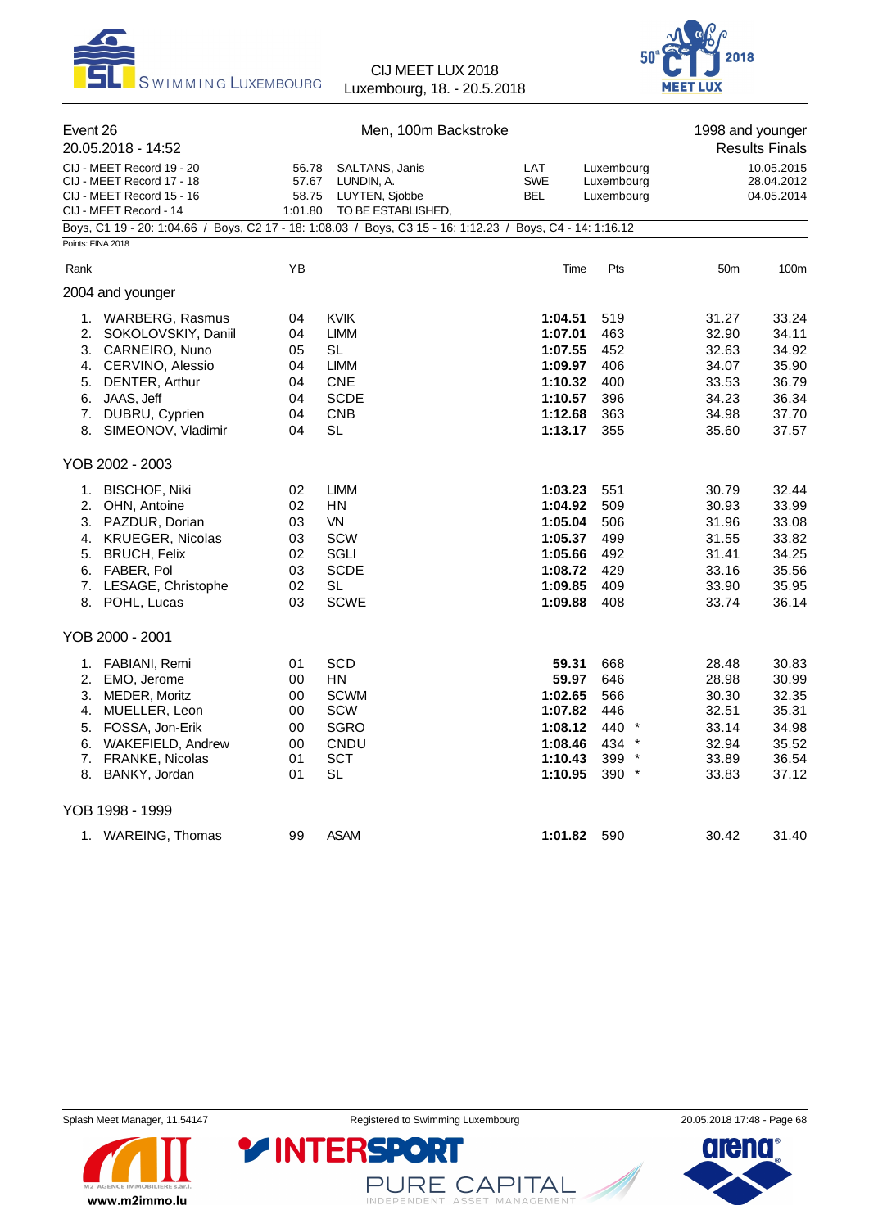



| Event 26          | 20.05.2018 - 14:52                                                                                                                                                                                                                                                                                                                                             |                                                                                              | Men, 100m Backstroke                                                                                                                                                                  |                                                                                                                                                                              |                                                                                                              | 1998 and younger                                                                                                                             | <b>Results Finals</b>                                                                                                                        |
|-------------------|----------------------------------------------------------------------------------------------------------------------------------------------------------------------------------------------------------------------------------------------------------------------------------------------------------------------------------------------------------------|----------------------------------------------------------------------------------------------|---------------------------------------------------------------------------------------------------------------------------------------------------------------------------------------|------------------------------------------------------------------------------------------------------------------------------------------------------------------------------|--------------------------------------------------------------------------------------------------------------|----------------------------------------------------------------------------------------------------------------------------------------------|----------------------------------------------------------------------------------------------------------------------------------------------|
|                   | CIJ - MEET Record 19 - 20<br>CIJ - MEET Record 17 - 18<br>CIJ - MEET Record 15 - 16<br>CIJ - MEET Record - 14                                                                                                                                                                                                                                                  | 56.78<br>57.67<br>58.75<br>1:01.80                                                           | SALTANS, Janis<br>LUNDIN, A.<br>LUYTEN, Sjobbe<br>TO BE ESTABLISHED,                                                                                                                  | LAT<br><b>SWE</b><br>BEL                                                                                                                                                     | Luxembourg<br>Luxembourg<br>Luxembourg                                                                       |                                                                                                                                              | 10.05.2015<br>28.04.2012<br>04.05.2014                                                                                                       |
| Points: FINA 2018 | Boys, C1 19 - 20: 1:04.66 / Boys, C2 17 - 18: 1:08.03 / Boys, C3 15 - 16: 1:12.23 / Boys, C4 - 14: 1:16.12                                                                                                                                                                                                                                                     |                                                                                              |                                                                                                                                                                                       |                                                                                                                                                                              |                                                                                                              |                                                                                                                                              |                                                                                                                                              |
| Rank              |                                                                                                                                                                                                                                                                                                                                                                | YB                                                                                           |                                                                                                                                                                                       | Time                                                                                                                                                                         | Pts                                                                                                          | 50 <sub>m</sub>                                                                                                                              | 100m                                                                                                                                         |
|                   | 2004 and younger                                                                                                                                                                                                                                                                                                                                               |                                                                                              |                                                                                                                                                                                       |                                                                                                                                                                              |                                                                                                              |                                                                                                                                              |                                                                                                                                              |
| 8.                | 1. WARBERG, Rasmus<br>2. SOKOLOVSKIY, Daniil<br>3. CARNEIRO, Nuno<br>4. CERVINO, Alessio<br>5. DENTER, Arthur<br>6. JAAS, Jeff<br>7. DUBRU, Cyprien<br>SIMEONOV, Vladimir<br>YOB 2002 - 2003<br>1. BISCHOF, Niki<br>2. OHN, Antoine<br>3. PAZDUR, Dorian<br>4. KRUEGER, Nicolas<br>5. BRUCH, Felix<br>6. FABER, Pol<br>7. LESAGE, Christophe<br>8. POHL, Lucas | 04<br>04<br>05<br>04<br>04<br>04<br>04<br>04<br>02<br>02<br>03<br>03<br>02<br>03<br>02<br>03 | <b>KVIK</b><br><b>LIMM</b><br>SL<br><b>LIMM</b><br><b>CNE</b><br><b>SCDE</b><br><b>CNB</b><br>SL<br><b>LIMM</b><br>HN<br>VN<br><b>SCW</b><br>SGLI<br><b>SCDE</b><br>SL<br><b>SCWE</b> | 1:04.51<br>1:07.01<br>1:07.55<br>1:09.97<br>1:10.32<br>1:10.57<br>1:12.68<br>1:13.17<br>1:03.23<br>1:04.92<br>1:05.04<br>1:05.37<br>1:05.66<br>1:08.72<br>1:09.85<br>1:09.88 | 519<br>463<br>452<br>406<br>400<br>396<br>363<br>355<br>551<br>509<br>506<br>499<br>492<br>429<br>409<br>408 | 31.27<br>32.90<br>32.63<br>34.07<br>33.53<br>34.23<br>34.98<br>35.60<br>30.79<br>30.93<br>31.96<br>31.55<br>31.41<br>33.16<br>33.90<br>33.74 | 33.24<br>34.11<br>34.92<br>35.90<br>36.79<br>36.34<br>37.70<br>37.57<br>32.44<br>33.99<br>33.08<br>33.82<br>34.25<br>35.56<br>35.95<br>36.14 |
|                   |                                                                                                                                                                                                                                                                                                                                                                |                                                                                              |                                                                                                                                                                                       |                                                                                                                                                                              |                                                                                                              |                                                                                                                                              |                                                                                                                                              |
|                   | YOB 2000 - 2001<br>1. FABIANI, Remi<br>2. EMO, Jerome<br>3. MEDER, Moritz<br>4. MUELLER, Leon<br>5. FOSSA, Jon-Erik<br>6. WAKEFIELD, Andrew<br>7. FRANKE, Nicolas<br>8. BANKY, Jordan                                                                                                                                                                          | 01<br>00<br>00<br>00<br>00<br>00<br>01<br>01                                                 | <b>SCD</b><br>HN<br><b>SCWM</b><br>SCW<br><b>SGRO</b><br>CNDU<br><b>SCT</b><br>SL                                                                                                     | 59.31<br>59.97<br>1:02.65<br>1:07.82<br>1:08.12<br>1:08.46<br>1:10.43<br>1:10.95                                                                                             | 668<br>646<br>566<br>446<br>440 *<br>$434$ *<br>$399*$<br>$390 *$                                            | 28.48<br>28.98<br>30.30<br>32.51<br>33.14<br>32.94<br>33.89<br>33.83                                                                         | 30.83<br>30.99<br>32.35<br>35.31<br>34.98<br>35.52<br>36.54<br>37.12                                                                         |
|                   | YOB 1998 - 1999                                                                                                                                                                                                                                                                                                                                                |                                                                                              |                                                                                                                                                                                       |                                                                                                                                                                              |                                                                                                              |                                                                                                                                              |                                                                                                                                              |
|                   | 1. WAREING, Thomas                                                                                                                                                                                                                                                                                                                                             | 99                                                                                           | <b>ASAM</b>                                                                                                                                                                           | 1:01.82 590                                                                                                                                                                  |                                                                                                              | 30.42                                                                                                                                        | 31.40                                                                                                                                        |



Splash Meet Manager, 11.54147 **Registered to Swimming Luxembourg** 20.05.2018 17:48 - Page 68

PURE CAPITAL

**Y INTERSPORT** 

dieno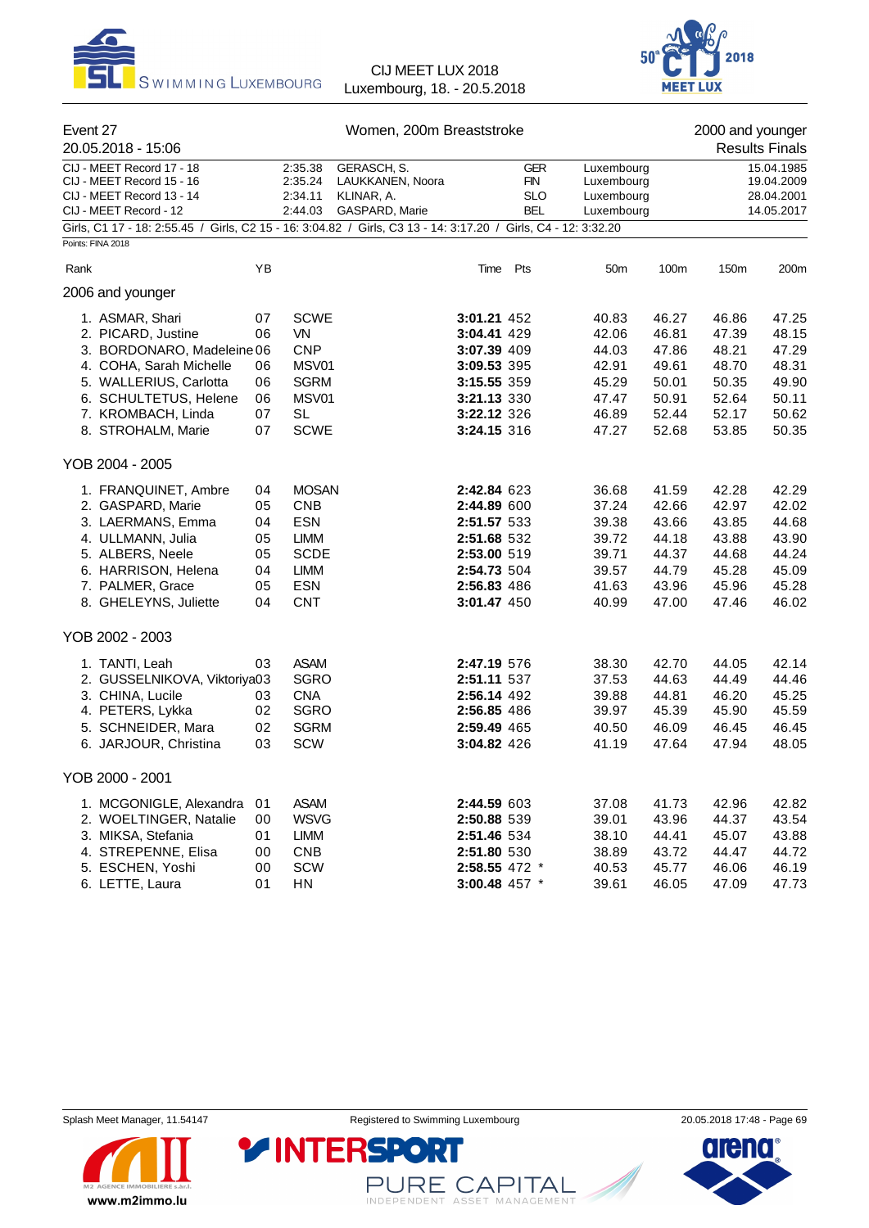



| Event 27<br>20.05.2018 - 15:06                                                                                                                                                                |                                              | Women, 200m Breaststroke                                                                                          |                                                                        |                                                                                                                      |                                               |                                                                      |                                                                      | 2000 and younger<br><b>Results Finals</b>                            |                                                                      |
|-----------------------------------------------------------------------------------------------------------------------------------------------------------------------------------------------|----------------------------------------------|-------------------------------------------------------------------------------------------------------------------|------------------------------------------------------------------------|----------------------------------------------------------------------------------------------------------------------|-----------------------------------------------|----------------------------------------------------------------------|----------------------------------------------------------------------|----------------------------------------------------------------------|----------------------------------------------------------------------|
| CIJ - MEET Record 17 - 18<br>CIJ - MEET Record 15 - 16<br>CIJ - MEET Record 13 - 14<br>CIJ - MEET Record - 12                                                                                 |                                              | 2:35.38<br>2:35.24<br>2:34.11<br>2:44.03                                                                          | <b>GERASCH, S.</b><br>LAUKKANEN, Noora<br>KLINAR, A.<br>GASPARD, Marie |                                                                                                                      | <b>GER</b><br>FIN<br><b>SLO</b><br><b>BEL</b> | Luxembourg<br>Luxembourg<br>Luxembourg<br>Luxembourg                 |                                                                      |                                                                      | 15.04.1985<br>19.04.2009<br>28.04.2001<br>14.05.2017                 |
| Girls, C1 17 - 18: 2:55.45 / Girls, C2 15 - 16: 3:04.82 / Girls, C3 13 - 14: 3:17.20 / Girls, C4 - 12: 3:32.20<br>Points: FINA 2018                                                           |                                              |                                                                                                                   |                                                                        |                                                                                                                      |                                               |                                                                      |                                                                      |                                                                      |                                                                      |
| Rank                                                                                                                                                                                          | YB                                           |                                                                                                                   |                                                                        |                                                                                                                      | Time Pts                                      | 50 <sub>m</sub>                                                      | 100m                                                                 | 150m                                                                 | 200m                                                                 |
| 2006 and younger                                                                                                                                                                              |                                              |                                                                                                                   |                                                                        |                                                                                                                      |                                               |                                                                      |                                                                      |                                                                      |                                                                      |
| 1. ASMAR, Shari<br>2. PICARD, Justine<br>3. BORDONARO, Madeleine 06<br>4. COHA, Sarah Michelle<br>5. WALLERIUS, Carlotta<br>6. SCHULTETUS, Helene<br>7. KROMBACH, Linda<br>8. STROHALM, Marie | 07<br>06<br>06<br>06<br>06<br>07<br>07       | <b>SCWE</b><br>VN<br><b>CNP</b><br>MSV01<br><b>SGRM</b><br>MSV01<br><b>SL</b><br><b>SCWE</b>                      |                                                                        | 3:01.21 452<br>3:04.41 429<br>3:07.39 409<br>3:09.53 395<br>3:15.55 359<br>3:21.13 330<br>3:22.12 326<br>3:24.15 316 |                                               | 40.83<br>42.06<br>44.03<br>42.91<br>45.29<br>47.47<br>46.89<br>47.27 | 46.27<br>46.81<br>47.86<br>49.61<br>50.01<br>50.91<br>52.44<br>52.68 | 46.86<br>47.39<br>48.21<br>48.70<br>50.35<br>52.64<br>52.17<br>53.85 | 47.25<br>48.15<br>47.29<br>48.31<br>49.90<br>50.11<br>50.62<br>50.35 |
| YOB 2004 - 2005                                                                                                                                                                               |                                              |                                                                                                                   |                                                                        |                                                                                                                      |                                               |                                                                      |                                                                      |                                                                      |                                                                      |
| 1. FRANQUINET, Ambre<br>2. GASPARD, Marie<br>3. LAERMANS, Emma<br>4. ULLMANN, Julia<br>5. ALBERS, Neele<br>6. HARRISON, Helena<br>7. PALMER, Grace<br>8. GHELEYNS, Juliette                   | 04<br>05<br>04<br>05<br>05<br>04<br>05<br>04 | <b>MOSAN</b><br><b>CNB</b><br><b>ESN</b><br><b>LIMM</b><br><b>SCDE</b><br><b>LIMM</b><br><b>ESN</b><br><b>CNT</b> |                                                                        | 2:42.84 623<br>2:44.89 600<br>2:51.57 533<br>2:51.68 532<br>2:53.00 519<br>2:54.73 504<br>2:56.83 486<br>3:01.47 450 |                                               | 36.68<br>37.24<br>39.38<br>39.72<br>39.71<br>39.57<br>41.63<br>40.99 | 41.59<br>42.66<br>43.66<br>44.18<br>44.37<br>44.79<br>43.96<br>47.00 | 42.28<br>42.97<br>43.85<br>43.88<br>44.68<br>45.28<br>45.96<br>47.46 | 42.29<br>42.02<br>44.68<br>43.90<br>44.24<br>45.09<br>45.28<br>46.02 |
| YOB 2002 - 2003                                                                                                                                                                               |                                              |                                                                                                                   |                                                                        |                                                                                                                      |                                               |                                                                      |                                                                      |                                                                      |                                                                      |
| 1. TANTI, Leah<br>2. GUSSELNIKOVA, Viktoriya03<br>3. CHINA, Lucile<br>4. PETERS, Lykka<br>5. SCHNEIDER, Mara<br>6. JARJOUR, Christina                                                         | 03<br>03<br>02<br>02<br>03                   | <b>ASAM</b><br><b>SGRO</b><br><b>CNA</b><br><b>SGRO</b><br><b>SGRM</b><br>SCW                                     |                                                                        | 2:47.19 576<br>2:51.11 537<br>2:56.14 492<br>2:56.85 486<br>2:59.49 465<br>3:04.82 426                               |                                               | 38.30<br>37.53<br>39.88<br>39.97<br>40.50<br>41.19                   | 42.70<br>44.63<br>44.81<br>45.39<br>46.09<br>47.64                   | 44.05<br>44.49<br>46.20<br>45.90<br>46.45<br>47.94                   | 42.14<br>44.46<br>45.25<br>45.59<br>46.45<br>48.05                   |
| YOB 2000 - 2001                                                                                                                                                                               |                                              |                                                                                                                   |                                                                        |                                                                                                                      |                                               |                                                                      |                                                                      |                                                                      |                                                                      |
| 1. MCGONIGLE, Alexandra<br>2. WOELTINGER, Natalie<br>3. MIKSA, Stefania<br>4. STREPENNE, Elisa<br>5. ESCHEN, Yoshi<br>6. LETTE, Laura                                                         | 01<br>00<br>01<br>00<br>00<br>01             | <b>ASAM</b><br><b>WSVG</b><br>LIMM<br><b>CNB</b><br>SCW<br>HN                                                     |                                                                        | 2:44.59 603<br>2:50.88 539<br>2:51.46 534<br>2:51.80 530<br>2:58.55 472 *<br>3:00.48 457 *                           |                                               | 37.08<br>39.01<br>38.10<br>38.89<br>40.53<br>39.61                   | 41.73<br>43.96<br>44.41<br>43.72<br>45.77<br>46.05                   | 42.96<br>44.37<br>45.07<br>44.47<br>46.06<br>47.09                   | 42.82<br>43.54<br>43.88<br>44.72<br>46.19<br>47.73                   |

Splash Meet Manager, 11.54147 **Registered to Swimming Luxembourg** 20.05.2018 17:48 - Page 69



PURE CAPITAL

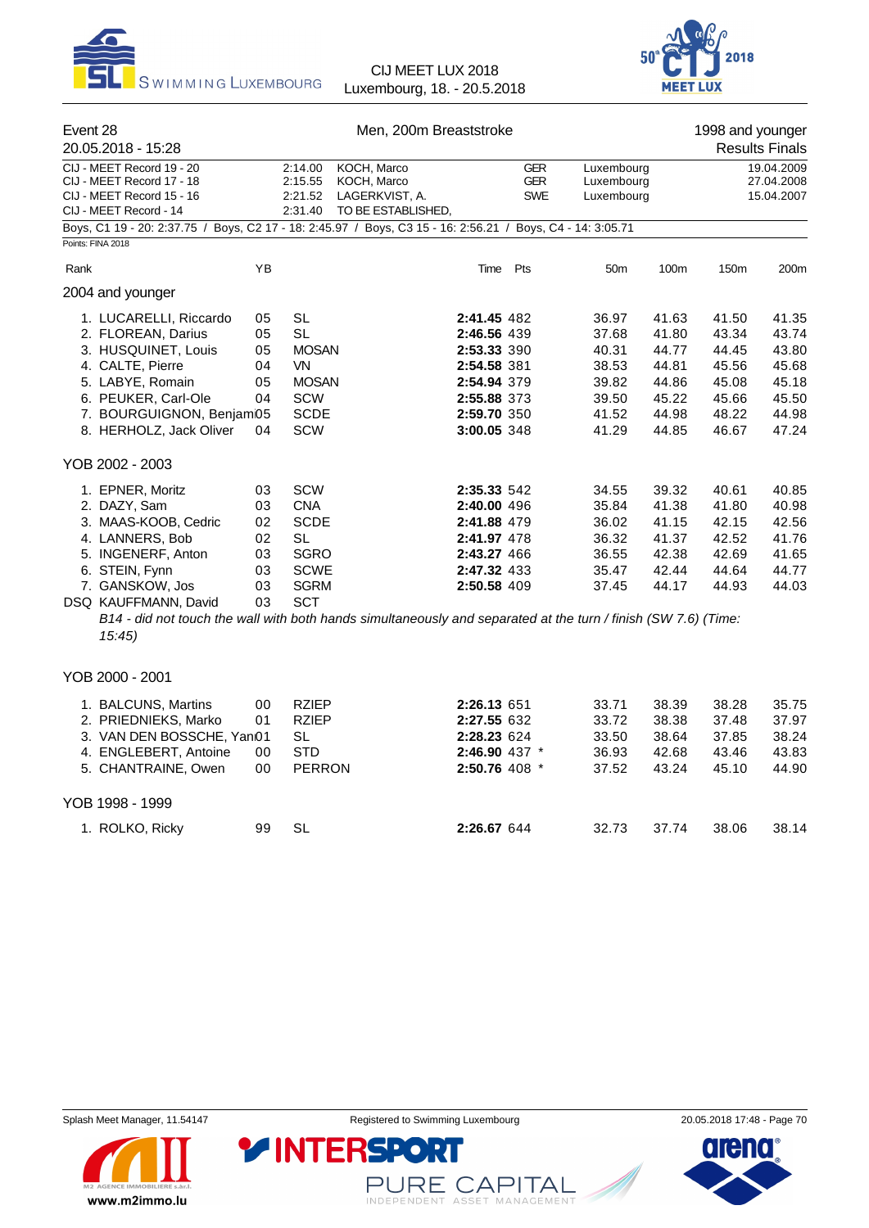



| Event 28<br>20.05.2018 - 15:28                                                                                                                                                            |                                              | Men, 200m Breaststroke                                                                                          |                                                                                                                                                                                                                         |                                        |                                                                      | 1998 and younger<br><b>Results Finals</b>                            |                                                                      |                                                                      |  |
|-------------------------------------------------------------------------------------------------------------------------------------------------------------------------------------------|----------------------------------------------|-----------------------------------------------------------------------------------------------------------------|-------------------------------------------------------------------------------------------------------------------------------------------------------------------------------------------------------------------------|----------------------------------------|----------------------------------------------------------------------|----------------------------------------------------------------------|----------------------------------------------------------------------|----------------------------------------------------------------------|--|
| CIJ - MEET Record 19 - 20<br>CIJ - MEET Record 17 - 18<br>CIJ - MEET Record 15 - 16<br>CIJ - MEET Record - 14                                                                             | 2:14.00<br>2:15.55<br>2:21.52<br>2:31.40     |                                                                                                                 | KOCH, Marco<br>KOCH, Marco<br>LAGERKVIST, A.<br>TO BE ESTABLISHED,                                                                                                                                                      | <b>GER</b><br><b>GER</b><br><b>SWE</b> | Luxembourg<br>Luxembourg<br>Luxembourg                               |                                                                      | 19.04.2009<br>27.04.2008<br>15.04.2007                               |                                                                      |  |
| Boys, C1 19 - 20: 2:37.75 / Boys, C2 17 - 18: 2:45.97 / Boys, C3 15 - 16: 2:56.21 / Boys, C4 - 14: 3:05.71<br>Points: FINA 2018                                                           |                                              |                                                                                                                 |                                                                                                                                                                                                                         |                                        |                                                                      |                                                                      |                                                                      |                                                                      |  |
| Rank                                                                                                                                                                                      | YB                                           |                                                                                                                 | Time Pts                                                                                                                                                                                                                |                                        | 50 <sub>m</sub>                                                      | 100m                                                                 | 150m                                                                 | 200m                                                                 |  |
| 2004 and younger                                                                                                                                                                          |                                              |                                                                                                                 |                                                                                                                                                                                                                         |                                        |                                                                      |                                                                      |                                                                      |                                                                      |  |
| 1. LUCARELLI, Riccardo<br>2. FLOREAN, Darius<br>3. HUSQUINET, Louis<br>4. CALTE, Pierre<br>5. LABYE, Romain<br>6. PEUKER, Carl-Ole<br>7. BOURGUIGNON, Benjam05<br>8. HERHOLZ, Jack Oliver | 05<br>05<br>05<br>04<br>05<br>04<br>04       | <b>SL</b><br><b>SL</b><br><b>MOSAN</b><br><b>VN</b><br><b>MOSAN</b><br><b>SCW</b><br><b>SCDE</b><br><b>SCW</b>  | 2:41.45 482<br>2:46.56 439<br>2:53.33 390<br>2:54.58 381<br>2:54.94 379<br>2:55.88 373<br>2:59.70 350<br>3:00.05 348                                                                                                    |                                        | 36.97<br>37.68<br>40.31<br>38.53<br>39.82<br>39.50<br>41.52<br>41.29 | 41.63<br>41.80<br>44.77<br>44.81<br>44.86<br>45.22<br>44.98<br>44.85 | 41.50<br>43.34<br>44.45<br>45.56<br>45.08<br>45.66<br>48.22<br>46.67 | 41.35<br>43.74<br>43.80<br>45.68<br>45.18<br>45.50<br>44.98<br>47.24 |  |
| YOB 2002 - 2003                                                                                                                                                                           |                                              |                                                                                                                 |                                                                                                                                                                                                                         |                                        |                                                                      |                                                                      |                                                                      |                                                                      |  |
| 1. EPNER, Moritz<br>2. DAZY, Sam<br>3. MAAS-KOOB, Cedric<br>4. LANNERS, Bob<br>5. INGENERF, Anton<br>6. STEIN, Fynn<br>7. GANSKOW, Jos<br>DSQ KAUFFMANN, David<br>15:45                   | 03<br>03<br>02<br>02<br>03<br>03<br>03<br>03 | <b>SCW</b><br><b>CNA</b><br><b>SCDE</b><br><b>SL</b><br><b>SGRO</b><br><b>SCWE</b><br><b>SGRM</b><br><b>SCT</b> | 2:35.33 542<br>2:40.00 496<br>2:41.88 479<br>2:41.97 478<br>2:43.27 466<br>2:47.32 433<br>2:50.58 409<br>B14 - did not touch the wall with both hands simultaneously and separated at the turn / finish (SW 7.6) (Time: |                                        | 34.55<br>35.84<br>36.02<br>36.32<br>36.55<br>35.47<br>37.45          | 39.32<br>41.38<br>41.15<br>41.37<br>42.38<br>42.44<br>44.17          | 40.61<br>41.80<br>42.15<br>42.52<br>42.69<br>44.64<br>44.93          | 40.85<br>40.98<br>42.56<br>41.76<br>41.65<br>44.77<br>44.03          |  |
| YOB 2000 - 2001                                                                                                                                                                           |                                              |                                                                                                                 |                                                                                                                                                                                                                         |                                        |                                                                      |                                                                      |                                                                      |                                                                      |  |
| 1. BALCUNS, Martins<br>2. PRIEDNIEKS, Marko<br>3. VAN DEN BOSSCHE, Yan01<br>4. ENGLEBERT, Antoine<br>5. CHANTRAINE, Owen                                                                  | 00<br>01<br>00<br>00                         | <b>RZIEP</b><br>RZIEP<br><b>SL</b><br><b>STD</b><br><b>PERRON</b>                                               | 2:26.13 651<br>2:27.55 632<br>2:28.23 624<br>2:46.90 437 *<br>2:50.76 408 *                                                                                                                                             |                                        | 33.71<br>33.72<br>33.50<br>36.93<br>37.52                            | 38.39<br>38.38<br>38.64<br>42.68<br>43.24                            | 38.28<br>37.48<br>37.85<br>43.46<br>45.10                            | 35.75<br>37.97<br>38.24<br>43.83<br>44.90                            |  |
| YOB 1998 - 1999                                                                                                                                                                           |                                              |                                                                                                                 |                                                                                                                                                                                                                         |                                        |                                                                      |                                                                      |                                                                      |                                                                      |  |
| 1. ROLKO, Ricky                                                                                                                                                                           | 99                                           | <b>SL</b>                                                                                                       | 2:26.67 644                                                                                                                                                                                                             |                                        | 32.73                                                                | 37.74                                                                | 38.06                                                                | 38.14                                                                |  |



PURE CAPITAL

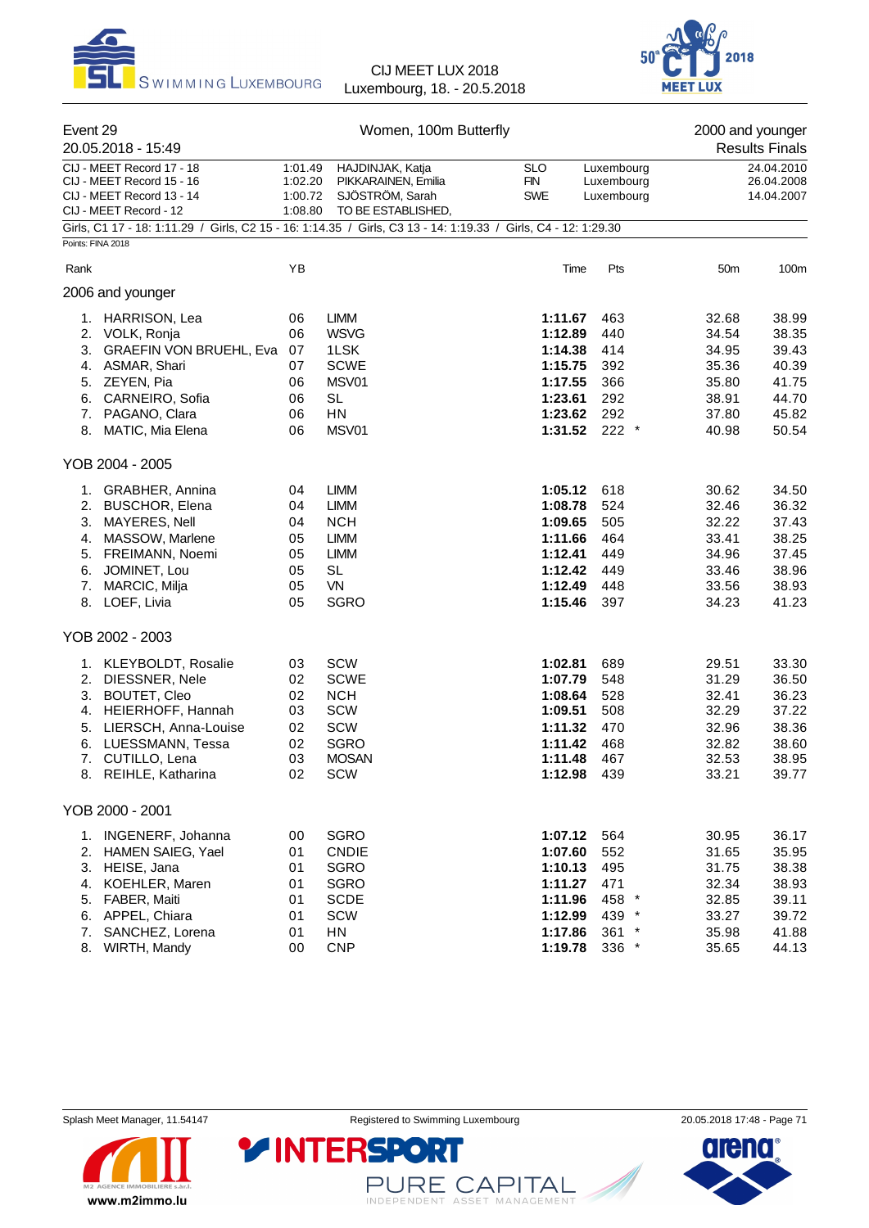



| Event 29                                                                                                       | Women, 100m Butterfly |                                        |                   |                          | 2000 and younger |                          |
|----------------------------------------------------------------------------------------------------------------|-----------------------|----------------------------------------|-------------------|--------------------------|------------------|--------------------------|
| 20.05.2018 - 15:49                                                                                             |                       |                                        |                   |                          |                  | <b>Results Finals</b>    |
| CIJ - MEET Record 17 - 18                                                                                      | 1:01.49               | HAJDINJAK, Katja                       | <b>SLO</b>        | Luxembourg               |                  | 24.04.2010               |
| CIJ - MEET Record 15 - 16<br>CIJ - MEET Record 13 - 14                                                         | 1:02.20<br>1:00.72    | PIKKARAINEN, Emilia<br>SJÖSTRÖM, Sarah | FIN<br><b>SWE</b> | Luxembourg<br>Luxembourg |                  | 26.04.2008<br>14.04.2007 |
| CIJ - MEET Record - 12                                                                                         | 1:08.80               | TO BE ESTABLISHED,                     |                   |                          |                  |                          |
| Girls, C1 17 - 18: 1:11.29 / Girls, C2 15 - 16: 1:14.35 / Girls, C3 13 - 14: 1:19.33 / Girls, C4 - 12: 1:29.30 |                       |                                        |                   |                          |                  |                          |
| Points: FINA 2018                                                                                              |                       |                                        |                   |                          |                  |                          |
| Rank                                                                                                           | YB                    |                                        | Time              | Pts                      | 50m              | 100m                     |
| 2006 and younger                                                                                               |                       |                                        |                   |                          |                  |                          |
| 1. HARRISON, Lea                                                                                               | 06                    | <b>LIMM</b>                            | 1:11.67           | 463                      | 32.68            | 38.99                    |
| 2. VOLK, Ronja                                                                                                 | 06                    | <b>WSVG</b>                            | 1:12.89           | 440                      | 34.54            | 38.35                    |
| 3.<br><b>GRAEFIN VON BRUEHL, Eva</b>                                                                           | 07                    | 1LSK                                   | 1:14.38           | 414                      | 34.95            | 39.43                    |
| 4. ASMAR, Shari                                                                                                | 07                    | <b>SCWE</b>                            | 1:15.75           | 392                      | 35.36            | 40.39                    |
| 5. ZEYEN, Pia                                                                                                  | 06                    | MSV01                                  | 1:17.55           | 366                      | 35.80            | 41.75                    |
| 6. CARNEIRO, Sofia                                                                                             | 06                    | <b>SL</b>                              | 1:23.61           | 292                      | 38.91            | 44.70                    |
| 7. PAGANO, Clara                                                                                               | 06                    | HN                                     | 1:23.62           | 292                      | 37.80            | 45.82                    |
| 8. MATIC, Mia Elena                                                                                            | 06                    | MSV01                                  | 1:31.52           | $222$ $*$                | 40.98            | 50.54                    |
| YOB 2004 - 2005                                                                                                |                       |                                        |                   |                          |                  |                          |
| 1. GRABHER, Annina                                                                                             | 04                    | <b>LIMM</b>                            | 1:05.12           | 618                      | 30.62            | 34.50                    |
| 2. BUSCHOR, Elena                                                                                              | 04                    | <b>LIMM</b>                            | 1:08.78           | 524                      | 32.46            | 36.32                    |
| 3. MAYERES, Nell                                                                                               | 04                    | <b>NCH</b>                             | 1:09.65           | 505                      | 32.22            | 37.43                    |
| 4.<br>MASSOW, Marlene                                                                                          | 05                    | <b>LIMM</b>                            | 1:11.66           | 464                      | 33.41            | 38.25                    |
| 5. FREIMANN, Noemi                                                                                             | 05                    | <b>LIMM</b>                            | 1:12.41           | 449                      | 34.96            | 37.45                    |
| 6.<br>JOMINET, Lou                                                                                             | 05                    | <b>SL</b>                              | 1:12.42           | 449                      | 33.46            | 38.96                    |
| MARCIC, Milja<br>7.                                                                                            | 05                    | VN                                     | 1:12.49           | 448                      | 33.56            | 38.93                    |
| 8. LOEF, Livia                                                                                                 | 05                    | <b>SGRO</b>                            | 1:15.46           | 397                      | 34.23            | 41.23                    |
| YOB 2002 - 2003                                                                                                |                       |                                        |                   |                          |                  |                          |
| 1. KLEYBOLDT, Rosalie                                                                                          | 03                    | SCW                                    | 1:02.81           | 689                      | 29.51            | 33.30                    |
| 2. DIESSNER, Nele                                                                                              | 02                    | <b>SCWE</b>                            | 1:07.79           | 548                      | 31.29            | 36.50                    |
| 3. BOUTET, Cleo                                                                                                | 02                    | <b>NCH</b>                             | 1:08.64           | 528                      | 32.41            | 36.23                    |
| 4. HEIERHOFF, Hannah                                                                                           | 03                    | SCW                                    | 1:09.51           | 508                      | 32.29            | 37.22                    |
| LIERSCH, Anna-Louise<br>5.                                                                                     | 02                    | SCW                                    | 1:11.32           | 470                      | 32.96            | 38.36                    |
| LUESSMANN, Tessa<br>6.                                                                                         | 02                    | <b>SGRO</b>                            | 1:11.42           | 468                      | 32.82            | 38.60                    |
| 7. CUTILLO, Lena                                                                                               | 03                    | <b>MOSAN</b>                           | 1:11.48           | 467                      | 32.53            | 38.95                    |
| REIHLE, Katharina<br>8.                                                                                        | 02                    | SCW                                    | 1:12.98 439       |                          | 33.21            | 39.77                    |
| YOB 2000 - 2001                                                                                                |                       |                                        |                   |                          |                  |                          |
| 1. INGENERF, Johanna                                                                                           | 00                    | <b>SGRO</b>                            | 1:07.12           | 564                      | 30.95            | 36.17                    |
| HAMEN SAIEG, Yael<br>2.                                                                                        | 01                    | <b>CNDIE</b>                           | 1:07.60           | 552                      | 31.65            | 35.95                    |
| 3. HEISE, Jana                                                                                                 | 01                    | SGRO                                   | 1:10.13           | 495                      | 31.75            | 38.38                    |
| KOEHLER, Maren<br>4.                                                                                           | 01                    | <b>SGRO</b>                            | 1:11.27           | 471                      | 32.34            | 38.93                    |
| FABER, Maiti<br>5.                                                                                             | 01                    | <b>SCDE</b>                            | 1:11.96           | 458 *                    | 32.85            | 39.11                    |
| 6. APPEL, Chiara                                                                                               | 01                    | SCW                                    | 1:12.99           | 439 *                    | 33.27            | 39.72                    |
| SANCHEZ, Lorena<br>7.                                                                                          | 01                    | HN                                     | 1:17.86           | 361 *                    | 35.98            | 41.88                    |
| WIRTH, Mandy<br>8.                                                                                             | 00                    | <b>CNP</b>                             | 1:19.78           | 336 *                    | 35.65            | 44.13                    |



PURE CAPITAL

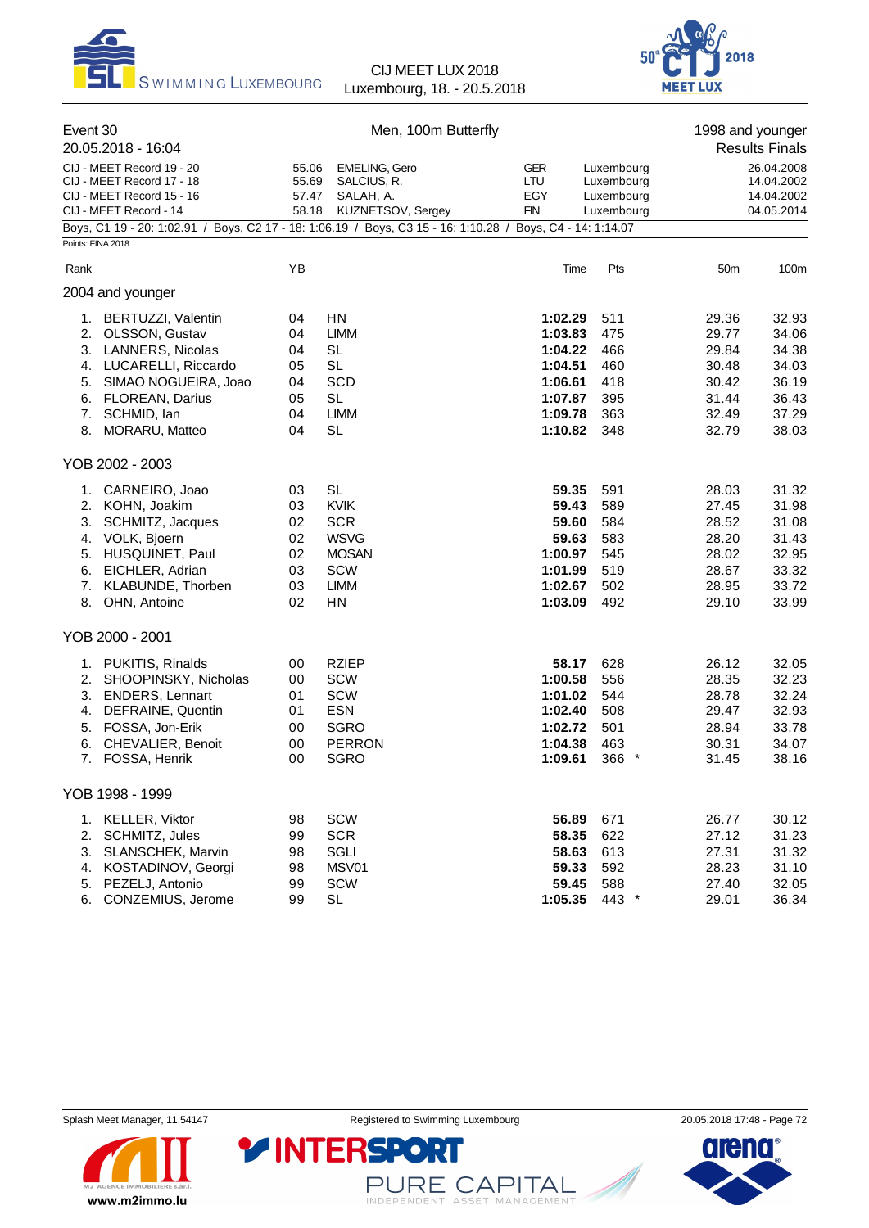



| Event 30                                            |                                                                                                            |       | Men, 100m Butterfly  |                   |            |                          | 1998 and younger      |  |
|-----------------------------------------------------|------------------------------------------------------------------------------------------------------------|-------|----------------------|-------------------|------------|--------------------------|-----------------------|--|
|                                                     | 20.05.2018 - 16:04                                                                                         |       |                      |                   |            |                          | <b>Results Finals</b> |  |
|                                                     | CIJ - MEET Record 19 - 20                                                                                  | 55.06 | <b>EMELING, Gero</b> | <b>GER</b>        | Luxembourg |                          | 26.04.2008            |  |
|                                                     | CIJ - MEET Record 17 - 18                                                                                  | 55.69 | SALCIUS, R.          | LTU               | Luxembourg |                          | 14.04.2002            |  |
| CIJ - MEET Record 15 - 16<br>CIJ - MEET Record - 14 |                                                                                                            | 57.47 | SALAH, A.            | EGY<br><b>FIN</b> | Luxembourg | 14.04.2002<br>04.05.2014 |                       |  |
|                                                     | Boys, C1 19 - 20: 1:02.91 / Boys, C2 17 - 18: 1:06.19 / Boys, C3 15 - 16: 1:10.28 / Boys, C4 - 14: 1:14.07 | 58.18 | KUZNETSOV, Sergey    |                   | Luxembourg |                          |                       |  |
|                                                     | Points: FINA 2018                                                                                          |       |                      |                   |            |                          |                       |  |
|                                                     |                                                                                                            | YB    |                      |                   |            |                          |                       |  |
| Rank                                                |                                                                                                            |       |                      | Time              | Pts        | 50 <sub>m</sub>          | 100m                  |  |
|                                                     | 2004 and younger                                                                                           |       |                      |                   |            |                          |                       |  |
|                                                     | 1. BERTUZZI, Valentin                                                                                      | 04    | ΗN                   | 1:02.29           | 511        | 29.36                    | 32.93                 |  |
|                                                     | 2. OLSSON, Gustav                                                                                          | 04    | <b>LIMM</b>          | 1:03.83           | 475        | 29.77                    | 34.06                 |  |
| 3.                                                  | <b>LANNERS, Nicolas</b>                                                                                    | 04    | <b>SL</b>            | 1:04.22           | 466        | 29.84                    | 34.38                 |  |
|                                                     | 4. LUCARELLI, Riccardo                                                                                     | 05    | <b>SL</b>            | 1:04.51           | 460        | 30.48                    | 34.03                 |  |
|                                                     | 5. SIMAO NOGUEIRA, Joao                                                                                    | 04    | <b>SCD</b>           | 1:06.61           | 418        | 30.42                    | 36.19                 |  |
| 6.                                                  | <b>FLOREAN, Darius</b>                                                                                     | 05    | <b>SL</b>            | 1:07.87           | 395        | 31.44                    | 36.43                 |  |
| 7.                                                  | SCHMID, Ian                                                                                                | 04    | <b>LIMM</b>          | 1:09.78           | 363        | 32.49                    | 37.29                 |  |
| 8.                                                  | <b>MORARU, Matteo</b>                                                                                      | 04    | <b>SL</b>            | 1:10.82           | 348        | 32.79                    | 38.03                 |  |
|                                                     | YOB 2002 - 2003                                                                                            |       |                      |                   |            |                          |                       |  |
|                                                     | 1. CARNEIRO, Joao                                                                                          | 03    | <b>SL</b>            | 59.35             | 591        | 28.03                    | 31.32                 |  |
|                                                     | 2. KOHN, Joakim                                                                                            | 03    | <b>KVIK</b>          | 59.43             | 589        | 27.45                    | 31.98                 |  |
|                                                     | 3. SCHMITZ, Jacques                                                                                        | 02    | <b>SCR</b>           | 59.60             | 584        | 28.52                    | 31.08                 |  |
|                                                     | 4. VOLK, Bjoern                                                                                            | 02    | <b>WSVG</b>          | 59.63             | 583        | 28.20                    | 31.43                 |  |
|                                                     | 5. HUSQUINET, Paul                                                                                         | 02    | <b>MOSAN</b>         | 1:00.97           | 545        | 28.02                    | 32.95                 |  |
|                                                     | 6. EICHLER, Adrian                                                                                         | 03    | SCW                  | 1:01.99           | 519        | 28.67                    | 33.32                 |  |
| 7.                                                  | KLABUNDE, Thorben                                                                                          | 03    | <b>LIMM</b>          | 1:02.67           | 502        | 28.95                    | 33.72                 |  |
|                                                     | 8. OHN, Antoine                                                                                            | 02    | HN                   | 1:03.09           | 492        | 29.10                    | 33.99                 |  |
|                                                     | YOB 2000 - 2001                                                                                            |       |                      |                   |            |                          |                       |  |
|                                                     | 1. PUKITIS, Rinalds                                                                                        | 00    | <b>RZIEP</b>         | 58.17             | 628        | 26.12                    | 32.05                 |  |
|                                                     | 2. SHOOPINSKY, Nicholas                                                                                    | 00    | SCW                  | 1:00.58           | 556        | 28.35                    | 32.23                 |  |
|                                                     | 3. ENDERS, Lennart                                                                                         | 01    | SCW                  | 1:01.02           | 544        | 28.78                    | 32.24                 |  |
| 4.                                                  | DEFRAINE, Quentin                                                                                          | 01    | ESN                  | 1:02.40           | 508        | 29.47                    | 32.93                 |  |
|                                                     | 5. FOSSA, Jon-Erik                                                                                         | 00    | <b>SGRO</b>          | 1:02.72           | 501        | 28.94                    | 33.78                 |  |
| 6.                                                  | CHEVALIER, Benoit                                                                                          | 00    | <b>PERRON</b>        | 1:04.38           | 463        | 30.31                    | 34.07                 |  |
|                                                     | 7. FOSSA, Henrik                                                                                           | 00    | <b>SGRO</b>          | 1:09.61           | $366*$     | 31.45                    | 38.16                 |  |
|                                                     | YOB 1998 - 1999                                                                                            |       |                      |                   |            |                          |                       |  |
|                                                     |                                                                                                            |       |                      |                   |            |                          |                       |  |
| 1.                                                  | <b>KELLER, Viktor</b>                                                                                      | 98    | SCW                  | 56.89             | 671        | 26.77                    | 30.12                 |  |
| 2.                                                  | SCHMITZ, Jules                                                                                             | 99    | <b>SCR</b>           | 58.35             | 622        | 27.12                    | 31.23                 |  |
| 3.                                                  | SLANSCHEK, Marvin                                                                                          | 98    | SGLI                 | 58.63             | 613        | 27.31                    | 31.32                 |  |
| 4.                                                  | KOSTADINOV, Georgi                                                                                         | 98    | MSV01                | 59.33             | 592        | 28.23                    | 31.10                 |  |
|                                                     | 5. PEZELJ, Antonio                                                                                         | 99    | SCW                  | 59.45             | 588        | 27.40                    | 32.05                 |  |
|                                                     | 6. CONZEMIUS, Jerome                                                                                       | 99    | <b>SL</b>            | 1:05.35           | 443 *      | 29.01                    | 36.34                 |  |



PURE CAPITAL

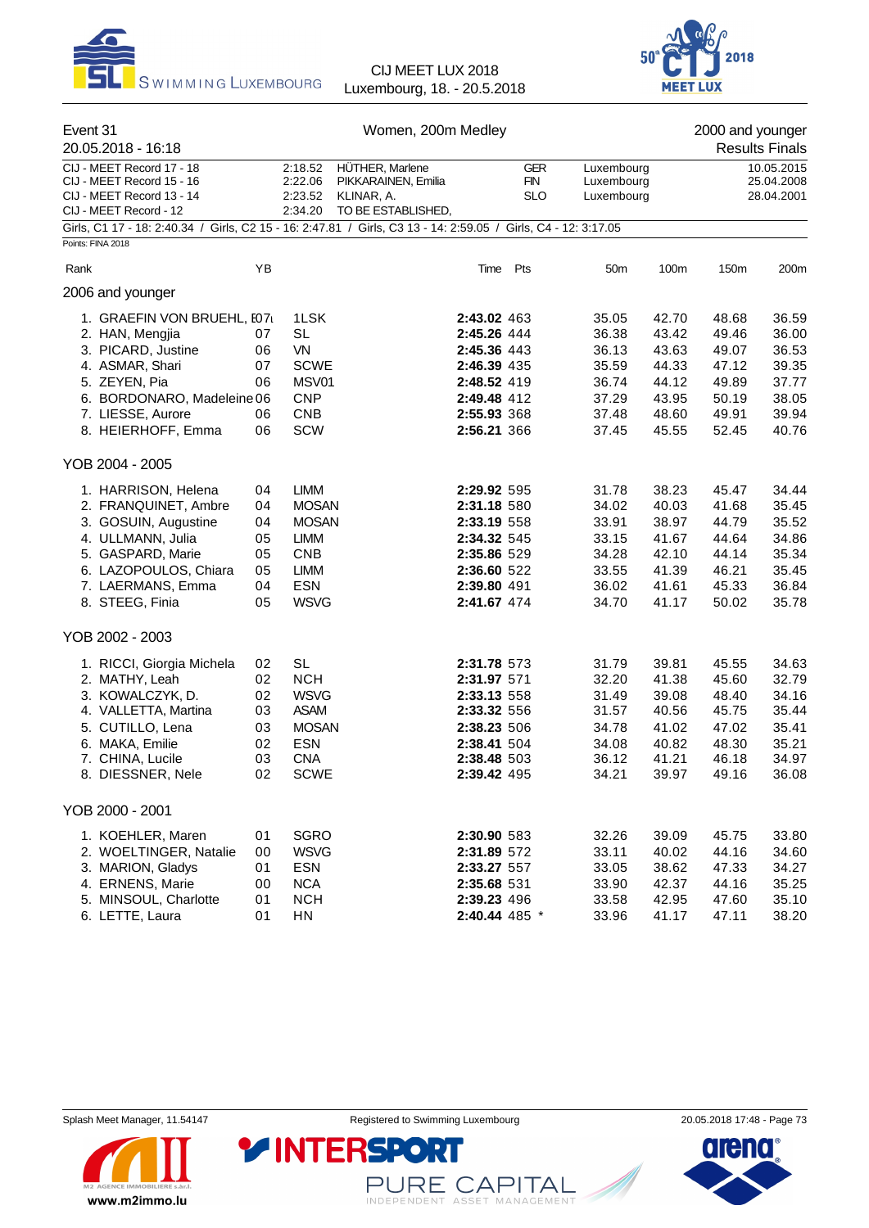



| Event 31                                                                                                       |    | Women, 200m Medley<br>2000 and younger |                                        |             |                          |                          |       |       |                          |  |
|----------------------------------------------------------------------------------------------------------------|----|----------------------------------------|----------------------------------------|-------------|--------------------------|--------------------------|-------|-------|--------------------------|--|
| 20.05.2018 - 16:18                                                                                             |    |                                        |                                        |             |                          |                          |       |       | <b>Results Finals</b>    |  |
| CIJ - MEET Record 17 - 18<br>CIJ - MEET Record 15 - 16                                                         |    | 2:18.52<br>2:22.06                     | HÜTHER, Marlene<br>PIKKARAINEN, Emilia |             | <b>GER</b><br><b>FIN</b> | Luxembourg<br>Luxembourg |       |       | 10.05.2015<br>25.04.2008 |  |
| CIJ - MEET Record 13 - 14<br>CIJ - MEET Record - 12                                                            |    | 2:23.52<br>2:34.20                     | KLINAR, A.<br>TO BE ESTABLISHED,       |             | <b>SLO</b>               | Luxembourg               |       |       | 28.04.2001               |  |
| Girls, C1 17 - 18: 2:40.34 / Girls, C2 15 - 16: 2:47.81 / Girls, C3 13 - 14: 2:59.05 / Girls, C4 - 12: 3:17.05 |    |                                        |                                        |             |                          |                          |       |       |                          |  |
| Points: FINA 2018                                                                                              |    |                                        |                                        |             |                          |                          |       |       |                          |  |
| Rank                                                                                                           | YB |                                        |                                        | Time        | Pts                      | 50 <sub>m</sub>          | 100m  | 150m  | 200m                     |  |
| 2006 and younger                                                                                               |    |                                        |                                        |             |                          |                          |       |       |                          |  |
| 1. GRAEFIN VON BRUEHL, I07                                                                                     |    | 1LSK                                   |                                        | 2:43.02 463 |                          | 35.05                    | 42.70 | 48.68 | 36.59                    |  |
| 2. HAN, Mengjia                                                                                                | 07 | <b>SL</b>                              |                                        | 2:45.26 444 |                          | 36.38                    | 43.42 | 49.46 | 36.00                    |  |
| 3. PICARD, Justine                                                                                             | 06 | VN                                     |                                        | 2:45.36 443 |                          | 36.13                    | 43.63 | 49.07 | 36.53                    |  |
| 4. ASMAR, Shari                                                                                                | 07 | <b>SCWE</b>                            |                                        | 2:46.39 435 |                          | 35.59                    | 44.33 | 47.12 | 39.35                    |  |
| 5. ZEYEN, Pia                                                                                                  | 06 | MSV01                                  |                                        | 2:48.52 419 |                          | 36.74                    | 44.12 | 49.89 | 37.77                    |  |
| 6. BORDONARO, Madeleine 06                                                                                     |    | <b>CNP</b>                             |                                        | 2:49.48 412 |                          | 37.29                    | 43.95 | 50.19 | 38.05                    |  |
| 7. LIESSE, Aurore                                                                                              | 06 | <b>CNB</b>                             |                                        | 2:55.93 368 |                          | 37.48                    | 48.60 | 49.91 | 39.94                    |  |
| 8. HEIERHOFF, Emma                                                                                             | 06 | SCW                                    |                                        | 2:56.21 366 |                          | 37.45                    | 45.55 | 52.45 | 40.76                    |  |
| YOB 2004 - 2005                                                                                                |    |                                        |                                        |             |                          |                          |       |       |                          |  |
| 1. HARRISON, Helena                                                                                            | 04 | <b>LIMM</b>                            |                                        | 2:29.92 595 |                          | 31.78                    | 38.23 | 45.47 | 34.44                    |  |
| 2. FRANQUINET, Ambre                                                                                           | 04 | <b>MOSAN</b>                           |                                        | 2:31.18 580 |                          | 34.02                    | 40.03 | 41.68 | 35.45                    |  |
| 3. GOSUIN, Augustine                                                                                           | 04 | <b>MOSAN</b>                           |                                        | 2:33.19 558 |                          | 33.91                    | 38.97 | 44.79 | 35.52                    |  |
| 4. ULLMANN, Julia                                                                                              | 05 | <b>LIMM</b>                            |                                        | 2:34.32 545 |                          | 33.15                    | 41.67 | 44.64 | 34.86                    |  |
| 5. GASPARD, Marie                                                                                              | 05 | <b>CNB</b>                             |                                        | 2:35.86 529 |                          | 34.28                    | 42.10 | 44.14 | 35.34                    |  |
| 6. LAZOPOULOS, Chiara                                                                                          | 05 | <b>LIMM</b>                            |                                        | 2:36.60 522 |                          | 33.55                    | 41.39 | 46.21 | 35.45                    |  |
| 7. LAERMANS, Emma                                                                                              | 04 | <b>ESN</b>                             |                                        | 2:39.80 491 |                          | 36.02                    | 41.61 | 45.33 | 36.84                    |  |
| 8. STEEG, Finia                                                                                                | 05 | <b>WSVG</b>                            |                                        | 2:41.67 474 |                          | 34.70                    | 41.17 | 50.02 | 35.78                    |  |
| YOB 2002 - 2003                                                                                                |    |                                        |                                        |             |                          |                          |       |       |                          |  |
| 1. RICCI, Giorgia Michela                                                                                      | 02 | <b>SL</b>                              |                                        | 2:31.78 573 |                          | 31.79                    | 39.81 | 45.55 | 34.63                    |  |
| 2. MATHY, Leah                                                                                                 | 02 | <b>NCH</b>                             |                                        | 2:31.97 571 |                          | 32.20                    | 41.38 | 45.60 | 32.79                    |  |
| 3. KOWALCZYK, D.                                                                                               | 02 | <b>WSVG</b>                            |                                        | 2:33.13 558 |                          | 31.49                    | 39.08 | 48.40 | 34.16                    |  |
| 4. VALLETTA, Martina                                                                                           | 03 | <b>ASAM</b>                            |                                        | 2:33.32 556 |                          | 31.57                    | 40.56 | 45.75 | 35.44                    |  |
| 5. CUTILLO, Lena                                                                                               | 03 | <b>MOSAN</b>                           |                                        | 2:38.23 506 |                          | 34.78                    | 41.02 | 47.02 | 35.41                    |  |
| 6. MAKA, Emilie                                                                                                | 02 | <b>ESN</b>                             |                                        | 2:38.41 504 |                          | 34.08                    | 40.82 | 48.30 | 35.21                    |  |
| 7. CHINA, Lucile                                                                                               | 03 | <b>CNA</b>                             |                                        | 2:38.48 503 |                          | 36.12                    | 41.21 | 46.18 | 34.97                    |  |
| 8. DIESSNER, Nele                                                                                              | 02 | <b>SCWE</b>                            |                                        | 2:39.42 495 |                          | 34.21                    | 39.97 | 49.16 | 36.08                    |  |
| YOB 2000 - 2001                                                                                                |    |                                        |                                        |             |                          |                          |       |       |                          |  |
| 1. KOEHLER, Maren                                                                                              | 01 | <b>SGRO</b>                            |                                        | 2:30.90 583 |                          | 32.26                    | 39.09 | 45.75 | 33.80                    |  |
| 2. WOELTINGER, Natalie                                                                                         | 00 | <b>WSVG</b>                            |                                        | 2:31.89 572 |                          | 33.11                    | 40.02 | 44.16 | 34.60                    |  |
| 3. MARION, Gladys                                                                                              | 01 | <b>ESN</b>                             |                                        | 2:33.27 557 |                          | 33.05                    | 38.62 | 47.33 | 34.27                    |  |
| 4. ERNENS, Marie                                                                                               | 00 | <b>NCA</b>                             |                                        | 2:35.68 531 |                          | 33.90                    | 42.37 | 44.16 | 35.25                    |  |
| 5. MINSOUL, Charlotte                                                                                          | 01 | <b>NCH</b>                             |                                        |             |                          |                          |       |       | 35.10                    |  |
|                                                                                                                |    |                                        |                                        | 2:39.23 496 |                          | 33.58                    | 42.95 | 47.60 |                          |  |
| 6. LETTE, Laura                                                                                                | 01 | ${\sf H}{\sf N}$                       |                                        |             | 2:40.44 485 *            | 33.96                    | 41.17 | 47.11 | 38.20                    |  |



PURE CAPITAL

**Y INTERSPORT** 

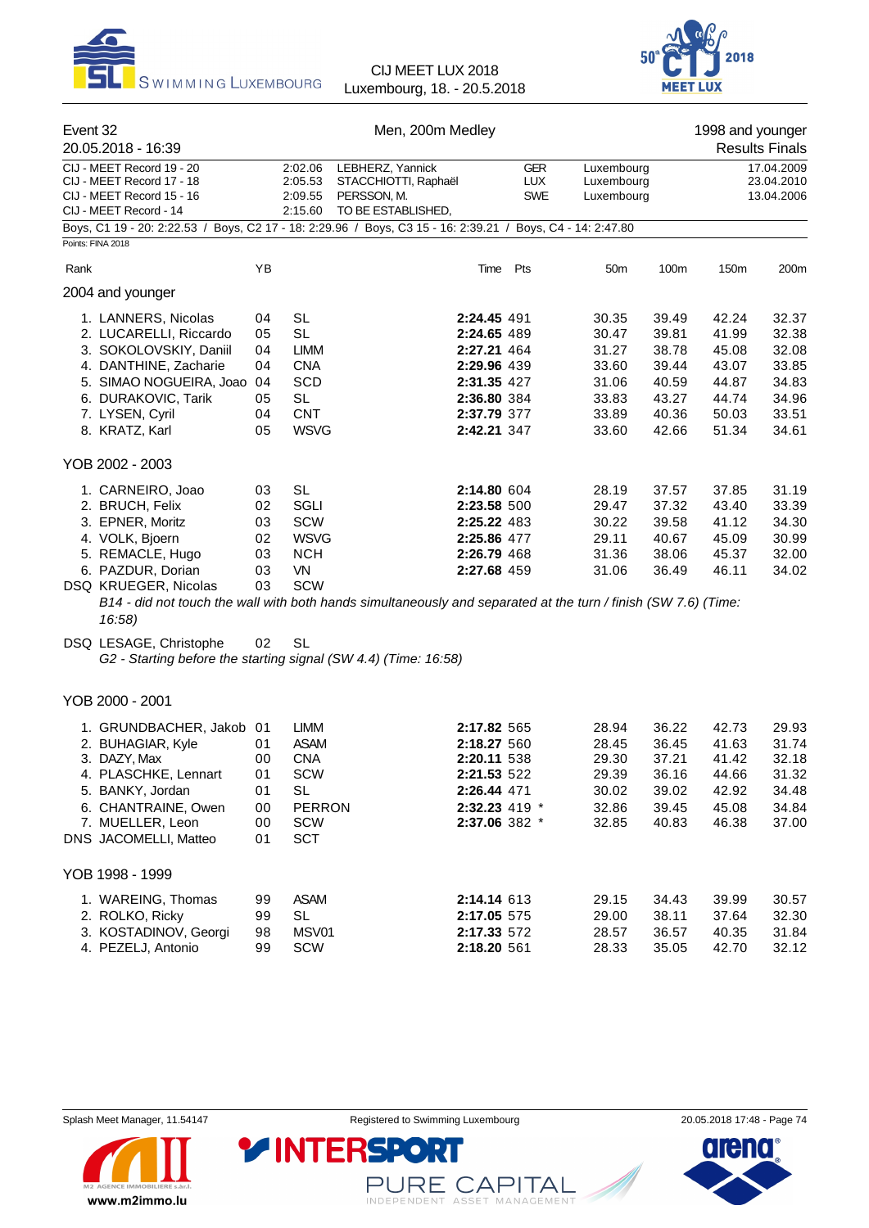



| Event 32<br>20.05.2018 - 16:39                                                                                                                                                          |                                              |                                                                                                                           | Men, 200m Medley                                                                                                                                                                                         | 1998 and younger<br><b>Results Finals</b> |                                                                      |                                                                      |                                                                      |                                                                      |
|-----------------------------------------------------------------------------------------------------------------------------------------------------------------------------------------|----------------------------------------------|---------------------------------------------------------------------------------------------------------------------------|----------------------------------------------------------------------------------------------------------------------------------------------------------------------------------------------------------|-------------------------------------------|----------------------------------------------------------------------|----------------------------------------------------------------------|----------------------------------------------------------------------|----------------------------------------------------------------------|
| CIJ - MEET Record 19 - 20<br>CIJ - MEET Record 17 - 18<br>CIJ - MEET Record 15 - 16<br>CIJ - MEET Record - 14                                                                           |                                              | 2:02.06<br>LEBHERZ, Yannick<br>2:05.53<br>STACCHIOTTI, Raphaël<br>2:09.55<br>PERSSON, M.<br>TO BE ESTABLISHED,<br>2:15.60 |                                                                                                                                                                                                          | <b>GER</b><br><b>LUX</b><br><b>SWE</b>    | Luxembourg<br>Luxembourg<br>Luxembourg                               |                                                                      | 17.04.2009<br>23.04.2010<br>13.04.2006                               |                                                                      |
| Boys, C1 19 - 20: 2:22.53 / Boys, C2 17 - 18: 2:29.96 / Boys, C3 15 - 16: 2:39.21 / Boys, C4 - 14: 2:47.80<br>Points: FINA 2018                                                         |                                              |                                                                                                                           |                                                                                                                                                                                                          |                                           |                                                                      |                                                                      |                                                                      |                                                                      |
| Rank                                                                                                                                                                                    | YB                                           |                                                                                                                           | Time Pts                                                                                                                                                                                                 |                                           | 50 <sub>m</sub>                                                      | 100m                                                                 | 150m                                                                 | 200m                                                                 |
| 2004 and younger                                                                                                                                                                        |                                              |                                                                                                                           |                                                                                                                                                                                                          |                                           |                                                                      |                                                                      |                                                                      |                                                                      |
| 1. LANNERS, Nicolas<br>2. LUCARELLI, Riccardo<br>3. SOKOLOVSKIY, Daniil<br>4. DANTHINE, Zacharie<br>5. SIMAO NOGUEIRA, Joao<br>6. DURAKOVIC, Tarik<br>7. LYSEN, Cyril<br>8. KRATZ, Karl | 04<br>05<br>04<br>04<br>04<br>05<br>04<br>05 | <b>SL</b><br><b>SL</b><br><b>LIMM</b><br><b>CNA</b><br><b>SCD</b><br><b>SL</b><br><b>CNT</b><br><b>WSVG</b>               | 2:24.45 491<br>2:24.65 489<br>2:27.21 464<br>2:29.96 439<br>2:31.35 427<br>2:36.80 384<br>2:37.79 377<br>2:42.21 347                                                                                     |                                           | 30.35<br>30.47<br>31.27<br>33.60<br>31.06<br>33.83<br>33.89<br>33.60 | 39.49<br>39.81<br>38.78<br>39.44<br>40.59<br>43.27<br>40.36<br>42.66 | 42.24<br>41.99<br>45.08<br>43.07<br>44.87<br>44.74<br>50.03<br>51.34 | 32.37<br>32.38<br>32.08<br>33.85<br>34.83<br>34.96<br>33.51<br>34.61 |
| YOB 2002 - 2003                                                                                                                                                                         |                                              |                                                                                                                           |                                                                                                                                                                                                          |                                           |                                                                      |                                                                      |                                                                      |                                                                      |
| 1. CARNEIRO, Joao<br>2. BRUCH, Felix<br>3. EPNER, Moritz<br>4. VOLK, Bjoern<br>5. REMACLE, Hugo<br>6. PAZDUR, Dorian<br>DSQ KRUEGER, Nicolas<br>16:58)                                  | 03<br>02<br>03<br>02<br>03<br>03<br>03       | <b>SL</b><br>SGLI<br>SCW<br><b>WSVG</b><br><b>NCH</b><br>VN<br><b>SCW</b>                                                 | 2:14.80 604<br>2:23.58 500<br>2:25.22 483<br>2:25.86 477<br>2:26.79 468<br>2:27.68 459<br>B14 - did not touch the wall with both hands simultaneously and separated at the turn / finish (SW 7.6) (Time: |                                           | 28.19<br>29.47<br>30.22<br>29.11<br>31.36<br>31.06                   | 37.57<br>37.32<br>39.58<br>40.67<br>38.06<br>36.49                   | 37.85<br>43.40<br>41.12<br>45.09<br>45.37<br>46.11                   | 31.19<br>33.39<br>34.30<br>30.99<br>32.00<br>34.02                   |
| DSQ LESAGE, Christophe<br>G2 - Starting before the starting signal (SW 4.4) (Time: 16:58)                                                                                               | 02                                           | <b>SL</b>                                                                                                                 |                                                                                                                                                                                                          |                                           |                                                                      |                                                                      |                                                                      |                                                                      |
| YOB 2000 - 2001                                                                                                                                                                         |                                              |                                                                                                                           |                                                                                                                                                                                                          |                                           |                                                                      |                                                                      |                                                                      |                                                                      |
| 1. GRUNDBACHER, Jakob 01<br>2. BUHAGIAR, Kyle<br>3. DAZY, Max<br>4. PLASCHKE, Lennart<br>5. BANKY, Jordan<br>6. CHANTRAINE, Owen<br>7. MUELLER, Leon<br>DNS JACOMELLI, Matteo           | 01<br>00<br>01<br>01<br>00<br>00<br>01       | <b>LIMM</b><br><b>ASAM</b><br><b>CNA</b><br><b>SCW</b><br><b>SL</b><br><b>PERRON</b><br>SCW<br><b>SCT</b>                 | 2:17.82 565<br>2:18.27 560<br>2:20.11 538<br><b>2:21.53</b> 522<br>2:26.44 471<br>2:32.23 419 *<br>2:37.06 382 *                                                                                         |                                           | 28.94<br>28.45<br>29.30<br>29.39<br>30.02<br>32.86<br>32.85          | 36.22<br>36.45<br>37.21<br>36.16<br>39.02<br>39.45<br>40.83          | 42.73<br>41.63<br>41.42<br>44.66<br>42.92<br>45.08<br>46.38          | 29.93<br>31.74<br>32.18<br>31.32<br>34.48<br>34.84<br>37.00          |
| YOB 1998 - 1999                                                                                                                                                                         |                                              |                                                                                                                           |                                                                                                                                                                                                          |                                           |                                                                      |                                                                      |                                                                      |                                                                      |
| 1. WAREING, Thomas<br>2. ROLKO, Ricky<br>3. KOSTADINOV, Georgi<br>4. PEZELJ, Antonio                                                                                                    | 99<br>99<br>98<br>99                         | <b>ASAM</b><br><b>SL</b><br>MSV01<br>SCW                                                                                  | 2:14.14 613<br>2:17.05 575<br>2:17.33 572<br>2:18.20 561                                                                                                                                                 |                                           | 29.15<br>29.00<br>28.57<br>28.33                                     | 34.43<br>38.11<br>36.57<br>35.05                                     | 39.99<br>37.64<br>40.35<br>42.70                                     | 30.57<br>32.30<br>31.84<br>32.12                                     |



PURE CAPITAL

**YINTERSPOR** 

 $\blacksquare$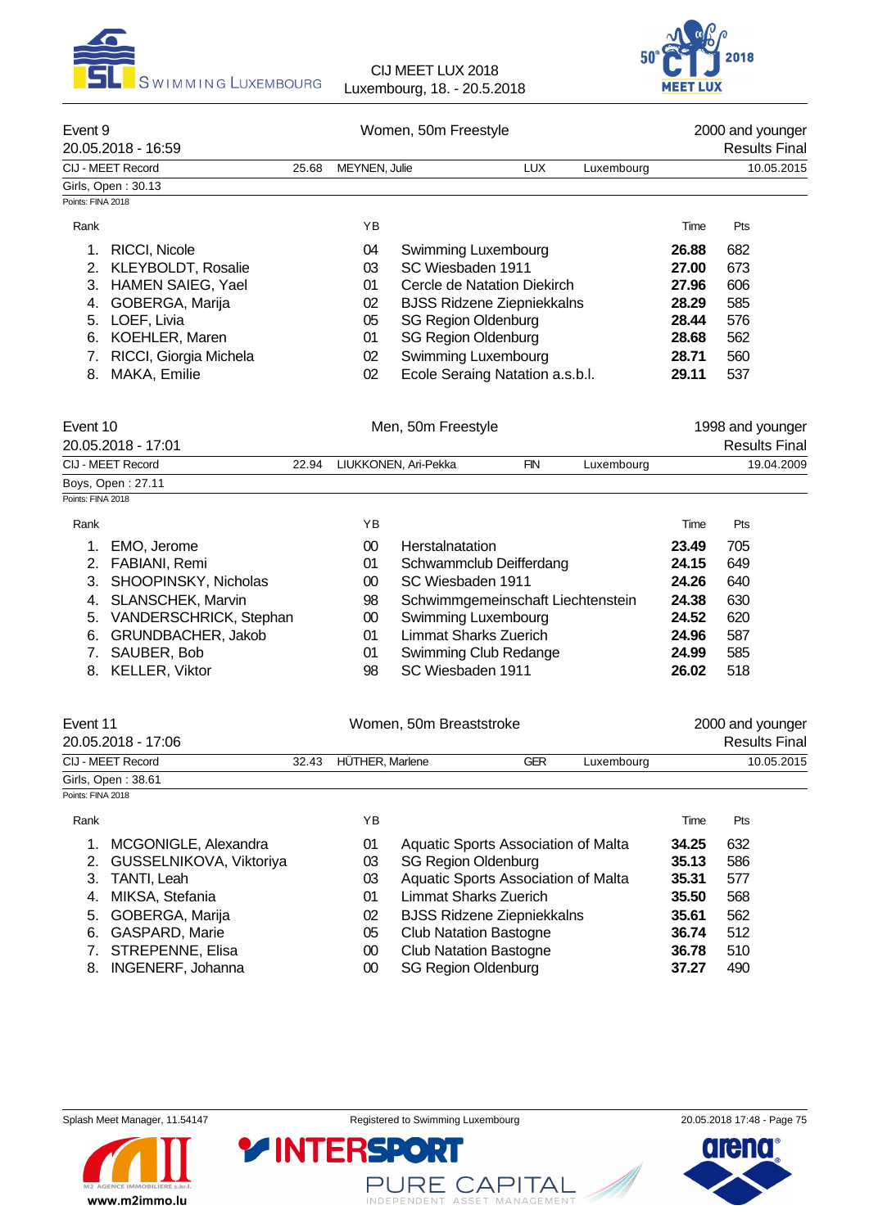



| Event 9<br>20.05.2018 - 16:59           |       | Women, 50m Freestyle |                                   |            |  |            |       | 2000 and younger<br><b>Results Final</b> |  |  |
|-----------------------------------------|-------|----------------------|-----------------------------------|------------|--|------------|-------|------------------------------------------|--|--|
| CIJ - MEET Record                       | 25.68 | MEYNEN, Julie        |                                   | <b>LUX</b> |  | Luxembourg |       | 10.05.2015                               |  |  |
| Girls, Open: 30.13                      |       |                      |                                   |            |  |            |       |                                          |  |  |
| Points: FINA 2018                       |       |                      |                                   |            |  |            |       |                                          |  |  |
| Rank                                    |       | ΥB                   |                                   |            |  |            | Time  | Pts                                      |  |  |
| <b>RICCI, Nicole</b><br>1.              |       | 04                   | Swimming Luxembourg               |            |  |            | 26.88 | 682                                      |  |  |
| KLEYBOLDT, Rosalie<br>2.                |       | 03                   | SC Wiesbaden 1911                 |            |  |            | 27.00 | 673                                      |  |  |
| 3. HAMEN SAIEG, Yael                    |       | 01                   | Cercle de Natation Diekirch       |            |  |            | 27.96 | 606                                      |  |  |
| 4. GOBERGA, Marija                      |       | 02                   | <b>BJSS Ridzene Ziepniekkalns</b> |            |  |            | 28.29 | 585                                      |  |  |
| 5. LOEF, Livia                          |       | 05                   | <b>SG Region Oldenburg</b>        |            |  |            | 28.44 | 576                                      |  |  |
| KOEHLER, Maren<br>6.                    |       | 01                   | <b>SG Region Oldenburg</b>        |            |  |            | 28.68 | 562                                      |  |  |
| RICCI, Giorgia Michela<br>7.            |       | 02                   | <b>Swimming Luxembourg</b>        |            |  |            | 28.71 | 560                                      |  |  |
| MAKA, Emilie<br>8.                      |       | 02                   | Ecole Seraing Natation a.s.b.l.   |            |  |            | 29.11 | 537                                      |  |  |
|                                         |       |                      |                                   |            |  |            |       |                                          |  |  |
| Event 10                                |       |                      | Men, 50m Freestyle                |            |  |            |       | 1998 and younger                         |  |  |
| 20.05.2018 - 17:01                      |       |                      |                                   |            |  |            |       | <b>Results Final</b>                     |  |  |
| CIJ - MEET Record                       | 22.94 |                      | LIUKKONEN, Ari-Pekka              | <b>FIN</b> |  | Luxembourg |       | 19.04.2009                               |  |  |
| Boys, Open: 27.11                       |       |                      |                                   |            |  |            |       |                                          |  |  |
| Points: FINA 2018                       |       |                      |                                   |            |  |            |       |                                          |  |  |
| Rank                                    |       | ΥB                   |                                   |            |  |            | Time  | Pts                                      |  |  |
| EMO, Jerome<br>1.                       |       | 00                   | Herstalnatation                   |            |  |            | 23.49 | 705                                      |  |  |
| 2. FABIANI, Remi                        |       | 01                   | Schwammclub Deifferdang           |            |  |            | 24.15 | 649                                      |  |  |
| 3. SHOOPINSKY, Nicholas                 |       | 00                   | SC Wiesbaden 1911                 |            |  |            | 24.26 | 640                                      |  |  |
| <b>SLANSCHEK, Marvin</b><br>4.          |       | 98                   | Schwimmgemeinschaft Liechtenstein |            |  |            | 24.38 | 630                                      |  |  |
| VANDERSCHRICK, Stephan<br>5.            |       | $00\,$               | Swimming Luxembourg               |            |  |            | 24.52 | 620                                      |  |  |
| GRUNDBACHER, Jakob<br>6.                |       | 01                   | <b>Limmat Sharks Zuerich</b>      |            |  |            | 24.96 | 587                                      |  |  |
| SAUBER, Bob<br>7.                       |       | 01                   | Swimming Club Redange             |            |  |            | 24.99 | 585                                      |  |  |
| 8. KELLER, Viktor                       |       | 98                   | SC Wiesbaden 1911                 |            |  |            | 26.02 | 518                                      |  |  |
| Event 11                                |       |                      | Women, 50m Breaststroke           |            |  |            |       | 2000 and younger<br><b>Results Final</b> |  |  |
| 20.05.2018 - 17:06                      |       |                      |                                   |            |  |            |       |                                          |  |  |
| CIJ - MEET Record                       | 32.43 | HÜTHER, Marlene      |                                   | <b>GER</b> |  | Luxembourg |       | 10.05.2015                               |  |  |
| Girls, Open: 38.61<br>Points: FINA 2018 |       |                      |                                   |            |  |            |       |                                          |  |  |
|                                         |       |                      |                                   |            |  |            |       |                                          |  |  |
| Rank                                    |       | ΥB                   |                                   |            |  |            | Time  | Pts                                      |  |  |

| I IK. |                            |    |                                     | ,,,,,, | г١১ |  |
|-------|----------------------------|----|-------------------------------------|--------|-----|--|
|       | 1. MCGONIGLE, Alexandra    | 01 | Aquatic Sports Association of Malta | 34.25  | 632 |  |
|       | 2. GUSSELNIKOVA, Viktoriya | 03 | <b>SG Region Oldenburg</b>          | 35.13  | 586 |  |
|       | 3. TANTI, Leah             | 03 | Aquatic Sports Association of Malta | 35.31  | 577 |  |
|       | 4. MIKSA, Stefania         | 01 | <b>Limmat Sharks Zuerich</b>        | 35.50  | 568 |  |
|       | 5. GOBERGA, Marija         | 02 | <b>BJSS Ridzene Ziepniekkalns</b>   | 35.61  | 562 |  |
|       | 6. GASPARD, Marie          | 05 | <b>Club Natation Bastogne</b>       | 36.74  | 512 |  |
|       | 7. STREPENNE, Elisa        | 00 | <b>Club Natation Bastogne</b>       | 36.78  | 510 |  |
|       | 8. INGENERF, Johanna       | 00 | <b>SG Region Oldenburg</b>          | 37.27  | 490 |  |
|       |                            |    |                                     |        |     |  |



PURE CAPITAL

**Y INTERSPORT**